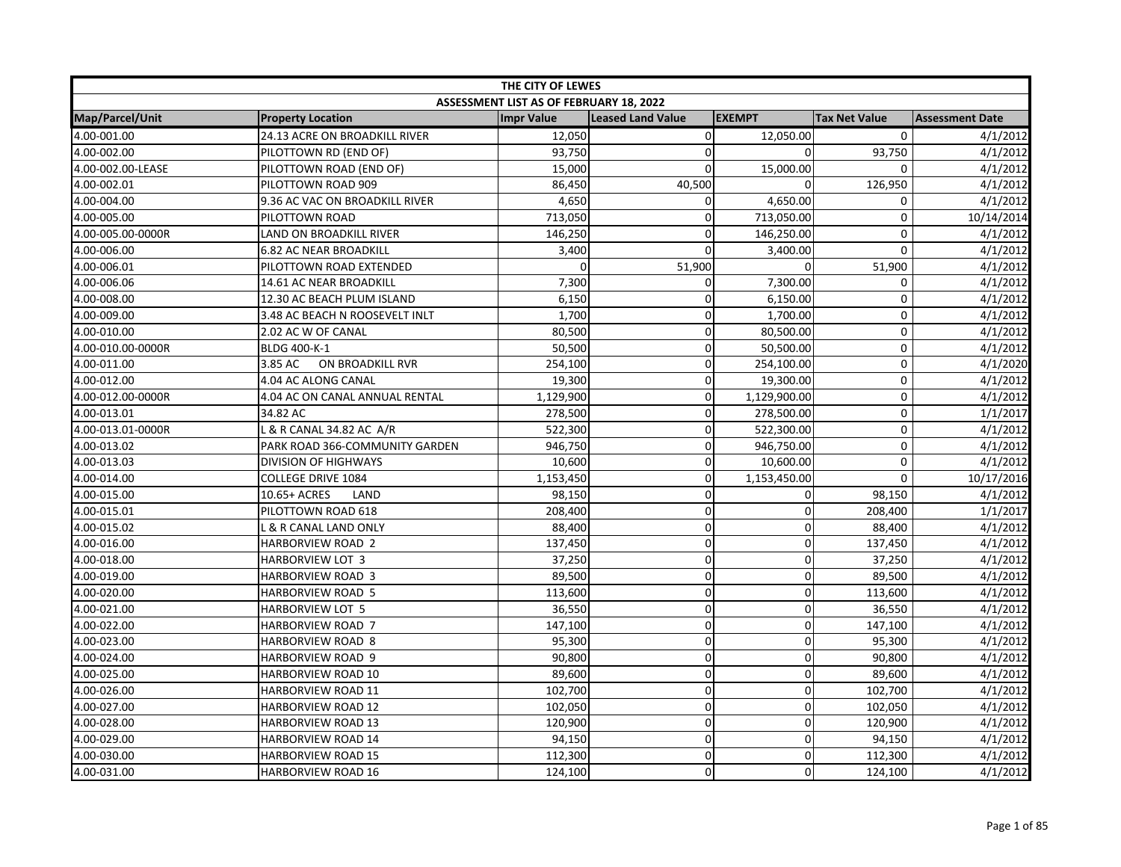| THE CITY OF LEWES |                                |                                         |                          |               |                      |                        |  |
|-------------------|--------------------------------|-----------------------------------------|--------------------------|---------------|----------------------|------------------------|--|
|                   |                                | ASSESSMENT LIST AS OF FEBRUARY 18, 2022 |                          |               |                      |                        |  |
| Map/Parcel/Unit   | <b>Property Location</b>       | <b>Impr Value</b>                       | <b>Leased Land Value</b> | <b>EXEMPT</b> | <b>Tax Net Value</b> | <b>Assessment Date</b> |  |
| 4.00-001.00       | 24.13 ACRE ON BROADKILL RIVER  | 12,050                                  | $\overline{0}$           | 12,050.00     | $\mathbf 0$          | 4/1/2012               |  |
| 4.00-002.00       | PILOTTOWN RD (END OF)          | 93,750                                  | $\mathbf 0$              | 0             | 93,750               | 4/1/2012               |  |
| 4.00-002.00-LEASE | PILOTTOWN ROAD (END OF)        | 15,000                                  | $\mathbf 0$              | 15,000.00     | $\mathbf 0$          | 4/1/2012               |  |
| 4.00-002.01       | PILOTTOWN ROAD 909             | 86,450                                  | 40,500                   | $\Omega$      | 126,950              | 4/1/2012               |  |
| 4.00-004.00       | 9.36 AC VAC ON BROADKILL RIVER | 4,650                                   | $\mathbf{0}$             | 4,650.00      | 0                    | 4/1/2012               |  |
| 4.00-005.00       | PILOTTOWN ROAD                 | 713,050                                 | $\mathbf 0$              | 713,050.00    | 0                    | 10/14/2014             |  |
| 4.00-005.00-0000R | LAND ON BROADKILL RIVER        | 146,250                                 | $\pmb{0}$                | 146,250.00    | $\pmb{0}$            | 4/1/2012               |  |
| 4.00-006.00       | <b>6.82 AC NEAR BROADKILL</b>  | 3,400                                   | $\mathbf 0$              | 3,400.00      | $\mathbf 0$          | 4/1/2012               |  |
| 4.00-006.01       | PILOTTOWN ROAD EXTENDED        | $\mathbf{0}$                            | 51,900                   | $\mathbf 0$   | 51,900               | 4/1/2012               |  |
| 4.00-006.06       | 14.61 AC NEAR BROADKILL        | 7,300                                   | $\mathbf 0$              | 7,300.00      | $\mathbf 0$          | 4/1/2012               |  |
| 4.00-008.00       | 12.30 AC BEACH PLUM ISLAND     | 6,150                                   | 0                        | 6,150.00      | $\mathbf 0$          | 4/1/2012               |  |
| 4.00-009.00       | 3.48 AC BEACH N ROOSEVELT INLT | 1,700                                   | $\mathbf 0$              | 1,700.00      | $\mathbf 0$          | 4/1/2012               |  |
| 4.00-010.00       | 2.02 AC W OF CANAL             | 80,500                                  | $\overline{0}$           | 80,500.00     | $\mathbf 0$          | 4/1/2012               |  |
| 4.00-010.00-0000R | BLDG 400-K-1                   | 50,500                                  | $\mathsf{O}\xspace$      | 50,500.00     | $\pmb{0}$            | 4/1/2012               |  |
| 4.00-011.00       | ON BROADKILL RVR<br>3.85 AC    | 254,100                                 | $\overline{0}$           | 254,100.00    | $\mathbf 0$          | 4/1/2020               |  |
| 4.00-012.00       | 4.04 AC ALONG CANAL            | 19,300                                  | $\mathbf 0$              | 19,300.00     | $\mathbf 0$          | 4/1/2012               |  |
| 4.00-012.00-0000R | 4.04 AC ON CANAL ANNUAL RENTAL | 1,129,900                               | $\mathsf{O}\xspace$      | 1,129,900.00  | $\pmb{0}$            | 4/1/2012               |  |
| 4.00-013.01       | 34.82 AC                       | 278,500                                 | $\pmb{0}$                | 278,500.00    | $\pmb{0}$            | 1/1/2017               |  |
| 4.00-013.01-0000R | L & R CANAL 34.82 AC A/R       | 522,300                                 | $\mathbf 0$              | 522,300.00    | $\pmb{0}$            | 4/1/2012               |  |
| 4.00-013.02       | PARK ROAD 366-COMMUNITY GARDEN | 946,750                                 | $\mathbf 0$              | 946,750.00    | $\mathbf 0$          | 4/1/2012               |  |
| 4.00-013.03       | <b>DIVISION OF HIGHWAYS</b>    | 10,600                                  | $\mathbf 0$              | 10,600.00     | $\mathbf 0$          | 4/1/2012               |  |
| 4.00-014.00       | <b>COLLEGE DRIVE 1084</b>      | 1,153,450                               | $\overline{0}$           | 1,153,450.00  | $\mathbf 0$          | 10/17/2016             |  |
| 4.00-015.00       | 10.65+ ACRES<br>LAND           | 98,150                                  | $\mathbf 0$              | 0             | 98,150               | 4/1/2012               |  |
| 4.00-015.01       | PILOTTOWN ROAD 618             | 208,400                                 | $\mathbf 0$              | $\mathbf 0$   | 208,400              | 1/1/2017               |  |
| 4.00-015.02       | L & R CANAL LAND ONLY          | 88,400                                  | $\pmb{0}$                | $\mathbf 0$   | 88,400               | 4/1/2012               |  |
| 4.00-016.00       | HARBORVIEW ROAD 2              | 137,450                                 | $\pmb{0}$                | $\mathbf 0$   | 137,450              | 4/1/2012               |  |
| 4.00-018.00       | HARBORVIEW LOT 3               | 37,250                                  | $\pmb{0}$                | $\mathbf 0$   | 37,250               | 4/1/2012               |  |
| 4.00-019.00       | <b>HARBORVIEW ROAD 3</b>       | 89,500                                  | $\mathbf 0$              | $\mathbf 0$   | 89,500               | 4/1/2012               |  |
| 4.00-020.00       | <b>HARBORVIEW ROAD 5</b>       | 113,600                                 | $\mathbf 0$              | 0             | 113,600              | 4/1/2012               |  |
| 4.00-021.00       | HARBORVIEW LOT 5               | 36,550                                  | $\overline{0}$           | $\mathbf 0$   | 36,550               | 4/1/2012               |  |
| 4.00-022.00       | <b>HARBORVIEW ROAD 7</b>       | 147,100                                 | $\mathbf 0$              | $\mathbf 0$   | 147,100              | 4/1/2012               |  |
| 4.00-023.00       | <b>HARBORVIEW ROAD 8</b>       | 95,300                                  | $\mathbf 0$              | $\mathbf 0$   | 95,300               | 4/1/2012               |  |
| 4.00-024.00       | HARBORVIEW ROAD 9              | 90,800                                  | $\mathbf 0$              | $\mathbf{0}$  | 90,800               | 4/1/2012               |  |
| 4.00-025.00       | <b>HARBORVIEW ROAD 10</b>      | 89,600                                  | $\mathbf 0$              | 0             | 89,600               | 4/1/2012               |  |
| 4.00-026.00       | HARBORVIEW ROAD 11             | 102,700                                 | $\mathsf{O}\xspace$      | $\mathbf 0$   | 102,700              | 4/1/2012               |  |
| 4.00-027.00       | <b>HARBORVIEW ROAD 12</b>      | 102,050                                 | $\pmb{0}$                | $\mathbf 0$   | 102,050              | 4/1/2012               |  |
| 4.00-028.00       | <b>HARBORVIEW ROAD 13</b>      | 120,900                                 | $\overline{0}$           | $\mathbf 0$   | 120,900              | 4/1/2012               |  |
| 4.00-029.00       | <b>HARBORVIEW ROAD 14</b>      | 94,150                                  | $\pmb{0}$                | $\mathbf 0$   | 94,150               | 4/1/2012               |  |
| 4.00-030.00       | <b>HARBORVIEW ROAD 15</b>      | 112,300                                 | $\overline{0}$           | $\mathbf 0$   | 112,300              | 4/1/2012               |  |
| 4.00-031.00       | <b>HARBORVIEW ROAD 16</b>      | 124,100                                 | $\mathsf{O}\xspace$      | $\Omega$      | 124,100              | 4/1/2012               |  |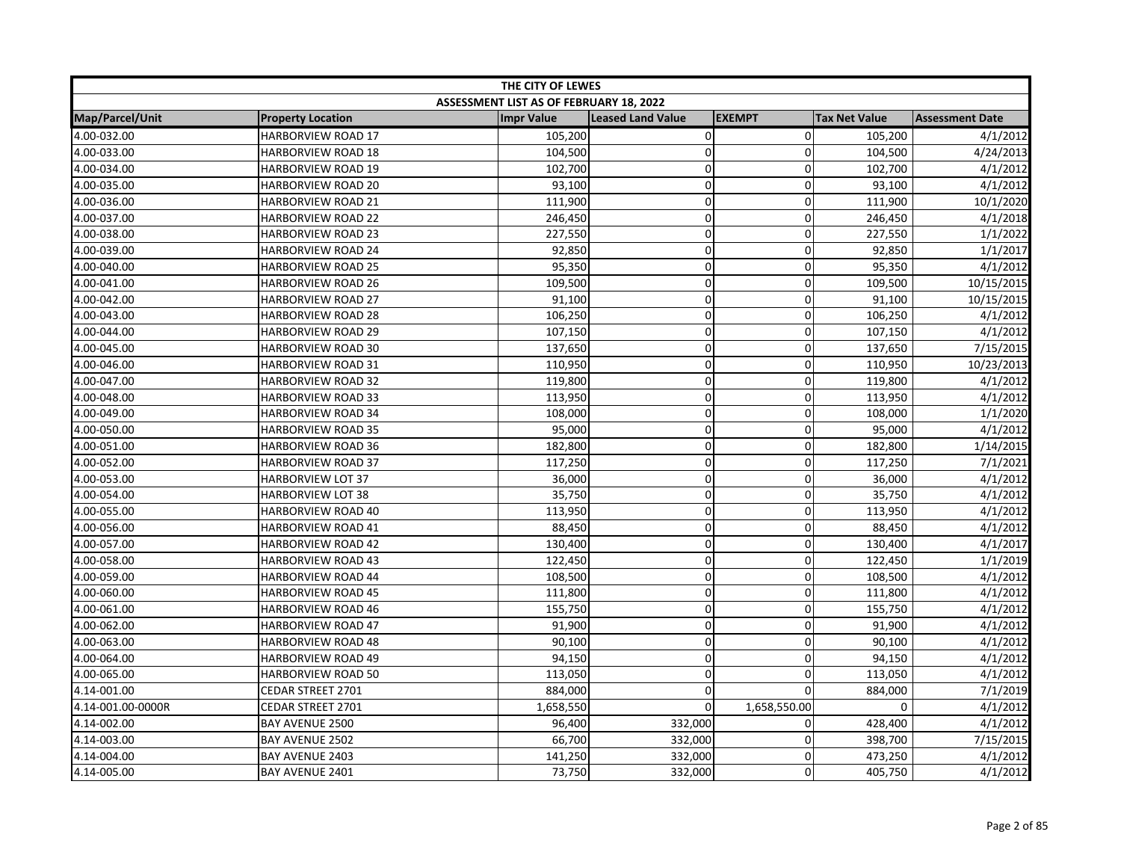| THE CITY OF LEWES      |                           |                                         |                   |               |                      |                        |
|------------------------|---------------------------|-----------------------------------------|-------------------|---------------|----------------------|------------------------|
|                        |                           | ASSESSMENT LIST AS OF FEBRUARY 18, 2022 |                   |               |                      |                        |
| <b>Map/Parcel/Unit</b> | <b>Property Location</b>  | <b>Impr Value</b>                       | Leased Land Value | <b>EXEMPT</b> | <b>Tax Net Value</b> | <b>Assessment Date</b> |
| 4.00-032.00            | <b>HARBORVIEW ROAD 17</b> | 105,200                                 | $\pmb{0}$         | $\mathbf 0$   | 105,200              | 4/1/2012               |
| 4.00-033.00            | HARBORVIEW ROAD 18        | 104,500                                 | $\mathbf 0$       | $\Omega$      | 104,500              | 4/24/2013              |
| 4.00-034.00            | <b>HARBORVIEW ROAD 19</b> | 102,700                                 | $\mathbf 0$       | $\Omega$      | 102,700              | 4/1/2012               |
| 4.00-035.00            | HARBORVIEW ROAD 20        | 93,100                                  | $\mathbf 0$       | 0             | 93,100               | 4/1/2012               |
| 4.00-036.00            | <b>HARBORVIEW ROAD 21</b> | 111,900                                 | $\mathbf 0$       | 0             | 111,900              | 10/1/2020              |
| 4.00-037.00            | HARBORVIEW ROAD 22        | 246,450                                 | $\mathbf 0$       | $\mathbf 0$   | 246,450              | 4/1/2018               |
| 4.00-038.00            | <b>HARBORVIEW ROAD 23</b> | 227,550                                 | $\mathbf 0$       | 0             | 227,550              | 1/1/2022               |
| 4.00-039.00            | <b>HARBORVIEW ROAD 24</b> | 92,850                                  | $\mathbf 0$       | $\Omega$      | 92,850               | 1/1/2017               |
| 4.00-040.00            | HARBORVIEW ROAD 25        | 95,350                                  | $\mathbf 0$       | 0             | 95,350               | 4/1/2012               |
| 4.00-041.00            | <b>HARBORVIEW ROAD 26</b> | 109,500                                 | $\mathbf 0$       | $\mathbf 0$   | 109,500              | 10/15/2015             |
| 4.00-042.00            | HARBORVIEW ROAD 27        | 91,100                                  | $\mathbf 0$       | $\Omega$      | 91,100               | 10/15/2015             |
| 4.00-043.00            | <b>HARBORVIEW ROAD 28</b> | 106,250                                 | $\mathbf 0$       | $\mathbf 0$   | 106,250              | 4/1/2012               |
| 4.00-044.00            | <b>HARBORVIEW ROAD 29</b> | 107,150                                 | 0                 | $\Omega$      | 107,150              | 4/1/2012               |
| 4.00-045.00            | HARBORVIEW ROAD 30        | 137,650                                 | $\mathbf 0$       | 0             | 137,650              | 7/15/2015              |
| 4.00-046.00            | <b>HARBORVIEW ROAD 31</b> | 110,950                                 | $\mathbf 0$       | 0             | 110,950              | 10/23/2013             |
| 4.00-047.00            | HARBORVIEW ROAD 32        | 119,800                                 | $\mathbf 0$       | 0             | 119,800              | 4/1/2012               |
| 4.00-048.00            | <b>HARBORVIEW ROAD 33</b> | 113,950                                 | $\mathbf 0$       | $\mathbf 0$   | 113,950              | 4/1/2012               |
| 4.00-049.00            | <b>HARBORVIEW ROAD 34</b> | 108,000                                 | $\mathbf 0$       | $\mathbf 0$   | 108,000              | 1/1/2020               |
| 4.00-050.00            | <b>HARBORVIEW ROAD 35</b> | 95,000                                  | $\pmb{0}$         | 0             | 95,000               | 4/1/2012               |
| 4.00-051.00            | HARBORVIEW ROAD 36        | 182,800                                 | $\mathbf 0$       | 0             | 182,800              | 1/14/2015              |
| 4.00-052.00            | HARBORVIEW ROAD 37        | 117,250                                 | $\mathbf 0$       | $\mathbf 0$   | 117,250              | 7/1/2021               |
| 4.00-053.00            | <b>HARBORVIEW LOT 37</b>  | 36,000                                  | $\mathbf 0$       | $\Omega$      | 36,000               | 4/1/2012               |
| 4.00-054.00            | HARBORVIEW LOT 38         | 35,750                                  | $\pmb{0}$         | 0             | 35,750               | 4/1/2012               |
| 4.00-055.00            | HARBORVIEW ROAD 40        | 113,950                                 | $\mathbf 0$       | $\mathbf 0$   | 113,950              | 4/1/2012               |
| 4.00-056.00            | HARBORVIEW ROAD 41        | 88,450                                  | $\mathbf 0$       | 0             | 88,450               | 4/1/2012               |
| 4.00-057.00            | <b>HARBORVIEW ROAD 42</b> | 130,400                                 | $\mathbf 0$       | 0             | 130,400              | 4/1/2017               |
| 4.00-058.00            | HARBORVIEW ROAD 43        | 122,450                                 | $\mathbf 0$       | $\mathbf{0}$  | 122,450              | 1/1/2019               |
| 4.00-059.00            | <b>HARBORVIEW ROAD 44</b> | 108,500                                 | $\mathbf 0$       | $\mathbf 0$   | 108,500              | 4/1/2012               |
| 4.00-060.00            | <b>HARBORVIEW ROAD 45</b> | 111,800                                 | $\mathbf 0$       | $\Omega$      | 111,800              | 4/1/2012               |
| 4.00-061.00            | <b>HARBORVIEW ROAD 46</b> | 155,750                                 | $\mathbf 0$       | $\Omega$      | 155,750              | 4/1/2012               |
| 4.00-062.00            | <b>HARBORVIEW ROAD 47</b> | 91,900                                  | $\overline{0}$    | $\mathbf 0$   | 91,900               | 4/1/2012               |
| 4.00-063.00            | <b>HARBORVIEW ROAD 48</b> | 90,100                                  | $\mathbf 0$       | 0             | 90,100               | 4/1/2012               |
| 4.00-064.00            | <b>HARBORVIEW ROAD 49</b> | 94,150                                  | $\pmb{0}$         | 0             | 94,150               | 4/1/2012               |
| 4.00-065.00            | HARBORVIEW ROAD 50        | 113,050                                 | 0                 | $\mathbf 0$   | 113,050              | 4/1/2012               |
| 4.14-001.00            | CEDAR STREET 2701         | 884,000                                 | $\pmb{0}$         | $\Omega$      | 884,000              | 7/1/2019               |
| 4.14-001.00-0000R      | CEDAR STREET 2701         | 1,658,550                               | $\Omega$          | 1,658,550.00  | $\Omega$             | 4/1/2012               |
| 4.14-002.00            | BAY AVENUE 2500           | 96,400                                  | 332,000           | 0             | 428,400              | 4/1/2012               |
| 4.14-003.00            | BAY AVENUE 2502           | 66,700                                  | 332,000           | 0             | 398,700              | 7/15/2015              |
| 4.14-004.00            | BAY AVENUE 2403           | 141,250                                 | 332,000           | 0             | 473,250              | 4/1/2012               |
| 4.14-005.00            | <b>BAY AVENUE 2401</b>    | 73,750                                  | 332,000           | 0             | 405,750              | 4/1/2012               |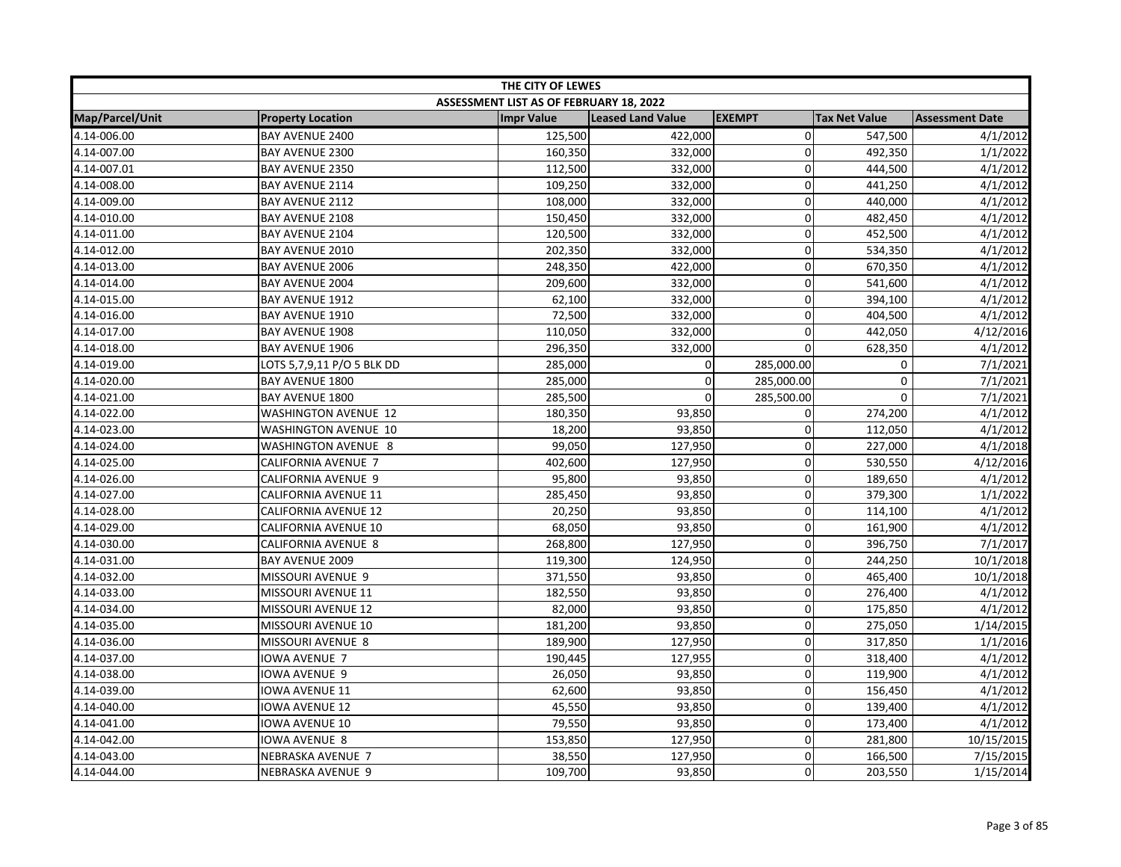| THE CITY OF LEWES |                             |                                         |                          |                |                      |                        |
|-------------------|-----------------------------|-----------------------------------------|--------------------------|----------------|----------------------|------------------------|
|                   |                             | ASSESSMENT LIST AS OF FEBRUARY 18, 2022 |                          |                |                      |                        |
| Map/Parcel/Unit   | <b>Property Location</b>    | <b>Impr Value</b>                       | <b>Leased Land Value</b> | <b>EXEMPT</b>  | <b>Tax Net Value</b> | <b>Assessment Date</b> |
| 4.14-006.00       | <b>BAY AVENUE 2400</b>      | 125,500                                 | 422,000                  | $\overline{0}$ | 547,500              | 4/1/2012               |
| 4.14-007.00       | <b>BAY AVENUE 2300</b>      | 160,350                                 | 332,000                  | 0              | 492,350              | 1/1/2022               |
| 4.14-007.01       | BAY AVENUE 2350             | 112,500                                 | 332,000                  | $\overline{0}$ | 444,500              | 4/1/2012               |
| 4.14-008.00       | BAY AVENUE 2114             | 109,250                                 | 332,000                  | $\Omega$       | 441,250              | 4/1/2012               |
| 4.14-009.00       | BAY AVENUE 2112             | 108,000                                 | 332,000                  | $\Omega$       | 440,000              | 4/1/2012               |
| 4.14-010.00       | BAY AVENUE 2108             | 150,450                                 | 332,000                  | 0              | 482,450              | 4/1/2012               |
| 4.14-011.00       | BAY AVENUE 2104             | 120,500                                 | 332,000                  | 0              | 452,500              | 4/1/2012               |
| 4.14-012.00       | BAY AVENUE 2010             | 202,350                                 | 332,000                  | 0              | 534,350              | 4/1/2012               |
| 4.14-013.00       | <b>BAY AVENUE 2006</b>      | 248,350                                 | 422,000                  | 0              | 670,350              | 4/1/2012               |
| 4.14-014.00       | BAY AVENUE 2004             | 209,600                                 | 332,000                  | $\overline{0}$ | 541,600              | 4/1/2012               |
| 4.14-015.00       | BAY AVENUE 1912             | 62,100                                  | 332,000                  | 0              | 394,100              | 4/1/2012               |
| 4.14-016.00       | <b>BAY AVENUE 1910</b>      | 72,500                                  | 332,000                  | 0              | 404,500              | 4/1/2012               |
| 4.14-017.00       | <b>BAY AVENUE 1908</b>      | 110,050                                 | 332,000                  | 0              | 442,050              | 4/12/2016              |
| 4.14-018.00       | BAY AVENUE 1906             | 296,350                                 | 332,000                  | $\Omega$       | 628,350              | 4/1/2012               |
| 4.14-019.00       | LOTS 5,7,9,11 P/O 5 BLK DD  | 285,000                                 | 0                        | 285,000.00     | 0                    | 7/1/2021               |
| 4.14-020.00       | BAY AVENUE 1800             | 285,000                                 | $\mathbf 0$              | 285,000.00     | $\mathbf 0$          | 7/1/2021               |
| 4.14-021.00       | BAY AVENUE 1800             | 285,500                                 | $\mathbf 0$              | 285,500.00     | 0                    | 7/1/2021               |
| 4.14-022.00       | <b>WASHINGTON AVENUE 12</b> | 180,350                                 | 93,850                   | 0              | 274,200              | 4/1/2012               |
| 4.14-023.00       | WASHINGTON AVENUE 10        | 18,200                                  | 93,850                   | 0              | 112,050              | 4/1/2012               |
| 4.14-024.00       | WASHINGTON AVENUE 8         | 99,050                                  | 127,950                  | 0              | 227,000              | 4/1/2018               |
| 4.14-025.00       | CALIFORNIA AVENUE 7         | 402,600                                 | 127,950                  | $\overline{0}$ | 530,550              | 4/12/2016              |
| 4.14-026.00       | CALIFORNIA AVENUE 9         | 95,800                                  | 93,850                   | $\Omega$       | 189,650              | 4/1/2012               |
| 4.14-027.00       | CALIFORNIA AVENUE 11        | 285,450                                 | 93,850                   | $\Omega$       | 379,300              | 1/1/2022               |
| 4.14-028.00       | <b>CALIFORNIA AVENUE 12</b> | 20,250                                  | 93,850                   | 0              | 114,100              | 4/1/2012               |
| 4.14-029.00       | CALIFORNIA AVENUE 10        | 68,050                                  | 93,850                   | 0              | 161,900              | 4/1/2012               |
| 4.14-030.00       | CALIFORNIA AVENUE 8         | 268,800                                 | 127,950                  | 0              | 396,750              | 7/1/2017               |
| 4.14-031.00       | <b>BAY AVENUE 2009</b>      | 119,300                                 | 124,950                  | 0              | 244,250              | 10/1/2018              |
| 4.14-032.00       | MISSOURI AVENUE 9           | 371,550                                 | 93,850                   | $\mathbf 0$    | 465,400              | 10/1/2018              |
| 4.14-033.00       | MISSOURI AVENUE 11          | 182,550                                 | 93,850                   | 0              | 276,400              | 4/1/2012               |
| 4.14-034.00       | MISSOURI AVENUE 12          | 82,000                                  | 93,850                   | 0              | 175,850              | 4/1/2012               |
| 4.14-035.00       | MISSOURI AVENUE 10          | 181,200                                 | 93,850                   | 0              | 275,050              | 1/14/2015              |
| 4.14-036.00       | MISSOURI AVENUE 8           | 189,900                                 | 127,950                  | $\overline{0}$ | 317,850              | 1/1/2016               |
| 4.14-037.00       | <b>IOWA AVENUE 7</b>        | 190,445                                 | 127,955                  | 0              | 318,400              | 4/1/2012               |
| 4.14-038.00       | <b>IOWA AVENUE 9</b>        | 26,050                                  | 93,850                   | 0              | 119,900              | 4/1/2012               |
| 4.14-039.00       | <b>IOWA AVENUE 11</b>       | 62,600                                  | 93,850                   | $\overline{0}$ | 156,450              | 4/1/2012               |
| 4.14-040.00       | <b>IOWA AVENUE 12</b>       | 45,550                                  | 93,850                   | 0              | 139,400              | 4/1/2012               |
| 4.14-041.00       | <b>IOWA AVENUE 10</b>       | 79,550                                  | 93,850                   | $\overline{0}$ | 173,400              | 4/1/2012               |
| 4.14-042.00       | <b>IOWA AVENUE 8</b>        | 153,850                                 | 127,950                  | 0              | 281,800              | 10/15/2015             |
| 4.14-043.00       | NEBRASKA AVENUE 7           | 38,550                                  | 127,950                  | $\overline{0}$ | 166,500              | 7/15/2015              |
| 4.14-044.00       | NEBRASKA AVENUE 9           | 109,700                                 | 93,850                   | $\Omega$       | 203,550              | 1/15/2014              |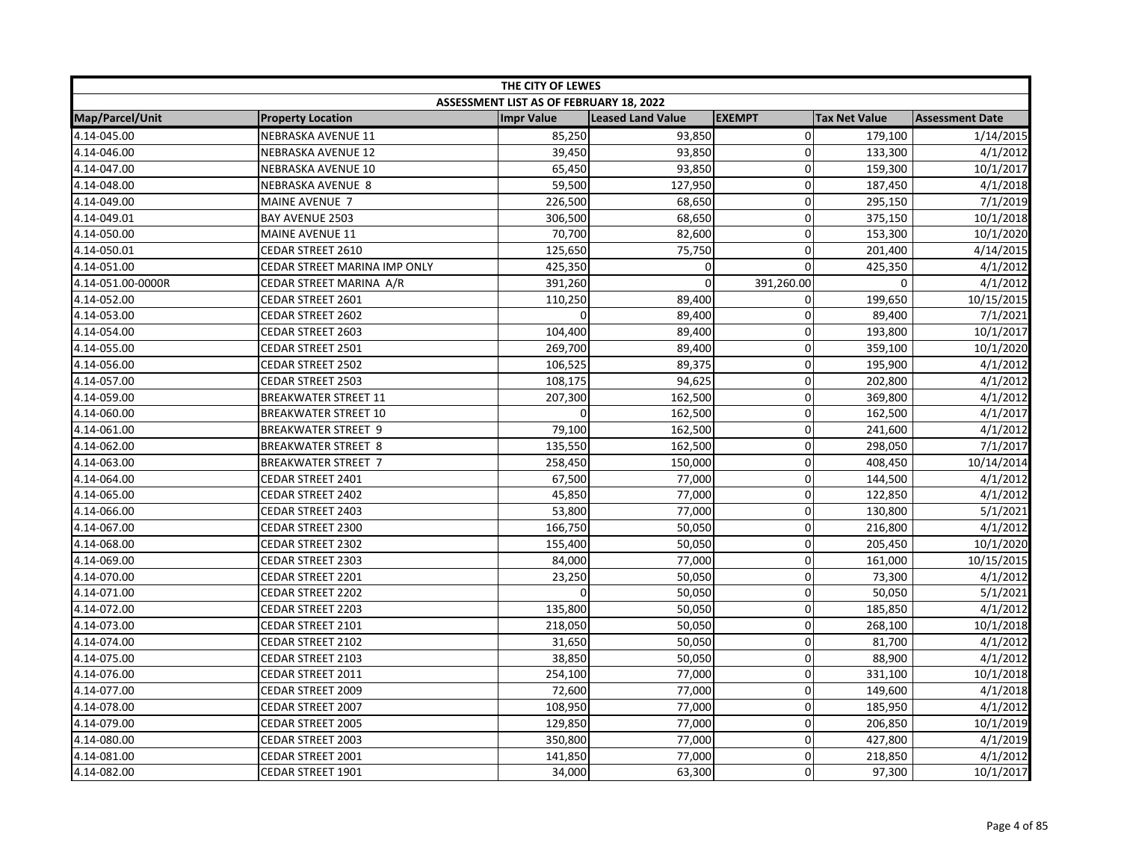| THE CITY OF LEWES |                              |                                         |                          |                |                      |                        |
|-------------------|------------------------------|-----------------------------------------|--------------------------|----------------|----------------------|------------------------|
|                   |                              | ASSESSMENT LIST AS OF FEBRUARY 18, 2022 |                          |                |                      |                        |
| Map/Parcel/Unit   | <b>Property Location</b>     | <b>Impr Value</b>                       | <b>Leased Land Value</b> | <b>EXEMPT</b>  | <b>Tax Net Value</b> | <b>Assessment Date</b> |
| 4.14-045.00       | <b>NEBRASKA AVENUE 11</b>    | 85,250                                  | 93,850                   | $\overline{0}$ | 179,100              | 1/14/2015              |
| 4.14-046.00       | <b>NEBRASKA AVENUE 12</b>    | 39,450                                  | 93,850                   | $\mathbf 0$    | 133,300              | 4/1/2012               |
| 4.14-047.00       | NEBRASKA AVENUE 10           | 65,450                                  | 93,850                   | $\Omega$       | 159,300              | 10/1/2017              |
| 4.14-048.00       | <b>NEBRASKA AVENUE 8</b>     | 59,500                                  | 127,950                  | 0              | 187,450              | 4/1/2018               |
| 4.14-049.00       | MAINE AVENUE 7               | 226,500                                 | 68,650                   | $\mathbf 0$    | 295,150              | 7/1/2019               |
| 4.14-049.01       | BAY AVENUE 2503              | 306,500                                 | 68,650                   | $\mathbf 0$    | 375,150              | 10/1/2018              |
| 4.14-050.00       | <b>MAINE AVENUE 11</b>       | 70,700                                  | 82,600                   | $\mathbf 0$    | 153,300              | 10/1/2020              |
| 4.14-050.01       | CEDAR STREET 2610            | 125,650                                 | 75,750                   | 0              | 201,400              | 4/14/2015              |
| 4.14-051.00       | CEDAR STREET MARINA IMP ONLY | 425,350                                 | 0                        | $\mathbf 0$    | 425,350              | 4/1/2012               |
| 4.14-051.00-0000R | CEDAR STREET MARINA A/R      | 391,260                                 | 0                        | 391,260.00     | 0                    | 4/1/2012               |
| 4.14-052.00       | CEDAR STREET 2601            | 110,250                                 | 89,400                   | 0              | 199,650              | 10/15/2015             |
| 4.14-053.00       | CEDAR STREET 2602            | $\Omega$                                | 89,400                   | $\Omega$       | 89,400               | 7/1/2021               |
| 4.14-054.00       | CEDAR STREET 2603            | 104,400                                 | 89,400                   | $\mathbf 0$    | 193,800              | 10/1/2017              |
| 4.14-055.00       | CEDAR STREET 2501            | 269,700                                 | 89,400                   | $\mathbf 0$    | 359,100              | 10/1/2020              |
| 4.14-056.00       | <b>CEDAR STREET 2502</b>     | 106,525                                 | 89,375                   | 0              | 195,900              | 4/1/2012               |
| 4.14-057.00       | <b>CEDAR STREET 2503</b>     | 108,175                                 | 94,625                   | $\mathbf 0$    | 202,800              | 4/1/2012               |
| 4.14-059.00       | <b>BREAKWATER STREET 11</b>  | 207,300                                 | 162,500                  | $\mathbf 0$    | 369,800              | 4/1/2012               |
| 4.14-060.00       | <b>BREAKWATER STREET 10</b>  |                                         | 162,500                  | $\mathbf 0$    | 162,500              | 4/1/2017               |
| 4.14-061.00       | <b>BREAKWATER STREET 9</b>   | 79,100                                  | 162,500                  | $\mathbf 0$    | 241,600              | 4/1/2012               |
| 4.14-062.00       | <b>BREAKWATER STREET 8</b>   | 135,550                                 | 162,500                  | $\mathbf 0$    | 298,050              | 7/1/2017               |
| 4.14-063.00       | <b>BREAKWATER STREET 7</b>   | 258,450                                 | 150,000                  | $\mathbf 0$    | 408,450              | 10/14/2014             |
| 4.14-064.00       | CEDAR STREET 2401            | 67,500                                  | 77,000                   | $\mathbf{0}$   | 144,500              | 4/1/2012               |
| 4.14-065.00       | CEDAR STREET 2402            | 45,850                                  | 77,000                   | $\mathbf 0$    | 122,850              | 4/1/2012               |
| 4.14-066.00       | CEDAR STREET 2403            | 53,800                                  | 77,000                   | $\pmb{0}$      | 130,800              | 5/1/2021               |
| 4.14-067.00       | CEDAR STREET 2300            | 166,750                                 | 50,050                   | $\mathbf 0$    | 216,800              | 4/1/2012               |
| 4.14-068.00       | <b>CEDAR STREET 2302</b>     | 155,400                                 | 50,050                   | $\mathbf 0$    | 205,450              | 10/1/2020              |
| 4.14-069.00       | CEDAR STREET 2303            | 84,000                                  | 77,000                   | $\mathbf 0$    | 161,000              | 10/15/2015             |
| 4.14-070.00       | CEDAR STREET 2201            | 23,250                                  | 50,050                   | $\mathbf 0$    | 73,300               | 4/1/2012               |
| 4.14-071.00       | <b>CEDAR STREET 2202</b>     |                                         | 50,050                   | 0              | 50,050               | 5/1/2021               |
| 4.14-072.00       | <b>CEDAR STREET 2203</b>     | 135,800                                 | 50,050                   | $\mathbf 0$    | 185,850              | 4/1/2012               |
| 4.14-073.00       | CEDAR STREET 2101            | 218,050                                 | 50,050                   | $\mathbf 0$    | 268,100              | 10/1/2018              |
| 4.14-074.00       | CEDAR STREET 2102            | 31,650                                  | 50,050                   | $\mathbf 0$    | 81,700               | 4/1/2012               |
| 4.14-075.00       | CEDAR STREET 2103            | 38,850                                  | 50,050                   | $\mathbf 0$    | 88,900               | 4/1/2012               |
| 4.14-076.00       | CEDAR STREET 2011            | 254,100                                 | 77,000                   | $\mathbf 0$    | 331,100              | 10/1/2018              |
| 4.14-077.00       | CEDAR STREET 2009            | 72,600                                  | 77,000                   | $\mathbf 0$    | 149,600              | 4/1/2018               |
| 4.14-078.00       | CEDAR STREET 2007            | 108,950                                 | 77,000                   | 0              | 185,950              | 4/1/2012               |
| 4.14-079.00       | <b>CEDAR STREET 2005</b>     | 129,850                                 | 77,000                   | $\mathbf 0$    | 206,850              | 10/1/2019              |
| 4.14-080.00       | CEDAR STREET 2003            | 350,800                                 | 77,000                   | $\mathbf 0$    | 427,800              | 4/1/2019               |
| 4.14-081.00       | CEDAR STREET 2001            | 141,850                                 | 77,000                   | $\mathbf 0$    | 218,850              | 4/1/2012               |
| 4.14-082.00       | CEDAR STREET 1901            | 34,000                                  | 63,300                   | $\mathbf 0$    | 97,300               | 10/1/2017              |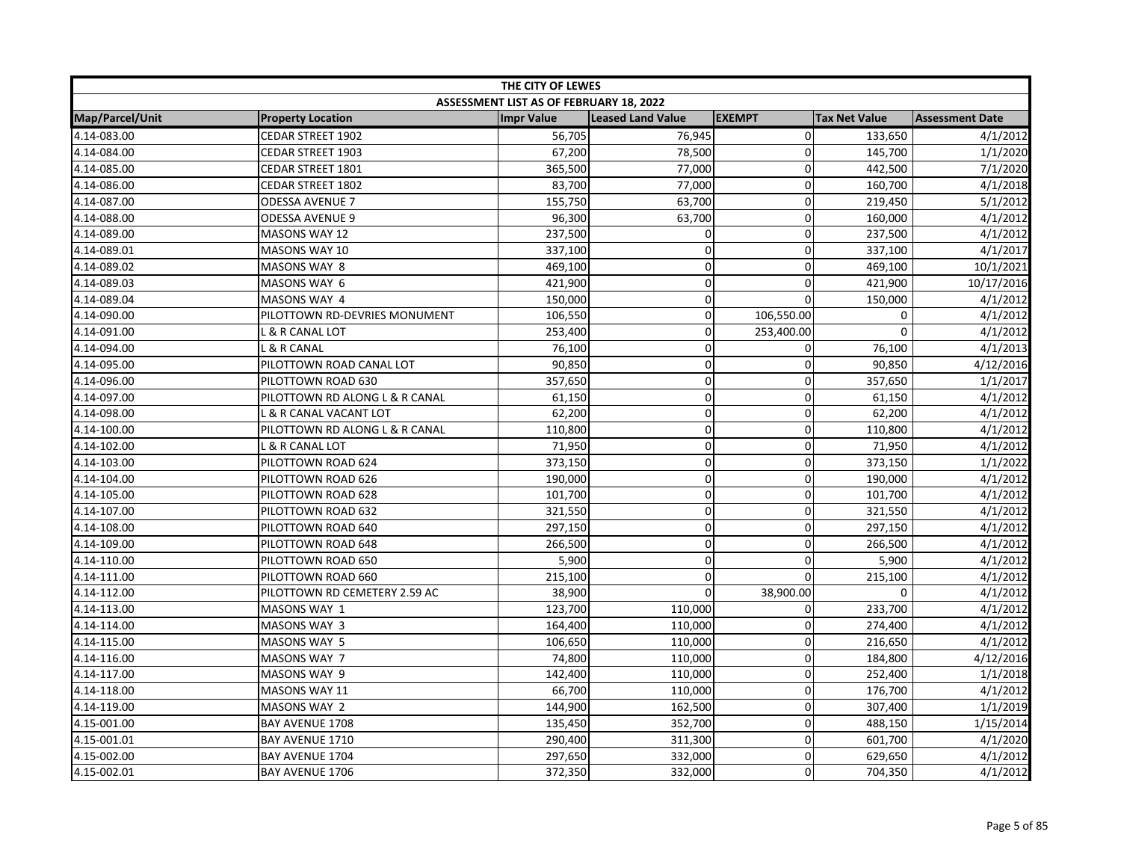| THE CITY OF LEWES |                                |                                         |                          |                |                      |                        |  |
|-------------------|--------------------------------|-----------------------------------------|--------------------------|----------------|----------------------|------------------------|--|
|                   |                                | ASSESSMENT LIST AS OF FEBRUARY 18, 2022 |                          |                |                      |                        |  |
| Map/Parcel/Unit   | <b>Property Location</b>       | <b>Impr Value</b>                       | <b>Leased Land Value</b> | <b>EXEMPT</b>  | <b>Tax Net Value</b> | <b>Assessment Date</b> |  |
| 4.14-083.00       | <b>CEDAR STREET 1902</b>       | 56,705                                  | 76,945                   | $\overline{0}$ | 133,650              | 4/1/2012               |  |
| 4.14-084.00       | <b>CEDAR STREET 1903</b>       | 67,200                                  | 78,500                   | 0              | 145,700              | 1/1/2020               |  |
| 4.14-085.00       | CEDAR STREET 1801              | 365,500                                 | 77,000                   | $\Omega$       | 442,500              | 7/1/2020               |  |
| 4.14-086.00       | CEDAR STREET 1802              | 83,700                                  | 77,000                   | 0              | 160,700              | 4/1/2018               |  |
| 4.14-087.00       | <b>ODESSA AVENUE 7</b>         | 155,750                                 | 63,700                   | $\mathbf{0}$   | 219,450              | 5/1/2012               |  |
| 4.14-088.00       | <b>ODESSA AVENUE 9</b>         | 96,300                                  | 63,700                   | $\mathbf 0$    | 160,000              | 4/1/2012               |  |
| 4.14-089.00       | <b>MASONS WAY 12</b>           | 237,500                                 | 0                        | $\mathbf 0$    | 237,500              | 4/1/2012               |  |
| 4.14-089.01       | MASONS WAY 10                  | 337,100                                 | 0                        | 0              | 337,100              | 4/1/2017               |  |
| 4.14-089.02       | <b>MASONS WAY 8</b>            | 469,100                                 | 0                        | 0              | 469,100              | 10/1/2021              |  |
| 4.14-089.03       | MASONS WAY 6                   | 421,900                                 | 0                        | $\mathbf 0$    | 421,900              | 10/17/2016             |  |
| 4.14-089.04       | MASONS WAY 4                   | 150,000                                 | $\mathbf 0$              | $\Omega$       | 150,000              | 4/1/2012               |  |
| 4.14-090.00       | PILOTTOWN RD-DEVRIES MONUMENT  | 106,550                                 | 0                        | 106,550.00     | 0                    | 4/1/2012               |  |
| 4.14-091.00       | L & R CANAL LOT                | 253,400                                 | 0                        | 253,400.00     | 0                    | 4/1/2012               |  |
| 4.14-094.00       | L & R CANAL                    | 76,100                                  | 0                        | 0              | 76,100               | 4/1/2013               |  |
| 4.14-095.00       | PILOTTOWN ROAD CANAL LOT       | 90,850                                  | 0                        | 0              | 90,850               | 4/12/2016              |  |
| 4.14-096.00       | PILOTTOWN ROAD 630             | 357,650                                 | 0                        | $\mathbf 0$    | 357,650              | 1/1/2017               |  |
| 4.14-097.00       | PILOTTOWN RD ALONG L & R CANAL | 61,150                                  | 0                        | $\mathbf 0$    | 61,150               | 4/1/2012               |  |
| 4.14-098.00       | L & R CANAL VACANT LOT         | 62,200                                  | 0                        | $\mathbf 0$    | 62,200               | 4/1/2012               |  |
| 4.14-100.00       | PILOTTOWN RD ALONG L & R CANAL | 110,800                                 | 0                        | $\mathbf 0$    | 110,800              | 4/1/2012               |  |
| 4.14-102.00       | L & R CANAL LOT                | 71,950                                  | 0                        | $\mathbf{0}$   | 71,950               | 4/1/2012               |  |
| 4.14-103.00       | PILOTTOWN ROAD 624             | 373,150                                 | 0                        | $\mathbf 0$    | 373,150              | 1/1/2022               |  |
| 4.14-104.00       | PILOTTOWN ROAD 626             | 190,000                                 | 0                        | $\mathbf{0}$   | 190,000              | 4/1/2012               |  |
| 4.14-105.00       | PILOTTOWN ROAD 628             | 101,700                                 | 0                        | 0              | 101,700              | 4/1/2012               |  |
| 4.14-107.00       | PILOTTOWN ROAD 632             | 321,550                                 | 0                        | $\mathbf 0$    | 321,550              | 4/1/2012               |  |
| 4.14-108.00       | PILOTTOWN ROAD 640             | 297,150                                 | 0                        | $\mathbf 0$    | 297,150              | 4/1/2012               |  |
| 4.14-109.00       | PILOTTOWN ROAD 648             | 266,500                                 | 0                        | $\mathbf 0$    | 266,500              | 4/1/2012               |  |
| 4.14-110.00       | PILOTTOWN ROAD 650             | 5,900                                   | $\mathbf 0$              | $\mathbf{0}$   | 5,900                | 4/1/2012               |  |
| 4.14-111.00       | PILOTTOWN ROAD 660             | 215,100                                 | 0                        | $\mathbf 0$    | 215,100              | 4/1/2012               |  |
| 4.14-112.00       | PILOTTOWN RD CEMETERY 2.59 AC  | 38,900                                  | $\Omega$                 | 38,900.00      | $\Omega$             | 4/1/2012               |  |
| 4.14-113.00       | MASONS WAY 1                   | 123,700                                 | 110,000                  | $\mathbf{0}$   | 233,700              | 4/1/2012               |  |
| 4.14-114.00       | MASONS WAY 3                   | 164,400                                 | 110,000                  | $\mathbf 0$    | 274,400              | 4/1/2012               |  |
| 4.14-115.00       | MASONS WAY 5                   | 106,650                                 | 110,000                  | $\mathbf 0$    | 216,650              | 4/1/2012               |  |
| 4.14-116.00       | MASONS WAY 7                   | 74,800                                  | 110,000                  | $\mathbf 0$    | 184,800              | 4/12/2016              |  |
| 4.14-117.00       | MASONS WAY 9                   | 142,400                                 | 110,000                  | 0              | 252,400              | 1/1/2018               |  |
| 4.14-118.00       | <b>MASONS WAY 11</b>           | 66,700                                  | 110,000                  | $\mathbf 0$    | 176,700              | 4/1/2012               |  |
| 4.14-119.00       | MASONS WAY 2                   | 144,900                                 | 162,500                  | 0              | 307,400              | 1/1/2019               |  |
| 4.15-001.00       | BAY AVENUE 1708                | 135,450                                 | 352,700                  | $\mathbf 0$    | 488,150              | 1/15/2014              |  |
| 4.15-001.01       | BAY AVENUE 1710                | 290,400                                 | 311,300                  | $\mathbf 0$    | 601,700              | 4/1/2020               |  |
| 4.15-002.00       | BAY AVENUE 1704                | 297,650                                 | 332,000                  | $\mathbf 0$    | 629,650              | 4/1/2012               |  |
| 4.15-002.01       | <b>BAY AVENUE 1706</b>         | 372,350                                 | 332,000                  | 0              | 704,350              | 4/1/2012               |  |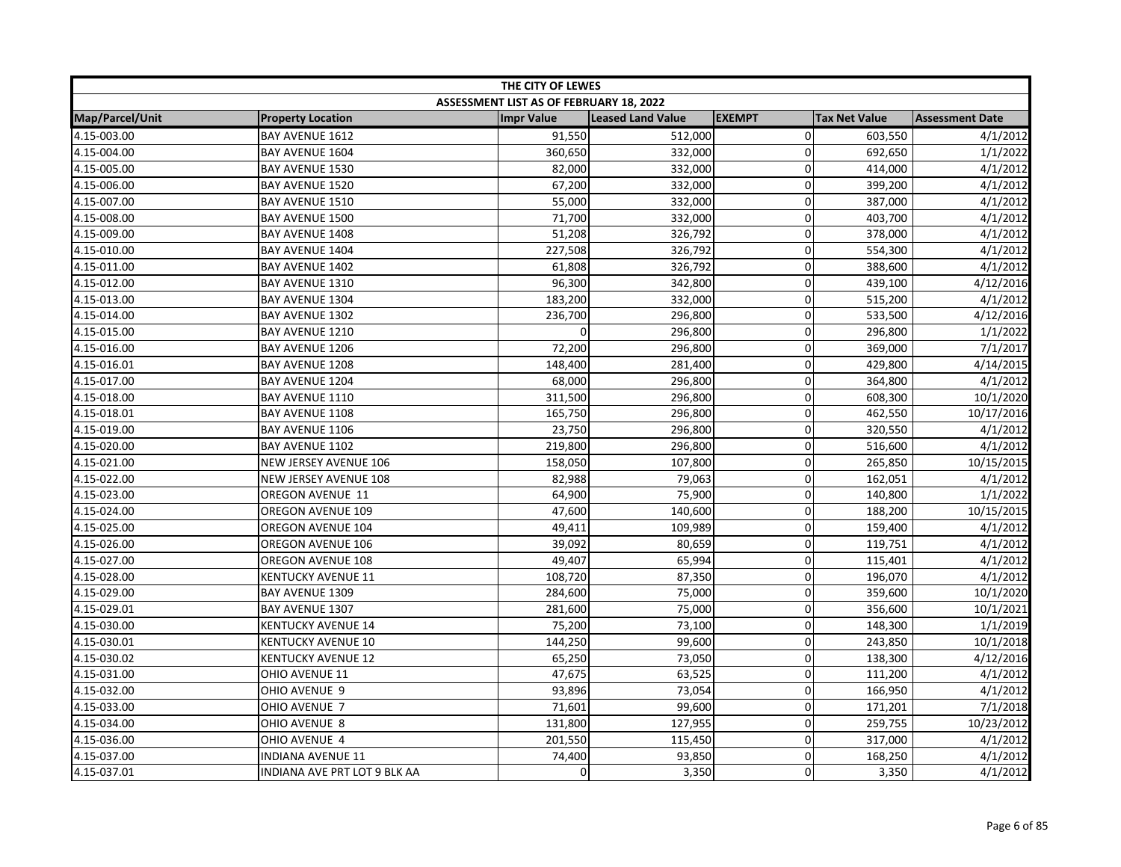|                 |                              | THE CITY OF LEWES                       |                          |               |                      |                        |
|-----------------|------------------------------|-----------------------------------------|--------------------------|---------------|----------------------|------------------------|
|                 |                              | ASSESSMENT LIST AS OF FEBRUARY 18, 2022 |                          |               |                      |                        |
| Map/Parcel/Unit | <b>Property Location</b>     | <b>Impr Value</b>                       | <b>Leased Land Value</b> | <b>EXEMPT</b> | <b>Tax Net Value</b> | <b>Assessment Date</b> |
| 4.15-003.00     | BAY AVENUE 1612              | 91,550                                  | 512,000                  | $\mathbf 0$   | 603,550              | 4/1/2012               |
| 4.15-004.00     | BAY AVENUE 1604              | 360,650                                 | 332,000                  | 0             | 692,650              | 1/1/2022               |
| 4.15-005.00     | BAY AVENUE 1530              | 82,000                                  | 332,000                  | $\mathbf 0$   | 414,000              | 4/1/2012               |
| 4.15-006.00     | BAY AVENUE 1520              | 67,200                                  | 332,000                  | $\mathbf 0$   | 399,200              | 4/1/2012               |
| 4.15-007.00     | <b>BAY AVENUE 1510</b>       | 55,000                                  | 332,000                  | 0             | 387,000              | 4/1/2012               |
| 4.15-008.00     | <b>BAY AVENUE 1500</b>       | 71,700                                  | 332,000                  | 0             | 403,700              | 4/1/2012               |
| 4.15-009.00     | BAY AVENUE 1408              | 51,208                                  | 326,792                  | $\mathbf 0$   | 378,000              | 4/1/2012               |
| 4.15-010.00     | BAY AVENUE 1404              | 227,508                                 | 326,792                  | $\Omega$      | 554,300              | 4/1/2012               |
| 4.15-011.00     | BAY AVENUE 1402              | 61,808                                  | 326,792                  | 0             | 388,600              | 4/1/2012               |
| 4.15-012.00     | BAY AVENUE 1310              | 96,300                                  | 342,800                  | $\pmb{0}$     | 439,100              | 4/12/2016              |
| 4.15-013.00     | BAY AVENUE 1304              | 183,200                                 | 332,000                  | 0             | 515,200              | 4/1/2012               |
| 4.15-014.00     | <b>BAY AVENUE 1302</b>       | 236,700                                 | 296,800                  | 0             | 533,500              | 4/12/2016              |
| 4.15-015.00     | BAY AVENUE 1210              |                                         | 296,800                  | $\mathbf 0$   | 296,800              | 1/1/2022               |
| 4.15-016.00     | BAY AVENUE 1206              | 72,200                                  | 296,800                  | $\mathbf 0$   | 369,000              | 7/1/2017               |
| 4.15-016.01     | <b>BAY AVENUE 1208</b>       | 148,400                                 | 281,400                  | 0             | 429,800              | 4/14/2015              |
| 4.15-017.00     | <b>BAY AVENUE 1204</b>       | 68,000                                  | 296,800                  | 0             | 364,800              | 4/1/2012               |
| 4.15-018.00     | BAY AVENUE 1110              | 311,500                                 | 296,800                  | 0             | 608,300              | 10/1/2020              |
| 4.15-018.01     | <b>BAY AVENUE 1108</b>       | 165,750                                 | 296,800                  | 0             | 462,550              | 10/17/2016             |
| 4.15-019.00     | BAY AVENUE 1106              | 23,750                                  | 296,800                  | $\Omega$      | 320,550              | 4/1/2012               |
| 4.15-020.00     | BAY AVENUE 1102              | 219,800                                 | 296,800                  | 0             | 516,600              | 4/1/2012               |
| 4.15-021.00     | NEW JERSEY AVENUE 106        | 158,050                                 | 107,800                  | $\mathbf 0$   | 265,850              | 10/15/2015             |
| 4.15-022.00     | NEW JERSEY AVENUE 108        | 82,988                                  | 79,063                   | $\mathbf 0$   | 162,051              | 4/1/2012               |
| 4.15-023.00     | OREGON AVENUE 11             | 64,900                                  | 75,900                   | 0             | 140,800              | 1/1/2022               |
| 4.15-024.00     | OREGON AVENUE 109            | 47,600                                  | 140,600                  | $\Omega$      | 188,200              | 10/15/2015             |
| 4.15-025.00     | OREGON AVENUE 104            | 49,411                                  | 109,989                  | 0             | 159,400              | 4/1/2012               |
| 4.15-026.00     | OREGON AVENUE 106            | 39,092                                  | 80,659                   | 0             | 119,751              | 4/1/2012               |
| 4.15-027.00     | OREGON AVENUE 108            | 49,407                                  | 65,994                   | 0             | 115,401              | 4/1/2012               |
| 4.15-028.00     | KENTUCKY AVENUE 11           | 108,720                                 | 87,350                   | $\mathbf 0$   | 196,070              | 4/1/2012               |
| 4.15-029.00     | BAY AVENUE 1309              | 284,600                                 | 75,000                   | 0             | 359,600              | 10/1/2020              |
| 4.15-029.01     | BAY AVENUE 1307              | 281,600                                 | 75,000                   | $\Omega$      | 356,600              | 10/1/2021              |
| 4.15-030.00     | <b>KENTUCKY AVENUE 14</b>    | 75,200                                  | 73,100                   | 0             | 148,300              | 1/1/2019               |
| 4.15-030.01     | KENTUCKY AVENUE 10           | 144,250                                 | 99,600                   | $\mathbf 0$   | 243,850              | 10/1/2018              |
| 4.15-030.02     | <b>KENTUCKY AVENUE 12</b>    | 65,250                                  | 73,050                   | 0             | 138,300              | 4/12/2016              |
| 4.15-031.00     | OHIO AVENUE 11               | 47,675                                  | 63,525                   | 0             | 111,200              | 4/1/2012               |
| 4.15-032.00     | OHIO AVENUE 9                | 93,896                                  | 73,054                   | $\mathbf 0$   | 166,950              | 4/1/2012               |
| 4.15-033.00     | OHIO AVENUE 7                | 71,601                                  | 99,600                   | 0             | 171,201              | 7/1/2018               |
| 4.15-034.00     | OHIO AVENUE 8                | 131,800                                 | 127,955                  | 0             | 259,755              | 10/23/2012             |
| 4.15-036.00     | OHIO AVENUE 4                | 201,550                                 | 115,450                  | $\mathbf 0$   | 317,000              | 4/1/2012               |
| 4.15-037.00     | INDIANA AVENUE 11            | 74,400                                  | 93,850                   | 0             | 168,250              | 4/1/2012               |
| 4.15-037.01     | INDIANA AVE PRT LOT 9 BLK AA | $\Omega$                                | 3,350                    | $\Omega$      | 3,350                | 4/1/2012               |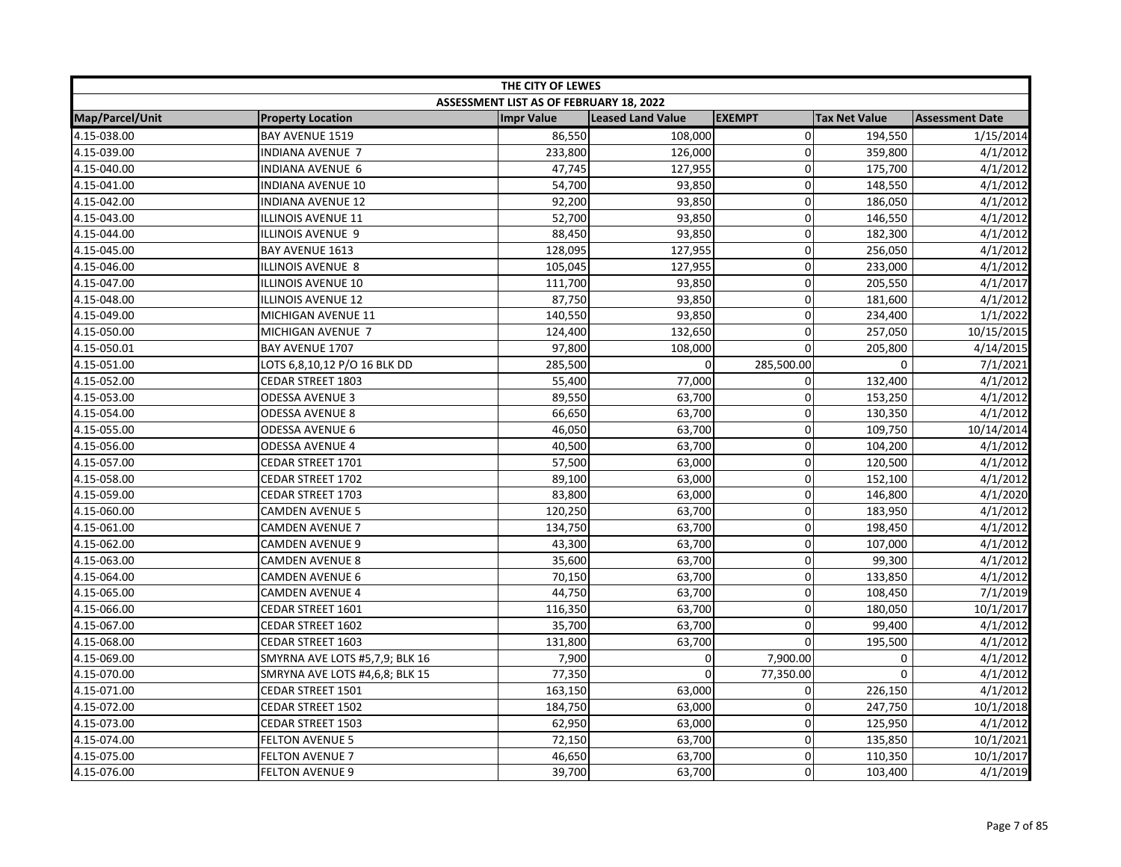|                 |                                | THE CITY OF LEWES                       |                          |               |                      |                        |
|-----------------|--------------------------------|-----------------------------------------|--------------------------|---------------|----------------------|------------------------|
|                 |                                | ASSESSMENT LIST AS OF FEBRUARY 18, 2022 |                          |               |                      |                        |
| Map/Parcel/Unit | <b>Property Location</b>       | <b>Impr Value</b>                       | <b>Leased Land Value</b> | <b>EXEMPT</b> | <b>Tax Net Value</b> | <b>Assessment Date</b> |
| 4.15-038.00     | BAY AVENUE 1519                | 86,550                                  | 108,000                  | $\mathbf 0$   | 194,550              | 1/15/2014              |
| 4.15-039.00     | INDIANA AVENUE 7               | 233,800                                 | 126,000                  | 0             | 359,800              | 4/1/2012               |
| 4.15-040.00     | INDIANA AVENUE 6               | 47,745                                  | 127,955                  | $\mathbf 0$   | 175,700              | 4/1/2012               |
| 4.15-041.00     | <b>INDIANA AVENUE 10</b>       | 54,700                                  | 93,850                   | $\mathbf 0$   | 148,550              | 4/1/2012               |
| 4.15-042.00     | <b>INDIANA AVENUE 12</b>       | 92,200                                  | 93,850                   | $\Omega$      | 186,050              | 4/1/2012               |
| 4.15-043.00     | ILLINOIS AVENUE 11             | 52,700                                  | 93,850                   | $\Omega$      | 146,550              | 4/1/2012               |
| 4.15-044.00     | ILLINOIS AVENUE 9              | 88,450                                  | 93,850                   | $\mathbf 0$   | 182,300              | 4/1/2012               |
| 4.15-045.00     | BAY AVENUE 1613                | 128,095                                 | 127,955                  | 0             | 256,050              | 4/1/2012               |
| 4.15-046.00     | ILLINOIS AVENUE 8              | 105,045                                 | 127,955                  | 0             | 233,000              | 4/1/2012               |
| 4.15-047.00     | ILLINOIS AVENUE 10             | 111,700                                 | 93,850                   | $\mathbf 0$   | 205,550              | 4/1/2017               |
| 4.15-048.00     | <b>ILLINOIS AVENUE 12</b>      | 87,750                                  | 93,850                   | $\Omega$      | 181,600              | 4/1/2012               |
| 4.15-049.00     | MICHIGAN AVENUE 11             | 140,550                                 | 93,850                   | 0             | 234,400              | 1/1/2022               |
| 4.15-050.00     | MICHIGAN AVENUE 7              | 124,400                                 | 132,650                  | 0             | 257,050              | 10/15/2015             |
| 4.15-050.01     | <b>BAY AVENUE 1707</b>         | 97,800                                  | 108,000                  | $\Omega$      | 205,800              | 4/14/2015              |
| 4.15-051.00     | LOTS 6,8,10,12 P/O 16 BLK DD   | 285,500                                 | $\Omega$                 | 285,500.00    | $\Omega$             | 7/1/2021               |
| 4.15-052.00     | CEDAR STREET 1803              | 55,400                                  | 77,000                   | 0             | 132,400              | 4/1/2012               |
| 4.15-053.00     | <b>ODESSA AVENUE 3</b>         | 89,550                                  | 63,700                   | $\mathbf 0$   | 153,250              | 4/1/2012               |
| 4.15-054.00     | <b>ODESSA AVENUE 8</b>         | 66,650                                  | 63,700                   | 0             | 130,350              | 4/1/2012               |
| 4.15-055.00     | ODESSA AVENUE 6                | 46,050                                  | 63,700                   | $\mathbf 0$   | 109,750              | 10/14/2014             |
| 4.15-056.00     | <b>ODESSA AVENUE 4</b>         | 40,500                                  | 63,700                   | $\Omega$      | 104,200              | 4/1/2012               |
| 4.15-057.00     | CEDAR STREET 1701              | 57,500                                  | 63,000                   | $\mathbf 0$   | 120,500              | 4/1/2012               |
| 4.15-058.00     | CEDAR STREET 1702              | 89,100                                  | 63,000                   | 0             | 152,100              | 4/1/2012               |
| 4.15-059.00     | <b>CEDAR STREET 1703</b>       | 83,800                                  | 63,000                   | 0             | 146,800              | 4/1/2020               |
| 4.15-060.00     | <b>CAMDEN AVENUE 5</b>         | 120,250                                 | 63,700                   | $\mathbf 0$   | 183,950              | 4/1/2012               |
| 4.15-061.00     | <b>CAMDEN AVENUE 7</b>         | 134,750                                 | 63,700                   | 0             | 198,450              | 4/1/2012               |
| 4.15-062.00     | <b>CAMDEN AVENUE 9</b>         | 43,300                                  | 63,700                   | $\mathbf 0$   | 107,000              | 4/1/2012               |
| 4.15-063.00     | <b>CAMDEN AVENUE 8</b>         | 35,600                                  | 63,700                   | $\mathbf 0$   | 99,300               | 4/1/2012               |
| 4.15-064.00     | <b>CAMDEN AVENUE 6</b>         | 70,150                                  | 63,700                   | $\mathbf 0$   | 133,850              | 4/1/2012               |
| 4.15-065.00     | <b>CAMDEN AVENUE 4</b>         | 44,750                                  | 63,700                   | $\mathbf 0$   | 108,450              | 7/1/2019               |
| 4.15-066.00     | CEDAR STREET 1601              | 116,350                                 | 63,700                   | 0             | 180,050              | 10/1/2017              |
| 4.15-067.00     | CEDAR STREET 1602              | 35,700                                  | 63,700                   | $\mathbf 0$   | 99,400               | 4/1/2012               |
| 4.15-068.00     | CEDAR STREET 1603              | 131,800                                 | 63,700                   | $\mathbf 0$   | 195,500              | 4/1/2012               |
| 4.15-069.00     | SMYRNA AVE LOTS #5,7,9; BLK 16 | 7,900                                   | 0                        | 7,900.00      | 0                    | 4/1/2012               |
| 4.15-070.00     | SMRYNA AVE LOTS #4,6,8; BLK 15 | 77,350                                  | $\mathbf 0$              | 77,350.00     | 0                    | 4/1/2012               |
| 4.15-071.00     | CEDAR STREET 1501              | 163,150                                 | 63,000                   | 0             | 226,150              | 4/1/2012               |
| 4.15-072.00     | CEDAR STREET 1502              | 184,750                                 | 63,000                   | $\mathbf 0$   | 247,750              | 10/1/2018              |
| 4.15-073.00     | CEDAR STREET 1503              | 62,950                                  | 63,000                   | $\Omega$      | 125,950              | 4/1/2012               |
| 4.15-074.00     | <b>FELTON AVENUE 5</b>         | 72,150                                  | 63,700                   | 0             | 135,850              | 10/1/2021              |
| 4.15-075.00     | <b>FELTON AVENUE 7</b>         | 46,650                                  | 63,700                   | $\mathbf 0$   | 110,350              | 10/1/2017              |
| 4.15-076.00     | <b>FELTON AVENUE 9</b>         | 39,700                                  | 63,700                   | $\mathbf 0$   | 103,400              | 4/1/2019               |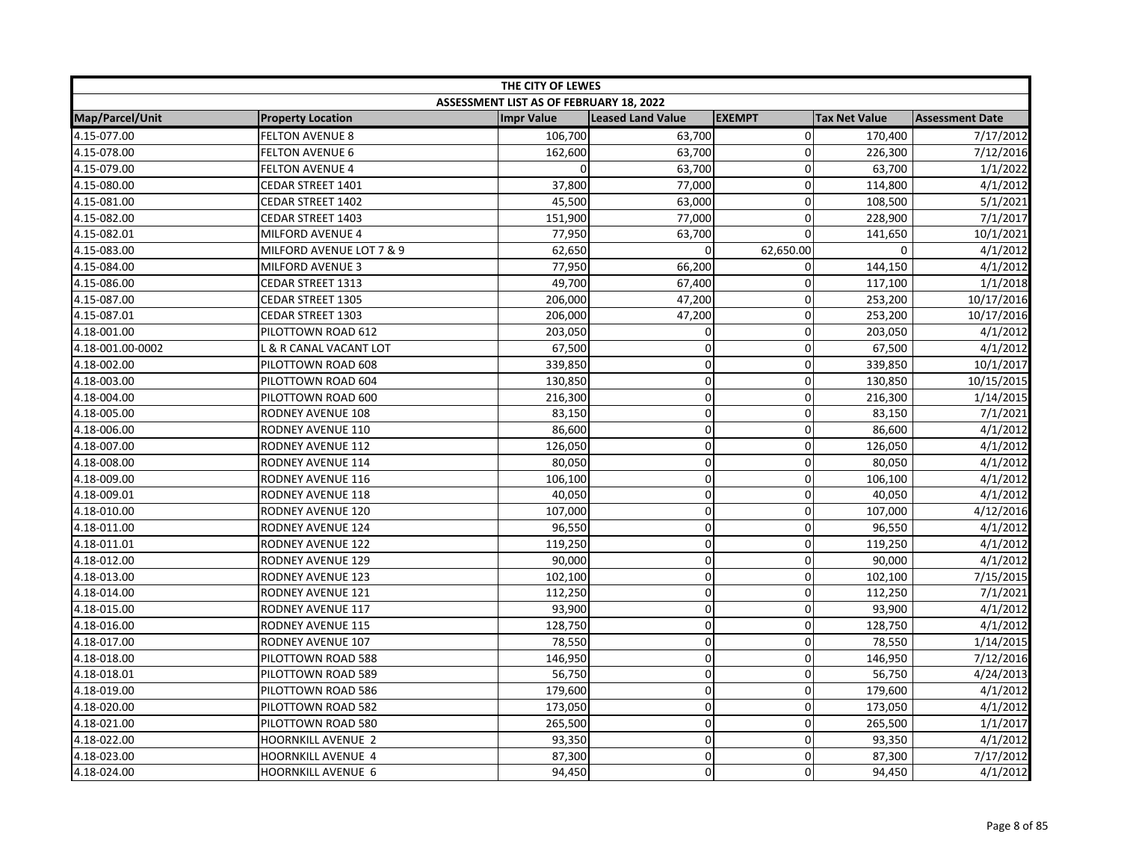|                  | THE CITY OF LEWES         |                                         |                          |               |                      |                        |  |  |
|------------------|---------------------------|-----------------------------------------|--------------------------|---------------|----------------------|------------------------|--|--|
|                  |                           | ASSESSMENT LIST AS OF FEBRUARY 18, 2022 |                          |               |                      |                        |  |  |
| Map/Parcel/Unit  | <b>Property Location</b>  | <b>Impr Value</b>                       | <b>Leased Land Value</b> | <b>EXEMPT</b> | <b>Tax Net Value</b> | <b>Assessment Date</b> |  |  |
| 4.15-077.00      | <b>FELTON AVENUE 8</b>    | 106,700                                 | 63,700                   | $\mathbf{0}$  | 170,400              | 7/17/2012              |  |  |
| 4.15-078.00      | <b>FELTON AVENUE 6</b>    | 162,600                                 | 63,700                   | $\mathbf 0$   | 226,300              | 7/12/2016              |  |  |
| 4.15-079.00      | <b>FELTON AVENUE 4</b>    | $\Omega$                                | 63,700                   | $\mathbf 0$   | 63,700               | 1/1/2022               |  |  |
| 4.15-080.00      | CEDAR STREET 1401         | 37,800                                  | 77,000                   | 0             | 114,800              | 4/1/2012               |  |  |
| 4.15-081.00      | CEDAR STREET 1402         | 45,500                                  | 63,000                   | $\Omega$      | 108,500              | 5/1/2021               |  |  |
| 4.15-082.00      | <b>CEDAR STREET 1403</b>  | 151,900                                 | 77,000                   | $\mathbf 0$   | 228,900              | 7/1/2017               |  |  |
| 4.15-082.01      | MILFORD AVENUE 4          | 77,950                                  | 63,700                   | $\Omega$      | 141,650              | 10/1/2021              |  |  |
| 4.15-083.00      | MILFORD AVENUE LOT 7 & 9  | 62,650                                  | 0                        | 62,650.00     | 0                    | 4/1/2012               |  |  |
| 4.15-084.00      | <b>MILFORD AVENUE 3</b>   | 77,950                                  | 66,200                   | $\mathbf 0$   | 144,150              | 4/1/2012               |  |  |
| 4.15-086.00      | CEDAR STREET 1313         | 49,700                                  | 67,400                   | $\mathbf 0$   | 117,100              | 1/1/2018               |  |  |
| 4.15-087.00      | <b>CEDAR STREET 1305</b>  | 206,000                                 | 47,200                   | $\mathbf 0$   | 253,200              | 10/17/2016             |  |  |
| 4.15-087.01      | <b>CEDAR STREET 1303</b>  | 206,000                                 | 47,200                   | $\mathbf 0$   | 253,200              | 10/17/2016             |  |  |
| 4.18-001.00      | PILOTTOWN ROAD 612        | 203,050                                 | 0                        | $\mathbf 0$   | 203,050              | 4/1/2012               |  |  |
| 4.18-001.00-0002 | L & R CANAL VACANT LOT    | 67,500                                  | 0                        | $\mathbf 0$   | 67,500               | 4/1/2012               |  |  |
| 4.18-002.00      | PILOTTOWN ROAD 608        | 339,850                                 | $\mathbf 0$              | 0             | 339,850              | 10/1/2017              |  |  |
| 4.18-003.00      | PILOTTOWN ROAD 604        | 130,850                                 | 0                        | $\mathbf 0$   | 130,850              | 10/15/2015             |  |  |
| 4.18-004.00      | PILOTTOWN ROAD 600        | 216,300                                 | 0                        | $\mathbf 0$   | 216,300              | 1/14/2015              |  |  |
| 4.18-005.00      | RODNEY AVENUE 108         | 83,150                                  | 0                        | $\mathbf 0$   | 83,150               | 7/1/2021               |  |  |
| 4.18-006.00      | RODNEY AVENUE 110         | 86,600                                  | 0                        | $\mathbf 0$   | 86,600               | 4/1/2012               |  |  |
| 4.18-007.00      | <b>RODNEY AVENUE 112</b>  | 126,050                                 | 0                        | 0             | 126,050              | 4/1/2012               |  |  |
| 4.18-008.00      | RODNEY AVENUE 114         | 80,050                                  | 0                        | $\mathbf 0$   | 80,050               | 4/1/2012               |  |  |
| 4.18-009.00      | RODNEY AVENUE 116         | 106,100                                 | $\overline{0}$           | $\Omega$      | 106,100              | 4/1/2012               |  |  |
| 4.18-009.01      | RODNEY AVENUE 118         | 40,050                                  | 0                        | $\mathbf 0$   | 40,050               | 4/1/2012               |  |  |
| 4.18-010.00      | <b>RODNEY AVENUE 120</b>  | 107,000                                 | 0                        | $\mathbf 0$   | 107,000              | 4/12/2016              |  |  |
| 4.18-011.00      | <b>RODNEY AVENUE 124</b>  | 96,550                                  | 0                        | $\mathbf 0$   | 96,550               | 4/1/2012               |  |  |
| 4.18-011.01      | RODNEY AVENUE 122         | 119,250                                 | 0                        | 0             | 119,250              | 4/1/2012               |  |  |
| 4.18-012.00      | RODNEY AVENUE 129         | 90,000                                  | 0                        | $\mathbf 0$   | 90,000               | 4/1/2012               |  |  |
| 4.18-013.00      | RODNEY AVENUE 123         | 102,100                                 | 0                        | $\mathbf 0$   | 102,100              | 7/15/2015              |  |  |
| 4.18-014.00      | RODNEY AVENUE 121         | 112,250                                 | $\mathbf 0$              | 0             | 112,250              | 7/1/2021               |  |  |
| 4.18-015.00      | RODNEY AVENUE 117         | 93,900                                  | 0                        | $\mathbf 0$   | 93,900               | 4/1/2012               |  |  |
| 4.18-016.00      | RODNEY AVENUE 115         | 128,750                                 | $\mathbf 0$              | $\mathbf{0}$  | 128,750              | 4/1/2012               |  |  |
| 4.18-017.00      | RODNEY AVENUE 107         | 78,550                                  | 0                        | $\mathbf 0$   | 78,550               | 1/14/2015              |  |  |
| 4.18-018.00      | PILOTTOWN ROAD 588        | 146,950                                 | 0                        | $\mathbf 0$   | 146,950              | 7/12/2016              |  |  |
| 4.18-018.01      | PILOTTOWN ROAD 589        | 56,750                                  | 0                        | $\mathbf 0$   | 56,750               | 4/24/2013              |  |  |
| 4.18-019.00      | PILOTTOWN ROAD 586        | 179,600                                 | 0                        | $\mathbf 0$   | 179,600              | 4/1/2012               |  |  |
| 4.18-020.00      | PILOTTOWN ROAD 582        | 173,050                                 | $\overline{0}$           | $\mathbf 0$   | 173,050              | 4/1/2012               |  |  |
| 4.18-021.00      | PILOTTOWN ROAD 580        | 265,500                                 | 0                        | $\mathbf 0$   | 265,500              | 1/1/2017               |  |  |
| 4.18-022.00      | <b>HOORNKILL AVENUE 2</b> | 93,350                                  | 0                        | $\mathbf 0$   | 93,350               | 4/1/2012               |  |  |
| 4.18-023.00      | <b>HOORNKILL AVENUE 4</b> | 87,300                                  | 0                        | $\mathbf 0$   | 87,300               | 7/17/2012              |  |  |
| 4.18-024.00      | <b>HOORNKILL AVENUE 6</b> | 94,450                                  | 0                        | $\Omega$      | 94,450               | 4/1/2012               |  |  |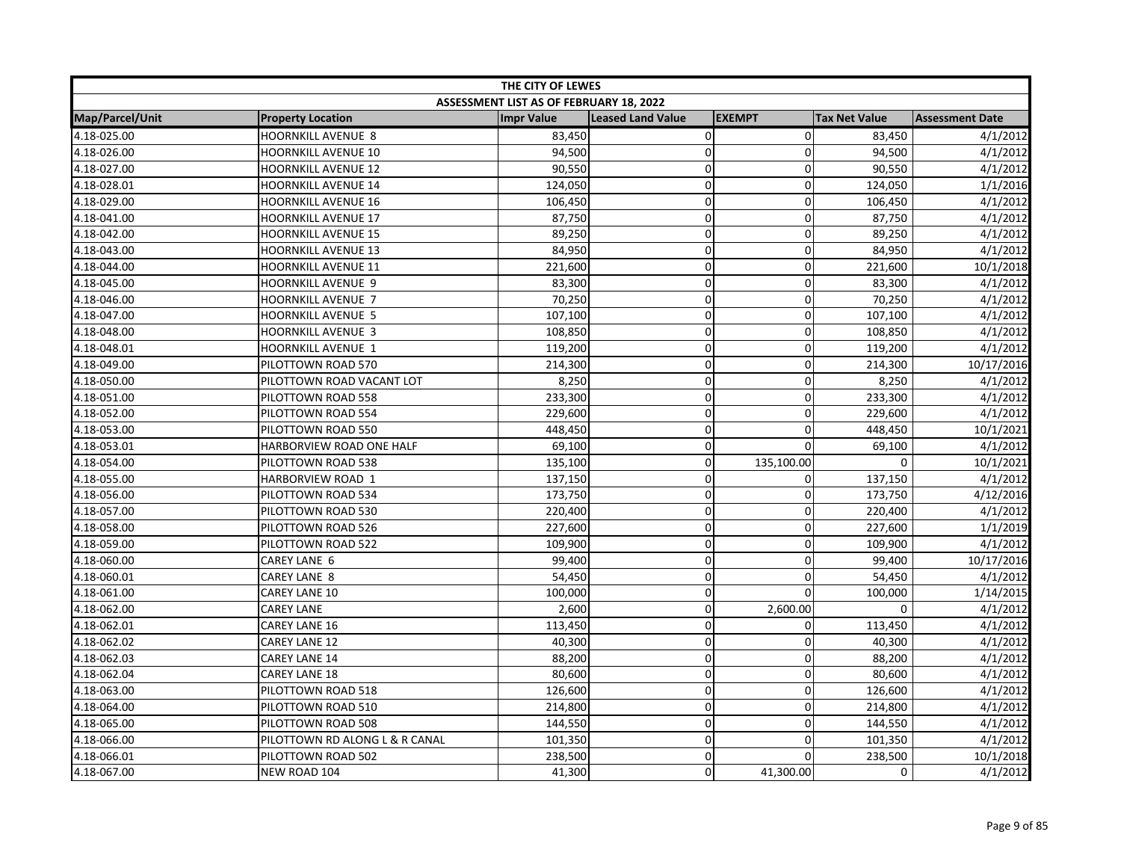| THE CITY OF LEWES      |                                |                                         |                          |               |                      |                        |
|------------------------|--------------------------------|-----------------------------------------|--------------------------|---------------|----------------------|------------------------|
|                        |                                | ASSESSMENT LIST AS OF FEBRUARY 18, 2022 |                          |               |                      |                        |
| <b>Map/Parcel/Unit</b> | <b>Property Location</b>       | <b>Impr Value</b>                       | <b>Leased Land Value</b> | <b>EXEMPT</b> | <b>Tax Net Value</b> | <b>Assessment Date</b> |
| 4.18-025.00            | <b>HOORNKILL AVENUE 8</b>      | 83,450                                  | $\pmb{0}$                | $\Omega$      | 83,450               | 4/1/2012               |
| 4.18-026.00            | <b>HOORNKILL AVENUE 10</b>     | 94,500                                  | $\mathbf 0$              | $\Omega$      | 94,500               | 4/1/2012               |
| 4.18-027.00            | <b>HOORNKILL AVENUE 12</b>     | 90,550                                  | $\mathbf 0$              | $\Omega$      | 90,550               | 4/1/2012               |
| 4.18-028.01            | <b>HOORNKILL AVENUE 14</b>     | 124,050                                 | $\overline{0}$           | 0             | 124,050              | 1/1/2016               |
| 4.18-029.00            | <b>HOORNKILL AVENUE 16</b>     | 106,450                                 | $\mathbf 0$              | 0             | 106,450              | 4/1/2012               |
| 4.18-041.00            | <b>HOORNKILL AVENUE 17</b>     | 87,750                                  | $\pmb{0}$                | 0             | 87,750               | 4/1/2012               |
| 4.18-042.00            | <b>HOORNKILL AVENUE 15</b>     | 89,250                                  | $\mathbf 0$              | 0             | 89,250               | 4/1/2012               |
| 4.18-043.00            | <b>HOORNKILL AVENUE 13</b>     | 84,950                                  | $\overline{0}$           | $\Omega$      | 84,950               | 4/1/2012               |
| 4.18-044.00            | HOORNKILL AVENUE 11            | 221,600                                 | $\mathbf 0$              | 0             | 221,600              | 10/1/2018              |
| 4.18-045.00            | HOORNKILL AVENUE 9             | 83,300                                  | $\pmb{0}$                | $\mathbf 0$   | 83,300               | 4/1/2012               |
| 4.18-046.00            | HOORNKILL AVENUE 7             | 70,250                                  | $\mathbf 0$              | $\Omega$      | 70,250               | 4/1/2012               |
| 4.18-047.00            | <b>HOORNKILL AVENUE 5</b>      | 107,100                                 | $\mathbf 0$              | $\mathbf 0$   | 107,100              | 4/1/2012               |
| 4.18-048.00            | <b>HOORNKILL AVENUE 3</b>      | 108,850                                 | 0                        | $\Omega$      | 108,850              | 4/1/2012               |
| 4.18-048.01            | HOORNKILL AVENUE 1             | 119,200                                 | $\mathbf 0$              | 0             | 119,200              | 4/1/2012               |
| 4.18-049.00            | PILOTTOWN ROAD 570             | 214,300                                 | $\overline{0}$           | 0             | 214,300              | 10/17/2016             |
| 4.18-050.00            | PILOTTOWN ROAD VACANT LOT      | 8,250                                   | $\overline{0}$           | 0             | 8,250                | 4/1/2012               |
| 4.18-051.00            | PILOTTOWN ROAD 558             | 233,300                                 | $\mathsf 0$              | $\mathbf 0$   | 233,300              | 4/1/2012               |
| 4.18-052.00            | PILOTTOWN ROAD 554             | 229,600                                 | $\mathbf 0$              | 0             | 229,600              | 4/1/2012               |
| 4.18-053.00            | PILOTTOWN ROAD 550             | 448,450                                 | $\pmb{0}$                | $\Omega$      | 448,450              | 10/1/2021              |
| 4.18-053.01            | HARBORVIEW ROAD ONE HALF       | 69,100                                  | $\mathbf 0$              | $\mathbf{0}$  | 69,100               | 4/1/2012               |
| 4.18-054.00            | PILOTTOWN ROAD 538             | 135,100                                 | $\mathbf 0$              | 135,100.00    | $\Omega$             | 10/1/2021              |
| 4.18-055.00            | HARBORVIEW ROAD 1              | 137,150                                 | $\Omega$                 | 0             | 137,150              | 4/1/2012               |
| 4.18-056.00            | PILOTTOWN ROAD 534             | 173,750                                 | $\pmb{0}$                | 0             | 173,750              | 4/12/2016              |
| 4.18-057.00            | PILOTTOWN ROAD 530             | 220,400                                 | $\pmb{0}$                | 0             | 220,400              | 4/1/2012               |
| 4.18-058.00            | PILOTTOWN ROAD 526             | 227,600                                 | $\overline{0}$           | 0             | 227,600              | 1/1/2019               |
| 4.18-059.00            | PILOTTOWN ROAD 522             | 109,900                                 | $\mathbf 0$              | $\Omega$      | 109,900              | 4/1/2012               |
| 4.18-060.00            | CAREY LANE 6                   | 99,400                                  | $\mathbf 0$              | $\mathbf{0}$  | 99,400               | 10/17/2016             |
| 4.18-060.01            | <b>CAREY LANE 8</b>            | 54,450                                  | $\pmb{0}$                | $\mathbf 0$   | 54,450               | 4/1/2012               |
| 4.18-061.00            | CAREY LANE 10                  | 100,000                                 | $\mathbf 0$              | $\Omega$      | 100,000              | 1/14/2015              |
| 4.18-062.00            | <b>CAREY LANE</b>              | 2,600                                   | $\mathbf 0$              | 2,600.00      | $\Omega$             | 4/1/2012               |
| 4.18-062.01            | CAREY LANE 16                  | 113,450                                 | $\overline{0}$           | 0             | 113,450              | 4/1/2012               |
| 4.18-062.02            | CAREY LANE 12                  | 40,300                                  | $\mathbf 0$              | $\Omega$      | 40,300               | 4/1/2012               |
| 4.18-062.03            | <b>CAREY LANE 14</b>           | 88,200                                  | $\pmb{0}$                | 0             | 88,200               | 4/1/2012               |
| 4.18-062.04            | CAREY LANE 18                  | 80,600                                  | $\mathbf 0$              | 0             | 80,600               | 4/1/2012               |
| 4.18-063.00            | PILOTTOWN ROAD 518             | 126,600                                 | $\pmb{0}$                | $\mathbf 0$   | 126,600              | 4/1/2012               |
| 4.18-064.00            | PILOTTOWN ROAD 510             | 214,800                                 | $\mathbf 0$              | $\mathbf{0}$  | 214,800              | 4/1/2012               |
| 4.18-065.00            | PILOTTOWN ROAD 508             | 144,550                                 | $\pmb{0}$                | 0             | 144,550              | 4/1/2012               |
| 4.18-066.00            | PILOTTOWN RD ALONG L & R CANAL | 101,350                                 | $\mathbf 0$              | 0             | 101,350              | 4/1/2012               |
| 4.18-066.01            | PILOTTOWN ROAD 502             | 238,500                                 | $\pmb{0}$                | $\Omega$      | 238,500              | 10/1/2018              |
| 4.18-067.00            | NEW ROAD 104                   | 41,300                                  | 0                        | 41,300.00     | 0                    | 4/1/2012               |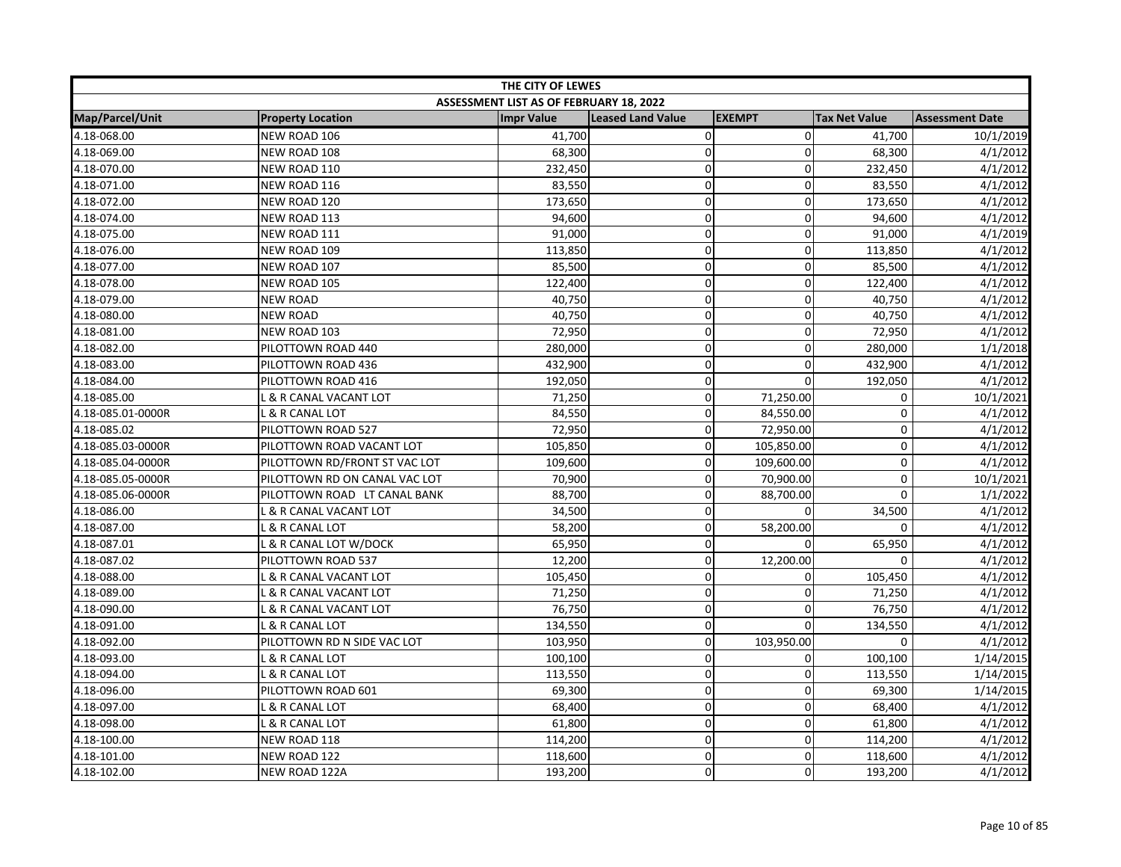| THE CITY OF LEWES |                               |                                         |                          |               |                      |                        |  |
|-------------------|-------------------------------|-----------------------------------------|--------------------------|---------------|----------------------|------------------------|--|
|                   |                               | ASSESSMENT LIST AS OF FEBRUARY 18, 2022 |                          |               |                      |                        |  |
| Map/Parcel/Unit   | <b>Property Location</b>      | <b>Impr Value</b>                       | <b>Leased Land Value</b> | <b>EXEMPT</b> | <b>Tax Net Value</b> | <b>Assessment Date</b> |  |
| 4.18-068.00       | NEW ROAD 106                  | 41,700                                  | 0                        | $\mathbf 0$   | 41,700               | 10/1/2019              |  |
| 4.18-069.00       | NEW ROAD 108                  | 68,300                                  | $\mathbf 0$              | $\mathbf{0}$  | 68,300               | 4/1/2012               |  |
| 4.18-070.00       | NEW ROAD 110                  | 232,450                                 | 0                        | $\mathbf 0$   | 232,450              | 4/1/2012               |  |
| 4.18-071.00       | NEW ROAD 116                  | 83,550                                  | $\mathbf 0$              | 0             | 83,550               | 4/1/2012               |  |
| 4.18-072.00       | NEW ROAD 120                  | 173,650                                 | 0                        | $\Omega$      | 173,650              | 4/1/2012               |  |
| 4.18-074.00       | NEW ROAD 113                  | 94,600                                  | 0                        | $\mathbf 0$   | 94,600               | 4/1/2012               |  |
| 4.18-075.00       | NEW ROAD 111                  | 91,000                                  | 0                        | $\mathbf 0$   | 91,000               | 4/1/2019               |  |
| 4.18-076.00       | NEW ROAD 109                  | 113,850                                 | 0                        | 0             | 113,850              | 4/1/2012               |  |
| 4.18-077.00       | NEW ROAD 107                  | 85,500                                  | 0                        | $\mathbf 0$   | 85,500               | 4/1/2012               |  |
| 4.18-078.00       | NEW ROAD 105                  | 122,400                                 | 0                        | $\mathbf 0$   | 122,400              | 4/1/2012               |  |
| 4.18-079.00       | <b>NEW ROAD</b>               | 40,750                                  | $\mathbf 0$              | $\mathbf 0$   | 40,750               | 4/1/2012               |  |
| 4.18-080.00       | <b>NEW ROAD</b>               | 40,750                                  | 0                        | $\mathbf 0$   | 40,750               | 4/1/2012               |  |
| 4.18-081.00       | NEW ROAD 103                  | 72,950                                  | 0                        | $\mathbf 0$   | 72,950               | 4/1/2012               |  |
| 4.18-082.00       | PILOTTOWN ROAD 440            | 280,000                                 | 0                        | $\mathbf 0$   | 280,000              | 1/1/2018               |  |
| 4.18-083.00       | PILOTTOWN ROAD 436            | 432,900                                 | $\mathbf 0$              | 0             | 432,900              | 4/1/2012               |  |
| 4.18-084.00       | PILOTTOWN ROAD 416            | 192,050                                 | 0                        | $\mathbf 0$   | 192,050              | 4/1/2012               |  |
| 4.18-085.00       | L & R CANAL VACANT LOT        | 71,250                                  | 0                        | 71,250.00     | 0                    | 10/1/2021              |  |
| 4.18-085.01-0000R | L & R CANAL LOT               | 84,550                                  | 0                        | 84,550.00     | $\pmb{0}$            | 4/1/2012               |  |
| 4.18-085.02       | PILOTTOWN ROAD 527            | 72,950                                  | 0                        | 72,950.00     | $\mathbf 0$          | 4/1/2012               |  |
| 4.18-085.03-0000R | PILOTTOWN ROAD VACANT LOT     | 105,850                                 | 0                        | 105,850.00    | 0                    | 4/1/2012               |  |
| 4.18-085.04-0000R | PILOTTOWN RD/FRONT ST VAC LOT | 109,600                                 | 0                        | 109,600.00    | $\mathsf 0$          | 4/1/2012               |  |
| 4.18-085.05-0000R | PILOTTOWN RD ON CANAL VAC LOT | 70,900                                  | 0                        | 70,900.00     | 0                    | 10/1/2021              |  |
| 4.18-085.06-0000R | PILOTTOWN ROAD LT CANAL BANK  | 88,700                                  | $\mathbf 0$              | 88,700.00     | $\Omega$             | 1/1/2022               |  |
| 4.18-086.00       | L & R CANAL VACANT LOT        | 34,500                                  | 0                        | 0             | 34,500               | 4/1/2012               |  |
| 4.18-087.00       | L & R CANAL LOT               | 58,200                                  | 0                        | 58,200.00     | 0                    | 4/1/2012               |  |
| 4.18-087.01       | L & R CANAL LOT W/DOCK        | 65,950                                  | 0                        | $\Omega$      | 65,950               | 4/1/2012               |  |
| 4.18-087.02       | PILOTTOWN ROAD 537            | 12,200                                  | 0                        | 12,200.00     | $\Omega$             | 4/1/2012               |  |
| 4.18-088.00       | L & R CANAL VACANT LOT        | 105,450                                 | 0                        | $\Omega$      | 105,450              | 4/1/2012               |  |
| 4.18-089.00       | L & R CANAL VACANT LOT        | 71,250                                  | $\mathbf 0$              | 0             | 71,250               | 4/1/2012               |  |
| 4.18-090.00       | L & R CANAL VACANT LOT        | 76,750                                  | 0                        | $\mathbf{0}$  | 76,750               | 4/1/2012               |  |
| 4.18-091.00       | L & R CANAL LOT               | 134,550                                 | 0                        | $\mathbf{0}$  | 134,550              | 4/1/2012               |  |
| 4.18-092.00       | PILOTTOWN RD N SIDE VAC LOT   | 103,950                                 | $\mathbf 0$              | 103,950.00    | $\mathbf 0$          | 4/1/2012               |  |
| 4.18-093.00       | L & R CANAL LOT               | 100,100                                 | 0                        | 0             | 100,100              | 1/14/2015              |  |
| 4.18-094.00       | L & R CANAL LOT               | 113,550                                 | 0                        | 0             | 113,550              | 1/14/2015              |  |
| 4.18-096.00       | PILOTTOWN ROAD 601            | 69,300                                  | 0                        | $\mathbf 0$   | 69,300               | 1/14/2015              |  |
| 4.18-097.00       | L & R CANAL LOT               | 68,400                                  | $\mathbf 0$              | 0             | 68,400               | 4/1/2012               |  |
| 4.18-098.00       | L & R CANAL LOT               | 61,800                                  | 0                        | $\Omega$      | 61,800               | 4/1/2012               |  |
| 4.18-100.00       | NEW ROAD 118                  | 114,200                                 | 0                        | $\mathbf{0}$  | 114,200              | 4/1/2012               |  |
| 4.18-101.00       | NEW ROAD 122                  | 118,600                                 | 0                        | 0             | 118,600              | 4/1/2012               |  |
| 4.18-102.00       | NEW ROAD 122A                 | 193,200                                 | 0                        | 0             | 193,200              | 4/1/2012               |  |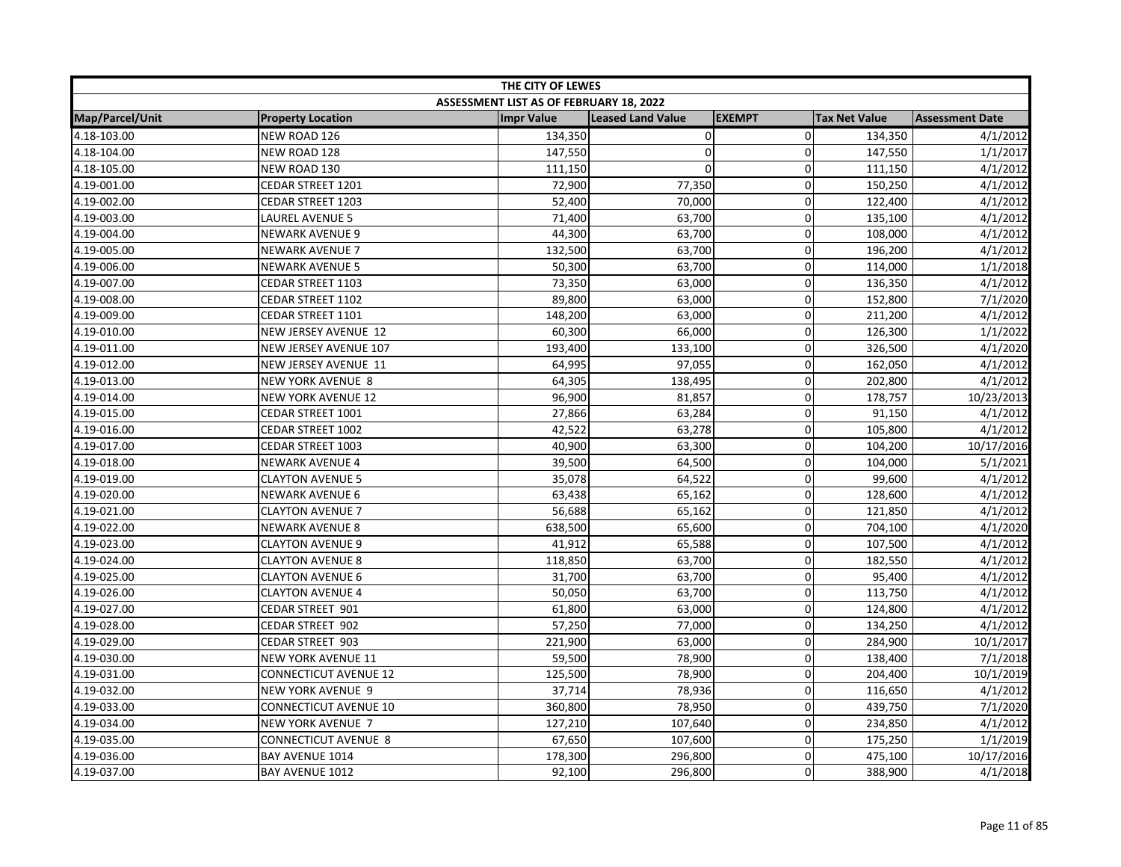| THE CITY OF LEWES |                              |                                         |                          |                |                      |                        |
|-------------------|------------------------------|-----------------------------------------|--------------------------|----------------|----------------------|------------------------|
|                   |                              | ASSESSMENT LIST AS OF FEBRUARY 18, 2022 |                          |                |                      |                        |
| Map/Parcel/Unit   | <b>Property Location</b>     | <b>Impr Value</b>                       | <b>Leased Land Value</b> | <b>EXEMPT</b>  | <b>Tax Net Value</b> | <b>Assessment Date</b> |
| 4.18-103.00       | NEW ROAD 126                 | 134,350                                 | $\pmb{0}$                | $\overline{0}$ | 134,350              | 4/1/2012               |
| 4.18-104.00       | NEW ROAD 128                 | 147,550                                 | $\mathbf 0$              | $\Omega$       | 147,550              | 1/1/2017               |
| 4.18-105.00       | NEW ROAD 130                 | 111,150                                 | $\mathbf 0$              | $\mathbf 0$    | 111,150              | 4/1/2012               |
| 4.19-001.00       | CEDAR STREET 1201            | 72,900                                  | 77,350                   | $\mathbf 0$    | 150,250              | 4/1/2012               |
| 4.19-002.00       | CEDAR STREET 1203            | 52,400                                  | 70,000                   | $\mathbf 0$    | 122,400              | 4/1/2012               |
| 4.19-003.00       | LAUREL AVENUE 5              | 71,400                                  | 63,700                   | 0              | 135,100              | 4/1/2012               |
| 4.19-004.00       | NEWARK AVENUE 9              | 44,300                                  | 63,700                   | $\mathbf 0$    | 108,000              | 4/1/2012               |
| 4.19-005.00       | <b>NEWARK AVENUE 7</b>       | 132,500                                 | 63,700                   | 0              | 196,200              | 4/1/2012               |
| 4.19-006.00       | <b>NEWARK AVENUE 5</b>       | 50,300                                  | 63,700                   | 0              | 114,000              | 1/1/2018               |
| 4.19-007.00       | CEDAR STREET 1103            | 73,350                                  | 63,000                   | $\mathbf 0$    | 136,350              | 4/1/2012               |
| 4.19-008.00       | CEDAR STREET 1102            | 89,800                                  | 63,000                   | 0              | 152,800              | 7/1/2020               |
| 4.19-009.00       | CEDAR STREET 1101            | 148,200                                 | 63,000                   | 0              | 211,200              | 4/1/2012               |
| 4.19-010.00       | NEW JERSEY AVENUE 12         | 60,300                                  | 66,000                   | 0              | 126,300              | 1/1/2022               |
| 4.19-011.00       | NEW JERSEY AVENUE 107        | 193,400                                 | 133,100                  | $\pmb{0}$      | 326,500              | 4/1/2020               |
| 4.19-012.00       | NEW JERSEY AVENUE 11         | 64,995                                  | 97,055                   | $\Omega$       | 162,050              | 4/1/2012               |
| 4.19-013.00       | <b>NEW YORK AVENUE 8</b>     | 64,305                                  | 138,495                  | 0              | 202,800              | 4/1/2012               |
| 4.19-014.00       | <b>NEW YORK AVENUE 12</b>    | 96,900                                  | 81,857                   | $\mathbf 0$    | 178,757              | 10/23/2013             |
| 4.19-015.00       | CEDAR STREET 1001            | 27,866                                  | 63,284                   | $\mathbf 0$    | 91,150               | 4/1/2012               |
| 4.19-016.00       | CEDAR STREET 1002            | 42,522                                  | 63,278                   | $\mathbf 0$    | 105,800              | 4/1/2012               |
| 4.19-017.00       | CEDAR STREET 1003            | 40,900                                  | 63,300                   | $\mathbf 0$    | 104,200              | 10/17/2016             |
| 4.19-018.00       | <b>NEWARK AVENUE 4</b>       | 39,500                                  | 64,500                   | $\mathbf 0$    | 104,000              | 5/1/2021               |
| 4.19-019.00       | <b>CLAYTON AVENUE 5</b>      | 35,078                                  | 64,522                   | $\Omega$       | 99,600               | 4/1/2012               |
| 4.19-020.00       | <b>NEWARK AVENUE 6</b>       | 63,438                                  | 65,162                   | 0              | 128,600              | 4/1/2012               |
| 4.19-021.00       | <b>CLAYTON AVENUE 7</b>      | 56,688                                  | 65,162                   | $\mathbf 0$    | 121,850              | 4/1/2012               |
| 4.19-022.00       | <b>NEWARK AVENUE 8</b>       | 638,500                                 | 65,600                   | $\mathbf 0$    | 704,100              | 4/1/2020               |
| 4.19-023.00       | <b>CLAYTON AVENUE 9</b>      | 41,912                                  | 65,588                   | $\mathbf 0$    | 107,500              | 4/1/2012               |
| 4.19-024.00       | <b>CLAYTON AVENUE 8</b>      | 118,850                                 | 63,700                   | 0              | 182,550              | 4/1/2012               |
| 4.19-025.00       | <b>CLAYTON AVENUE 6</b>      | 31,700                                  | 63,700                   | $\mathbf 0$    | 95,400               | 4/1/2012               |
| 4.19-026.00       | <b>CLAYTON AVENUE 4</b>      | 50,050                                  | 63,700                   | 0              | 113,750              | 4/1/2012               |
| 4.19-027.00       | CEDAR STREET 901             | 61,800                                  | 63,000                   | $\mathbf 0$    | 124,800              | 4/1/2012               |
| 4.19-028.00       | CEDAR STREET 902             | 57,250                                  | 77,000                   | $\Omega$       | 134,250              | 4/1/2012               |
| 4.19-029.00       | CEDAR STREET 903             | 221,900                                 | 63,000                   | 0              | 284,900              | 10/1/2017              |
| 4.19-030.00       | <b>NEW YORK AVENUE 11</b>    | 59,500                                  | 78,900                   | $\mathbf 0$    | 138,400              | 7/1/2018               |
| 4.19-031.00       | <b>CONNECTICUT AVENUE 12</b> | 125,500                                 | 78,900                   | $\mathbf 0$    | 204,400              | 10/1/2019              |
| 4.19-032.00       | <b>NEW YORK AVENUE 9</b>     | 37,714                                  | 78,936                   | $\mathbf 0$    | 116,650              | 4/1/2012               |
| 4.19-033.00       | CONNECTICUT AVENUE 10        | 360,800                                 | 78,950                   | 0              | 439,750              | 7/1/2020               |
| 4.19-034.00       | <b>NEW YORK AVENUE 7</b>     | 127,210                                 | 107,640                  | $\mathbf 0$    | 234,850              | 4/1/2012               |
| 4.19-035.00       | CONNECTICUT AVENUE 8         | 67,650                                  | 107,600                  | 0              | 175,250              | 1/1/2019               |
| 4.19-036.00       | <b>BAY AVENUE 1014</b>       | 178,300                                 | 296,800                  | $\mathbf 0$    | 475,100              | 10/17/2016             |
| 4.19-037.00       | <b>BAY AVENUE 1012</b>       | 92,100                                  | 296,800                  | $\Omega$       | 388,900              | 4/1/2018               |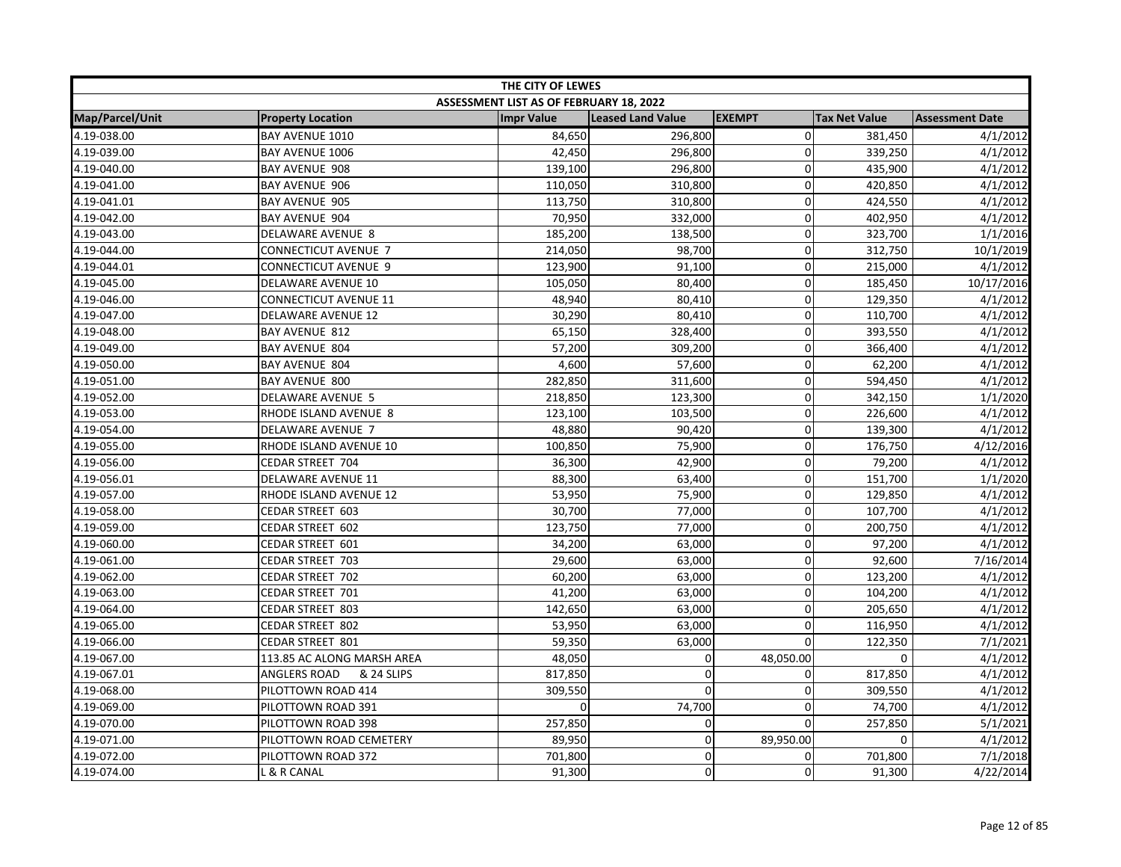| THE CITY OF LEWES      |                              |                                         |                          |                |                      |                        |
|------------------------|------------------------------|-----------------------------------------|--------------------------|----------------|----------------------|------------------------|
|                        |                              | ASSESSMENT LIST AS OF FEBRUARY 18, 2022 |                          |                |                      |                        |
| <b>Map/Parcel/Unit</b> | <b>Property Location</b>     | <b>Impr Value</b>                       | <b>Leased Land Value</b> | <b>EXEMPT</b>  | <b>Tax Net Value</b> | <b>Assessment Date</b> |
| 4.19-038.00            | BAY AVENUE 1010              | 84,650                                  | 296,800                  | $\Omega$       | 381,450              | 4/1/2012               |
| 4.19-039.00            | BAY AVENUE 1006              | 42,450                                  | 296,800                  | $\Omega$       | 339,250              | 4/1/2012               |
| 4.19-040.00            | BAY AVENUE 908               | 139,100                                 | 296,800                  | $\overline{0}$ | 435,900              | 4/1/2012               |
| 4.19-041.00            | <b>BAY AVENUE 906</b>        | 110,050                                 | 310,800                  | $\Omega$       | 420,850              | 4/1/2012               |
| 4.19-041.01            | <b>BAY AVENUE 905</b>        | 113,750                                 | 310,800                  | $\Omega$       | 424,550              | 4/1/2012               |
| 4.19-042.00            | <b>BAY AVENUE 904</b>        | 70,950                                  | 332,000                  | $\Omega$       | 402,950              | 4/1/2012               |
| 4.19-043.00            | DELAWARE AVENUE 8            | 185,200                                 | 138,500                  | 0              | 323,700              | 1/1/2016               |
| 4.19-044.00            | <b>CONNECTICUT AVENUE 7</b>  | 214,050                                 | 98,700                   | 0              | 312,750              | 10/1/2019              |
| 4.19-044.01            | <b>CONNECTICUT AVENUE 9</b>  | 123,900                                 | 91,100                   | 0              | 215,000              | 4/1/2012               |
| 4.19-045.00            | DELAWARE AVENUE 10           | 105,050                                 | 80,400                   | $\overline{0}$ | 185,450              | 10/17/2016             |
| 4.19-046.00            | <b>CONNECTICUT AVENUE 11</b> | 48,940                                  | 80,410                   | $\Omega$       | 129,350              | 4/1/2012               |
| 4.19-047.00            | <b>DELAWARE AVENUE 12</b>    | 30,290                                  | 80,410                   | $\overline{0}$ | 110,700              | 4/1/2012               |
| 4.19-048.00            | <b>BAY AVENUE 812</b>        | 65,150                                  | 328,400                  | $\Omega$       | 393,550              | 4/1/2012               |
| 4.19-049.00            | <b>BAY AVENUE 804</b>        | 57,200                                  | 309,200                  | $\overline{0}$ | 366,400              | 4/1/2012               |
| 4.19-050.00            | <b>BAY AVENUE 804</b>        | 4,600                                   | 57,600                   | $\Omega$       | 62,200               | 4/1/2012               |
| 4.19-051.00            | BAY AVENUE 800               | 282,850                                 | 311,600                  | 0              | 594,450              | 4/1/2012               |
| 4.19-052.00            | DELAWARE AVENUE 5            | 218,850                                 | 123,300                  | $\overline{0}$ | 342,150              | 1/1/2020               |
| 4.19-053.00            | RHODE ISLAND AVENUE 8        | 123,100                                 | 103,500                  | 0              | 226,600              | 4/1/2012               |
| 4.19-054.00            | DELAWARE AVENUE 7            | 48,880                                  | 90,420                   | $\mathbf 0$    | 139,300              | 4/1/2012               |
| 4.19-055.00            | RHODE ISLAND AVENUE 10       | 100,850                                 | 75,900                   | $\Omega$       | 176,750              | 4/12/2016              |
| 4.19-056.00            | CEDAR STREET 704             | 36,300                                  | 42,900                   | $\overline{0}$ | 79,200               | 4/1/2012               |
| 4.19-056.01            | <b>DELAWARE AVENUE 11</b>    | 88,300                                  | 63,400                   | $\Omega$       | 151,700              | 1/1/2020               |
| 4.19-057.00            | RHODE ISLAND AVENUE 12       | 53,950                                  | 75,900                   | $\Omega$       | 129,850              | 4/1/2012               |
| 4.19-058.00            | <b>CEDAR STREET 603</b>      | 30,700                                  | 77,000                   | 0              | 107,700              | 4/1/2012               |
| 4.19-059.00            | CEDAR STREET 602             | 123,750                                 | 77,000                   | $\overline{0}$ | 200,750              | 4/1/2012               |
| 4.19-060.00            | CEDAR STREET 601             | 34,200                                  | 63,000                   | $\mathbf 0$    | 97,200               | 4/1/2012               |
| 4.19-061.00            | CEDAR STREET 703             | 29,600                                  | 63,000                   | 0              | 92,600               | 7/16/2014              |
| 4.19-062.00            | CEDAR STREET 702             | 60,200                                  | 63,000                   | $\overline{0}$ | 123,200              | 4/1/2012               |
| 4.19-063.00            | CEDAR STREET 701             | 41,200                                  | 63,000                   | 0              | 104,200              | 4/1/2012               |
| 4.19-064.00            | CEDAR STREET 803             | 142,650                                 | 63,000                   | $\Omega$       | 205,650              | 4/1/2012               |
| 4.19-065.00            | CEDAR STREET 802             | 53,950                                  | 63,000                   | 0              | 116,950              | 4/1/2012               |
| 4.19-066.00            | CEDAR STREET 801             | 59,350                                  | 63,000                   | $\mathbf 0$    | 122,350              | 7/1/2021               |
| 4.19-067.00            | 113.85 AC ALONG MARSH AREA   | 48,050                                  | 0                        | 48,050.00      | 0                    | 4/1/2012               |
| 4.19-067.01            | ANGLERS ROAD<br>& 24 SLIPS   | 817,850                                 | $\mathbf 0$              | 0              | 817,850              | 4/1/2012               |
| 4.19-068.00            | PILOTTOWN ROAD 414           | 309,550                                 | $\mathbf 0$              | $\overline{0}$ | 309,550              | 4/1/2012               |
| 4.19-069.00            | PILOTTOWN ROAD 391           |                                         | 74,700                   | $\Omega$       | 74,700               | 4/1/2012               |
| 4.19-070.00            | PILOTTOWN ROAD 398           | 257,850                                 | 0                        | $\Omega$       | 257,850              | 5/1/2021               |
| 4.19-071.00            | PILOTTOWN ROAD CEMETERY      | 89,950                                  | $\mathbf 0$              | 89,950.00      | 0                    | 4/1/2012               |
| 4.19-072.00            | PILOTTOWN ROAD 372           | 701,800                                 | 0                        | $\overline{0}$ | 701,800              | 7/1/2018               |
| 4.19-074.00            | L & R CANAL                  | 91,300                                  | $\pmb{0}$                | $\Omega$       | 91,300               | 4/22/2014              |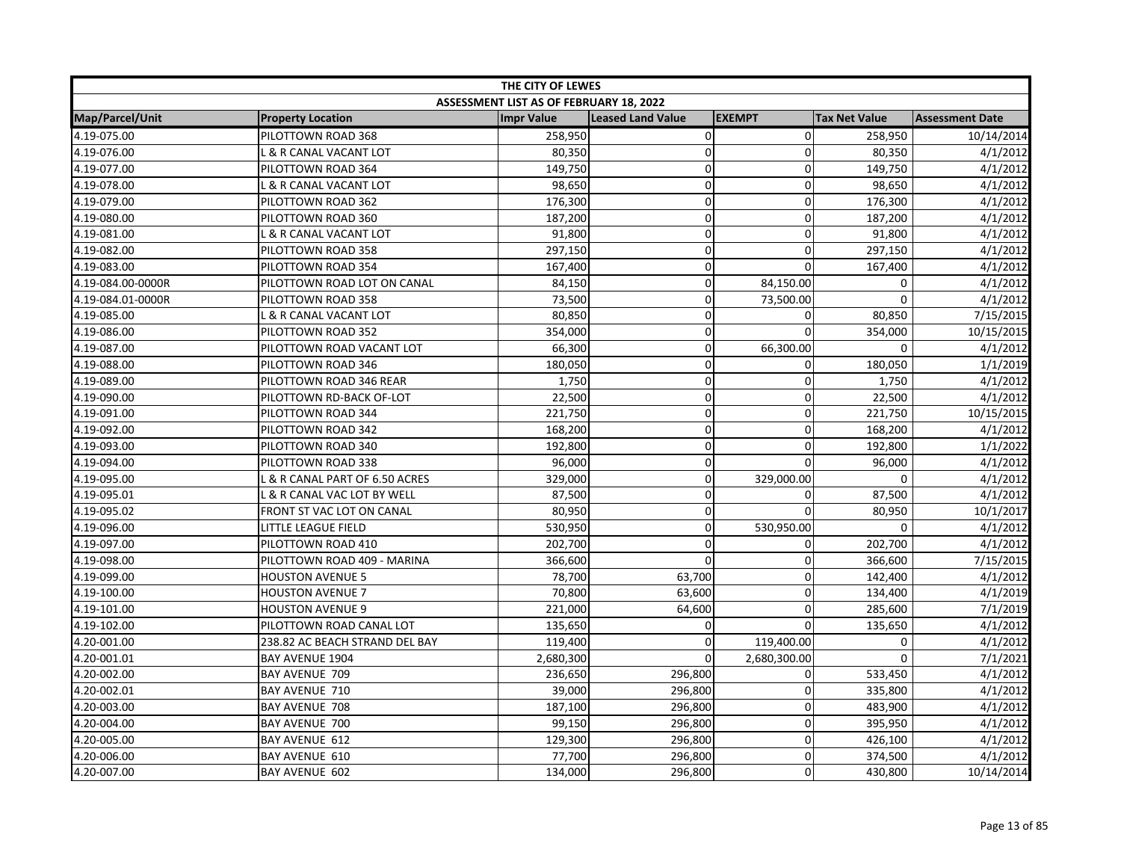| THE CITY OF LEWES |                                |                                         |                          |                |                      |                        |  |
|-------------------|--------------------------------|-----------------------------------------|--------------------------|----------------|----------------------|------------------------|--|
|                   |                                | ASSESSMENT LIST AS OF FEBRUARY 18, 2022 |                          |                |                      |                        |  |
| Map/Parcel/Unit   | <b>Property Location</b>       | <b>Impr Value</b>                       | <b>Leased Land Value</b> | <b>EXEMPT</b>  | <b>Tax Net Value</b> | <b>Assessment Date</b> |  |
| 4.19-075.00       | PILOTTOWN ROAD 368             | 258,950                                 | $\pmb{0}$                | $\overline{0}$ | 258,950              | 10/14/2014             |  |
| 4.19-076.00       | L & R CANAL VACANT LOT         | 80,350                                  | $\mathbf 0$              | 0              | 80,350               | 4/1/2012               |  |
| 4.19-077.00       | PILOTTOWN ROAD 364             | 149,750                                 | 0                        | $\Omega$       | 149,750              | 4/1/2012               |  |
| 4.19-078.00       | L & R CANAL VACANT LOT         | 98,650                                  | 0                        | 0              | 98,650               | 4/1/2012               |  |
| 4.19-079.00       | PILOTTOWN ROAD 362             | 176,300                                 | 0                        | $\mathbf{0}$   | 176,300              | 4/1/2012               |  |
| 4.19-080.00       | PILOTTOWN ROAD 360             | 187,200                                 | 0                        | $\mathbf{0}$   | 187,200              | 4/1/2012               |  |
| 4.19-081.00       | L & R CANAL VACANT LOT         | 91,800                                  | $\mathbf 0$              | 0              | 91,800               | 4/1/2012               |  |
| 4.19-082.00       | PILOTTOWN ROAD 358             | 297,150                                 | $\mathbf 0$              | 0              | 297,150              | 4/1/2012               |  |
| 4.19-083.00       | PILOTTOWN ROAD 354             | 167,400                                 | 0                        | 0              | 167,400              | 4/1/2012               |  |
| 4.19-084.00-0000R | PILOTTOWN ROAD LOT ON CANAL    | 84,150                                  | 0                        | 84,150.00      | 0                    | 4/1/2012               |  |
| 4.19-084.01-0000R | PILOTTOWN ROAD 358             | 73,500                                  | $\mathbf 0$              | 73,500.00      | 0                    | 4/1/2012               |  |
| 4.19-085.00       | L & R CANAL VACANT LOT         | 80,850                                  | 0                        | $\Omega$       | 80,850               | 7/15/2015              |  |
| 4.19-086.00       | PILOTTOWN ROAD 352             | 354,000                                 | 0                        | $\Omega$       | 354,000              | 10/15/2015             |  |
| 4.19-087.00       | PILOTTOWN ROAD VACANT LOT      | 66,300                                  | 0                        | 66,300.00      | 0                    | 4/1/2012               |  |
| 4.19-088.00       | PILOTTOWN ROAD 346             | 180,050                                 | 0                        | $\mathbf{0}$   | 180,050              | 1/1/2019               |  |
| 4.19-089.00       | PILOTTOWN ROAD 346 REAR        | 1,750                                   | 0                        | $\mathbf 0$    | 1,750                | 4/1/2012               |  |
| 4.19-090.00       | PILOTTOWN RD-BACK OF-LOT       | 22,500                                  | 0                        | $\mathbf 0$    | 22,500               | 4/1/2012               |  |
| 4.19-091.00       | PILOTTOWN ROAD 344             | 221,750                                 | 0                        | $\mathbf 0$    | 221,750              | 10/15/2015             |  |
| 4.19-092.00       | PILOTTOWN ROAD 342             | 168,200                                 | 0                        | $\Omega$       | 168,200              | 4/1/2012               |  |
| 4.19-093.00       | PILOTTOWN ROAD 340             | 192,800                                 | 0                        | $\mathbf{0}$   | 192,800              | 1/1/2022               |  |
| 4.19-094.00       | PILOTTOWN ROAD 338             | 96,000                                  | 0                        | $\Omega$       | 96,000               | 4/1/2012               |  |
| 4.19-095.00       | L & R CANAL PART OF 6.50 ACRES | 329,000                                 | $\mathbf 0$              | 329,000.00     | $\Omega$             | 4/1/2012               |  |
| 4.19-095.01       | L & R CANAL VAC LOT BY WELL    | 87,500                                  | 0                        | 0              | 87,500               | 4/1/2012               |  |
| 4.19-095.02       | FRONT ST VAC LOT ON CANAL      | 80,950                                  | 0                        | $\mathbf 0$    | 80,950               | 10/1/2017              |  |
| 4.19-096.00       | LITTLE LEAGUE FIELD            | 530,950                                 | 0                        | 530,950.00     | $\mathbf 0$          | 4/1/2012               |  |
| 4.19-097.00       | PILOTTOWN ROAD 410             | 202,700                                 | 0                        | $\mathbf 0$    | 202,700              | 4/1/2012               |  |
| 4.19-098.00       | PILOTTOWN ROAD 409 - MARINA    | 366,600                                 | $\mathbf 0$              | 0              | 366,600              | 7/15/2015              |  |
| 4.19-099.00       | <b>HOUSTON AVENUE 5</b>        | 78,700                                  | 63,700                   | $\mathbf{0}$   | 142,400              | 4/1/2012               |  |
| 4.19-100.00       | <b>HOUSTON AVENUE 7</b>        | 70,800                                  | 63,600                   | 0              | 134,400              | 4/1/2019               |  |
| 4.19-101.00       | <b>HOUSTON AVENUE 9</b>        | 221,000                                 | 64,600                   | $\mathbf{0}$   | 285,600              | 7/1/2019               |  |
| 4.19-102.00       | PILOTTOWN ROAD CANAL LOT       | 135,650                                 | 0                        | $\mathbf 0$    | 135,650              | 4/1/2012               |  |
| 4.20-001.00       | 238.82 AC BEACH STRAND DEL BAY | 119,400                                 | 0                        | 119,400.00     | 0                    | 4/1/2012               |  |
| 4.20-001.01       | <b>BAY AVENUE 1904</b>         | 2,680,300                               | $\mathbf 0$              | 2,680,300.00   | $\Omega$             | 7/1/2021               |  |
| 4.20-002.00       | BAY AVENUE 709                 | 236,650                                 | 296,800                  | 0              | 533,450              | 4/1/2012               |  |
| 4.20-002.01       | <b>BAY AVENUE 710</b>          | 39,000                                  | 296,800                  | $\mathbf 0$    | 335,800              | 4/1/2012               |  |
| 4.20-003.00       | <b>BAY AVENUE 708</b>          | 187,100                                 | 296,800                  | 0              | 483,900              | 4/1/2012               |  |
| 4.20-004.00       | BAY AVENUE 700                 | 99,150                                  | 296,800                  | $\mathbf 0$    | 395,950              | 4/1/2012               |  |
| 4.20-005.00       | BAY AVENUE 612                 | 129,300                                 | 296,800                  | $\mathbf{0}$   | 426,100              | 4/1/2012               |  |
| 4.20-006.00       | BAY AVENUE 610                 | 77,700                                  | 296,800                  | $\mathbf 0$    | 374,500              | 4/1/2012               |  |
| 4.20-007.00       | <b>BAY AVENUE 602</b>          | 134,000                                 | 296,800                  | 0              | 430,800              | 10/14/2014             |  |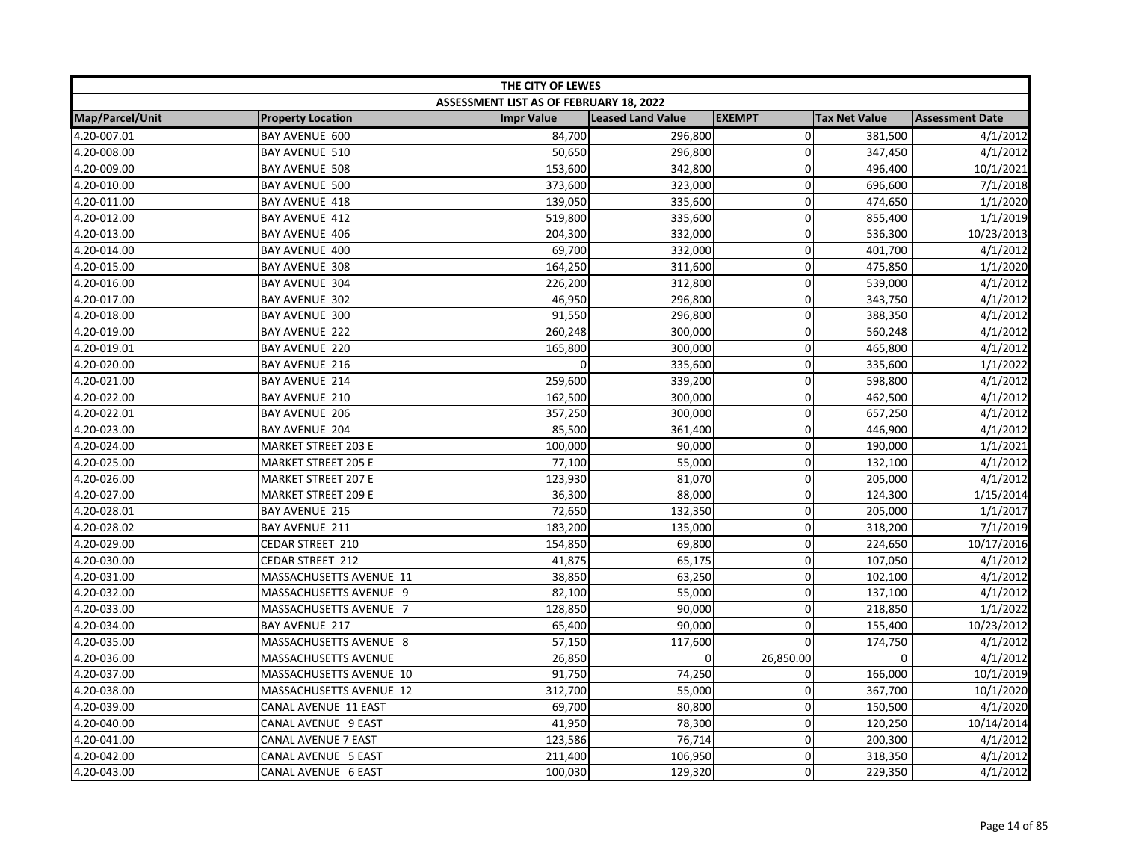| THE CITY OF LEWES |                            |                                         |                          |                |                      |                        |  |
|-------------------|----------------------------|-----------------------------------------|--------------------------|----------------|----------------------|------------------------|--|
|                   |                            | ASSESSMENT LIST AS OF FEBRUARY 18, 2022 |                          |                |                      |                        |  |
| Map/Parcel/Unit   | <b>Property Location</b>   | <b>Impr Value</b>                       | <b>Leased Land Value</b> | <b>EXEMPT</b>  | <b>Tax Net Value</b> | <b>Assessment Date</b> |  |
| 4.20-007.01       | <b>BAY AVENUE 600</b>      | 84,700                                  | 296,800                  | $\overline{0}$ | 381,500              | 4/1/2012               |  |
| 4.20-008.00       | <b>BAY AVENUE 510</b>      | 50,650                                  | 296,800                  | $\Omega$       | 347,450              | 4/1/2012               |  |
| 4.20-009.00       | BAY AVENUE 508             | 153,600                                 | 342,800                  | $\mathbf 0$    | 496,400              | 10/1/2021              |  |
| 4.20-010.00       | <b>BAY AVENUE 500</b>      | 373,600                                 | 323,000                  | 0              | 696,600              | 7/1/2018               |  |
| 4.20-011.00       | <b>BAY AVENUE 418</b>      | 139,050                                 | 335,600                  | $\Omega$       | 474,650              | 1/1/2020               |  |
| 4.20-012.00       | <b>BAY AVENUE 412</b>      | 519,800                                 | 335,600                  | $\Omega$       | 855,400              | 1/1/2019               |  |
| 4.20-013.00       | <b>BAY AVENUE 406</b>      | 204,300                                 | 332,000                  | 0              | 536,300              | 10/23/2013             |  |
| 4.20-014.00       | <b>BAY AVENUE 400</b>      | 69,700                                  | 332,000                  | 0              | 401,700              | 4/1/2012               |  |
| 4.20-015.00       | BAY AVENUE 308             | 164,250                                 | 311,600                  | 0              | 475,850              | 1/1/2020               |  |
| 4.20-016.00       | BAY AVENUE 304             | 226,200                                 | 312,800                  | $\overline{0}$ | 539,000              | 4/1/2012               |  |
| 4.20-017.00       | <b>BAY AVENUE 302</b>      | 46,950                                  | 296,800                  | 0              | 343,750              | 4/1/2012               |  |
| 4.20-018.00       | <b>BAY AVENUE 300</b>      | 91,550                                  | 296,800                  | $\Omega$       | 388,350              | 4/1/2012               |  |
| 4.20-019.00       | <b>BAY AVENUE 222</b>      | 260,248                                 | 300,000                  | 0              | 560,248              | 4/1/2012               |  |
| 4.20-019.01       | <b>BAY AVENUE 220</b>      | 165,800                                 | 300,000                  | $\overline{0}$ | 465,800              | 4/1/2012               |  |
| 4.20-020.00       | <b>BAY AVENUE 216</b>      |                                         | 335,600                  | $\Omega$       | 335,600              | 1/1/2022               |  |
| 4.20-021.00       | <b>BAY AVENUE 214</b>      | 259,600                                 | 339,200                  | 0              | 598,800              | 4/1/2012               |  |
| 4.20-022.00       | BAY AVENUE 210             | 162,500                                 | 300,000                  | 0              | 462,500              | 4/1/2012               |  |
| 4.20-022.01       | <b>BAY AVENUE 206</b>      | 357,250                                 | 300,000                  | 0              | 657,250              | 4/1/2012               |  |
| 4.20-023.00       | <b>BAY AVENUE 204</b>      | 85,500                                  | 361,400                  | 0              | 446,900              | 4/1/2012               |  |
| 4.20-024.00       | <b>MARKET STREET 203 E</b> | 100,000                                 | 90,000                   | 0              | 190,000              | 1/1/2021               |  |
| 4.20-025.00       | <b>MARKET STREET 205 E</b> | 77,100                                  | 55,000                   | $\overline{0}$ | 132,100              | 4/1/2012               |  |
| 4.20-026.00       | <b>MARKET STREET 207 E</b> | 123,930                                 | 81,070                   | $\Omega$       | 205,000              | 4/1/2012               |  |
| 4.20-027.00       | <b>MARKET STREET 209 E</b> | 36,300                                  | 88,000                   | 0              | 124,300              | 1/15/2014              |  |
| 4.20-028.01       | <b>BAY AVENUE 215</b>      | 72,650                                  | 132,350                  | 0              | 205,000              | 1/1/2017               |  |
| 4.20-028.02       | BAY AVENUE 211             | 183,200                                 | 135,000                  | 0              | 318,200              | 7/1/2019               |  |
| 4.20-029.00       | CEDAR STREET 210           | 154,850                                 | 69,800                   | $\mathbf 0$    | 224,650              | 10/17/2016             |  |
| 4.20-030.00       | CEDAR STREET 212           | 41,875                                  | 65,175                   | 0              | 107,050              | 4/1/2012               |  |
| 4.20-031.00       | MASSACHUSETTS AVENUE 11    | 38,850                                  | 63,250                   | 0              | 102,100              | 4/1/2012               |  |
| 4.20-032.00       | MASSACHUSETTS AVENUE 9     | 82,100                                  | 55,000                   | 0              | 137,100              | 4/1/2012               |  |
| 4.20-033.00       | MASSACHUSETTS AVENUE 7     | 128,850                                 | 90,000                   | $\Omega$       | 218,850              | 1/1/2022               |  |
| 4.20-034.00       | <b>BAY AVENUE 217</b>      | 65,400                                  | 90,000                   | $\Omega$       | 155,400              | 10/23/2012             |  |
| 4.20-035.00       | MASSACHUSETTS AVENUE 8     | 57,150                                  | 117,600                  | 0              | 174,750              | 4/1/2012               |  |
| 4.20-036.00       | MASSACHUSETTS AVENUE       | 26,850                                  | 0                        | 26,850.00      | 0                    | 4/1/2012               |  |
| 4.20-037.00       | MASSACHUSETTS AVENUE 10    | 91,750                                  | 74,250                   | 0              | 166,000              | 10/1/2019              |  |
| 4.20-038.00       | MASSACHUSETTS AVENUE 12    | 312,700                                 | 55,000                   | $\overline{0}$ | 367,700              | 10/1/2020              |  |
| 4.20-039.00       | CANAL AVENUE 11 EAST       | 69,700                                  | 80,800                   | 0              | 150,500              | 4/1/2020               |  |
| 4.20-040.00       | CANAL AVENUE 9 EAST        | 41,950                                  | 78,300                   | 0              | 120,250              | 10/14/2014             |  |
| 4.20-041.00       | CANAL AVENUE 7 EAST        | 123,586                                 | 76,714                   | 0              | 200,300              | 4/1/2012               |  |
| 4.20-042.00       | CANAL AVENUE 5 EAST        | 211,400                                 | 106,950                  | $\overline{0}$ | 318,350              | 4/1/2012               |  |
| 4.20-043.00       | CANAL AVENUE 6 EAST        | 100,030                                 | 129,320                  | $\Omega$       | 229,350              | 4/1/2012               |  |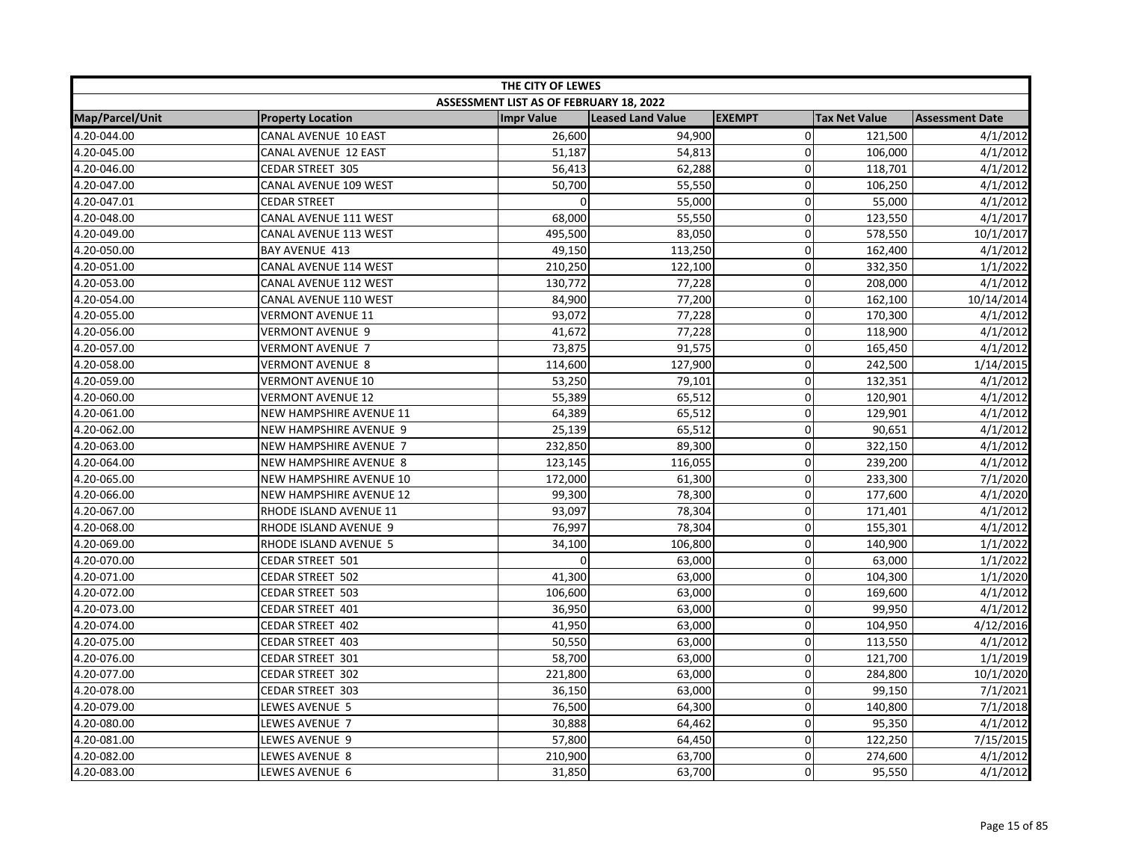| THE CITY OF LEWES |                                |                                         |                   |                |                      |                        |  |
|-------------------|--------------------------------|-----------------------------------------|-------------------|----------------|----------------------|------------------------|--|
|                   |                                | ASSESSMENT LIST AS OF FEBRUARY 18, 2022 |                   |                |                      |                        |  |
| Map/Parcel/Unit   | <b>Property Location</b>       | <b>Impr Value</b>                       | Leased Land Value | <b>EXEMPT</b>  | <b>Tax Net Value</b> | <b>Assessment Date</b> |  |
| 4.20-044.00       | CANAL AVENUE 10 EAST           | 26,600                                  | 94,900            | $\overline{0}$ | 121,500              | 4/1/2012               |  |
| 4.20-045.00       | <b>CANAL AVENUE 12 EAST</b>    | 51,187                                  | 54,813            | 0              | 106,000              | 4/1/2012               |  |
| 4.20-046.00       | CEDAR STREET 305               | 56,413                                  | 62,288            | $\Omega$       | 118,701              | 4/1/2012               |  |
| 4.20-047.00       | CANAL AVENUE 109 WEST          | 50,700                                  | 55,550            | 0              | 106,250              | 4/1/2012               |  |
| 4.20-047.01       | <b>CEDAR STREET</b>            | $\Omega$                                | 55,000            | 0              | 55,000               | 4/1/2012               |  |
| 4.20-048.00       | CANAL AVENUE 111 WEST          | 68,000                                  | 55,550            | 0              | 123,550              | 4/1/2017               |  |
| 4.20-049.00       | CANAL AVENUE 113 WEST          | 495,500                                 | 83,050            | 0              | 578,550              | 10/1/2017              |  |
| 4.20-050.00       | BAY AVENUE 413                 | 49,150                                  | 113,250           | 0              | 162,400              | 4/1/2012               |  |
| 4.20-051.00       | CANAL AVENUE 114 WEST          | 210,250                                 | 122,100           | 0              | 332,350              | 1/1/2022               |  |
| 4.20-053.00       | CANAL AVENUE 112 WEST          | 130,772                                 | 77,228            | 0              | 208,000              | 4/1/2012               |  |
| 4.20-054.00       | CANAL AVENUE 110 WEST          | 84,900                                  | 77,200            | $\mathbf 0$    | 162,100              | 10/14/2014             |  |
| 4.20-055.00       | <b>VERMONT AVENUE 11</b>       | 93,072                                  | 77,228            | $\Omega$       | 170,300              | 4/1/2012               |  |
| 4.20-056.00       | <b>VERMONT AVENUE 9</b>        | 41,672                                  | 77,228            | $\Omega$       | 118,900              | 4/1/2012               |  |
| 4.20-057.00       | VERMONT AVENUE 7               | 73,875                                  | 91,575            | 0              | 165,450              | 4/1/2012               |  |
| 4.20-058.00       | <b>VERMONT AVENUE 8</b>        | 114,600                                 | 127,900           | 0              | 242,500              | 1/14/2015              |  |
| 4.20-059.00       | <b>VERMONT AVENUE 10</b>       | 53,250                                  | 79,101            | 0              | 132,351              | 4/1/2012               |  |
| 4.20-060.00       | <b>VERMONT AVENUE 12</b>       | 55,389                                  | 65,512            | $\overline{0}$ | 120,901              | 4/1/2012               |  |
| 4.20-061.00       | NEW HAMPSHIRE AVENUE 11        | 64,389                                  | 65,512            | 0              | 129,901              | 4/1/2012               |  |
| 4.20-062.00       | <b>NEW HAMPSHIRE AVENUE 9</b>  | 25,139                                  | 65,512            | 0              | 90,651               | 4/1/2012               |  |
| 4.20-063.00       | <b>NEW HAMPSHIRE AVENUE 7</b>  | 232,850                                 | 89,300            | 0              | 322,150              | 4/1/2012               |  |
| 4.20-064.00       | <b>NEW HAMPSHIRE AVENUE 8</b>  | 123,145                                 | 116,055           | $\overline{0}$ | 239,200              | 4/1/2012               |  |
| 4.20-065.00       | NEW HAMPSHIRE AVENUE 10        | 172,000                                 | 61,300            | $\Omega$       | 233,300              | 7/1/2020               |  |
| 4.20-066.00       | <b>NEW HAMPSHIRE AVENUE 12</b> | 99,300                                  | 78,300            | 0              | 177,600              | 4/1/2020               |  |
| 4.20-067.00       | RHODE ISLAND AVENUE 11         | 93,097                                  | 78,304            | $\overline{0}$ | 171,401              | 4/1/2012               |  |
| 4.20-068.00       | RHODE ISLAND AVENUE 9          | 76,997                                  | 78,304            | 0              | 155,301              | 4/1/2012               |  |
| 4.20-069.00       | RHODE ISLAND AVENUE 5          | 34,100                                  | 106,800           | 0              | 140,900              | 1/1/2022               |  |
| 4.20-070.00       | CEDAR STREET 501               |                                         | 63,000            | $\Omega$       | 63,000               | 1/1/2022               |  |
| 4.20-071.00       | CEDAR STREET 502               | 41,300                                  | 63,000            | $\mathbf 0$    | 104,300              | 1/1/2020               |  |
| 4.20-072.00       | <b>CEDAR STREET 503</b>        | 106,600                                 | 63,000            | $\Omega$       | 169,600              | 4/1/2012               |  |
| 4.20-073.00       | CEDAR STREET 401               | 36,950                                  | 63,000            | $\Omega$       | 99,950               | 4/1/2012               |  |
| 4.20-074.00       | CEDAR STREET 402               | 41,950                                  | 63,000            | 0              | 104,950              | 4/12/2016              |  |
| 4.20-075.00       | CEDAR STREET 403               | 50,550                                  | 63,000            | $\overline{0}$ | 113,550              | 4/1/2012               |  |
| 4.20-076.00       | CEDAR STREET 301               | 58,700                                  | 63,000            | 0              | 121,700              | 1/1/2019               |  |
| 4.20-077.00       | CEDAR STREET 302               | 221,800                                 | 63,000            | 0              | 284,800              | 10/1/2020              |  |
| 4.20-078.00       | <b>CEDAR STREET 303</b>        | 36,150                                  | 63,000            | $\overline{0}$ | 99,150               | 7/1/2021               |  |
| 4.20-079.00       | LEWES AVENUE 5                 | 76,500                                  | 64,300            | $\Omega$       | 140,800              | 7/1/2018               |  |
| 4.20-080.00       | LEWES AVENUE 7                 | 30,888                                  | 64,462            | 0              | 95,350               | 4/1/2012               |  |
| 4.20-081.00       | LEWES AVENUE 9                 | 57,800                                  | 64,450            | 0              | 122,250              | 7/15/2015              |  |
| 4.20-082.00       | LEWES AVENUE 8                 | 210,900                                 | 63,700            | $\overline{0}$ | 274,600              | 4/1/2012               |  |
| 4.20-083.00       | LEWES AVENUE 6                 | 31,850                                  | 63,700            | $\Omega$       | 95,550               | 4/1/2012               |  |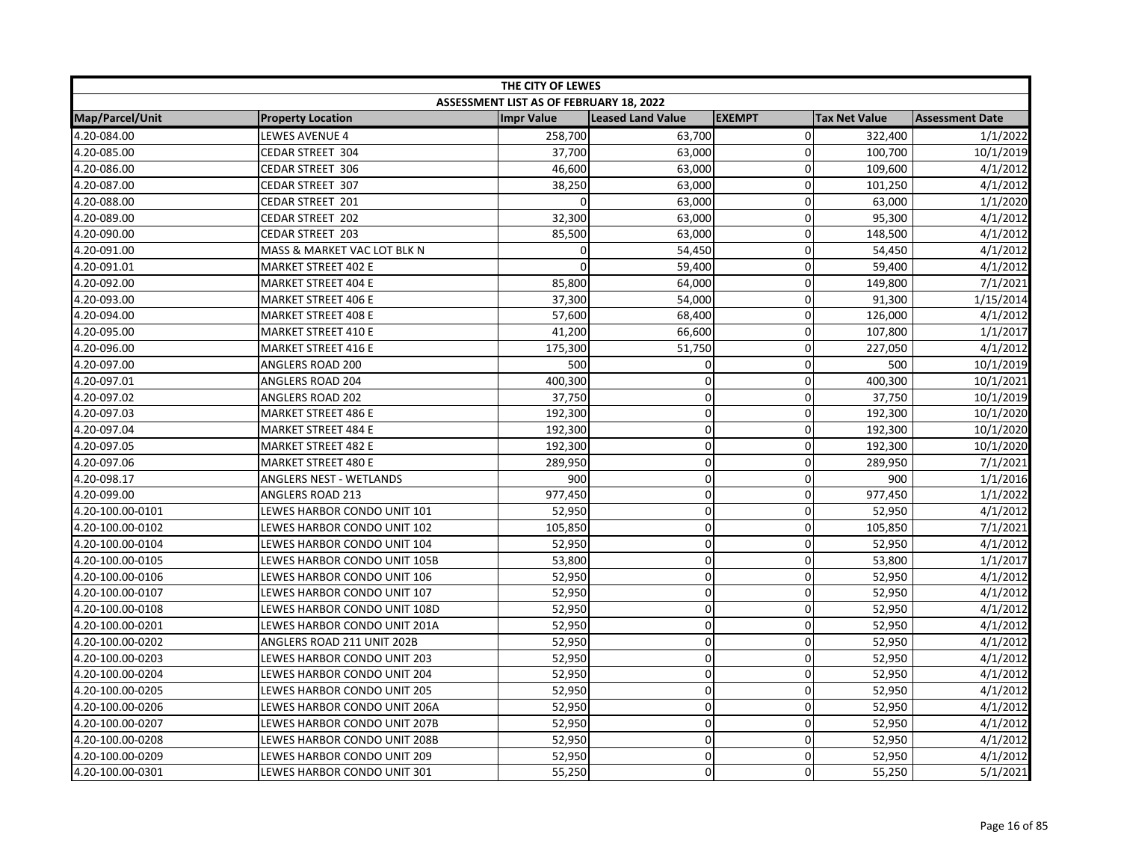| THE CITY OF LEWES |                              |                                         |                   |                |                      |                        |  |
|-------------------|------------------------------|-----------------------------------------|-------------------|----------------|----------------------|------------------------|--|
|                   |                              | ASSESSMENT LIST AS OF FEBRUARY 18, 2022 |                   |                |                      |                        |  |
| Map/Parcel/Unit   | <b>Property Location</b>     | <b>Impr Value</b>                       | Leased Land Value | <b>EXEMPT</b>  | <b>Tax Net Value</b> | <b>Assessment Date</b> |  |
| 4.20-084.00       | <b>LEWES AVENUE 4</b>        | 258,700                                 | 63,700            | $\overline{0}$ | 322,400              | 1/1/2022               |  |
| 4.20-085.00       | CEDAR STREET 304             | 37,700                                  | 63,000            | $\mathbf{0}$   | 100,700              | 10/1/2019              |  |
| 4.20-086.00       | CEDAR STREET 306             | 46,600                                  | 63,000            | $\Omega$       | 109,600              | 4/1/2012               |  |
| 4.20-087.00       | CEDAR STREET 307             | 38,250                                  | 63,000            | 0              | 101,250              | 4/1/2012               |  |
| 4.20-088.00       | CEDAR STREET 201             |                                         | 63,000            | $\Omega$       | 63,000               | 1/1/2020               |  |
| 4.20-089.00       | CEDAR STREET 202             | 32,300                                  | 63,000            | 0              | 95,300               | 4/1/2012               |  |
| 4.20-090.00       | <b>CEDAR STREET 203</b>      | 85,500                                  | 63,000            | 0              | 148,500              | 4/1/2012               |  |
| 4.20-091.00       | MASS & MARKET VAC LOT BLK N  | $\Omega$                                | 54,450            | $\Omega$       | 54,450               | 4/1/2012               |  |
| 4.20-091.01       | <b>MARKET STREET 402 E</b>   | $\Omega$                                | 59,400            | 0              | 59,400               | 4/1/2012               |  |
| 4.20-092.00       | <b>MARKET STREET 404 E</b>   | 85,800                                  | 64,000            | 0              | 149,800              | 7/1/2021               |  |
| 4.20-093.00       | <b>MARKET STREET 406 E</b>   | 37,300                                  | 54,000            | $\Omega$       | 91,300               | 1/15/2014              |  |
| 4.20-094.00       | MARKET STREET 408 E          | 57,600                                  | 68.400            | $\Omega$       | 126,000              | 4/1/2012               |  |
| 4.20-095.00       | <b>MARKET STREET 410 E</b>   | 41,200                                  | 66,600            | $\Omega$       | 107,800              | 1/1/2017               |  |
| 4.20-096.00       | <b>MARKET STREET 416 E</b>   | 175,300                                 | 51,750            | 0              | 227,050              | 4/1/2012               |  |
| 4.20-097.00       | ANGLERS ROAD 200             | 500                                     | 0                 | 0              | 500                  | 10/1/2019              |  |
| 4.20-097.01       | ANGLERS ROAD 204             | 400,300                                 | $\mathbf 0$       | 0              | 400,300              | 10/1/2021              |  |
| 4.20-097.02       | <b>ANGLERS ROAD 202</b>      | 37,750                                  | $\pmb{0}$         | $\overline{0}$ | 37,750               | 10/1/2019              |  |
| 4.20-097.03       | <b>MARKET STREET 486 E</b>   | 192,300                                 | $\pmb{0}$         | 0              | 192,300              | 10/1/2020              |  |
| 4.20-097.04       | <b>MARKET STREET 484 E</b>   | 192,300                                 | $\pmb{0}$         | $\Omega$       | 192,300              | 10/1/2020              |  |
| 4.20-097.05       | <b>MARKET STREET 482 E</b>   | 192,300                                 | $\pmb{0}$         | $\Omega$       | 192,300              | 10/1/2020              |  |
| 4.20-097.06       | <b>MARKET STREET 480 E</b>   | 289,950                                 | $\mathbf 0$       | 0              | 289,950              | 7/1/2021               |  |
| 4.20-098.17       | ANGLERS NEST - WETLANDS      | 900                                     | $\mathbf 0$       | $\Omega$       | 900                  | 1/1/2016               |  |
| 4.20-099.00       | ANGLERS ROAD 213             | 977,450                                 | $\pmb{0}$         | 0              | 977,450              | 1/1/2022               |  |
| 4.20-100.00-0101  | LEWES HARBOR CONDO UNIT 101  | 52,950                                  | $\pmb{0}$         | $\overline{0}$ | 52,950               | 4/1/2012               |  |
| 4.20-100.00-0102  | LEWES HARBOR CONDO UNIT 102  | 105,850                                 | $\mathbf 0$       | 0              | 105,850              | 7/1/2021               |  |
| 4.20-100.00-0104  | LEWES HARBOR CONDO UNIT 104  | 52,950                                  | $\mathbf 0$       | $\mathbf 0$    | 52,950               | 4/1/2012               |  |
| 4.20-100.00-0105  | LEWES HARBOR CONDO UNIT 105B | 53,800                                  | $\mathbf 0$       | $\Omega$       | 53,800               | 1/1/2017               |  |
| 4.20-100.00-0106  | LEWES HARBOR CONDO UNIT 106  | 52,950                                  | $\pmb{0}$         | $\overline{0}$ | 52,950               | 4/1/2012               |  |
| 4.20-100.00-0107  | LEWES HARBOR CONDO UNIT 107  | 52,950                                  | $\mathbf 0$       | $\Omega$       | 52,950               | 4/1/2012               |  |
| 4.20-100.00-0108  | LEWES HARBOR CONDO UNIT 108D | 52,950                                  | $\mathbf 0$       | 0              | 52,950               | 4/1/2012               |  |
| 4.20-100.00-0201  | LEWES HARBOR CONDO UNIT 201A | 52,950                                  | $\mathbf 0$       | 0              | 52,950               | 4/1/2012               |  |
| 4.20-100.00-0202  | ANGLERS ROAD 211 UNIT 202B   | 52,950                                  | $\mathbf 0$       | 0              | 52,950               | 4/1/2012               |  |
| 4.20-100.00-0203  | LEWES HARBOR CONDO UNIT 203  | 52,950                                  | $\pmb{0}$         | 0              | 52,950               | 4/1/2012               |  |
| 4.20-100.00-0204  | LEWES HARBOR CONDO UNIT 204  | 52,950                                  | $\mathbf 0$       | 0              | 52,950               | 4/1/2012               |  |
| 4.20-100.00-0205  | LEWES HARBOR CONDO UNIT 205  | 52,950                                  | $\pmb{0}$         | $\overline{0}$ | 52,950               | 4/1/2012               |  |
| 4.20-100.00-0206  | LEWES HARBOR CONDO UNIT 206A | 52,950                                  | $\mathbf 0$       | $\Omega$       | 52,950               | 4/1/2012               |  |
| 4.20-100.00-0207  | LEWES HARBOR CONDO UNIT 207B | 52,950                                  | 0                 | 0              | 52,950               | 4/1/2012               |  |
| 4.20-100.00-0208  | LEWES HARBOR CONDO UNIT 208B | 52,950                                  | $\mathbf 0$       | 0              | 52,950               | 4/1/2012               |  |
| 4.20-100.00-0209  | LEWES HARBOR CONDO UNIT 209  | 52,950                                  | $\pmb{0}$         | $\overline{0}$ | 52,950               | 4/1/2012               |  |
| 4.20-100.00-0301  | LEWES HARBOR CONDO UNIT 301  | 55,250                                  | $\mathbf 0$       | $\Omega$       | 55,250               | 5/1/2021               |  |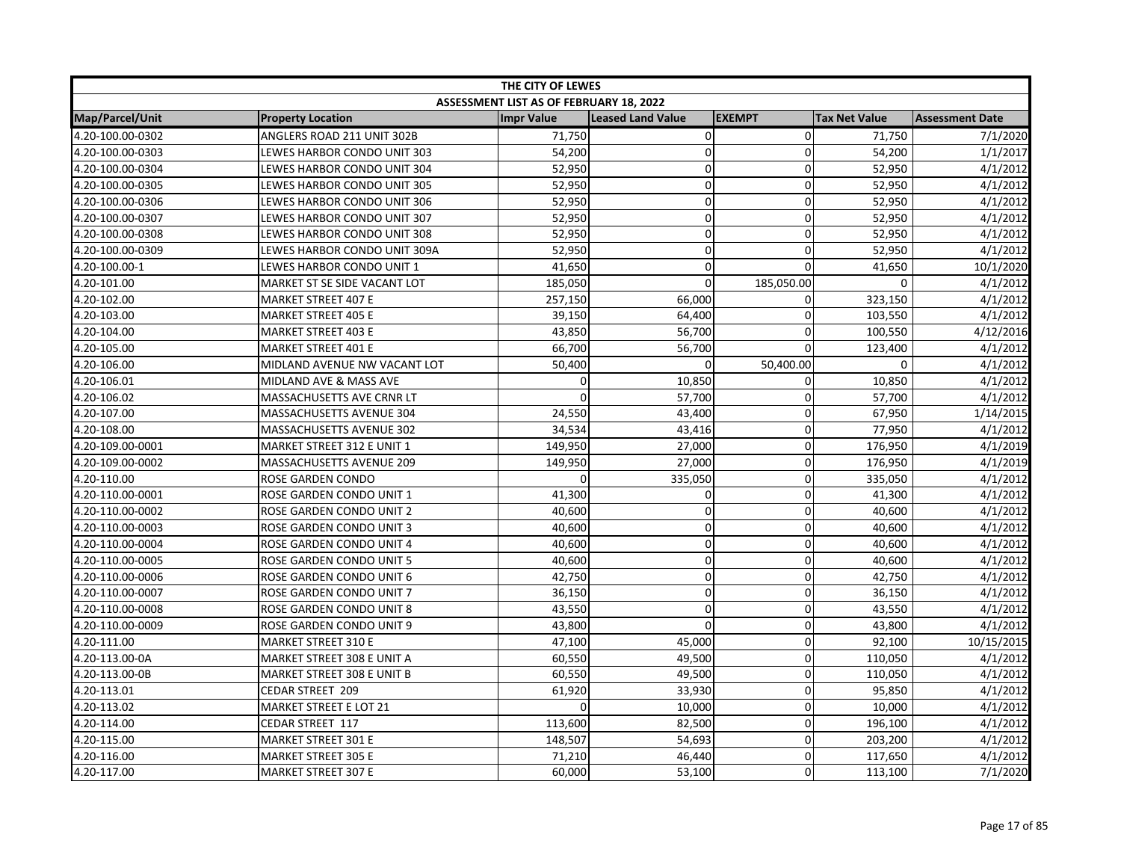| THE CITY OF LEWES |                               |                                         |                          |                |                      |                        |  |
|-------------------|-------------------------------|-----------------------------------------|--------------------------|----------------|----------------------|------------------------|--|
|                   |                               | ASSESSMENT LIST AS OF FEBRUARY 18, 2022 |                          |                |                      |                        |  |
| Map/Parcel/Unit   | <b>Property Location</b>      | <b>Impr Value</b>                       | <b>Leased Land Value</b> | <b>EXEMPT</b>  | <b>Tax Net Value</b> | <b>Assessment Date</b> |  |
| 4.20-100.00-0302  | ANGLERS ROAD 211 UNIT 302B    | 71,750                                  | $\mathbf 0$              | $\overline{0}$ | 71,750               | 7/1/2020               |  |
| 4.20-100.00-0303  | LEWES HARBOR CONDO UNIT 303   | 54,200                                  | $\pmb{0}$                | 0              | 54,200               | 1/1/2017               |  |
| 4.20-100.00-0304  | LEWES HARBOR CONDO UNIT 304   | 52,950                                  | $\mathbf 0$              | $\overline{0}$ | 52,950               | 4/1/2012               |  |
| 4.20-100.00-0305  | LEWES HARBOR CONDO UNIT 305   | 52,950                                  | $\mathbf 0$              | $\Omega$       | 52,950               | 4/1/2012               |  |
| 4.20-100.00-0306  | LEWES HARBOR CONDO UNIT 306   | 52,950                                  | 0                        | $\Omega$       | 52,950               | 4/1/2012               |  |
| 4.20-100.00-0307  | LEWES HARBOR CONDO UNIT 307   | 52,950                                  | $\pmb{0}$                | $\mathbf 0$    | 52,950               | 4/1/2012               |  |
| 4.20-100.00-0308  | LEWES HARBOR CONDO UNIT 308   | 52,950                                  | $\pmb{0}$                | 0              | 52,950               | 4/1/2012               |  |
| 4.20-100.00-0309  | LEWES HARBOR CONDO UNIT 309A  | 52,950                                  | $\pmb{0}$                | $\Omega$       | 52,950               | 4/1/2012               |  |
| 4.20-100.00-1     | LEWES HARBOR CONDO UNIT 1     | 41,650                                  | $\mathbf 0$              | 0              | 41,650               | 10/1/2020              |  |
| 4.20-101.00       | MARKET ST SE SIDE VACANT LOT  | 185,050                                 | $\mathbf 0$              | 185,050.00     | $\mathbf 0$          | 4/1/2012               |  |
| 4.20-102.00       | <b>MARKET STREET 407 E</b>    | 257,150                                 | 66,000                   | $\Omega$       | 323,150              | 4/1/2012               |  |
| 4.20-103.00       | <b>MARKET STREET 405 E</b>    | 39,150                                  | 64,400                   | 0              | 103,550              | 4/1/2012               |  |
| 4.20-104.00       | <b>MARKET STREET 403 E</b>    | 43,850                                  | 56,700                   | 0              | 100,550              | 4/12/2016              |  |
| 4.20-105.00       | <b>MARKET STREET 401 E</b>    | 66,700                                  | 56,700                   | 0              | 123,400              | 4/1/2012               |  |
| 4.20-106.00       | MIDLAND AVENUE NW VACANT LOT  | 50,400                                  | $\Omega$                 | 50,400.00      | $\Omega$             | 4/1/2012               |  |
| 4.20-106.01       | MIDLAND AVE & MASS AVE        | $\mathbf{0}$                            | 10,850                   | 0              | 10,850               | 4/1/2012               |  |
| 4.20-106.02       | MASSACHUSETTS AVE CRNR LT     | $\Omega$                                | 57,700                   | $\mathbf 0$    | 57,700               | 4/1/2012               |  |
| 4.20-107.00       | MASSACHUSETTS AVENUE 304      | 24,550                                  | 43,400                   | 0              | 67,950               | 1/14/2015              |  |
| 4.20-108.00       | MASSACHUSETTS AVENUE 302      | 34,534                                  | 43,416                   | 0              | 77,950               | 4/1/2012               |  |
| 4.20-109.00-0001  | MARKET STREET 312 E UNIT 1    | 149,950                                 | 27,000                   | 0              | 176,950              | 4/1/2019               |  |
| 4.20-109.00-0002  | MASSACHUSETTS AVENUE 209      | 149,950                                 | 27,000                   | 0              | 176,950              | 4/1/2019               |  |
| 4.20-110.00       | ROSE GARDEN CONDO             | $\Omega$                                | 335,050                  | $\Omega$       | 335,050              | 4/1/2012               |  |
| 4.20-110.00-0001  | ROSE GARDEN CONDO UNIT 1      | 41,300                                  | 0                        | $\mathbf 0$    | 41,300               | 4/1/2012               |  |
| 4.20-110.00-0002  | ROSE GARDEN CONDO UNIT 2      | 40,600                                  | $\pmb{0}$                | $\mathbf 0$    | 40,600               | 4/1/2012               |  |
| 4.20-110.00-0003  | ROSE GARDEN CONDO UNIT 3      | 40,600                                  | $\mathbf 0$              | 0              | 40,600               | 4/1/2012               |  |
| 4.20-110.00-0004  | ROSE GARDEN CONDO UNIT 4      | 40,600                                  | $\pmb{0}$                | $\Omega$       | 40,600               | 4/1/2012               |  |
| 4.20-110.00-0005  | ROSE GARDEN CONDO UNIT 5      | 40,600                                  | $\mathbf 0$              | 0              | 40,600               | 4/1/2012               |  |
| 4.20-110.00-0006  | ROSE GARDEN CONDO UNIT 6      | 42,750                                  | $\mathbf 0$              | $\overline{0}$ | 42,750               | 4/1/2012               |  |
| 4.20-110.00-0007  | ROSE GARDEN CONDO UNIT 7      | 36,150                                  | $\mathbf 0$              | $\Omega$       | 36,150               | 4/1/2012               |  |
| 4.20-110.00-0008  | ROSE GARDEN CONDO UNIT 8      | 43,550                                  | $\mathbf 0$              | 0              | 43,550               | 4/1/2012               |  |
| 4.20-110.00-0009  | ROSE GARDEN CONDO UNIT 9      | 43,800                                  | $\pmb{0}$                | 0              | 43,800               | 4/1/2012               |  |
| 4.20-111.00       | <b>MARKET STREET 310 E</b>    | 47,100                                  | 45,000                   | 0              | 92,100               | 10/15/2015             |  |
| 4.20-113.00-0A    | MARKET STREET 308 E UNIT A    | 60,550                                  | 49,500                   | $\Omega$       | 110,050              | 4/1/2012               |  |
| 4.20-113.00-0B    | MARKET STREET 308 E UNIT B    | 60,550                                  | 49,500                   | 0              | 110,050              | 4/1/2012               |  |
| 4.20-113.01       | CEDAR STREET 209              | 61,920                                  | 33,930                   | $\mathbf 0$    | 95,850               | 4/1/2012               |  |
| 4.20-113.02       | <b>MARKET STREET E LOT 21</b> |                                         | 10,000                   | 0              | 10,000               | 4/1/2012               |  |
| 4.20-114.00       | CEDAR STREET 117              | 113,600                                 | 82,500                   | $\overline{0}$ | 196,100              | 4/1/2012               |  |
| 4.20-115.00       | <b>MARKET STREET 301 E</b>    | 148,507                                 | 54,693                   | 0              | 203,200              | 4/1/2012               |  |
| 4.20-116.00       | <b>MARKET STREET 305 E</b>    | 71,210                                  | 46,440                   | 0              | 117,650              | 4/1/2012               |  |
| 4.20-117.00       | <b>MARKET STREET 307 E</b>    | 60,000                                  | 53,100                   | $\Omega$       | 113,100              | 7/1/2020               |  |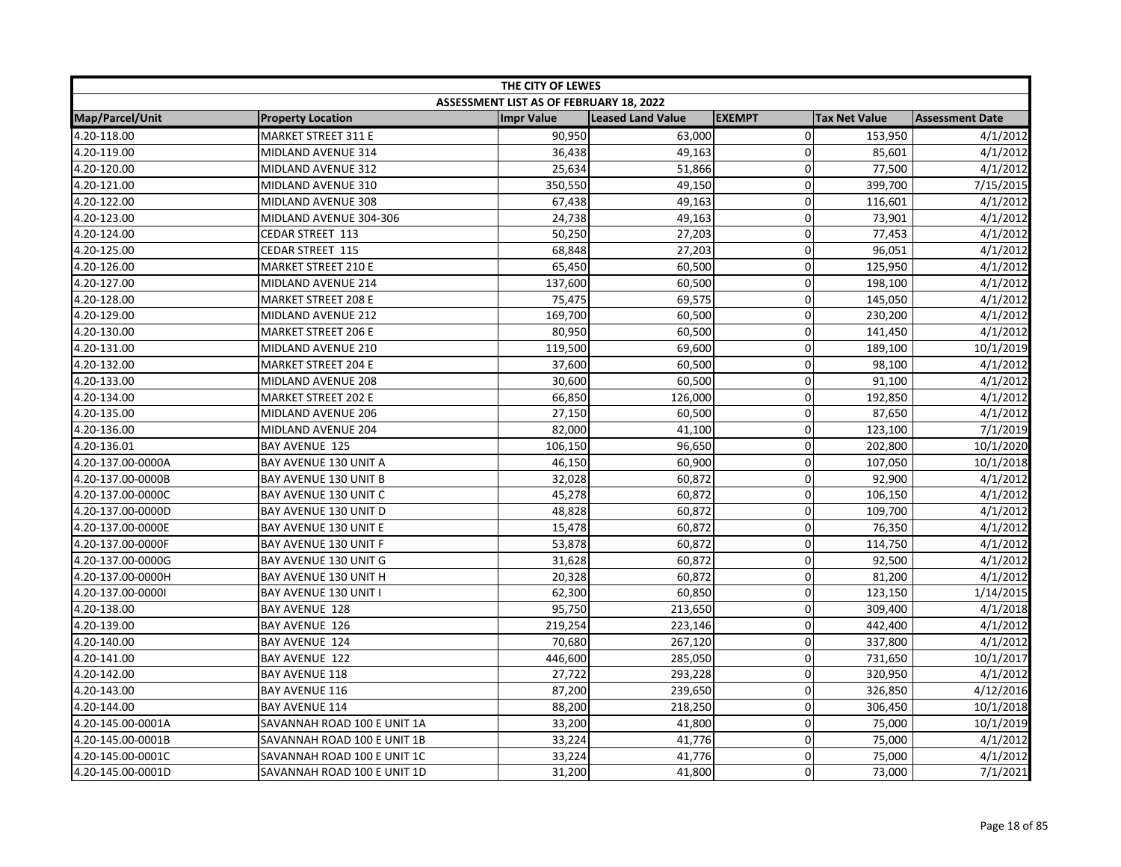| THE CITY OF LEWES |                             |                                         |                          |               |                      |                        |  |
|-------------------|-----------------------------|-----------------------------------------|--------------------------|---------------|----------------------|------------------------|--|
|                   |                             | ASSESSMENT LIST AS OF FEBRUARY 18, 2022 |                          |               |                      |                        |  |
| Map/Parcel/Unit   | <b>Property Location</b>    | <b>Impr Value</b>                       | <b>Leased Land Value</b> | <b>EXEMPT</b> | <b>Tax Net Value</b> | <b>Assessment Date</b> |  |
| 4.20-118.00       | MARKET STREET 311 E         | 90,950                                  | 63,000                   | $\mathbf 0$   | 153,950              | 4/1/2012               |  |
| 4.20-119.00       | MIDLAND AVENUE 314          | 36,438                                  | 49,163                   | $\Omega$      | 85,601               | 4/1/2012               |  |
| 4.20-120.00       | MIDLAND AVENUE 312          | 25,634                                  | 51,866                   | $\Omega$      | 77,500               | 4/1/2012               |  |
| 4.20-121.00       | MIDLAND AVENUE 310          | 350,550                                 | 49,150                   | $\mathbf 0$   | 399,700              | 7/15/2015              |  |
| 4.20-122.00       | MIDLAND AVENUE 308          | 67,438                                  | 49,163                   | 0             | 116,601              | 4/1/2012               |  |
| 4.20-123.00       | MIDLAND AVENUE 304-306      | 24,738                                  | 49,163                   | 0             | 73,901               | 4/1/2012               |  |
| 4.20-124.00       | CEDAR STREET 113            | 50,250                                  | 27,203                   | 0             | 77,453               | 4/1/2012               |  |
| 4.20-125.00       | CEDAR STREET 115            | 68,848                                  | 27,203                   | $\Omega$      | 96,051               | 4/1/2012               |  |
| 4.20-126.00       | <b>MARKET STREET 210 E</b>  | 65,450                                  | 60,500                   | 0             | 125,950              | 4/1/2012               |  |
| 4.20-127.00       | MIDLAND AVENUE 214          | 137,600                                 | 60,500                   | $\mathbf 0$   | 198,100              | 4/1/2012               |  |
| 4.20-128.00       | <b>MARKET STREET 208 E</b>  | 75,475                                  | 69,575                   | $\mathbf 0$   | 145,050              | 4/1/2012               |  |
| 4.20-129.00       | MIDLAND AVENUE 212          | 169,700                                 | 60,500                   | $\mathbf 0$   | 230,200              | 4/1/2012               |  |
| 4.20-130.00       | <b>MARKET STREET 206 E</b>  | 80,950                                  | 60,500                   | $\Omega$      | 141,450              | 4/1/2012               |  |
| 4.20-131.00       | MIDLAND AVENUE 210          | 119,500                                 | 69,600                   | 0             | 189,100              | 10/1/2019              |  |
| 4.20-132.00       | <b>MARKET STREET 204 E</b>  | 37,600                                  | 60,500                   | 0             | 98,100               | 4/1/2012               |  |
| 4.20-133.00       | MIDLAND AVENUE 208          | 30,600                                  | 60,500                   | 0             | 91,100               | 4/1/2012               |  |
| 4.20-134.00       | <b>MARKET STREET 202 E</b>  | 66,850                                  | 126,000                  | $\mathbf 0$   | 192,850              | 4/1/2012               |  |
| 4.20-135.00       | MIDLAND AVENUE 206          | 27,150                                  | 60,500                   | 0             | 87,650               | 4/1/2012               |  |
| 4.20-136.00       | MIDLAND AVENUE 204          | 82,000                                  | 41,100                   | 0             | 123,100              | 7/1/2019               |  |
| 4.20-136.01       | <b>BAY AVENUE 125</b>       | 106,150                                 | 96,650                   | 0             | 202,800              | 10/1/2020              |  |
| 4.20-137.00-0000A | BAY AVENUE 130 UNIT A       | 46,150                                  | 60,900                   | $\mathbf 0$   | 107,050              | 10/1/2018              |  |
| 4.20-137.00-0000B | BAY AVENUE 130 UNIT B       | 32,028                                  | 60,872                   | $\Omega$      | 92,900               | 4/1/2012               |  |
| 4.20-137.00-0000C | BAY AVENUE 130 UNIT C       | 45,278                                  | 60,872                   | 0             | 106,150              | 4/1/2012               |  |
| 4.20-137.00-0000D | BAY AVENUE 130 UNIT D       | 48,828                                  | 60,872                   | $\mathbf 0$   | 109,700              | 4/1/2012               |  |
| 4.20-137.00-0000E | BAY AVENUE 130 UNIT E       | 15,478                                  | 60,872                   | 0             | 76,350               | 4/1/2012               |  |
| 4.20-137.00-0000F | BAY AVENUE 130 UNIT F       | 53,878                                  | 60,872                   | 0             | 114,750              | 4/1/2012               |  |
| 4.20-137.00-0000G | BAY AVENUE 130 UNIT G       | 31,628                                  | 60,872                   | $\mathbf{0}$  | 92,500               | 4/1/2012               |  |
| 4.20-137.00-0000H | BAY AVENUE 130 UNIT H       | 20,328                                  | 60,872                   | $\mathbf 0$   | 81,200               | 4/1/2012               |  |
| 4.20-137.00-00001 | BAY AVENUE 130 UNIT I       | 62,300                                  | 60,850                   | 0             | 123,150              | 1/14/2015              |  |
| 4.20-138.00       | <b>BAY AVENUE 128</b>       | 95,750                                  | 213,650                  | $\Omega$      | 309,400              | 4/1/2018               |  |
| 4.20-139.00       | <b>BAY AVENUE 126</b>       | 219,254                                 | 223,146                  | 0             | 442,400              | 4/1/2012               |  |
| 4.20-140.00       | <b>BAY AVENUE 124</b>       | 70,680                                  | 267,120                  | 0             | 337,800              | 4/1/2012               |  |
| 4.20-141.00       | <b>BAY AVENUE 122</b>       | 446,600                                 | 285,050                  | 0             | 731,650              | 10/1/2017              |  |
| 4.20-142.00       | <b>BAY AVENUE 118</b>       | 27,722                                  | 293,228                  | $\mathbf 0$   | 320,950              | 4/1/2012               |  |
| 4.20-143.00       | <b>BAY AVENUE 116</b>       | 87,200                                  | 239,650                  | $\mathbf 0$   | 326,850              | 4/12/2016              |  |
| 4.20-144.00       | <b>BAY AVENUE 114</b>       | 88,200                                  | 218,250                  | $\mathbf{0}$  | 306,450              | 10/1/2018              |  |
| 4.20-145.00-0001A | SAVANNAH ROAD 100 E UNIT 1A | 33,200                                  | 41,800                   | 0             | 75,000               | 10/1/2019              |  |
| 4.20-145.00-0001B | SAVANNAH ROAD 100 E UNIT 1B | 33,224                                  | 41,776                   | 0             | 75,000               | 4/1/2012               |  |
| 4.20-145.00-0001C | SAVANNAH ROAD 100 E UNIT 1C | 33,224                                  | 41,776                   | 0             | 75,000               | 4/1/2012               |  |
| 4.20-145.00-0001D | SAVANNAH ROAD 100 E UNIT 1D | 31,200                                  | 41,800                   | $\Omega$      | 73,000               | 7/1/2021               |  |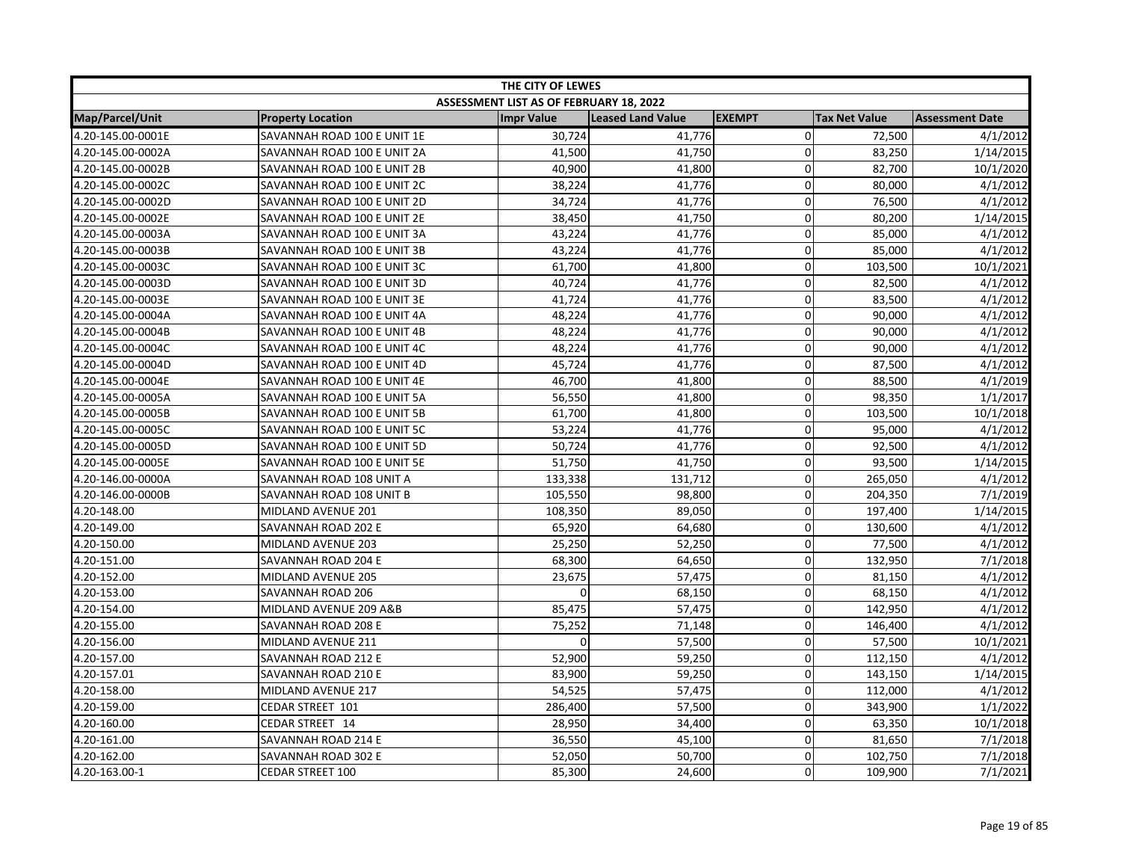| THE CITY OF LEWES      |                             |                                         |                   |                |                      |                        |  |
|------------------------|-----------------------------|-----------------------------------------|-------------------|----------------|----------------------|------------------------|--|
|                        |                             | ASSESSMENT LIST AS OF FEBRUARY 18, 2022 |                   |                |                      |                        |  |
| <b>Map/Parcel/Unit</b> | <b>Property Location</b>    | <b>Impr Value</b>                       | Leased Land Value | <b>EXEMPT</b>  | <b>Tax Net Value</b> | <b>Assessment Date</b> |  |
| 4.20-145.00-0001E      | SAVANNAH ROAD 100 E UNIT 1E | 30,724                                  | 41,776            | $\overline{0}$ | 72,500               | 4/1/2012               |  |
| 4.20-145.00-0002A      | SAVANNAH ROAD 100 E UNIT 2A | 41,500                                  | 41,750            | 0              | 83,250               | 1/14/2015              |  |
| 4.20-145.00-0002B      | SAVANNAH ROAD 100 E UNIT 2B | 40,900                                  | 41,800            | $\Omega$       | 82,700               | 10/1/2020              |  |
| 4.20-145.00-0002C      | SAVANNAH ROAD 100 E UNIT 2C | 38,224                                  | 41,776            | $\Omega$       | 80,000               | 4/1/2012               |  |
| 4.20-145.00-0002D      | SAVANNAH ROAD 100 E UNIT 2D | 34,724                                  | 41,776            | 0              | 76,500               | 4/1/2012               |  |
| 4.20-145.00-0002E      | SAVANNAH ROAD 100 E UNIT 2E | 38,450                                  | 41,750            | 0              | 80,200               | 1/14/2015              |  |
| 4.20-145.00-0003A      | SAVANNAH ROAD 100 E UNIT 3A | 43,224                                  | 41,776            | 0              | 85,000               | 4/1/2012               |  |
| 4.20-145.00-0003B      | SAVANNAH ROAD 100 E UNIT 3B | 43,224                                  | 41,776            | 0              | 85,000               | 4/1/2012               |  |
| 4.20-145.00-0003C      | SAVANNAH ROAD 100 E UNIT 3C | 61,700                                  | 41,800            | 0              | 103,500              | 10/1/2021              |  |
| 4.20-145.00-0003D      | SAVANNAH ROAD 100 E UNIT 3D | 40,724                                  | 41,776            | $\pmb{0}$      | 82,500               | 4/1/2012               |  |
| 4.20-145.00-0003E      | SAVANNAH ROAD 100 E UNIT 3E | 41,724                                  | 41,776            | 0              | 83,500               | 4/1/2012               |  |
| 4.20-145.00-0004A      | SAVANNAH ROAD 100 E UNIT 4A | 48,224                                  | 41,776            | $\Omega$       | 90,000               | 4/1/2012               |  |
| 4.20-145.00-0004B      | SAVANNAH ROAD 100 E UNIT 4B | 48,224                                  | 41,776            | 0              | 90,000               | 4/1/2012               |  |
| 4.20-145.00-0004C      | SAVANNAH ROAD 100 E UNIT 4C | 48,224                                  | 41,776            | $\mathbf 0$    | 90,000               | 4/1/2012               |  |
| 4.20-145.00-0004D      | SAVANNAH ROAD 100 E UNIT 4D | 45,724                                  | 41,776            | 0              | 87,500               | 4/1/2012               |  |
| 4.20-145.00-0004E      | SAVANNAH ROAD 100 E UNIT 4E | 46,700                                  | 41,800            | 0              | 88,500               | 4/1/2019               |  |
| 4.20-145.00-0005A      | SAVANNAH ROAD 100 E UNIT 5A | 56,550                                  | 41,800            | $\overline{0}$ | 98,350               | 1/1/2017               |  |
| 4.20-145.00-0005B      | SAVANNAH ROAD 100 E UNIT 5B | 61,700                                  | 41,800            | 0              | 103,500              | 10/1/2018              |  |
| 4.20-145.00-0005C      | SAVANNAH ROAD 100 E UNIT 5C | 53,224                                  | 41,776            | $\mathbf 0$    | 95,000               | 4/1/2012               |  |
| 4.20-145.00-0005D      | SAVANNAH ROAD 100 E UNIT 5D | 50,724                                  | 41,776            | $\Omega$       | 92,500               | 4/1/2012               |  |
| 4.20-145.00-0005E      | SAVANNAH ROAD 100 E UNIT 5E | 51,750                                  | 41,750            | $\overline{0}$ | 93,500               | 1/14/2015              |  |
| 4.20-146.00-0000A      | SAVANNAH ROAD 108 UNIT A    | 133,338                                 | 131,712           | 0              | 265,050              | 4/1/2012               |  |
| 4.20-146.00-0000B      | SAVANNAH ROAD 108 UNIT B    | 105,550                                 | 98,800            | 0              | 204,350              | 7/1/2019               |  |
| 4.20-148.00            | MIDLAND AVENUE 201          | 108,350                                 | 89,050            | 0              | 197,400              | 1/14/2015              |  |
| 4.20-149.00            | SAVANNAH ROAD 202 E         | 65,920                                  | 64,680            | 0              | 130,600              | 4/1/2012               |  |
| 4.20-150.00            | MIDLAND AVENUE 203          | 25,250                                  | 52,250            | 0              | 77,500               | 4/1/2012               |  |
| 4.20-151.00            | SAVANNAH ROAD 204 E         | 68,300                                  | 64,650            | 0              | 132,950              | 7/1/2018               |  |
| 4.20-152.00            | MIDLAND AVENUE 205          | 23,675                                  | 57,475            | $\mathbf 0$    | 81,150               | 4/1/2012               |  |
| 4.20-153.00            | <b>SAVANNAH ROAD 206</b>    |                                         | 68,150            | $\mathbf 0$    | 68,150               | 4/1/2012               |  |
| 4.20-154.00            | MIDLAND AVENUE 209 A&B      | 85,475                                  | 57,475            | $\Omega$       | 142,950              | 4/1/2012               |  |
| 4.20-155.00            | SAVANNAH ROAD 208 E         | 75,252                                  | 71,148            | $\Omega$       | 146,400              | 4/1/2012               |  |
| 4.20-156.00            | MIDLAND AVENUE 211          | $\Omega$                                | 57,500            | 0              | 57,500               | 10/1/2021              |  |
| 4.20-157.00            | SAVANNAH ROAD 212 E         | 52,900                                  | 59,250            | 0              | 112,150              | 4/1/2012               |  |
| 4.20-157.01            | SAVANNAH ROAD 210 E         | 83,900                                  | 59,250            | 0              | 143,150              | 1/14/2015              |  |
| 4.20-158.00            | MIDLAND AVENUE 217          | 54,525                                  | 57,475            | $\mathbf 0$    | 112,000              | 4/1/2012               |  |
| 4.20-159.00            | CEDAR STREET 101            | 286,400                                 | 57,500            | 0              | 343,900              | 1/1/2022               |  |
| 4.20-160.00            | CEDAR STREET 14             | 28,950                                  | 34,400            | 0              | 63,350               | 10/1/2018              |  |
| 4.20-161.00            | SAVANNAH ROAD 214 E         | 36,550                                  | 45,100            | 0              | 81,650               | 7/1/2018               |  |
| 4.20-162.00            | SAVANNAH ROAD 302 E         | 52,050                                  | 50,700            | $\overline{0}$ | 102,750              | 7/1/2018               |  |
| 4.20-163.00-1          | <b>CEDAR STREET 100</b>     | 85,300                                  | 24,600            | $\Omega$       | 109,900              | 7/1/2021               |  |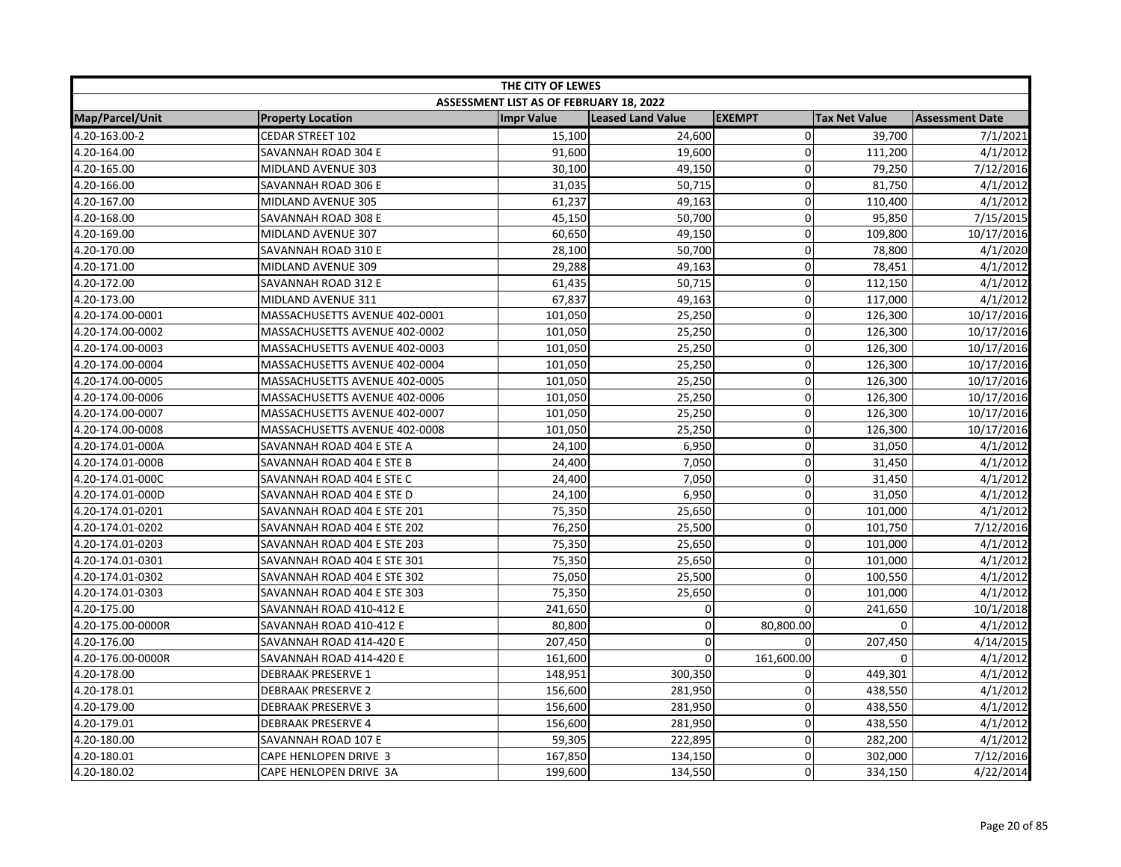| THE CITY OF LEWES |                               |                                                |                          |               |                      |                        |
|-------------------|-------------------------------|------------------------------------------------|--------------------------|---------------|----------------------|------------------------|
|                   |                               | <b>ASSESSMENT LIST AS OF FEBRUARY 18, 2022</b> |                          |               |                      |                        |
| Map/Parcel/Unit   | <b>Property Location</b>      | <b>Impr Value</b>                              | <b>Leased Land Value</b> | <b>EXEMPT</b> | <b>Tax Net Value</b> | <b>Assessment Date</b> |
| 4.20-163.00-2     | <b>CEDAR STREET 102</b>       | 15,100                                         | 24,600                   | $\mathbf 0$   | 39,700               | 7/1/2021               |
| 4.20-164.00       | SAVANNAH ROAD 304 E           | 91,600                                         | 19,600                   | $\mathbf 0$   | 111,200              | 4/1/2012               |
| 4.20-165.00       | MIDLAND AVENUE 303            | 30,100                                         | 49,150                   | $\pmb{0}$     | 79,250               | 7/12/2016              |
| 4.20-166.00       | SAVANNAH ROAD 306 E           | 31,035                                         | 50,715                   | $\mathbf 0$   | 81,750               | 4/1/2012               |
| 4.20-167.00       | MIDLAND AVENUE 305            | 61,237                                         | 49,163                   | $\mathbf 0$   | 110,400              | 4/1/2012               |
| 4.20-168.00       | SAVANNAH ROAD 308 E           | 45,150                                         | 50,700                   | $\mathbf 0$   | 95,850               | 7/15/2015              |
| 4.20-169.00       | MIDLAND AVENUE 307            | 60,650                                         | 49,150                   | $\mathbf 0$   | 109,800              | 10/17/2016             |
| 4.20-170.00       | SAVANNAH ROAD 310 E           | 28,100                                         | 50,700                   | $\mathbf 0$   | 78,800               | 4/1/2020               |
| 4.20-171.00       | MIDLAND AVENUE 309            | 29,288                                         | 49,163                   | $\mathbf 0$   | 78,451               | 4/1/2012               |
| 4.20-172.00       | SAVANNAH ROAD 312 E           | 61,435                                         | 50,715                   | $\mathbf 0$   | 112,150              | 4/1/2012               |
| 4.20-173.00       | MIDLAND AVENUE 311            | 67,837                                         | 49,163                   | $\mathbf 0$   | 117,000              | 4/1/2012               |
| 4.20-174.00-0001  | MASSACHUSETTS AVENUE 402-0001 | 101,050                                        | 25,250                   | $\pmb{0}$     | 126,300              | 10/17/2016             |
| 4.20-174.00-0002  | MASSACHUSETTS AVENUE 402-0002 | 101,050                                        | 25,250                   | $\mathbf 0$   | 126,300              | 10/17/2016             |
| 4.20-174.00-0003  | MASSACHUSETTS AVENUE 402-0003 | 101,050                                        | 25,250                   | $\mathbf 0$   | 126,300              | 10/17/2016             |
| 4.20-174.00-0004  | MASSACHUSETTS AVENUE 402-0004 | 101,050                                        | 25,250                   | 0             | 126,300              | 10/17/2016             |
| 4.20-174.00-0005  | MASSACHUSETTS AVENUE 402-0005 | 101,050                                        | 25,250                   | $\mathbf 0$   | 126,300              | 10/17/2016             |
| 4.20-174.00-0006  | MASSACHUSETTS AVENUE 402-0006 | 101,050                                        | 25,250                   | $\mathbf 0$   | 126,300              | 10/17/2016             |
| 4.20-174.00-0007  | MASSACHUSETTS AVENUE 402-0007 | 101,050                                        | 25,250                   | $\pmb{0}$     | 126,300              | 10/17/2016             |
| 4.20-174.00-0008  | MASSACHUSETTS AVENUE 402-0008 | 101,050                                        | 25,250                   | $\mathbf 0$   | 126,300              | 10/17/2016             |
| 4.20-174.01-000A  | SAVANNAH ROAD 404 E STE A     | 24,100                                         | 6,950                    | $\mathbf 0$   | 31,050               | 4/1/2012               |
| 4.20-174.01-000B  | SAVANNAH ROAD 404 E STE B     | 24,400                                         | 7,050                    | $\mathbf 0$   | 31,450               | 4/1/2012               |
| 4.20-174.01-000C  | SAVANNAH ROAD 404 E STE C     | 24,400                                         | 7,050                    | $\Omega$      | 31,450               | 4/1/2012               |
| 4.20-174.01-000D  | SAVANNAH ROAD 404 E STE D     | 24,100                                         | 6,950                    | $\mathbf 0$   | 31,050               | 4/1/2012               |
| 4.20-174.01-0201  | SAVANNAH ROAD 404 E STE 201   | 75,350                                         | 25,650                   | $\mathbf 0$   | 101,000              | 4/1/2012               |
| 4.20-174.01-0202  | SAVANNAH ROAD 404 E STE 202   | 76,250                                         | 25,500                   | $\mathbf 0$   | 101,750              | 7/12/2016              |
| 4.20-174.01-0203  | SAVANNAH ROAD 404 E STE 203   | 75,350                                         | 25,650                   | 0             | 101,000              | 4/1/2012               |
| 4.20-174.01-0301  | SAVANNAH ROAD 404 E STE 301   | 75,350                                         | 25,650                   | $\mathbf 0$   | 101,000              | 4/1/2012               |
| 4.20-174.01-0302  | SAVANNAH ROAD 404 E STE 302   | 75,050                                         | 25,500                   | $\mathbf 0$   | 100,550              | 4/1/2012               |
| 4.20-174.01-0303  | SAVANNAH ROAD 404 E STE 303   | 75,350                                         | 25,650                   | 0             | 101,000              | 4/1/2012               |
| 4.20-175.00       | SAVANNAH ROAD 410-412 E       | 241,650                                        | 0                        | $\Omega$      | 241,650              | 10/1/2018              |
| 4.20-175.00-0000R | SAVANNAH ROAD 410-412 E       | 80,800                                         | 0                        | 80,800.00     | 0                    | 4/1/2012               |
| 4.20-176.00       | SAVANNAH ROAD 414-420 E       | 207,450                                        | 0                        | $\mathbf{0}$  | 207,450              | 4/14/2015              |
| 4.20-176.00-0000R | SAVANNAH ROAD 414-420 E       | 161,600                                        | $\mathbf 0$              | 161,600.00    | 0                    | 4/1/2012               |
| 4.20-178.00       | <b>DEBRAAK PRESERVE 1</b>     | 148,951                                        | 300,350                  | $\mathbf 0$   | 449,301              | 4/1/2012               |
| 4.20-178.01       | <b>DEBRAAK PRESERVE 2</b>     | 156,600                                        | 281,950                  | $\mathbf 0$   | 438,550              | 4/1/2012               |
| 4.20-179.00       | <b>DEBRAAK PRESERVE 3</b>     | 156,600                                        | 281,950                  | $\mathbf 0$   | 438,550              | 4/1/2012               |
| 4.20-179.01       | <b>DEBRAAK PRESERVE 4</b>     | 156,600                                        | 281,950                  | $\mathbf 0$   | 438,550              | 4/1/2012               |
| 4.20-180.00       | SAVANNAH ROAD 107 E           | 59,305                                         | 222,895                  | $\mathbf 0$   | 282,200              | 4/1/2012               |
| 4.20-180.01       | CAPE HENLOPEN DRIVE 3         | 167,850                                        | 134,150                  | $\mathbf 0$   | 302,000              | 7/12/2016              |
| 4.20-180.02       | CAPE HENLOPEN DRIVE 3A        | 199,600                                        | 134,550                  | $\Omega$      | 334,150              | 4/22/2014              |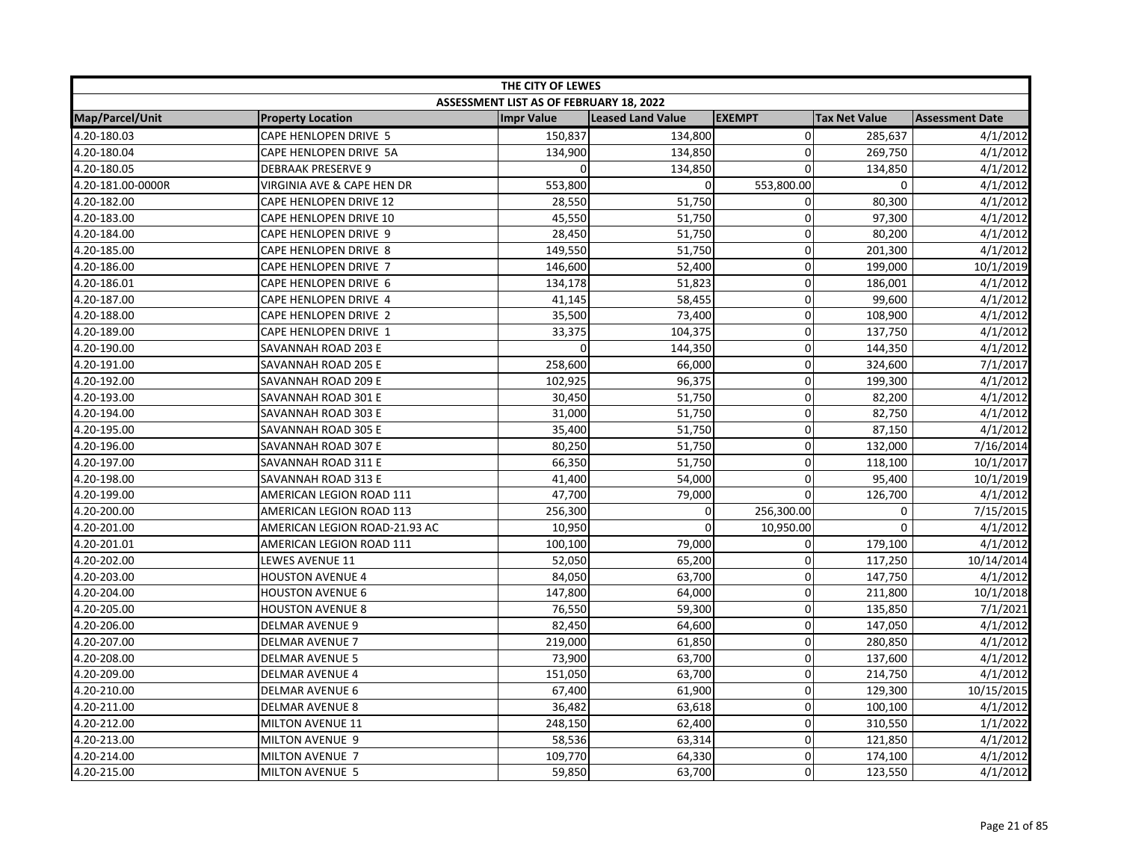| THE CITY OF LEWES |                               |                                         |                   |                |                      |                        |  |
|-------------------|-------------------------------|-----------------------------------------|-------------------|----------------|----------------------|------------------------|--|
|                   |                               | ASSESSMENT LIST AS OF FEBRUARY 18, 2022 |                   |                |                      |                        |  |
| Map/Parcel/Unit   | <b>Property Location</b>      | <b>Impr Value</b>                       | Leased Land Value | <b>EXEMPT</b>  | <b>Tax Net Value</b> | <b>Assessment Date</b> |  |
| 4.20-180.03       | <b>CAPE HENLOPEN DRIVE 5</b>  | 150,837                                 | 134,800           | $\overline{0}$ | 285,637              | 4/1/2012               |  |
| 4.20-180.04       | CAPE HENLOPEN DRIVE 5A        | 134,900                                 | 134,850           | $\mathbf 0$    | 269,750              | 4/1/2012               |  |
| 4.20-180.05       | <b>DEBRAAK PRESERVE 9</b>     | $\Omega$                                | 134,850           | $\Omega$       | 134,850              | 4/1/2012               |  |
| 4.20-181.00-0000R | VIRGINIA AVE & CAPE HEN DR    | 553,800                                 | $\Omega$          | 553,800.00     | 0                    | 4/1/2012               |  |
| 4.20-182.00       | CAPE HENLOPEN DRIVE 12        | 28,550                                  | 51,750            | 0              | 80,300               | 4/1/2012               |  |
| 4.20-183.00       | CAPE HENLOPEN DRIVE 10        | 45,550                                  | 51,750            | $\mathbf 0$    | 97,300               | 4/1/2012               |  |
| 4.20-184.00       | CAPE HENLOPEN DRIVE 9         | 28,450                                  | 51,750            | 0              | 80,200               | 4/1/2012               |  |
| 4.20-185.00       | CAPE HENLOPEN DRIVE 8         | 149,550                                 | 51,750            | $\Omega$       | 201,300              | 4/1/2012               |  |
| 4.20-186.00       | CAPE HENLOPEN DRIVE 7         | 146,600                                 | 52,400            | 0              | 199,000              | 10/1/2019              |  |
| 4.20-186.01       | CAPE HENLOPEN DRIVE 6         | 134,178                                 | 51,823            | $\mathbf 0$    | 186,001              | 4/1/2012               |  |
| 4.20-187.00       | CAPE HENLOPEN DRIVE 4         | 41,145                                  | 58,455            | $\Omega$       | 99,600               | 4/1/2012               |  |
| 4.20-188.00       | CAPE HENLOPEN DRIVE 2         | 35,500                                  | 73,400            | $\mathbf 0$    | 108,900              | 4/1/2012               |  |
| 4.20-189.00       | CAPE HENLOPEN DRIVE 1         | 33,375                                  | 104,375           | $\Omega$       | 137,750              | 4/1/2012               |  |
| 4.20-190.00       | SAVANNAH ROAD 203 E           | $\Omega$                                | 144,350           | 0              | 144,350              | 4/1/2012               |  |
| 4.20-191.00       | SAVANNAH ROAD 205 E           | 258,600                                 | 66,000            | 0              | 324,600              | 7/1/2017               |  |
| 4.20-192.00       | SAVANNAH ROAD 209 E           | 102,925                                 | 96,375            | 0              | 199,300              | 4/1/2012               |  |
| 4.20-193.00       | SAVANNAH ROAD 301 E           | 30,450                                  | 51,750            | $\mathbf 0$    | 82,200               | 4/1/2012               |  |
| 4.20-194.00       | SAVANNAH ROAD 303 E           | 31,000                                  | 51,750            | 0              | 82,750               | 4/1/2012               |  |
| 4.20-195.00       | SAVANNAH ROAD 305 E           | 35,400                                  | 51,750            | 0              | 87,150               | 4/1/2012               |  |
| 4.20-196.00       | SAVANNAH ROAD 307 E           | 80,250                                  | 51,750            | 0              | 132,000              | 7/16/2014              |  |
| 4.20-197.00       | SAVANNAH ROAD 311 E           | 66,350                                  | 51,750            | $\mathbf 0$    | 118,100              | 10/1/2017              |  |
| 4.20-198.00       | SAVANNAH ROAD 313 E           | 41,400                                  | 54,000            | $\Omega$       | 95,400               | 10/1/2019              |  |
| 4.20-199.00       | AMERICAN LEGION ROAD 111      | 47,700                                  | 79,000            | 0              | 126,700              | 4/1/2012               |  |
| 4.20-200.00       | AMERICAN LEGION ROAD 113      | 256,300                                 | 0                 | 256,300.00     | 0                    | 7/15/2015              |  |
| 4.20-201.00       | AMERICAN LEGION ROAD-21.93 AC | 10,950                                  | $\mathbf 0$       | 10,950.00      | $\mathbf 0$          | 4/1/2012               |  |
| 4.20-201.01       | AMERICAN LEGION ROAD 111      | 100,100                                 | 79,000            | 0              | 179,100              | 4/1/2012               |  |
| 4.20-202.00       | LEWES AVENUE 11               | 52,050                                  | 65,200            | $\mathbf{0}$   | 117,250              | 10/14/2014             |  |
| 4.20-203.00       | <b>HOUSTON AVENUE 4</b>       | 84,050                                  | 63,700            | $\mathbf 0$    | 147,750              | 4/1/2012               |  |
| 4.20-204.00       | <b>HOUSTON AVENUE 6</b>       | 147,800                                 | 64,000            | $\Omega$       | 211,800              | 10/1/2018              |  |
| 4.20-205.00       | <b>HOUSTON AVENUE 8</b>       | 76,550                                  | 59,300            | $\Omega$       | 135,850              | 7/1/2021               |  |
| 4.20-206.00       | <b>DELMAR AVENUE 9</b>        | 82,450                                  | 64,600            | $\mathbf 0$    | 147,050              | 4/1/2012               |  |
| 4.20-207.00       | <b>DELMAR AVENUE 7</b>        | 219,000                                 | 61,850            | 0              | 280,850              | 4/1/2012               |  |
| 4.20-208.00       | <b>DELMAR AVENUE 5</b>        | 73,900                                  | 63,700            | 0              | 137,600              | 4/1/2012               |  |
| 4.20-209.00       | <b>DELMAR AVENUE 4</b>        | 151,050                                 | 63,700            | $\mathbf 0$    | 214,750              | 4/1/2012               |  |
| 4.20-210.00       | <b>DELMAR AVENUE 6</b>        | 67,400                                  | 61,900            | $\mathbf 0$    | 129,300              | 10/15/2015             |  |
| 4.20-211.00       | <b>DELMAR AVENUE 8</b>        | 36,482                                  | 63,618            | $\mathbf{0}$   | 100,100              | 4/1/2012               |  |
| 4.20-212.00       | MILTON AVENUE 11              | 248,150                                 | 62,400            | 0              | 310,550              | 1/1/2022               |  |
| 4.20-213.00       | MILTON AVENUE 9               | 58,536                                  | 63,314            | 0              | 121,850              | 4/1/2012               |  |
| 4.20-214.00       | MILTON AVENUE 7               | 109,770                                 | 64,330            | 0              | 174,100              | 4/1/2012               |  |
| 4.20-215.00       | MILTON AVENUE 5               | 59,850                                  | 63,700            | $\Omega$       | 123,550              | 4/1/2012               |  |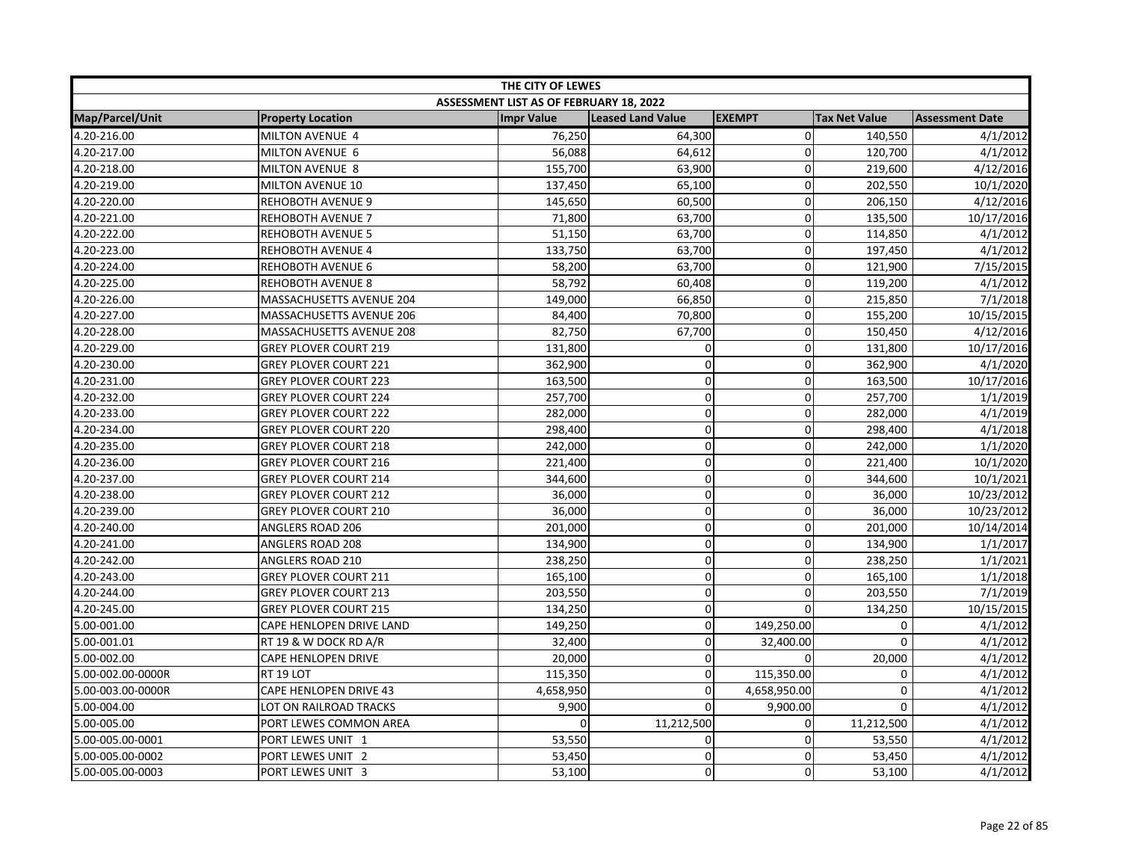| THE CITY OF LEWES |                              |                                         |                          |               |                      |                        |  |
|-------------------|------------------------------|-----------------------------------------|--------------------------|---------------|----------------------|------------------------|--|
|                   |                              | ASSESSMENT LIST AS OF FEBRUARY 18, 2022 |                          |               |                      |                        |  |
| Map/Parcel/Unit   | <b>Property Location</b>     | <b>Impr Value</b>                       | <b>Leased Land Value</b> | <b>EXEMPT</b> | <b>Tax Net Value</b> | <b>Assessment Date</b> |  |
| 4.20-216.00       | MILTON AVENUE 4              | 76,250                                  | 64,300                   | $\Omega$      | 140,550              | 4/1/2012               |  |
| 4.20-217.00       | MILTON AVENUE 6              | 56,088                                  | 64,612                   | $\Omega$      | 120,700              | 4/1/2012               |  |
| 4.20-218.00       | MILTON AVENUE 8              | 155,700                                 | 63,900                   | $\mathbf 0$   | 219,600              | 4/12/2016              |  |
| 4.20-219.00       | MILTON AVENUE 10             | 137,450                                 | 65,100                   | $\Omega$      | 202,550              | 10/1/2020              |  |
| 4.20-220.00       | <b>REHOBOTH AVENUE 9</b>     | 145,650                                 | 60,500                   | $\Omega$      | 206,150              | 4/12/2016              |  |
| 4.20-221.00       | <b>REHOBOTH AVENUE 7</b>     | 71,800                                  | 63,700                   | $\Omega$      | 135,500              | 10/17/2016             |  |
| 4.20-222.00       | <b>REHOBOTH AVENUE 5</b>     | 51,150                                  | 63,700                   | 0             | 114,850              | 4/1/2012               |  |
| 4.20-223.00       | <b>REHOBOTH AVENUE 4</b>     | 133,750                                 | 63,700                   | 0             | 197,450              | 4/1/2012               |  |
| 4.20-224.00       | REHOBOTH AVENUE 6            | 58,200                                  | 63,700                   | 0             | 121,900              | 7/15/2015              |  |
| 4.20-225.00       | <b>REHOBOTH AVENUE 8</b>     | 58,792                                  | 60,408                   | $\mathbf 0$   | 119,200              | 4/1/2012               |  |
| 4.20-226.00       | MASSACHUSETTS AVENUE 204     | 149,000                                 | 66,850                   | $\Omega$      | 215,850              | 7/1/2018               |  |
| 4.20-227.00       | MASSACHUSETTS AVENUE 206     | 84,400                                  | 70,800                   | 0             | 155,200              | 10/15/2015             |  |
| 4.20-228.00       | MASSACHUSETTS AVENUE 208     | 82,750                                  | 67,700                   | $\Omega$      | 150,450              | 4/12/2016              |  |
| 4.20-229.00       | <b>GREY PLOVER COURT 219</b> | 131,800                                 | 0                        | 0             | 131,800              | 10/17/2016             |  |
| 4.20-230.00       | <b>GREY PLOVER COURT 221</b> | 362,900                                 | $\Omega$                 | $\Omega$      | 362,900              | 4/1/2020               |  |
| 4.20-231.00       | <b>GREY PLOVER COURT 223</b> | 163,500                                 | $\mathbf 0$              | 0             | 163,500              | 10/17/2016             |  |
| 4.20-232.00       | GREY PLOVER COURT 224        | 257,700                                 | $\pmb{0}$                | $\mathbf 0$   | 257,700              | 1/1/2019               |  |
| 4.20-233.00       | <b>GREY PLOVER COURT 222</b> | 282,000                                 | $\overline{0}$           | $\mathbf 0$   | 282,000              | 4/1/2019               |  |
| 4.20-234.00       | <b>GREY PLOVER COURT 220</b> | 298,400                                 | $\pmb{0}$                | $\mathbf 0$   | 298,400              | 4/1/2018               |  |
| 4.20-235.00       | <b>GREY PLOVER COURT 218</b> | 242,000                                 | $\overline{0}$           | $\mathbf{0}$  | 242,000              | 1/1/2020               |  |
| 4.20-236.00       | GREY PLOVER COURT 216        | 221,400                                 | $\mathbf 0$              | $\mathbf 0$   | 221,400              | 10/1/2020              |  |
| 4.20-237.00       | <b>GREY PLOVER COURT 214</b> | 344,600                                 | $\mathbf 0$              | $\Omega$      | 344,600              | 10/1/2021              |  |
| 4.20-238.00       | <b>GREY PLOVER COURT 212</b> | 36,000                                  | $\mathbf 0$              | $\mathbf 0$   | 36,000               | 10/23/2012             |  |
| 4.20-239.00       | <b>GREY PLOVER COURT 210</b> | 36,000                                  | $\mathbf 0$              | $\mathbf 0$   | 36,000               | 10/23/2012             |  |
| 4.20-240.00       | ANGLERS ROAD 206             | 201,000                                 | $\pmb{0}$                | 0             | 201,000              | 10/14/2014             |  |
| 4.20-241.00       | ANGLERS ROAD 208             | 134,900                                 | $\mathbf 0$              | $\Omega$      | 134,900              | 1/1/2017               |  |
| 4.20-242.00       | ANGLERS ROAD 210             | 238,250                                 | $\mathbf 0$              | $\Omega$      | 238,250              | 1/1/2021               |  |
| 4.20-243.00       | GREY PLOVER COURT 211        | 165,100                                 | $\mathbf 0$              | $\Omega$      | 165,100              | 1/1/2018               |  |
| 4.20-244.00       | <b>GREY PLOVER COURT 213</b> | 203,550                                 | $\Omega$                 | $\Omega$      | 203,550              | 7/1/2019               |  |
| 4.20-245.00       | <b>GREY PLOVER COURT 215</b> | 134,250                                 | $\mathbf 0$              | $\Omega$      | 134,250              | 10/15/2015             |  |
| 5.00-001.00       | CAPE HENLOPEN DRIVE LAND     | 149,250                                 | $\mathbf 0$              | 149,250.00    | 0                    | 4/1/2012               |  |
| 5.00-001.01       | RT 19 & W DOCK RD A/R        | 32,400                                  | $\mathbf 0$              | 32,400.00     | $\mathbf 0$          | 4/1/2012               |  |
| 5.00-002.00       | CAPE HENLOPEN DRIVE          | 20,000                                  | $\pmb{0}$                | $\Omega$      | 20,000               | 4/1/2012               |  |
| 5.00-002.00-0000R | RT 19 LOT                    | 115,350                                 | $\mathbf 0$              | 115,350.00    | 0                    | 4/1/2012               |  |
| 5.00-003.00-0000R | CAPE HENLOPEN DRIVE 43       | 4,658,950                               | $\pmb{0}$                | 4,658,950.00  | $\mathbf 0$          | 4/1/2012               |  |
| 5.00-004.00       | LOT ON RAILROAD TRACKS       | 9,900                                   | $\Omega$                 | 9,900.00      | $\Omega$             | 4/1/2012               |  |
| 5.00-005.00       | PORT LEWES COMMON AREA       | $\Omega$                                | 11,212,500               | $\Omega$      | 11,212,500           | 4/1/2012               |  |
| 5.00-005.00-0001  | PORT LEWES UNIT 1            | 53,550                                  | $\Omega$                 | 0             | 53,550               | 4/1/2012               |  |
| 5.00-005.00-0002  | PORT LEWES UNIT 2            | 53,450                                  | $\mathbf 0$              | 0             | 53,450               | 4/1/2012               |  |
| 5.00-005.00-0003  | PORT LEWES UNIT 3            | 53,100                                  | 0                        | $\Omega$      | 53,100               | 4/1/2012               |  |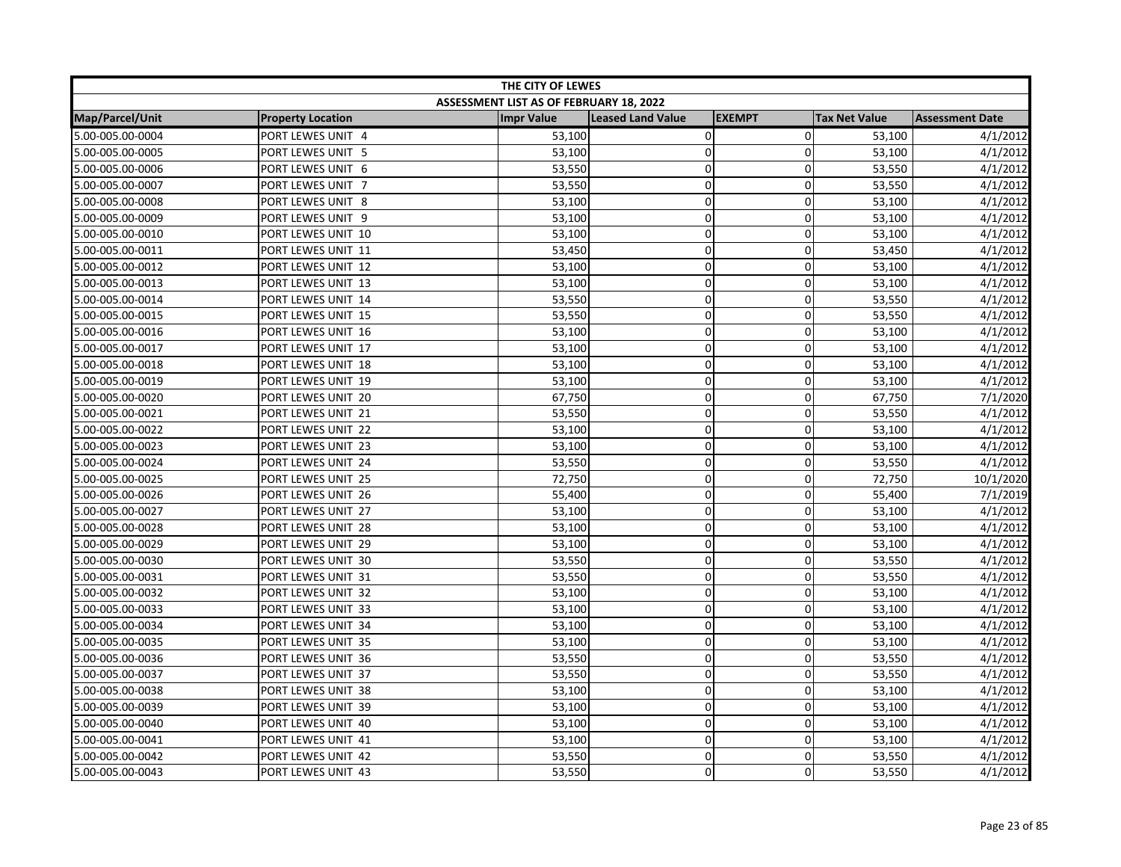| THE CITY OF LEWES |                          |                                         |                   |               |                      |                        |  |
|-------------------|--------------------------|-----------------------------------------|-------------------|---------------|----------------------|------------------------|--|
|                   |                          | ASSESSMENT LIST AS OF FEBRUARY 18, 2022 |                   |               |                      |                        |  |
| Map/Parcel/Unit   | <b>Property Location</b> | <b>Impr Value</b>                       | Leased Land Value | <b>EXEMPT</b> | <b>Tax Net Value</b> | <b>Assessment Date</b> |  |
| 5.00-005.00-0004  | PORT LEWES UNIT 4        | 53,100                                  | $\pmb{0}$         | $\Omega$      | 53,100               | 4/1/2012               |  |
| 5.00-005.00-0005  | PORT LEWES UNIT 5        | 53,100                                  | $\mathbf 0$       | $\Omega$      | 53,100               | 4/1/2012               |  |
| 5.00-005.00-0006  | PORT LEWES UNIT 6        | 53,550                                  | $\mathbf 0$       | $\Omega$      | 53,550               | 4/1/2012               |  |
| 5.00-005.00-0007  | PORT LEWES UNIT 7        | 53,550                                  | $\overline{0}$    | 0             | 53,550               | 4/1/2012               |  |
| 5.00-005.00-0008  | PORT LEWES UNIT 8        | 53,100                                  | $\mathbf 0$       | 0             | 53,100               | 4/1/2012               |  |
| 5.00-005.00-0009  | PORT LEWES UNIT 9        | 53,100                                  | $\mathbf 0$       | 0             | 53,100               | 4/1/2012               |  |
| 5.00-005.00-0010  | PORT LEWES UNIT 10       | 53,100                                  | $\mathbf 0$       | 0             | 53,100               | 4/1/2012               |  |
| 5.00-005.00-0011  | PORT LEWES UNIT 11       | 53,450                                  | $\overline{0}$    | $\Omega$      | 53,450               | 4/1/2012               |  |
| 5.00-005.00-0012  | PORT LEWES UNIT 12       | 53,100                                  | $\mathbf 0$       | 0             | 53,100               | 4/1/2012               |  |
| 5.00-005.00-0013  | PORT LEWES UNIT 13       | 53,100                                  | $\pmb{0}$         | $\mathbf 0$   | 53,100               | 4/1/2012               |  |
| 5.00-005.00-0014  | PORT LEWES UNIT 14       | 53,550                                  | $\mathbf 0$       | $\Omega$      | 53,550               | 4/1/2012               |  |
| 5.00-005.00-0015  | PORT LEWES UNIT 15       | 53,550                                  | $\mathbf 0$       | $\mathbf 0$   | 53,550               | 4/1/2012               |  |
| 5.00-005.00-0016  | PORT LEWES UNIT 16       | 53,100                                  | 0                 | $\Omega$      | 53,100               | 4/1/2012               |  |
| 5.00-005.00-0017  | PORT LEWES UNIT 17       | 53,100                                  | $\pmb{0}$         | 0             | 53,100               | 4/1/2012               |  |
| 5.00-005.00-0018  | PORT LEWES UNIT 18       | 53,100                                  | $\overline{0}$    | 0             | 53,100               | 4/1/2012               |  |
| 5.00-005.00-0019  | PORT LEWES UNIT 19       | 53,100                                  | $\mathbf 0$       | 0             | 53,100               | 4/1/2012               |  |
| 5.00-005.00-0020  | PORT LEWES UNIT 20       | 67,750                                  | $\mathbf 0$       | $\mathbf 0$   | 67,750               | 7/1/2020               |  |
| 5.00-005.00-0021  | PORT LEWES UNIT 21       | 53,550                                  | $\mathbf 0$       | 0             | 53,550               | 4/1/2012               |  |
| 5.00-005.00-0022  | PORT LEWES UNIT 22       | 53,100                                  | $\pmb{0}$         | 0             | 53,100               | 4/1/2012               |  |
| 5.00-005.00-0023  | PORT LEWES UNIT 23       | 53,100                                  | $\mathbf 0$       | $\Omega$      | 53,100               | 4/1/2012               |  |
| 5.00-005.00-0024  | PORT LEWES UNIT 24       | 53,550                                  | $\pmb{0}$         | $\mathbf 0$   | 53,550               | 4/1/2012               |  |
| 5.00-005.00-0025  | PORT LEWES UNIT 25       | 72,750                                  | $\mathbf 0$       | $\Omega$      | 72,750               | 10/1/2020              |  |
| 5.00-005.00-0026  | PORT LEWES UNIT 26       | 55,400                                  | $\pmb{0}$         | 0             | 55,400               | 7/1/2019               |  |
| 5.00-005.00-0027  | PORT LEWES UNIT 27       | 53,100                                  | $\pmb{0}$         | $\mathbf 0$   | 53,100               | 4/1/2012               |  |
| 5.00-005.00-0028  | PORT LEWES UNIT 28       | 53,100                                  | $\mathbf 0$       | 0             | 53,100               | 4/1/2012               |  |
| 5.00-005.00-0029  | PORT LEWES UNIT 29       | 53,100                                  | $\pmb{0}$         | $\mathbf 0$   | 53,100               | 4/1/2012               |  |
| 5.00-005.00-0030  | PORT LEWES UNIT 30       | 53,550                                  | $\mathbf 0$       | $\Omega$      | 53,550               | 4/1/2012               |  |
| 5.00-005.00-0031  | PORT LEWES UNIT 31       | 53,550                                  | $\pmb{0}$         | $\mathbf 0$   | 53,550               | 4/1/2012               |  |
| 5.00-005.00-0032  | PORT LEWES UNIT 32       | 53,100                                  | $\mathbf 0$       | $\Omega$      | 53,100               | 4/1/2012               |  |
| 5.00-005.00-0033  | PORT LEWES UNIT 33       | 53,100                                  | $\mathbf 0$       | $\Omega$      | 53,100               | 4/1/2012               |  |
| 5.00-005.00-0034  | PORT LEWES UNIT 34       | 53,100                                  | $\mathbf 0$       | $\mathbf 0$   | 53,100               | 4/1/2012               |  |
| 5.00-005.00-0035  | PORT LEWES UNIT 35       | 53,100                                  | $\mathbf 0$       | 0             | 53,100               | 4/1/2012               |  |
| 5.00-005.00-0036  | PORT LEWES UNIT 36       | 53,550                                  | $\pmb{0}$         | 0             | 53,550               | 4/1/2012               |  |
| 5.00-005.00-0037  | PORT LEWES UNIT 37       | 53,550                                  | $\mathbf 0$       | 0             | 53,550               | 4/1/2012               |  |
| 5.00-005.00-0038  | PORT LEWES UNIT 38       | 53,100                                  | $\pmb{0}$         | $\mathbf 0$   | 53,100               | 4/1/2012               |  |
| 5.00-005.00-0039  | PORT LEWES UNIT 39       | 53,100                                  | $\mathbf 0$       | $\mathbf{0}$  | 53,100               | 4/1/2012               |  |
| 5.00-005.00-0040  | PORT LEWES UNIT 40       | 53,100                                  | 0                 | $\mathbf 0$   | 53,100               | 4/1/2012               |  |
| 5.00-005.00-0041  | PORT LEWES UNIT 41       | 53,100                                  | 0                 | 0             | 53,100               | 4/1/2012               |  |
| 5.00-005.00-0042  | PORT LEWES UNIT 42       | 53,550                                  | $\pmb{0}$         | 0             | 53,550               | 4/1/2012               |  |
| 5.00-005.00-0043  | PORT LEWES UNIT 43       | 53,550                                  | 0                 | $\Omega$      | 53,550               | 4/1/2012               |  |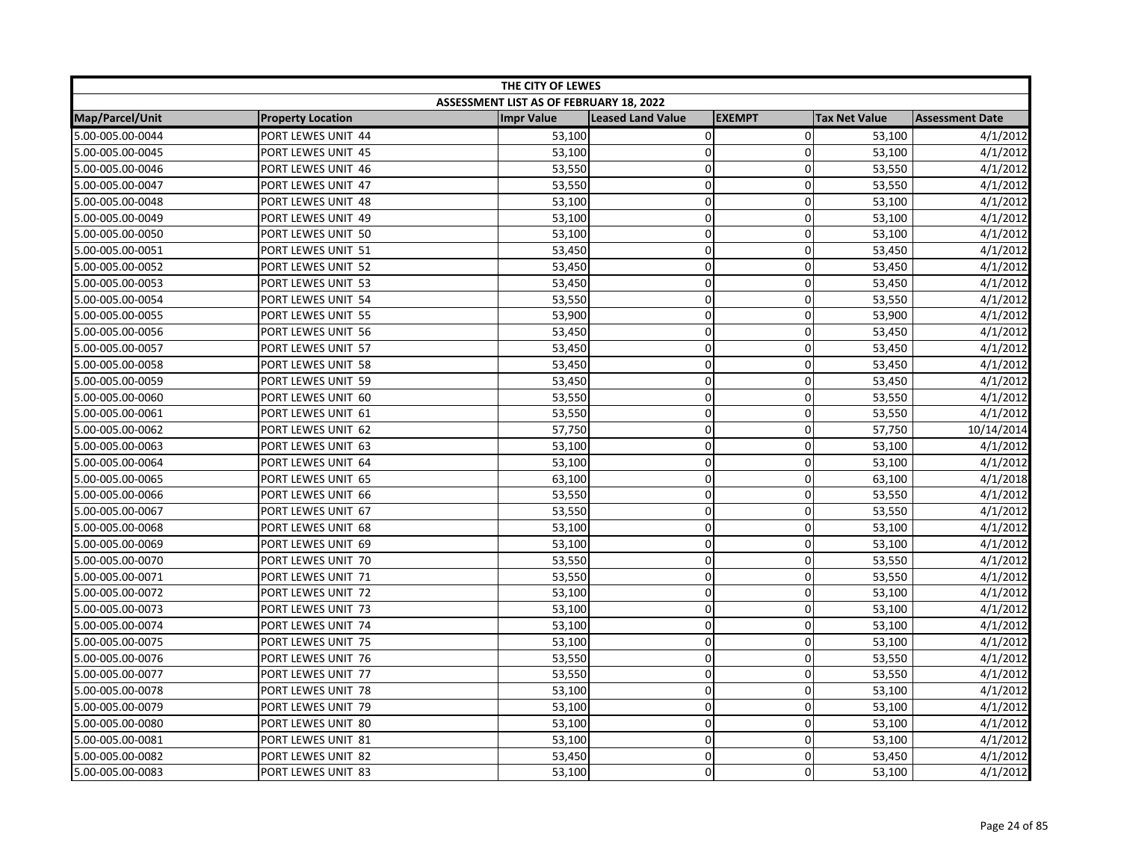| THE CITY OF LEWES |                          |                                         |                   |               |                      |                        |  |
|-------------------|--------------------------|-----------------------------------------|-------------------|---------------|----------------------|------------------------|--|
|                   |                          | ASSESSMENT LIST AS OF FEBRUARY 18, 2022 |                   |               |                      |                        |  |
| Map/Parcel/Unit   | <b>Property Location</b> | <b>Impr Value</b>                       | Leased Land Value | <b>EXEMPT</b> | <b>Tax Net Value</b> | <b>Assessment Date</b> |  |
| 5.00-005.00-0044  | PORT LEWES UNIT 44       | 53,100                                  | $\pmb{0}$         | $\Omega$      | 53,100               | 4/1/2012               |  |
| 5.00-005.00-0045  | PORT LEWES UNIT 45       | 53,100                                  | $\mathbf 0$       | $\Omega$      | 53,100               | 4/1/2012               |  |
| 5.00-005.00-0046  | PORT LEWES UNIT 46       | 53,550                                  | $\mathbf 0$       | $\Omega$      | 53,550               | 4/1/2012               |  |
| 5.00-005.00-0047  | PORT LEWES UNIT 47       | 53,550                                  | $\overline{0}$    | 0             | 53,550               | 4/1/2012               |  |
| 5.00-005.00-0048  | PORT LEWES UNIT 48       | 53,100                                  | $\mathbf 0$       | 0             | 53,100               | 4/1/2012               |  |
| 5.00-005.00-0049  | PORT LEWES UNIT 49       | 53,100                                  | $\mathbf 0$       | 0             | 53,100               | 4/1/2012               |  |
| 5.00-005.00-0050  | PORT LEWES UNIT 50       | 53,100                                  | $\mathbf 0$       | 0             | 53,100               | 4/1/2012               |  |
| 5.00-005.00-0051  | PORT LEWES UNIT 51       | 53,450                                  | $\overline{0}$    | $\Omega$      | 53,450               | 4/1/2012               |  |
| 5.00-005.00-0052  | PORT LEWES UNIT 52       | 53,450                                  | $\mathbf 0$       | 0             | 53,450               | 4/1/2012               |  |
| 5.00-005.00-0053  | PORT LEWES UNIT 53       | 53,450                                  | $\pmb{0}$         | $\mathbf 0$   | 53,450               | 4/1/2012               |  |
| 5.00-005.00-0054  | PORT LEWES UNIT 54       | 53,550                                  | $\mathbf 0$       | $\Omega$      | 53,550               | 4/1/2012               |  |
| 5.00-005.00-0055  | PORT LEWES UNIT 55       | 53,900                                  | $\mathbf 0$       | $\mathbf 0$   | 53,900               | 4/1/2012               |  |
| 5.00-005.00-0056  | PORT LEWES UNIT 56       | 53,450                                  | 0                 | $\Omega$      | 53,450               | 4/1/2012               |  |
| 5.00-005.00-0057  | PORT LEWES UNIT 57       | 53,450                                  | $\pmb{0}$         | 0             | 53,450               | 4/1/2012               |  |
| 5.00-005.00-0058  | PORT LEWES UNIT 58       | 53,450                                  | $\overline{0}$    | 0             | 53,450               | 4/1/2012               |  |
| 5.00-005.00-0059  | PORT LEWES UNIT 59       | 53,450                                  | $\mathbf 0$       | 0             | 53,450               | 4/1/2012               |  |
| 5.00-005.00-0060  | PORT LEWES UNIT 60       | 53,550                                  | $\mathbf 0$       | $\mathbf 0$   | 53,550               | 4/1/2012               |  |
| 5.00-005.00-0061  | PORT LEWES UNIT 61       | 53,550                                  | $\mathbf 0$       | 0             | 53,550               | 4/1/2012               |  |
| 5.00-005.00-0062  | PORT LEWES UNIT 62       | 57,750                                  | $\pmb{0}$         | 0             | 57,750               | 10/14/2014             |  |
| 5.00-005.00-0063  | PORT LEWES UNIT 63       | 53,100                                  | $\mathbf 0$       | $\Omega$      | 53,100               | 4/1/2012               |  |
| 5.00-005.00-0064  | PORT LEWES UNIT 64       | 53,100                                  | $\pmb{0}$         | $\mathbf 0$   | 53,100               | 4/1/2012               |  |
| 5.00-005.00-0065  | PORT LEWES UNIT 65       | 63,100                                  | $\mathbf 0$       | $\Omega$      | 63,100               | 4/1/2018               |  |
| 5.00-005.00-0066  | PORT LEWES UNIT 66       | 53,550                                  | $\pmb{0}$         | 0             | 53,550               | 4/1/2012               |  |
| 5.00-005.00-0067  | PORT LEWES UNIT 67       | 53,550                                  | $\pmb{0}$         | $\mathbf 0$   | 53,550               | 4/1/2012               |  |
| 5.00-005.00-0068  | PORT LEWES UNIT 68       | 53,100                                  | $\mathbf 0$       | 0             | 53,100               | 4/1/2012               |  |
| 5.00-005.00-0069  | PORT LEWES UNIT 69       | 53,100                                  | $\pmb{0}$         | $\mathbf 0$   | 53,100               | 4/1/2012               |  |
| 5.00-005.00-0070  | PORT LEWES UNIT 70       | 53,550                                  | $\mathbf 0$       | $\Omega$      | 53,550               | 4/1/2012               |  |
| 5.00-005.00-0071  | PORT LEWES UNIT 71       | 53,550                                  | $\pmb{0}$         | $\mathbf 0$   | 53,550               | 4/1/2012               |  |
| 5.00-005.00-0072  | PORT LEWES UNIT 72       | 53,100                                  | $\mathbf 0$       | $\Omega$      | 53,100               | 4/1/2012               |  |
| 5.00-005.00-0073  | PORT LEWES UNIT 73       | 53,100                                  | $\mathbf 0$       | $\Omega$      | 53,100               | 4/1/2012               |  |
| 5.00-005.00-0074  | PORT LEWES UNIT 74       | 53,100                                  | $\mathbf 0$       | $\mathbf 0$   | 53,100               | 4/1/2012               |  |
| 5.00-005.00-0075  | PORT LEWES UNIT 75       | 53,100                                  | $\mathbf 0$       | 0             | 53,100               | 4/1/2012               |  |
| 5.00-005.00-0076  | PORT LEWES UNIT 76       | 53,550                                  | $\pmb{0}$         | 0             | 53,550               | 4/1/2012               |  |
| 5.00-005.00-0077  | PORT LEWES UNIT 77       | 53,550                                  | $\mathbf 0$       | 0             | 53,550               | 4/1/2012               |  |
| 5.00-005.00-0078  | PORT LEWES UNIT 78       | 53,100                                  | $\pmb{0}$         | $\mathbf 0$   | 53,100               | 4/1/2012               |  |
| 5.00-005.00-0079  | PORT LEWES UNIT 79       | 53,100                                  | $\mathbf 0$       | $\mathbf{0}$  | 53,100               | 4/1/2012               |  |
| 5.00-005.00-0080  | PORT LEWES UNIT 80       | 53,100                                  | 0                 | $\mathbf 0$   | 53,100               | 4/1/2012               |  |
| 5.00-005.00-0081  | PORT LEWES UNIT 81       | 53,100                                  | 0                 | 0             | 53,100               | 4/1/2012               |  |
| 5.00-005.00-0082  | PORT LEWES UNIT 82       | 53,450                                  | $\pmb{0}$         | 0             | 53,450               | 4/1/2012               |  |
| 5.00-005.00-0083  | PORT LEWES UNIT 83       | 53,100                                  | 0                 | $\Omega$      | 53,100               | 4/1/2012               |  |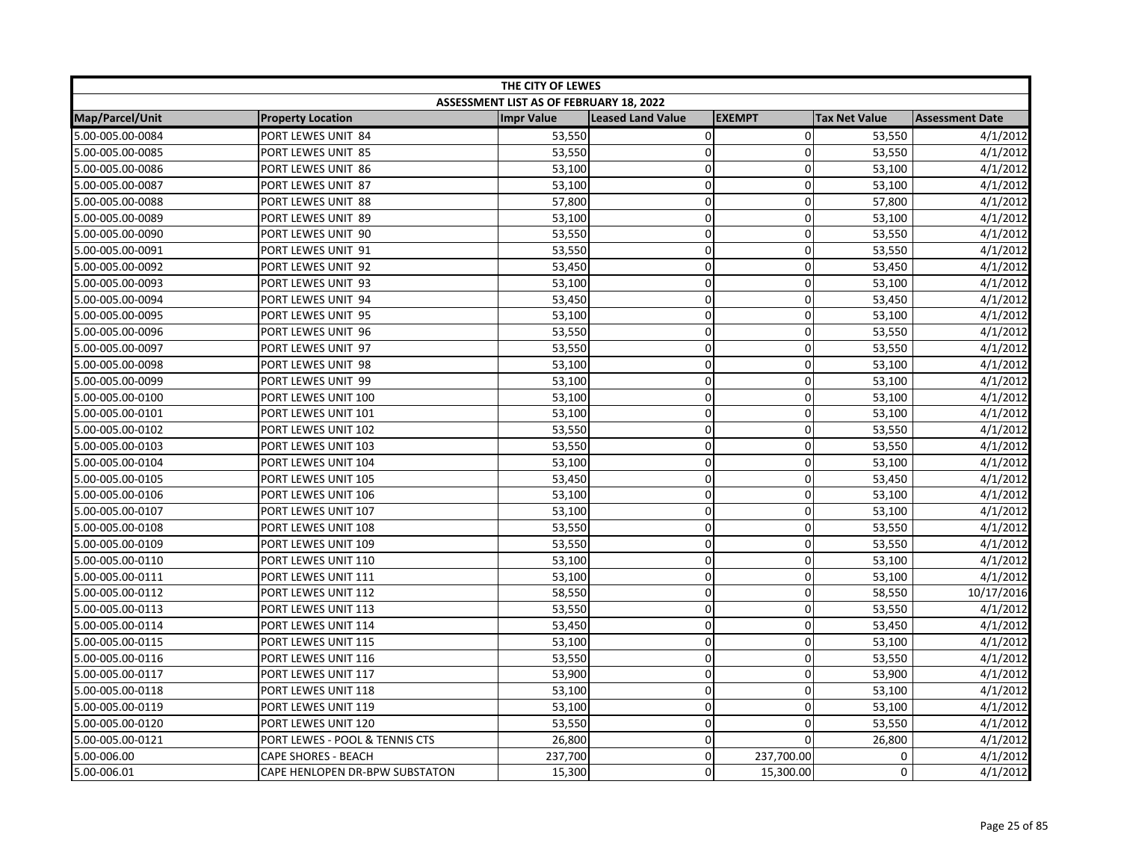| THE CITY OF LEWES |                                |                                         |                          |                |                      |                        |
|-------------------|--------------------------------|-----------------------------------------|--------------------------|----------------|----------------------|------------------------|
|                   |                                | ASSESSMENT LIST AS OF FEBRUARY 18, 2022 |                          |                |                      |                        |
| Map/Parcel/Unit   | <b>Property Location</b>       | <b>Impr Value</b>                       | <b>Leased Land Value</b> | <b>EXEMPT</b>  | <b>Tax Net Value</b> | <b>Assessment Date</b> |
| 5.00-005.00-0084  | PORT LEWES UNIT 84             | 53,550                                  | $\mathbf 0$              | $\overline{0}$ | 53,550               | 4/1/2012               |
| 5.00-005.00-0085  | PORT LEWES UNIT 85             | 53,550                                  | $\pmb{0}$                | $\Omega$       | 53,550               | 4/1/2012               |
| 5.00-005.00-0086  | PORT LEWES UNIT 86             | 53,100                                  | $\mathbf 0$              | $\overline{0}$ | 53,100               | 4/1/2012               |
| 5.00-005.00-0087  | PORT LEWES UNIT 87             | 53,100                                  | $\mathbf 0$              | $\Omega$       | 53,100               | 4/1/2012               |
| 5.00-005.00-0088  | PORT LEWES UNIT 88             | 57,800                                  | 0                        | 0              | 57,800               | 4/1/2012               |
| 5.00-005.00-0089  | PORT LEWES UNIT 89             | 53,100                                  | $\pmb{0}$                | $\mathbf 0$    | 53,100               | 4/1/2012               |
| 5.00-005.00-0090  | PORT LEWES UNIT 90             | 53,550                                  | $\pmb{0}$                | 0              | 53,550               | 4/1/2012               |
| 5.00-005.00-0091  | PORT LEWES UNIT 91             | 53,550                                  | $\pmb{0}$                | 0              | 53,550               | 4/1/2012               |
| 5.00-005.00-0092  | PORT LEWES UNIT 92             | 53,450                                  | $\mathbf 0$              | 0              | 53,450               | 4/1/2012               |
| 5.00-005.00-0093  | PORT LEWES UNIT 93             | 53,100                                  | $\mathbf 0$              | $\Omega$       | 53,100               | 4/1/2012               |
| 5.00-005.00-0094  | PORT LEWES UNIT 94             | 53,450                                  | $\mathbf 0$              | 0              | 53,450               | 4/1/2012               |
| 5.00-005.00-0095  | PORT LEWES UNIT 95             | 53,100                                  | $\mathbf 0$              | $\overline{0}$ | 53,100               | 4/1/2012               |
| 5.00-005.00-0096  | PORT LEWES UNIT 96             | 53,550                                  | $\pmb{0}$                | 0              | 53,550               | 4/1/2012               |
| 5.00-005.00-0097  | PORT LEWES UNIT 97             | 53,550                                  | $\mathbf 0$              | 0              | 53,550               | 4/1/2012               |
| 5.00-005.00-0098  | PORT LEWES UNIT 98             | 53,100                                  | $\mathbf 0$              | $\Omega$       | 53,100               | 4/1/2012               |
| 5.00-005.00-0099  | PORT LEWES UNIT 99             | 53,100                                  | $\mathbf 0$              | 0              | 53,100               | 4/1/2012               |
| 5.00-005.00-0100  | PORT LEWES UNIT 100            | 53,100                                  | $\pmb{0}$                | $\overline{0}$ | 53,100               | 4/1/2012               |
| 5.00-005.00-0101  | PORT LEWES UNIT 101            | 53,100                                  | $\mathbf 0$              | 0              | 53,100               | 4/1/2012               |
| 5.00-005.00-0102  | PORT LEWES UNIT 102            | 53,550                                  | $\mathbf 0$              | $\Omega$       | 53,550               | 4/1/2012               |
| 5.00-005.00-0103  | PORT LEWES UNIT 103            | 53,550                                  | $\mathbf 0$              | $\Omega$       | 53,550               | 4/1/2012               |
| 5.00-005.00-0104  | PORT LEWES UNIT 104            | 53,100                                  | $\pmb{0}$                | 0              | 53,100               | 4/1/2012               |
| 5.00-005.00-0105  | PORT LEWES UNIT 105            | 53,450                                  | $\mathbf 0$              | 0              | 53,450               | 4/1/2012               |
| 5.00-005.00-0106  | PORT LEWES UNIT 106            | 53,100                                  | $\mathbf 0$              | 0              | 53,100               | 4/1/2012               |
| 5.00-005.00-0107  | PORT LEWES UNIT 107            | 53,100                                  | $\mathbf 0$              | $\overline{0}$ | 53,100               | 4/1/2012               |
| 5.00-005.00-0108  | PORT LEWES UNIT 108            | 53,550                                  | $\mathbf 0$              | $\mathbf 0$    | 53,550               | 4/1/2012               |
| 5.00-005.00-0109  | PORT LEWES UNIT 109            | 53,550                                  | 0                        | 0              | 53,550               | 4/1/2012               |
| 5.00-005.00-0110  | PORT LEWES UNIT 110            | 53,100                                  | $\pmb{0}$                | 0              | 53,100               | 4/1/2012               |
| 5.00-005.00-0111  | PORT LEWES UNIT 111            | 53,100                                  | $\pmb{0}$                | $\overline{0}$ | 53,100               | 4/1/2012               |
| 5.00-005.00-0112  | PORT LEWES UNIT 112            | 58,550                                  | $\mathbf 0$              | $\Omega$       | 58,550               | 10/17/2016             |
| 5.00-005.00-0113  | PORT LEWES UNIT 113            | 53,550                                  | $\mathbf 0$              | $\Omega$       | 53,550               | 4/1/2012               |
| 5.00-005.00-0114  | PORT LEWES UNIT 114            | 53,450                                  | $\mathbf 0$              | $\overline{0}$ | 53,450               | 4/1/2012               |
| 5.00-005.00-0115  | PORT LEWES UNIT 115            | 53,100                                  | $\pmb{0}$                | $\overline{0}$ | 53,100               | 4/1/2012               |
| 5.00-005.00-0116  | PORT LEWES UNIT 116            | 53,550                                  | $\pmb{0}$                | 0              | 53,550               | 4/1/2012               |
| 5.00-005.00-0117  | PORT LEWES UNIT 117            | 53,900                                  | $\mathbf 0$              | 0              | 53,900               | 4/1/2012               |
| 5.00-005.00-0118  | PORT LEWES UNIT 118            | 53,100                                  | $\pmb{0}$                | $\overline{0}$ | 53,100               | 4/1/2012               |
| 5.00-005.00-0119  | PORT LEWES UNIT 119            | 53,100                                  | $\mathbf 0$              | $\Omega$       | 53,100               | 4/1/2012               |
| 5.00-005.00-0120  | PORT LEWES UNIT 120            | 53,550                                  | 0                        | 0              | 53,550               | 4/1/2012               |
| 5.00-005.00-0121  | PORT LEWES - POOL & TENNIS CTS | 26,800                                  | 0                        | 0              | 26,800               | 4/1/2012               |
| 5.00-006.00       | <b>CAPE SHORES - BEACH</b>     | 237,700                                 | $\mathbf 0$              | 237,700.00     | 0                    | 4/1/2012               |
| 5.00-006.01       | CAPE HENLOPEN DR-BPW SUBSTATON | 15,300                                  | $\mathbf 0$              | 15,300.00      | 0                    | 4/1/2012               |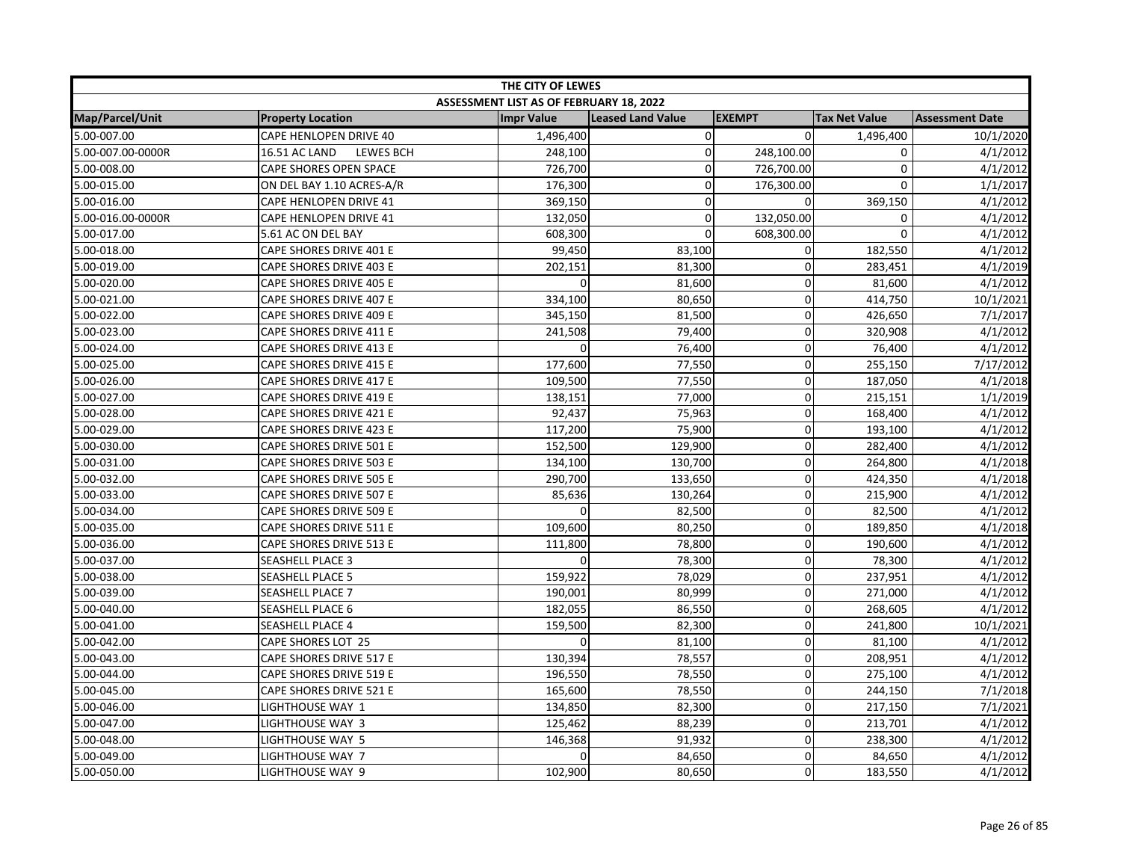| THE CITY OF LEWES |                                          |                                         |                          |               |                      |                        |  |
|-------------------|------------------------------------------|-----------------------------------------|--------------------------|---------------|----------------------|------------------------|--|
|                   |                                          | ASSESSMENT LIST AS OF FEBRUARY 18, 2022 |                          |               |                      |                        |  |
| Map/Parcel/Unit   | <b>Property Location</b>                 | <b>Impr Value</b>                       | <b>Leased Land Value</b> | <b>EXEMPT</b> | <b>Tax Net Value</b> | <b>Assessment Date</b> |  |
| 5.00-007.00       | CAPE HENLOPEN DRIVE 40                   | 1,496,400                               | $\pmb{0}$                | $\Omega$      | 1,496,400            | 10/1/2020              |  |
| 5.00-007.00-0000R | <b>LEWES BCH</b><br><b>16.51 AC LAND</b> | 248,100                                 | $\mathbf 0$              | 248,100.00    | 0                    | 4/1/2012               |  |
| 5.00-008.00       | CAPE SHORES OPEN SPACE                   | 726,700                                 | 0                        | 726,700.00    | 0                    | 4/1/2012               |  |
| 5.00-015.00       | ON DEL BAY 1.10 ACRES-A/R                | 176,300                                 | $\mathbf 0$              | 176,300.00    | $\mathbf 0$          | 1/1/2017               |  |
| 5.00-016.00       | CAPE HENLOPEN DRIVE 41                   | 369,150                                 | $\mathbf 0$              | $\Omega$      | 369,150              | 4/1/2012               |  |
| 5.00-016.00-0000R | CAPE HENLOPEN DRIVE 41                   | 132,050                                 | 0                        | 132,050.00    | 0                    | 4/1/2012               |  |
| 5.00-017.00       | 5.61 AC ON DEL BAY                       | 608,300                                 | 0                        | 608,300.00    | 0                    | 4/1/2012               |  |
| 5.00-018.00       | CAPE SHORES DRIVE 401 E                  | 99,450                                  | 83,100                   | $\mathbf 0$   | 182,550              | 4/1/2012               |  |
| 5.00-019.00       | CAPE SHORES DRIVE 403 E                  | 202,151                                 | 81,300                   | $\mathbf 0$   | 283,451              | 4/1/2019               |  |
| 5.00-020.00       | <b>CAPE SHORES DRIVE 405 E</b>           | $\Omega$                                | 81,600                   | $\mathbf 0$   | 81,600               | 4/1/2012               |  |
| 5.00-021.00       | CAPE SHORES DRIVE 407 E                  | 334,100                                 | 80,650                   | $\mathbf 0$   | 414,750              | 10/1/2021              |  |
| 5.00-022.00       | CAPE SHORES DRIVE 409 E                  | 345,150                                 | 81,500                   | $\mathbf 0$   | 426,650              | 7/1/2017               |  |
| 5.00-023.00       | CAPE SHORES DRIVE 411 E                  | 241,508                                 | 79,400                   | $\mathbf 0$   | 320,908              | 4/1/2012               |  |
| 5.00-024.00       | CAPE SHORES DRIVE 413 E                  | $\Omega$                                | 76,400                   | $\mathbf 0$   | 76,400               | 4/1/2012               |  |
| 5.00-025.00       | CAPE SHORES DRIVE 415 E                  | 177,600                                 | 77,550                   | $\mathbf 0$   | 255,150              | 7/17/2012              |  |
| 5.00-026.00       | CAPE SHORES DRIVE 417 E                  | 109,500                                 | 77,550                   | $\mathbf 0$   | 187,050              | 4/1/2018               |  |
| 5.00-027.00       | CAPE SHORES DRIVE 419 E                  | 138,151                                 | 77,000                   | $\pmb{0}$     | 215,151              | 1/1/2019               |  |
| 5.00-028.00       | CAPE SHORES DRIVE 421 E                  | 92,437                                  | 75,963                   | $\mathbf 0$   | 168,400              | 4/1/2012               |  |
| 5.00-029.00       | CAPE SHORES DRIVE 423 E                  | 117,200                                 | 75,900                   | $\mathbf 0$   | 193,100              | 4/1/2012               |  |
| 5.00-030.00       | CAPE SHORES DRIVE 501 E                  | 152,500                                 | 129,900                  | $\mathbf 0$   | 282,400              | 4/1/2012               |  |
| 5.00-031.00       | CAPE SHORES DRIVE 503 E                  | 134,100                                 | 130,700                  | $\mathbf 0$   | 264,800              | 4/1/2018               |  |
| 5.00-032.00       | CAPE SHORES DRIVE 505 E                  | 290,700                                 | 133,650                  | $\mathbf 0$   | 424,350              | 4/1/2018               |  |
| 5.00-033.00       | CAPE SHORES DRIVE 507 E                  | 85,636                                  | 130,264                  | $\mathbf 0$   | 215,900              | 4/1/2012               |  |
| 5.00-034.00       | CAPE SHORES DRIVE 509 E                  | $\Omega$                                | 82,500                   | $\mathbf 0$   | 82,500               | 4/1/2012               |  |
| 5.00-035.00       | CAPE SHORES DRIVE 511 E                  | 109,600                                 | 80,250                   | $\pmb{0}$     | 189,850              | 4/1/2018               |  |
| 5.00-036.00       | CAPE SHORES DRIVE 513 E                  | 111,800                                 | 78,800                   | $\mathbf 0$   | 190,600              | $\frac{1}{4}/1/2012$   |  |
| 5.00-037.00       | SEASHELL PLACE 3                         |                                         | 78,300                   | $\mathbf 0$   | 78,300               | 4/1/2012               |  |
| 5.00-038.00       | <b>SEASHELL PLACE 5</b>                  | 159,922                                 | 78,029                   | $\mathbf 0$   | 237,951              | 4/1/2012               |  |
| 5.00-039.00       | <b>SEASHELL PLACE 7</b>                  | 190,001                                 | 80,999                   | 0             | 271,000              | 4/1/2012               |  |
| 5.00-040.00       | <b>SEASHELL PLACE 6</b>                  | 182,055                                 | 86,550                   | $\mathbf 0$   | 268,605              | 4/1/2012               |  |
| 5.00-041.00       | SEASHELL PLACE 4                         | 159,500                                 | 82,300                   | $\mathbf 0$   | 241,800              | 10/1/2021              |  |
| 5.00-042.00       | CAPE SHORES LOT 25                       | 0                                       | 81,100                   | $\mathbf 0$   | 81,100               | 4/1/2012               |  |
| 5.00-043.00       | CAPE SHORES DRIVE 517 E                  | 130,394                                 | 78,557                   | $\mathbf 0$   | 208,951              | 4/1/2012               |  |
| 5.00-044.00       | CAPE SHORES DRIVE 519 E                  | 196,550                                 | 78,550                   | $\mathbf 0$   | 275,100              | 4/1/2012               |  |
| 5.00-045.00       | CAPE SHORES DRIVE 521 E                  | 165,600                                 | 78,550                   | $\mathbf 0$   | 244,150              | 7/1/2018               |  |
| 5.00-046.00       | LIGHTHOUSE WAY 1                         | 134,850                                 | 82,300                   | 0             | 217,150              | 7/1/2021               |  |
| 5.00-047.00       | LIGHTHOUSE WAY 3                         | 125,462                                 | 88,239                   | $\Omega$      | 213,701              | 4/1/2012               |  |
| 5.00-048.00       | LIGHTHOUSE WAY 5                         | 146,368                                 | 91,932                   | $\mathbf 0$   | 238,300              | 4/1/2012               |  |
| 5.00-049.00       | LIGHTHOUSE WAY 7                         | 0                                       | 84,650                   | $\mathbf 0$   | 84,650               | 4/1/2012               |  |
| 5.00-050.00       | LIGHTHOUSE WAY 9                         | 102,900                                 | 80,650                   | $\mathbf 0$   | 183,550              | 4/1/2012               |  |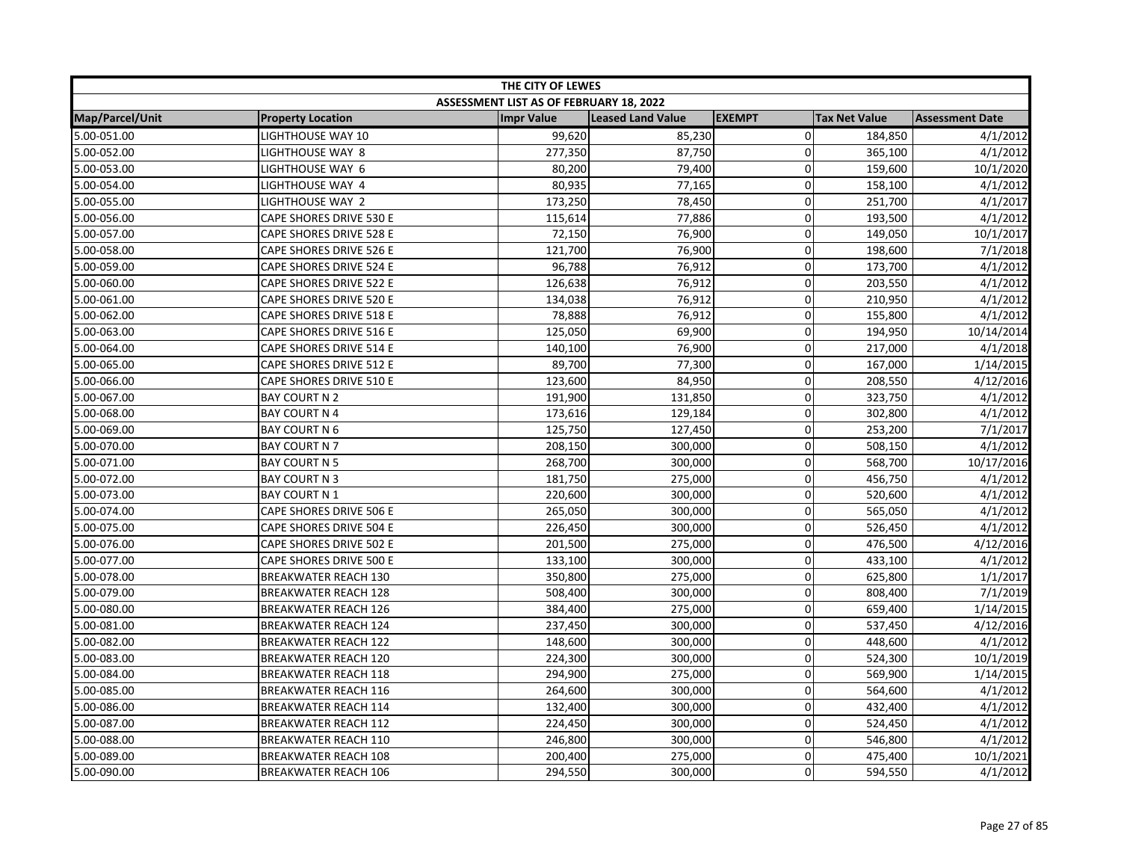| THE CITY OF LEWES |                                |                                         |                          |                |                      |                        |  |
|-------------------|--------------------------------|-----------------------------------------|--------------------------|----------------|----------------------|------------------------|--|
|                   |                                | ASSESSMENT LIST AS OF FEBRUARY 18, 2022 |                          |                |                      |                        |  |
| Map/Parcel/Unit   | <b>Property Location</b>       | <b>Impr Value</b>                       | <b>Leased Land Value</b> | <b>EXEMPT</b>  | <b>Tax Net Value</b> | <b>Assessment Date</b> |  |
| 5.00-051.00       | <b>LIGHTHOUSE WAY 10</b>       | 99,620                                  | 85,230                   | $\overline{0}$ | 184,850              | 4/1/2012               |  |
| 5.00-052.00       | LIGHTHOUSE WAY 8               | 277,350                                 | 87,750                   | $\mathbf 0$    | 365,100              | 4/1/2012               |  |
| 5.00-053.00       | LIGHTHOUSE WAY 6               | 80,200                                  | 79,400                   | $\mathbf 0$    | 159,600              | 10/1/2020              |  |
| 5.00-054.00       | LIGHTHOUSE WAY 4               | 80,935                                  | 77,165                   | $\mathbf 0$    | 158,100              | 4/1/2012               |  |
| 5.00-055.00       | LIGHTHOUSE WAY 2               | 173,250                                 | 78,450                   | $\Omega$       | 251,700              | 4/1/2017               |  |
| 5.00-056.00       | CAPE SHORES DRIVE 530 E        | 115,614                                 | 77,886                   | $\Omega$       | 193,500              | 4/1/2012               |  |
| 5.00-057.00       | CAPE SHORES DRIVE 528 E        | 72,150                                  | 76,900                   | 0              | 149,050              | 10/1/2017              |  |
| 5.00-058.00       | CAPE SHORES DRIVE 526 E        | 121,700                                 | 76,900                   | 0              | 198,600              | 7/1/2018               |  |
| 5.00-059.00       | CAPE SHORES DRIVE 524 E        | 96,788                                  | 76,912                   | 0              | 173,700              | 4/1/2012               |  |
| 5.00-060.00       | CAPE SHORES DRIVE 522 E        | 126,638                                 | 76,912                   | $\overline{0}$ | 203,550              | 4/1/2012               |  |
| 5.00-061.00       | CAPE SHORES DRIVE 520 E        | 134,038                                 | 76,912                   | $\Omega$       | 210,950              | 4/1/2012               |  |
| 5.00-062.00       | CAPE SHORES DRIVE 518 E        | 78,888                                  | 76,912                   | 0              | 155,800              | 4/1/2012               |  |
| 5.00-063.00       | CAPE SHORES DRIVE 516 E        | 125,050                                 | 69,900                   | $\Omega$       | 194,950              | 10/14/2014             |  |
| 5.00-064.00       | CAPE SHORES DRIVE 514 E        | 140,100                                 | 76,900                   | $\overline{0}$ | 217,000              | 4/1/2018               |  |
| 5.00-065.00       | <b>CAPE SHORES DRIVE 512 E</b> | 89,700                                  | 77,300                   | $\Omega$       | 167,000              | 1/14/2015              |  |
| 5.00-066.00       | CAPE SHORES DRIVE 510 E        | 123,600                                 | 84,950                   | 0              | 208,550              | 4/12/2016              |  |
| 5.00-067.00       | <b>BAY COURT N 2</b>           | 191,900                                 | 131,850                  | $\overline{0}$ | 323,750              | 4/1/2012               |  |
| 5.00-068.00       | <b>BAY COURT N 4</b>           | 173,616                                 | 129,184                  | 0              | 302,800              | 4/1/2012               |  |
| 5.00-069.00       | <b>BAY COURT N 6</b>           | 125,750                                 | 127,450                  | $\mathbf 0$    | 253,200              | 7/1/2017               |  |
| 5.00-070.00       | <b>BAY COURT N 7</b>           | 208,150                                 | 300,000                  | $\Omega$       | 508,150              | 4/1/2012               |  |
| 5.00-071.00       | <b>BAY COURT N 5</b>           | 268,700                                 | 300,000                  | $\overline{0}$ | 568,700              | 10/17/2016             |  |
| 5.00-072.00       | <b>BAY COURT N 3</b>           | 181,750                                 | 275,000                  | $\Omega$       | 456,750              | 4/1/2012               |  |
| 5.00-073.00       | <b>BAY COURT N 1</b>           | 220,600                                 | 300,000                  | $\Omega$       | 520,600              | 4/1/2012               |  |
| 5.00-074.00       | CAPE SHORES DRIVE 506 E        | 265,050                                 | 300,000                  | 0              | 565,050              | 4/1/2012               |  |
| 5.00-075.00       | CAPE SHORES DRIVE 504 E        | 226,450                                 | 300,000                  | 0              | 526,450              | 4/1/2012               |  |
| 5.00-076.00       | CAPE SHORES DRIVE 502 E        | 201,500                                 | 275,000                  | 0              | 476,500              | 4/12/2016              |  |
| 5.00-077.00       | CAPE SHORES DRIVE 500 E        | 133,100                                 | 300,000                  | 0              | 433,100              | 4/1/2012               |  |
| 5.00-078.00       | <b>BREAKWATER REACH 130</b>    | 350,800                                 | 275,000                  | $\overline{0}$ | 625,800              | 1/1/2017               |  |
| 5.00-079.00       | <b>BREAKWATER REACH 128</b>    | 508,400                                 | 300,000                  | 0              | 808,400              | 7/1/2019               |  |
| 5.00-080.00       | <b>BREAKWATER REACH 126</b>    | 384,400                                 | 275,000                  | 0              | 659,400              | 1/14/2015              |  |
| 5.00-081.00       | <b>BREAKWATER REACH 124</b>    | 237,450                                 | 300,000                  | 0              | 537,450              | 4/12/2016              |  |
| 5.00-082.00       | <b>BREAKWATER REACH 122</b>    | 148,600                                 | 300,000                  | 0              | 448,600              | 4/1/2012               |  |
| 5.00-083.00       | <b>BREAKWATER REACH 120</b>    | 224,300                                 | 300,000                  | 0              | 524,300              | 10/1/2019              |  |
| 5.00-084.00       | <b>BREAKWATER REACH 118</b>    | 294,900                                 | 275,000                  | 0              | 569,900              | 1/14/2015              |  |
| 5.00-085.00       | <b>BREAKWATER REACH 116</b>    | 264,600                                 | 300,000                  | $\mathbf 0$    | 564,600              | 4/1/2012               |  |
| 5.00-086.00       | <b>BREAKWATER REACH 114</b>    | 132,400                                 | 300,000                  | $\Omega$       | 432,400              | 4/1/2012               |  |
| 5.00-087.00       | <b>BREAKWATER REACH 112</b>    | 224,450                                 | 300,000                  | $\Omega$       | 524,450              | 4/1/2012               |  |
| 5.00-088.00       | <b>BREAKWATER REACH 110</b>    | 246,800                                 | 300,000                  | 0              | 546,800              | 4/1/2012               |  |
| 5.00-089.00       | <b>BREAKWATER REACH 108</b>    | 200,400                                 | 275,000                  | $\overline{0}$ | 475,400              | 10/1/2021              |  |
| 5.00-090.00       | <b>BREAKWATER REACH 106</b>    | 294,550                                 | 300,000                  | $\Omega$       | 594,550              | 4/1/2012               |  |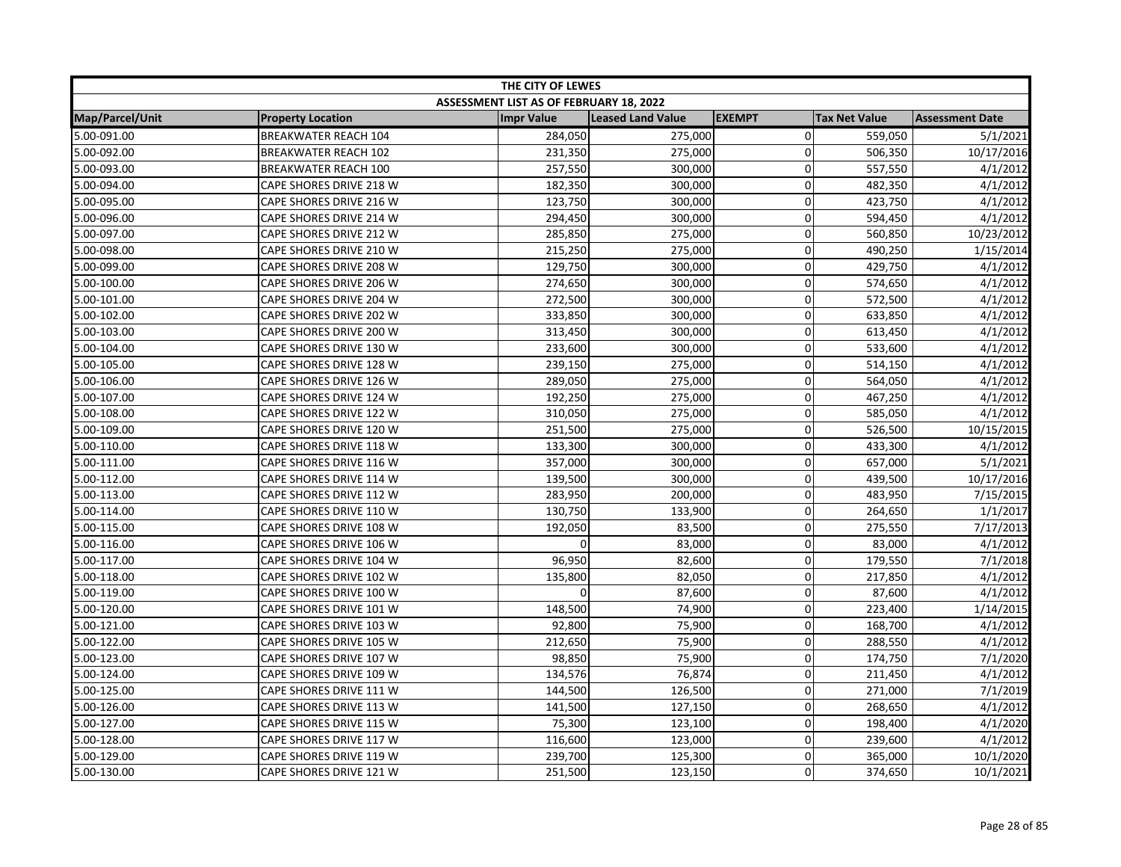| THE CITY OF LEWES |                             |                                         |                          |                |                      |                        |
|-------------------|-----------------------------|-----------------------------------------|--------------------------|----------------|----------------------|------------------------|
|                   |                             | ASSESSMENT LIST AS OF FEBRUARY 18, 2022 |                          |                |                      |                        |
| Map/Parcel/Unit   | <b>Property Location</b>    | <b>Impr Value</b>                       | <b>Leased Land Value</b> | <b>EXEMPT</b>  | <b>Tax Net Value</b> | <b>Assessment Date</b> |
| 5.00-091.00       | <b>BREAKWATER REACH 104</b> | 284,050                                 | 275,000                  | $\overline{0}$ | 559,050              | 5/1/2021               |
| 5.00-092.00       | <b>BREAKWATER REACH 102</b> | 231,350                                 | 275,000                  | 0              | 506,350              | 10/17/2016             |
| 5.00-093.00       | <b>BREAKWATER REACH 100</b> | 257,550                                 | 300,000                  | 0              | 557,550              | 4/1/2012               |
| 5.00-094.00       | CAPE SHORES DRIVE 218 W     | 182,350                                 | 300,000                  | 0              | 482,350              | 4/1/2012               |
| 5.00-095.00       | CAPE SHORES DRIVE 216 W     | 123,750                                 | 300,000                  | $\Omega$       | 423,750              | 4/1/2012               |
| 5.00-096.00       | CAPE SHORES DRIVE 214 W     | 294,450                                 | 300,000                  | 0              | 594,450              | 4/1/2012               |
| 5.00-097.00       | CAPE SHORES DRIVE 212 W     | 285,850                                 | 275,000                  | 0              | 560,850              | 10/23/2012             |
| 5.00-098.00       | CAPE SHORES DRIVE 210 W     | 215,250                                 | 275,000                  | 0              | 490,250              | 1/15/2014              |
| 5.00-099.00       | CAPE SHORES DRIVE 208 W     | 129,750                                 | 300,000                  | 0              | 429,750              | 4/1/2012               |
| 5.00-100.00       | CAPE SHORES DRIVE 206 W     | 274,650                                 | 300,000                  | $\pmb{0}$      | 574,650              | 4/1/2012               |
| 5.00-101.00       | CAPE SHORES DRIVE 204 W     | 272,500                                 | 300,000                  | 0              | 572,500              | 4/1/2012               |
| 5.00-102.00       | CAPE SHORES DRIVE 202 W     | 333,850                                 | 300,000                  | 0              | 633,850              | 4/1/2012               |
| 5.00-103.00       | CAPE SHORES DRIVE 200 W     | 313,450                                 | 300,000                  | 0              | 613,450              | 4/1/2012               |
| 5.00-104.00       | CAPE SHORES DRIVE 130 W     | 233,600                                 | 300,000                  | $\mathbf 0$    | 533,600              | 4/1/2012               |
| 5.00-105.00       | CAPE SHORES DRIVE 128 W     | 239,150                                 | 275,000                  | 0              | 514,150              | 4/1/2012               |
| 5.00-106.00       | CAPE SHORES DRIVE 126 W     | 289,050                                 | 275,000                  | 0              | 564,050              | 4/1/2012               |
| 5.00-107.00       | CAPE SHORES DRIVE 124 W     | 192,250                                 | 275,000                  | 0              | 467,250              | 4/1/2012               |
| 5.00-108.00       | CAPE SHORES DRIVE 122 W     | 310,050                                 | 275,000                  | 0              | 585,050              | 4/1/2012               |
| 5.00-109.00       | CAPE SHORES DRIVE 120 W     | 251,500                                 | 275,000                  | 0              | 526,500              | 10/15/2015             |
| 5.00-110.00       | CAPE SHORES DRIVE 118 W     | 133,300                                 | 300,000                  | 0              | 433,300              | 4/1/2012               |
| 5.00-111.00       | CAPE SHORES DRIVE 116 W     | 357,000                                 | 300,000                  | $\overline{0}$ | 657,000              | 5/1/2021               |
| 5.00-112.00       | CAPE SHORES DRIVE 114 W     | 139,500                                 | 300,000                  | 0              | 439,500              | 10/17/2016             |
| 5.00-113.00       | CAPE SHORES DRIVE 112 W     | 283,950                                 | 200,000                  | $\Omega$       | 483,950              | 7/15/2015              |
| 5.00-114.00       | CAPE SHORES DRIVE 110 W     | 130,750                                 | 133,900                  | 0              | 264,650              | 1/1/2017               |
| 5.00-115.00       | CAPE SHORES DRIVE 108 W     | 192,050                                 | 83,500                   | 0              | 275,550              | 7/17/2013              |
| 5.00-116.00       | CAPE SHORES DRIVE 106 W     | $\Omega$                                | 83,000                   | 0              | 83,000               | 4/1/2012               |
| 5.00-117.00       | CAPE SHORES DRIVE 104 W     | 96,950                                  | 82,600                   | 0              | 179,550              | 7/1/2018               |
| 5.00-118.00       | CAPE SHORES DRIVE 102 W     | 135,800                                 | 82,050                   | $\pmb{0}$      | 217,850              | 4/1/2012               |
| 5.00-119.00       | CAPE SHORES DRIVE 100 W     |                                         | 87,600                   | 0              | 87,600               | 4/1/2012               |
| 5.00-120.00       | CAPE SHORES DRIVE 101 W     | 148,500                                 | 74,900                   | 0              | 223,400              | 1/14/2015              |
| 5.00-121.00       | CAPE SHORES DRIVE 103 W     | 92,800                                  | 75,900                   | 0              | 168,700              | 4/1/2012               |
| 5.00-122.00       | CAPE SHORES DRIVE 105 W     | 212,650                                 | 75,900                   | $\overline{0}$ | 288,550              | 4/1/2012               |
| 5.00-123.00       | CAPE SHORES DRIVE 107 W     | 98,850                                  | 75,900                   | 0              | 174,750              | 7/1/2020               |
| 5.00-124.00       | CAPE SHORES DRIVE 109 W     | 134,576                                 | 76,874                   | 0              | 211,450              | 4/1/2012               |
| 5.00-125.00       | CAPE SHORES DRIVE 111 W     | 144,500                                 | 126,500                  | $\mathbf 0$    | 271,000              | 7/1/2019               |
| 5.00-126.00       | CAPE SHORES DRIVE 113 W     | 141,500                                 | 127,150                  | 0              | 268,650              | 4/1/2012               |
| 5.00-127.00       | CAPE SHORES DRIVE 115 W     | 75,300                                  | 123,100                  | $\mathbf 0$    | 198,400              | 4/1/2020               |
| 5.00-128.00       | CAPE SHORES DRIVE 117 W     | 116,600                                 | 123,000                  | 0              | 239,600              | 4/1/2012               |
| 5.00-129.00       | CAPE SHORES DRIVE 119 W     | 239,700                                 | 125,300                  | $\overline{0}$ | 365,000              | 10/1/2020              |
| 5.00-130.00       | CAPE SHORES DRIVE 121 W     | 251,500                                 | 123,150                  | $\Omega$       | 374,650              | 10/1/2021              |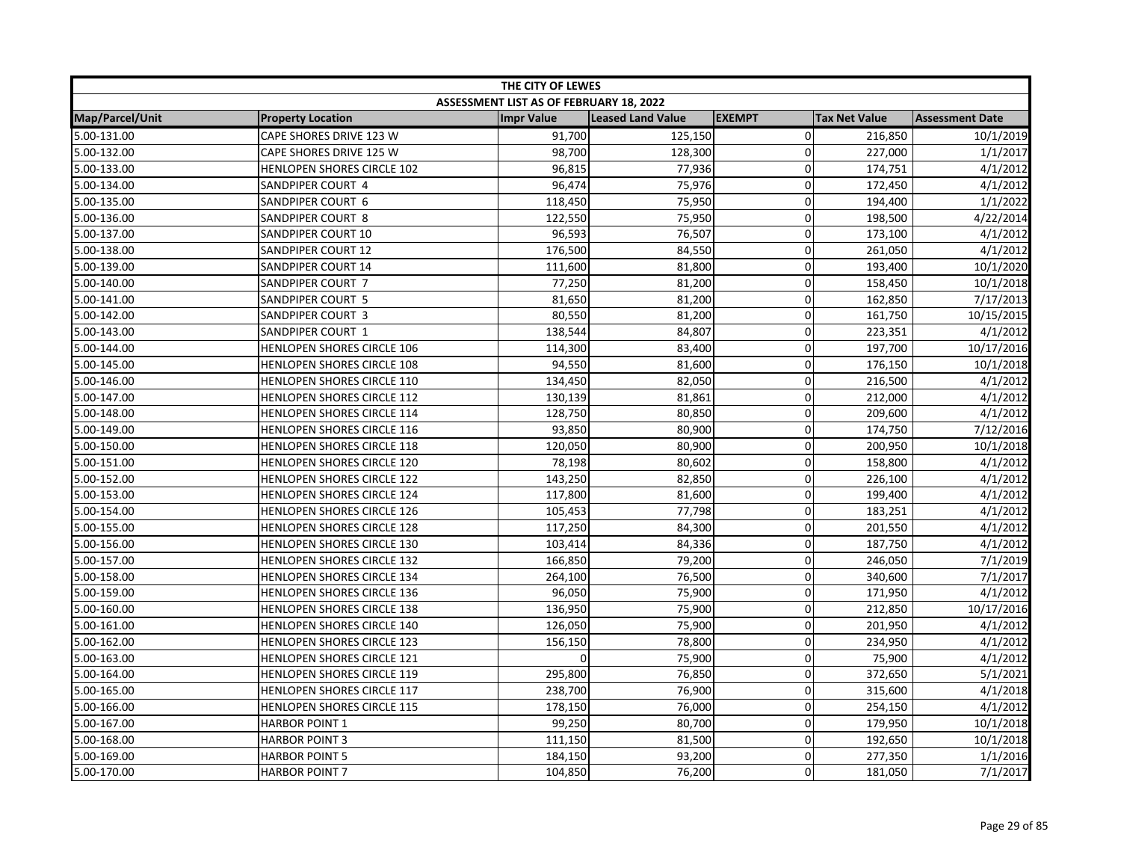| THE CITY OF LEWES |                            |                                         |                          |                |                      |                        |
|-------------------|----------------------------|-----------------------------------------|--------------------------|----------------|----------------------|------------------------|
|                   |                            | ASSESSMENT LIST AS OF FEBRUARY 18, 2022 |                          |                |                      |                        |
| Map/Parcel/Unit   | <b>Property Location</b>   | <b>Impr Value</b>                       | <b>Leased Land Value</b> | <b>EXEMPT</b>  | <b>Tax Net Value</b> | <b>Assessment Date</b> |
| 5.00-131.00       | CAPE SHORES DRIVE 123 W    | 91,700                                  | 125,150                  | $\overline{0}$ | 216,850              | 10/1/2019              |
| 5.00-132.00       | CAPE SHORES DRIVE 125 W    | 98,700                                  | 128,300                  | $\Omega$       | 227,000              | 1/1/2017               |
| 5.00-133.00       | HENLOPEN SHORES CIRCLE 102 | 96,815                                  | 77,936                   | 0              | 174,751              | 4/1/2012               |
| 5.00-134.00       | SANDPIPER COURT 4          | 96,474                                  | 75,976                   | $\Omega$       | 172,450              | 4/1/2012               |
| 5.00-135.00       | SANDPIPER COURT 6          | 118,450                                 | 75,950                   | 0              | 194,400              | 1/1/2022               |
| 5.00-136.00       | SANDPIPER COURT 8          | 122,550                                 | 75,950                   | $\mathbf 0$    | 198,500              | 4/22/2014              |
| 5.00-137.00       | SANDPIPER COURT 10         | 96,593                                  | 76,507                   | 0              | 173,100              | 4/1/2012               |
| 5.00-138.00       | SANDPIPER COURT 12         | 176,500                                 | 84,550                   | $\mathbf 0$    | 261,050              | 4/1/2012               |
| 5.00-139.00       | SANDPIPER COURT 14         | 111,600                                 | 81,800                   | $\Omega$       | 193,400              | 10/1/2020              |
| 5.00-140.00       | SANDPIPER COURT 7          | 77,250                                  | 81,200                   | $\Omega$       | 158,450              | 10/1/2018              |
| 5.00-141.00       | SANDPIPER COURT 5          | 81,650                                  | 81,200                   | $\Omega$       | 162,850              | 7/17/2013              |
| 5.00-142.00       | SANDPIPER COURT 3          | 80,550                                  | 81,200                   | $\Omega$       | 161,750              | 10/15/2015             |
| 5.00-143.00       | SANDPIPER COURT 1          | 138,544                                 | 84,807                   | 0              | 223,351              | 4/1/2012               |
| 5.00-144.00       | HENLOPEN SHORES CIRCLE 106 | 114,300                                 | 83,400                   | 0              | 197,700              | 10/17/2016             |
| 5.00-145.00       | HENLOPEN SHORES CIRCLE 108 | 94,550                                  | 81,600                   | $\Omega$       | 176,150              | 10/1/2018              |
| 5.00-146.00       | HENLOPEN SHORES CIRCLE 110 | 134,450                                 | 82,050                   | 0              | 216,500              | 4/1/2012               |
| 5.00-147.00       | HENLOPEN SHORES CIRCLE 112 | 130,139                                 | 81,861                   | $\mathbf 0$    | 212,000              | 4/1/2012               |
| 5.00-148.00       | HENLOPEN SHORES CIRCLE 114 | 128,750                                 | 80,850                   | $\Omega$       | 209,600              | 4/1/2012               |
| 5.00-149.00       | HENLOPEN SHORES CIRCLE 116 | 93,850                                  | 80,900                   | $\Omega$       | 174,750              | 7/12/2016              |
| 5.00-150.00       | HENLOPEN SHORES CIRCLE 118 | 120,050                                 | 80,900                   | $\Omega$       | 200,950              | 10/1/2018              |
| 5.00-151.00       | HENLOPEN SHORES CIRCLE 120 | 78,198                                  | 80,602                   | 0              | 158,800              | 4/1/2012               |
| 5.00-152.00       | HENLOPEN SHORES CIRCLE 122 | 143,250                                 | 82,850                   | 0              | 226,100              | 4/1/2012               |
| 5.00-153.00       | HENLOPEN SHORES CIRCLE 124 | 117,800                                 | 81,600                   | 0              | 199,400              | 4/1/2012               |
| 5.00-154.00       | HENLOPEN SHORES CIRCLE 126 | 105,453                                 | 77,798                   | $\overline{0}$ | 183,251              | 4/1/2012               |
| 5.00-155.00       | HENLOPEN SHORES CIRCLE 128 | 117,250                                 | 84,300                   | $\mathbf 0$    | 201,550              | 4/1/2012               |
| 5.00-156.00       | HENLOPEN SHORES CIRCLE 130 | 103,414                                 | 84,336                   | 0              | 187,750              | 4/1/2012               |
| 5.00-157.00       | HENLOPEN SHORES CIRCLE 132 | 166,850                                 | 79,200                   | 0              | 246,050              | 7/1/2019               |
| 5.00-158.00       | HENLOPEN SHORES CIRCLE 134 | 264,100                                 | 76,500                   | $\overline{0}$ | 340,600              | 7/1/2017               |
| 5.00-159.00       | HENLOPEN SHORES CIRCLE 136 | 96,050                                  | 75,900                   | $\Omega$       | 171,950              | 4/1/2012               |
| 5.00-160.00       | HENLOPEN SHORES CIRCLE 138 | 136,950                                 | 75,900                   | $\Omega$       | 212,850              | 10/17/2016             |
| 5.00-161.00       | HENLOPEN SHORES CIRCLE 140 | 126,050                                 | 75,900                   | $\mathbf 0$    | 201,950              | 4/1/2012               |
| 5.00-162.00       | HENLOPEN SHORES CIRCLE 123 | 156,150                                 | 78,800                   | $\overline{0}$ | 234,950              | 4/1/2012               |
| 5.00-163.00       | HENLOPEN SHORES CIRCLE 121 | $\Omega$                                | 75,900                   | 0              | 75,900               | 4/1/2012               |
| 5.00-164.00       | HENLOPEN SHORES CIRCLE 119 | 295,800                                 | 76,850                   | 0              | 372,650              | 5/1/2021               |
| 5.00-165.00       | HENLOPEN SHORES CIRCLE 117 | 238,700                                 | 76,900                   | $\overline{0}$ | 315,600              | 4/1/2018               |
| 5.00-166.00       | HENLOPEN SHORES CIRCLE 115 | 178,150                                 | 76,000                   | $\Omega$       | 254,150              | 4/1/2012               |
| 5.00-167.00       | <b>HARBOR POINT 1</b>      | 99,250                                  | 80,700                   | 0              | 179,950              | 10/1/2018              |
| 5.00-168.00       | <b>HARBOR POINT 3</b>      | 111,150                                 | 81,500                   | 0              | 192,650              | 10/1/2018              |
| 5.00-169.00       | <b>HARBOR POINT 5</b>      | 184,150                                 | 93,200                   | $\overline{0}$ | 277,350              | 1/1/2016               |
| 5.00-170.00       | <b>HARBOR POINT 7</b>      | 104,850                                 | 76,200                   | $\Omega$       | 181,050              | 7/1/2017               |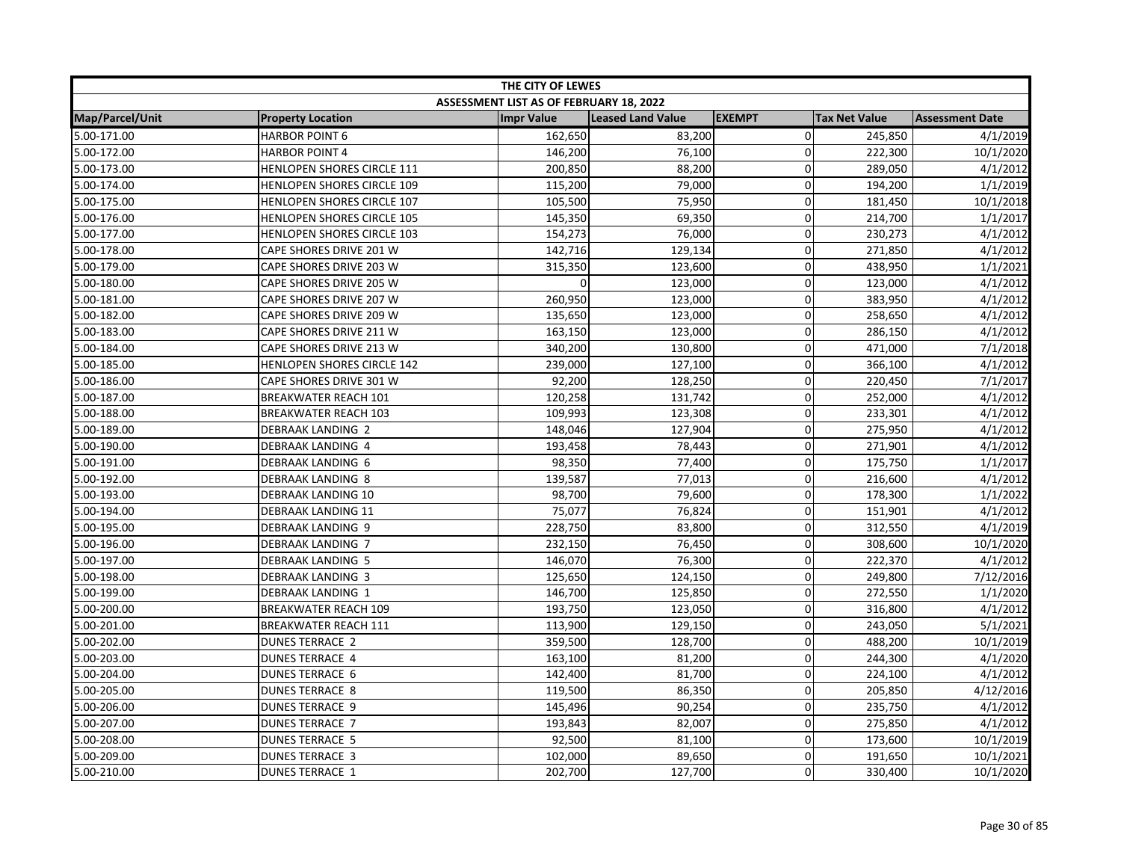| THE CITY OF LEWES      |                                   |                                         |                   |               |                      |                        |
|------------------------|-----------------------------------|-----------------------------------------|-------------------|---------------|----------------------|------------------------|
|                        |                                   | ASSESSMENT LIST AS OF FEBRUARY 18, 2022 |                   |               |                      |                        |
| <b>Map/Parcel/Unit</b> | <b>Property Location</b>          | <b>Impr Value</b>                       | Leased Land Value | <b>EXEMPT</b> | <b>Tax Net Value</b> | <b>Assessment Date</b> |
| 5.00-171.00            | <b>HARBOR POINT 6</b>             | 162,650                                 | 83,200            | $\mathbf 0$   | 245,850              | 4/1/2019               |
| 5.00-172.00            | <b>HARBOR POINT 4</b>             | 146,200                                 | 76,100            | $\mathbf 0$   | 222,300              | 10/1/2020              |
| 5.00-173.00            | HENLOPEN SHORES CIRCLE 111        | 200,850                                 | 88,200            | $\Omega$      | 289,050              | 4/1/2012               |
| 5.00-174.00            | HENLOPEN SHORES CIRCLE 109        | 115,200                                 | 79,000            | $\mathbf 0$   | 194,200              | 1/1/2019               |
| 5.00-175.00            | HENLOPEN SHORES CIRCLE 107        | 105,500                                 | 75,950            | 0             | 181,450              | 10/1/2018              |
| 5.00-176.00            | HENLOPEN SHORES CIRCLE 105        | 145,350                                 | 69,350            | 0             | 214,700              | 1/1/2017               |
| 5.00-177.00            | HENLOPEN SHORES CIRCLE 103        | 154,273                                 | 76,000            | 0             | 230,273              | 4/1/2012               |
| 5.00-178.00            | CAPE SHORES DRIVE 201 W           | 142,716                                 | 129,134           | $\Omega$      | 271,850              | 4/1/2012               |
| 5.00-179.00            | CAPE SHORES DRIVE 203 W           | 315,350                                 | 123,600           | 0             | 438,950              | 1/1/2021               |
| 5.00-180.00            | CAPE SHORES DRIVE 205 W           | $\Omega$                                | 123,000           | $\mathbf 0$   | 123,000              | 4/1/2012               |
| 5.00-181.00            | CAPE SHORES DRIVE 207 W           | 260,950                                 | 123,000           | $\mathbf 0$   | 383,950              | 4/1/2012               |
| 5.00-182.00            | CAPE SHORES DRIVE 209 W           | 135,650                                 | 123,000           | $\mathbf 0$   | 258,650              | 4/1/2012               |
| 5.00-183.00            | CAPE SHORES DRIVE 211 W           | 163,150                                 | 123,000           | $\Omega$      | 286,150              | 4/1/2012               |
| 5.00-184.00            | CAPE SHORES DRIVE 213 W           | 340,200                                 | 130,800           | 0             | 471,000              | 7/1/2018               |
| 5.00-185.00            | <b>HENLOPEN SHORES CIRCLE 142</b> | 239,000                                 | 127,100           | 0             | 366,100              | 4/1/2012               |
| 5.00-186.00            | CAPE SHORES DRIVE 301 W           | 92,200                                  | 128,250           | 0             | 220,450              | 7/1/2017               |
| 5.00-187.00            | <b>BREAKWATER REACH 101</b>       | 120,258                                 | 131,742           | $\mathbf 0$   | 252,000              | 4/1/2012               |
| 5.00-188.00            | <b>BREAKWATER REACH 103</b>       | 109,993                                 | 123,308           | 0             | 233,301              | 4/1/2012               |
| 5.00-189.00            | <b>DEBRAAK LANDING 2</b>          | 148,046                                 | 127,904           | 0             | 275,950              | 4/1/2012               |
| 5.00-190.00            | <b>DEBRAAK LANDING 4</b>          | 193,458                                 | 78,443            | $\Omega$      | 271,901              | 4/1/2012               |
| 5.00-191.00            | <b>DEBRAAK LANDING 6</b>          | 98,350                                  | 77,400            | $\mathbf 0$   | 175,750              | 1/1/2017               |
| 5.00-192.00            | DEBRAAK LANDING 8                 | 139,587                                 | 77,013            | $\Omega$      | 216,600              | 4/1/2012               |
| 5.00-193.00            | DEBRAAK LANDING 10                | 98,700                                  | 79,600            | 0             | 178,300              | 1/1/2022               |
| 5.00-194.00            | <b>DEBRAAK LANDING 11</b>         | 75,077                                  | 76,824            | $\mathbf 0$   | 151,901              | 4/1/2012               |
| 5.00-195.00            | <b>DEBRAAK LANDING 9</b>          | 228,750                                 | 83,800            | 0             | 312,550              | 4/1/2019               |
| 5.00-196.00            | <b>DEBRAAK LANDING 7</b>          | 232,150                                 | 76,450            | 0             | 308,600              | 10/1/2020              |
| 5.00-197.00            | <b>DEBRAAK LANDING 5</b>          | 146,070                                 | 76,300            | $\mathbf{0}$  | 222,370              | 4/1/2012               |
| 5.00-198.00            | DEBRAAK LANDING 3                 | 125,650                                 | 124,150           | $\mathbf 0$   | 249,800              | 7/12/2016              |
| 5.00-199.00            | <b>DEBRAAK LANDING 1</b>          | 146,700                                 | 125,850           | $\Omega$      | 272,550              | 1/1/2020               |
| 5.00-200.00            | <b>BREAKWATER REACH 109</b>       | 193,750                                 | 123,050           | $\Omega$      | 316,800              | 4/1/2012               |
| 5.00-201.00            | <b>BREAKWATER REACH 111</b>       | 113,900                                 | 129,150           | 0             | 243,050              | 5/1/2021               |
| 5.00-202.00            | <b>DUNES TERRACE 2</b>            | 359,500                                 | 128,700           | 0             | 488,200              | 10/1/2019              |
| 5.00-203.00            | <b>DUNES TERRACE 4</b>            | 163,100                                 | 81,200            | 0             | 244,300              | 4/1/2020               |
| 5.00-204.00            | <b>DUNES TERRACE 6</b>            | 142,400                                 | 81,700            | $\mathbf 0$   | 224,100              | 4/1/2012               |
| 5.00-205.00            | <b>DUNES TERRACE 8</b>            | 119,500                                 | 86,350            | $\mathbf 0$   | 205,850              | 4/12/2016              |
| 5.00-206.00            | <b>DUNES TERRACE 9</b>            | 145,496                                 | 90,254            | $\mathbf{0}$  | 235,750              | 4/1/2012               |
| 5.00-207.00            | <b>DUNES TERRACE 7</b>            | 193,843                                 | 82,007            | 0             | 275,850              | 4/1/2012               |
| 5.00-208.00            | <b>DUNES TERRACE 5</b>            | 92,500                                  | 81,100            | 0             | 173,600              | 10/1/2019              |
| 5.00-209.00            | <b>DUNES TERRACE 3</b>            | 102,000                                 | 89,650            | 0             | 191,650              | 10/1/2021              |
| 5.00-210.00            | <b>DUNES TERRACE 1</b>            | 202,700                                 | 127,700           | 0             | 330,400              | 10/1/2020              |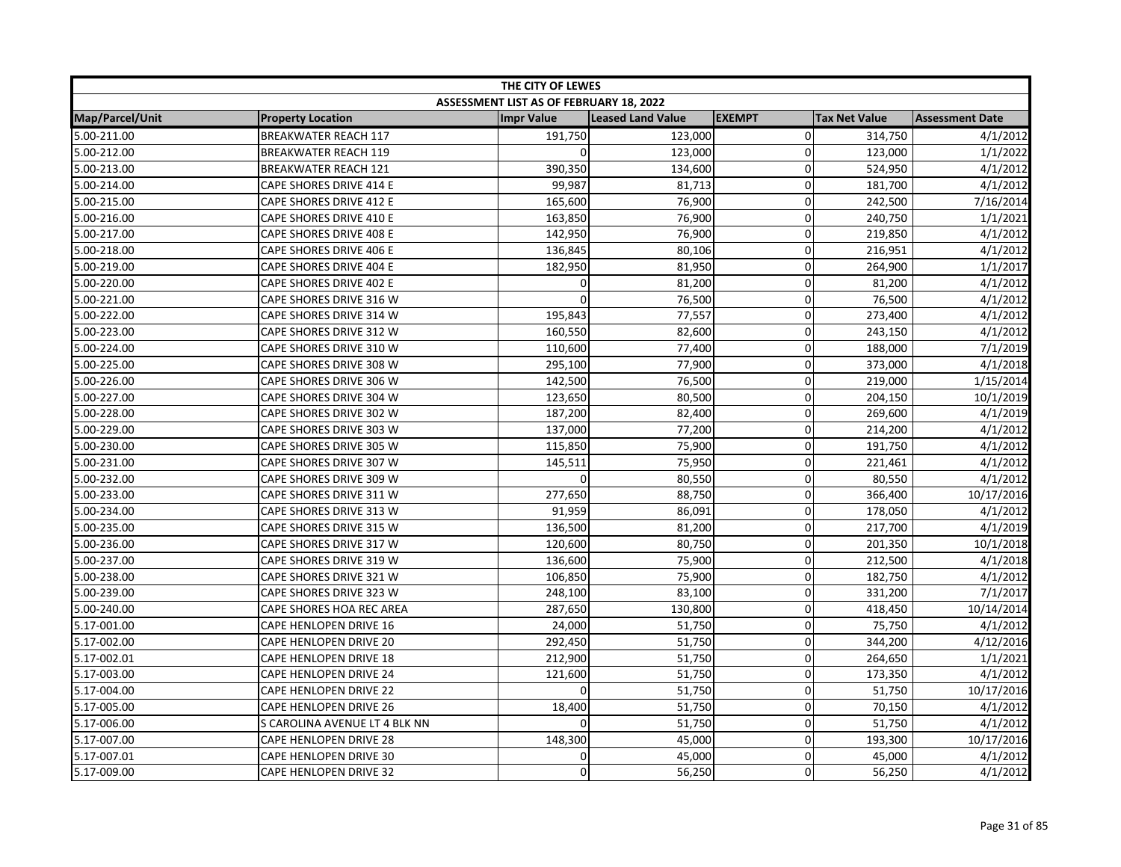| THE CITY OF LEWES |                               |                                         |                   |                |                      |                        |
|-------------------|-------------------------------|-----------------------------------------|-------------------|----------------|----------------------|------------------------|
|                   |                               | ASSESSMENT LIST AS OF FEBRUARY 18, 2022 |                   |                |                      |                        |
| Map/Parcel/Unit   | <b>Property Location</b>      | <b>Impr Value</b>                       | Leased Land Value | <b>EXEMPT</b>  | <b>Tax Net Value</b> | <b>Assessment Date</b> |
| 5.00-211.00       | <b>BREAKWATER REACH 117</b>   | 191,750                                 | 123,000           | $\overline{0}$ | 314,750              | 4/1/2012               |
| 5.00-212.00       | <b>BREAKWATER REACH 119</b>   |                                         | 123,000           | 0              | 123,000              | 1/1/2022               |
| 5.00-213.00       | <b>BREAKWATER REACH 121</b>   | 390,350                                 | 134,600           | $\Omega$       | 524,950              | 4/1/2012               |
| 5.00-214.00       | CAPE SHORES DRIVE 414 E       | 99,987                                  | 81,713            | 0              | 181,700              | 4/1/2012               |
| 5.00-215.00       | CAPE SHORES DRIVE 412 E       | 165,600                                 | 76,900            | 0              | 242,500              | 7/16/2014              |
| 5.00-216.00       | CAPE SHORES DRIVE 410 E       | 163,850                                 | 76,900            | 0              | 240,750              | 1/1/2021               |
| 5.00-217.00       | CAPE SHORES DRIVE 408 E       | 142,950                                 | 76,900            | 0              | 219,850              | 4/1/2012               |
| 5.00-218.00       | CAPE SHORES DRIVE 406 E       | 136,845                                 | 80,106            | 0              | 216,951              | 4/1/2012               |
| 5.00-219.00       | CAPE SHORES DRIVE 404 E       | 182,950                                 | 81,950            | 0              | 264,900              | 1/1/2017               |
| 5.00-220.00       | CAPE SHORES DRIVE 402 E       | $\mathbf{0}$                            | 81,200            | $\mathbf 0$    | 81,200               | 4/1/2012               |
| 5.00-221.00       | CAPE SHORES DRIVE 316 W       |                                         | 76,500            | 0              | 76,500               | 4/1/2012               |
| 5.00-222.00       | CAPE SHORES DRIVE 314 W       | 195,843                                 | 77,557            | $\mathbf 0$    | 273,400              | 4/1/2012               |
| 5.00-223.00       | CAPE SHORES DRIVE 312 W       | 160,550                                 | 82,600            | $\Omega$       | 243,150              | 4/1/2012               |
| 5.00-224.00       | CAPE SHORES DRIVE 310 W       | 110,600                                 | 77,400            | 0              | 188,000              | 7/1/2019               |
| 5.00-225.00       | CAPE SHORES DRIVE 308 W       | 295,100                                 | 77,900            | 0              | 373,000              | 4/1/2018               |
| 5.00-226.00       | CAPE SHORES DRIVE 306 W       | 142,500                                 | 76,500            | 0              | 219,000              | 1/15/2014              |
| 5.00-227.00       | CAPE SHORES DRIVE 304 W       | 123,650                                 | 80,500            | $\overline{0}$ | 204,150              | 10/1/2019              |
| 5.00-228.00       | CAPE SHORES DRIVE 302 W       | 187,200                                 | 82,400            | 0              | 269,600              | 4/1/2019               |
| 5.00-229.00       | CAPE SHORES DRIVE 303 W       | 137,000                                 | 77,200            | 0              | 214,200              | 4/1/2012               |
| 5.00-230.00       | CAPE SHORES DRIVE 305 W       | 115,850                                 | 75,900            | 0              | 191,750              | 4/1/2012               |
| 5.00-231.00       | CAPE SHORES DRIVE 307 W       | 145,511                                 | 75,950            | $\overline{0}$ | 221,461              | 4/1/2012               |
| 5.00-232.00       | CAPE SHORES DRIVE 309 W       | $\Omega$                                | 80,550            | $\Omega$       | 80,550               | 4/1/2012               |
| 5.00-233.00       | CAPE SHORES DRIVE 311 W       | 277,650                                 | 88,750            | 0              | 366,400              | 10/17/2016             |
| 5.00-234.00       | CAPE SHORES DRIVE 313 W       | 91,959                                  | 86,091            | $\overline{0}$ | 178,050              | 4/1/2012               |
| 5.00-235.00       | CAPE SHORES DRIVE 315 W       | 136,500                                 | 81,200            | 0              | 217,700              | 4/1/2019               |
| 5.00-236.00       | CAPE SHORES DRIVE 317 W       | 120,600                                 | 80,750            | 0              | 201,350              | 10/1/2018              |
| 5.00-237.00       | CAPE SHORES DRIVE 319 W       | 136,600                                 | 75,900            | $\Omega$       | 212,500              | 4/1/2018               |
| 5.00-238.00       | CAPE SHORES DRIVE 321 W       | 106,850                                 | 75,900            | $\mathbf 0$    | 182,750              | 4/1/2012               |
| 5.00-239.00       | CAPE SHORES DRIVE 323 W       | 248,100                                 | 83,100            | 0              | 331,200              | 7/1/2017               |
| 5.00-240.00       | CAPE SHORES HOA REC AREA      | 287,650                                 | 130,800           | $\Omega$       | 418,450              | 10/14/2014             |
| 5.17-001.00       | CAPE HENLOPEN DRIVE 16        | 24,000                                  | 51,750            | 0              | 75,750               | 4/1/2012               |
| 5.17-002.00       | CAPE HENLOPEN DRIVE 20        | 292,450                                 | 51,750            | 0              | 344,200              | 4/12/2016              |
| 5.17-002.01       | CAPE HENLOPEN DRIVE 18        | 212,900                                 | 51,750            | 0              | 264,650              | 1/1/2021               |
| 5.17-003.00       | CAPE HENLOPEN DRIVE 24        | 121,600                                 | 51,750            | 0              | 173,350              | 4/1/2012               |
| 5.17-004.00       | CAPE HENLOPEN DRIVE 22        | $\Omega$                                | 51,750            | $\mathbf 0$    | 51,750               | 10/17/2016             |
| 5.17-005.00       | <b>CAPE HENLOPEN DRIVE 26</b> | 18,400                                  | 51,750            | $\mathbf 0$    | 70,150               | 4/1/2012               |
| 5.17-006.00       | S CAROLINA AVENUE LT 4 BLK NN | $\Omega$                                | 51,750            | 0              | 51,750               | 4/1/2012               |
| 5.17-007.00       | CAPE HENLOPEN DRIVE 28        | 148,300                                 | 45,000            | 0              | 193,300              | 10/17/2016             |
| 5.17-007.01       | CAPE HENLOPEN DRIVE 30        | 0                                       | 45,000            | $\overline{0}$ | 45,000               | 4/1/2012               |
| 5.17-009.00       | CAPE HENLOPEN DRIVE 32        | $\Omega$                                | 56,250            | $\Omega$       | 56,250               | 4/1/2012               |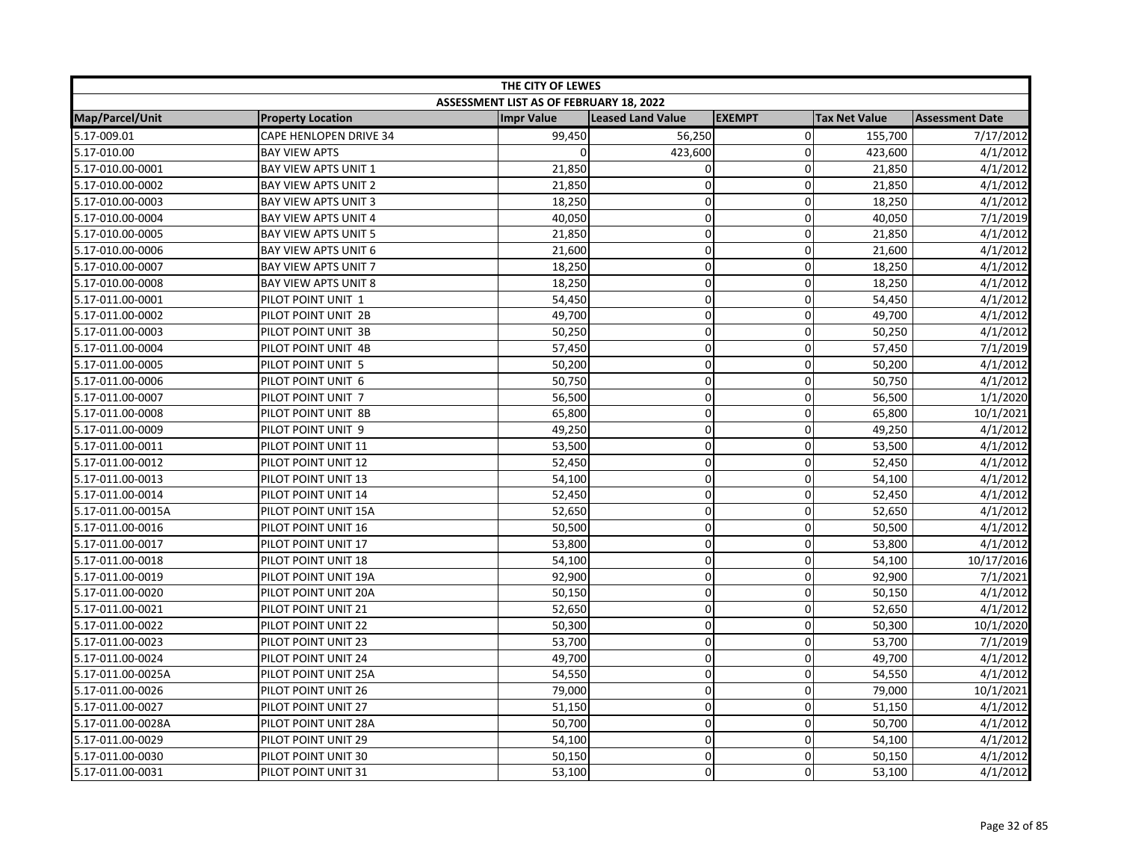| THE CITY OF LEWES |                               |                                         |                   |                |                      |                        |
|-------------------|-------------------------------|-----------------------------------------|-------------------|----------------|----------------------|------------------------|
|                   |                               | ASSESSMENT LIST AS OF FEBRUARY 18, 2022 |                   |                |                      |                        |
| Map/Parcel/Unit   | <b>Property Location</b>      | <b>Impr Value</b>                       | Leased Land Value | <b>EXEMPT</b>  | <b>Tax Net Value</b> | <b>Assessment Date</b> |
| 5.17-009.01       | <b>CAPE HENLOPEN DRIVE 34</b> | 99,450                                  | 56,250            | $\overline{0}$ | 155,700              | 7/17/2012              |
| 5.17-010.00       | <b>BAY VIEW APTS</b>          | $\Omega$                                | 423,600           | $\Omega$       | 423,600              | 4/1/2012               |
| 5.17-010.00-0001  | BAY VIEW APTS UNIT 1          | 21,850                                  | $\mathbf 0$       | $\Omega$       | 21,850               | 4/1/2012               |
| 5.17-010.00-0002  | <b>BAY VIEW APTS UNIT 2</b>   | 21,850                                  | $\Omega$          | 0              | 21,850               | 4/1/2012               |
| 5.17-010.00-0003  | BAY VIEW APTS UNIT 3          | 18,250                                  | $\mathbf 0$       | 0              | 18,250               | 4/1/2012               |
| 5.17-010.00-0004  | BAY VIEW APTS UNIT 4          | 40,050                                  | $\mathbf 0$       | 0              | 40,050               | 7/1/2019               |
| 5.17-010.00-0005  | <b>BAY VIEW APTS UNIT 5</b>   | 21,850                                  | $\mathbf 0$       | 0              | 21,850               | 4/1/2012               |
| 5.17-010.00-0006  | <b>BAY VIEW APTS UNIT 6</b>   | 21,600                                  | $\mathbf 0$       | $\Omega$       | 21,600               | 4/1/2012               |
| 5.17-010.00-0007  | BAY VIEW APTS UNIT 7          | 18,250                                  | $\mathbf 0$       | 0              | 18,250               | 4/1/2012               |
| 5.17-010.00-0008  | BAY VIEW APTS UNIT 8          | 18,250                                  | $\pmb{0}$         | $\mathbf 0$    | 18,250               | 4/1/2012               |
| 5.17-011.00-0001  | PILOT POINT UNIT 1            | 54,450                                  | $\mathbf 0$       | $\Omega$       | 54,450               | 4/1/2012               |
| 5.17-011.00-0002  | PILOT POINT UNIT 2B           | 49,700                                  | $\mathbf 0$       | $\Omega$       | 49,700               | 4/1/2012               |
| 5.17-011.00-0003  | PILOT POINT UNIT 3B           | 50,250                                  | 0                 | $\Omega$       | 50,250               | 4/1/2012               |
| 5.17-011.00-0004  | PILOT POINT UNIT 4B           | 57,450                                  | $\pmb{0}$         | 0              | 57,450               | 7/1/2019               |
| 5.17-011.00-0005  | PILOT POINT UNIT 5            | 50,200                                  | $\overline{0}$    | 0              | 50,200               | 4/1/2012               |
| 5.17-011.00-0006  | PILOT POINT UNIT 6            | 50,750                                  | $\mathbf 0$       | 0              | 50,750               | 4/1/2012               |
| 5.17-011.00-0007  | PILOT POINT UNIT 7            | 56,500                                  | $\mathbf 0$       | $\mathbf 0$    | 56,500               | 1/1/2020               |
| 5.17-011.00-0008  | PILOT POINT UNIT 8B           | 65,800                                  | $\mathbf 0$       | 0              | 65,800               | 10/1/2021              |
| 5.17-011.00-0009  | PILOT POINT UNIT 9            | 49,250                                  | $\pmb{0}$         | 0              | 49,250               | 4/1/2012               |
| 5.17-011.00-0011  | PILOT POINT UNIT 11           | 53,500                                  | $\mathbf 0$       | $\Omega$       | 53,500               | 4/1/2012               |
| 5.17-011.00-0012  | PILOT POINT UNIT 12           | 52,450                                  | $\pmb{0}$         | $\mathbf 0$    | 52,450               | 4/1/2012               |
| 5.17-011.00-0013  | PILOT POINT UNIT 13           | 54,100                                  | $\mathbf 0$       | $\Omega$       | 54,100               | 4/1/2012               |
| 5.17-011.00-0014  | PILOT POINT UNIT 14           | 52,450                                  | $\pmb{0}$         | 0              | 52,450               | 4/1/2012               |
| 5.17-011.00-0015A | PILOT POINT UNIT 15A          | 52,650                                  | $\pmb{0}$         | $\mathbf 0$    | 52,650               | 4/1/2012               |
| 5.17-011.00-0016  | PILOT POINT UNIT 16           | 50,500                                  | $\overline{0}$    | 0              | 50,500               | 4/1/2012               |
| 5.17-011.00-0017  | PILOT POINT UNIT 17           | 53,800                                  | $\pmb{0}$         | $\mathbf 0$    | 53,800               | 4/1/2012               |
| 5.17-011.00-0018  | PILOT POINT UNIT 18           | 54,100                                  | $\mathbf 0$       | $\Omega$       | 54,100               | 10/17/2016             |
| 5.17-011.00-0019  | PILOT POINT UNIT 19A          | 92,900                                  | $\pmb{0}$         | $\mathbf 0$    | 92,900               | 7/1/2021               |
| 5.17-011.00-0020  | PILOT POINT UNIT 20A          | 50,150                                  | $\mathbf 0$       | $\Omega$       | 50,150               | 4/1/2012               |
| 5.17-011.00-0021  | PILOT POINT UNIT 21           | 52,650                                  | $\mathbf 0$       | $\Omega$       | 52,650               | 4/1/2012               |
| 5.17-011.00-0022  | PILOT POINT UNIT 22           | 50,300                                  | $\mathbf 0$       | $\mathbf 0$    | 50,300               | 10/1/2020              |
| 5.17-011.00-0023  | PILOT POINT UNIT 23           | 53,700                                  | $\mathbf 0$       | 0              | 53,700               | 7/1/2019               |
| 5.17-011.00-0024  | PILOT POINT UNIT 24           | 49,700                                  | $\pmb{0}$         | 0              | 49,700               | 4/1/2012               |
| 5.17-011.00-0025A | PILOT POINT UNIT 25A          | 54,550                                  | $\mathbf 0$       | 0              | 54,550               | 4/1/2012               |
| 5.17-011.00-0026  | PILOT POINT UNIT 26           | 79,000                                  | $\pmb{0}$         | $\mathbf 0$    | 79,000               | 10/1/2021              |
| 5.17-011.00-0027  | PILOT POINT UNIT 27           | 51,150                                  | $\mathbf 0$       | $\Omega$       | 51,150               | 4/1/2012               |
| 5.17-011.00-0028A | PILOT POINT UNIT 28A          | 50,700                                  | 0                 | $\mathbf 0$    | 50,700               | 4/1/2012               |
| 5.17-011.00-0029  | PILOT POINT UNIT 29           | 54,100                                  | $\mathbf 0$       | 0              | 54,100               | 4/1/2012               |
| 5.17-011.00-0030  | PILOT POINT UNIT 30           | 50,150                                  | $\pmb{0}$         | $\Omega$       | 50,150               | 4/1/2012               |
| 5.17-011.00-0031  | PILOT POINT UNIT 31           | 53,100                                  | 0                 | $\Omega$       | 53,100               | 4/1/2012               |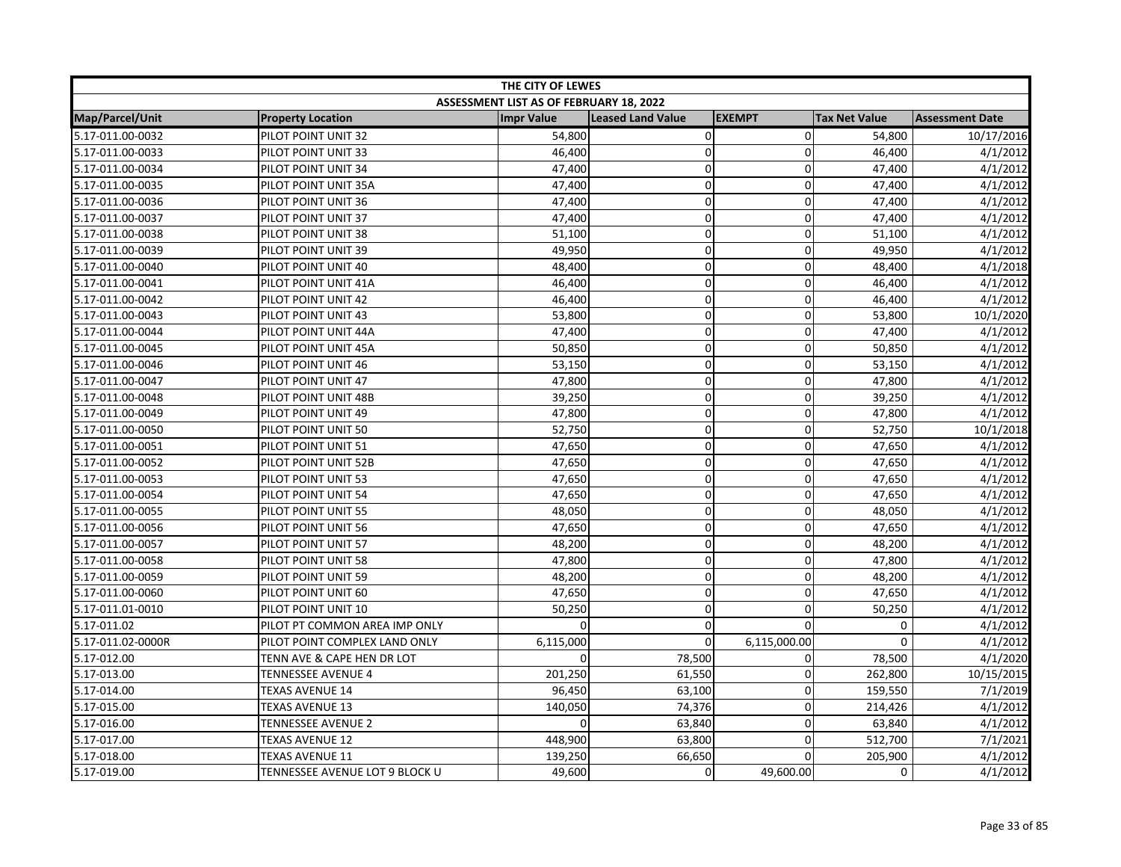| THE CITY OF LEWES |                                |                                         |                          |               |                      |                        |
|-------------------|--------------------------------|-----------------------------------------|--------------------------|---------------|----------------------|------------------------|
|                   |                                | ASSESSMENT LIST AS OF FEBRUARY 18, 2022 |                          |               |                      |                        |
| Map/Parcel/Unit   | <b>Property Location</b>       | <b>Impr Value</b>                       | <b>Leased Land Value</b> | <b>EXEMPT</b> | <b>Tax Net Value</b> | <b>Assessment Date</b> |
| 5.17-011.00-0032  | PILOT POINT UNIT 32            | 54,800                                  | $\pmb{0}$                | $\mathbf 0$   | 54,800               | 10/17/2016             |
| 5.17-011.00-0033  | PILOT POINT UNIT 33            | 46,400                                  | $\mathbf 0$              | 0             | 46,400               | 4/1/2012               |
| 5.17-011.00-0034  | PILOT POINT UNIT 34            | 47,400                                  | $\mathbf 0$              | $\mathbf 0$   | 47,400               | 4/1/2012               |
| 5.17-011.00-0035  | PILOT POINT UNIT 35A           | 47,400                                  | $\Omega$                 | $\mathbf{0}$  | 47,400               | 4/1/2012               |
| 5.17-011.00-0036  | PILOT POINT UNIT 36            | 47,400                                  | $\pmb{0}$                | $\Omega$      | 47,400               | 4/1/2012               |
| 5.17-011.00-0037  | PILOT POINT UNIT 37            | 47,400                                  | 0                        | 0             | 47,400               | 4/1/2012               |
| 5.17-011.00-0038  | PILOT POINT UNIT 38            | 51,100                                  | $\mathbf 0$              | 0             | 51,100               | 4/1/2012               |
| 5.17-011.00-0039  | PILOT POINT UNIT 39            | 49,950                                  | $\overline{0}$           | 0             | 49,950               | 4/1/2012               |
| 5.17-011.00-0040  | PILOT POINT UNIT 40            | 48,400                                  | $\mathbf 0$              | 0             | 48,400               | 4/1/2018               |
| 5.17-011.00-0041  | PILOT POINT UNIT 41A           | 46,400                                  | $\mathbf 0$              | $\mathbf 0$   | 46,400               | 4/1/2012               |
| 5.17-011.00-0042  | PILOT POINT UNIT 42            | 46,400                                  | $\mathbf 0$              | $\Omega$      | 46,400               | 4/1/2012               |
| 5.17-011.00-0043  | PILOT POINT UNIT 43            | 53,800                                  | $\pmb{0}$                | 0             | 53,800               | 10/1/2020              |
| 5.17-011.00-0044  | PILOT POINT UNIT 44A           | 47,400                                  | $\mathbf 0$              | 0             | 47,400               | 4/1/2012               |
| 5.17-011.00-0045  | PILOT POINT UNIT 45A           | 50,850                                  | $\pmb{0}$                | $\mathbf 0$   | 50,850               | 4/1/2012               |
| 5.17-011.00-0046  | PILOT POINT UNIT 46            | 53,150                                  | $\Omega$                 | $\Omega$      | 53,150               | 4/1/2012               |
| 5.17-011.00-0047  | PILOT POINT UNIT 47            | 47,800                                  | $\mathbf 0$              | 0             | 47,800               | 4/1/2012               |
| 5.17-011.00-0048  | PILOT POINT UNIT 48B           | 39,250                                  | $\mathbf 0$              | $\mathbf 0$   | 39,250               | 4/1/2012               |
| 5.17-011.00-0049  | PILOT POINT UNIT 49            | 47,800                                  | $\pmb{0}$                | $\mathbf 0$   | 47,800               | 4/1/2012               |
| 5.17-011.00-0050  | PILOT POINT UNIT 50            | 52,750                                  | $\pmb{0}$                | 0             | 52,750               | 10/1/2018              |
| 5.17-011.00-0051  | PILOT POINT UNIT 51            | 47,650                                  | $\mathbf 0$              | 0             | 47,650               | 4/1/2012               |
| 5.17-011.00-0052  | PILOT POINT UNIT 52B           | 47,650                                  | $\pmb{0}$                | $\mathbf 0$   | 47,650               | 4/1/2012               |
| 5.17-011.00-0053  | PILOT POINT UNIT 53            | 47,650                                  | $\mathbf 0$              | $\mathbf 0$   | 47,650               | 4/1/2012               |
| 5.17-011.00-0054  | PILOT POINT UNIT 54            | 47,650                                  | 0                        | $\Omega$      | 47,650               | 4/1/2012               |
| 5.17-011.00-0055  | PILOT POINT UNIT 55            | 48,050                                  | $\mathbf 0$              | 0             | 48,050               | 4/1/2012               |
| 5.17-011.00-0056  | PILOT POINT UNIT 56            | 47,650                                  | $\pmb{0}$                | 0             | 47,650               | 4/1/2012               |
| 5.17-011.00-0057  | PILOT POINT UNIT 57            | 48,200                                  | $\mathbf 0$              | 0             | 48,200               | 4/1/2012               |
| 5.17-011.00-0058  | PILOT POINT UNIT 58            | 47,800                                  | $\pmb{0}$                | 0             | 47,800               | 4/1/2012               |
| 5.17-011.00-0059  | PILOT POINT UNIT 59            | 48,200                                  | $\pmb{0}$                | $\mathbf 0$   | 48,200               | 4/1/2012               |
| 5.17-011.00-0060  | PILOT POINT UNIT 60            | 47,650                                  | $\mathbf 0$              | $\mathbf 0$   | 47,650               | 4/1/2012               |
| 5.17-011.01-0010  | PILOT POINT UNIT 10            | 50,250                                  | $\pmb{0}$                | 0             | 50,250               | 4/1/2012               |
| 5.17-011.02       | PILOT PT COMMON AREA IMP ONLY  | $\Omega$                                | 0                        | $\Omega$      | 0                    | 4/1/2012               |
| 5.17-011.02-0000R | PILOT POINT COMPLEX LAND ONLY  | 6,115,000                               | $\mathbf 0$              | 6,115,000.00  | $\Omega$             | 4/1/2012               |
| 5.17-012.00       | TENN AVE & CAPE HEN DR LOT     | <sup>n</sup>                            | 78,500                   | 0             | 78,500               | 4/1/2020               |
| 5.17-013.00       | <b>TENNESSEE AVENUE 4</b>      | 201,250                                 | 61,550                   | $\mathbf 0$   | 262,800              | 10/15/2015             |
| 5.17-014.00       | TEXAS AVENUE 14                | 96,450                                  | 63,100                   | 0             | 159,550              | 7/1/2019               |
| 5.17-015.00       | <b>TEXAS AVENUE 13</b>         | 140,050                                 | 74,376                   | 0             | 214,426              | 4/1/2012               |
| 5.17-016.00       | <b>TENNESSEE AVENUE 2</b>      | $\Omega$                                | 63,840                   | $\mathbf 0$   | 63,840               | 4/1/2012               |
| 5.17-017.00       | <b>TEXAS AVENUE 12</b>         | 448,900                                 | 63,800                   | $\mathbf 0$   | 512,700              | 7/1/2021               |
| 5.17-018.00       | TEXAS AVENUE 11                | 139,250                                 | 66,650                   | 0             | 205,900              | 4/1/2012               |
| 5.17-019.00       | TENNESSEE AVENUE LOT 9 BLOCK U | 49,600                                  | $\Omega$                 | 49,600.00     | 0                    | 4/1/2012               |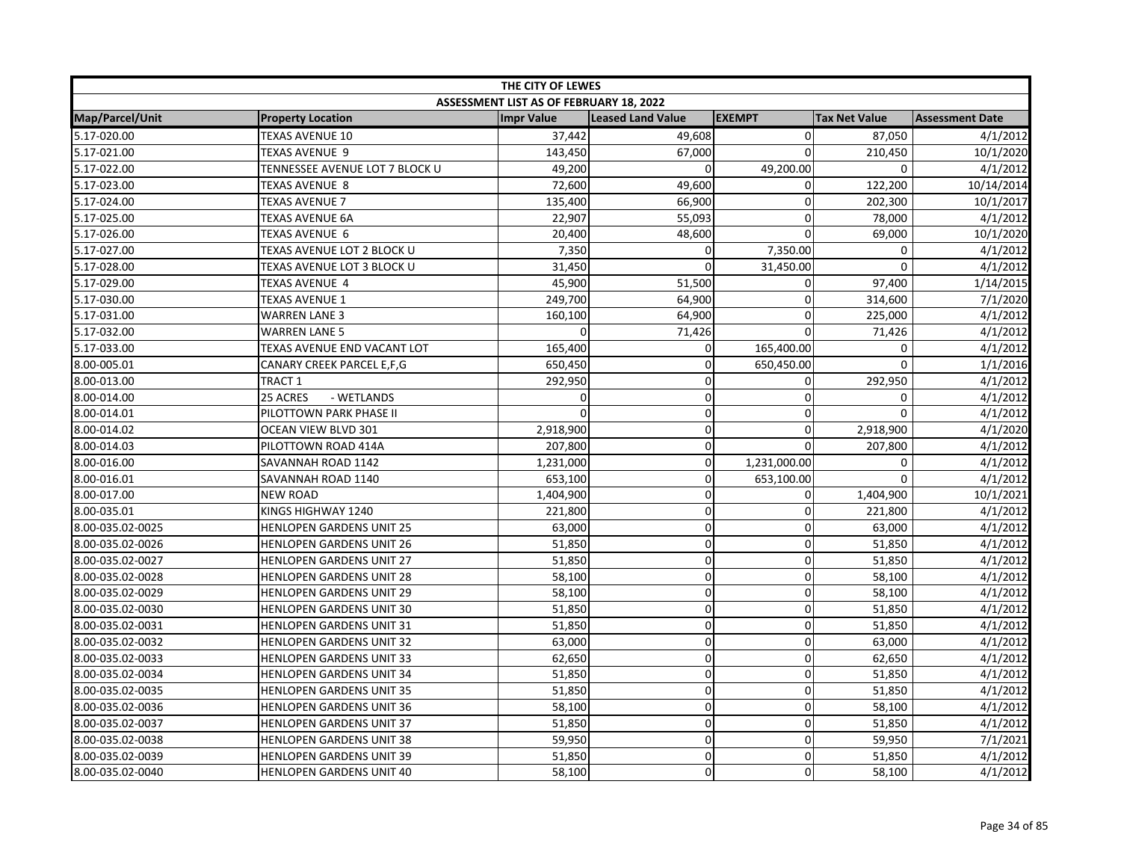| THE CITY OF LEWES      |                                 |                                                |                          |               |                      |                        |  |
|------------------------|---------------------------------|------------------------------------------------|--------------------------|---------------|----------------------|------------------------|--|
|                        |                                 | <b>ASSESSMENT LIST AS OF FEBRUARY 18, 2022</b> |                          |               |                      |                        |  |
| <b>Map/Parcel/Unit</b> | <b>Property Location</b>        | <b>Impr Value</b>                              | <b>Leased Land Value</b> | <b>EXEMPT</b> | <b>Tax Net Value</b> | <b>Assessment Date</b> |  |
| 5.17-020.00            | <b>TEXAS AVENUE 10</b>          | 37,442                                         | 49,608                   | 0             | 87,050               | 4/1/2012               |  |
| 5.17-021.00            | <b>TEXAS AVENUE 9</b>           | 143,450                                        | 67,000                   | $\Omega$      | 210.450              | 10/1/2020              |  |
| 5.17-022.00            | TENNESSEE AVENUE LOT 7 BLOCK U  | 49,200                                         | $\Omega$                 | 49,200.00     | $\Omega$             | 4/1/2012               |  |
| 5.17-023.00            | <b>TEXAS AVENUE 8</b>           | 72,600                                         | 49,600                   | 0             | 122,200              | 10/14/2014             |  |
| 5.17-024.00            | <b>TEXAS AVENUE 7</b>           | 135,400                                        | 66,900                   | $\Omega$      | 202,300              | 10/1/2017              |  |
| 5.17-025.00            | <b>TEXAS AVENUE 6A</b>          | 22,907                                         | 55,093                   | 0             | 78,000               | 4/1/2012               |  |
| 5.17-026.00            | TEXAS AVENUE 6                  | 20,400                                         | 48,600                   | $\Omega$      | 69,000               | 10/1/2020              |  |
| 5.17-027.00            | TEXAS AVENUE LOT 2 BLOCK U      | 7,350                                          | 0                        | 7,350.00      | $\mathbf 0$          | 4/1/2012               |  |
| 5.17-028.00            | TEXAS AVENUE LOT 3 BLOCK U      | 31,450                                         | 0                        | 31,450.00     | $\mathbf 0$          | 4/1/2012               |  |
| 5.17-029.00            | TEXAS AVENUE  4                 | 45,900                                         | 51,500                   | 0             | 97,400               | 1/14/2015              |  |
| 5.17-030.00            | <b>TEXAS AVENUE 1</b>           | 249,700                                        | 64,900                   | $\mathbf{0}$  | 314,600              | 7/1/2020               |  |
| 5.17-031.00            | <b>WARREN LANE 3</b>            | 160,100                                        | 64,900                   | $\Omega$      | 225,000              | 4/1/2012               |  |
| 5.17-032.00            | <b>WARREN LANE 5</b>            |                                                | 71,426                   | $\Omega$      | 71,426               | 4/1/2012               |  |
| 5.17-033.00            | TEXAS AVENUE END VACANT LOT     | 165,400                                        | 0                        | 165,400.00    | 0                    | 4/1/2012               |  |
| 8.00-005.01            | CANARY CREEK PARCEL E,F,G       | 650,450                                        | 0                        | 650,450.00    | $\Omega$             | 1/1/2016               |  |
| 8.00-013.00            | TRACT 1                         | 292,950                                        | 0                        | 0             | 292,950              | 4/1/2012               |  |
| 8.00-014.00            | 25 ACRES<br>- WETLANDS          | $\Omega$                                       | $\mathbf 0$              | $\Omega$      | 0                    | 4/1/2012               |  |
| 8.00-014.01            | PILOTTOWN PARK PHASE II         |                                                | 0                        | $\mathbf{0}$  | $\mathbf 0$          | 4/1/2012               |  |
| 8.00-014.02            | <b>OCEAN VIEW BLVD 301</b>      | 2,918,900                                      | 0                        | $\Omega$      | 2,918,900            | 4/1/2020               |  |
| 8.00-014.03            | PILOTTOWN ROAD 414A             | 207,800                                        | 0                        | 0             | 207,800              | 4/1/2012               |  |
| 8.00-016.00            | SAVANNAH ROAD 1142              | 1,231,000                                      | 0                        | 1,231,000.00  | 0                    | 4/1/2012               |  |
| 8.00-016.01            | SAVANNAH ROAD 1140              | 653,100                                        | 0                        | 653,100.00    | $\mathbf 0$          | 4/1/2012               |  |
| 8.00-017.00            | <b>NEW ROAD</b>                 | 1,404,900                                      | 0                        | 0             | 1,404,900            | 10/1/2021              |  |
| 8.00-035.01            | KINGS HIGHWAY 1240              | 221,800                                        | 0                        | 0             | 221,800              | 4/1/2012               |  |
| 8.00-035.02-0025       | <b>HENLOPEN GARDENS UNIT 25</b> | 63,000                                         | 0                        | 0             | 63,000               | 4/1/2012               |  |
| 8.00-035.02-0026       | <b>HENLOPEN GARDENS UNIT 26</b> | 51,850                                         | 0                        | $\Omega$      | 51,850               | 4/1/2012               |  |
| 8.00-035.02-0027       | HENLOPEN GARDENS UNIT 27        | 51,850                                         | 0                        | 0             | 51,850               | 4/1/2012               |  |
| 8.00-035.02-0028       | HENLOPEN GARDENS UNIT 28        | 58,100                                         | 0                        | $\mathbf 0$   | 58,100               | 4/1/2012               |  |
| 8.00-035.02-0029       | <b>HENLOPEN GARDENS UNIT 29</b> | 58,100                                         | 0                        | $\Omega$      | 58,100               | 4/1/2012               |  |
| 8.00-035.02-0030       | HENLOPEN GARDENS UNIT 30        | 51,850                                         | 0                        | $\mathbf 0$   | 51,850               | 4/1/2012               |  |
| 8.00-035.02-0031       | <b>HENLOPEN GARDENS UNIT 31</b> | 51,850                                         | 0                        | $\mathbf 0$   | 51,850               | 4/1/2012               |  |
| 8.00-035.02-0032       | <b>HENLOPEN GARDENS UNIT 32</b> | 63,000                                         | 0                        | 0             | 63,000               | 4/1/2012               |  |
| 8.00-035.02-0033       | <b>HENLOPEN GARDENS UNIT 33</b> | 62,650                                         | 0                        | $\Omega$      | 62,650               | 4/1/2012               |  |
| 8.00-035.02-0034       | <b>HENLOPEN GARDENS UNIT 34</b> | 51,850                                         | 0                        | 0             | 51,850               | 4/1/2012               |  |
| 8.00-035.02-0035       | HENLOPEN GARDENS UNIT 35        | 51,850                                         | 0                        | $\mathbf 0$   | 51,850               | 4/1/2012               |  |
| 8.00-035.02-0036       | <b>HENLOPEN GARDENS UNIT 36</b> | 58,100                                         | 0                        | $\Omega$      | 58,100               | 4/1/2012               |  |
| 8.00-035.02-0037       | HENLOPEN GARDENS UNIT 37        | 51,850                                         | 0                        | $\mathbf 0$   | 51,850               | 4/1/2012               |  |
| 8.00-035.02-0038       | <b>HENLOPEN GARDENS UNIT 38</b> | 59,950                                         | 0                        | $\mathbf 0$   | 59,950               | 7/1/2021               |  |
| 8.00-035.02-0039       | <b>HENLOPEN GARDENS UNIT 39</b> | 51,850                                         | 0                        | 0             | 51,850               | 4/1/2012               |  |
| 8.00-035.02-0040       | <b>HENLOPEN GARDENS UNIT 40</b> | 58,100                                         | 0                        | $\mathbf 0$   | 58,100               | 4/1/2012               |  |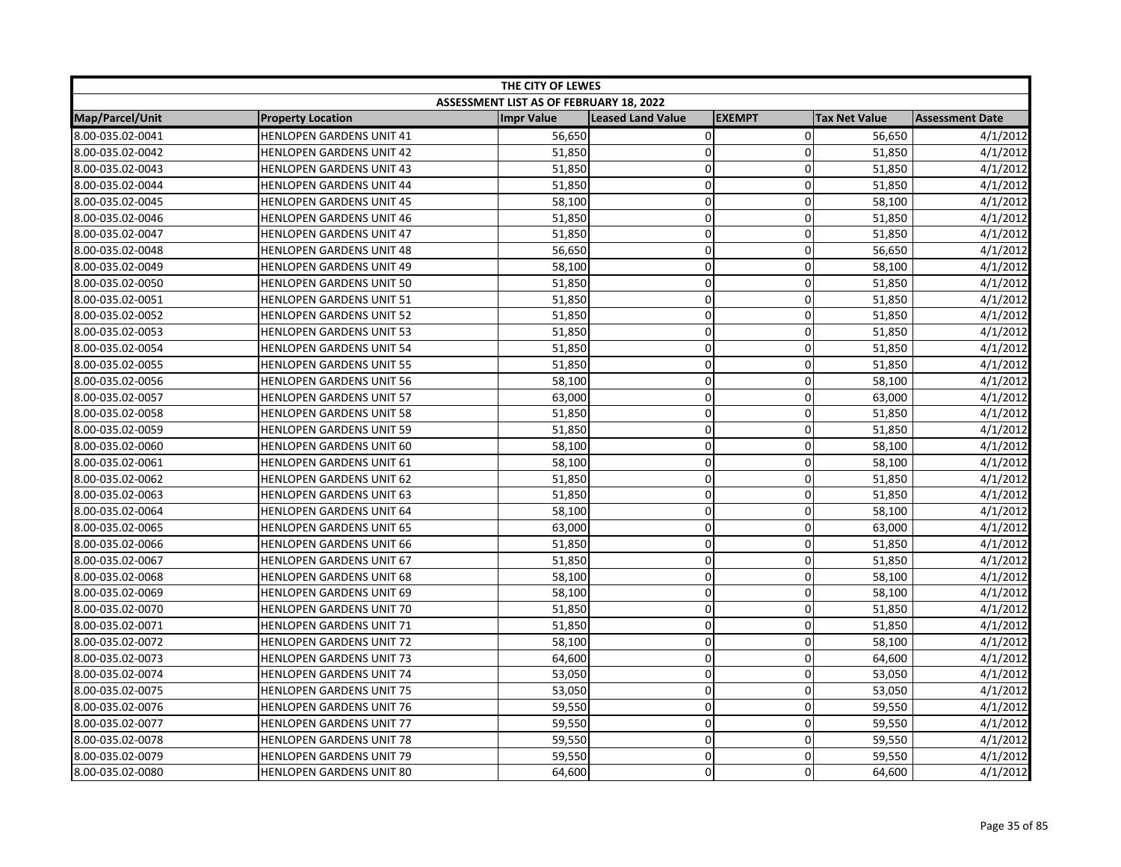| THE CITY OF LEWES |                                 |                                         |                   |               |                      |                        |
|-------------------|---------------------------------|-----------------------------------------|-------------------|---------------|----------------------|------------------------|
|                   |                                 | ASSESSMENT LIST AS OF FEBRUARY 18, 2022 |                   |               |                      |                        |
| Map/Parcel/Unit   | <b>Property Location</b>        | <b>Impr Value</b>                       | Leased Land Value | <b>EXEMPT</b> | <b>Tax Net Value</b> | <b>Assessment Date</b> |
| 8.00-035.02-0041  | HENLOPEN GARDENS UNIT 41        | 56,650                                  | 0                 | $\mathbf 0$   | 56,650               | 4/1/2012               |
| 8.00-035.02-0042  | <b>HENLOPEN GARDENS UNIT 42</b> | 51,850                                  | $\mathbf 0$       | $\Omega$      | 51,850               | 4/1/2012               |
| 8.00-035.02-0043  | <b>HENLOPEN GARDENS UNIT 43</b> | 51,850                                  | $\mathbf 0$       | 0             | 51,850               | 4/1/2012               |
| 8.00-035.02-0044  | <b>HENLOPEN GARDENS UNIT 44</b> | 51,850                                  | $\mathbf 0$       | $\Omega$      | 51,850               | 4/1/2012               |
| 8.00-035.02-0045  | HENLOPEN GARDENS UNIT 45        | 58,100                                  | $\pmb{0}$         | 0             | 58,100               | 4/1/2012               |
| 8.00-035.02-0046  | <b>HENLOPEN GARDENS UNIT 46</b> | 51,850                                  | $\pmb{0}$         | $\mathbf 0$   | 51,850               | 4/1/2012               |
| 8.00-035.02-0047  | <b>HENLOPEN GARDENS UNIT 47</b> | 51,850                                  | $\mathbf 0$       | 0             | 51,850               | 4/1/2012               |
| 8.00-035.02-0048  | <b>HENLOPEN GARDENS UNIT 48</b> | 56,650                                  | $\mathbf 0$       | $\Omega$      | 56,650               | 4/1/2012               |
| 8.00-035.02-0049  | <b>HENLOPEN GARDENS UNIT 49</b> | 58,100                                  | $\mathbf 0$       | $\Omega$      | 58,100               | 4/1/2012               |
| 8.00-035.02-0050  | <b>HENLOPEN GARDENS UNIT 50</b> | 51,850                                  | $\mathbf 0$       | $\Omega$      | 51,850               | 4/1/2012               |
| 8.00-035.02-0051  | HENLOPEN GARDENS UNIT 51        | 51,850                                  | $\mathbf 0$       | $\mathbf{0}$  | 51,850               | 4/1/2012               |
| 8.00-035.02-0052  | <b>HENLOPEN GARDENS UNIT 52</b> | 51,850                                  | $\mathbf 0$       | $\Omega$      | 51,850               | 4/1/2012               |
| 8.00-035.02-0053  | <b>HENLOPEN GARDENS UNIT 53</b> | 51,850                                  | $\mathbf 0$       | 0             | 51,850               | 4/1/2012               |
| 8.00-035.02-0054  | <b>HENLOPEN GARDENS UNIT 54</b> | 51,850                                  | $\mathbf 0$       | 0             | 51,850               | 4/1/2012               |
| 8.00-035.02-0055  | <b>HENLOPEN GARDENS UNIT 55</b> | 51,850                                  | $\mathbf 0$       | $\Omega$      | 51,850               | 4/1/2012               |
| 8.00-035.02-0056  | <b>HENLOPEN GARDENS UNIT 56</b> | 58,100                                  | $\mathbf 0$       | $\mathbf 0$   | 58,100               | 4/1/2012               |
| 8.00-035.02-0057  | <b>HENLOPEN GARDENS UNIT 57</b> | 63,000                                  | $\pmb{0}$         | $\mathbf 0$   | 63,000               | 4/1/2012               |
| 8.00-035.02-0058  | <b>HENLOPEN GARDENS UNIT 58</b> | 51,850                                  | $\mathbf 0$       | $\Omega$      | 51,850               | 4/1/2012               |
| 8.00-035.02-0059  | <b>HENLOPEN GARDENS UNIT 59</b> | 51,850                                  | $\mathbf 0$       | $\Omega$      | 51,850               | 4/1/2012               |
| 8.00-035.02-0060  | HENLOPEN GARDENS UNIT 60        | 58,100                                  | $\mathbf 0$       | $\Omega$      | 58,100               | 4/1/2012               |
| 8.00-035.02-0061  | HENLOPEN GARDENS UNIT 61        | 58,100                                  | $\pmb{0}$         | $\mathbf 0$   | 58,100               | 4/1/2012               |
| 8.00-035.02-0062  | <b>HENLOPEN GARDENS UNIT 62</b> | 51,850                                  | $\overline{0}$    | 0             | 51,850               | 4/1/2012               |
| 8.00-035.02-0063  | <b>HENLOPEN GARDENS UNIT 63</b> | 51,850                                  | $\mathbf 0$       | 0             | 51,850               | 4/1/2012               |
| 8.00-035.02-0064  | <b>HENLOPEN GARDENS UNIT 64</b> | 58,100                                  | $\mathbf 0$       | $\mathbf 0$   | 58,100               | 4/1/2012               |
| 8.00-035.02-0065  | HENLOPEN GARDENS UNIT 65        | 63,000                                  | $\mathbf 0$       | $\mathbf 0$   | 63,000               | 4/1/2012               |
| 8.00-035.02-0066  | <b>HENLOPEN GARDENS UNIT 66</b> | 51,850                                  | $\mathbf 0$       | 0             | 51,850               | 4/1/2012               |
| 8.00-035.02-0067  | <b>HENLOPEN GARDENS UNIT 67</b> | 51,850                                  | $\mathbf 0$       | 0             | 51,850               | 4/1/2012               |
| 8.00-035.02-0068  | <b>HENLOPEN GARDENS UNIT 68</b> | 58,100                                  | $\mathbf 0$       | $\mathbf 0$   | 58,100               | 4/1/2012               |
| 8.00-035.02-0069  | <b>HENLOPEN GARDENS UNIT 69</b> | 58,100                                  | $\Omega$          | $\Omega$      | 58,100               | 4/1/2012               |
| 8.00-035.02-0070  | <b>HENLOPEN GARDENS UNIT 70</b> | 51,850                                  | $\mathbf 0$       | $\Omega$      | 51,850               | 4/1/2012               |
| 8.00-035.02-0071  | HENLOPEN GARDENS UNIT 71        | 51,850                                  | $\mathbf 0$       | $\mathbf 0$   | 51,850               | 4/1/2012               |
| 8.00-035.02-0072  | HENLOPEN GARDENS UNIT 72        | 58,100                                  | $\pmb{0}$         | 0             | 58,100               | 4/1/2012               |
| 8.00-035.02-0073  | <b>HENLOPEN GARDENS UNIT 73</b> | 64,600                                  | $\mathbf 0$       | $\Omega$      | 64,600               | 4/1/2012               |
| 8.00-035.02-0074  | HENLOPEN GARDENS UNIT 74        | 53,050                                  | $\mathbf 0$       | $\mathbf 0$   | 53,050               | 4/1/2012               |
| 8.00-035.02-0075  | <b>HENLOPEN GARDENS UNIT 75</b> | 53,050                                  | $\mathbf 0$       | $\mathbf 0$   | 53,050               | 4/1/2012               |
| 8.00-035.02-0076  | <b>HENLOPEN GARDENS UNIT 76</b> | 59,550                                  | $\mathbf 0$       | $\mathbf{0}$  | 59,550               | 4/1/2012               |
| 8.00-035.02-0077  | HENLOPEN GARDENS UNIT 77        | 59,550                                  | $\mathbf 0$       | 0             | 59,550               | 4/1/2012               |
| 8.00-035.02-0078  | <b>HENLOPEN GARDENS UNIT 78</b> | 59,550                                  | 0                 | 0             | 59,550               | 4/1/2012               |
| 8.00-035.02-0079  | <b>HENLOPEN GARDENS UNIT 79</b> | 59,550                                  | $\mathbf 0$       | 0             | 59,550               | 4/1/2012               |
| 8.00-035.02-0080  | HENLOPEN GARDENS UNIT 80        | 64,600                                  | 0                 | $\Omega$      | 64,600               | 4/1/2012               |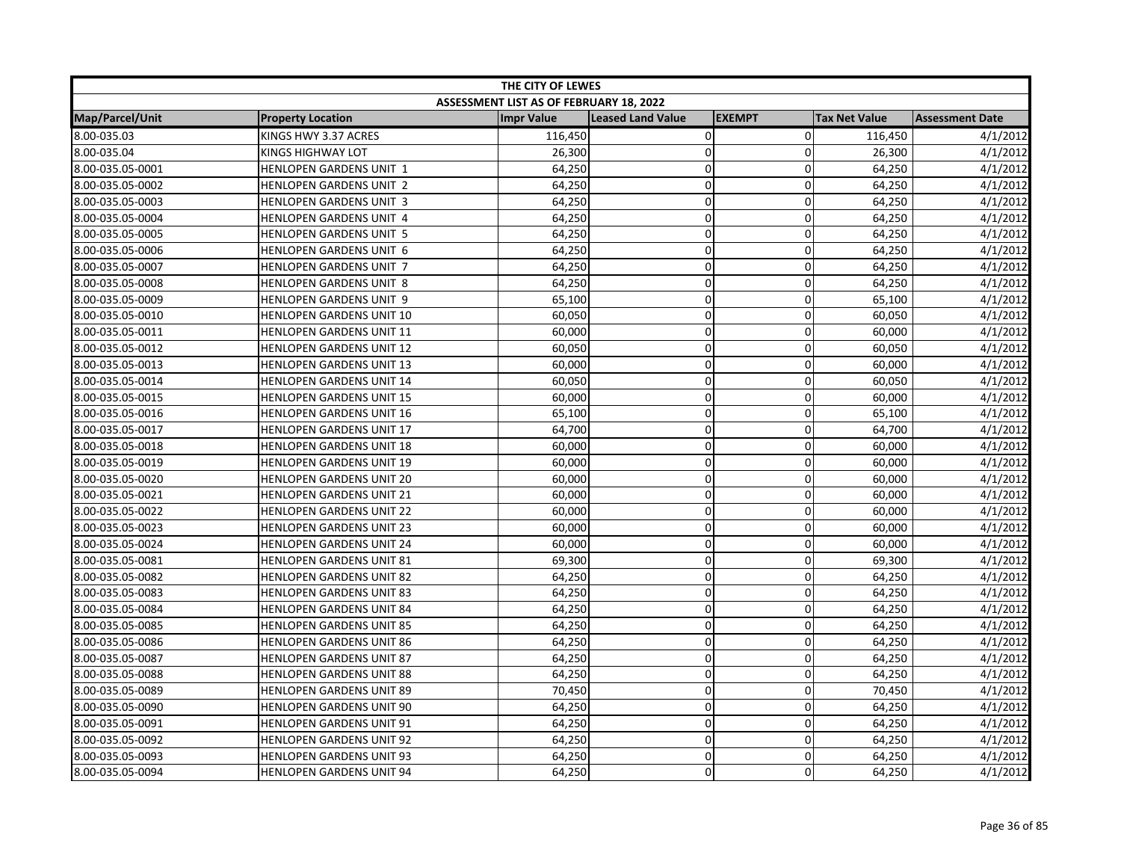| THE CITY OF LEWES |                                 |                                         |                          |               |                      |                        |
|-------------------|---------------------------------|-----------------------------------------|--------------------------|---------------|----------------------|------------------------|
|                   |                                 | ASSESSMENT LIST AS OF FEBRUARY 18, 2022 |                          |               |                      |                        |
| Map/Parcel/Unit   | <b>Property Location</b>        | <b>Impr Value</b>                       | <b>Leased Land Value</b> | <b>EXEMPT</b> | <b>Tax Net Value</b> | <b>Assessment Date</b> |
| 8.00-035.03       | KINGS HWY 3.37 ACRES            | 116,450                                 | 0                        | $\mathbf 0$   | 116,450              | 4/1/2012               |
| 8.00-035.04       | KINGS HIGHWAY LOT               | 26,300                                  | $\mathbf 0$              | $\mathbf{0}$  | 26,300               | 4/1/2012               |
| 8.00-035.05-0001  | HENLOPEN GARDENS UNIT 1         | 64,250                                  | $\mathbf 0$              | 0             | 64,250               | 4/1/2012               |
| 8.00-035.05-0002  | HENLOPEN GARDENS UNIT 2         | 64,250                                  | $\mathbf 0$              | $\Omega$      | 64,250               | 4/1/2012               |
| 8.00-035.05-0003  | HENLOPEN GARDENS UNIT 3         | 64,250                                  | $\pmb{0}$                | 0             | 64,250               | 4/1/2012               |
| 8.00-035.05-0004  | HENLOPEN GARDENS UNIT 4         | 64,250                                  | $\pmb{0}$                | $\mathbf 0$   | 64,250               | 4/1/2012               |
| 8.00-035.05-0005  | HENLOPEN GARDENS UNIT 5         | 64,250                                  | $\mathbf 0$              | 0             | 64,250               | 4/1/2012               |
| 8.00-035.05-0006  | HENLOPEN GARDENS UNIT 6         | 64,250                                  | $\mathbf 0$              | $\Omega$      | 64,250               | 4/1/2012               |
| 8.00-035.05-0007  | HENLOPEN GARDENS UNIT 7         | 64,250                                  | $\mathbf 0$              | $\Omega$      | 64,250               | 4/1/2012               |
| 8.00-035.05-0008  | HENLOPEN GARDENS UNIT 8         | 64,250                                  | $\mathbf 0$              | $\Omega$      | 64,250               | 4/1/2012               |
| 8.00-035.05-0009  | HENLOPEN GARDENS UNIT 9         | 65,100                                  | $\mathbf 0$              | $\mathbf{0}$  | 65,100               | 4/1/2012               |
| 8.00-035.05-0010  | HENLOPEN GARDENS UNIT 10        | 60,050                                  | $\mathbf 0$              | $\Omega$      | 60,050               | 4/1/2012               |
| 8.00-035.05-0011  | HENLOPEN GARDENS UNIT 11        | 60,000                                  | $\mathbf 0$              | 0             | 60,000               | 4/1/2012               |
| 8.00-035.05-0012  | <b>HENLOPEN GARDENS UNIT 12</b> | 60,050                                  | $\mathbf 0$              | 0             | 60,050               | 4/1/2012               |
| 8.00-035.05-0013  | HENLOPEN GARDENS UNIT 13        | 60,000                                  | $\overline{0}$           | $\Omega$      | 60,000               | 4/1/2012               |
| 8.00-035.05-0014  | HENLOPEN GARDENS UNIT 14        | 60,050                                  | $\mathbf 0$              | $\mathbf 0$   | 60,050               | 4/1/2012               |
| 8.00-035.05-0015  | <b>HENLOPEN GARDENS UNIT 15</b> | 60,000                                  | $\pmb{0}$                | $\mathbf 0$   | 60,000               | 4/1/2012               |
| 8.00-035.05-0016  | HENLOPEN GARDENS UNIT 16        | 65,100                                  | $\mathbf 0$              | $\Omega$      | 65,100               | 4/1/2012               |
| 8.00-035.05-0017  | <b>HENLOPEN GARDENS UNIT 17</b> | 64,700                                  | $\mathbf 0$              | $\Omega$      | 64,700               | 4/1/2012               |
| 8.00-035.05-0018  | <b>HENLOPEN GARDENS UNIT 18</b> | 60,000                                  | $\mathbf 0$              | $\Omega$      | 60,000               | 4/1/2012               |
| 8.00-035.05-0019  | <b>HENLOPEN GARDENS UNIT 19</b> | 60,000                                  | $\pmb{0}$                | $\mathbf 0$   | 60,000               | 4/1/2012               |
| 8.00-035.05-0020  | HENLOPEN GARDENS UNIT 20        | 60,000                                  | $\overline{0}$           | 0             | 60,000               | 4/1/2012               |
| 8.00-035.05-0021  | HENLOPEN GARDENS UNIT 21        | 60,000                                  | $\mathbf 0$              | 0             | 60,000               | 4/1/2012               |
| 8.00-035.05-0022  | <b>HENLOPEN GARDENS UNIT 22</b> | 60,000                                  | $\mathbf 0$              | $\mathbf 0$   | 60,000               | 4/1/2012               |
| 8.00-035.05-0023  | HENLOPEN GARDENS UNIT 23        | 60,000                                  | $\mathbf 0$              | $\mathbf 0$   | 60,000               | 4/1/2012               |
| 8.00-035.05-0024  | <b>HENLOPEN GARDENS UNIT 24</b> | 60,000                                  | $\mathbf 0$              | 0             | 60,000               | 4/1/2012               |
| 8.00-035.05-0081  | HENLOPEN GARDENS UNIT 81        | 69,300                                  | $\mathbf 0$              | 0             | 69,300               | 4/1/2012               |
| 8.00-035.05-0082  | <b>HENLOPEN GARDENS UNIT 82</b> | 64,250                                  | $\mathbf 0$              | $\mathbf 0$   | 64,250               | 4/1/2012               |
| 8.00-035.05-0083  | <b>HENLOPEN GARDENS UNIT 83</b> | 64,250                                  | $\Omega$                 | $\Omega$      | 64,250               | 4/1/2012               |
| 8.00-035.05-0084  | <b>HENLOPEN GARDENS UNIT 84</b> | 64,250                                  | $\mathbf 0$              | $\Omega$      | 64,250               | 4/1/2012               |
| 8.00-035.05-0085  | <b>HENLOPEN GARDENS UNIT 85</b> | 64,250                                  | $\mathbf 0$              | $\mathbf 0$   | 64,250               | 4/1/2012               |
| 8.00-035.05-0086  | HENLOPEN GARDENS UNIT 86        | 64,250                                  | $\pmb{0}$                | 0             | 64,250               | 4/1/2012               |
| 8.00-035.05-0087  | <b>HENLOPEN GARDENS UNIT 87</b> | 64,250                                  | $\mathbf 0$              | $\Omega$      | 64,250               | 4/1/2012               |
| 8.00-035.05-0088  | <b>HENLOPEN GARDENS UNIT 88</b> | 64,250                                  | $\mathbf 0$              | $\mathbf 0$   | 64,250               | 4/1/2012               |
| 8.00-035.05-0089  | <b>HENLOPEN GARDENS UNIT 89</b> | 70,450                                  | $\mathbf 0$              | $\mathbf 0$   | 70,450               | 4/1/2012               |
| 8.00-035.05-0090  | <b>HENLOPEN GARDENS UNIT 90</b> | 64,250                                  | $\mathbf 0$              | $\mathbf{0}$  | 64,250               | 4/1/2012               |
| 8.00-035.05-0091  | HENLOPEN GARDENS UNIT 91        | 64,250                                  | $\mathbf 0$              | 0             | 64,250               | 4/1/2012               |
| 8.00-035.05-0092  | <b>HENLOPEN GARDENS UNIT 92</b> | 64,250                                  | 0                        | 0             | 64,250               | 4/1/2012               |
| 8.00-035.05-0093  | <b>HENLOPEN GARDENS UNIT 93</b> | 64,250                                  | $\mathbf 0$              | 0             | 64,250               | 4/1/2012               |
| 8.00-035.05-0094  | <b>HENLOPEN GARDENS UNIT 94</b> | 64,250                                  | 0                        | $\Omega$      | 64,250               | 4/1/2012               |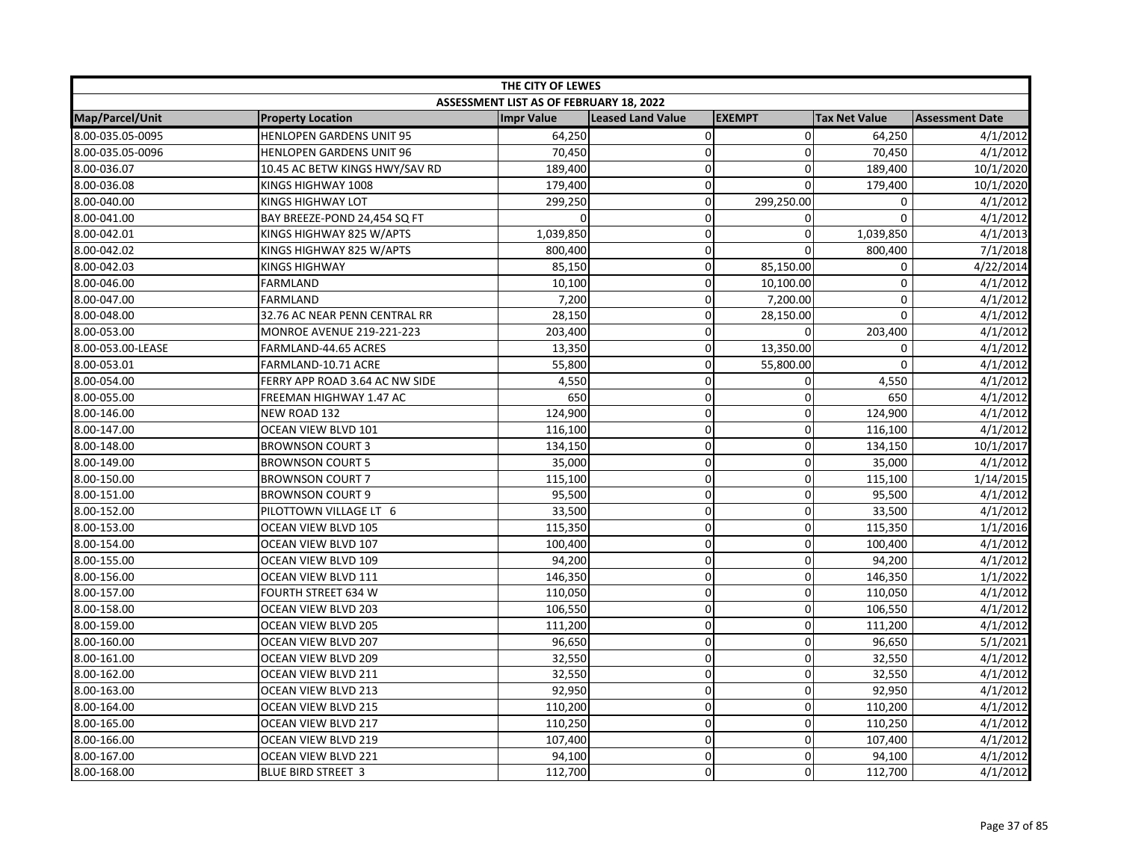| THE CITY OF LEWES |                                 |                                         |                          |                |                      |                        |  |
|-------------------|---------------------------------|-----------------------------------------|--------------------------|----------------|----------------------|------------------------|--|
|                   |                                 | ASSESSMENT LIST AS OF FEBRUARY 18, 2022 |                          |                |                      |                        |  |
| Map/Parcel/Unit   | <b>Property Location</b>        | <b>Impr Value</b>                       | <b>Leased Land Value</b> | <b>EXEMPT</b>  | <b>Tax Net Value</b> | <b>Assessment Date</b> |  |
| 8.00-035.05-0095  | <b>HENLOPEN GARDENS UNIT 95</b> | 64,250                                  | $\mathsf 0$              | $\overline{0}$ | 64,250               | 4/1/2012               |  |
| 8.00-035.05-0096  | <b>HENLOPEN GARDENS UNIT 96</b> | 70,450                                  | 0                        | $\mathbf{0}$   | 70,450               | 4/1/2012               |  |
| 8.00-036.07       | 10.45 AC BETW KINGS HWY/SAV RD  | 189,400                                 | $\mathbf 0$              | $\mathbf 0$    | 189,400              | 10/1/2020              |  |
| 8.00-036.08       | KINGS HIGHWAY 1008              | 179,400                                 | 0                        | $\Omega$       | 179,400              | 10/1/2020              |  |
| 8.00-040.00       | KINGS HIGHWAY LOT               | 299,250                                 | 0                        | 299,250.00     | 0                    | 4/1/2012               |  |
| 8.00-041.00       | BAY BREEZE-POND 24,454 SQ FT    | n                                       | 0                        | 0              | 0                    | 4/1/2012               |  |
| 8.00-042.01       | KINGS HIGHWAY 825 W/APTS        | 1,039,850                               | 0                        | $\mathbf 0$    | 1,039,850            | 4/1/2013               |  |
| 8.00-042.02       | KINGS HIGHWAY 825 W/APTS        | 800,400                                 | 0                        | 0              | 800,400              | 7/1/2018               |  |
| 8.00-042.03       | <b>KINGS HIGHWAY</b>            | 85,150                                  | 0                        | 85,150.00      | 0                    | 4/22/2014              |  |
| 8.00-046.00       | FARMLAND                        | 10,100                                  | 0                        | 10,100.00      | $\pmb{0}$            | 4/1/2012               |  |
| 8.00-047.00       | <b>FARMLAND</b>                 | 7,200                                   | 0                        | 7,200.00       | $\mathbf 0$          | 4/1/2012               |  |
| 8.00-048.00       | 32.76 AC NEAR PENN CENTRAL RR   | 28,150                                  | 0                        | 28,150.00      | $\Omega$             | 4/1/2012               |  |
| 8.00-053.00       | MONROE AVENUE 219-221-223       | 203,400                                 | $\mathbf 0$              | 0              | 203,400              | 4/1/2012               |  |
| 8.00-053.00-LEASE | FARMLAND-44.65 ACRES            | 13,350                                  | 0                        | 13,350.00      | 0                    | 4/1/2012               |  |
| 8.00-053.01       | FARMLAND-10.71 ACRE             | 55,800                                  | 0                        | 55,800.00      | 0                    | 4/1/2012               |  |
| 8.00-054.00       | FERRY APP ROAD 3.64 AC NW SIDE  | 4,550                                   | 0                        | $\mathbf 0$    | 4,550                | 4/1/2012               |  |
| 8.00-055.00       | FREEMAN HIGHWAY 1.47 AC         | 650                                     | 0                        | $\mathbf 0$    | 650                  | 4/1/2012               |  |
| 8.00-146.00       | NEW ROAD 132                    | 124,900                                 | $\mathbf 0$              | $\mathbf 0$    | 124,900              | 4/1/2012               |  |
| 8.00-147.00       | OCEAN VIEW BLVD 101             | 116,100                                 | $\mathbf 0$              | $\mathbf{0}$   | 116,100              | 4/1/2012               |  |
| 8.00-148.00       | <b>BROWNSON COURT 3</b>         | 134,150                                 | 0                        | 0              | 134,150              | 10/1/2017              |  |
| 8.00-149.00       | <b>BROWNSON COURT 5</b>         | 35,000                                  | $\overline{\text{o}}$    | $\mathbf 0$    | 35,000               | 4/1/2012               |  |
| 8.00-150.00       | <b>BROWNSON COURT 7</b>         | 115,100                                 | $\mathbf 0$              | 0              | 115,100              | 1/14/2015              |  |
| 8.00-151.00       | <b>BROWNSON COURT 9</b>         | 95,500                                  | 0                        | 0              | 95,500               | 4/1/2012               |  |
| 8.00-152.00       | PILOTTOWN VILLAGE LT 6          | 33,500                                  | 0                        | $\mathbf 0$    | 33,500               | 4/1/2012               |  |
| 8.00-153.00       | OCEAN VIEW BLVD 105             | 115,350                                 | $\mathbf 0$              | $\mathbf 0$    | 115,350              | 1/1/2016               |  |
| 8.00-154.00       | OCEAN VIEW BLVD 107             | 100,400                                 | $\mathbf 0$              | 0              | 100,400              | 4/1/2012               |  |
| 8.00-155.00       | OCEAN VIEW BLVD 109             | 94,200                                  | 0                        | $\mathbf 0$    | 94,200               | 4/1/2012               |  |
| 8.00-156.00       | OCEAN VIEW BLVD 111             | 146,350                                 | 0                        | $\mathbf 0$    | 146,350              | 1/1/2022               |  |
| 8.00-157.00       | FOURTH STREET 634 W             | 110,050                                 | 0                        | 0              | 110,050              | 4/1/2012               |  |
| 8.00-158.00       | OCEAN VIEW BLVD 203             | 106,550                                 | $\mathbf 0$              | $\mathbf 0$    | 106,550              | 4/1/2012               |  |
| 8.00-159.00       | OCEAN VIEW BLVD 205             | 111,200                                 | 0                        | $\mathbf 0$    | 111,200              | 4/1/2012               |  |
| 8.00-160.00       | OCEAN VIEW BLVD 207             | 96,650                                  | 0                        | $\mathbf 0$    | 96,650               | 5/1/2021               |  |
| 8.00-161.00       | OCEAN VIEW BLVD 209             | 32,550                                  | $\mathbf 0$              | $\mathbf{0}$   | 32,550               | 4/1/2012               |  |
| 8.00-162.00       | OCEAN VIEW BLVD 211             | 32,550                                  | 0                        | 0              | 32,550               | 4/1/2012               |  |
| 8.00-163.00       | OCEAN VIEW BLVD 213             | 92,950                                  | 0                        | $\mathbf 0$    | 92,950               | 4/1/2012               |  |
| 8.00-164.00       | OCEAN VIEW BLVD 215             | 110,200                                 | 0                        | $\pmb{0}$      | 110,200              | 4/1/2012               |  |
| 8.00-165.00       | OCEAN VIEW BLVD 217             | 110,250                                 | 0                        | $\mathbf 0$    | 110,250              | 4/1/2012               |  |
| 8.00-166.00       | OCEAN VIEW BLVD 219             | 107,400                                 | 0                        | 0              | 107,400              | 4/1/2012               |  |
| 8.00-167.00       | OCEAN VIEW BLVD 221             | 94,100                                  | 0                        | $\Omega$       | 94,100               | 4/1/2012               |  |
| 8.00-168.00       | <b>BLUE BIRD STREET 3</b>       | 112,700                                 | 0                        | $\Omega$       | 112,700              | 4/1/2012               |  |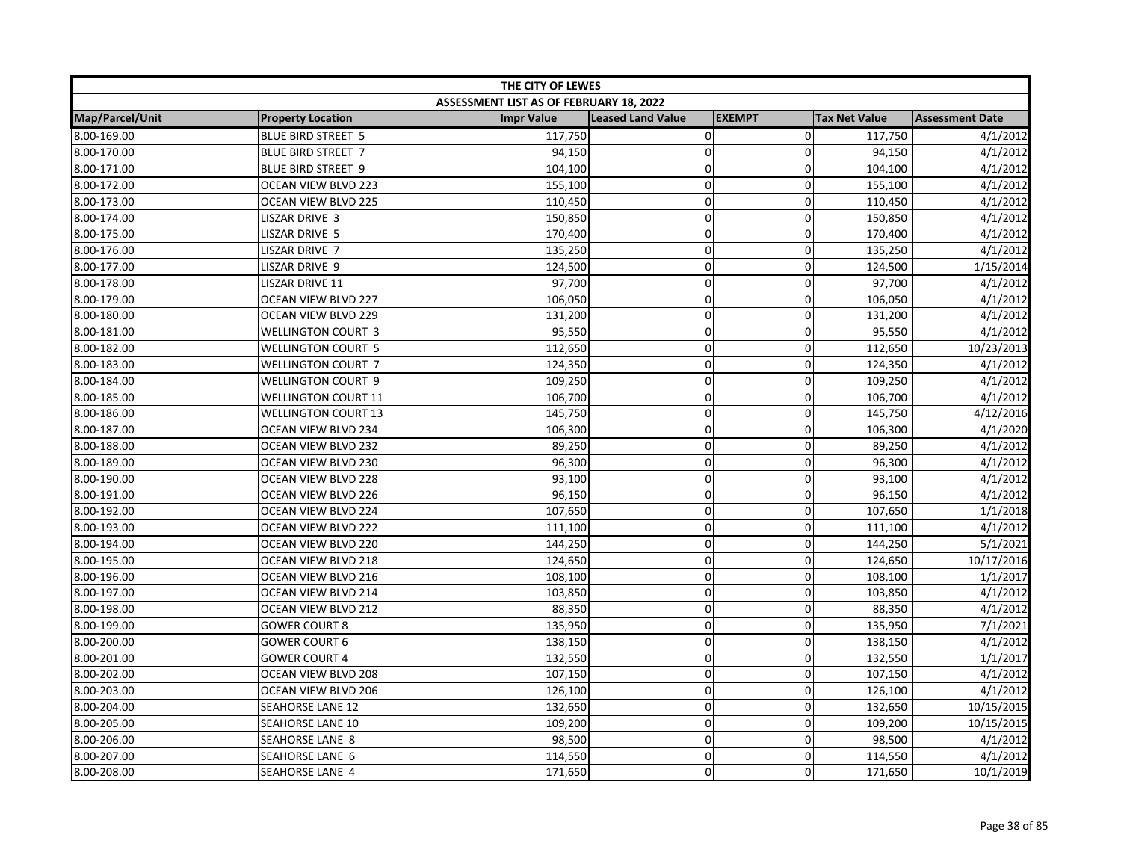| THE CITY OF LEWES |                            |                                         |                          |               |                      |                        |  |
|-------------------|----------------------------|-----------------------------------------|--------------------------|---------------|----------------------|------------------------|--|
|                   |                            | ASSESSMENT LIST AS OF FEBRUARY 18, 2022 |                          |               |                      |                        |  |
| Map/Parcel/Unit   | <b>Property Location</b>   | <b>Impr Value</b>                       | <b>Leased Land Value</b> | <b>EXEMPT</b> | <b>Tax Net Value</b> | <b>Assessment Date</b> |  |
| 8.00-169.00       | <b>BLUE BIRD STREET 5</b>  | 117,750                                 | 0                        | $\mathbf 0$   | 117,750              | 4/1/2012               |  |
| 8.00-170.00       | <b>BLUE BIRD STREET 7</b>  | 94,150                                  | $\mathbf 0$              | $\mathbf 0$   | 94,150               | 4/1/2012               |  |
| 8.00-171.00       | <b>BLUE BIRD STREET 9</b>  | 104,100                                 | 0                        | $\pmb{0}$     | 104,100              | 4/1/2012               |  |
| 8.00-172.00       | OCEAN VIEW BLVD 223        | 155,100                                 | 0                        | 0             | 155,100              | 4/1/2012               |  |
| 8.00-173.00       | OCEAN VIEW BLVD 225        | 110,450                                 | 0                        | $\Omega$      | 110,450              | 4/1/2012               |  |
| 8.00-174.00       | LISZAR DRIVE 3             | 150,850                                 | $\mathbf 0$              | $\mathbf 0$   | 150,850              | 4/1/2012               |  |
| 8.00-175.00       | LISZAR DRIVE 5             | 170,400                                 | 0                        | $\mathbf 0$   | 170,400              | 4/1/2012               |  |
| 8.00-176.00       | LISZAR DRIVE 7             | 135,250                                 | 0                        | 0             | 135,250              | 4/1/2012               |  |
| 8.00-177.00       | LISZAR DRIVE 9             | 124,500                                 | 0                        | $\mathbf 0$   | 124,500              | 1/15/2014              |  |
| 8.00-178.00       | LISZAR DRIVE 11            | 97,700                                  | 0                        | $\mathbf 0$   | 97,700               | 4/1/2012               |  |
| 8.00-179.00       | OCEAN VIEW BLVD 227        | 106,050                                 | $\mathbf 0$              | $\mathbf 0$   | 106,050              | 4/1/2012               |  |
| 8.00-180.00       | OCEAN VIEW BLVD 229        | 131,200                                 | 0                        | $\mathbf 0$   | 131,200              | 4/1/2012               |  |
| 8.00-181.00       | <b>WELLINGTON COURT 3</b>  | 95,550                                  | 0                        | 0             | 95,550               | 4/1/2012               |  |
| 8.00-182.00       | <b>WELLINGTON COURT 5</b>  | 112,650                                 | 0                        | $\mathbf 0$   | 112,650              | 10/23/2013             |  |
| 8.00-183.00       | <b>WELLINGTON COURT 7</b>  | 124,350                                 | $\mathbf 0$              | $\mathbf 0$   | 124,350              | 4/1/2012               |  |
| 8.00-184.00       | <b>WELLINGTON COURT 9</b>  | 109,250                                 | 0                        | $\mathbf 0$   | 109,250              | 4/1/2012               |  |
| 8.00-185.00       | <b>WELLINGTON COURT 11</b> | 106,700                                 | 0                        | $\pmb{0}$     | 106,700              | 4/1/2012               |  |
| 8.00-186.00       | <b>WELLINGTON COURT 13</b> | 145,750                                 | 0                        | $\mathbf 0$   | 145,750              | 4/12/2016              |  |
| 8.00-187.00       | OCEAN VIEW BLVD 234        | 106,300                                 | 0                        | $\mathbf 0$   | 106,300              | 4/1/2020               |  |
| 8.00-188.00       | OCEAN VIEW BLVD 232        | 89,250                                  | 0                        | 0             | 89,250               | 4/1/2012               |  |
| 8.00-189.00       | OCEAN VIEW BLVD 230        | 96,300                                  | 0                        | $\pmb{0}$     | 96,300               | 4/1/2012               |  |
| 8.00-190.00       | OCEAN VIEW BLVD 228        | 93,100                                  | $\mathbf 0$              | 0             | 93,100               | 4/1/2012               |  |
| 8.00-191.00       | OCEAN VIEW BLVD 226        | 96,150                                  | 0                        | $\mathbf 0$   | 96,150               | 4/1/2012               |  |
| 8.00-192.00       | OCEAN VIEW BLVD 224        | 107,650                                 | 0                        | $\mathbf 0$   | 107,650              | 1/1/2018               |  |
| 8.00-193.00       | OCEAN VIEW BLVD 222        | 111,100                                 | 0                        | $\pmb{0}$     | 111,100              | 4/1/2012               |  |
| 8.00-194.00       | OCEAN VIEW BLVD 220        | 144,250                                 | 0                        | $\mathbf 0$   | 144,250              | 5/1/2021               |  |
| 8.00-195.00       | OCEAN VIEW BLVD 218        | 124,650                                 | 0                        | 0             | 124,650              | 10/17/2016             |  |
| 8.00-196.00       | OCEAN VIEW BLVD 216        | 108,100                                 | $\overline{\mathbf{0}}$  | $\mathbf 0$   | 108,100              | 1/1/2017               |  |
| 8.00-197.00       | OCEAN VIEW BLVD 214        | 103,850                                 | 0                        | 0             | 103,850              | 4/1/2012               |  |
| 8.00-198.00       | OCEAN VIEW BLVD 212        | 88,350                                  | $\mathbf 0$              | $\mathbf 0$   | 88,350               | 4/1/2012               |  |
| 8.00-199.00       | <b>GOWER COURT 8</b>       | 135,950                                 | 0                        | $\mathbf 0$   | 135,950              | 7/1/2021               |  |
| 8.00-200.00       | <b>GOWER COURT 6</b>       | 138,150                                 | 0                        | $\mathbf 0$   | 138,150              | 4/1/2012               |  |
| 8.00-201.00       | <b>GOWER COURT 4</b>       | 132,550                                 | 0                        | 0             | 132,550              | 1/1/2017               |  |
| 8.00-202.00       | OCEAN VIEW BLVD 208        | 107,150                                 | 0                        | 0             | 107,150              | 4/1/2012               |  |
| 8.00-203.00       | OCEAN VIEW BLVD 206        | 126,100                                 | 0                        | $\mathbf 0$   | 126,100              | 4/1/2012               |  |
| 8.00-204.00       | <b>SEAHORSE LANE 12</b>    | 132,650                                 | $\mathbf 0$              | 0             | 132,650              | 10/15/2015             |  |
| 8.00-205.00       | SEAHORSE LANE 10           | 109,200                                 | $\mathbf 0$              | $\Omega$      | 109,200              | 10/15/2015             |  |
| 8.00-206.00       | SEAHORSE LANE 8            | 98,500                                  | 0                        | $\mathbf{0}$  | 98,500               | 4/1/2012               |  |
| 8.00-207.00       | SEAHORSE LANE 6            | 114,550                                 | 0                        | $\mathbf 0$   | 114,550              | 4/1/2012               |  |
| 8.00-208.00       | SEAHORSE LANE 4            | 171,650                                 | 0                        | $\mathbf 0$   | 171,650              | 10/1/2019              |  |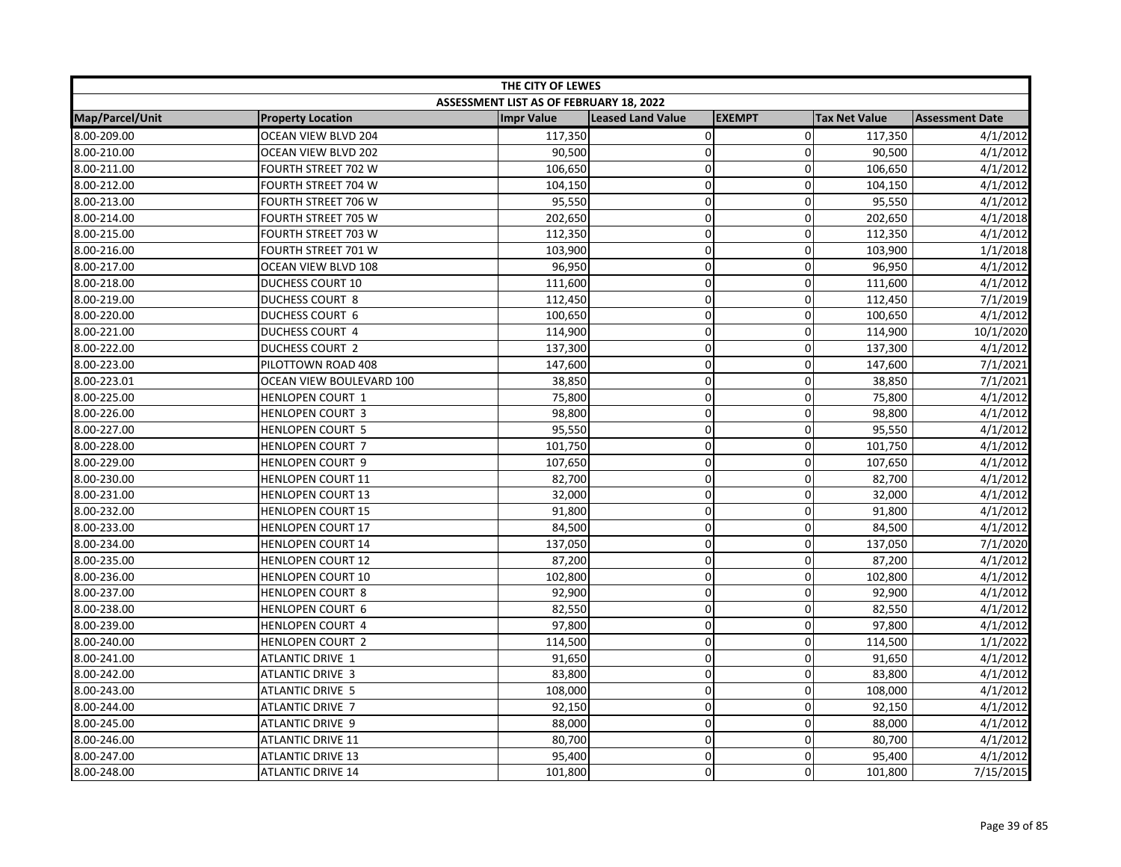| THE CITY OF LEWES |                            |                                         |                          |                |                      |                        |
|-------------------|----------------------------|-----------------------------------------|--------------------------|----------------|----------------------|------------------------|
|                   |                            | ASSESSMENT LIST AS OF FEBRUARY 18, 2022 |                          |                |                      |                        |
| Map/Parcel/Unit   | <b>Property Location</b>   | <b>Impr Value</b>                       | <b>Leased Land Value</b> | <b>EXEMPT</b>  | <b>Tax Net Value</b> | <b>Assessment Date</b> |
| 8.00-209.00       | <b>OCEAN VIEW BLVD 204</b> | 117,350                                 | $\pmb{0}$                | $\overline{0}$ | 117,350              | 4/1/2012               |
| 8.00-210.00       | OCEAN VIEW BLVD 202        | 90,500                                  | 0                        | 0              | 90,500               | 4/1/2012               |
| 8.00-211.00       | <b>FOURTH STREET 702 W</b> | 106,650                                 | 0                        | $\mathbf 0$    | 106,650              | 4/1/2012               |
| 8.00-212.00       | FOURTH STREET 704 W        | 104,150                                 | 0                        | 0              | 104,150              | 4/1/2012               |
| 8.00-213.00       | FOURTH STREET 706 W        | 95,550                                  | 0                        | $\mathbf{0}$   | 95,550               | 4/1/2012               |
| 8.00-214.00       | FOURTH STREET 705 W        | 202,650                                 | 0                        | $\mathbf 0$    | 202,650              | 4/1/2018               |
| 8.00-215.00       | FOURTH STREET 703 W        | 112,350                                 | $\mathbf 0$              | 0              | 112,350              | 4/1/2012               |
| 8.00-216.00       | <b>FOURTH STREET 701 W</b> | 103,900                                 | $\mathbf 0$              | 0              | 103,900              | 1/1/2018               |
| 8.00-217.00       | OCEAN VIEW BLVD 108        | 96,950                                  | $\mathbf 0$              | $\mathbf 0$    | 96,950               | 4/1/2012               |
| 8.00-218.00       | <b>DUCHESS COURT 10</b>    | 111,600                                 | 0                        | $\pmb{0}$      | 111,600              | 4/1/2012               |
| 8.00-219.00       | <b>DUCHESS COURT 8</b>     | 112,450                                 | 0                        | 0              | 112,450              | 7/1/2019               |
| 8.00-220.00       | <b>DUCHESS COURT 6</b>     | 100,650                                 | 0                        | $\Omega$       | 100,650              | 4/1/2012               |
| 8.00-221.00       | <b>DUCHESS COURT 4</b>     | 114,900                                 | 0                        | $\mathbf{0}$   | 114,900              | 10/1/2020              |
| 8.00-222.00       | DUCHESS COURT 2            | 137,300                                 | 0                        | $\mathbf 0$    | 137,300              | 4/1/2012               |
| 8.00-223.00       | PILOTTOWN ROAD 408         | 147,600                                 | 0                        | $\mathbf 0$    | 147,600              | 7/1/2021               |
| 8.00-223.01       | OCEAN VIEW BOULEVARD 100   | 38,850                                  | 0                        | $\mathbf 0$    | 38,850               | 7/1/2021               |
| 8.00-225.00       | HENLOPEN COURT 1           | 75,800                                  | 0                        | $\pmb{0}$      | 75,800               | 4/1/2012               |
| 8.00-226.00       | <b>HENLOPEN COURT 3</b>    | 98,800                                  | 0                        | $\mathbf 0$    | 98,800               | 4/1/2012               |
| 8.00-227.00       | <b>HENLOPEN COURT 5</b>    | 95,550                                  | 0                        | $\mathbf 0$    | 95,550               | 4/1/2012               |
| 8.00-228.00       | HENLOPEN COURT 7           | 101,750                                 | 0                        | $\mathbf 0$    | 101,750              | 4/1/2012               |
| 8.00-229.00       | <b>HENLOPEN COURT 9</b>    | 107,650                                 | 0                        | $\mathbf 0$    | 107,650              | 4/1/2012               |
| 8.00-230.00       | <b>HENLOPEN COURT 11</b>   | 82,700                                  | $\mathbf 0$              | 0              | 82,700               | 4/1/2012               |
| 8.00-231.00       | <b>HENLOPEN COURT 13</b>   | 32,000                                  | 0                        | 0              | 32,000               | 4/1/2012               |
| 8.00-232.00       | <b>HENLOPEN COURT 15</b>   | 91,800                                  | 0                        | $\mathbf 0$    | 91,800               | 4/1/2012               |
| 8.00-233.00       | <b>HENLOPEN COURT 17</b>   | 84,500                                  | 0                        | $\mathbf 0$    | 84,500               | 4/1/2012               |
| 8.00-234.00       | <b>HENLOPEN COURT 14</b>   | 137,050                                 | 0                        | $\mathbf 0$    | 137,050              | 7/1/2020               |
| 8.00-235.00       | <b>HENLOPEN COURT 12</b>   | 87,200                                  | 0                        | 0              | 87,200               | 4/1/2012               |
| 8.00-236.00       | <b>HENLOPEN COURT 10</b>   | 102,800                                 | 0                        | $\mathbf 0$    | 102,800              | 4/1/2012               |
| 8.00-237.00       | <b>HENLOPEN COURT 8</b>    | 92,900                                  | $\mathbf 0$              | 0              | 92,900               | 4/1/2012               |
| 8.00-238.00       | <b>HENLOPEN COURT 6</b>    | 82,550                                  | 0                        | $\mathbf{0}$   | 82,550               | 4/1/2012               |
| 8.00-239.00       | <b>HENLOPEN COURT 4</b>    | 97,800                                  | 0                        | $\mathbf 0$    | 97,800               | 4/1/2012               |
| 8.00-240.00       | HENLOPEN COURT 2           | 114,500                                 | 0                        | $\mathbf 0$    | 114,500              | 1/1/2022               |
| 8.00-241.00       | ATLANTIC DRIVE 1           | 91,650                                  | 0                        | $\mathbf 0$    | 91,650               | 4/1/2012               |
| 8.00-242.00       | ATLANTIC DRIVE 3           | 83,800                                  | 0                        | $\mathbf 0$    | 83,800               | 4/1/2012               |
| 8.00-243.00       | ATLANTIC DRIVE 5           | 108,000                                 | 0                        | $\mathbf 0$    | 108,000              | 4/1/2012               |
| 8.00-244.00       | ATLANTIC DRIVE 7           | 92,150                                  | 0                        | $\mathbf 0$    | 92,150               | 4/1/2012               |
| 8.00-245.00       | <b>ATLANTIC DRIVE 9</b>    | 88,000                                  | 0                        | $\mathbf 0$    | 88,000               | 4/1/2012               |
| 8.00-246.00       | <b>ATLANTIC DRIVE 11</b>   | 80,700                                  | 0                        | $\mathbf 0$    | 80,700               | 4/1/2012               |
| 8.00-247.00       | <b>ATLANTIC DRIVE 13</b>   | 95,400                                  | 0                        | $\mathbf 0$    | 95,400               | 4/1/2012               |
| 8.00-248.00       | <b>ATLANTIC DRIVE 14</b>   | 101,800                                 | 0                        | $\Omega$       | 101,800              | 7/15/2015              |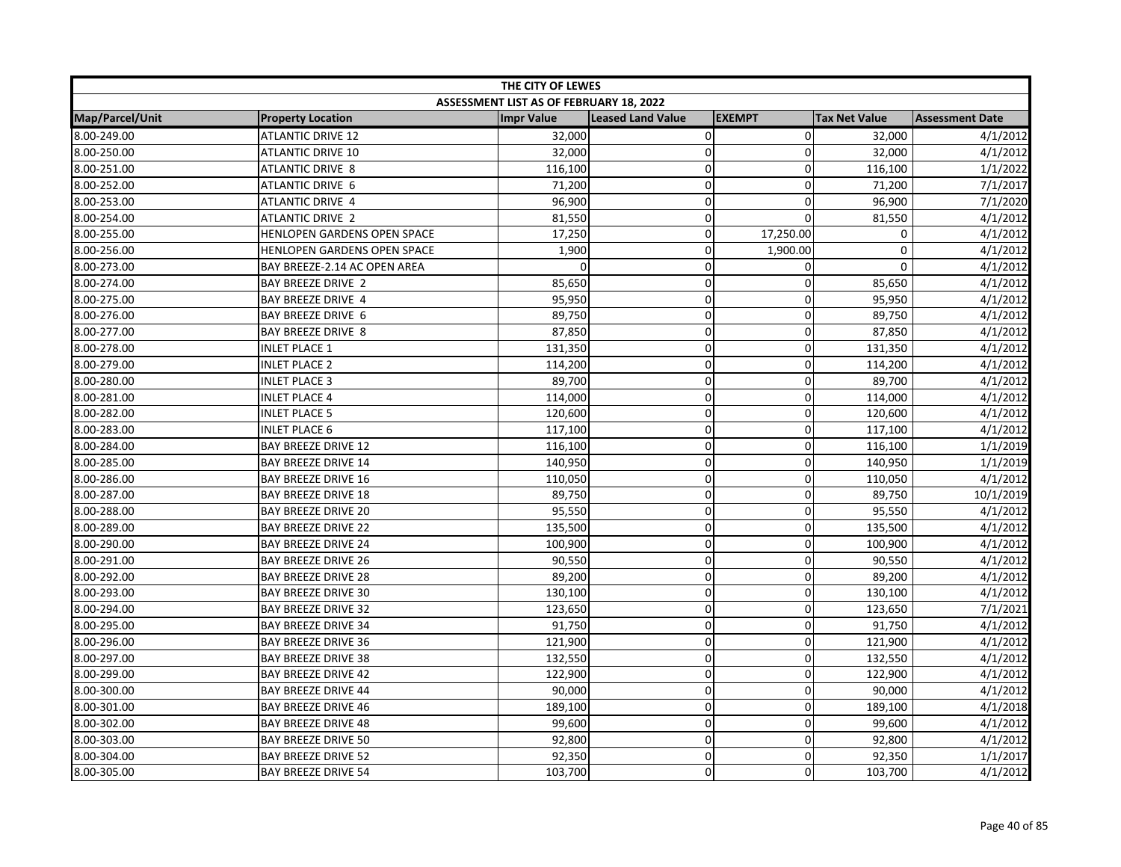| THE CITY OF LEWES      |                              |                                         |                          |               |                      |                        |  |
|------------------------|------------------------------|-----------------------------------------|--------------------------|---------------|----------------------|------------------------|--|
|                        |                              | ASSESSMENT LIST AS OF FEBRUARY 18, 2022 |                          |               |                      |                        |  |
| <b>Map/Parcel/Unit</b> | <b>Property Location</b>     | <b>Impr Value</b>                       | <b>Leased Land Value</b> | <b>EXEMPT</b> | <b>Tax Net Value</b> | <b>Assessment Date</b> |  |
| 8.00-249.00            | <b>ATLANTIC DRIVE 12</b>     | 32,000                                  | $\overline{0}$           | $\mathbf 0$   | 32,000               | 4/1/2012               |  |
| 8.00-250.00            | <b>ATLANTIC DRIVE 10</b>     | 32,000                                  | 0                        | 0             | 32,000               | 4/1/2012               |  |
| 8.00-251.00            | ATLANTIC DRIVE 8             | 116,100                                 | 0                        | $\Omega$      | 116,100              | 1/1/2022               |  |
| 8.00-252.00            | ATLANTIC DRIVE 6             | 71,200                                  | 0                        | 0             | 71,200               | 7/1/2017               |  |
| 8.00-253.00            | ATLANTIC DRIVE 4             | 96,900                                  | 0                        | 0             | 96,900               | 7/1/2020               |  |
| 8.00-254.00            | <b>ATLANTIC DRIVE 2</b>      | 81,550                                  | 0                        | 0             | 81,550               | 4/1/2012               |  |
| 8.00-255.00            | HENLOPEN GARDENS OPEN SPACE  | 17,250                                  | 0                        | 17,250.00     | $\mathbf 0$          | 4/1/2012               |  |
| 8.00-256.00            | HENLOPEN GARDENS OPEN SPACE  | 1,900                                   | 0                        | 1,900.00      | $\mathbf 0$          | 4/1/2012               |  |
| 8.00-273.00            | BAY BREEZE-2.14 AC OPEN AREA |                                         | 0                        | 0             | $\mathbf 0$          | 4/1/2012               |  |
| 8.00-274.00            | <b>BAY BREEZE DRIVE 2</b>    | 85,650                                  | 0                        | $\mathbf 0$   | 85,650               | 4/1/2012               |  |
| 8.00-275.00            | <b>BAY BREEZE DRIVE 4</b>    | 95,950                                  | 0                        | $\Omega$      | 95,950               | 4/1/2012               |  |
| 8.00-276.00            | <b>BAY BREEZE DRIVE 6</b>    | 89,750                                  | 0                        | $\Omega$      | 89,750               | 4/1/2012               |  |
| 8.00-277.00            | <b>BAY BREEZE DRIVE 8</b>    | 87,850                                  | 0                        | $\Omega$      | 87,850               | 4/1/2012               |  |
| 8.00-278.00            | <b>INLET PLACE 1</b>         | 131,350                                 | 0                        | 0             | 131,350              | 4/1/2012               |  |
| 8.00-279.00            | <b>INLET PLACE 2</b>         | 114,200                                 | 0                        | 0             | 114,200              | 4/1/2012               |  |
| 8.00-280.00            | <b>INLET PLACE 3</b>         | 89,700                                  | 0                        | 0             | 89,700               | 4/1/2012               |  |
| 8.00-281.00            | <b>INLET PLACE 4</b>         | 114,000                                 | 0                        | $\mathbf 0$   | 114,000              | 4/1/2012               |  |
| 8.00-282.00            | <b>INLET PLACE 5</b>         | 120,600                                 | 0                        | 0             | 120,600              | 4/1/2012               |  |
| 8.00-283.00            | <b>INLET PLACE 6</b>         | 117,100                                 | 0                        | 0             | 117,100              | 4/1/2012               |  |
| 8.00-284.00            | <b>BAY BREEZE DRIVE 12</b>   | 116,100                                 | 0                        | 0             | 116,100              | 1/1/2019               |  |
| 8.00-285.00            | <b>BAY BREEZE DRIVE 14</b>   | 140,950                                 | 0                        | $\mathbf 0$   | 140,950              | 1/1/2019               |  |
| 8.00-286.00            | <b>BAY BREEZE DRIVE 16</b>   | 110,050                                 | 0                        | $\Omega$      | 110,050              | 4/1/2012               |  |
| 8.00-287.00            | <b>BAY BREEZE DRIVE 18</b>   | 89,750                                  | 0                        | 0             | 89,750               | 10/1/2019              |  |
| 8.00-288.00            | <b>BAY BREEZE DRIVE 20</b>   | 95,550                                  | 0                        | $\mathbf 0$   | 95,550               | 4/1/2012               |  |
| 8.00-289.00            | <b>BAY BREEZE DRIVE 22</b>   | 135,500                                 | 0                        | 0             | 135,500              | 4/1/2012               |  |
| 8.00-290.00            | <b>BAY BREEZE DRIVE 24</b>   | 100,900                                 | 0                        | $\mathbf 0$   | 100,900              | 4/1/2012               |  |
| 8.00-291.00            | <b>BAY BREEZE DRIVE 26</b>   | 90,550                                  | 0                        | 0             | 90,550               | 4/1/2012               |  |
| 8.00-292.00            | <b>BAY BREEZE DRIVE 28</b>   | 89,200                                  | 0                        | $\mathbf 0$   | 89,200               | 4/1/2012               |  |
| 8.00-293.00            | <b>BAY BREEZE DRIVE 30</b>   | 130,100                                 | 0                        | 0             | 130,100              | 4/1/2012               |  |
| 8.00-294.00            | <b>BAY BREEZE DRIVE 32</b>   | 123,650                                 | 0                        | $\Omega$      | 123,650              | 7/1/2021               |  |
| 8.00-295.00            | <b>BAY BREEZE DRIVE 34</b>   | 91,750                                  | 0                        | $\mathbf 0$   | 91,750               | 4/1/2012               |  |
| 8.00-296.00            | <b>BAY BREEZE DRIVE 36</b>   | 121,900                                 | 0                        | 0             | 121,900              | 4/1/2012               |  |
| 8.00-297.00            | <b>BAY BREEZE DRIVE 38</b>   | 132,550                                 | 0                        | 0             | 132,550              | 4/1/2012               |  |
| 8.00-299.00            | <b>BAY BREEZE DRIVE 42</b>   | 122,900                                 | 0                        | 0             | 122,900              | 4/1/2012               |  |
| 8.00-300.00            | <b>BAY BREEZE DRIVE 44</b>   | 90,000                                  | 0                        | $\mathbf 0$   | 90,000               | 4/1/2012               |  |
| 8.00-301.00            | <b>BAY BREEZE DRIVE 46</b>   | 189,100                                 | 0                        | 0             | 189,100              | 4/1/2018               |  |
| 8.00-302.00            | <b>BAY BREEZE DRIVE 48</b>   | 99,600                                  | 0                        | 0             | 99,600               | 4/1/2012               |  |
| 8.00-303.00            | <b>BAY BREEZE DRIVE 50</b>   | 92,800                                  | 0                        | 0             | 92,800               | 4/1/2012               |  |
| 8.00-304.00            | <b>BAY BREEZE DRIVE 52</b>   | 92,350                                  | 0                        | $\Omega$      | 92,350               | 1/1/2017               |  |
| 8.00-305.00            | <b>BAY BREEZE DRIVE 54</b>   | 103,700                                 | 0                        | $\mathbf 0$   | 103,700              | 4/1/2012               |  |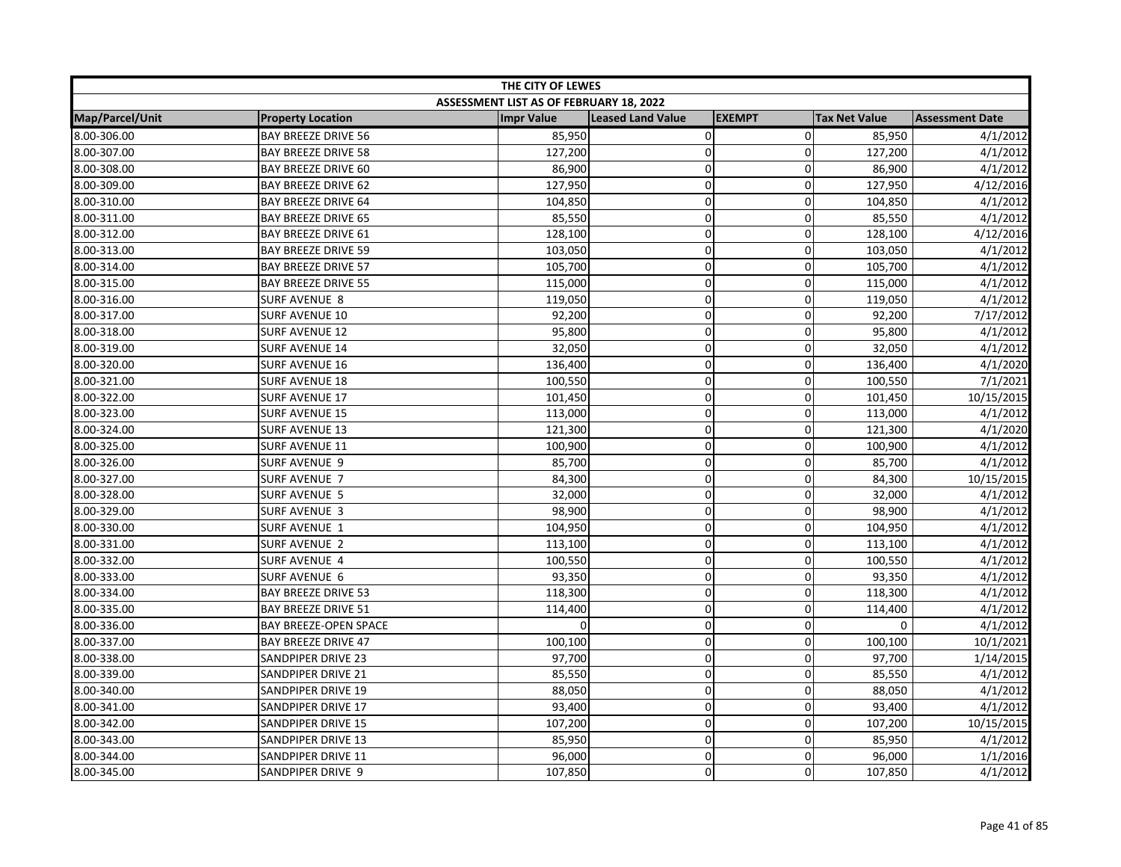| THE CITY OF LEWES |                            |                                         |                          |               |                      |                        |
|-------------------|----------------------------|-----------------------------------------|--------------------------|---------------|----------------------|------------------------|
|                   |                            | ASSESSMENT LIST AS OF FEBRUARY 18, 2022 |                          |               |                      |                        |
| Map/Parcel/Unit   | <b>Property Location</b>   | <b>Impr Value</b>                       | <b>Leased Land Value</b> | <b>EXEMPT</b> | <b>Tax Net Value</b> | <b>Assessment Date</b> |
| 8.00-306.00       | <b>BAY BREEZE DRIVE 56</b> | 85,950                                  | $\mathbf 0$              | $\mathbf 0$   | 85,950               | 4/1/2012               |
| 8.00-307.00       | <b>BAY BREEZE DRIVE 58</b> | 127,200                                 | $\mathbf 0$              | $\Omega$      | 127,200              | 4/1/2012               |
| 8.00-308.00       | <b>BAY BREEZE DRIVE 60</b> | 86,900                                  | $\pmb{0}$                | $\mathbf 0$   | 86,900               | 4/1/2012               |
| 8.00-309.00       | <b>BAY BREEZE DRIVE 62</b> | 127,950                                 | $\mathbf 0$              | $\mathbf 0$   | 127,950              | 4/12/2016              |
| 8.00-310.00       | <b>BAY BREEZE DRIVE 64</b> | 104,850                                 | $\pmb{0}$                | $\Omega$      | 104,850              | 4/1/2012               |
| 8.00-311.00       | <b>BAY BREEZE DRIVE 65</b> | 85,550                                  | $\mathbf 0$              | $\Omega$      | 85,550               | 4/1/2012               |
| 8.00-312.00       | <b>BAY BREEZE DRIVE 61</b> | 128,100                                 | $\pmb{0}$                | 0             | 128,100              | 4/12/2016              |
| 8.00-313.00       | <b>BAY BREEZE DRIVE 59</b> | 103,050                                 | $\overline{0}$           | 0             | 103,050              | 4/1/2012               |
| 8.00-314.00       | <b>BAY BREEZE DRIVE 57</b> | 105,700                                 | $\pmb{0}$                | 0             | 105,700              | 4/1/2012               |
| 8.00-315.00       | <b>BAY BREEZE DRIVE 55</b> | 115,000                                 | $\mathbf 0$              | $\mathbf 0$   | 115,000              | 4/1/2012               |
| 8.00-316.00       | SURF AVENUE 8              | 119,050                                 | $\mathbf 0$              | 0             | 119,050              | 4/1/2012               |
| 8.00-317.00       | <b>SURF AVENUE 10</b>      | 92,200                                  | $\pmb{0}$                | $\Omega$      | 92,200               | 7/17/2012              |
| 8.00-318.00       | <b>SURF AVENUE 12</b>      | 95,800                                  | $\mathbf 0$              | 0             | 95,800               | 4/1/2012               |
| 8.00-319.00       | <b>SURF AVENUE 14</b>      | 32,050                                  | $\mathbf 0$              | $\mathbf 0$   | 32,050               | 4/1/2012               |
| 8.00-320.00       | <b>SURF AVENUE 16</b>      | 136,400                                 | $\Omega$                 | $\Omega$      | 136,400              | 4/1/2020               |
| 8.00-321.00       | <b>SURF AVENUE 18</b>      | 100,550                                 | $\mathbf 0$              | 0             | 100,550              | 7/1/2021               |
| 8.00-322.00       | SURF AVENUE 17             | 101,450                                 | $\pmb{0}$                | $\mathbf 0$   | 101,450              | 10/15/2015             |
| 8.00-323.00       | <b>SURF AVENUE 15</b>      | 113,000                                 | $\pmb{0}$                | 0             | 113,000              | 4/1/2012               |
| 8.00-324.00       | <b>SURF AVENUE 13</b>      | 121,300                                 | $\mathbf 0$              | 0             | 121,300              | 4/1/2020               |
| 8.00-325.00       | SURF AVENUE 11             | 100,900                                 | $\mathbf 0$              | $\mathbf 0$   | 100,900              | 4/1/2012               |
| 8.00-326.00       | SURF AVENUE 9              | 85,700                                  | $\mathbf 0$              | $\mathbf 0$   | 85,700               | 4/1/2012               |
| 8.00-327.00       | <b>SURF AVENUE 7</b>       | 84,300                                  | $\mathbf 0$              | $\Omega$      | 84,300               | 10/15/2015             |
| 8.00-328.00       | <b>SURF AVENUE 5</b>       | 32,000                                  | $\pmb{0}$                | 0             | 32,000               | 4/1/2012               |
| 8.00-329.00       | <b>SURF AVENUE 3</b>       | 98,900                                  | $\mathbf 0$              | 0             | 98,900               | 4/1/2012               |
| 8.00-330.00       | SURF AVENUE 1              | 104,950                                 | $\mathbf 0$              | 0             | 104,950              | 4/1/2012               |
| 8.00-331.00       | <b>SURF AVENUE 2</b>       | 113,100                                 | $\mathbf 0$              | $\mathbf 0$   | 113,100              | 4/1/2012               |
| 8.00-332.00       | SURF AVENUE 4              | 100,550                                 | $\mathbf 0$              | 0             | 100,550              | 4/1/2012               |
| 8.00-333.00       | SURF AVENUE 6              | 93,350                                  | $\mathbf 0$              | $\mathbf 0$   | 93,350               | 4/1/2012               |
| 8.00-334.00       | <b>BAY BREEZE DRIVE 53</b> | 118,300                                 | $\mathbf 0$              | $\Omega$      | 118,300              | 4/1/2012               |
| 8.00-335.00       | <b>BAY BREEZE DRIVE 51</b> | 114,400                                 | $\mathbf 0$              | $\Omega$      | 114,400              | 4/1/2012               |
| 8.00-336.00       | BAY BREEZE-OPEN SPACE      | $\Omega$                                | $\mathbf 0$              | $\Omega$      | 0                    | 4/1/2012               |
| 8.00-337.00       | <b>BAY BREEZE DRIVE 47</b> | 100,100                                 | $\pmb{0}$                | 0             | 100,100              | 10/1/2021              |
| 8.00-338.00       | <b>SANDPIPER DRIVE 23</b>  | 97,700                                  | $\mathbf 0$              | 0             | 97,700               | 1/14/2015              |
| 8.00-339.00       | SANDPIPER DRIVE 21         | 85,550                                  | $\pmb{0}$                | 0             | 85,550               | 4/1/2012               |
| 8.00-340.00       | SANDPIPER DRIVE 19         | 88,050                                  | $\mathbf 0$              | $\mathbf 0$   | 88,050               | 4/1/2012               |
| 8.00-341.00       | SANDPIPER DRIVE 17         | 93,400                                  | $\mathbf 0$              | 0             | 93,400               | 4/1/2012               |
| 8.00-342.00       | SANDPIPER DRIVE 15         | 107,200                                 | $\pmb{0}$                | $\mathbf 0$   | 107,200              | 10/15/2015             |
| 8.00-343.00       | SANDPIPER DRIVE 13         | 85,950                                  | $\pmb{0}$                | 0             | 85,950               | 4/1/2012               |
| 8.00-344.00       | SANDPIPER DRIVE 11         | 96,000                                  | $\mathbf 0$              | 0             | 96,000               | 1/1/2016               |
| 8.00-345.00       | SANDPIPER DRIVE 9          | 107,850                                 | $\mathbf 0$              | $\Omega$      | 107,850              | 4/1/2012               |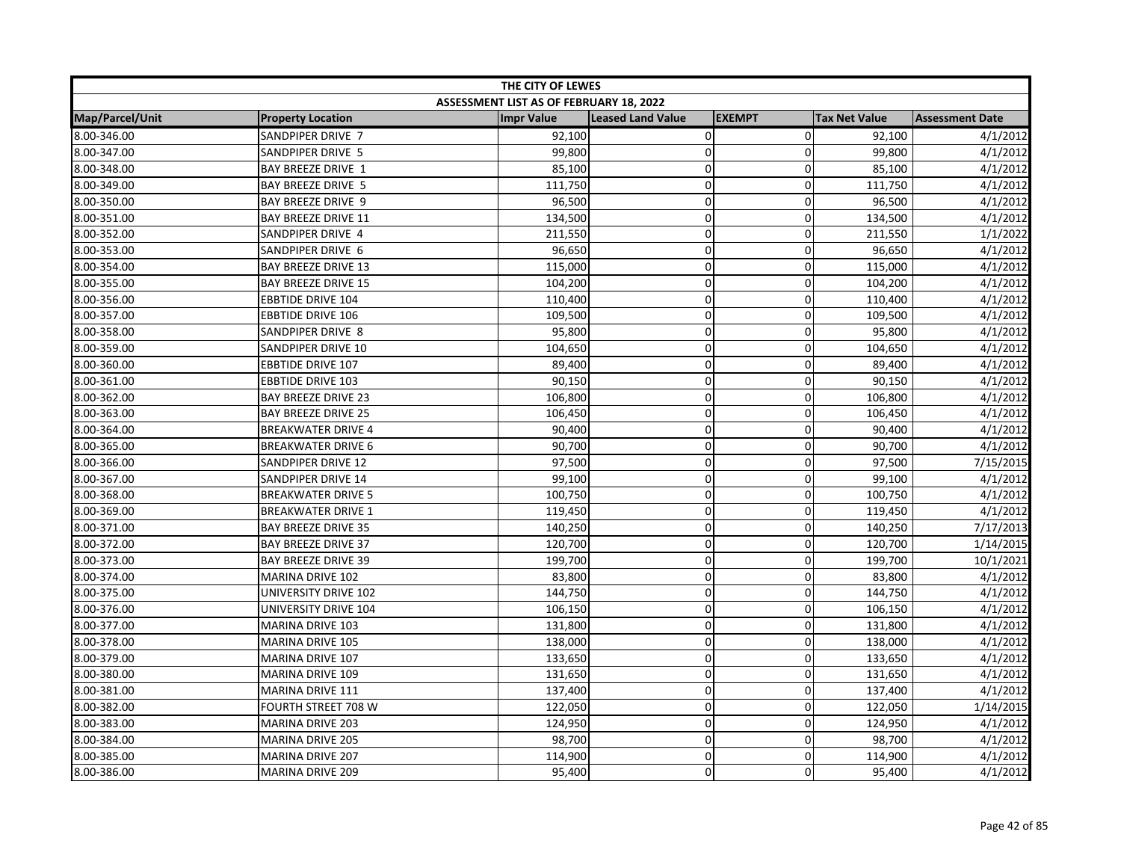| THE CITY OF LEWES |                            |                                         |                          |               |                      |                        |  |
|-------------------|----------------------------|-----------------------------------------|--------------------------|---------------|----------------------|------------------------|--|
|                   |                            | ASSESSMENT LIST AS OF FEBRUARY 18, 2022 |                          |               |                      |                        |  |
| Map/Parcel/Unit   | <b>Property Location</b>   | <b>Impr Value</b>                       | <b>Leased Land Value</b> | <b>EXEMPT</b> | <b>Tax Net Value</b> | <b>Assessment Date</b> |  |
| 8.00-346.00       | SANDPIPER DRIVE 7          | 92,100                                  | $\mathbf 0$              | $\Omega$      | 92,100               | 4/1/2012               |  |
| 8.00-347.00       | SANDPIPER DRIVE 5          | 99,800                                  | $\mathbf 0$              | $\Omega$      | 99,800               | 4/1/2012               |  |
| 8.00-348.00       | <b>BAY BREEZE DRIVE 1</b>  | 85,100                                  | $\mathbf 0$              | $\mathbf 0$   | 85,100               | 4/1/2012               |  |
| 8.00-349.00       | <b>BAY BREEZE DRIVE 5</b>  | 111,750                                 | $\mathbf 0$              | $\mathbf 0$   | 111,750              | 4/1/2012               |  |
| 8.00-350.00       | <b>BAY BREEZE DRIVE 9</b>  | 96,500                                  | 0                        | $\Omega$      | 96,500               | 4/1/2012               |  |
| 8.00-351.00       | <b>BAY BREEZE DRIVE 11</b> | 134,500                                 | $\mathbf 0$              | $\Omega$      | 134,500              | 4/1/2012               |  |
| 8.00-352.00       | SANDPIPER DRIVE 4          | 211,550                                 | $\pmb{0}$                | 0             | 211,550              | 1/1/2022               |  |
| 8.00-353.00       | SANDPIPER DRIVE 6          | 96,650                                  | $\mathbf 0$              | 0             | 96,650               | 4/1/2012               |  |
| 8.00-354.00       | <b>BAY BREEZE DRIVE 13</b> | 115,000                                 | $\mathbf 0$              | 0             | 115,000              | 4/1/2012               |  |
| 8.00-355.00       | <b>BAY BREEZE DRIVE 15</b> | 104,200                                 | $\mathbf 0$              | $\mathbf 0$   | 104,200              | 4/1/2012               |  |
| 8.00-356.00       | <b>EBBTIDE DRIVE 104</b>   | 110,400                                 | $\mathbf 0$              | $\Omega$      | 110,400              | 4/1/2012               |  |
| 8.00-357.00       | <b>EBBTIDE DRIVE 106</b>   | 109,500                                 | $\pmb{0}$                | 0             | 109,500              | 4/1/2012               |  |
| 8.00-358.00       | SANDPIPER DRIVE 8          | 95,800                                  | $\pmb{0}$                | 0             | 95,800               | 4/1/2012               |  |
| 8.00-359.00       | SANDPIPER DRIVE 10         | 104,650                                 | $\mathbf 0$              | 0             | 104,650              | 4/1/2012               |  |
| 8.00-360.00       | <b>EBBTIDE DRIVE 107</b>   | 89,400                                  | $\mathbf 0$              | $\Omega$      | 89,400               | 4/1/2012               |  |
| 8.00-361.00       | <b>EBBTIDE DRIVE 103</b>   | 90,150                                  | $\pmb{0}$                | 0             | 90,150               | 4/1/2012               |  |
| 8.00-362.00       | <b>BAY BREEZE DRIVE 23</b> | 106,800                                 | $\pmb{0}$                | $\pmb{0}$     | 106,800              | 4/1/2012               |  |
| 8.00-363.00       | <b>BAY BREEZE DRIVE 25</b> | 106,450                                 | $\overline{0}$           | 0             | 106,450              | 4/1/2012               |  |
| 8.00-364.00       | <b>BREAKWATER DRIVE 4</b>  | 90,400                                  | $\pmb{0}$                | $\mathbf 0$   | 90,400               | 4/1/2012               |  |
| 8.00-365.00       | <b>BREAKWATER DRIVE 6</b>  | 90,700                                  | $\overline{0}$           | $\Omega$      | 90,700               | 4/1/2012               |  |
| 8.00-366.00       | SANDPIPER DRIVE 12         | 97,500                                  | $\mathbf 0$              | $\mathbf 0$   | 97,500               | 7/15/2015              |  |
| 8.00-367.00       | SANDPIPER DRIVE 14         | 99,100                                  | $\mathbf 0$              | $\Omega$      | 99,100               | 4/1/2012               |  |
| 8.00-368.00       | <b>BREAKWATER DRIVE 5</b>  | 100,750                                 | $\overline{0}$           | 0             | 100,750              | 4/1/2012               |  |
| 8.00-369.00       | <b>BREAKWATER DRIVE 1</b>  | 119,450                                 | $\mathbf 0$              | $\mathbf 0$   | 119,450              | 4/1/2012               |  |
| 8.00-371.00       | <b>BAY BREEZE DRIVE 35</b> | 140,250                                 | $\mathbf 0$              | 0             | 140,250              | 7/17/2013              |  |
| 8.00-372.00       | <b>BAY BREEZE DRIVE 37</b> | 120,700                                 | $\mathbf 0$              | 0             | 120,700              | 1/14/2015              |  |
| 8.00-373.00       | <b>BAY BREEZE DRIVE 39</b> | 199,700                                 | $\mathbf 0$              | $\mathbf 0$   | 199,700              | 10/1/2021              |  |
| 8.00-374.00       | MARINA DRIVE 102           | 83,800                                  | $\pmb{0}$                | $\Omega$      | 83,800               | 4/1/2012               |  |
| 8.00-375.00       | UNIVERSITY DRIVE 102       | 144,750                                 | $\overline{0}$           | $\mathbf 0$   | 144,750              | 4/1/2012               |  |
| 8.00-376.00       | UNIVERSITY DRIVE 104       | 106,150                                 | $\mathbf 0$              | 0             | 106,150              | 4/1/2012               |  |
| 8.00-377.00       | MARINA DRIVE 103           | 131,800                                 | $\mathbf 0$              | 0             | 131,800              | 4/1/2012               |  |
| 8.00-378.00       | <b>MARINA DRIVE 105</b>    | 138,000                                 | $\mathbf 0$              | 0             | 138,000              | 4/1/2012               |  |
| 8.00-379.00       | MARINA DRIVE 107           | 133,650                                 | $\pmb{0}$                | 0             | 133,650              | 4/1/2012               |  |
| 8.00-380.00       | MARINA DRIVE 109           | 131,650                                 | $\mathbf 0$              | $\mathbf 0$   | 131,650              | 4/1/2012               |  |
| 8.00-381.00       | MARINA DRIVE 111           | 137,400                                 | $\pmb{0}$                | $\mathbf 0$   | 137,400              | 4/1/2012               |  |
| 8.00-382.00       | FOURTH STREET 708 W        | 122,050                                 | $\mathbf 0$              | $\mathbf 0$   | 122,050              | 1/14/2015              |  |
| 8.00-383.00       | MARINA DRIVE 203           | 124,950                                 | $\mathbf 0$              | $\Omega$      | 124,950              | 4/1/2012               |  |
| 8.00-384.00       | <b>MARINA DRIVE 205</b>    | 98,700                                  | $\mathbf 0$              | 0             | 98,700               | 4/1/2012               |  |
| 8.00-385.00       | MARINA DRIVE 207           | 114,900                                 | $\pmb{0}$                | 0             | 114,900              | 4/1/2012               |  |
| 8.00-386.00       | <b>MARINA DRIVE 209</b>    | 95,400                                  | $\mathbf 0$              | 0             | 95,400               | 4/1/2012               |  |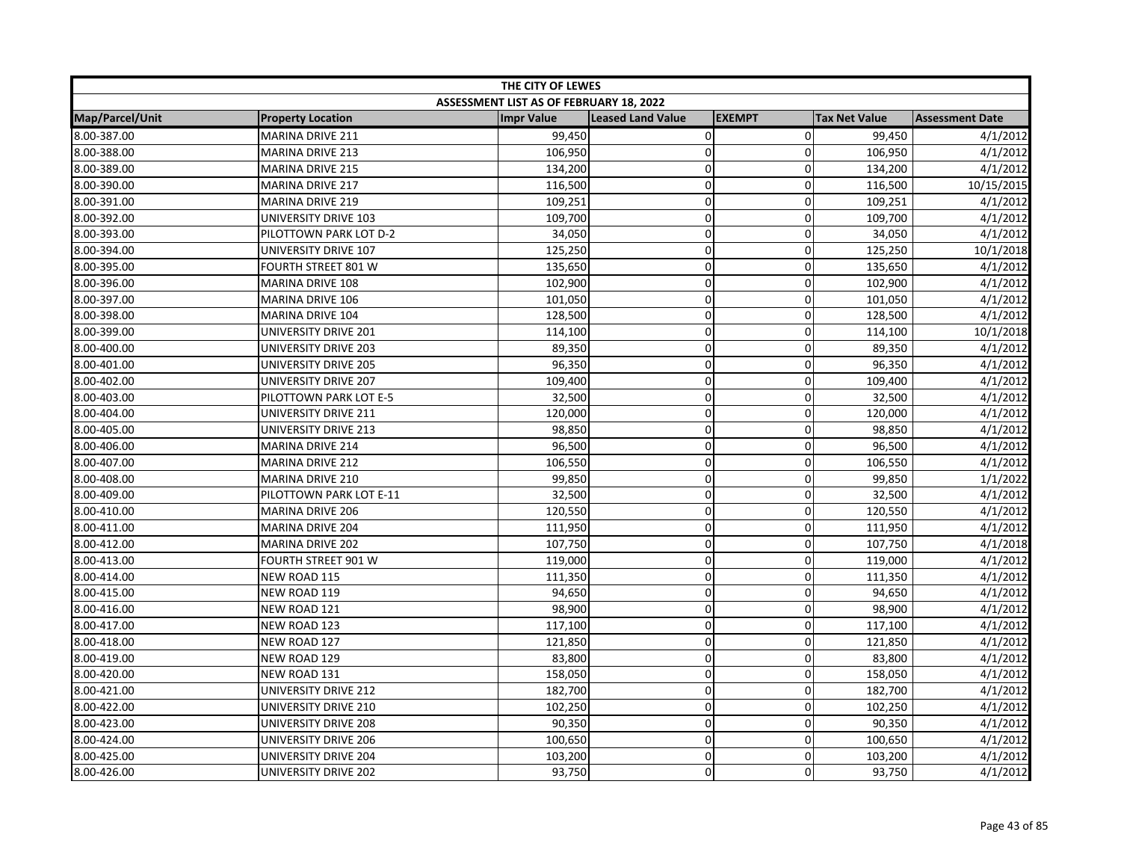| THE CITY OF LEWES      |                          |                                         |                   |               |                      |                        |
|------------------------|--------------------------|-----------------------------------------|-------------------|---------------|----------------------|------------------------|
|                        |                          | ASSESSMENT LIST AS OF FEBRUARY 18, 2022 |                   |               |                      |                        |
| <b>Map/Parcel/Unit</b> | <b>Property Location</b> | <b>Impr Value</b>                       | Leased Land Value | <b>EXEMPT</b> | <b>Tax Net Value</b> | <b>Assessment Date</b> |
| 8.00-387.00            | <b>MARINA DRIVE 211</b>  | 99,450                                  | $\pmb{0}$         | $\mathbf 0$   | 99,450               | 4/1/2012               |
| 8.00-388.00            | <b>MARINA DRIVE 213</b>  | 106,950                                 | $\mathbf 0$       | $\Omega$      | 106,950              | 4/1/2012               |
| 8.00-389.00            | <b>MARINA DRIVE 215</b>  | 134,200                                 | $\mathbf 0$       | $\Omega$      | 134,200              | 4/1/2012               |
| 8.00-390.00            | <b>MARINA DRIVE 217</b>  | 116,500                                 | $\overline{0}$    | 0             | 116,500              | 10/15/2015             |
| 8.00-391.00            | <b>MARINA DRIVE 219</b>  | 109,251                                 | $\mathbf 0$       | 0             | 109,251              | 4/1/2012               |
| 8.00-392.00            | UNIVERSITY DRIVE 103     | 109,700                                 | $\mathbf 0$       | 0             | 109,700              | 4/1/2012               |
| 8.00-393.00            | PILOTTOWN PARK LOT D-2   | 34,050                                  | $\mathbf 0$       | 0             | 34,050               | 4/1/2012               |
| 8.00-394.00            | UNIVERSITY DRIVE 107     | 125,250                                 | $\overline{0}$    | $\Omega$      | 125,250              | 10/1/2018              |
| 8.00-395.00            | FOURTH STREET 801 W      | 135,650                                 | $\mathbf 0$       | 0             | 135,650              | 4/1/2012               |
| 8.00-396.00            | MARINA DRIVE 108         | 102,900                                 | $\pmb{0}$         | $\mathbf 0$   | 102,900              | 4/1/2012               |
| 8.00-397.00            | MARINA DRIVE 106         | 101,050                                 | $\mathbf 0$       | $\Omega$      | 101,050              | 4/1/2012               |
| 8.00-398.00            | MARINA DRIVE 104         | 128,500                                 | $\mathbf 0$       | $\Omega$      | 128,500              | 4/1/2012               |
| 8.00-399.00            | UNIVERSITY DRIVE 201     | 114,100                                 | 0                 | $\Omega$      | 114,100              | 10/1/2018              |
| 8.00-400.00            | UNIVERSITY DRIVE 203     | 89,350                                  | $\mathbf 0$       | 0             | 89,350               | 4/1/2012               |
| 8.00-401.00            | UNIVERSITY DRIVE 205     | 96,350                                  | $\overline{0}$    | 0             | 96,350               | 4/1/2012               |
| 8.00-402.00            | UNIVERSITY DRIVE 207     | 109,400                                 | $\overline{0}$    | 0             | 109,400              | 4/1/2012               |
| 8.00-403.00            | PILOTTOWN PARK LOT E-5   | 32,500                                  | $\mathbf 0$       | $\mathbf 0$   | 32,500               | 4/1/2012               |
| 8.00-404.00            | UNIVERSITY DRIVE 211     | 120,000                                 | $\mathbf 0$       | 0             | 120,000              | 4/1/2012               |
| 8.00-405.00            | UNIVERSITY DRIVE 213     | 98,850                                  | $\pmb{0}$         | 0             | 98,850               | 4/1/2012               |
| 8.00-406.00            | <b>MARINA DRIVE 214</b>  | 96,500                                  | $\mathbf 0$       | 0             | 96,500               | 4/1/2012               |
| 8.00-407.00            | <b>MARINA DRIVE 212</b>  | 106,550                                 | $\mathbf 0$       | $\mathbf 0$   | 106,550              | 4/1/2012               |
| 8.00-408.00            | <b>MARINA DRIVE 210</b>  | 99,850                                  | $\mathbf 0$       | $\Omega$      | 99,850               | 1/1/2022               |
| 8.00-409.00            | PILOTTOWN PARK LOT E-11  | 32,500                                  | $\pmb{0}$         | 0             | 32,500               | 4/1/2012               |
| 8.00-410.00            | MARINA DRIVE 206         | 120,550                                 | $\pmb{0}$         | $\mathbf 0$   | 120,550              | 4/1/2012               |
| 8.00-411.00            | <b>MARINA DRIVE 204</b>  | 111,950                                 | $\overline{0}$    | 0             | 111,950              | 4/1/2012               |
| 8.00-412.00            | <b>MARINA DRIVE 202</b>  | 107,750                                 | $\mathbf 0$       | $\mathbf 0$   | 107,750              | 4/1/2018               |
| 8.00-413.00            | FOURTH STREET 901 W      | 119,000                                 | $\mathbf 0$       | $\mathbf{0}$  | 119,000              | 4/1/2012               |
| 8.00-414.00            | NEW ROAD 115             | 111,350                                 | $\pmb{0}$         | $\mathbf 0$   | 111,350              | 4/1/2012               |
| 8.00-415.00            | NEW ROAD 119             | 94,650                                  | $\mathbf 0$       | $\Omega$      | 94,650               | 4/1/2012               |
| 8.00-416.00            | NEW ROAD 121             | 98,900                                  | $\mathbf 0$       | $\Omega$      | 98,900               | 4/1/2012               |
| 8.00-417.00            | NEW ROAD 123             | 117,100                                 | $\overline{0}$    | 0             | 117,100              | 4/1/2012               |
| 8.00-418.00            | NEW ROAD 127             | 121,850                                 | $\mathbf 0$       | 0             | 121,850              | 4/1/2012               |
| 8.00-419.00            | NEW ROAD 129             | 83,800                                  | $\pmb{0}$         | 0             | 83,800               | 4/1/2012               |
| 8.00-420.00            | NEW ROAD 131             | 158,050                                 | $\mathbf 0$       | $\mathbf 0$   | 158,050              | 4/1/2012               |
| 8.00-421.00            | UNIVERSITY DRIVE 212     | 182,700                                 | $\pmb{0}$         | $\mathbf 0$   | 182,700              | 4/1/2012               |
| 8.00-422.00            | UNIVERSITY DRIVE 210     | 102,250                                 | $\mathbf 0$       | $\mathbf{0}$  | 102,250              | 4/1/2012               |
| 8.00-423.00            | UNIVERSITY DRIVE 208     | 90,350                                  | $\pmb{0}$         | 0             | 90,350               | 4/1/2012               |
| 8.00-424.00            | UNIVERSITY DRIVE 206     | 100,650                                 | $\mathbf 0$       | 0             | 100,650              | 4/1/2012               |
| 8.00-425.00            | UNIVERSITY DRIVE 204     | 103,200                                 | $\pmb{0}$         | 0             | 103,200              | 4/1/2012               |
| 8.00-426.00            | UNIVERSITY DRIVE 202     | 93,750                                  | $\mathbf 0$       | $\Omega$      | 93,750               | 4/1/2012               |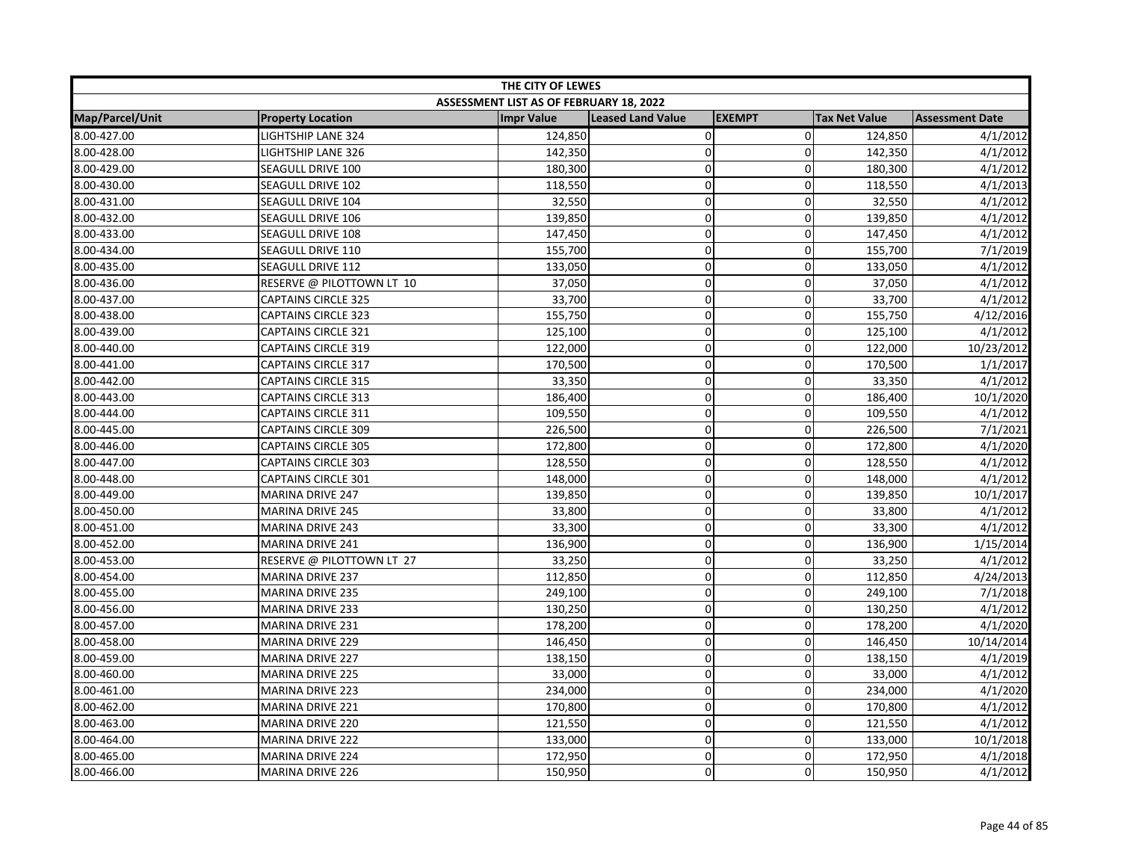| THE CITY OF LEWES |                            |                                         |                          |                |                      |                        |
|-------------------|----------------------------|-----------------------------------------|--------------------------|----------------|----------------------|------------------------|
|                   |                            | ASSESSMENT LIST AS OF FEBRUARY 18, 2022 |                          |                |                      |                        |
| Map/Parcel/Unit   | <b>Property Location</b>   | <b>Impr Value</b>                       | <b>Leased Land Value</b> | <b>EXEMPT</b>  | <b>Tax Net Value</b> | <b>Assessment Date</b> |
| 8.00-427.00       | <b>LIGHTSHIP LANE 324</b>  | 124,850                                 | $\pmb{0}$                | $\overline{0}$ | 124,850              | 4/1/2012               |
| 8.00-428.00       | LIGHTSHIP LANE 326         | 142,350                                 | $\mathbf 0$              | $\Omega$       | 142,350              | 4/1/2012               |
| 8.00-429.00       | SEAGULL DRIVE 100          | 180,300                                 | $\mathbf 0$              | $\Omega$       | 180,300              | 4/1/2012               |
| 8.00-430.00       | <b>SEAGULL DRIVE 102</b>   | 118,550                                 | $\overline{0}$           | 0              | 118,550              | 4/1/2013               |
| 8.00-431.00       | SEAGULL DRIVE 104          | 32,550                                  | $\mathbf 0$              | 0              | 32,550               | 4/1/2012               |
| 8.00-432.00       | SEAGULL DRIVE 106          | 139,850                                 | $\mathbf 0$              | 0              | 139,850              | 4/1/2012               |
| 8.00-433.00       | SEAGULL DRIVE 108          | 147,450                                 | $\mathbf 0$              | 0              | 147,450              | 4/1/2012               |
| 8.00-434.00       | SEAGULL DRIVE 110          | 155,700                                 | $\overline{0}$           | $\Omega$       | 155,700              | 7/1/2019               |
| 8.00-435.00       | SEAGULL DRIVE 112          | 133,050                                 | $\mathbf 0$              | 0              | 133,050              | 4/1/2012               |
| 8.00-436.00       | RESERVE @ PILOTTOWN LT 10  | 37,050                                  | $\pmb{0}$                | $\mathbf 0$    | 37,050               | 4/1/2012               |
| 8.00-437.00       | <b>CAPTAINS CIRCLE 325</b> | 33,700                                  | $\mathbf 0$              | $\Omega$       | 33,700               | 4/1/2012               |
| 8.00-438.00       | <b>CAPTAINS CIRCLE 323</b> | 155,750                                 | $\mathbf 0$              | $\mathbf 0$    | 155,750              | 4/12/2016              |
| 8.00-439.00       | <b>CAPTAINS CIRCLE 321</b> | 125,100                                 | 0                        | $\Omega$       | 125,100              | 4/1/2012               |
| 8.00-440.00       | <b>CAPTAINS CIRCLE 319</b> | 122,000                                 | $\mathbf 0$              | 0              | 122,000              | 10/23/2012             |
| 8.00-441.00       | <b>CAPTAINS CIRCLE 317</b> | 170,500                                 | $\overline{0}$           | 0              | 170,500              | 1/1/2017               |
| 8.00-442.00       | <b>CAPTAINS CIRCLE 315</b> | 33,350                                  | $\overline{0}$           | 0              | 33,350               | 4/1/2012               |
| 8.00-443.00       | <b>CAPTAINS CIRCLE 313</b> | 186,400                                 | $\mathbf 0$              | $\mathbf 0$    | 186,400              | 10/1/2020              |
| 8.00-444.00       | CAPTAINS CIRCLE 311        | 109,550                                 | $\mathbf 0$              | 0              | 109,550              | 4/1/2012               |
| 8.00-445.00       | <b>CAPTAINS CIRCLE 309</b> | 226,500                                 | $\pmb{0}$                | $\Omega$       | 226,500              | 7/1/2021               |
| 8.00-446.00       | <b>CAPTAINS CIRCLE 305</b> | 172,800                                 | $\mathbf 0$              | $\Omega$       | 172,800              | 4/1/2020               |
| 8.00-447.00       | <b>CAPTAINS CIRCLE 303</b> | 128,550                                 | $\mathbf 0$              | $\mathbf 0$    | 128,550              | 4/1/2012               |
| 8.00-448.00       | <b>CAPTAINS CIRCLE 301</b> | 148,000                                 | $\mathbf 0$              | $\Omega$       | 148,000              | 4/1/2012               |
| 8.00-449.00       | <b>MARINA DRIVE 247</b>    | 139,850                                 | $\pmb{0}$                | 0              | 139,850              | 10/1/2017              |
| 8.00-450.00       | <b>MARINA DRIVE 245</b>    | 33,800                                  | $\pmb{0}$                | $\mathbf 0$    | 33,800               | 4/1/2012               |
| 8.00-451.00       | <b>MARINA DRIVE 243</b>    | 33,300                                  | $\mathbf 0$              | 0              | 33,300               | 4/1/2012               |
| 8.00-452.00       | <b>MARINA DRIVE 241</b>    | 136,900                                 | $\mathbf 0$              | $\mathbf 0$    | 136,900              | 1/15/2014              |
| 8.00-453.00       | RESERVE @ PILOTTOWN LT 27  | 33,250                                  | $\mathbf 0$              | $\mathbf{0}$   | 33,250               | 4/1/2012               |
| 8.00-454.00       | MARINA DRIVE 237           | 112,850                                 | $\pmb{0}$                | $\mathbf 0$    | 112,850              | 4/24/2013              |
| 8.00-455.00       | <b>MARINA DRIVE 235</b>    | 249,100                                 | $\Omega$                 | $\Omega$       | 249,100              | 7/1/2018               |
| 8.00-456.00       | <b>MARINA DRIVE 233</b>    | 130,250                                 | $\mathbf 0$              | $\Omega$       | 130,250              | 4/1/2012               |
| 8.00-457.00       | <b>MARINA DRIVE 231</b>    | 178,200                                 | $\mathbf 0$              | 0              | 178,200              | 4/1/2020               |
| 8.00-458.00       | <b>MARINA DRIVE 229</b>    | 146,450                                 | $\mathbf 0$              | 0              | 146,450              | 10/14/2014             |
| 8.00-459.00       | MARINA DRIVE 227           | 138,150                                 | $\pmb{0}$                | 0              | 138,150              | 4/1/2019               |
| 8.00-460.00       | <b>MARINA DRIVE 225</b>    | 33,000                                  | $\mathbf 0$              | $\mathbf 0$    | 33,000               | 4/1/2012               |
| 8.00-461.00       | <b>MARINA DRIVE 223</b>    | 234,000                                 | $\pmb{0}$                | $\mathbf 0$    | 234,000              | 4/1/2020               |
| 8.00-462.00       | <b>MARINA DRIVE 221</b>    | 170,800                                 | $\mathbf 0$              | $\mathbf{0}$   | 170,800              | 4/1/2012               |
| 8.00-463.00       | MARINA DRIVE 220           | 121,550                                 | $\pmb{0}$                | 0              | 121,550              | 4/1/2012               |
| 8.00-464.00       | <b>MARINA DRIVE 222</b>    | 133,000                                 | $\mathbf 0$              | 0              | 133,000              | 10/1/2018              |
| 8.00-465.00       | <b>MARINA DRIVE 224</b>    | 172,950                                 | $\pmb{0}$                | 0              | 172,950              | 4/1/2018               |
| 8.00-466.00       | <b>MARINA DRIVE 226</b>    | 150,950                                 | $\mathbf 0$              | $\mathbf 0$    | 150,950              | 4/1/2012               |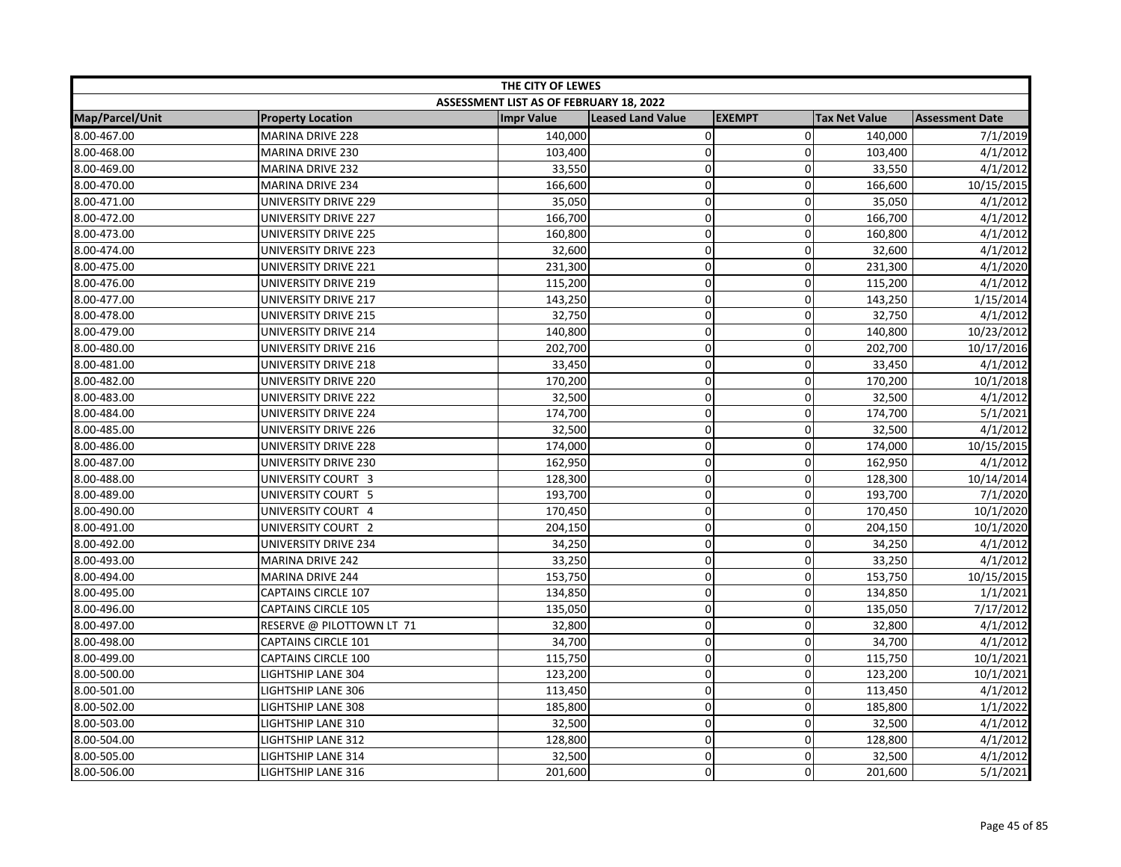| THE CITY OF LEWES |                            |                                         |                          |               |                      |                        |  |
|-------------------|----------------------------|-----------------------------------------|--------------------------|---------------|----------------------|------------------------|--|
|                   |                            | ASSESSMENT LIST AS OF FEBRUARY 18, 2022 |                          |               |                      |                        |  |
| Map/Parcel/Unit   | <b>Property Location</b>   | <b>Impr Value</b>                       | <b>Leased Land Value</b> | <b>EXEMPT</b> | <b>Tax Net Value</b> | <b>Assessment Date</b> |  |
| 8.00-467.00       | <b>MARINA DRIVE 228</b>    | 140,000                                 | $\mathbf 0$              | $\Omega$      | 140,000              | 7/1/2019               |  |
| 8.00-468.00       | MARINA DRIVE 230           | 103,400                                 | $\mathbf 0$              | $\Omega$      | 103,400              | 4/1/2012               |  |
| 8.00-469.00       | MARINA DRIVE 232           | 33,550                                  | $\mathbf 0$              | $\mathbf 0$   | 33,550               | 4/1/2012               |  |
| 8.00-470.00       | <b>MARINA DRIVE 234</b>    | 166,600                                 | $\mathbf 0$              | $\Omega$      | 166,600              | 10/15/2015             |  |
| 8.00-471.00       | UNIVERSITY DRIVE 229       | 35,050                                  | $\mathbf 0$              | $\Omega$      | 35,050               | 4/1/2012               |  |
| 8.00-472.00       | UNIVERSITY DRIVE 227       | 166,700                                 | $\mathbf 0$              | $\Omega$      | 166,700              | 4/1/2012               |  |
| 8.00-473.00       | UNIVERSITY DRIVE 225       | 160,800                                 | $\pmb{0}$                | $\mathbf 0$   | 160,800              | 4/1/2012               |  |
| 8.00-474.00       | UNIVERSITY DRIVE 223       | 32,600                                  | $\mathbf 0$              | 0             | 32,600               | 4/1/2012               |  |
| 8.00-475.00       | UNIVERSITY DRIVE 221       | 231,300                                 | $\mathbf 0$              | 0             | 231,300              | 4/1/2020               |  |
| 8.00-476.00       | UNIVERSITY DRIVE 219       | 115,200                                 | $\mathbf 0$              | $\mathbf 0$   | 115,200              | 4/1/2012               |  |
| 8.00-477.00       | UNIVERSITY DRIVE 217       | 143,250                                 | $\mathbf 0$              | $\Omega$      | 143,250              | 1/15/2014              |  |
| 8.00-478.00       | UNIVERSITY DRIVE 215       | 32,750                                  | $\pmb{0}$                | 0             | 32,750               | 4/1/2012               |  |
| 8.00-479.00       | UNIVERSITY DRIVE 214       | 140,800                                 | $\pmb{0}$                | 0             | 140,800              | 10/23/2012             |  |
| 8.00-480.00       | UNIVERSITY DRIVE 216       | 202,700                                 | $\mathbf 0$              | $\mathbf 0$   | 202,700              | 10/17/2016             |  |
| 8.00-481.00       | UNIVERSITY DRIVE 218       | 33,450                                  | $\mathbf 0$              | $\Omega$      | 33,450               | 4/1/2012               |  |
| 8.00-482.00       | UNIVERSITY DRIVE 220       | 170,200                                 | $\pmb{0}$                | 0             | 170,200              | 10/1/2018              |  |
| 8.00-483.00       | UNIVERSITY DRIVE 222       | 32,500                                  | $\mathbf 0$              | $\mathbf 0$   | 32,500               | 4/1/2012               |  |
| 8.00-484.00       | UNIVERSITY DRIVE 224       | 174,700                                 | $\mathbf 0$              | 0             | 174,700              | 5/1/2021               |  |
| 8.00-485.00       | UNIVERSITY DRIVE 226       | 32,500                                  | $\pmb{0}$                | $\mathbf 0$   | 32,500               | 4/1/2012               |  |
| 8.00-486.00       | UNIVERSITY DRIVE 228       | 174,000                                 | $\mathbf 0$              | $\Omega$      | 174,000              | 10/15/2015             |  |
| 8.00-487.00       | UNIVERSITY DRIVE 230       | 162,950                                 | $\mathbf 0$              | $\mathbf 0$   | 162,950              | 4/1/2012               |  |
| 8.00-488.00       | UNIVERSITY COURT 3         | 128,300                                 | $\mathbf 0$              | $\Omega$      | 128,300              | 10/14/2014             |  |
| 8.00-489.00       | UNIVERSITY COURT 5         | 193,700                                 | $\mathbf 0$              | $\mathbf 0$   | 193,700              | 7/1/2020               |  |
| 8.00-490.00       | UNIVERSITY COURT 4         | 170,450                                 | $\mathbf 0$              | $\mathbf 0$   | 170,450              | 10/1/2020              |  |
| 8.00-491.00       | UNIVERSITY COURT 2         | 204,150                                 | $\mathbf 0$              | 0             | 204,150              | 10/1/2020              |  |
| 8.00-492.00       | UNIVERSITY DRIVE 234       | 34,250                                  | $\mathbf 0$              | $\Omega$      | 34,250               | 4/1/2012               |  |
| 8.00-493.00       | <b>MARINA DRIVE 242</b>    | 33,250                                  | $\mathbf 0$              | $\mathbf 0$   | 33,250               | 4/1/2012               |  |
| 8.00-494.00       | <b>MARINA DRIVE 244</b>    | 153,750                                 | $\mathbf 0$              | $\mathbf 0$   | 153,750              | 10/15/2015             |  |
| 8.00-495.00       | <b>CAPTAINS CIRCLE 107</b> | 134,850                                 | $\overline{0}$           | $\mathbf 0$   | 134,850              | 1/1/2021               |  |
| 8.00-496.00       | <b>CAPTAINS CIRCLE 105</b> | 135,050                                 | $\mathbf 0$              | $\Omega$      | 135,050              | 7/17/2012              |  |
| 8.00-497.00       | RESERVE @ PILOTTOWN LT 71  | 32,800                                  | $\mathbf 0$              | $\mathbf 0$   | 32,800               | 4/1/2012               |  |
| 8.00-498.00       | <b>CAPTAINS CIRCLE 101</b> | 34,700                                  | $\mathbf 0$              | 0             | 34,700               | 4/1/2012               |  |
| 8.00-499.00       | <b>CAPTAINS CIRCLE 100</b> | 115,750                                 | $\pmb{0}$                | 0             | 115,750              | 10/1/2021              |  |
| 8.00-500.00       | LIGHTSHIP LANE 304         | 123,200                                 | $\mathbf 0$              | $\mathbf 0$   | 123,200              | 10/1/2021              |  |
| 8.00-501.00       | LIGHTSHIP LANE 306         | 113,450                                 | $\pmb{0}$                | $\mathbf 0$   | 113,450              | 4/1/2012               |  |
| 8.00-502.00       | LIGHTSHIP LANE 308         | 185,800                                 | $\mathbf 0$              | $\Omega$      | 185,800              | 1/1/2022               |  |
| 8.00-503.00       | LIGHTSHIP LANE 310         | 32,500                                  | $\mathbf 0$              | $\Omega$      | 32,500               | 4/1/2012               |  |
| 8.00-504.00       | LIGHTSHIP LANE 312         | 128,800                                 | 0                        | 0             | 128,800              | 4/1/2012               |  |
| 8.00-505.00       | LIGHTSHIP LANE 314         | 32,500                                  | $\pmb{0}$                | 0             | 32,500               | 4/1/2012               |  |
| 8.00-506.00       | LIGHTSHIP LANE 316         | 201,600                                 | $\mathbf 0$              | $\mathbf 0$   | 201,600              | 5/1/2021               |  |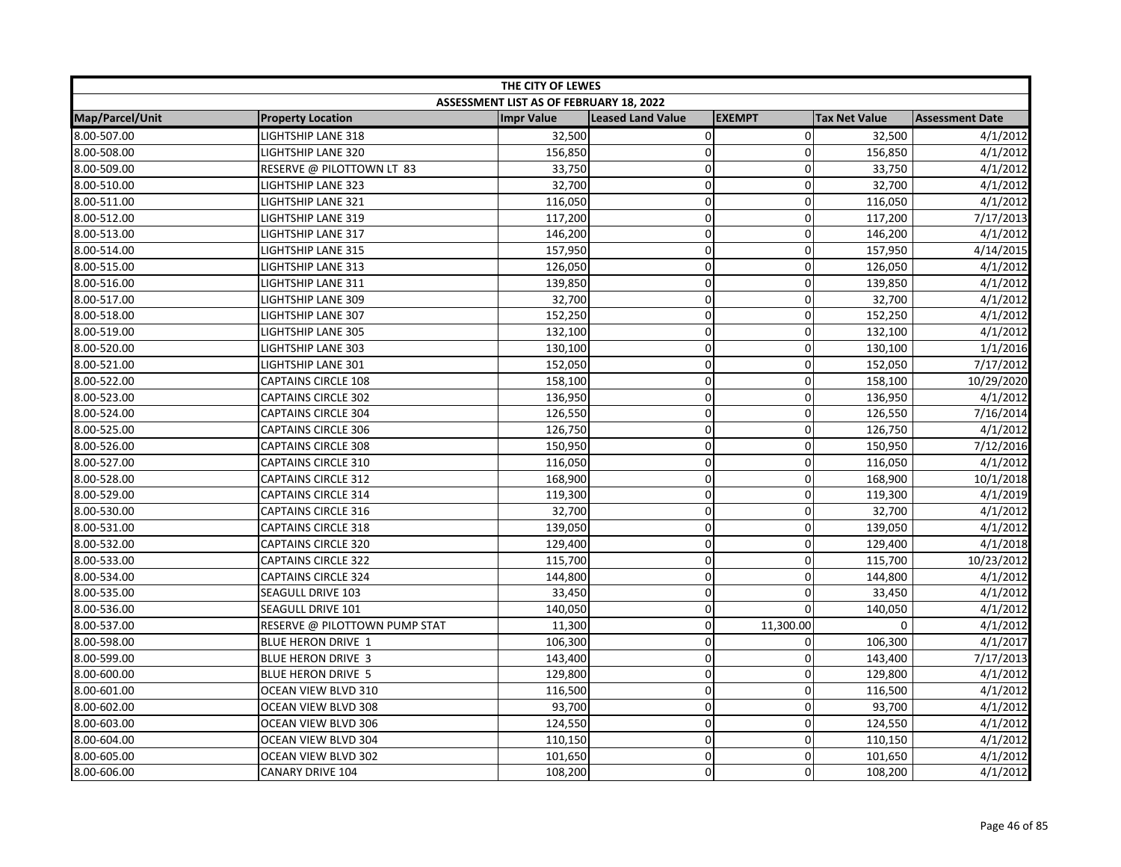| THE CITY OF LEWES |                               |                                         |                          |               |                      |                        |
|-------------------|-------------------------------|-----------------------------------------|--------------------------|---------------|----------------------|------------------------|
|                   |                               | ASSESSMENT LIST AS OF FEBRUARY 18, 2022 |                          |               |                      |                        |
| Map/Parcel/Unit   | <b>Property Location</b>      | <b>Impr Value</b>                       | <b>Leased Land Value</b> | <b>EXEMPT</b> | <b>Tax Net Value</b> | <b>Assessment Date</b> |
| 8.00-507.00       | <b>LIGHTSHIP LANE 318</b>     | 32,500                                  | 0                        | $\mathbf 0$   | 32,500               | 4/1/2012               |
| 8.00-508.00       | LIGHTSHIP LANE 320            | 156,850                                 | $\mathbf 0$              | $\mathbf 0$   | 156,850              | 4/1/2012               |
| 8.00-509.00       | RESERVE @ PILOTTOWN LT 83     | 33,750                                  | 0                        | $\mathbf 0$   | 33,750               | 4/1/2012               |
| 8.00-510.00       | <b>LIGHTSHIP LANE 323</b>     | 32,700                                  | 0                        | $\mathbf 0$   | 32,700               | 4/1/2012               |
| 8.00-511.00       | <b>LIGHTSHIP LANE 321</b>     | 116,050                                 | 0                        | $\mathbf 0$   | 116,050              | 4/1/2012               |
| 8.00-512.00       | LIGHTSHIP LANE 319            | 117,200                                 | 0                        | $\mathbf 0$   | 117,200              | 7/17/2013              |
| 8.00-513.00       | LIGHTSHIP LANE 317            | 146,200                                 | 0                        | $\mathbf 0$   | 146,200              | 4/1/2012               |
| 8.00-514.00       | <b>LIGHTSHIP LANE 315</b>     | 157,950                                 | 0                        | $\mathbf 0$   | 157,950              | 4/14/2015              |
| 8.00-515.00       | LIGHTSHIP LANE 313            | 126,050                                 | 0                        | $\mathbf 0$   | 126,050              | 4/1/2012               |
| 8.00-516.00       | LIGHTSHIP LANE 311            | 139,850                                 | 0                        | $\mathbf 0$   | 139,850              | 4/1/2012               |
| 8.00-517.00       | LIGHTSHIP LANE 309            | 32,700                                  | $\mathbf 0$              | $\mathbf 0$   | 32,700               | 4/1/2012               |
| 8.00-518.00       | LIGHTSHIP LANE 307            | 152,250                                 | 0                        | $\mathbf 0$   | 152,250              | 4/1/2012               |
| 8.00-519.00       | LIGHTSHIP LANE 305            | 132,100                                 | 0                        | $\mathbf 0$   | 132,100              | 4/1/2012               |
| 8.00-520.00       | LIGHTSHIP LANE 303            | 130,100                                 | 0                        | $\mathbf 0$   | 130,100              | 1/1/2016               |
| 8.00-521.00       | LIGHTSHIP LANE 301            | 152,050                                 | $\mathbf 0$              | 0             | 152,050              | 7/17/2012              |
| 8.00-522.00       | <b>CAPTAINS CIRCLE 108</b>    | 158,100                                 | 0                        | 0             | 158,100              | 10/29/2020             |
| 8.00-523.00       | <b>CAPTAINS CIRCLE 302</b>    | 136,950                                 | 0                        | $\mathbf 0$   | 136,950              | 4/1/2012               |
| 8.00-524.00       | <b>CAPTAINS CIRCLE 304</b>    | 126,550                                 | 0                        | $\mathbf 0$   | 126,550              | 7/16/2014              |
| 8.00-525.00       | <b>CAPTAINS CIRCLE 306</b>    | 126,750                                 | 0                        | $\mathbf 0$   | 126,750              | 4/1/2012               |
| 8.00-526.00       | <b>CAPTAINS CIRCLE 308</b>    | 150,950                                 | 0                        | 0             | 150,950              | 7/12/2016              |
| 8.00-527.00       | <b>CAPTAINS CIRCLE 310</b>    | 116,050                                 | 0                        | $\mathbf 0$   | 116,050              | 4/1/2012               |
| 8.00-528.00       | <b>CAPTAINS CIRCLE 312</b>    | 168,900                                 | $\mathbf 0$              | $\Omega$      | 168,900              | 10/1/2018              |
| 8.00-529.00       | <b>CAPTAINS CIRCLE 314</b>    | 119,300                                 | 0                        | $\mathbf 0$   | 119,300              | 4/1/2019               |
| 8.00-530.00       | <b>CAPTAINS CIRCLE 316</b>    | 32,700                                  | 0                        | $\mathbf{0}$  | 32,700               | 4/1/2012               |
| 8.00-531.00       | <b>CAPTAINS CIRCLE 318</b>    | 139,050                                 | 0                        | $\mathbf 0$   | 139,050              | 4/1/2012               |
| 8.00-532.00       | <b>CAPTAINS CIRCLE 320</b>    | 129,400                                 | $\mathbf 0$              | 0             | 129,400              | 4/1/2018               |
| 8.00-533.00       | <b>CAPTAINS CIRCLE 322</b>    | 115,700                                 | 0                        | $\mathbf 0$   | 115,700              | 10/23/2012             |
| 8.00-534.00       | <b>CAPTAINS CIRCLE 324</b>    | 144,800                                 | 0                        | $\mathbf 0$   | 144,800              | 4/1/2012               |
| 8.00-535.00       | SEAGULL DRIVE 103             | 33,450                                  | $\mathbf 0$              | 0             | 33,450               | 4/1/2012               |
| 8.00-536.00       | SEAGULL DRIVE 101             | 140,050                                 | 0                        | $\Omega$      | 140,050              | 4/1/2012               |
| 8.00-537.00       | RESERVE @ PILOTTOWN PUMP STAT | 11,300                                  | $\mathbf 0$              | 11,300.00     | $\Omega$             | 4/1/2012               |
| 8.00-598.00       | BLUE HERON DRIVE 1            | 106,300                                 | 0                        | 0             | 106,300              | 4/1/2017               |
| 8.00-599.00       | <b>BLUE HERON DRIVE 3</b>     | 143,400                                 | 0                        | $\mathbf 0$   | 143,400              | 7/17/2013              |
| 8.00-600.00       | <b>BLUE HERON DRIVE 5</b>     | 129,800                                 | 0                        | $\mathbf 0$   | 129,800              | 4/1/2012               |
| 8.00-601.00       | OCEAN VIEW BLVD 310           | 116,500                                 | 0                        | $\mathbf 0$   | 116,500              | 4/1/2012               |
| 8.00-602.00       | OCEAN VIEW BLVD 308           | 93,700                                  | $\mathbf 0$              | $\mathbf 0$   | 93,700               | 4/1/2012               |
| 8.00-603.00       | OCEAN VIEW BLVD 306           | 124,550                                 | 0                        | $\mathbf 0$   | 124,550              | 4/1/2012               |
| 8.00-604.00       | OCEAN VIEW BLVD 304           | 110,150                                 | 0                        | $\mathbf 0$   | 110,150              | 4/1/2012               |
| 8.00-605.00       | OCEAN VIEW BLVD 302           | 101,650                                 | 0                        | $\mathbf 0$   | 101,650              | 4/1/2012               |
| 8.00-606.00       | <b>CANARY DRIVE 104</b>       | 108,200                                 | 0                        | $\Omega$      | 108,200              | 4/1/2012               |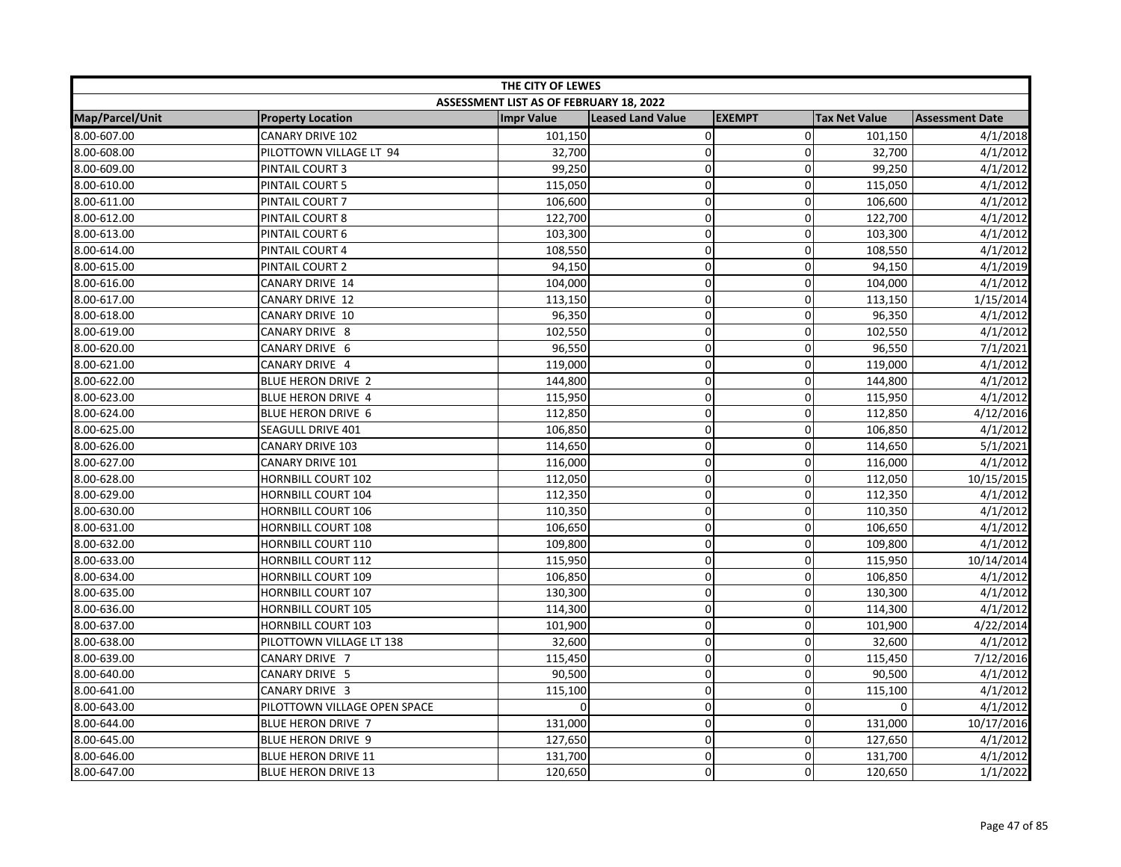| THE CITY OF LEWES |                              |                                         |                          |                |                      |                        |
|-------------------|------------------------------|-----------------------------------------|--------------------------|----------------|----------------------|------------------------|
|                   |                              | ASSESSMENT LIST AS OF FEBRUARY 18, 2022 |                          |                |                      |                        |
| Map/Parcel/Unit   | <b>Property Location</b>     | <b>Impr Value</b>                       | <b>Leased Land Value</b> | <b>EXEMPT</b>  | <b>Tax Net Value</b> | <b>Assessment Date</b> |
| 8.00-607.00       | <b>CANARY DRIVE 102</b>      | 101,150                                 | $\pmb{0}$                | $\overline{0}$ | 101,150              | 4/1/2018               |
| 8.00-608.00       | PILOTTOWN VILLAGE LT 94      | 32,700                                  | $\mathbf 0$              | 0              | 32,700               | 4/1/2012               |
| 8.00-609.00       | PINTAIL COURT 3              | 99,250                                  | $\pmb{0}$                | $\overline{0}$ | 99,250               | 4/1/2012               |
| 8.00-610.00       | PINTAIL COURT 5              | 115,050                                 | $\pmb{0}$                | $\Omega$       | 115,050              | 4/1/2012               |
| 8.00-611.00       | PINTAIL COURT 7              | 106,600                                 | 0                        | $\Omega$       | 106,600              | 4/1/2012               |
| 8.00-612.00       | PINTAIL COURT 8              | 122,700                                 | $\mathbf 0$              | 0              | 122,700              | 4/1/2012               |
| 8.00-613.00       | PINTAIL COURT 6              | 103,300                                 | $\pmb{0}$                | 0              | 103,300              | 4/1/2012               |
| 8.00-614.00       | PINTAIL COURT 4              | 108,550                                 | $\mathbf 0$              | 0              | 108,550              | 4/1/2012               |
| 8.00-615.00       | PINTAIL COURT 2              | 94,150                                  | $\pmb{0}$                | 0              | 94,150               | 4/1/2019               |
| 8.00-616.00       | CANARY DRIVE 14              | 104,000                                 | $\mathbf 0$              | $\overline{0}$ | 104,000              | 4/1/2012               |
| 8.00-617.00       | CANARY DRIVE 12              | 113,150                                 | $\pmb{0}$                | 0              | 113,150              | 1/15/2014              |
| 8.00-618.00       | CANARY DRIVE 10              | 96,350                                  | $\pmb{0}$                | 0              | 96,350               | 4/1/2012               |
| 8.00-619.00       | CANARY DRIVE 8               | 102,550                                 | $\pmb{0}$                | 0              | 102,550              | 4/1/2012               |
| 8.00-620.00       | CANARY DRIVE 6               | 96,550                                  | $\mathbf 0$              | $\overline{0}$ | 96,550               | 7/1/2021               |
| 8.00-621.00       | CANARY DRIVE 4               | 119,000                                 | $\mathbf 0$              | 0              | 119,000              | 4/1/2012               |
| 8.00-622.00       | <b>BLUE HERON DRIVE 2</b>    | 144,800                                 | $\mathbf 0$              | 0              | 144,800              | 4/1/2012               |
| 8.00-623.00       | BLUE HERON DRIVE 4           | 115,950                                 | $\mathsf 0$              | $\overline{0}$ | 115,950              | 4/1/2012               |
| 8.00-624.00       | BLUE HERON DRIVE 6           | 112,850                                 | $\pmb{0}$                | 0              | 112,850              | 4/12/2016              |
| 8.00-625.00       | SEAGULL DRIVE 401            | 106,850                                 | $\mathbf 0$              | 0              | 106,850              | 4/1/2012               |
| 8.00-626.00       | <b>CANARY DRIVE 103</b>      | 114,650                                 | $\mathbf 0$              | 0              | 114,650              | 5/1/2021               |
| 8.00-627.00       | CANARY DRIVE 101             | 116,000                                 | $\mathbf 0$              | $\overline{0}$ | 116,000              | 4/1/2012               |
| 8.00-628.00       | <b>HORNBILL COURT 102</b>    | 112,050                                 | $\mathbf 0$              | $\Omega$       | 112,050              | 10/15/2015             |
| 8.00-629.00       | <b>HORNBILL COURT 104</b>    | 112,350                                 | 0                        | $\Omega$       | 112,350              | 4/1/2012               |
| 8.00-630.00       | <b>HORNBILL COURT 106</b>    | 110,350                                 | $\pmb{0}$                | 0              | 110,350              | 4/1/2012               |
| 8.00-631.00       | <b>HORNBILL COURT 108</b>    | 106,650                                 | $\pmb{0}$                | 0              | 106,650              | 4/1/2012               |
| 8.00-632.00       | <b>HORNBILL COURT 110</b>    | 109,800                                 | $\mathbf 0$              | 0              | 109,800              | 4/1/2012               |
| 8.00-633.00       | <b>HORNBILL COURT 112</b>    | 115,950                                 | $\pmb{0}$                | 0              | 115,950              | 10/14/2014             |
| 8.00-634.00       | <b>HORNBILL COURT 109</b>    | 106,850                                 | $\pmb{0}$                | $\mathbf 0$    | 106,850              | 4/1/2012               |
| 8.00-635.00       | <b>HORNBILL COURT 107</b>    | 130,300                                 | $\pmb{0}$                | 0              | 130,300              | 4/1/2012               |
| 8.00-636.00       | <b>HORNBILL COURT 105</b>    | 114,300                                 | $\pmb{0}$                | 0              | 114,300              | 4/1/2012               |
| 8.00-637.00       | <b>HORNBILL COURT 103</b>    | 101,900                                 | $\pmb{0}$                | 0              | 101,900              | 4/22/2014              |
| 8.00-638.00       | PILOTTOWN VILLAGE LT 138     | 32,600                                  | $\mathbf 0$              | $\overline{0}$ | 32,600               | 4/1/2012               |
| 8.00-639.00       | CANARY DRIVE 7               | 115,450                                 | $\mathbf 0$              | 0              | 115,450              | 7/12/2016              |
| 8.00-640.00       | CANARY DRIVE 5               | 90,500                                  | $\mathbf 0$              | 0              | 90,500               | 4/1/2012               |
| 8.00-641.00       | CANARY DRIVE 3               | 115,100                                 | $\mathbf 0$              | $\mathbf 0$    | 115,100              | 4/1/2012               |
| 8.00-643.00       | PILOTTOWN VILLAGE OPEN SPACE |                                         | $\mathsf 0$              | 0              | $\mathbf 0$          | 4/1/2012               |
| 8.00-644.00       | <b>BLUE HERON DRIVE 7</b>    | 131,000                                 | $\pmb{0}$                | $\overline{0}$ | 131,000              | 10/17/2016             |
| 8.00-645.00       | <b>BLUE HERON DRIVE 9</b>    | 127,650                                 | $\mathbf 0$              | 0              | 127,650              | 4/1/2012               |
| 8.00-646.00       | <b>BLUE HERON DRIVE 11</b>   | 131,700                                 | $\mathbf 0$              | $\overline{0}$ | 131,700              | 4/1/2012               |
| 8.00-647.00       | <b>BLUE HERON DRIVE 13</b>   | 120,650                                 | $\pmb{0}$                | $\Omega$       | 120,650              | 1/1/2022               |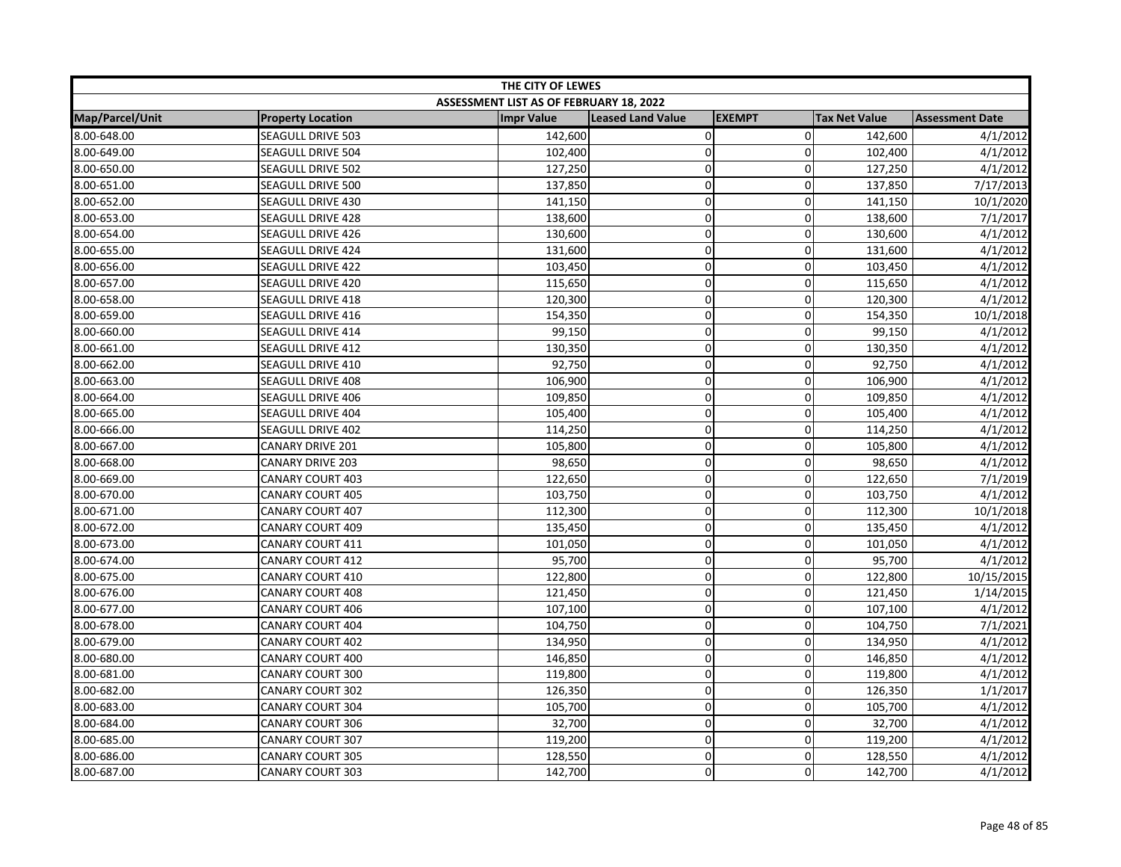| THE CITY OF LEWES |                          |                                         |                          |                |                      |                        |
|-------------------|--------------------------|-----------------------------------------|--------------------------|----------------|----------------------|------------------------|
|                   |                          | ASSESSMENT LIST AS OF FEBRUARY 18, 2022 |                          |                |                      |                        |
| Map/Parcel/Unit   | <b>Property Location</b> | <b>Impr Value</b>                       | <b>Leased Land Value</b> | <b>EXEMPT</b>  | <b>Tax Net Value</b> | <b>Assessment Date</b> |
| 8.00-648.00       | SEAGULL DRIVE 503        | 142,600                                 | 0                        | $\overline{0}$ | 142,600              | 4/1/2012               |
| 8.00-649.00       | SEAGULL DRIVE 504        | 102,400                                 | $\pmb{0}$                | $\Omega$       | 102,400              | 4/1/2012               |
| 8.00-650.00       | SEAGULL DRIVE 502        | 127,250                                 | $\pmb{0}$                | $\mathbf 0$    | 127,250              | 4/1/2012               |
| 8.00-651.00       | SEAGULL DRIVE 500        | 137,850                                 | $\pmb{0}$                | 0              | 137,850              | 7/17/2013              |
| 8.00-652.00       | SEAGULL DRIVE 430        | 141,150                                 | $\mathbf 0$              | $\Omega$       | 141,150              | 10/1/2020              |
| 8.00-653.00       | SEAGULL DRIVE 428        | 138,600                                 | $\pmb{0}$                | $\Omega$       | 138,600              | 7/1/2017               |
| 8.00-654.00       | SEAGULL DRIVE 426        | 130,600                                 | $\pmb{0}$                | $\overline{0}$ | 130,600              | 4/1/2012               |
| 8.00-655.00       | SEAGULL DRIVE 424        | 131,600                                 | $\mathbf 0$              | 0              | 131,600              | 4/1/2012               |
| 8.00-656.00       | <b>SEAGULL DRIVE 422</b> | 103,450                                 | $\pmb{0}$                | 0              | 103,450              | 4/1/2012               |
| 8.00-657.00       | SEAGULL DRIVE 420        | 115,650                                 | $\mathbf 0$              | $\overline{0}$ | 115,650              | 4/1/2012               |
| 8.00-658.00       | <b>SEAGULL DRIVE 418</b> | 120,300                                 | $\mathbf 0$              | 0              | 120,300              | 4/1/2012               |
| 8.00-659.00       | SEAGULL DRIVE 416        | 154,350                                 | $\pmb{0}$                | $\Omega$       | 154,350              | 10/1/2018              |
| 8.00-660.00       | SEAGULL DRIVE 414        | 99,150                                  | $\pmb{0}$                | 0              | 99,150               | 4/1/2012               |
| 8.00-661.00       | SEAGULL DRIVE 412        | 130,350                                 | $\pmb{0}$                | $\mathbf 0$    | 130,350              | 4/1/2012               |
| 8.00-662.00       | SEAGULL DRIVE 410        | 92,750                                  | $\mathbf 0$              | $\Omega$       | 92,750               | 4/1/2012               |
| 8.00-663.00       | <b>SEAGULL DRIVE 408</b> | 106,900                                 | $\mathbf 0$              | 0              | 106,900              | 4/1/2012               |
| 8.00-664.00       | SEAGULL DRIVE 406        | 109,850                                 | $\pmb{0}$                | $\overline{0}$ | 109,850              | 4/1/2012               |
| 8.00-665.00       | SEAGULL DRIVE 404        | 105,400                                 | $\pmb{0}$                | $\overline{0}$ | 105,400              | 4/1/2012               |
| 8.00-666.00       | SEAGULL DRIVE 402        | 114,250                                 | $\mathbf 0$              | 0              | 114,250              | 4/1/2012               |
| 8.00-667.00       | <b>CANARY DRIVE 201</b>  | 105,800                                 | $\pmb{0}$                | 0              | 105,800              | 4/1/2012               |
| 8.00-668.00       | <b>CANARY DRIVE 203</b>  | 98,650                                  | $\mathbf 0$              | $\overline{0}$ | 98,650               | 4/1/2012               |
| 8.00-669.00       | <b>CANARY COURT 403</b>  | 122,650                                 | $\mathbf 0$              | $\Omega$       | 122,650              | 7/1/2019               |
| 8.00-670.00       | <b>CANARY COURT 405</b>  | 103,750                                 | 0                        | 0              | 103,750              | 4/1/2012               |
| 8.00-671.00       | CANARY COURT 407         | 112,300                                 | $\pmb{0}$                | 0              | 112,300              | 10/1/2018              |
| 8.00-672.00       | <b>CANARY COURT 409</b>  | 135,450                                 | $\mathbf 0$              | $\overline{0}$ | 135,450              | 4/1/2012               |
| 8.00-673.00       | CANARY COURT 411         | 101,050                                 | $\mathbf 0$              | $\mathbf 0$    | 101,050              | 4/1/2012               |
| 8.00-674.00       | <b>CANARY COURT 412</b>  | 95,700                                  | $\pmb{0}$                | 0              | 95,700               | 4/1/2012               |
| 8.00-675.00       | CANARY COURT 410         | 122,800                                 | $\mathbf 0$              | $\mathbf 0$    | 122,800              | 10/15/2015             |
| 8.00-676.00       | <b>CANARY COURT 408</b>  | 121,450                                 | $\mathbf 0$              | 0              | 121,450              | 1/14/2015              |
| 8.00-677.00       | <b>CANARY COURT 406</b>  | 107,100                                 | $\mathbf 0$              | $\Omega$       | 107,100              | 4/1/2012               |
| 8.00-678.00       | <b>CANARY COURT 404</b>  | 104,750                                 | $\pmb{0}$                | $\Omega$       | 104,750              | 7/1/2021               |
| 8.00-679.00       | <b>CANARY COURT 402</b>  | 134,950                                 | $\pmb{0}$                | $\overline{0}$ | 134,950              | 4/1/2012               |
| 8.00-680.00       | CANARY COURT 400         | 146,850                                 | $\mathbf 0$              | 0              | 146,850              | 4/1/2012               |
| 8.00-681.00       | CANARY COURT 300         | 119,800                                 | $\pmb{0}$                | 0              | 119,800              | 4/1/2012               |
| 8.00-682.00       | CANARY COURT 302         | 126,350                                 | $\mathbf 0$              | $\overline{0}$ | 126,350              | 1/1/2017               |
| 8.00-683.00       | <b>CANARY COURT 304</b>  | 105,700                                 | $\mathbf 0$              | 0              | 105,700              | 4/1/2012               |
| 8.00-684.00       | <b>CANARY COURT 306</b>  | 32,700                                  | $\pmb{0}$                | $\mathbf 0$    | 32,700               | 4/1/2012               |
| 8.00-685.00       | <b>CANARY COURT 307</b>  | 119,200                                 | $\pmb{0}$                | 0              | 119,200              | 4/1/2012               |
| 8.00-686.00       | <b>CANARY COURT 305</b>  | 128,550                                 | $\mathbf 0$              | $\overline{0}$ | 128,550              | 4/1/2012               |
| 8.00-687.00       | <b>CANARY COURT 303</b>  | 142,700                                 | $\mathbf 0$              | $\Omega$       | 142,700              | 4/1/2012               |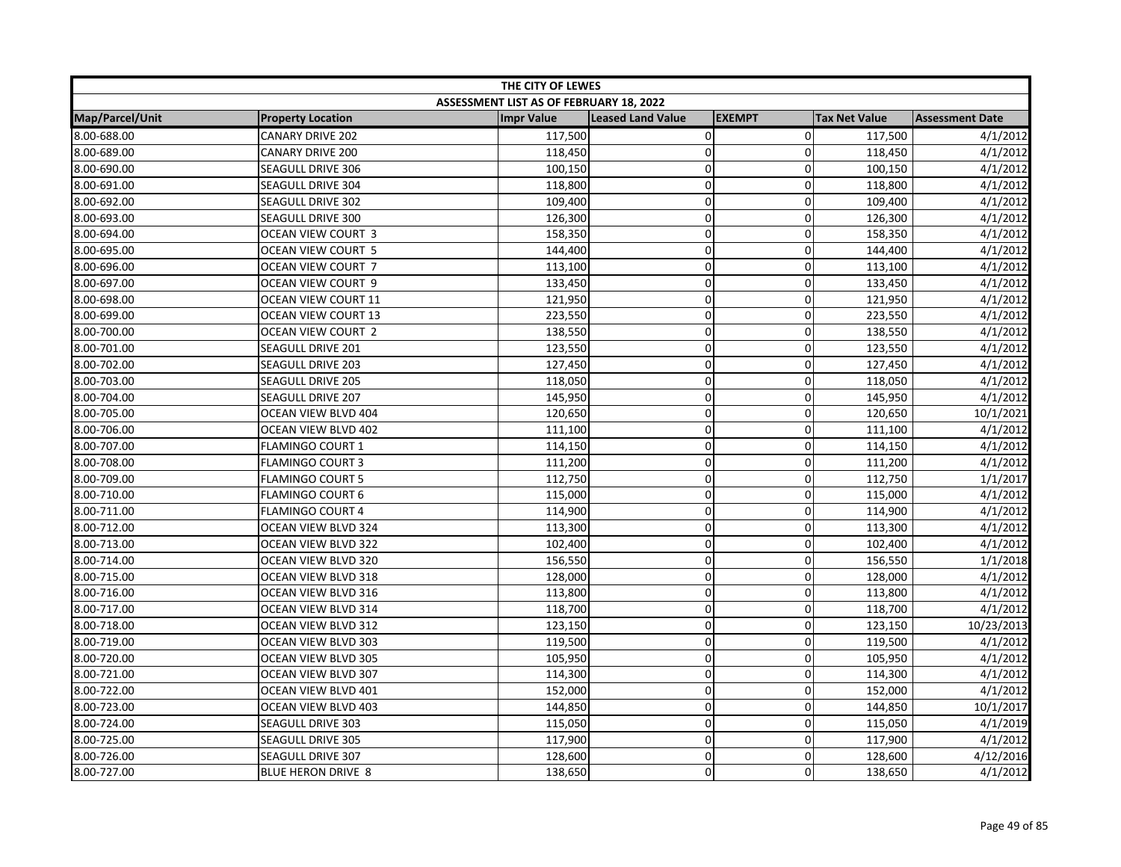| THE CITY OF LEWES |                           |                                         |                          |                |                      |                        |
|-------------------|---------------------------|-----------------------------------------|--------------------------|----------------|----------------------|------------------------|
|                   |                           | ASSESSMENT LIST AS OF FEBRUARY 18, 2022 |                          |                |                      |                        |
| Map/Parcel/Unit   | <b>Property Location</b>  | <b>Impr Value</b>                       | <b>Leased Land Value</b> | <b>EXEMPT</b>  | <b>Tax Net Value</b> | <b>Assessment Date</b> |
| 8.00-688.00       | <b>CANARY DRIVE 202</b>   | 117,500                                 | 0                        | $\overline{0}$ | 117,500              | 4/1/2012               |
| 8.00-689.00       | <b>CANARY DRIVE 200</b>   | 118,450                                 | $\pmb{0}$                | $\Omega$       | 118,450              | 4/1/2012               |
| 8.00-690.00       | SEAGULL DRIVE 306         | 100,150                                 | $\pmb{0}$                | $\mathbf 0$    | 100,150              | 4/1/2012               |
| 8.00-691.00       | <b>SEAGULL DRIVE 304</b>  | 118,800                                 | $\pmb{0}$                | 0              | 118,800              | 4/1/2012               |
| 8.00-692.00       | <b>SEAGULL DRIVE 302</b>  | 109,400                                 | $\mathbf 0$              | $\Omega$       | 109,400              | 4/1/2012               |
| 8.00-693.00       | SEAGULL DRIVE 300         | 126,300                                 | $\mathbf 0$              | $\Omega$       | 126,300              | 4/1/2012               |
| 8.00-694.00       | OCEAN VIEW COURT 3        | 158,350                                 | $\pmb{0}$                | 0              | 158,350              | 4/1/2012               |
| 8.00-695.00       | OCEAN VIEW COURT 5        | 144,400                                 | $\mathbf 0$              | 0              | 144,400              | 4/1/2012               |
| 8.00-696.00       | OCEAN VIEW COURT 7        | 113,100                                 | $\pmb{0}$                | 0              | 113,100              | 4/1/2012               |
| 8.00-697.00       | OCEAN VIEW COURT 9        | 133,450                                 | $\mathbf 0$              | $\overline{0}$ | 133,450              | 4/1/2012               |
| 8.00-698.00       | OCEAN VIEW COURT 11       | 121,950                                 | $\mathbf 0$              | 0              | 121,950              | 4/1/2012               |
| 8.00-699.00       | OCEAN VIEW COURT 13       | 223,550                                 | $\pmb{0}$                | 0              | 223,550              | 4/1/2012               |
| 8.00-700.00       | OCEAN VIEW COURT 2        | 138,550                                 | $\mathbf 0$              | 0              | 138,550              | 4/1/2012               |
| 8.00-701.00       | SEAGULL DRIVE 201         | 123,550                                 | $\pmb{0}$                | $\overline{0}$ | 123,550              | 4/1/2012               |
| 8.00-702.00       | <b>SEAGULL DRIVE 203</b>  | 127,450                                 | $\mathbf 0$              | $\Omega$       | 127,450              | 4/1/2012               |
| 8.00-703.00       | <b>SEAGULL DRIVE 205</b>  | 118,050                                 | $\mathbf 0$              | 0              | 118,050              | 4/1/2012               |
| 8.00-704.00       | SEAGULL DRIVE 207         | 145,950                                 | $\pmb{0}$                | 0              | 145,950              | 4/1/2012               |
| 8.00-705.00       | OCEAN VIEW BLVD 404       | 120,650                                 | $\pmb{0}$                | $\overline{0}$ | 120,650              | 10/1/2021              |
| 8.00-706.00       | OCEAN VIEW BLVD 402       | 111,100                                 | $\mathbf 0$              | 0              | 111,100              | 4/1/2012               |
| 8.00-707.00       | FLAMINGO COURT 1          | 114,150                                 | $\pmb{0}$                | 0              | 114,150              | 4/1/2012               |
| 8.00-708.00       | <b>FLAMINGO COURT 3</b>   | 111,200                                 | $\mathbf 0$              | $\overline{0}$ | 111,200              | 4/1/2012               |
| 8.00-709.00       | <b>FLAMINGO COURT 5</b>   | 112,750                                 | $\mathbf 0$              | $\Omega$       | 112,750              | 1/1/2017               |
| 8.00-710.00       | <b>FLAMINGO COURT 6</b>   | 115,000                                 | 0                        | 0              | 115,000              | 4/1/2012               |
| 8.00-711.00       | <b>FLAMINGO COURT 4</b>   | 114,900                                 | $\pmb{0}$                | 0              | 114,900              | 4/1/2012               |
| 8.00-712.00       | OCEAN VIEW BLVD 324       | 113,300                                 | $\mathbf 0$              | 0              | 113,300              | 4/1/2012               |
| 8.00-713.00       | OCEAN VIEW BLVD 322       | 102,400                                 | $\mathbf 0$              | $\mathbf 0$    | 102,400              | 4/1/2012               |
| 8.00-714.00       | OCEAN VIEW BLVD 320       | 156,550                                 | $\pmb{0}$                | 0              | 156,550              | 1/1/2018               |
| 8.00-715.00       | OCEAN VIEW BLVD 318       | 128,000                                 | $\mathbf 0$              | $\overline{0}$ | 128,000              | 4/1/2012               |
| 8.00-716.00       | OCEAN VIEW BLVD 316       | 113,800                                 | $\mathbf 0$              | 0              | 113,800              | 4/1/2012               |
| 8.00-717.00       | OCEAN VIEW BLVD 314       | 118,700                                 | $\mathbf 0$              | $\Omega$       | 118,700              | 4/1/2012               |
| 8.00-718.00       | OCEAN VIEW BLVD 312       | 123,150                                 | $\pmb{0}$                | $\Omega$       | 123,150              | 10/23/2013             |
| 8.00-719.00       | OCEAN VIEW BLVD 303       | 119,500                                 | $\pmb{0}$                | 0              | 119,500              | 4/1/2012               |
| 8.00-720.00       | OCEAN VIEW BLVD 305       | 105,950                                 | $\mathbf 0$              | 0              | 105,950              | 4/1/2012               |
| 8.00-721.00       | OCEAN VIEW BLVD 307       | 114,300                                 | $\pmb{0}$                | 0              | 114,300              | 4/1/2012               |
| 8.00-722.00       | OCEAN VIEW BLVD 401       | 152,000                                 | $\mathbf 0$              | $\overline{0}$ | 152,000              | 4/1/2012               |
| 8.00-723.00       | OCEAN VIEW BLVD 403       | 144,850                                 | $\mathbf 0$              | 0              | 144,850              | 10/1/2017              |
| 8.00-724.00       | SEAGULL DRIVE 303         | 115,050                                 | $\pmb{0}$                | $\overline{0}$ | 115,050              | 4/1/2019               |
| 8.00-725.00       | SEAGULL DRIVE 305         | 117,900                                 | $\pmb{0}$                | 0              | 117,900              | 4/1/2012               |
| 8.00-726.00       | SEAGULL DRIVE 307         | 128,600                                 | $\mathbf 0$              | $\overline{0}$ | 128,600              | 4/12/2016              |
| 8.00-727.00       | <b>BLUE HERON DRIVE 8</b> | 138,650                                 | $\mathbf 0$              | $\Omega$       | 138,650              | 4/1/2012               |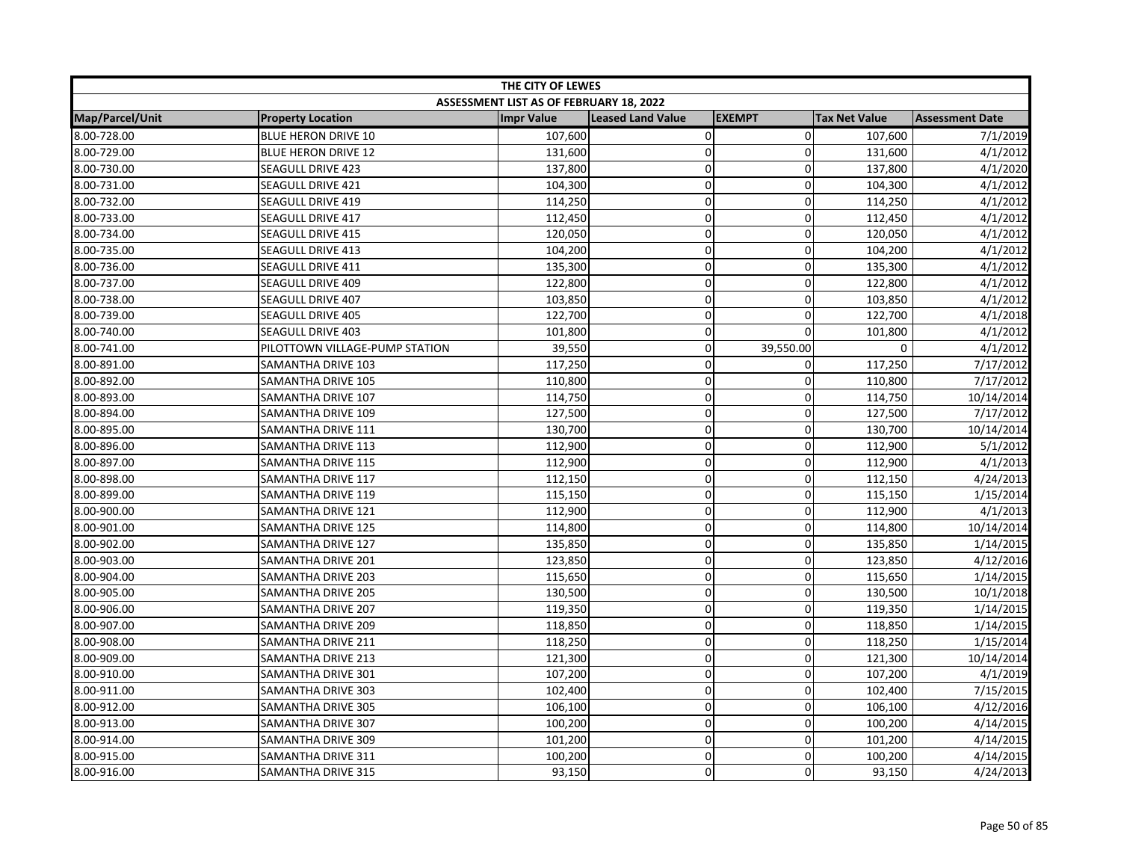| THE CITY OF LEWES |                                |                                         |                          |               |                      |                        |
|-------------------|--------------------------------|-----------------------------------------|--------------------------|---------------|----------------------|------------------------|
|                   |                                | ASSESSMENT LIST AS OF FEBRUARY 18, 2022 |                          |               |                      |                        |
| Map/Parcel/Unit   | <b>Property Location</b>       | <b>Impr Value</b>                       | <b>Leased Land Value</b> | <b>EXEMPT</b> | <b>Tax Net Value</b> | <b>Assessment Date</b> |
| 8.00-728.00       | <b>BLUE HERON DRIVE 10</b>     | 107,600                                 | $\pmb{0}$                | $\mathbf 0$   | 107,600              | 7/1/2019               |
| 8.00-729.00       | <b>BLUE HERON DRIVE 12</b>     | 131,600                                 | $\mathbf 0$              | $\Omega$      | 131,600              | 4/1/2012               |
| 8.00-730.00       | SEAGULL DRIVE 423              | 137,800                                 | $\pmb{0}$                | $\mathbf 0$   | 137,800              | 4/1/2020               |
| 8.00-731.00       | SEAGULL DRIVE 421              | 104,300                                 | $\mathbf 0$              | $\mathbf 0$   | 104,300              | 4/1/2012               |
| 8.00-732.00       | SEAGULL DRIVE 419              | 114,250                                 | $\mathbf 0$              | $\Omega$      | 114,250              | 4/1/2012               |
| 8.00-733.00       | <b>SEAGULL DRIVE 417</b>       | 112,450                                 | $\mathbf 0$              | $\Omega$      | 112,450              | 4/1/2012               |
| 8.00-734.00       | SEAGULL DRIVE 415              | 120,050                                 | $\pmb{0}$                | 0             | 120,050              | 4/1/2012               |
| 8.00-735.00       | SEAGULL DRIVE 413              | 104,200                                 | $\overline{0}$           | 0             | 104,200              | 4/1/2012               |
| 8.00-736.00       | SEAGULL DRIVE 411              | 135,300                                 | $\pmb{0}$                | 0             | 135,300              | 4/1/2012               |
| 8.00-737.00       | SEAGULL DRIVE 409              | 122,800                                 | $\mathbf 0$              | $\mathbf 0$   | 122,800              | 4/1/2012               |
| 8.00-738.00       | SEAGULL DRIVE 407              | 103,850                                 | $\mathbf 0$              | $\mathbf 0$   | 103,850              | 4/1/2012               |
| 8.00-739.00       | <b>SEAGULL DRIVE 405</b>       | 122,700                                 | $\pmb{0}$                | $\Omega$      | 122,700              | 4/1/2018               |
| 8.00-740.00       | <b>SEAGULL DRIVE 403</b>       | 101,800                                 | $\mathbf 0$              | $\Omega$      | 101,800              | 4/1/2012               |
| 8.00-741.00       | PILOTTOWN VILLAGE-PUMP STATION | 39,550                                  | $\mathsf 0$              | 39,550.00     | $\mathbf 0$          | 4/1/2012               |
| 8.00-891.00       | <b>SAMANTHA DRIVE 103</b>      | 117,250                                 | $\Omega$                 | $\mathbf{0}$  | 117,250              | 7/17/2012              |
| 8.00-892.00       | SAMANTHA DRIVE 105             | 110,800                                 | $\mathbf 0$              | $\Omega$      | 110,800              | 7/17/2012              |
| 8.00-893.00       | SAMANTHA DRIVE 107             | 114,750                                 | $\pmb{0}$                | 0             | 114,750              | 10/14/2014             |
| 8.00-894.00       | SAMANTHA DRIVE 109             | 127,500                                 | $\pmb{0}$                | 0             | 127,500              | 7/17/2012              |
| 8.00-895.00       | SAMANTHA DRIVE 111             | 130,700                                 | $\mathbf 0$              | 0             | 130,700              | 10/14/2014             |
| 8.00-896.00       | SAMANTHA DRIVE 113             | 112,900                                 | $\mathbf 0$              | $\mathbf 0$   | 112,900              | 5/1/2012               |
| 8.00-897.00       | SAMANTHA DRIVE 115             | 112,900                                 | $\mathbf 0$              | $\mathbf 0$   | 112,900              | 4/1/2013               |
| 8.00-898.00       | SAMANTHA DRIVE 117             | 112,150                                 | $\mathbf 0$              | $\Omega$      | 112,150              | 4/24/2013              |
| 8.00-899.00       | SAMANTHA DRIVE 119             | 115,150                                 | $\pmb{0}$                | 0             | 115,150              | 1/15/2014              |
| 8.00-900.00       | SAMANTHA DRIVE 121             | 112,900                                 | $\mathbf 0$              | 0             | 112,900              | 4/1/2013               |
| 8.00-901.00       | SAMANTHA DRIVE 125             | 114,800                                 | $\mathbf 0$              | 0             | 114,800              | 10/14/2014             |
| 8.00-902.00       | SAMANTHA DRIVE 127             | 135,850                                 | $\mathbf 0$              | $\Omega$      | 135,850              | 1/14/2015              |
| 8.00-903.00       | SAMANTHA DRIVE 201             | 123,850                                 | $\mathbf 0$              | 0             | 123,850              | 4/12/2016              |
| 8.00-904.00       | SAMANTHA DRIVE 203             | 115,650                                 | $\mathbf 0$              | $\mathbf 0$   | 115,650              | 1/14/2015              |
| 8.00-905.00       | <b>SAMANTHA DRIVE 205</b>      | 130,500                                 | $\mathbf 0$              | $\Omega$      | 130,500              | 10/1/2018              |
| 8.00-906.00       | SAMANTHA DRIVE 207             | 119,350                                 | $\mathbf 0$              | $\Omega$      | 119,350              | 1/14/2015              |
| 8.00-907.00       | SAMANTHA DRIVE 209             | 118,850                                 | $\pmb{0}$                | $\Omega$      | 118,850              | 1/14/2015              |
| 8.00-908.00       | SAMANTHA DRIVE 211             | 118,250                                 | $\pmb{0}$                | 0             | 118,250              | 1/15/2014              |
| 8.00-909.00       | SAMANTHA DRIVE 213             | 121,300                                 | $\mathbf 0$              | 0             | 121,300              | 10/14/2014             |
| 8.00-910.00       | SAMANTHA DRIVE 301             | 107,200                                 | $\pmb{0}$                | 0             | 107,200              | 4/1/2019               |
| 8.00-911.00       | SAMANTHA DRIVE 303             | 102,400                                 | $\mathbf 0$              | $\mathbf 0$   | 102,400              | 7/15/2015              |
| 8.00-912.00       | SAMANTHA DRIVE 305             | 106,100                                 | $\mathbf 0$              | 0             | 106,100              | 4/12/2016              |
| 8.00-913.00       | SAMANTHA DRIVE 307             | 100,200                                 | $\pmb{0}$                | 0             | 100,200              | 4/14/2015              |
| 8.00-914.00       | SAMANTHA DRIVE 309             | 101,200                                 | $\pmb{0}$                | 0             | 101,200              | 4/14/2015              |
| 8.00-915.00       | SAMANTHA DRIVE 311             | 100,200                                 | $\mathbf 0$              | 0             | 100,200              | 4/14/2015              |
| 8.00-916.00       | SAMANTHA DRIVE 315             | 93,150                                  | $\mathbf 0$              | $\Omega$      | 93,150               | 4/24/2013              |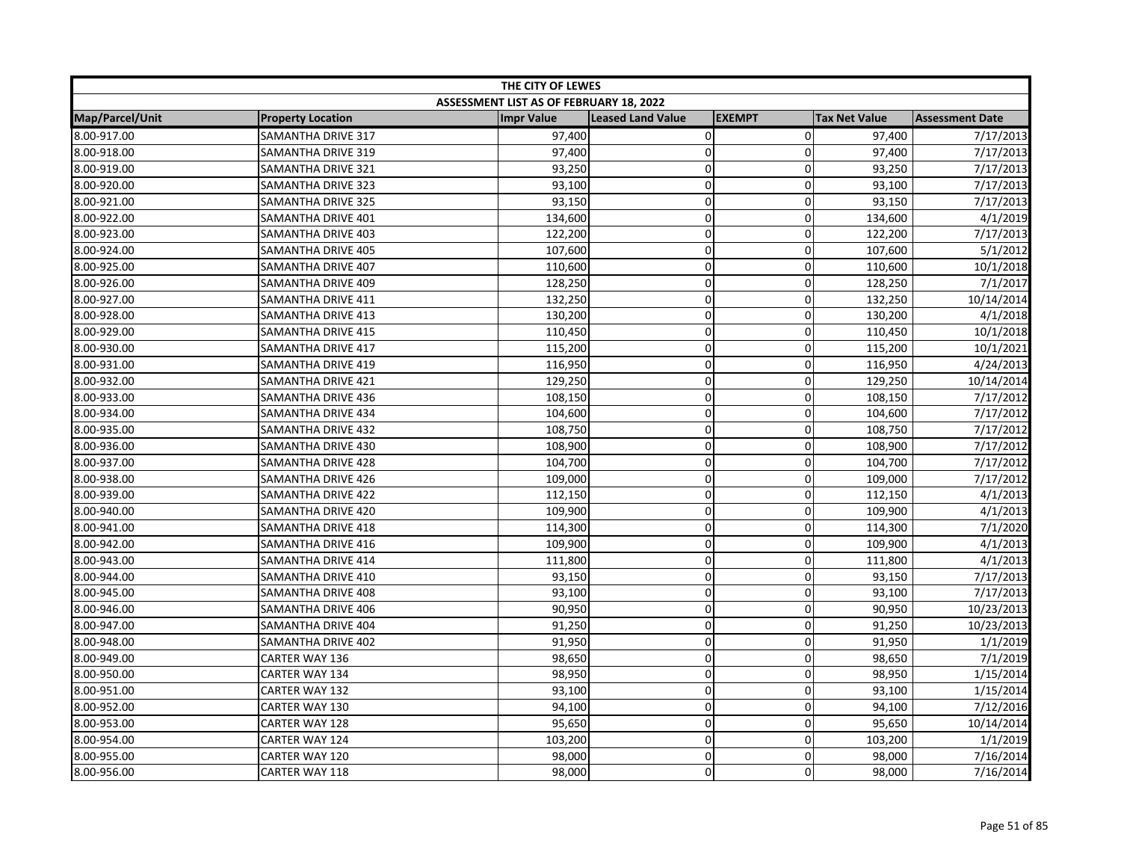| THE CITY OF LEWES |                           |                                         |                          |                     |                      |                        |
|-------------------|---------------------------|-----------------------------------------|--------------------------|---------------------|----------------------|------------------------|
|                   |                           | ASSESSMENT LIST AS OF FEBRUARY 18, 2022 |                          |                     |                      |                        |
| Map/Parcel/Unit   | <b>Property Location</b>  | <b>Impr Value</b>                       | <b>Leased Land Value</b> | <b>EXEMPT</b>       | <b>Tax Net Value</b> | <b>Assessment Date</b> |
| 8.00-917.00       | <b>SAMANTHA DRIVE 317</b> | 97,400                                  | $\pmb{0}$                | $\mathbf 0$         | 97,400               | 7/17/2013              |
| 8.00-918.00       | SAMANTHA DRIVE 319        | 97,400                                  | 0                        | 0                   | 97,400               | 7/17/2013              |
| 8.00-919.00       | SAMANTHA DRIVE 321        | 93,250                                  | 0                        | $\mathbf 0$         | 93,250               | 7/17/2013              |
| 8.00-920.00       | SAMANTHA DRIVE 323        | 93,100                                  | $\mathbf 0$              | $\mathbf 0$         | 93,100               | 7/17/2013              |
| 8.00-921.00       | SAMANTHA DRIVE 325        | 93,150                                  | 0                        | $\mathbf 0$         | 93,150               | 7/17/2013              |
| 8.00-922.00       | SAMANTHA DRIVE 401        | 134,600                                 | 0                        | $\mathbf 0$         | 134,600              | 4/1/2019               |
| 8.00-923.00       | SAMANTHA DRIVE 403        | 122,200                                 | 0                        | $\pmb{0}$           | 122,200              | 7/17/2013              |
| 8.00-924.00       | SAMANTHA DRIVE 405        | 107,600                                 | 0                        | $\mathsf{O}\xspace$ | 107,600              | 5/1/2012               |
| 8.00-925.00       | SAMANTHA DRIVE 407        | 110,600                                 | 0                        | $\mathbf 0$         | 110,600              | 10/1/2018              |
| 8.00-926.00       | SAMANTHA DRIVE 409        | 128,250                                 | $\overline{\text{o}}$    | $\mathbf 0$         | 128,250              | 7/1/2017               |
| 8.00-927.00       | SAMANTHA DRIVE 411        | 132,250                                 | 0                        | $\mathbf 0$         | 132,250              | 10/14/2014             |
| 8.00-928.00       | SAMANTHA DRIVE 413        | 130,200                                 | 0                        | $\mathbf 0$         | 130,200              | 4/1/2018               |
| 8.00-929.00       | SAMANTHA DRIVE 415        | 110,450                                 | 0                        | $\mathbf 0$         | 110,450              | 10/1/2018              |
| 8.00-930.00       | SAMANTHA DRIVE 417        | 115,200                                 | 0                        | $\pmb{0}$           | 115,200              | 10/1/2021              |
| 8.00-931.00       | SAMANTHA DRIVE 419        | 116,950                                 | $\mathbf 0$              | 0                   | 116,950              | 4/24/2013              |
| 8.00-932.00       | SAMANTHA DRIVE 421        | 129,250                                 | 0                        | $\mathbf 0$         | 129,250              | 10/14/2014             |
| 8.00-933.00       | SAMANTHA DRIVE 436        | 108,150                                 | 0                        | $\mathbf 0$         | 108,150              | 7/17/2012              |
| 8.00-934.00       | SAMANTHA DRIVE 434        | 104,600                                 | 0                        | $\pmb{0}$           | 104,600              | 7/17/2012              |
| 8.00-935.00       | SAMANTHA DRIVE 432        | 108,750                                 | 0                        | $\mathbf 0$         | 108,750              | 7/17/2012              |
| 8.00-936.00       | SAMANTHA DRIVE 430        | 108,900                                 | 0                        | 0                   | 108,900              | 7/17/2012              |
| 8.00-937.00       | SAMANTHA DRIVE 428        | 104,700                                 | 0                        | $\mathbf 0$         | 104,700              | 7/17/2012              |
| 8.00-938.00       | <b>SAMANTHA DRIVE 426</b> | 109,000                                 | $\mathbf 0$              | 0                   | 109,000              | 7/17/2012              |
| 8.00-939.00       | SAMANTHA DRIVE 422        | 112,150                                 | $\mathbf 0$              | $\mathbf 0$         | 112,150              | 4/1/2013               |
| 8.00-940.00       | SAMANTHA DRIVE 420        | 109,900                                 | 0                        | 0                   | 109,900              | 4/1/2013               |
| 8.00-941.00       | SAMANTHA DRIVE 418        | 114,300                                 | 0                        | 0                   | 114,300              | 7/1/2020               |
| 8.00-942.00       | <b>SAMANTHA DRIVE 416</b> | 109,900                                 | 0                        | 0                   | 109,900              | 4/1/2013               |
| 8.00-943.00       | SAMANTHA DRIVE 414        | 111,800                                 | 0                        | $\mathbf 0$         | 111,800              | 4/1/2013               |
| 8.00-944.00       | SAMANTHA DRIVE 410        | 93,150                                  | 0                        | $\pmb{0}$           | 93,150               | 7/17/2013              |
| 8.00-945.00       | SAMANTHA DRIVE 408        | 93,100                                  | 0                        | 0                   | 93,100               | 7/17/2013              |
| 8.00-946.00       | SAMANTHA DRIVE 406        | 90,950                                  | 0                        | $\mathbf 0$         | 90,950               | 10/23/2013             |
| 8.00-947.00       | SAMANTHA DRIVE 404        | 91,250                                  | 0                        | $\mathbf 0$         | 91,250               | 10/23/2013             |
| 8.00-948.00       | SAMANTHA DRIVE 402        | 91,950                                  | $\mathbf 0$              | $\mathbf 0$         | 91,950               | 1/1/2019               |
| 8.00-949.00       | <b>CARTER WAY 136</b>     | 98,650                                  | $\mathbf 0$              | $\mathbf 0$         | 98,650               | 7/1/2019               |
| 8.00-950.00       | <b>CARTER WAY 134</b>     | 98,950                                  | $\mathbf 0$              | $\mathbf 0$         | 98,950               | 1/15/2014              |
| 8.00-951.00       | CARTER WAY 132            | 93,100                                  | 0                        | $\mathbf 0$         | 93,100               | 1/15/2014              |
| 8.00-952.00       | CARTER WAY 130            | 94,100                                  | 0                        | $\pmb{0}$           | 94,100               | 7/12/2016              |
| 8.00-953.00       | CARTER WAY 128            | 95,650                                  | 0                        | $\mathbf 0$         | 95,650               | 10/14/2014             |
| 8.00-954.00       | CARTER WAY 124            | 103,200                                 | 0                        | 0                   | 103,200              | 1/1/2019               |
| 8.00-955.00       | CARTER WAY 120            | 98,000                                  | 0                        | $\mathbf 0$         | 98,000               | 7/16/2014              |
| 8.00-956.00       | CARTER WAY 118            | 98,000                                  | 0                        | $\Omega$            | 98,000               | 7/16/2014              |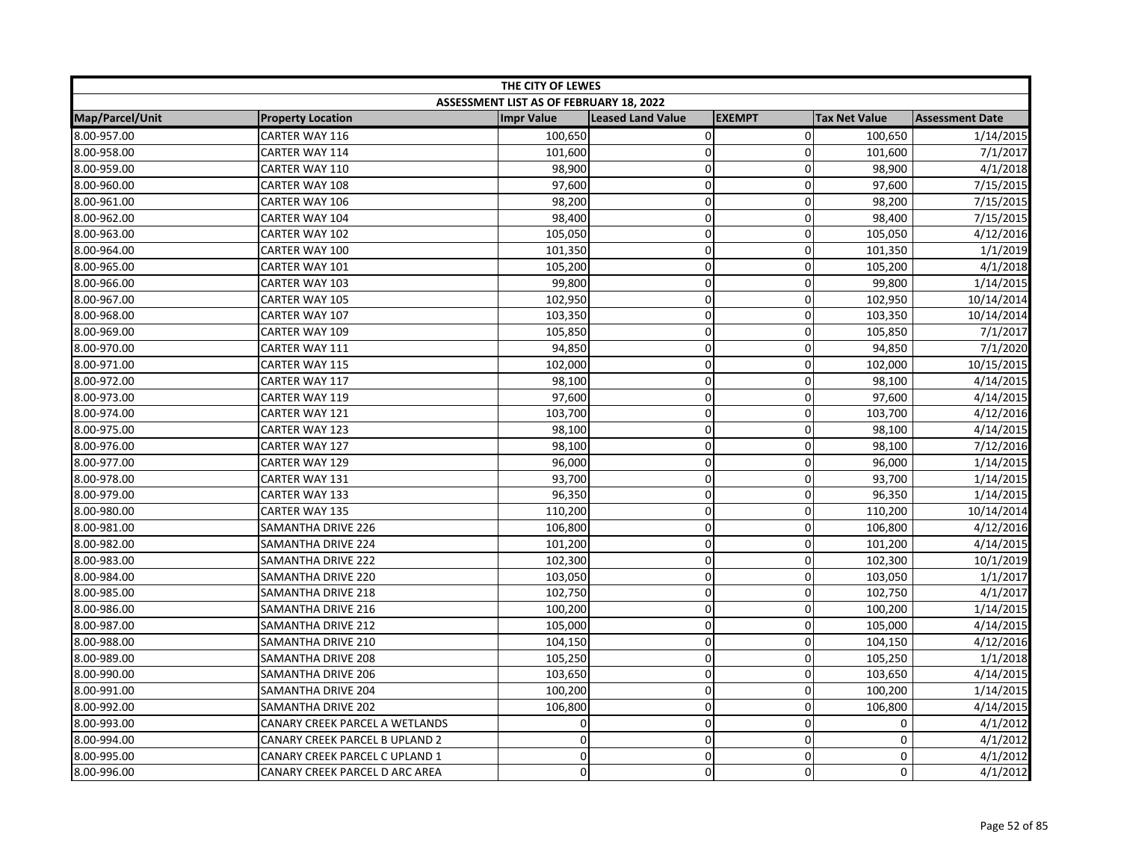| THE CITY OF LEWES |                                |                                         |                          |               |                      |                        |
|-------------------|--------------------------------|-----------------------------------------|--------------------------|---------------|----------------------|------------------------|
|                   |                                | ASSESSMENT LIST AS OF FEBRUARY 18, 2022 |                          |               |                      |                        |
| Map/Parcel/Unit   | <b>Property Location</b>       | <b>Impr Value</b>                       | <b>Leased Land Value</b> | <b>EXEMPT</b> | <b>Tax Net Value</b> | <b>Assessment Date</b> |
| 8.00-957.00       | CARTER WAY 116                 | 100,650                                 | 0                        | $\mathbf 0$   | 100,650              | 1/14/2015              |
| 8.00-958.00       | CARTER WAY 114                 | 101,600                                 | $\mathbf 0$              | $\mathbf 0$   | 101,600              | 7/1/2017               |
| 8.00-959.00       | CARTER WAY 110                 | 98,900                                  | 0                        | $\pmb{0}$     | 98,900               | 4/1/2018               |
| 8.00-960.00       | CARTER WAY 108                 | 97,600                                  | 0                        | 0             | 97,600               | 7/15/2015              |
| 8.00-961.00       | CARTER WAY 106                 | 98,200                                  | 0                        | $\mathbf 0$   | 98,200               | 7/15/2015              |
| 8.00-962.00       | CARTER WAY 104                 | 98,400                                  | $\mathbf 0$              | $\mathbf 0$   | 98,400               | 7/15/2015              |
| 8.00-963.00       | CARTER WAY 102                 | 105,050                                 | 0                        | $\mathbf 0$   | 105,050              | 4/12/2016              |
| 8.00-964.00       | CARTER WAY 100                 | 101,350                                 | 0                        | 0             | 101,350              | 1/1/2019               |
| 8.00-965.00       | CARTER WAY 101                 | 105,200                                 | 0                        | $\mathbf 0$   | 105,200              | 4/1/2018               |
| 8.00-966.00       | CARTER WAY 103                 | 99,800                                  | 0                        | $\pmb{0}$     | 99,800               | 1/14/2015              |
| 8.00-967.00       | CARTER WAY 105                 | 102,950                                 | $\overline{0}$           | $\mathbf 0$   | 102,950              | 10/14/2014             |
| 8.00-968.00       | CARTER WAY 107                 | 103,350                                 | 0                        | $\mathbf 0$   | 103,350              | 10/14/2014             |
| 8.00-969.00       | CARTER WAY 109                 | 105,850                                 | 0                        | 0             | 105,850              | 7/1/2017               |
| 8.00-970.00       | CARTER WAY 111                 | 94,850                                  | 0                        | $\pmb{0}$     | 94,850               | 7/1/2020               |
| 8.00-971.00       | CARTER WAY 115                 | 102,000                                 | $\mathbf 0$              | 0             | 102,000              | 10/15/2015             |
| 8.00-972.00       | CARTER WAY 117                 | 98,100                                  | $\mathbf 0$              | $\mathbf 0$   | 98,100               | 4/14/2015              |
| 8.00-973.00       | CARTER WAY 119                 | 97,600                                  | 0                        | $\mathbf 0$   | 97,600               | 4/14/2015              |
| 8.00-974.00       | CARTER WAY 121                 | 103,700                                 | 0                        | $\pmb{0}$     | 103,700              | 4/12/2016              |
| 8.00-975.00       | CARTER WAY 123                 | 98,100                                  | 0                        | $\mathbf 0$   | 98,100               | 4/14/2015              |
| 8.00-976.00       | CARTER WAY 127                 | 98,100                                  | 0                        | 0             | 98,100               | 7/12/2016              |
| 8.00-977.00       | CARTER WAY 129                 | 96,000                                  | 0                        | $\mathbf 0$   | 96,000               | 1/14/2015              |
| 8.00-978.00       | CARTER WAY 131                 | 93,700                                  | $\overline{0}$           | 0             | 93,700               | 1/14/2015              |
| 8.00-979.00       | CARTER WAY 133                 | 96,350                                  | 0                        | $\mathbf 0$   | 96,350               | 1/14/2015              |
| 8.00-980.00       | CARTER WAY 135                 | 110,200                                 | 0                        | $\mathbf 0$   | 110,200              | 10/14/2014             |
| 8.00-981.00       | SAMANTHA DRIVE 226             | 106,800                                 | $\mathbf 0$              | $\mathbf 0$   | 106,800              | 4/12/2016              |
| 8.00-982.00       | SAMANTHA DRIVE 224             | 101,200                                 | 0                        | 0             | 101,200              | 4/14/2015              |
| 8.00-983.00       | SAMANTHA DRIVE 222             | 102,300                                 | 0                        | $\mathbf 0$   | 102,300              | 10/1/2019              |
| 8.00-984.00       | SAMANTHA DRIVE 220             | 103,050                                 | 0                        | $\pmb{0}$     | 103,050              | 1/1/2017               |
| 8.00-985.00       | SAMANTHA DRIVE 218             | 102,750                                 | $\mathbf 0$              | 0             | 102,750              | 4/1/2017               |
| 8.00-986.00       | SAMANTHA DRIVE 216             | 100,200                                 | 0                        | $\mathbf 0$   | 100,200              | 1/14/2015              |
| 8.00-987.00       | SAMANTHA DRIVE 212             | 105,000                                 | $\mathbf 0$              | $\mathbf 0$   | 105,000              | 4/14/2015              |
| 8.00-988.00       | SAMANTHA DRIVE 210             | 104,150                                 | 0                        | $\mathbf 0$   | 104,150              | 4/12/2016              |
| 8.00-989.00       | SAMANTHA DRIVE 208             | 105,250                                 | 0                        | $\mathbf 0$   | 105,250              | 1/1/2018               |
| 8.00-990.00       | SAMANTHA DRIVE 206             | 103,650                                 | 0                        | $\mathbf 0$   | 103,650              | 4/14/2015              |
| 8.00-991.00       | SAMANTHA DRIVE 204             | 100,200                                 | 0                        | $\mathbf 0$   | 100,200              | 1/14/2015              |
| 8.00-992.00       | SAMANTHA DRIVE 202             | 106,800                                 | $\mathbf 0$              | $\mathbf 0$   | 106,800              | 4/14/2015              |
| 8.00-993.00       | CANARY CREEK PARCEL A WETLANDS | 0                                       | 0                        | $\mathbf 0$   | 0                    | 4/1/2012               |
| 8.00-994.00       | CANARY CREEK PARCEL B UPLAND 2 | 0                                       | 0                        | $\mathbf 0$   | $\mathbf 0$          | 4/1/2012               |
| 8.00-995.00       | CANARY CREEK PARCEL C UPLAND 1 | $\mathbf 0$                             | 0                        | $\mathbf 0$   | $\pmb{0}$            | 4/1/2012               |
| 8.00-996.00       | CANARY CREEK PARCEL D ARC AREA | 0                                       | 0                        | $\mathbf 0$   | 0                    | 4/1/2012               |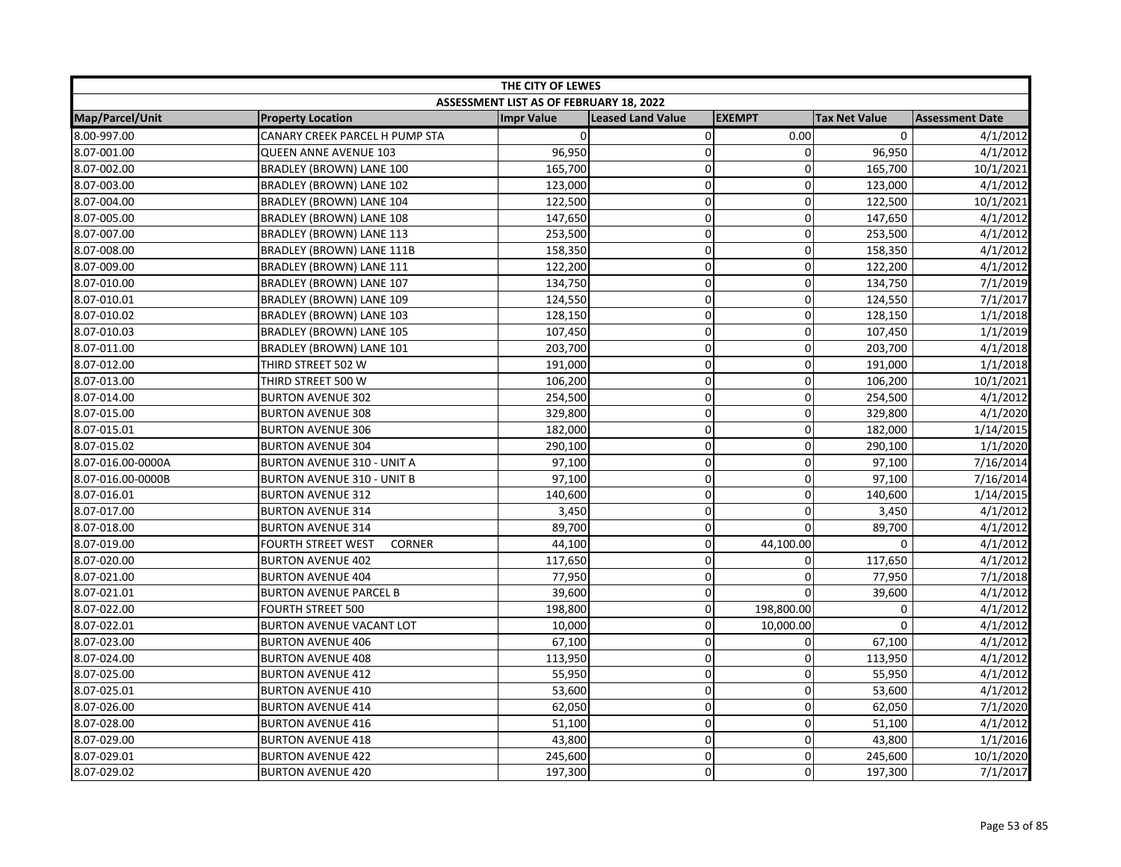| THE CITY OF LEWES |                                            |                                         |                          |               |                      |                        |
|-------------------|--------------------------------------------|-----------------------------------------|--------------------------|---------------|----------------------|------------------------|
|                   |                                            | ASSESSMENT LIST AS OF FEBRUARY 18, 2022 |                          |               |                      |                        |
| Map/Parcel/Unit   | <b>Property Location</b>                   | <b>Impr Value</b>                       | <b>Leased Land Value</b> | <b>EXEMPT</b> | <b>Tax Net Value</b> | <b>Assessment Date</b> |
| 8.00-997.00       | CANARY CREEK PARCEL H PUMP STA             | $\Omega$                                | $\pmb{0}$                | 0.00          | $\mathbf{0}$         | 4/1/2012               |
| 8.07-001.00       | <b>QUEEN ANNE AVENUE 103</b>               | 96,950                                  | $\mathbf 0$              | 0             | 96,950               | 4/1/2012               |
| 8.07-002.00       | BRADLEY (BROWN) LANE 100                   | 165,700                                 | 0                        | $\mathbf{0}$  | 165,700              | 10/1/2021              |
| 8.07-003.00       | BRADLEY (BROWN) LANE 102                   | 123,000                                 | 0                        | 0             | 123,000              | 4/1/2012               |
| 8.07-004.00       | <b>BRADLEY (BROWN) LANE 104</b>            | 122,500                                 | 0                        | $\mathbf{0}$  | 122,500              | 10/1/2021              |
| 8.07-005.00       | BRADLEY (BROWN) LANE 108                   | 147,650                                 | 0                        | $\mathbf 0$   | 147,650              | 4/1/2012               |
| 8.07-007.00       | BRADLEY (BROWN) LANE 113                   | 253,500                                 | 0                        | $\mathbf 0$   | 253,500              | 4/1/2012               |
| 8.07-008.00       | BRADLEY (BROWN) LANE 111B                  | 158,350                                 | $\mathbf 0$              | 0             | 158,350              | 4/1/2012               |
| 8.07-009.00       | BRADLEY (BROWN) LANE 111                   | 122,200                                 | 0                        | 0             | 122,200              | 4/1/2012               |
| 8.07-010.00       | BRADLEY (BROWN) LANE 107                   | 134,750                                 | 0                        | $\mathbf 0$   | 134,750              | 7/1/2019               |
| 8.07-010.01       | <b>BRADLEY (BROWN) LANE 109</b>            | 124,550                                 | $\mathbf 0$              | 0             | 124,550              | 7/1/2017               |
| 8.07-010.02       | BRADLEY (BROWN) LANE 103                   | 128,150                                 | 0                        | $\Omega$      | 128,150              | 1/1/2018               |
| 8.07-010.03       | BRADLEY (BROWN) LANE 105                   | 107,450                                 | 0                        | $\mathbf 0$   | 107,450              | 1/1/2019               |
| 8.07-011.00       | BRADLEY (BROWN) LANE 101                   | 203,700                                 | 0                        | $\pmb{0}$     | 203,700              | 4/1/2018               |
| 8.07-012.00       | THIRD STREET 502 W                         | 191,000                                 | 0                        | 0             | 191,000              | 1/1/2018               |
| 8.07-013.00       | THIRD STREET 500 W                         | 106,200                                 | 0                        | $\mathbf 0$   | 106,200              | 10/1/2021              |
| 8.07-014.00       | <b>BURTON AVENUE 302</b>                   | 254,500                                 | 0                        | $\mathbf 0$   | 254,500              | 4/1/2012               |
| 8.07-015.00       | <b>BURTON AVENUE 308</b>                   | 329,800                                 | 0                        | 0             | 329,800              | 4/1/2020               |
| 8.07-015.01       | <b>BURTON AVENUE 306</b>                   | 182,000                                 | 0                        | $\mathbf 0$   | 182,000              | 1/14/2015              |
| 8.07-015.02       | <b>BURTON AVENUE 304</b>                   | 290,100                                 | $\mathbf 0$              | 0             | 290,100              | 1/1/2020               |
| 8.07-016.00-0000A | <b>BURTON AVENUE 310 - UNIT A</b>          | 97,100                                  | 0                        | $\mathbf 0$   | 97,100               | 7/16/2014              |
| 8.07-016.00-0000B | <b>BURTON AVENUE 310 - UNIT B</b>          | 97,100                                  | $\mathbf 0$              | $\mathbf{0}$  | 97,100               | 7/16/2014              |
| 8.07-016.01       | <b>BURTON AVENUE 312</b>                   | 140,600                                 | 0                        | $\mathbf 0$   | 140,600              | 1/14/2015              |
| 8.07-017.00       | <b>BURTON AVENUE 314</b>                   | 3,450                                   | 0                        | $\mathbf 0$   | 3,450                | 4/1/2012               |
| 8.07-018.00       | <b>BURTON AVENUE 314</b>                   | 89,700                                  | 0                        | $\mathbf 0$   | 89,700               | 4/1/2012               |
| 8.07-019.00       | <b>CORNER</b><br><b>FOURTH STREET WEST</b> | 44,100                                  | 0                        | 44,100.00     | $\Omega$             | 4/1/2012               |
| 8.07-020.00       | <b>BURTON AVENUE 402</b>                   | 117,650                                 | $\mathbf 0$              | 0             | 117,650              | 4/1/2012               |
| 8.07-021.00       | <b>BURTON AVENUE 404</b>                   | 77,950                                  | 0                        | $\mathbf 0$   | 77,950               | 7/1/2018               |
| 8.07-021.01       | <b>BURTON AVENUE PARCEL B</b>              | 39,600                                  | $\mathbf 0$              | 0             | 39,600               | 4/1/2012               |
| 8.07-022.00       | <b>FOURTH STREET 500</b>                   | 198,800                                 | 0                        | 198,800.00    | $\mathbf 0$          | 4/1/2012               |
| 8.07-022.01       | <b>BURTON AVENUE VACANT LOT</b>            | 10,000                                  | 0                        | 10,000.00     | 0                    | 4/1/2012               |
| 8.07-023.00       | <b>BURTON AVENUE 406</b>                   | 67,100                                  | 0                        | $\mathbf 0$   | 67,100               | 4/1/2012               |
| 8.07-024.00       | <b>BURTON AVENUE 408</b>                   | 113,950                                 | 0                        | $\mathbf 0$   | 113,950              | 4/1/2012               |
| 8.07-025.00       | <b>BURTON AVENUE 412</b>                   | 55,950                                  | 0                        | 0             | 55,950               | 4/1/2012               |
| 8.07-025.01       | <b>BURTON AVENUE 410</b>                   | 53,600                                  | 0                        | $\mathbf 0$   | 53,600               | 4/1/2012               |
| 8.07-026.00       | <b>BURTON AVENUE 414</b>                   | 62,050                                  | $\mathbf 0$              | 0             | 62,050               | 7/1/2020               |
| 8.07-028.00       | <b>BURTON AVENUE 416</b>                   | 51,100                                  | 0                        | $\mathbf 0$   | 51,100               | 4/1/2012               |
| 8.07-029.00       | <b>BURTON AVENUE 418</b>                   | 43,800                                  | 0                        | $\mathbf 0$   | 43,800               | 1/1/2016               |
| 8.07-029.01       | <b>BURTON AVENUE 422</b>                   | 245,600                                 | 0                        | $\mathbf 0$   | 245,600              | 10/1/2020              |
| 8.07-029.02       | <b>BURTON AVENUE 420</b>                   | 197,300                                 | 0                        | $\mathbf 0$   | 197,300              | 7/1/2017               |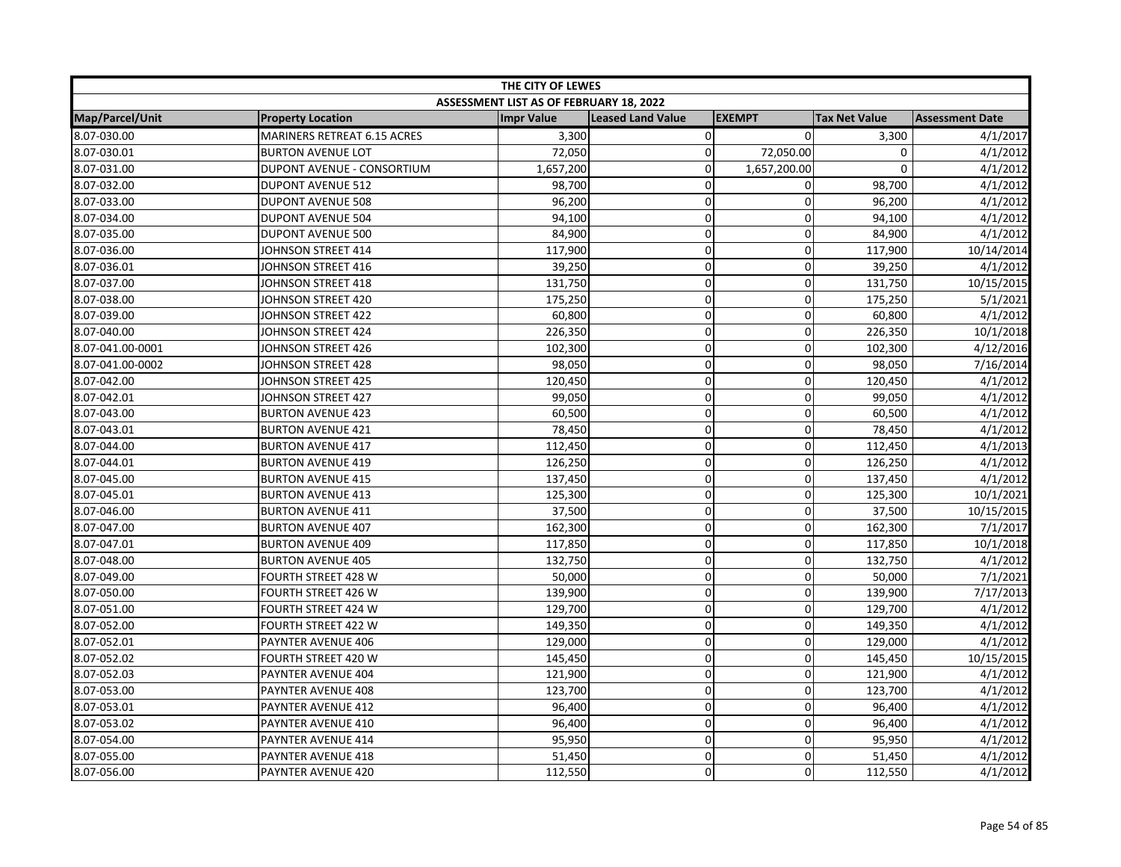| THE CITY OF LEWES |                                    |                                         |                          |                |                      |                        |  |
|-------------------|------------------------------------|-----------------------------------------|--------------------------|----------------|----------------------|------------------------|--|
|                   |                                    | ASSESSMENT LIST AS OF FEBRUARY 18, 2022 |                          |                |                      |                        |  |
| Map/Parcel/Unit   | <b>Property Location</b>           | <b>Impr Value</b>                       | <b>Leased Land Value</b> | <b>EXEMPT</b>  | <b>Tax Net Value</b> | <b>Assessment Date</b> |  |
| 8.07-030.00       | <b>MARINERS RETREAT 6.15 ACRES</b> | 3,300                                   | $\pmb{0}$                | $\Omega$       | 3,300                | 4/1/2017               |  |
| 8.07-030.01       | <b>BURTON AVENUE LOT</b>           | 72,050                                  | $\mathbf 0$              | 72,050.00      | 0                    | 4/1/2012               |  |
| 8.07-031.00       | DUPONT AVENUE - CONSORTIUM         | 1,657,200                               | 0                        | 1,657,200.00   | $\mathbf 0$          | 4/1/2012               |  |
| 8.07-032.00       | <b>DUPONT AVENUE 512</b>           | 98,700                                  | $\mathbf 0$              | 0              | 98,700               | 4/1/2012               |  |
| 8.07-033.00       | <b>DUPONT AVENUE 508</b>           | 96,200                                  | 0                        | $\mathbf{0}$   | 96,200               | 4/1/2012               |  |
| 8.07-034.00       | <b>DUPONT AVENUE 504</b>           | 94,100                                  | 0                        | $\mathbf 0$    | 94,100               | 4/1/2012               |  |
| 8.07-035.00       | <b>DUPONT AVENUE 500</b>           | 84,900                                  | $\mathbf 0$              | 0              | 84,900               | 4/1/2012               |  |
| 8.07-036.00       | JOHNSON STREET 414                 | 117,900                                 | 0                        | 0              | 117,900              | 10/14/2014             |  |
| 8.07-036.01       | JOHNSON STREET 416                 | 39,250                                  | $\mathbf 0$              | $\mathbf 0$    | 39,250               | 4/1/2012               |  |
| 8.07-037.00       | JOHNSON STREET 418                 | 131,750                                 | 0                        | $\pmb{0}$      | 131,750              | 10/15/2015             |  |
| 8.07-038.00       | JOHNSON STREET 420                 | 175,250                                 | 0                        | 0              | 175,250              | 5/1/2021               |  |
| 8.07-039.00       | JOHNSON STREET 422                 | 60,800                                  | 0                        | $\Omega$       | 60,800               | 4/1/2012               |  |
| 8.07-040.00       | JOHNSON STREET 424                 | 226,350                                 | 0                        | $\mathbf 0$    | 226,350              | 10/1/2018              |  |
| 8.07-041.00-0001  | JOHNSON STREET 426                 | 102,300                                 | 0                        | $\mathbf 0$    | 102,300              | 4/12/2016              |  |
| 8.07-041.00-0002  | JOHNSON STREET 428                 | 98,050                                  | 0                        | $\mathbf 0$    | 98,050               | 7/16/2014              |  |
| 8.07-042.00       | JOHNSON STREET 425                 | 120,450                                 | 0                        | $\mathbf 0$    | 120,450              | 4/1/2012               |  |
| 8.07-042.01       | JOHNSON STREET 427                 | 99,050                                  | 0                        | $\mathbf 0$    | 99,050               | 4/1/2012               |  |
| 8.07-043.00       | <b>BURTON AVENUE 423</b>           | 60,500                                  | $\mathbf 0$              | $\mathbf 0$    | 60,500               | 4/1/2012               |  |
| 8.07-043.01       | <b>BURTON AVENUE 421</b>           | 78,450                                  | 0                        | $\mathbf 0$    | 78,450               | 4/1/2012               |  |
| 8.07-044.00       | <b>BURTON AVENUE 417</b>           | 112,450                                 | 0                        | $\mathbf 0$    | 112,450              | 4/1/2013               |  |
| 8.07-044.01       | <b>BURTON AVENUE 419</b>           | 126,250                                 | 0                        | $\mathbf 0$    | 126,250              | 4/1/2012               |  |
| 8.07-045.00       | <b>BURTON AVENUE 415</b>           | 137,450                                 | $\mathbf 0$              | 0              | 137,450              | 4/1/2012               |  |
| 8.07-045.01       | <b>BURTON AVENUE 413</b>           | 125,300                                 | 0                        | 0              | 125,300              | 10/1/2021              |  |
| 8.07-046.00       | <b>BURTON AVENUE 411</b>           | 37,500                                  | 0                        | $\mathbf 0$    | 37,500               | 10/15/2015             |  |
| 8.07-047.00       | <b>BURTON AVENUE 407</b>           | 162,300                                 | 0                        | 0              | 162,300              | 7/1/2017               |  |
| 8.07-047.01       | <b>BURTON AVENUE 409</b>           | 117,850                                 | 0                        | 0              | 117,850              | 10/1/2018              |  |
| 8.07-048.00       | <b>BURTON AVENUE 405</b>           | 132,750                                 | 0                        | 0              | 132,750              | 4/1/2012               |  |
| 8.07-049.00       | FOURTH STREET 428 W                | 50,000                                  | 0                        | $\mathbf 0$    | 50,000               | 7/1/2021               |  |
| 8.07-050.00       | <b>FOURTH STREET 426 W</b>         | 139,900                                 | $\mathbf 0$              | $\overline{0}$ | 139,900              | 7/17/2013              |  |
| 8.07-051.00       | FOURTH STREET 424 W                | 129,700                                 | 0                        | $\Omega$       | 129,700              | 4/1/2012               |  |
| 8.07-052.00       | FOURTH STREET 422 W                | 149,350                                 | 0                        | $\Omega$       | 149,350              | 4/1/2012               |  |
| 8.07-052.01       | PAYNTER AVENUE 406                 | 129,000                                 | 0                        | $\mathbf 0$    | 129,000              | 4/1/2012               |  |
| 8.07-052.02       | FOURTH STREET 420 W                | 145,450                                 | 0                        | 0              | 145,450              | 10/15/2015             |  |
| 8.07-052.03       | PAYNTER AVENUE 404                 | 121,900                                 | 0                        | $\mathbf 0$    | 121,900              | 4/1/2012               |  |
| 8.07-053.00       | PAYNTER AVENUE 408                 | 123,700                                 | 0                        | $\mathbf 0$    | 123,700              | 4/1/2012               |  |
| 8.07-053.01       | PAYNTER AVENUE 412                 | 96,400                                  | 0                        | $\mathbf 0$    | 96,400               | 4/1/2012               |  |
| 8.07-053.02       | PAYNTER AVENUE 410                 | 96,400                                  | 0                        | $\mathbf 0$    | 96,400               | 4/1/2012               |  |
| 8.07-054.00       | PAYNTER AVENUE 414                 | 95,950                                  | 0                        | $\mathbf 0$    | 95,950               | 4/1/2012               |  |
| 8.07-055.00       | PAYNTER AVENUE 418                 | 51,450                                  | 0                        | $\mathbf 0$    | 51,450               | 4/1/2012               |  |
| 8.07-056.00       | PAYNTER AVENUE 420                 | 112,550                                 | 0                        | $\mathbf 0$    | 112,550              | 4/1/2012               |  |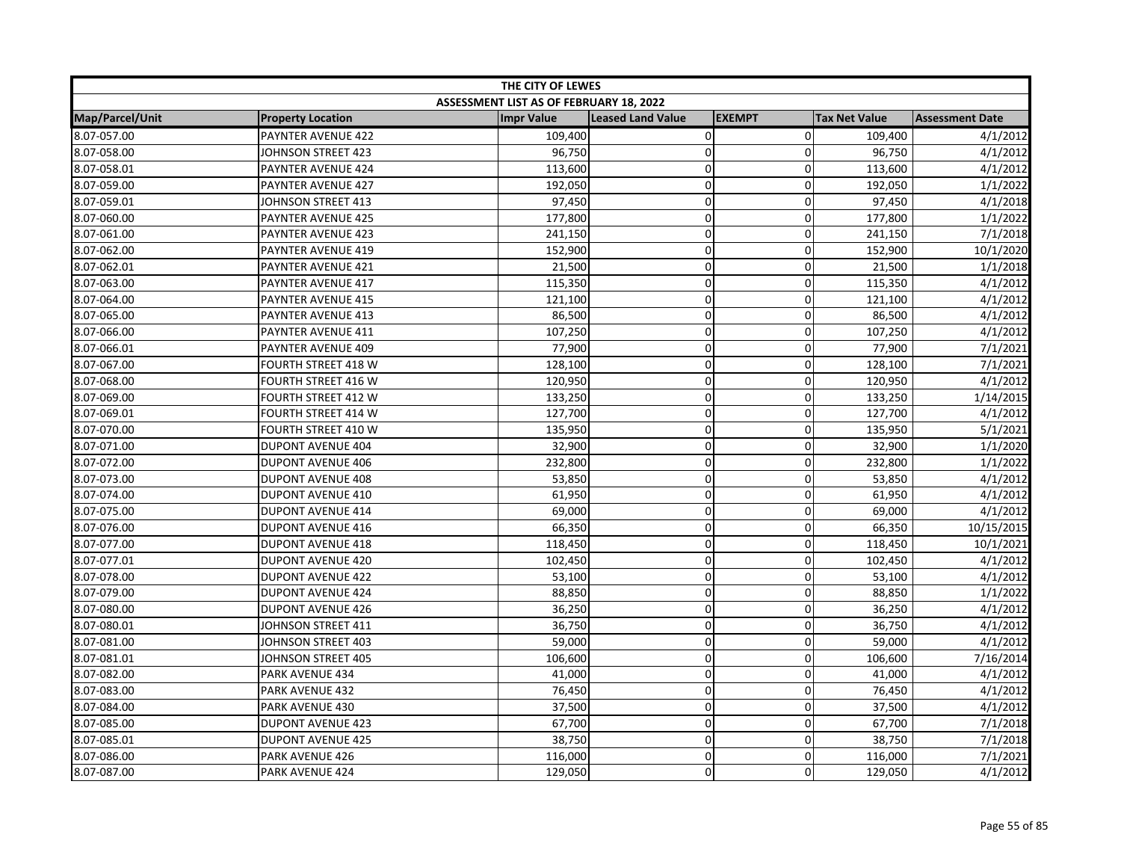|                 | THE CITY OF LEWES        |                                         |                          |               |                      |                        |  |
|-----------------|--------------------------|-----------------------------------------|--------------------------|---------------|----------------------|------------------------|--|
|                 |                          | ASSESSMENT LIST AS OF FEBRUARY 18, 2022 |                          |               |                      |                        |  |
| Map/Parcel/Unit | <b>Property Location</b> | <b>Impr Value</b>                       | <b>Leased Land Value</b> | <b>EXEMPT</b> | <b>Tax Net Value</b> | <b>Assessment Date</b> |  |
| 8.07-057.00     | PAYNTER AVENUE 422       | 109,400                                 | $\pmb{0}$                | $\mathbf 0$   | 109,400              | 4/1/2012               |  |
| 8.07-058.00     | JOHNSON STREET 423       | 96,750                                  | $\mathbf 0$              | 0             | 96,750               | 4/1/2012               |  |
| 8.07-058.01     | PAYNTER AVENUE 424       | 113,600                                 | $\mathbf 0$              | $\mathbf 0$   | 113,600              | 4/1/2012               |  |
| 8.07-059.00     | PAYNTER AVENUE 427       | 192,050                                 | $\Omega$                 | $\mathbf{0}$  | 192,050              | 1/1/2022               |  |
| 8.07-059.01     | JOHNSON STREET 413       | 97,450                                  | $\pmb{0}$                | $\Omega$      | 97,450               | 4/1/2018               |  |
| 8.07-060.00     | PAYNTER AVENUE 425       | 177,800                                 | 0                        | 0             | 177,800              | 1/1/2022               |  |
| 8.07-061.00     | PAYNTER AVENUE 423       | 241,150                                 | $\mathbf 0$              | 0             | 241,150              | 7/1/2018               |  |
| 8.07-062.00     | PAYNTER AVENUE 419       | 152,900                                 | $\overline{0}$           | 0             | 152,900              | 10/1/2020              |  |
| 8.07-062.01     | PAYNTER AVENUE 421       | 21,500                                  | $\mathbf 0$              | 0             | 21,500               | 1/1/2018               |  |
| 8.07-063.00     | PAYNTER AVENUE 417       | 115,350                                 | $\mathbf 0$              | $\mathbf 0$   | 115,350              | 4/1/2012               |  |
| 8.07-064.00     | PAYNTER AVENUE 415       | 121,100                                 | $\mathbf 0$              | $\Omega$      | 121,100              | 4/1/2012               |  |
| 8.07-065.00     | PAYNTER AVENUE 413       | 86,500                                  | $\pmb{0}$                | 0             | 86,500               | 4/1/2012               |  |
| 8.07-066.00     | PAYNTER AVENUE 411       | 107,250                                 | $\mathbf 0$              | 0             | 107,250              | 4/1/2012               |  |
| 8.07-066.01     | PAYNTER AVENUE 409       | 77,900                                  | $\mathbf 0$              | $\mathbf 0$   | 77,900               | 7/1/2021               |  |
| 8.07-067.00     | FOURTH STREET 418 W      | 128,100                                 | $\Omega$                 | $\Omega$      | 128,100              | 7/1/2021               |  |
| 8.07-068.00     | FOURTH STREET 416 W      | 120,950                                 | $\mathbf 0$              | 0             | 120,950              | 4/1/2012               |  |
| 8.07-069.00     | FOURTH STREET 412 W      | 133,250                                 | $\mathbf 0$              | $\mathbf 0$   | 133,250              | 1/14/2015              |  |
| 8.07-069.01     | FOURTH STREET 414 W      | 127,700                                 | $\pmb{0}$                | $\mathbf 0$   | 127,700              | 4/1/2012               |  |
| 8.07-070.00     | FOURTH STREET 410 W      | 135,950                                 | $\mathbf 0$              | 0             | 135,950              | 5/1/2021               |  |
| 8.07-071.00     | <b>DUPONT AVENUE 404</b> | 32,900                                  | $\mathbf 0$              | $\mathbf 0$   | 32,900               | 1/1/2020               |  |
| 8.07-072.00     | <b>DUPONT AVENUE 406</b> | 232,800                                 | $\mathbf 0$              | $\mathbf 0$   | 232,800              | 1/1/2022               |  |
| 8.07-073.00     | <b>DUPONT AVENUE 408</b> | 53,850                                  | $\mathbf 0$              | $\mathbf{0}$  | 53,850               | 4/1/2012               |  |
| 8.07-074.00     | DUPONT AVENUE 410        | 61,950                                  | 0                        | 0             | 61,950               | 4/1/2012               |  |
| 8.07-075.00     | <b>DUPONT AVENUE 414</b> | 69,000                                  | $\mathbf 0$              | 0             | 69,000               | 4/1/2012               |  |
| 8.07-076.00     | <b>DUPONT AVENUE 416</b> | 66,350                                  | $\pmb{0}$                | 0             | 66,350               | 10/15/2015             |  |
| 8.07-077.00     | <b>DUPONT AVENUE 418</b> | 118,450                                 | $\mathbf 0$              | 0             | 118,450              | 10/1/2021              |  |
| 8.07-077.01     | <b>DUPONT AVENUE 420</b> | 102,450                                 | $\pmb{0}$                | 0             | 102,450              | 4/1/2012               |  |
| 8.07-078.00     | <b>DUPONT AVENUE 422</b> | 53,100                                  | $\pmb{0}$                | $\mathbf 0$   | 53,100               | 4/1/2012               |  |
| 8.07-079.00     | <b>DUPONT AVENUE 424</b> | 88,850                                  | $\mathbf 0$              | $\mathbf 0$   | 88,850               | 1/1/2022               |  |
| 8.07-080.00     | <b>DUPONT AVENUE 426</b> | 36,250                                  | $\pmb{0}$                | 0             | 36,250               | 4/1/2012               |  |
| 8.07-080.01     | JOHNSON STREET 411       | 36,750                                  | $\pmb{0}$                | 0             | 36,750               | 4/1/2012               |  |
| 8.07-081.00     | JOHNSON STREET 403       | 59,000                                  | $\mathbf 0$              | $\mathbf 0$   | 59,000               | 4/1/2012               |  |
| 8.07-081.01     | JOHNSON STREET 405       | 106,600                                 | $\mathbf 0$              | $\Omega$      | 106,600              | 7/16/2014              |  |
| 8.07-082.00     | PARK AVENUE 434          | 41,000                                  | $\mathbf 0$              | 0             | 41,000               | 4/1/2012               |  |
| 8.07-083.00     | PARK AVENUE 432          | 76,450                                  | $\mathbf 0$              | $\mathbf 0$   | 76,450               | 4/1/2012               |  |
| 8.07-084.00     | PARK AVENUE 430          | 37,500                                  | $\pmb{0}$                | 0             | 37,500               | 4/1/2012               |  |
| 8.07-085.00     | <b>DUPONT AVENUE 423</b> | 67,700                                  | $\pmb{0}$                | 0             | 67,700               | 7/1/2018               |  |
| 8.07-085.01     | <b>DUPONT AVENUE 425</b> | 38,750                                  | $\mathbf 0$              | 0             | 38,750               | 7/1/2018               |  |
| 8.07-086.00     | PARK AVENUE 426          | 116,000                                 | $\mathbf 0$              | 0             | 116,000              | 7/1/2021               |  |
| 8.07-087.00     | PARK AVENUE 424          | 129,050                                 | $\Omega$                 | $\Omega$      | 129,050              | 4/1/2012               |  |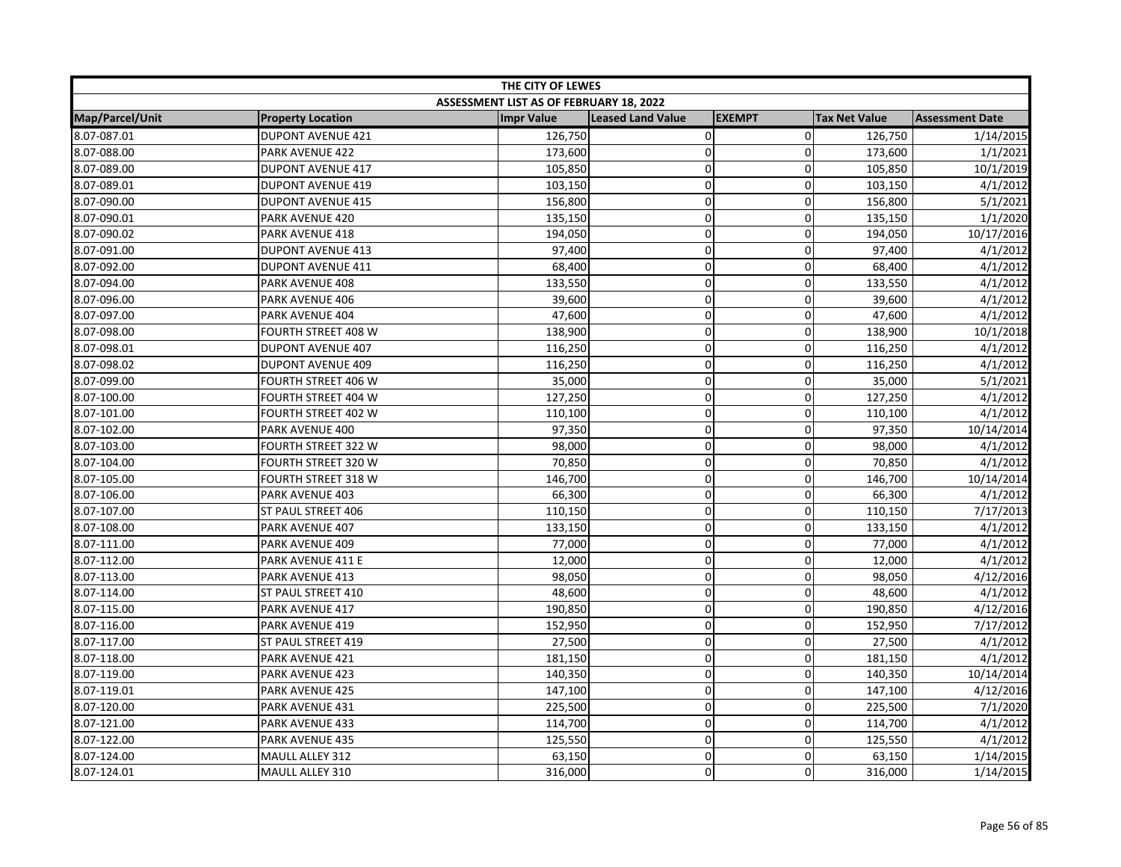| THE CITY OF LEWES |                            |                                         |                          |                |                      |                        |
|-------------------|----------------------------|-----------------------------------------|--------------------------|----------------|----------------------|------------------------|
|                   |                            | ASSESSMENT LIST AS OF FEBRUARY 18, 2022 |                          |                |                      |                        |
| Map/Parcel/Unit   | <b>Property Location</b>   | <b>Impr Value</b>                       | <b>Leased Land Value</b> | <b>EXEMPT</b>  | <b>Tax Net Value</b> | <b>Assessment Date</b> |
| 8.07-087.01       | <b>DUPONT AVENUE 421</b>   | 126,750                                 | 0                        | $\overline{0}$ | 126,750              | 1/14/2015              |
| 8.07-088.00       | PARK AVENUE 422            | 173,600                                 | $\pmb{0}$                | $\Omega$       | 173,600              | 1/1/2021               |
| 8.07-089.00       | <b>DUPONT AVENUE 417</b>   | 105,850                                 | $\pmb{0}$                | $\mathbf 0$    | 105,850              | 10/1/2019              |
| 8.07-089.01       | <b>DUPONT AVENUE 419</b>   | 103,150                                 | $\pmb{0}$                | 0              | 103,150              | 4/1/2012               |
| 8.07-090.00       | <b>DUPONT AVENUE 415</b>   | 156,800                                 | $\pmb{0}$                | $\Omega$       | 156,800              | 5/1/2021               |
| 8.07-090.01       | PARK AVENUE 420            | 135,150                                 | $\pmb{0}$                | $\Omega$       | 135,150              | 1/1/2020               |
| 8.07-090.02       | PARK AVENUE 418            | 194,050                                 | $\pmb{0}$                | 0              | 194,050              | 10/17/2016             |
| 8.07-091.00       | <b>DUPONT AVENUE 413</b>   | 97,400                                  | $\mathbf 0$              | 0              | 97,400               | 4/1/2012               |
| 8.07-092.00       | <b>DUPONT AVENUE 411</b>   | 68,400                                  | $\pmb{0}$                | 0              | 68,400               | 4/1/2012               |
| 8.07-094.00       | PARK AVENUE 408            | 133,550                                 | $\mathbf 0$              | $\overline{0}$ | 133,550              | 4/1/2012               |
| 8.07-096.00       | PARK AVENUE 406            | 39,600                                  | $\mathbf 0$              | 0              | 39,600               | 4/1/2012               |
| 8.07-097.00       | PARK AVENUE 404            | 47,600                                  | $\pmb{0}$                | $\Omega$       | 47,600               | 4/1/2012               |
| 8.07-098.00       | FOURTH STREET 408 W        | 138,900                                 | $\pmb{0}$                | 0              | 138,900              | 10/1/2018              |
| 8.07-098.01       | <b>DUPONT AVENUE 407</b>   | 116,250                                 | $\pmb{0}$                | $\overline{0}$ | 116,250              | 4/1/2012               |
| 8.07-098.02       | <b>DUPONT AVENUE 409</b>   | 116,250                                 | $\mathbf 0$              | $\Omega$       | 116,250              | 4/1/2012               |
| 8.07-099.00       | FOURTH STREET 406 W        | 35,000                                  | $\mathbf 0$              | $\Omega$       | 35,000               | 5/1/2021               |
| 8.07-100.00       | FOURTH STREET 404 W        | 127,250                                 | $\mathbf 0$              | 0              | 127,250              | 4/1/2012               |
| 8.07-101.00       | FOURTH STREET 402 W        | 110,100                                 | $\pmb{0}$                | $\overline{0}$ | 110,100              | 4/1/2012               |
| 8.07-102.00       | PARK AVENUE 400            | 97,350                                  | $\mathbf 0$              | $\Omega$       | 97,350               | 10/14/2014             |
| 8.07-103.00       | <b>FOURTH STREET 322 W</b> | 98,000                                  | $\pmb{0}$                | 0              | 98,000               | 4/1/2012               |
| 8.07-104.00       | <b>FOURTH STREET 320 W</b> | 70,850                                  | $\mathbf 0$              | $\overline{0}$ | 70,850               | 4/1/2012               |
| 8.07-105.00       | <b>FOURTH STREET 318 W</b> | 146,700                                 | $\mathbf 0$              | $\Omega$       | 146,700              | 10/14/2014             |
| 8.07-106.00       | PARK AVENUE 403            | 66,300                                  | 0                        | 0              | 66,300               | 4/1/2012               |
| 8.07-107.00       | ST PAUL STREET 406         | 110,150                                 | $\pmb{0}$                | 0              | 110,150              | 7/17/2013              |
| 8.07-108.00       | PARK AVENUE 407            | 133,150                                 | $\pmb{0}$                | $\overline{0}$ | 133,150              | 4/1/2012               |
| 8.07-111.00       | PARK AVENUE 409            | 77,000                                  | $\mathbf 0$              | $\mathbf 0$    | 77,000               | 4/1/2012               |
| 8.07-112.00       | PARK AVENUE 411 E          | 12,000                                  | $\pmb{0}$                | 0              | 12,000               | 4/1/2012               |
| 8.07-113.00       | PARK AVENUE 413            | 98,050                                  | $\mathbf 0$              | $\mathbf 0$    | 98,050               | 4/12/2016              |
| 8.07-114.00       | ST PAUL STREET 410         | 48,600                                  | $\mathbf 0$              | 0              | 48,600               | 4/1/2012               |
| 8.07-115.00       | PARK AVENUE 417            | 190,850                                 | $\mathbf 0$              | $\Omega$       | 190,850              | 4/12/2016              |
| 8.07-116.00       | PARK AVENUE 419            | 152,950                                 | $\mathbf 0$              | $\Omega$       | 152,950              | 7/17/2012              |
| 8.07-117.00       | ST PAUL STREET 419         | 27,500                                  | $\pmb{0}$                | $\overline{0}$ | 27,500               | 4/1/2012               |
| 8.07-118.00       | PARK AVENUE 421            | 181,150                                 | $\mathbf 0$              | 0              | 181,150              | 4/1/2012               |
| 8.07-119.00       | PARK AVENUE 423            | 140,350                                 | $\pmb{0}$                | 0              | 140,350              | 10/14/2014             |
| 8.07-119.01       | PARK AVENUE 425            | 147,100                                 | $\mathbf 0$              | $\overline{0}$ | 147,100              | 4/12/2016              |
| 8.07-120.00       | PARK AVENUE 431            | 225,500                                 | $\mathbf 0$              | 0              | 225,500              | 7/1/2020               |
| 8.07-121.00       | PARK AVENUE 433            | 114,700                                 | $\pmb{0}$                | $\overline{0}$ | 114,700              | 4/1/2012               |
| 8.07-122.00       | PARK AVENUE 435            | 125,550                                 | $\pmb{0}$                | 0              | 125,550              | 4/1/2012               |
| 8.07-124.00       | MAULL ALLEY 312            | 63,150                                  | $\mathbf 0$              | $\overline{0}$ | 63,150               | 1/14/2015              |
| 8.07-124.01       | MAULL ALLEY 310            | 316,000                                 | $\mathbf 0$              | $\Omega$       | 316,000              | 1/14/2015              |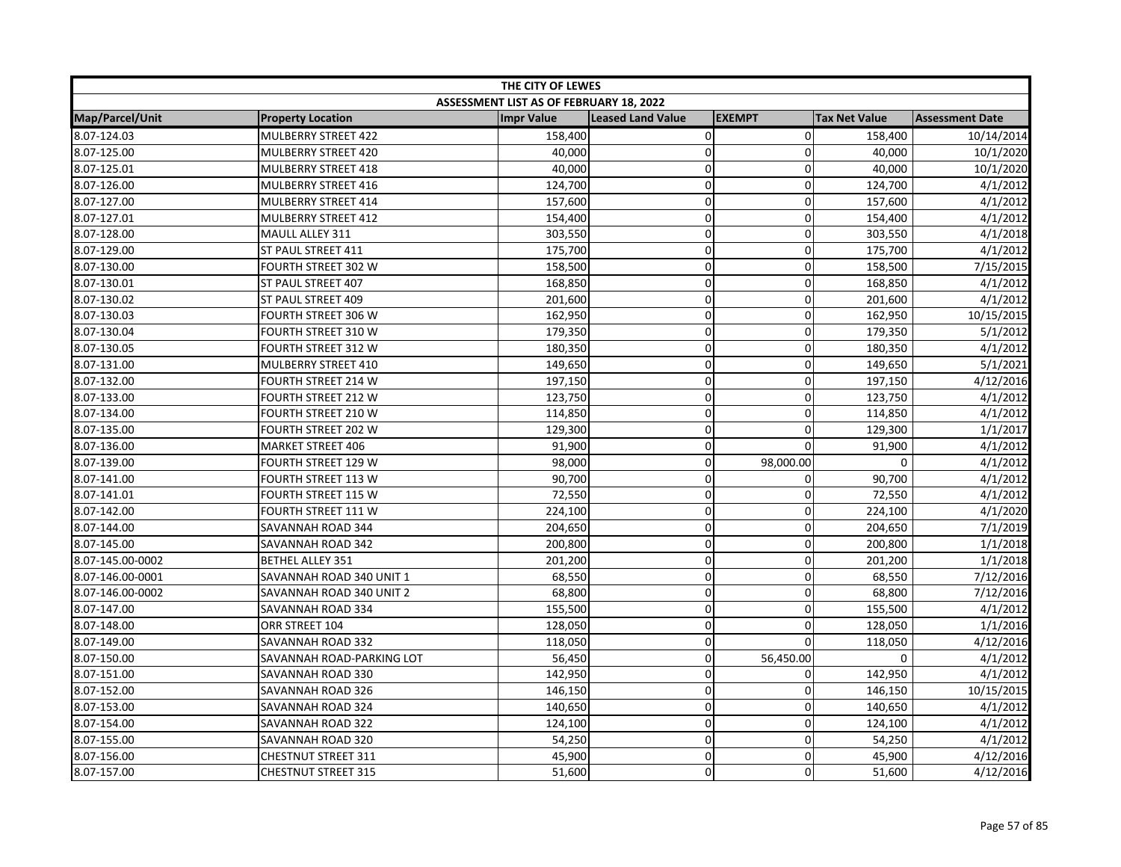| THE CITY OF LEWES |                            |                                         |                          |               |                      |                        |
|-------------------|----------------------------|-----------------------------------------|--------------------------|---------------|----------------------|------------------------|
|                   |                            | ASSESSMENT LIST AS OF FEBRUARY 18, 2022 |                          |               |                      |                        |
| Map/Parcel/Unit   | <b>Property Location</b>   | <b>Impr Value</b>                       | <b>Leased Land Value</b> | <b>EXEMPT</b> | <b>Tax Net Value</b> | <b>Assessment Date</b> |
| 8.07-124.03       | MULBERRY STREET 422        | 158,400                                 | 0                        | $\mathbf 0$   | 158,400              | 10/14/2014             |
| 8.07-125.00       | MULBERRY STREET 420        | 40,000                                  | $\mathbf 0$              | $\mathbf{0}$  | 40,000               | 10/1/2020              |
| 8.07-125.01       | MULBERRY STREET 418        | 40,000                                  | 0                        | $\mathbf 0$   | 40,000               | 10/1/2020              |
| 8.07-126.00       | MULBERRY STREET 416        | 124,700                                 | 0                        | 0             | 124,700              | 4/1/2012               |
| 8.07-127.00       | MULBERRY STREET 414        | 157,600                                 | 0                        | $\Omega$      | 157,600              | 4/1/2012               |
| 8.07-127.01       | MULBERRY STREET 412        | 154,400                                 | 0                        | $\mathbf 0$   | 154,400              | 4/1/2012               |
| 8.07-128.00       | MAULL ALLEY 311            | 303,550                                 | 0                        | $\mathbf 0$   | 303,550              | 4/1/2018               |
| 8.07-129.00       | ST PAUL STREET 411         | 175,700                                 | 0                        | $\mathbf 0$   | 175,700              | 4/1/2012               |
| 8.07-130.00       | FOURTH STREET 302 W        | 158,500                                 | 0                        | $\mathbf 0$   | 158,500              | 7/15/2015              |
| 8.07-130.01       | ST PAUL STREET 407         | 168,850                                 | 0                        | $\mathbf 0$   | 168,850              | 4/1/2012               |
| 8.07-130.02       | ST PAUL STREET 409         | 201,600                                 | $\mathbf 0$              | $\mathbf 0$   | 201,600              | 4/1/2012               |
| 8.07-130.03       | FOURTH STREET 306 W        | 162,950                                 | 0                        | $\Omega$      | 162,950              | 10/15/2015             |
| 8.07-130.04       | FOURTH STREET 310 W        | 179,350                                 | 0                        | 0             | 179,350              | 5/1/2012               |
| 8.07-130.05       | FOURTH STREET 312 W        | 180,350                                 | 0                        | $\mathbf 0$   | 180,350              | 4/1/2012               |
| 8.07-131.00       | MULBERRY STREET 410        | 149,650                                 | $\mathbf 0$              | 0             | 149,650              | 5/1/2021               |
| 8.07-132.00       | <b>FOURTH STREET 214 W</b> | 197,150                                 | 0                        | 0             | 197,150              | 4/12/2016              |
| 8.07-133.00       | FOURTH STREET 212 W        | 123,750                                 | 0                        | $\mathbf 0$   | 123,750              | 4/1/2012               |
| 8.07-134.00       | FOURTH STREET 210 W        | 114,850                                 | 0                        | $\mathbf 0$   | 114,850              | 4/1/2012               |
| 8.07-135.00       | FOURTH STREET 202 W        | 129,300                                 | 0                        | $\mathbf 0$   | 129,300              | 1/1/2017               |
| 8.07-136.00       | <b>MARKET STREET 406</b>   | 91,900                                  | 0                        | 0             | 91,900               | 4/1/2012               |
| 8.07-139.00       | <b>FOURTH STREET 129 W</b> | 98,000                                  | 0                        | 98,000.00     | $\Omega$             | 4/1/2012               |
| 8.07-141.00       | FOURTH STREET 113 W        | 90,700                                  | $\mathbf 0$              | 0             | 90,700               | 4/1/2012               |
| 8.07-141.01       | <b>FOURTH STREET 115 W</b> | 72,550                                  | 0                        | 0             | 72,550               | 4/1/2012               |
| 8.07-142.00       | FOURTH STREET 111 W        | 224,100                                 | 0                        | 0             | 224,100              | 4/1/2020               |
| 8.07-144.00       | SAVANNAH ROAD 344          | 204,650                                 | $\mathbf 0$              | 0             | 204,650              | 7/1/2019               |
| 8.07-145.00       | SAVANNAH ROAD 342          | 200,800                                 | $\mathbf 0$              | 0             | 200,800              | 1/1/2018               |
| 8.07-145.00-0002  | <b>BETHEL ALLEY 351</b>    | 201,200                                 | 0                        | $\mathbf 0$   | 201,200              | 1/1/2018               |
| 8.07-146.00-0001  | SAVANNAH ROAD 340 UNIT 1   | 68,550                                  | 0                        | $\mathbf 0$   | 68,550               | 7/12/2016              |
| 8.07-146.00-0002  | SAVANNAH ROAD 340 UNIT 2   | 68,800                                  | $\mathbf 0$              | 0             | 68,800               | 7/12/2016              |
| 8.07-147.00       | SAVANNAH ROAD 334          | 155,500                                 | $\mathbf 0$              | $\Omega$      | 155,500              | 4/1/2012               |
| 8.07-148.00       | ORR STREET 104             | 128,050                                 | $\mathbf 0$              | $\mathbf 0$   | 128,050              | 1/1/2016               |
| 8.07-149.00       | SAVANNAH ROAD 332          | 118,050                                 | 0                        | $\mathbf 0$   | 118,050              | 4/12/2016              |
| 8.07-150.00       | SAVANNAH ROAD-PARKING LOT  | 56,450                                  | 0                        | 56,450.00     | 0                    | 4/1/2012               |
| 8.07-151.00       | SAVANNAH ROAD 330          | 142,950                                 | 0                        | $\mathbf 0$   | 142,950              | 4/1/2012               |
| 8.07-152.00       | SAVANNAH ROAD 326          | 146,150                                 | 0                        | $\mathbf 0$   | 146,150              | 10/15/2015             |
| 8.07-153.00       | SAVANNAH ROAD 324          | 140,650                                 | $\overline{0}$           | $\mathbf 0$   | 140,650              | 4/1/2012               |
| 8.07-154.00       | SAVANNAH ROAD 322          | 124,100                                 | 0                        | $\mathbf 0$   | 124,100              | 4/1/2012               |
| 8.07-155.00       | SAVANNAH ROAD 320          | 54,250                                  | 0                        | $\mathbf 0$   | 54,250               | 4/1/2012               |
| 8.07-156.00       | <b>CHESTNUT STREET 311</b> | 45,900                                  | 0                        | $\mathbf 0$   | 45,900               | 4/12/2016              |
| 8.07-157.00       | <b>CHESTNUT STREET 315</b> | 51,600                                  | 0                        | $\Omega$      | 51,600               | 4/12/2016              |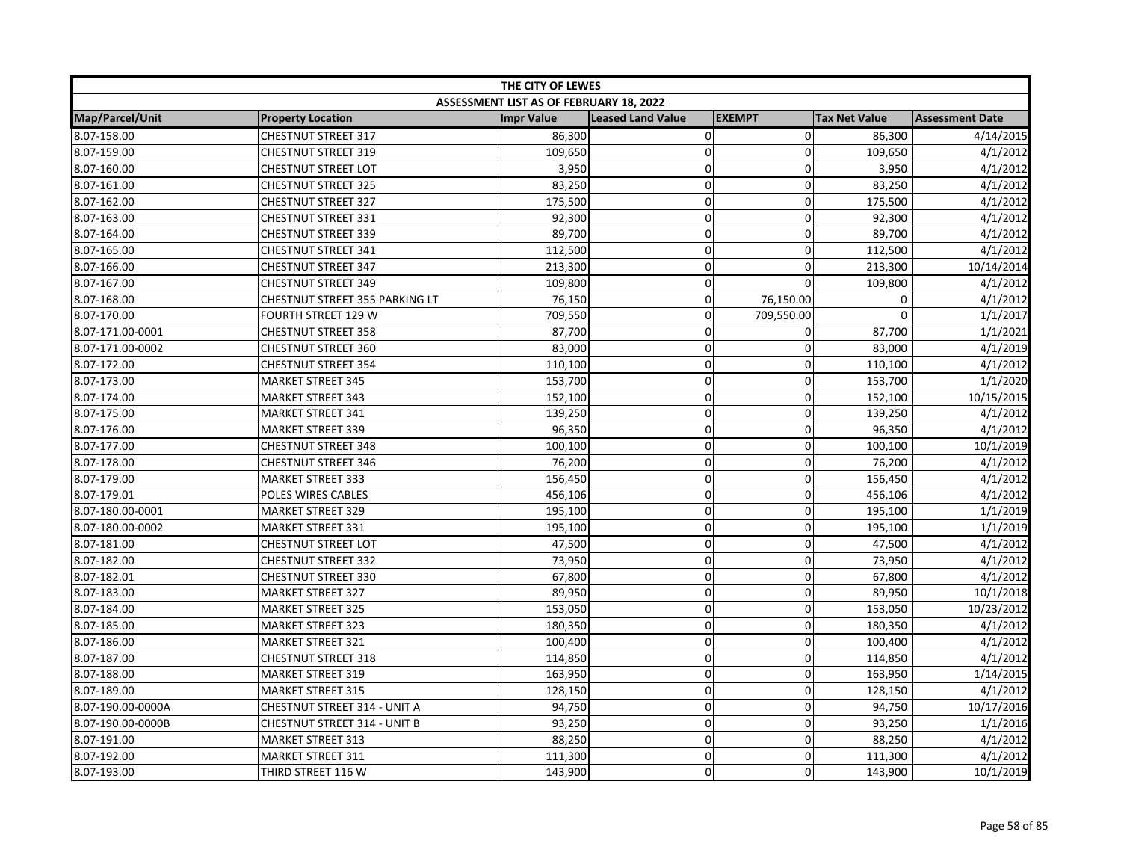| THE CITY OF LEWES |                                     |                                         |                          |               |                      |                        |  |
|-------------------|-------------------------------------|-----------------------------------------|--------------------------|---------------|----------------------|------------------------|--|
|                   |                                     | ASSESSMENT LIST AS OF FEBRUARY 18, 2022 |                          |               |                      |                        |  |
| Map/Parcel/Unit   | <b>Property Location</b>            | <b>Impr Value</b>                       | <b>Leased Land Value</b> | <b>EXEMPT</b> | <b>Tax Net Value</b> | <b>Assessment Date</b> |  |
| 8.07-158.00       | <b>CHESTNUT STREET 317</b>          | 86,300                                  | 0                        | $\mathbf 0$   | 86,300               | 4/14/2015              |  |
| 8.07-159.00       | <b>CHESTNUT STREET 319</b>          | 109,650                                 | $\mathbf 0$              | $\Omega$      | 109,650              | 4/1/2012               |  |
| 8.07-160.00       | <b>CHESTNUT STREET LOT</b>          | 3,950                                   | 0                        | $\mathbf 0$   | 3,950                | 4/1/2012               |  |
| 8.07-161.00       | <b>CHESTNUT STREET 325</b>          | 83,250                                  | 0                        | $\mathbf 0$   | 83,250               | 4/1/2012               |  |
| 8.07-162.00       | <b>CHESTNUT STREET 327</b>          | 175,500                                 | 0                        | $\Omega$      | 175,500              | 4/1/2012               |  |
| 8.07-163.00       | <b>CHESTNUT STREET 331</b>          | 92,300                                  | 0                        | $\mathbf{0}$  | 92,300               | 4/1/2012               |  |
| 8.07-164.00       | <b>CHESTNUT STREET 339</b>          | 89,700                                  | 0                        | $\mathbf 0$   | 89,700               | 4/1/2012               |  |
| 8.07-165.00       | <b>CHESTNUT STREET 341</b>          | 112,500                                 | 0                        | $\mathbf 0$   | 112,500              | 4/1/2012               |  |
| 8.07-166.00       | <b>CHESTNUT STREET 347</b>          | 213,300                                 | 0                        | $\mathbf 0$   | 213,300              | 10/14/2014             |  |
| 8.07-167.00       | <b>CHESTNUT STREET 349</b>          | 109,800                                 | 0                        | $\mathbf 0$   | 109,800              | 4/1/2012               |  |
| 8.07-168.00       | CHESTNUT STREET 355 PARKING LT      | 76,150                                  | 0                        | 76,150.00     | 0                    | 4/1/2012               |  |
| 8.07-170.00       | FOURTH STREET 129 W                 | 709,550                                 | 0                        | 709,550.00    | $\Omega$             | 1/1/2017               |  |
| 8.07-171.00-0001  | <b>CHESTNUT STREET 358</b>          | 87,700                                  | 0                        | 0             | 87,700               | 1/1/2021               |  |
| 8.07-171.00-0002  | <b>CHESTNUT STREET 360</b>          | 83,000                                  | 0                        | $\mathbf 0$   | 83,000               | 4/1/2019               |  |
| 8.07-172.00       | <b>CHESTNUT STREET 354</b>          | 110,100                                 | $\mathbf 0$              | 0             | 110,100              | 4/1/2012               |  |
| 8.07-173.00       | <b>MARKET STREET 345</b>            | 153,700                                 | 0                        | 0             | 153,700              | 1/1/2020               |  |
| 8.07-174.00       | <b>MARKET STREET 343</b>            | 152,100                                 | 0                        | $\mathbf 0$   | 152,100              | 10/15/2015             |  |
| 8.07-175.00       | <b>MARKET STREET 341</b>            | 139,250                                 | 0                        | $\mathbf 0$   | 139,250              | 4/1/2012               |  |
| 8.07-176.00       | <b>MARKET STREET 339</b>            | 96,350                                  | 0                        | $\mathbf 0$   | 96,350               | 4/1/2012               |  |
| 8.07-177.00       | <b>CHESTNUT STREET 348</b>          | 100,100                                 | 0                        | 0             | 100,100              | 10/1/2019              |  |
| 8.07-178.00       | <b>CHESTNUT STREET 346</b>          | 76,200                                  | 0                        | $\mathbf 0$   | 76,200               | 4/1/2012               |  |
| 8.07-179.00       | <b>MARKET STREET 333</b>            | 156,450                                 | $\overline{0}$           | $\Omega$      | 156,450              | 4/1/2012               |  |
| 8.07-179.01       | POLES WIRES CABLES                  | 456,106                                 | 0                        | 0             | 456,106              | 4/1/2012               |  |
| 8.07-180.00-0001  | <b>MARKET STREET 329</b>            | 195,100                                 | 0                        | $\mathbf{0}$  | 195,100              | 1/1/2019               |  |
| 8.07-180.00-0002  | <b>MARKET STREET 331</b>            | 195,100                                 | 0                        | $\mathbf 0$   | 195,100              | 1/1/2019               |  |
| 8.07-181.00       | <b>CHESTNUT STREET LOT</b>          | 47,500                                  | 0                        | 0             | 47,500               | 4/1/2012               |  |
| 8.07-182.00       | <b>CHESTNUT STREET 332</b>          | 73,950                                  | $\overline{0}$           | $\mathbf 0$   | 73,950               | 4/1/2012               |  |
| 8.07-182.01       | <b>CHESTNUT STREET 330</b>          | 67,800                                  | 0                        | $\mathbf 0$   | 67,800               | 4/1/2012               |  |
| 8.07-183.00       | <b>MARKET STREET 327</b>            | 89,950                                  | $\mathbf 0$              | $\mathbf 0$   | 89,950               | 10/1/2018              |  |
| 8.07-184.00       | <b>MARKET STREET 325</b>            | 153,050                                 | $\mathbf 0$              | $\Omega$      | 153,050              | 10/23/2012             |  |
| 8.07-185.00       | <b>MARKET STREET 323</b>            | 180,350                                 | $\mathbf 0$              | $\mathbf 0$   | 180,350              | 4/1/2012               |  |
| 8.07-186.00       | <b>MARKET STREET 321</b>            | 100,400                                 | 0                        | $\mathbf 0$   | 100,400              | 4/1/2012               |  |
| 8.07-187.00       | <b>CHESTNUT STREET 318</b>          | 114,850                                 | 0                        | $\mathbf 0$   | 114,850              | 4/1/2012               |  |
| 8.07-188.00       | <b>MARKET STREET 319</b>            | 163,950                                 | 0                        | $\mathbf 0$   | 163,950              | 1/14/2015              |  |
| 8.07-189.00       | <b>MARKET STREET 315</b>            | 128,150                                 | 0                        | $\mathbf 0$   | 128,150              | 4/1/2012               |  |
| 8.07-190.00-0000A | <b>CHESTNUT STREET 314 - UNIT A</b> | 94,750                                  | $\overline{0}$           | $\mathbf 0$   | 94,750               | 10/17/2016             |  |
| 8.07-190.00-0000B | CHESTNUT STREET 314 - UNIT B        | 93,250                                  | 0                        | $\mathbf 0$   | 93,250               | 1/1/2016               |  |
| 8.07-191.00       | <b>MARKET STREET 313</b>            | 88,250                                  | 0                        | $\mathbf 0$   | 88,250               | 4/1/2012               |  |
| 8.07-192.00       | <b>MARKET STREET 311</b>            | 111,300                                 | 0                        | $\mathbf 0$   | 111,300              | 4/1/2012               |  |
| 8.07-193.00       | THIRD STREET 116 W                  | 143,900                                 | 0                        | $\Omega$      | 143,900              | 10/1/2019              |  |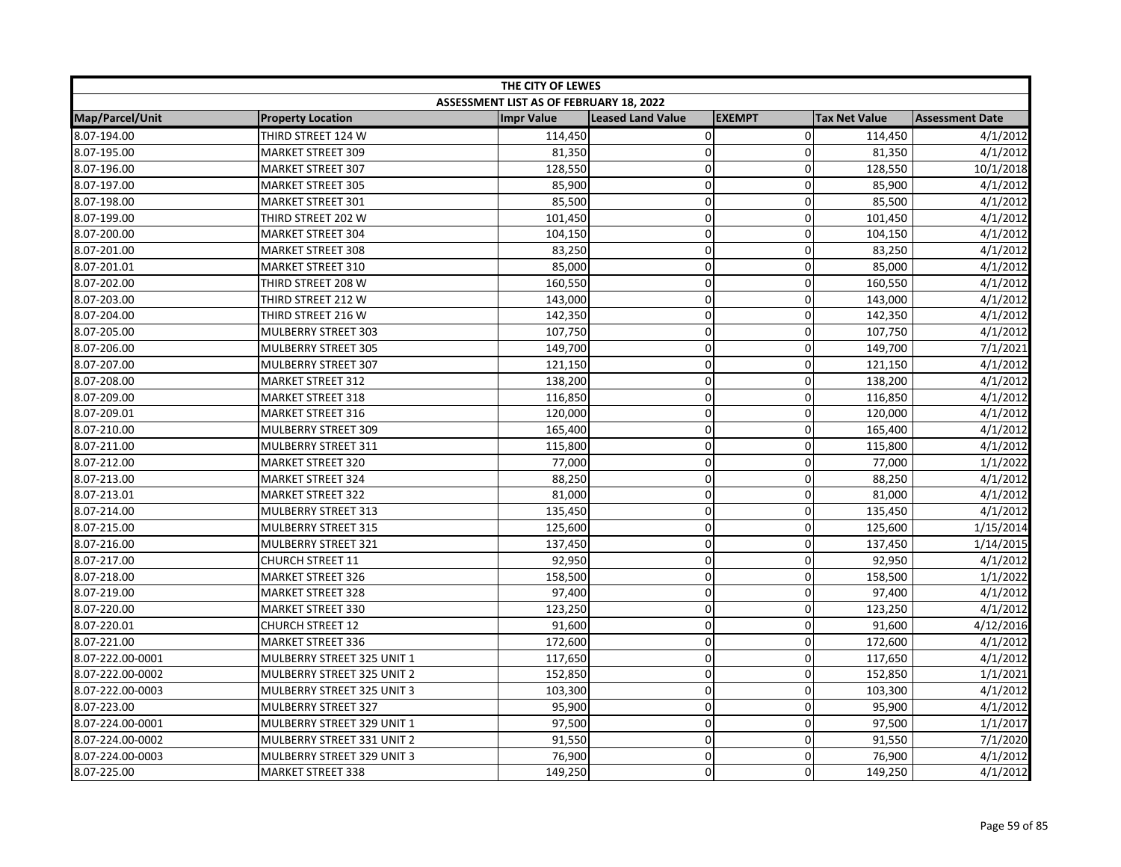| THE CITY OF LEWES |                            |                                         |                          |                |                      |                        |
|-------------------|----------------------------|-----------------------------------------|--------------------------|----------------|----------------------|------------------------|
|                   |                            | ASSESSMENT LIST AS OF FEBRUARY 18, 2022 |                          |                |                      |                        |
| Map/Parcel/Unit   | <b>Property Location</b>   | <b>Impr Value</b>                       | <b>Leased Land Value</b> | <b>EXEMPT</b>  | <b>Tax Net Value</b> | <b>Assessment Date</b> |
| 8.07-194.00       | THIRD STREET 124 W         | 114,450                                 | $\pmb{0}$                | $\overline{0}$ | 114,450              | 4/1/2012               |
| 8.07-195.00       | <b>MARKET STREET 309</b>   | 81,350                                  | $\mathbf 0$              | $\mathbf{0}$   | 81,350               | 4/1/2012               |
| 8.07-196.00       | <b>MARKET STREET 307</b>   | 128,550                                 | $\mathbf 0$              | $\mathbf 0$    | 128,550              | 10/1/2018              |
| 8.07-197.00       | <b>MARKET STREET 305</b>   | 85,900                                  | $\Omega$                 | $\mathbf{0}$   | 85,900               | 4/1/2012               |
| 8.07-198.00       | <b>MARKET STREET 301</b>   | 85,500                                  | $\pmb{0}$                | $\Omega$       | 85,500               | 4/1/2012               |
| 8.07-199.00       | THIRD STREET 202 W         | 101,450                                 | 0                        | 0              | 101,450              | 4/1/2012               |
| 8.07-200.00       | <b>MARKET STREET 304</b>   | 104,150                                 | $\mathbf 0$              | 0              | 104,150              | 4/1/2012               |
| 8.07-201.00       | <b>MARKET STREET 308</b>   | 83,250                                  | $\overline{0}$           | 0              | 83,250               | 4/1/2012               |
| 8.07-201.01       | <b>MARKET STREET 310</b>   | 85,000                                  | $\mathbf 0$              | 0              | 85,000               | 4/1/2012               |
| 8.07-202.00       | THIRD STREET 208 W         | 160,550                                 | $\mathbf 0$              | $\mathbf 0$    | 160,550              | 4/1/2012               |
| 8.07-203.00       | THIRD STREET 212 W         | 143,000                                 | $\mathbf 0$              | $\Omega$       | 143,000              | 4/1/2012               |
| 8.07-204.00       | THIRD STREET 216 W         | 142,350                                 | $\pmb{0}$                | 0              | 142,350              | 4/1/2012               |
| 8.07-205.00       | MULBERRY STREET 303        | 107,750                                 | $\mathbf 0$              | $\Omega$       | 107,750              | 4/1/2012               |
| 8.07-206.00       | MULBERRY STREET 305        | 149,700                                 | $\pmb{0}$                | $\mathbf 0$    | 149,700              | 7/1/2021               |
| 8.07-207.00       | <b>MULBERRY STREET 307</b> | 121,150                                 | $\Omega$                 | $\Omega$       | 121,150              | 4/1/2012               |
| 8.07-208.00       | <b>MARKET STREET 312</b>   | 138,200                                 | $\mathbf 0$              | $\mathbf 0$    | 138,200              | 4/1/2012               |
| 8.07-209.00       | <b>MARKET STREET 318</b>   | 116,850                                 | $\mathbf 0$              | $\mathbf 0$    | 116,850              | 4/1/2012               |
| 8.07-209.01       | <b>MARKET STREET 316</b>   | 120,000                                 | $\pmb{0}$                | $\mathbf 0$    | 120,000              | 4/1/2012               |
| 8.07-210.00       | MULBERRY STREET 309        | 165,400                                 | $\pmb{0}$                | 0              | 165,400              | 4/1/2012               |
| 8.07-211.00       | MULBERRY STREET 311        | 115,800                                 | $\mathbf 0$              | $\mathbf 0$    | 115,800              | 4/1/2012               |
| 8.07-212.00       | <b>MARKET STREET 320</b>   | 77,000                                  | $\pmb{0}$                | $\mathbf 0$    | 77,000               | 1/1/2022               |
| 8.07-213.00       | <b>MARKET STREET 324</b>   | 88,250                                  | $\mathbf 0$              | $\mathbf{0}$   | 88,250               | 4/1/2012               |
| 8.07-213.01       | <b>MARKET STREET 322</b>   | 81,000                                  | 0                        | $\Omega$       | 81,000               | 4/1/2012               |
| 8.07-214.00       | MULBERRY STREET 313        | 135,450                                 | $\overline{0}$           | 0              | 135,450              | 4/1/2012               |
| 8.07-215.00       | MULBERRY STREET 315        | 125,600                                 | $\pmb{0}$                | 0              | 125,600              | 1/15/2014              |
| 8.07-216.00       | MULBERRY STREET 321        | 137,450                                 | $\mathbf 0$              | 0              | 137,450              | 1/14/2015              |
| 8.07-217.00       | <b>CHURCH STREET 11</b>    | 92,950                                  | $\pmb{0}$                | 0              | 92,950               | 4/1/2012               |
| 8.07-218.00       | <b>MARKET STREET 326</b>   | 158,500                                 | $\pmb{0}$                | $\mathbf 0$    | 158,500              | 1/1/2022               |
| 8.07-219.00       | <b>MARKET STREET 328</b>   | 97,400                                  | $\mathbf 0$              | 0              | 97,400               | 4/1/2012               |
| 8.07-220.00       | <b>MARKET STREET 330</b>   | 123,250                                 | $\pmb{0}$                | 0              | 123,250              | 4/1/2012               |
| 8.07-220.01       | <b>CHURCH STREET 12</b>    | 91,600                                  | $\pmb{0}$                | 0              | 91,600               | 4/12/2016              |
| 8.07-221.00       | <b>MARKET STREET 336</b>   | 172,600                                 | $\mathbf 0$              | 0              | 172,600              | 4/1/2012               |
| 8.07-222.00-0001  | MULBERRY STREET 325 UNIT 1 | 117,650                                 | $\mathbf 0$              | $\Omega$       | 117,650              | 4/1/2012               |
| 8.07-222.00-0002  | MULBERRY STREET 325 UNIT 2 | 152,850                                 | $\mathbf 0$              | $\mathbf 0$    | 152,850              | 1/1/2021               |
| 8.07-222.00-0003  | MULBERRY STREET 325 UNIT 3 | 103,300                                 | $\mathbf 0$              | $\mathbf 0$    | 103,300              | 4/1/2012               |
| 8.07-223.00       | <b>MULBERRY STREET 327</b> | 95,900                                  | $\mathbf 0$              | 0              | 95,900               | 4/1/2012               |
| 8.07-224.00-0001  | MULBERRY STREET 329 UNIT 1 | 97,500                                  | $\pmb{0}$                | 0              | 97,500               | 1/1/2017               |
| 8.07-224.00-0002  | MULBERRY STREET 331 UNIT 2 | 91,550                                  | $\mathbf 0$              | 0              | 91,550               | 7/1/2020               |
| 8.07-224.00-0003  | MULBERRY STREET 329 UNIT 3 | 76,900                                  | $\mathbf 0$              | $\Omega$       | 76,900               | 4/1/2012               |
| 8.07-225.00       | <b>MARKET STREET 338</b>   | 149,250                                 | $\Omega$                 | $\Omega$       | 149,250              | 4/1/2012               |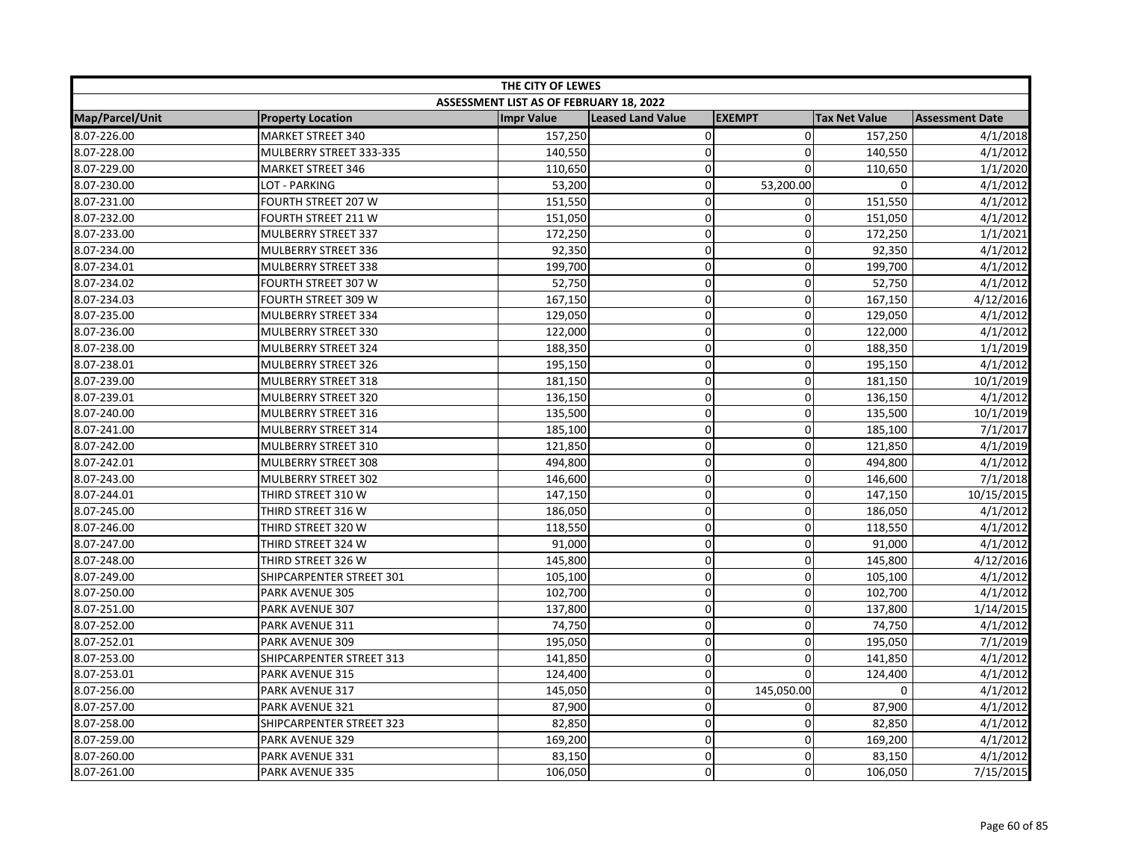| THE CITY OF LEWES |                          |                                         |                          |                |                      |                        |  |
|-------------------|--------------------------|-----------------------------------------|--------------------------|----------------|----------------------|------------------------|--|
|                   |                          | ASSESSMENT LIST AS OF FEBRUARY 18, 2022 |                          |                |                      |                        |  |
| Map/Parcel/Unit   | <b>Property Location</b> | <b>Impr Value</b>                       | <b>Leased Land Value</b> | <b>EXEMPT</b>  | <b>Tax Net Value</b> | <b>Assessment Date</b> |  |
| 8.07-226.00       | <b>MARKET STREET 340</b> | 157,250                                 | 0                        | $\overline{0}$ | 157,250              | 4/1/2018               |  |
| 8.07-228.00       | MULBERRY STREET 333-335  | 140,550                                 | 0                        | $\overline{0}$ | 140,550              | 4/1/2012               |  |
| 8.07-229.00       | <b>MARKET STREET 346</b> | 110,650                                 | $\mathbf 0$              | $\Omega$       | 110,650              | 1/1/2020               |  |
| 8.07-230.00       | LOT - PARKING            | 53,200                                  | $\mathbf 0$              | 53,200.00      | 0                    | 4/1/2012               |  |
| 8.07-231.00       | FOURTH STREET 207 W      | 151,550                                 | $\pmb{0}$                | $\overline{0}$ | 151,550              | 4/1/2012               |  |
| 8.07-232.00       | FOURTH STREET 211 W      | 151,050                                 | 0                        | $\overline{0}$ | 151,050              | 4/1/2012               |  |
| 8.07-233.00       | MULBERRY STREET 337      | 172,250                                 | 0                        | $\overline{0}$ | 172,250              | 1/1/2021               |  |
| 8.07-234.00       | MULBERRY STREET 336      | 92,350                                  | $\mathbf 0$              | $\Omega$       | 92,350               | 4/1/2012               |  |
| 8.07-234.01       | MULBERRY STREET 338      | 199,700                                 | 0                        | $\overline{0}$ | 199,700              | 4/1/2012               |  |
| 8.07-234.02       | FOURTH STREET 307 W      | 52,750                                  | $\pmb{0}$                | $\overline{0}$ | 52,750               | 4/1/2012               |  |
| 8.07-234.03       | FOURTH STREET 309 W      | 167,150                                 | $\pmb{0}$                | $\overline{0}$ | 167,150              | 4/12/2016              |  |
| 8.07-235.00       | MULBERRY STREET 334      | 129,050                                 | $\pmb{0}$                | $\overline{0}$ | 129,050              | 4/1/2012               |  |
| 8.07-236.00       | MULBERRY STREET 330      | 122,000                                 | $\mathbf 0$              | $\mathbf 0$    | 122,000              | 4/1/2012               |  |
| 8.07-238.00       | MULBERRY STREET 324      | 188,350                                 | $\pmb{0}$                | $\mathbf 0$    | 188,350              | 1/1/2019               |  |
| 8.07-238.01       | MULBERRY STREET 326      | 195,150                                 | $\mathbf 0$              | $\mathbf 0$    | 195,150              | 4/1/2012               |  |
| 8.07-239.00       | MULBERRY STREET 318      | 181,150                                 | 0                        | $\overline{0}$ | 181,150              | 10/1/2019              |  |
| 8.07-239.01       | MULBERRY STREET 320      | 136,150                                 | $\mathbf 0$              | $\overline{0}$ | 136,150              | 4/1/2012               |  |
| 8.07-240.00       | MULBERRY STREET 316      | 135,500                                 | $\mathbf 0$              | $\overline{0}$ | 135,500              | 10/1/2019              |  |
| 8.07-241.00       | MULBERRY STREET 314      | 185,100                                 | $\mathbf 0$              | $\overline{0}$ | 185,100              | 7/1/2017               |  |
| 8.07-242.00       | MULBERRY STREET 310      | 121,850                                 | 0                        | 0              | 121,850              | 4/1/2019               |  |
| 8.07-242.01       | MULBERRY STREET 308      | 494,800                                 | $\pmb{0}$                | $\overline{0}$ | 494,800              | 4/1/2012               |  |
| 8.07-243.00       | MULBERRY STREET 302      | 146,600                                 | $\mathbf 0$              | $\mathbf 0$    | 146,600              | 7/1/2018               |  |
| 8.07-244.01       | THIRD STREET 310 W       | 147,150                                 | 0                        | $\Omega$       | 147,150              | 10/15/2015             |  |
| 8.07-245.00       | THIRD STREET 316 W       | 186,050                                 | 0                        | $\overline{0}$ | 186,050              | 4/1/2012               |  |
| 8.07-246.00       | THIRD STREET 320 W       | 118,550                                 | $\pmb{0}$                | $\overline{0}$ | 118,550              | 4/1/2012               |  |
| 8.07-247.00       | THIRD STREET 324 W       | 91,000                                  | $\mathbf 0$              | $\overline{0}$ | 91,000               | 4/1/2012               |  |
| 8.07-248.00       | THIRD STREET 326 W       | 145,800                                 | $\pmb{0}$                | $\overline{0}$ | 145,800              | 4/12/2016              |  |
| 8.07-249.00       | SHIPCARPENTER STREET 301 | 105,100                                 | $\pmb{0}$                | $\overline{0}$ | 105,100              | 4/1/2012               |  |
| 8.07-250.00       | PARK AVENUE 305          | 102,700                                 | $\mathbf 0$              | $\mathbf 0$    | 102,700              | 4/1/2012               |  |
| 8.07-251.00       | PARK AVENUE 307          | 137,800                                 | $\pmb{0}$                | $\Omega$       | 137,800              | 1/14/2015              |  |
| 8.07-252.00       | PARK AVENUE 311          | 74,750                                  | 0                        | $\overline{0}$ | 74,750               | 4/1/2012               |  |
| 8.07-252.01       | PARK AVENUE 309          | 195,050                                 | 0                        | $\overline{0}$ | 195,050              | 7/1/2019               |  |
| 8.07-253.00       | SHIPCARPENTER STREET 313 | 141,850                                 | $\mathbf 0$              | $\Omega$       | 141,850              | 4/1/2012               |  |
| 8.07-253.01       | PARK AVENUE 315          | 124,400                                 | 0                        | $\overline{0}$ | 124,400              | 4/1/2012               |  |
| 8.07-256.00       | PARK AVENUE 317          | 145,050                                 | 0                        | 145,050.00     | $\Omega$             | 4/1/2012               |  |
| 8.07-257.00       | PARK AVENUE 321          | 87,900                                  | $\mathbf 0$              | $\overline{0}$ | 87,900               | 4/1/2012               |  |
| 8.07-258.00       | SHIPCARPENTER STREET 323 | 82,850                                  | $\pmb{0}$                | $\overline{0}$ | 82,850               | 4/1/2012               |  |
| 8.07-259.00       | PARK AVENUE 329          | 169,200                                 | $\mathbf 0$              | $\Omega$       | 169,200              | 4/1/2012               |  |
| 8.07-260.00       | PARK AVENUE 331          | 83,150                                  | 0                        | $\mathsf{o}$   | 83,150               | 4/1/2012               |  |
| 8.07-261.00       | PARK AVENUE 335          | 106,050                                 | $\mathsf 0$              | $\Omega$       | 106,050              | 7/15/2015              |  |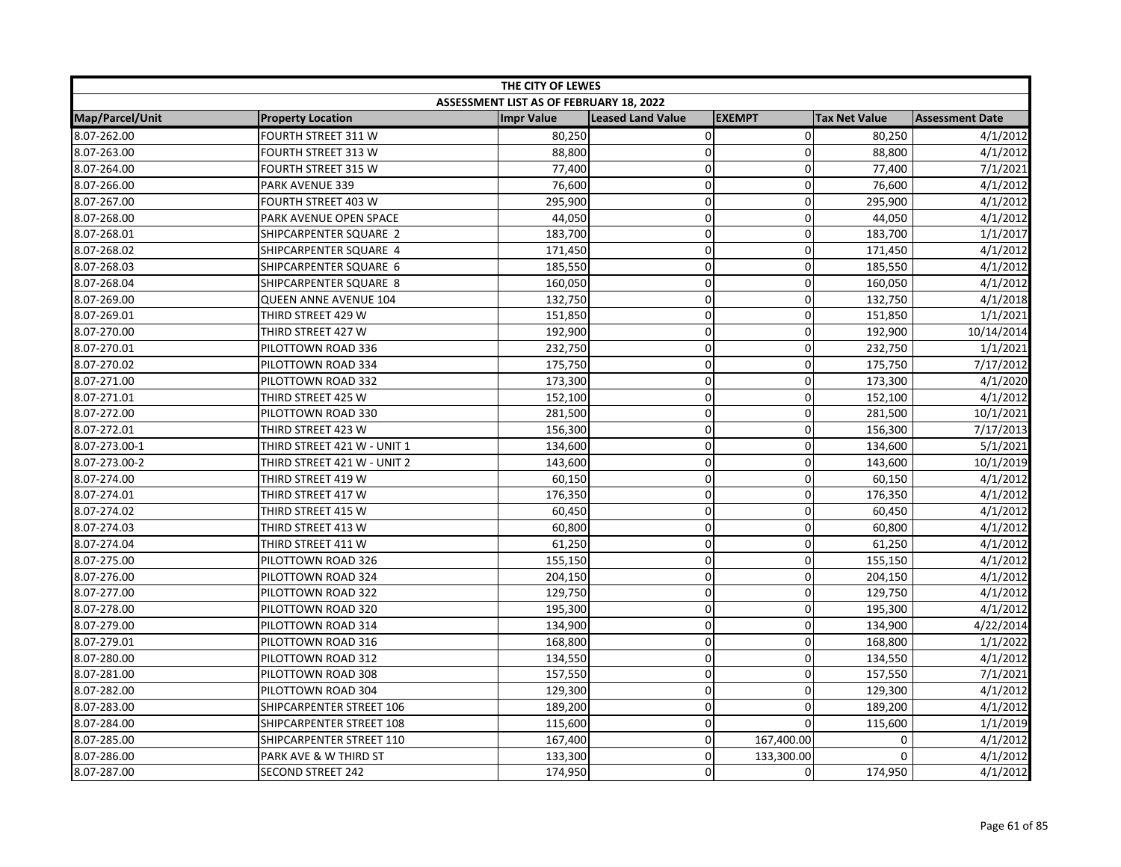| THE CITY OF LEWES      |                              |                                         |                   |               |                      |                        |  |
|------------------------|------------------------------|-----------------------------------------|-------------------|---------------|----------------------|------------------------|--|
|                        |                              | ASSESSMENT LIST AS OF FEBRUARY 18, 2022 |                   |               |                      |                        |  |
| <b>Map/Parcel/Unit</b> | <b>Property Location</b>     | <b>Impr Value</b>                       | Leased Land Value | <b>EXEMPT</b> | <b>Tax Net Value</b> | <b>Assessment Date</b> |  |
| 8.07-262.00            | FOURTH STREET 311 W          | 80,250                                  | $\pmb{0}$         | $\Omega$      | 80,250               | 4/1/2012               |  |
| 8.07-263.00            | FOURTH STREET 313 W          | 88,800                                  | $\mathbf 0$       | $\Omega$      | 88,800               | 4/1/2012               |  |
| 8.07-264.00            | FOURTH STREET 315 W          | 77,400                                  | $\mathbf 0$       | $\Omega$      | 77,400               | 7/1/2021               |  |
| 8.07-266.00            | PARK AVENUE 339              | 76,600                                  | $\Omega$          | $\Omega$      | 76,600               | 4/1/2012               |  |
| 8.07-267.00            | FOURTH STREET 403 W          | 295,900                                 | $\mathbf 0$       | 0             | 295,900              | 4/1/2012               |  |
| 8.07-268.00            | PARK AVENUE OPEN SPACE       | 44,050                                  | $\pmb{0}$         | 0             | 44,050               | 4/1/2012               |  |
| 8.07-268.01            | SHIPCARPENTER SQUARE 2       | 183,700                                 | $\mathbf 0$       | 0             | 183,700              | 1/1/2017               |  |
| 8.07-268.02            | SHIPCARPENTER SQUARE 4       | 171,450                                 | $\mathbf 0$       | $\mathbf 0$   | 171,450              | 4/1/2012               |  |
| 8.07-268.03            | SHIPCARPENTER SQUARE 6       | 185,550                                 | $\mathbf 0$       | 0             | 185,550              | 4/1/2012               |  |
| 8.07-268.04            | SHIPCARPENTER SQUARE 8       | 160,050                                 | $\mathbf 0$       | $\mathbf 0$   | 160,050              | 4/1/2012               |  |
| 8.07-269.00            | <b>QUEEN ANNE AVENUE 104</b> | 132,750                                 | $\mathbf 0$       | $\mathbf 0$   | 132,750              | 4/1/2018               |  |
| 8.07-269.01            | THIRD STREET 429 W           | 151,850                                 | $\mathbf 0$       | $\Omega$      | 151,850              | 1/1/2021               |  |
| 8.07-270.00            | THIRD STREET 427 W           | 192,900                                 | $\mathbf 0$       | $\Omega$      | 192,900              | 10/14/2014             |  |
| 8.07-270.01            | PILOTTOWN ROAD 336           | 232,750                                 | $\pmb{0}$         | 0             | 232,750              | 1/1/2021               |  |
| 8.07-270.02            | PILOTTOWN ROAD 334           | 175,750                                 | $\overline{0}$    | 0             | 175,750              | 7/17/2012              |  |
| 8.07-271.00            | PILOTTOWN ROAD 332           | 173,300                                 | $\pmb{0}$         | 0             | 173,300              | 4/1/2020               |  |
| 8.07-271.01            | THIRD STREET 425 W           | 152,100                                 | $\mathbf 0$       | $\mathbf 0$   | 152,100              | 4/1/2012               |  |
| 8.07-272.00            | PILOTTOWN ROAD 330           | 281,500                                 | $\mathbf 0$       | $\mathbf 0$   | 281,500              | 10/1/2021              |  |
| 8.07-272.01            | THIRD STREET 423 W           | 156,300                                 | $\pmb{0}$         | $\mathbf 0$   | 156,300              | 7/17/2013              |  |
| 8.07-273.00-1          | THIRD STREET 421 W - UNIT 1  | 134,600                                 | $\mathbf 0$       | $\mathbf{0}$  | 134,600              | 5/1/2021               |  |
| 8.07-273.00-2          | THIRD STREET 421 W - UNIT 2  | 143,600                                 | $\pmb{0}$         | $\mathbf 0$   | 143,600              | 10/1/2019              |  |
| 8.07-274.00            | THIRD STREET 419 W           | 60,150                                  | $\mathbf 0$       | $\Omega$      | 60,150               | 4/1/2012               |  |
| 8.07-274.01            | THIRD STREET 417 W           | 176,350                                 | $\mathbf 0$       | 0             | 176,350              | 4/1/2012               |  |
| 8.07-274.02            | THIRD STREET 415 W           | 60,450                                  | $\mathbf 0$       | $\mathbf 0$   | 60,450               | 4/1/2012               |  |
| 8.07-274.03            | THIRD STREET 413 W           | 60,800                                  | $\mathbf 0$       | 0             | 60,800               | 4/1/2012               |  |
| 8.07-274.04            | THIRD STREET 411 W           | 61,250                                  | $\pmb{0}$         | 0             | 61,250               | 4/1/2012               |  |
| 8.07-275.00            | PILOTTOWN ROAD 326           | 155,150                                 | $\mathbf 0$       | 0             | 155,150              | 4/1/2012               |  |
| 8.07-276.00            | PILOTTOWN ROAD 324           | 204,150                                 | $\pmb{0}$         | $\mathbf 0$   | 204,150              | 4/1/2012               |  |
| 8.07-277.00            | PILOTTOWN ROAD 322           | 129,750                                 | $\mathbf 0$       | $\Omega$      | 129,750              | 4/1/2012               |  |
| 8.07-278.00            | PILOTTOWN ROAD 320           | 195,300                                 | 0                 | $\Omega$      | 195,300              | 4/1/2012               |  |
| 8.07-279.00            | PILOTTOWN ROAD 314           | 134,900                                 | $\pmb{0}$         | $\Omega$      | 134,900              | 4/22/2014              |  |
| 8.07-279.01            | PILOTTOWN ROAD 316           | 168,800                                 | $\pmb{0}$         | 0             | 168,800              | 1/1/2022               |  |
| 8.07-280.00            | PILOTTOWN ROAD 312           | 134,550                                 | $\mathbf 0$       | 0             | 134,550              | 4/1/2012               |  |
| 8.07-281.00            | PILOTTOWN ROAD 308           | 157,550                                 | $\pmb{0}$         | 0             | 157,550              | 7/1/2021               |  |
| 8.07-282.00            | PILOTTOWN ROAD 304           | 129,300                                 | $\mathbf 0$       | $\mathbf 0$   | 129,300              | 4/1/2012               |  |
| 8.07-283.00            | SHIPCARPENTER STREET 106     | 189,200                                 | $\mathbf 0$       | $\Omega$      | 189,200              | 4/1/2012               |  |
| 8.07-284.00            | SHIPCARPENTER STREET 108     | 115,600                                 | $\pmb{0}$         | $\Omega$      | 115,600              | 1/1/2019               |  |
| 8.07-285.00            | SHIPCARPENTER STREET 110     | 167,400                                 | $\pmb{0}$         | 167,400.00    | 0                    | 4/1/2012               |  |
| 8.07-286.00            | PARK AVE & W THIRD ST        | 133,300                                 | $\mathbf 0$       | 133,300.00    | $\Omega$             | 4/1/2012               |  |
| 8.07-287.00            | <b>SECOND STREET 242</b>     | 174,950                                 | 0                 | 0             | 174,950              | 4/1/2012               |  |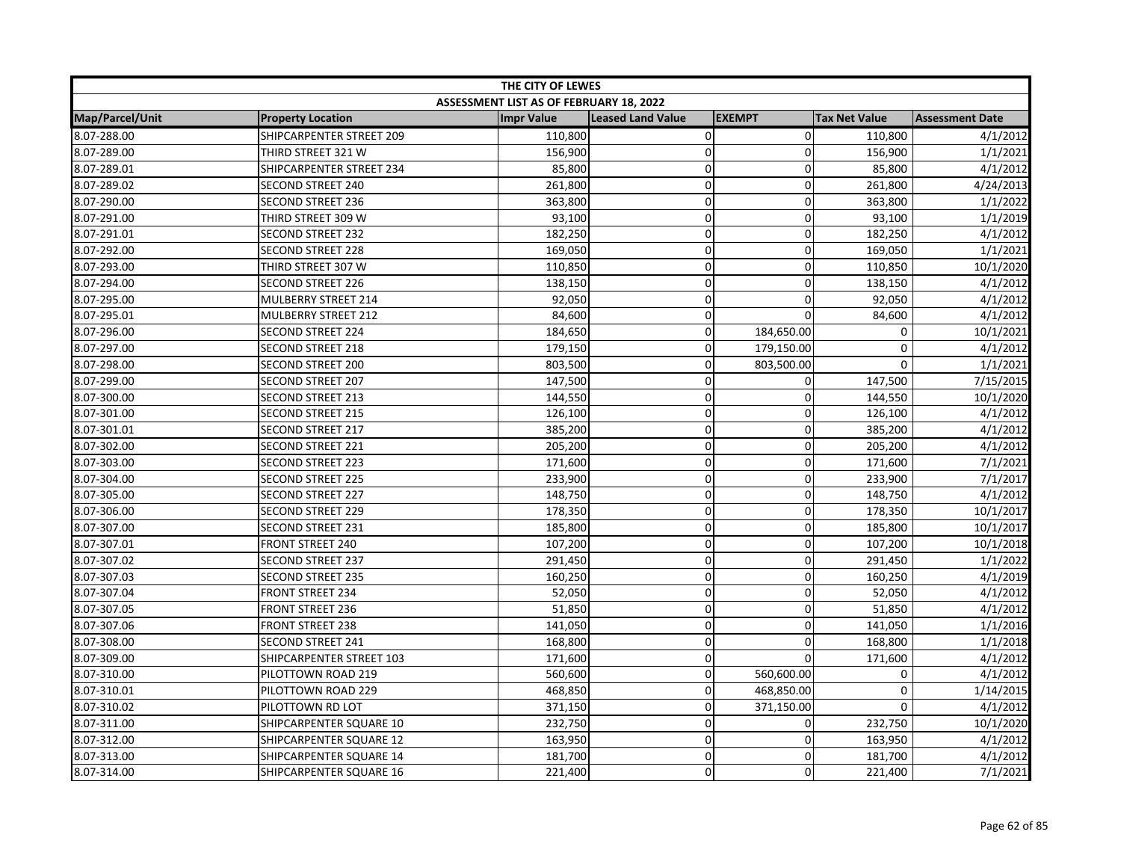| THE CITY OF LEWES |                          |                                         |                          |                |                      |                        |  |
|-------------------|--------------------------|-----------------------------------------|--------------------------|----------------|----------------------|------------------------|--|
|                   |                          | ASSESSMENT LIST AS OF FEBRUARY 18, 2022 |                          |                |                      |                        |  |
| Map/Parcel/Unit   | <b>Property Location</b> | <b>Impr Value</b>                       | <b>Leased Land Value</b> | <b>EXEMPT</b>  | <b>Tax Net Value</b> | <b>Assessment Date</b> |  |
| 8.07-288.00       | SHIPCARPENTER STREET 209 | 110,800                                 | $\pmb{0}$                | $\overline{0}$ | 110,800              | 4/1/2012               |  |
| 8.07-289.00       | THIRD STREET 321 W       | 156,900                                 | 0                        | 0              | 156,900              | 1/1/2021               |  |
| 8.07-289.01       | SHIPCARPENTER STREET 234 | 85,800                                  | 0                        | $\Omega$       | 85,800               | 4/1/2012               |  |
| 8.07-289.02       | <b>SECOND STREET 240</b> | 261,800                                 | $\mathbf 0$              | $\Omega$       | 261,800              | 4/24/2013              |  |
| 8.07-290.00       | <b>SECOND STREET 236</b> | 363,800                                 | 0                        | $\Omega$       | 363,800              | 1/1/2022               |  |
| 8.07-291.00       | THIRD STREET 309 W       | 93,100                                  | 0                        | $\mathbf 0$    | 93,100               | 1/1/2019               |  |
| 8.07-291.01       | <b>SECOND STREET 232</b> | 182,250                                 | 0                        | $\mathbf 0$    | 182,250              | 4/1/2012               |  |
| 8.07-292.00       | <b>SECOND STREET 228</b> | 169,050                                 | 0                        | 0              | 169,050              | 1/1/2021               |  |
| 8.07-293.00       | THIRD STREET 307 W       | 110,850                                 | 0                        | $\mathbf 0$    | 110,850              | 10/1/2020              |  |
| 8.07-294.00       | <b>SECOND STREET 226</b> | 138,150                                 | 0                        | $\mathbf 0$    | 138,150              | 4/1/2012               |  |
| 8.07-295.00       | MULBERRY STREET 214      | 92,050                                  | 0                        | $\Omega$       | 92,050               | 4/1/2012               |  |
| 8.07-295.01       | MULBERRY STREET 212      | 84,600                                  | 0                        | $\Omega$       | 84,600               | 4/1/2012               |  |
| 8.07-296.00       | <b>SECOND STREET 224</b> | 184,650                                 | 0                        | 184,650.00     | 0                    | 10/1/2021              |  |
| 8.07-297.00       | <b>SECOND STREET 218</b> | 179,150                                 | 0                        | 179,150.00     | 0                    | 4/1/2012               |  |
| 8.07-298.00       | <b>SECOND STREET 200</b> | 803,500                                 | 0                        | 803,500.00     | $\Omega$             | 1/1/2021               |  |
| 8.07-299.00       | <b>SECOND STREET 207</b> | 147,500                                 | $\mathbf 0$              | $\mathbf 0$    | 147,500              | 7/15/2015              |  |
| 8.07-300.00       | <b>SECOND STREET 213</b> | 144,550                                 | 0                        | $\mathbf 0$    | 144,550              | 10/1/2020              |  |
| 8.07-301.00       | <b>SECOND STREET 215</b> | 126,100                                 | 0                        | $\mathbf 0$    | 126,100              | 4/1/2012               |  |
| 8.07-301.01       | <b>SECOND STREET 217</b> | 385,200                                 | 0                        | $\mathbf 0$    | 385,200              | 4/1/2012               |  |
| 8.07-302.00       | <b>SECOND STREET 221</b> | 205,200                                 | 0                        | 0              | 205,200              | 4/1/2012               |  |
| 8.07-303.00       | <b>SECOND STREET 223</b> | 171,600                                 | 0                        | $\mathbf 0$    | 171,600              | 7/1/2021               |  |
| 8.07-304.00       | <b>SECOND STREET 225</b> | 233,900                                 | $\mathbf 0$              | 0              | 233,900              | 7/1/2017               |  |
| 8.07-305.00       | <b>SECOND STREET 227</b> | 148,750                                 | 0                        | $\mathbf 0$    | 148,750              | 4/1/2012               |  |
| 8.07-306.00       | <b>SECOND STREET 229</b> | 178,350                                 | 0                        | $\mathbf{0}$   | 178,350              | 10/1/2017              |  |
| 8.07-307.00       | <b>SECOND STREET 231</b> | 185,800                                 | 0                        | 0              | 185,800              | 10/1/2017              |  |
| 8.07-307.01       | <b>FRONT STREET 240</b>  | 107,200                                 | 0                        | 0              | 107,200              | 10/1/2018              |  |
| 8.07-307.02       | <b>SECOND STREET 237</b> | 291,450                                 | 0                        | $\mathbf 0$    | 291,450              | 1/1/2022               |  |
| 8.07-307.03       | <b>SECOND STREET 235</b> | 160,250                                 | 0                        | $\mathbf 0$    | 160,250              | 4/1/2019               |  |
| 8.07-307.04       | <b>FRONT STREET 234</b>  | 52,050                                  | 0                        | 0              | 52,050               | 4/1/2012               |  |
| 8.07-307.05       | <b>FRONT STREET 236</b>  | 51,850                                  | 0                        | $\mathbf 0$    | 51,850               | 4/1/2012               |  |
| 8.07-307.06       | <b>FRONT STREET 238</b>  | 141,050                                 | 0                        | $\mathbf 0$    | 141,050              | 1/1/2016               |  |
| 8.07-308.00       | <b>SECOND STREET 241</b> | 168,800                                 | $\mathbf 0$              | $\mathbf 0$    | 168,800              | 1/1/2018               |  |
| 8.07-309.00       | SHIPCARPENTER STREET 103 | 171,600                                 | 0                        | $\Omega$       | 171,600              | 4/1/2012               |  |
| 8.07-310.00       | PILOTTOWN ROAD 219       | 560,600                                 | 0                        | 560,600.00     | 0                    | 4/1/2012               |  |
| 8.07-310.01       | PILOTTOWN ROAD 229       | 468,850                                 | 0                        | 468,850.00     | 0                    | 1/14/2015              |  |
| 8.07-310.02       | PILOTTOWN RD LOT         | 371,150                                 | 0                        | 371,150.00     | $\mathbf 0$          | 4/1/2012               |  |
| 8.07-311.00       | SHIPCARPENTER SQUARE 10  | 232,750                                 | 0                        | 0              | 232,750              | 10/1/2020              |  |
| 8.07-312.00       | SHIPCARPENTER SQUARE 12  | 163,950                                 | 0                        | 0              | 163,950              | 4/1/2012               |  |
| 8.07-313.00       | SHIPCARPENTER SQUARE 14  | 181,700                                 | 0                        | $\Omega$       | 181,700              | 4/1/2012               |  |
| 8.07-314.00       | SHIPCARPENTER SQUARE 16  | 221,400                                 | 0                        | $\Omega$       | 221,400              | 7/1/2021               |  |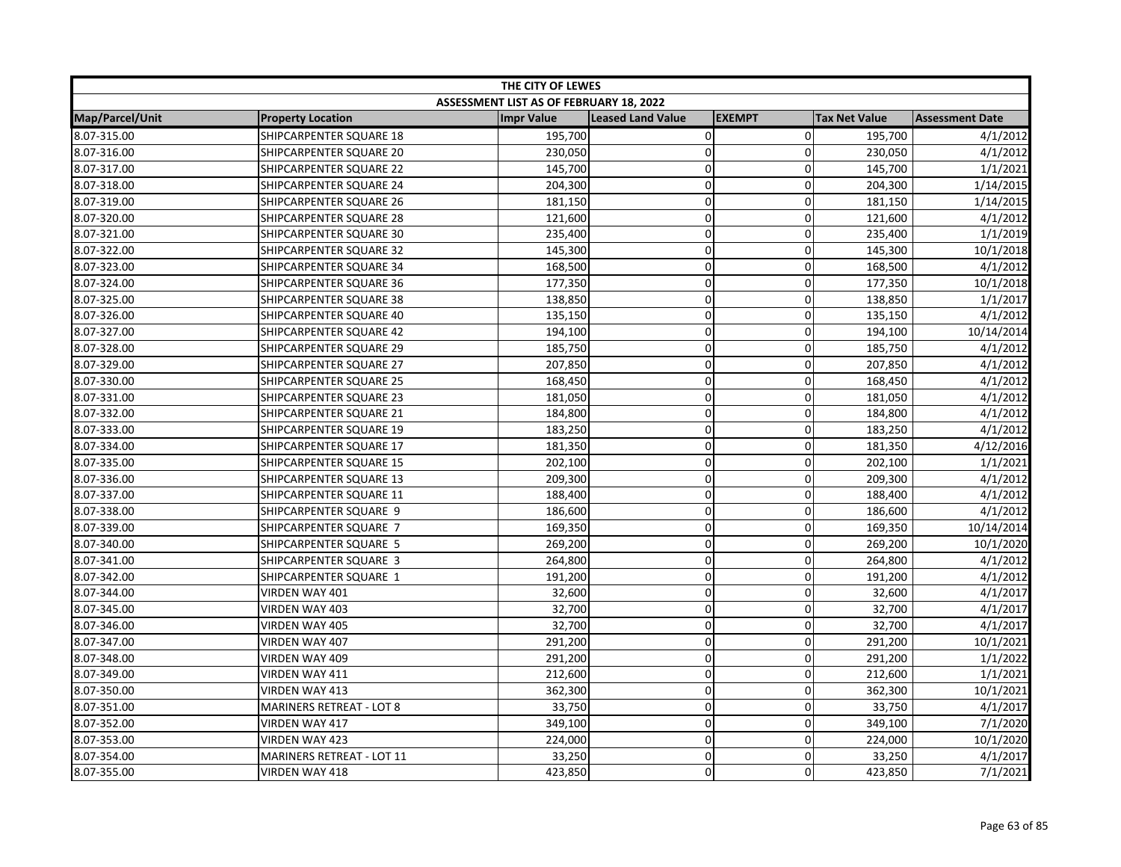| THE CITY OF LEWES |                                  |                                         |                          |                |                      |                        |  |
|-------------------|----------------------------------|-----------------------------------------|--------------------------|----------------|----------------------|------------------------|--|
|                   |                                  | ASSESSMENT LIST AS OF FEBRUARY 18, 2022 |                          |                |                      |                        |  |
| Map/Parcel/Unit   | <b>Property Location</b>         | <b>Impr Value</b>                       | <b>Leased Land Value</b> | <b>EXEMPT</b>  | <b>Tax Net Value</b> | <b>Assessment Date</b> |  |
| 8.07-315.00       | SHIPCARPENTER SQUARE 18          | 195,700                                 | $\pmb{0}$                | $\overline{0}$ | 195,700              | 4/1/2012               |  |
| 8.07-316.00       | SHIPCARPENTER SQUARE 20          | 230,050                                 | $\mathbf 0$              | $\mathbf 0$    | 230,050              | 4/1/2012               |  |
| 8.07-317.00       | SHIPCARPENTER SQUARE 22          | 145,700                                 | $\mathbf 0$              | $\Omega$       | 145,700              | 1/1/2021               |  |
| 8.07-318.00       | SHIPCARPENTER SQUARE 24          | 204,300                                 | $\Omega$                 | $\mathbf{0}$   | 204,300              | 1/14/2015              |  |
| 8.07-319.00       | SHIPCARPENTER SQUARE 26          | 181,150                                 | $\pmb{0}$                | $\Omega$       | 181,150              | 1/14/2015              |  |
| 8.07-320.00       | SHIPCARPENTER SQUARE 28          | 121,600                                 | $\pmb{0}$                | 0              | 121,600              | 4/1/2012               |  |
| 8.07-321.00       | SHIPCARPENTER SQUARE 30          | 235,400                                 | $\mathbf 0$              | 0              | 235,400              | 1/1/2019               |  |
| 8.07-322.00       | SHIPCARPENTER SQUARE 32          | 145,300                                 | $\overline{0}$           | 0              | 145,300              | 10/1/2018              |  |
| 8.07-323.00       | SHIPCARPENTER SQUARE 34          | 168,500                                 | $\overline{0}$           | 0              | 168,500              | 4/1/2012               |  |
| 8.07-324.00       | SHIPCARPENTER SQUARE 36          | 177,350                                 | $\mathbf 0$              | $\mathbf 0$    | 177,350              | 10/1/2018              |  |
| 8.07-325.00       | SHIPCARPENTER SQUARE 38          | 138,850                                 | $\mathbf 0$              | $\Omega$       | 138,850              | 1/1/2017               |  |
| 8.07-326.00       | SHIPCARPENTER SQUARE 40          | 135,150                                 | $\pmb{0}$                | 0              | 135,150              | 4/1/2012               |  |
| 8.07-327.00       | SHIPCARPENTER SQUARE 42          | 194,100                                 | $\mathbf 0$              | 0              | 194,100              | 10/14/2014             |  |
| 8.07-328.00       | SHIPCARPENTER SQUARE 29          | 185,750                                 | $\mathbf 0$              | $\mathbf 0$    | 185,750              | 4/1/2012               |  |
| 8.07-329.00       | SHIPCARPENTER SQUARE 27          | 207,850                                 | $\Omega$                 | $\Omega$       | 207,850              | 4/1/2012               |  |
| 8.07-330.00       | SHIPCARPENTER SQUARE 25          | 168,450                                 | $\mathbf 0$              | $\mathbf 0$    | 168,450              | 4/1/2012               |  |
| 8.07-331.00       | SHIPCARPENTER SQUARE 23          | 181,050                                 | $\mathbf 0$              | $\mathbf 0$    | 181,050              | 4/1/2012               |  |
| 8.07-332.00       | SHIPCARPENTER SQUARE 21          | 184,800                                 | $\mathbf 0$              | 0              | 184,800              | 4/1/2012               |  |
| 8.07-333.00       | SHIPCARPENTER SQUARE 19          | 183,250                                 | $\mathbf 0$              | $\Omega$       | 183,250              | 4/1/2012               |  |
| 8.07-334.00       | SHIPCARPENTER SQUARE 17          | 181,350                                 | $\mathbf 0$              | $\mathbf 0$    | 181,350              | 4/12/2016              |  |
| 8.07-335.00       | SHIPCARPENTER SQUARE 15          | 202,100                                 | $\mathbf 0$              | $\mathbf 0$    | 202,100              | 1/1/2021               |  |
| 8.07-336.00       | SHIPCARPENTER SQUARE 13          | 209,300                                 | $\mathbf 0$              | $\mathbf{0}$   | 209,300              | 4/1/2012               |  |
| 8.07-337.00       | SHIPCARPENTER SQUARE 11          | 188,400                                 | $\mathbf 0$              | $\Omega$       | 188,400              | 4/1/2012               |  |
| 8.07-338.00       | SHIPCARPENTER SQUARE 9           | 186,600                                 | $\mathbf 0$              | 0              | 186,600              | 4/1/2012               |  |
| 8.07-339.00       | SHIPCARPENTER SQUARE 7           | 169,350                                 | $\pmb{0}$                | 0              | 169,350              | 10/14/2014             |  |
| 8.07-340.00       | SHIPCARPENTER SQUARE 5           | 269,200                                 | $\overline{0}$           | 0              | 269,200              | 10/1/2020              |  |
| 8.07-341.00       | SHIPCARPENTER SQUARE 3           | 264,800                                 | $\overline{0}$           | 0              | 264,800              | 4/1/2012               |  |
| 8.07-342.00       | SHIPCARPENTER SQUARE 1           | 191,200                                 | $\pmb{0}$                | $\mathbf 0$    | 191,200              | 4/1/2012               |  |
| 8.07-344.00       | VIRDEN WAY 401                   | 32,600                                  | $\mathbf 0$              | $\mathbf 0$    | 32,600               | 4/1/2017               |  |
| 8.07-345.00       | VIRDEN WAY 403                   | 32,700                                  | $\pmb{0}$                | 0              | 32,700               | 4/1/2017               |  |
| 8.07-346.00       | VIRDEN WAY 405                   | 32,700                                  | $\mathbf 0$              | 0              | 32,700               | 4/1/2017               |  |
| 8.07-347.00       | VIRDEN WAY 407                   | 291,200                                 | $\mathbf 0$              | 0              | 291,200              | 10/1/2021              |  |
| 8.07-348.00       | VIRDEN WAY 409                   | 291,200                                 | $\mathbf 0$              | $\Omega$       | 291,200              | 1/1/2022               |  |
| 8.07-349.00       | VIRDEN WAY 411                   | 212,600                                 | $\mathbf 0$              | $\mathbf 0$    | 212,600              | 1/1/2021               |  |
| 8.07-350.00       | VIRDEN WAY 413                   | 362,300                                 | $\mathbf 0$              | $\mathbf 0$    | 362,300              | 10/1/2021              |  |
| 8.07-351.00       | <b>MARINERS RETREAT - LOT 8</b>  | 33,750                                  | $\mathbf 0$              | 0              | 33,750               | 4/1/2017               |  |
| 8.07-352.00       | VIRDEN WAY 417                   | 349,100                                 | $\pmb{0}$                | 0              | 349,100              | 7/1/2020               |  |
| 8.07-353.00       | <b>VIRDEN WAY 423</b>            | 224,000                                 | $\mathbf 0$              | $\mathbf 0$    | 224,000              | 10/1/2020              |  |
| 8.07-354.00       | <b>MARINERS RETREAT - LOT 11</b> | 33,250                                  | $\mathbf 0$              | $\Omega$       | 33,250               | 4/1/2017               |  |
| 8.07-355.00       | <b>VIRDEN WAY 418</b>            | 423,850                                 | 0                        | $\Omega$       | 423,850              | 7/1/2021               |  |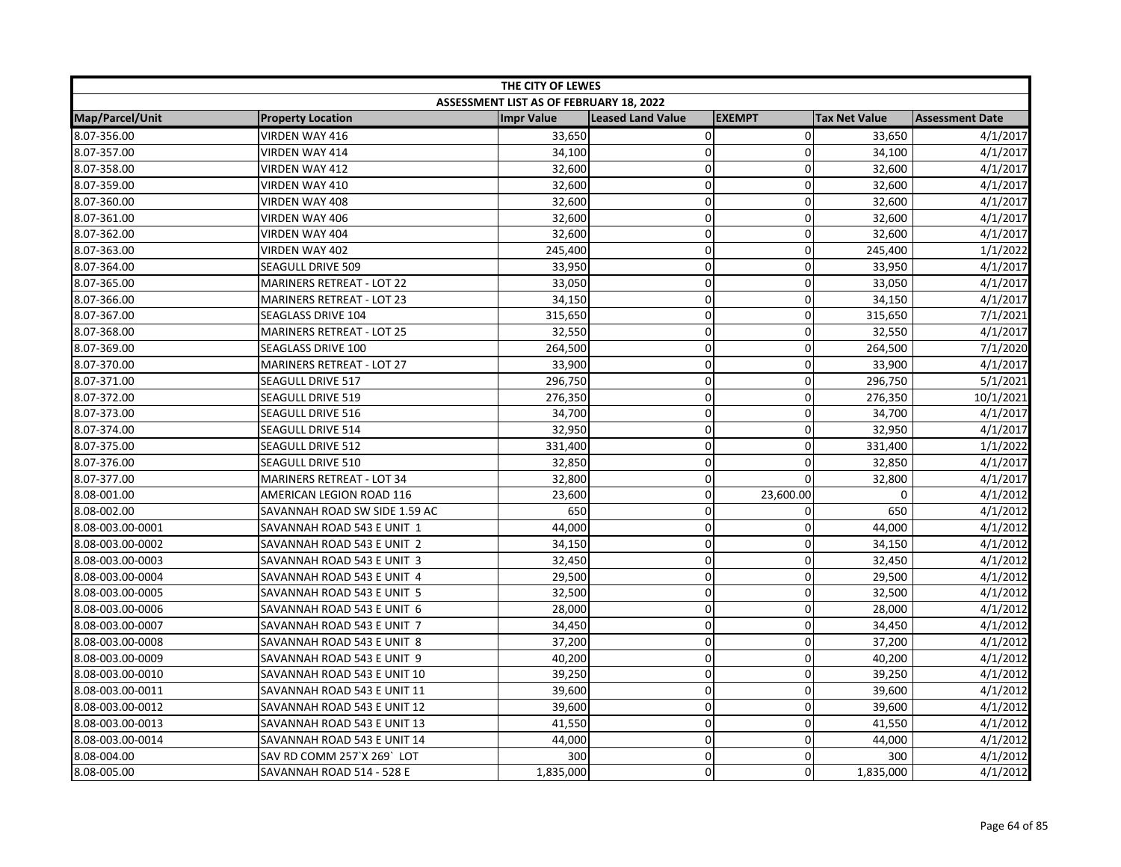|                  | THE CITY OF LEWES                |                                         |                          |               |                      |                        |  |  |
|------------------|----------------------------------|-----------------------------------------|--------------------------|---------------|----------------------|------------------------|--|--|
|                  |                                  | ASSESSMENT LIST AS OF FEBRUARY 18, 2022 |                          |               |                      |                        |  |  |
| Map/Parcel/Unit  | <b>Property Location</b>         | <b>Impr Value</b>                       | <b>Leased Land Value</b> | <b>EXEMPT</b> | <b>Tax Net Value</b> | <b>Assessment Date</b> |  |  |
| 8.07-356.00      | VIRDEN WAY 416                   | 33,650                                  | $\mathbf 0$              | $\Omega$      | 33,650               | 4/1/2017               |  |  |
| 8.07-357.00      | VIRDEN WAY 414                   | 34,100                                  | $\mathbf 0$              | $\Omega$      | 34,100               | 4/1/2017               |  |  |
| 8.07-358.00      | VIRDEN WAY 412                   | 32,600                                  | $\pmb{0}$                | $\mathbf 0$   | 32,600               | 4/1/2017               |  |  |
| 8.07-359.00      | VIRDEN WAY 410                   | 32,600                                  | $\mathbf 0$              | $\Omega$      | 32,600               | 4/1/2017               |  |  |
| 8.07-360.00      | VIRDEN WAY 408                   | 32,600                                  | $\mathbf 0$              | $\Omega$      | 32,600               | 4/1/2017               |  |  |
| 8.07-361.00      | VIRDEN WAY 406                   | 32,600                                  | $\mathbf 0$              | $\Omega$      | 32,600               | 4/1/2017               |  |  |
| 8.07-362.00      | VIRDEN WAY 404                   | 32,600                                  | $\pmb{0}$                | 0             | 32,600               | 4/1/2017               |  |  |
| 8.07-363.00      | VIRDEN WAY 402                   | 245,400                                 | $\mathbf 0$              | 0             | 245,400              | 1/1/2022               |  |  |
| 8.07-364.00      | <b>SEAGULL DRIVE 509</b>         | 33,950                                  | $\mathbf 0$              | 0             | 33,950               | 4/1/2017               |  |  |
| 8.07-365.00      | <b>MARINERS RETREAT - LOT 22</b> | 33,050                                  | $\mathbf 0$              | $\mathbf 0$   | 33,050               | 4/1/2017               |  |  |
| 8.07-366.00      | <b>MARINERS RETREAT - LOT 23</b> | 34,150                                  | $\mathbf 0$              | $\Omega$      | 34,150               | 4/1/2017               |  |  |
| 8.07-367.00      | <b>SEAGLASS DRIVE 104</b>        | 315,650                                 | $\pmb{0}$                | 0             | 315,650              | 7/1/2021               |  |  |
| 8.07-368.00      | MARINERS RETREAT - LOT 25        | 32,550                                  | $\pmb{0}$                | 0             | 32,550               | 4/1/2017               |  |  |
| 8.07-369.00      | SEAGLASS DRIVE 100               | 264,500                                 | $\mathbf 0$              | 0             | 264,500              | 7/1/2020               |  |  |
| 8.07-370.00      | MARINERS RETREAT - LOT 27        | 33,900                                  | $\mathbf 0$              | $\Omega$      | 33,900               | 4/1/2017               |  |  |
| 8.07-371.00      | <b>SEAGULL DRIVE 517</b>         | 296,750                                 | $\pmb{0}$                | 0             | 296,750              | 5/1/2021               |  |  |
| 8.07-372.00      | SEAGULL DRIVE 519                | 276,350                                 | $\pmb{0}$                | $\mathbf 0$   | 276,350              | 10/1/2021              |  |  |
| 8.07-373.00      | SEAGULL DRIVE 516                | 34,700                                  | $\overline{0}$           | $\Omega$      | 34,700               | 4/1/2017               |  |  |
| 8.07-374.00      | <b>SEAGULL DRIVE 514</b>         | 32,950                                  | $\pmb{0}$                | $\mathbf 0$   | 32,950               | 4/1/2017               |  |  |
| 8.07-375.00      | SEAGULL DRIVE 512                | 331,400                                 | $\mathbf 0$              | $\Omega$      | 331,400              | 1/1/2022               |  |  |
| 8.07-376.00      | <b>SEAGULL DRIVE 510</b>         | 32,850                                  | $\mathbf 0$              | $\mathbf 0$   | 32,850               | 4/1/2017               |  |  |
| 8.07-377.00      | MARINERS RETREAT - LOT 34        | 32,800                                  | $\mathbf 0$              | $\Omega$      | 32,800               | 4/1/2017               |  |  |
| 8.08-001.00      | AMERICAN LEGION ROAD 116         | 23,600                                  | $\mathbf 0$              | 23,600.00     | $\mathbf 0$          | 4/1/2012               |  |  |
| 8.08-002.00      | SAVANNAH ROAD SW SIDE 1.59 AC    | 650                                     | $\overline{0}$           | 0             | 650                  | 4/1/2012               |  |  |
| 8.08-003.00-0001 | SAVANNAH ROAD 543 E UNIT 1       | 44,000                                  | $\pmb{0}$                | 0             | 44,000               | 4/1/2012               |  |  |
| 8.08-003.00-0002 | SAVANNAH ROAD 543 E UNIT 2       | 34,150                                  | $\pmb{0}$                | 0             | 34,150               | 4/1/2012               |  |  |
| 8.08-003.00-0003 | SAVANNAH ROAD 543 E UNIT 3       | 32,450                                  | $\mathbf 0$              | $\mathbf 0$   | 32,450               | 4/1/2012               |  |  |
| 8.08-003.00-0004 | SAVANNAH ROAD 543 E UNIT 4       | 29,500                                  | $\mathbf 0$              | $\mathbf 0$   | 29,500               | $\frac{1}{4}$ /1/2012  |  |  |
| 8.08-003.00-0005 | SAVANNAH ROAD 543 E UNIT 5       | 32,500                                  | $\overline{0}$           | $\mathbf 0$   | 32,500               | 4/1/2012               |  |  |
| 8.08-003.00-0006 | SAVANNAH ROAD 543 E UNIT 6       | 28,000                                  | $\mathbf 0$              | 0             | 28,000               | 4/1/2012               |  |  |
| 8.08-003.00-0007 | SAVANNAH ROAD 543 E UNIT 7       | 34,450                                  | $\mathbf 0$              | $\mathbf 0$   | 34,450               | 4/1/2012               |  |  |
| 8.08-003.00-0008 | SAVANNAH ROAD 543 E UNIT 8       | 37,200                                  | $\mathbf 0$              | 0             | 37,200               | 4/1/2012               |  |  |
| 8.08-003.00-0009 | SAVANNAH ROAD 543 E UNIT 9       | 40,200                                  | $\mathbf 0$              | 0             | 40,200               | 4/1/2012               |  |  |
| 8.08-003.00-0010 | SAVANNAH ROAD 543 E UNIT 10      | 39,250                                  | $\mathbf 0$              | $\mathbf 0$   | 39,250               | 4/1/2012               |  |  |
| 8.08-003.00-0011 | SAVANNAH ROAD 543 E UNIT 11      | 39,600                                  | $\pmb{0}$                | $\mathbf 0$   | 39,600               | 4/1/2012               |  |  |
| 8.08-003.00-0012 | SAVANNAH ROAD 543 E UNIT 12      | 39,600                                  | $\mathbf 0$              | $\Omega$      | 39,600               | 4/1/2012               |  |  |
| 8.08-003.00-0013 | SAVANNAH ROAD 543 E UNIT 13      | 41,550                                  | 0                        | $\Omega$      | 41,550               | 4/1/2012               |  |  |
| 8.08-003.00-0014 | SAVANNAH ROAD 543 E UNIT 14      | 44,000                                  | 0                        | 0             | 44,000               | 4/1/2012               |  |  |
| 8.08-004.00      | SAV RD COMM 257`X 269`LOT        | 300                                     | $\pmb{0}$                | 0             | 300                  | 4/1/2012               |  |  |
| 8.08-005.00      | SAVANNAH ROAD 514 - 528 E        | 1,835,000                               | $\mathbf 0$              | $\mathbf 0$   | 1,835,000            | 4/1/2012               |  |  |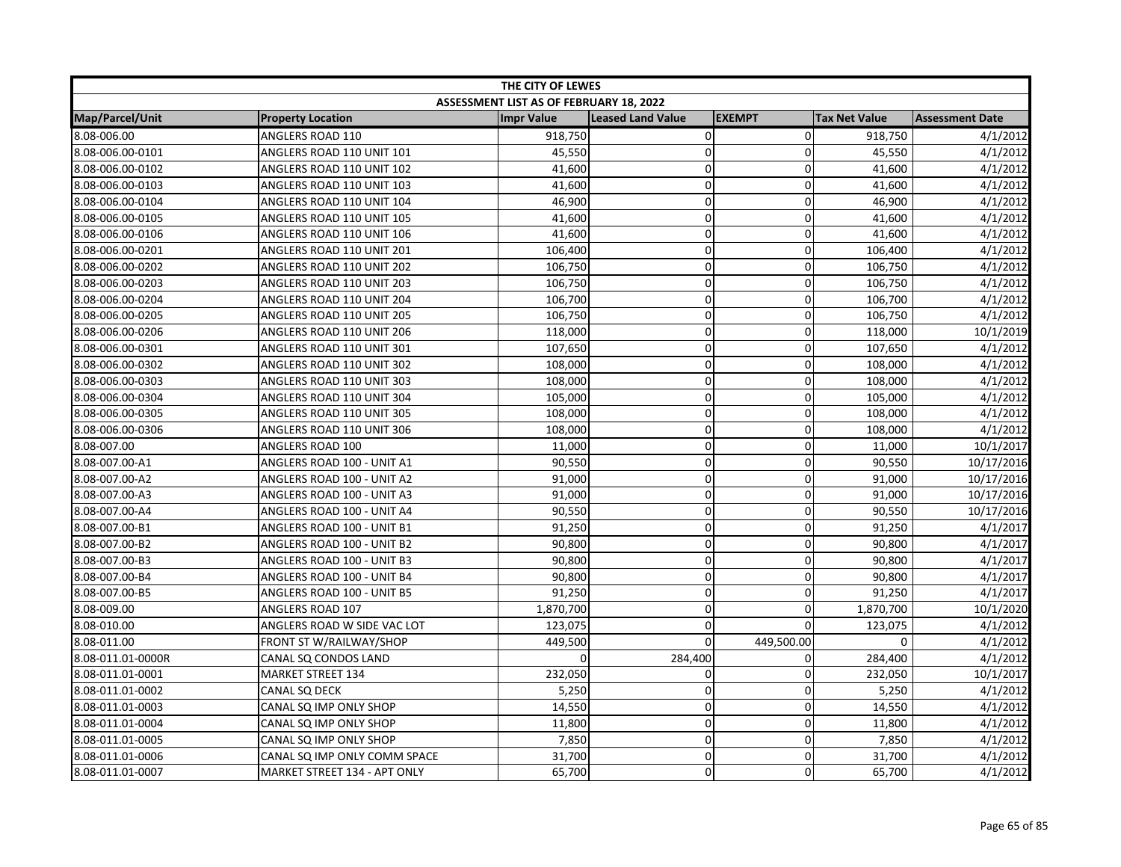| THE CITY OF LEWES      |                              |                                         |                   |               |                      |                        |  |
|------------------------|------------------------------|-----------------------------------------|-------------------|---------------|----------------------|------------------------|--|
|                        |                              | ASSESSMENT LIST AS OF FEBRUARY 18, 2022 |                   |               |                      |                        |  |
| <b>Map/Parcel/Unit</b> | <b>Property Location</b>     | <b>Impr Value</b>                       | Leased Land Value | <b>EXEMPT</b> | <b>Tax Net Value</b> | <b>Assessment Date</b> |  |
| 8.08-006.00            | ANGLERS ROAD 110             | 918,750                                 | $\pmb{0}$         | $\mathbf 0$   | 918,750              | 4/1/2012               |  |
| 8.08-006.00-0101       | ANGLERS ROAD 110 UNIT 101    | 45,550                                  | $\mathbf 0$       | $\Omega$      | 45,550               | 4/1/2012               |  |
| 8.08-006.00-0102       | ANGLERS ROAD 110 UNIT 102    | 41,600                                  | $\mathbf 0$       | $\Omega$      | 41,600               | 4/1/2012               |  |
| 8.08-006.00-0103       | ANGLERS ROAD 110 UNIT 103    | 41,600                                  | $\overline{0}$    | 0             | 41,600               | 4/1/2012               |  |
| 8.08-006.00-0104       | ANGLERS ROAD 110 UNIT 104    | 46,900                                  | $\mathbf 0$       | 0             | 46,900               | 4/1/2012               |  |
| 8.08-006.00-0105       | ANGLERS ROAD 110 UNIT 105    | 41,600                                  | $\mathbf 0$       | 0             | 41,600               | 4/1/2012               |  |
| 8.08-006.00-0106       | ANGLERS ROAD 110 UNIT 106    | 41,600                                  | $\mathbf 0$       | 0             | 41,600               | 4/1/2012               |  |
| 8.08-006.00-0201       | ANGLERS ROAD 110 UNIT 201    | 106,400                                 | $\overline{0}$    | $\Omega$      | 106,400              | 4/1/2012               |  |
| 8.08-006.00-0202       | ANGLERS ROAD 110 UNIT 202    | 106,750                                 | $\mathbf 0$       | $\mathbf 0$   | 106,750              | 4/1/2012               |  |
| 8.08-006.00-0203       | ANGLERS ROAD 110 UNIT 203    | 106,750                                 | $\pmb{0}$         | 0             | 106,750              | 4/1/2012               |  |
| 8.08-006.00-0204       | ANGLERS ROAD 110 UNIT 204    | 106,700                                 | $\mathbf 0$       | $\mathbf{0}$  | 106,700              | 4/1/2012               |  |
| 8.08-006.00-0205       | ANGLERS ROAD 110 UNIT 205    | 106,750                                 | $\mathbf 0$       | $\Omega$      | 106,750              | 4/1/2012               |  |
| 8.08-006.00-0206       | ANGLERS ROAD 110 UNIT 206    | 118,000                                 | 0                 | $\Omega$      | 118,000              | 10/1/2019              |  |
| 8.08-006.00-0301       | ANGLERS ROAD 110 UNIT 301    | 107,650                                 | $\pmb{0}$         | 0             | 107,650              | 4/1/2012               |  |
| 8.08-006.00-0302       | ANGLERS ROAD 110 UNIT 302    | 108,000                                 | $\overline{0}$    | 0             | 108,000              | 4/1/2012               |  |
| 8.08-006.00-0303       | ANGLERS ROAD 110 UNIT 303    | 108,000                                 | $\overline{0}$    | 0             | 108,000              | 4/1/2012               |  |
| 8.08-006.00-0304       | ANGLERS ROAD 110 UNIT 304    | 105,000                                 | $\mathbf 0$       | $\mathbf 0$   | 105,000              | 4/1/2012               |  |
| 8.08-006.00-0305       | ANGLERS ROAD 110 UNIT 305    | 108,000                                 | $\mathbf 0$       | 0             | 108,000              | 4/1/2012               |  |
| 8.08-006.00-0306       | ANGLERS ROAD 110 UNIT 306    | 108,000                                 | $\pmb{0}$         | $\Omega$      | 108,000              | 4/1/2012               |  |
| 8.08-007.00            | ANGLERS ROAD 100             | 11,000                                  | $\mathbf 0$       | $\mathbf{0}$  | 11,000               | 10/1/2017              |  |
| 8.08-007.00-A1         | ANGLERS ROAD 100 - UNIT A1   | 90,550                                  | $\mathbf 0$       | $\mathbf 0$   | 90,550               | 10/17/2016             |  |
| 8.08-007.00-A2         | ANGLERS ROAD 100 - UNIT A2   | 91,000                                  | $\mathbf 0$       | $\Omega$      | 91,000               | 10/17/2016             |  |
| 8.08-007.00-A3         | ANGLERS ROAD 100 - UNIT A3   | 91,000                                  | $\mathbf 0$       | 0             | 91,000               | 10/17/2016             |  |
| 8.08-007.00-A4         | ANGLERS ROAD 100 - UNIT A4   | 90,550                                  | $\pmb{0}$         | $\mathbf 0$   | 90,550               | 10/17/2016             |  |
| 8.08-007.00-B1         | ANGLERS ROAD 100 - UNIT B1   | 91,250                                  | $\overline{0}$    | 0             | 91,250               | 4/1/2017               |  |
| 8.08-007.00-B2         | ANGLERS ROAD 100 - UNIT B2   | 90,800                                  | $\mathbf 0$       | $\mathbf 0$   | 90,800               | 4/1/2017               |  |
| 8.08-007.00-B3         | ANGLERS ROAD 100 - UNIT B3   | 90,800                                  | $\mathbf 0$       | $\mathbf{0}$  | 90,800               | 4/1/2017               |  |
| 8.08-007.00-B4         | ANGLERS ROAD 100 - UNIT B4   | 90,800                                  | $\pmb{0}$         | $\mathbf 0$   | 90,800               | 4/1/2017               |  |
| 8.08-007.00-B5         | ANGLERS ROAD 100 - UNIT B5   | 91,250                                  | $\Omega$          | $\Omega$      | 91,250               | 4/1/2017               |  |
| 8.08-009.00            | ANGLERS ROAD 107             | 1,870,700                               | $\mathbf 0$       | $\Omega$      | 1,870,700            | 10/1/2020              |  |
| 8.08-010.00            | ANGLERS ROAD W SIDE VAC LOT  | 123,075                                 | $\pmb{0}$         | $\Omega$      | 123,075              | 4/1/2012               |  |
| 8.08-011.00            | FRONT ST W/RAILWAY/SHOP      | 449,500                                 | $\Omega$          | 449,500.00    | 0                    | 4/1/2012               |  |
| 8.08-011.01-0000R      | CANAL SQ CONDOS LAND         | $\Omega$                                | 284,400           | 0             | 284,400              | 4/1/2012               |  |
| 8.08-011.01-0001       | <b>MARKET STREET 134</b>     | 232,050                                 | 0                 | 0             | 232,050              | 10/1/2017              |  |
| 8.08-011.01-0002       | CANAL SQ DECK                | 5,250                                   | $\pmb{0}$         | $\mathbf 0$   | 5,250                | 4/1/2012               |  |
| 8.08-011.01-0003       | CANAL SQ IMP ONLY SHOP       | 14,550                                  | $\mathbf 0$       | $\mathbf{0}$  | 14,550               | 4/1/2012               |  |
| 8.08-011.01-0004       | CANAL SQ IMP ONLY SHOP       | 11,800                                  | $\mathbf 0$       | 0             | 11,800               | 4/1/2012               |  |
| 8.08-011.01-0005       | CANAL SQ IMP ONLY SHOP       | 7,850                                   | $\mathbf 0$       | 0             | 7,850                | 4/1/2012               |  |
| 8.08-011.01-0006       | CANAL SQ IMP ONLY COMM SPACE | 31,700                                  | $\mathbf 0$       | 0             | 31,700               | 4/1/2012               |  |
| 8.08-011.01-0007       | MARKET STREET 134 - APT ONLY | 65,700                                  | $\mathbf 0$       | $\Omega$      | 65,700               | 4/1/2012               |  |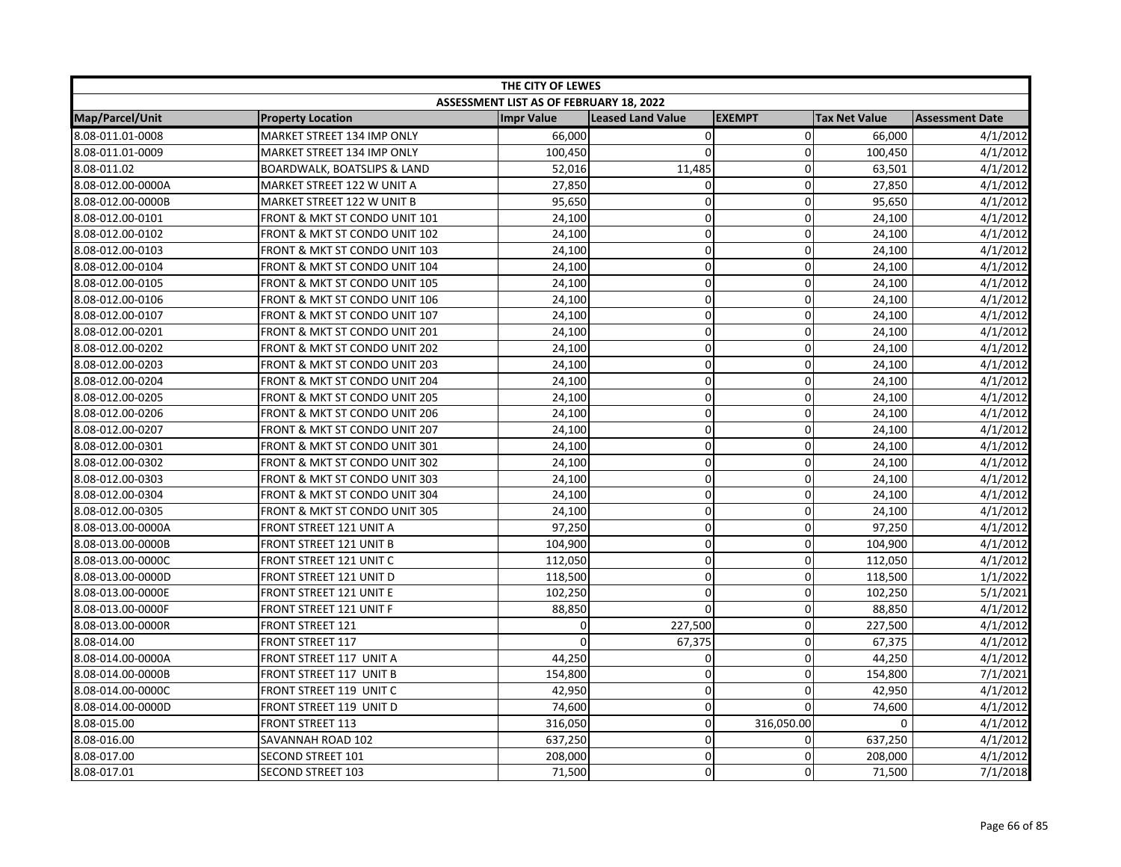| THE CITY OF LEWES |                                        |                                         |                          |               |                      |                        |  |
|-------------------|----------------------------------------|-----------------------------------------|--------------------------|---------------|----------------------|------------------------|--|
|                   |                                        | ASSESSMENT LIST AS OF FEBRUARY 18, 2022 |                          |               |                      |                        |  |
| Map/Parcel/Unit   | <b>Property Location</b>               | <b>Impr Value</b>                       | <b>Leased Land Value</b> | <b>EXEMPT</b> | <b>Tax Net Value</b> | <b>Assessment Date</b> |  |
| 8.08-011.01-0008  | MARKET STREET 134 IMP ONLY             | 66,000                                  | 0                        | $\mathbf 0$   | 66,000               | 4/1/2012               |  |
| 8.08-011.01-0009  | MARKET STREET 134 IMP ONLY             | 100,450                                 | $\mathbf 0$              | $\Omega$      | 100,450              | 4/1/2012               |  |
| 8.08-011.02       | <b>BOARDWALK, BOATSLIPS &amp; LAND</b> | 52,016                                  | 11,485                   | $\mathbf 0$   | 63,501               | 4/1/2012               |  |
| 8.08-012.00-0000A | MARKET STREET 122 W UNIT A             | 27,850                                  | 0                        | $\Omega$      | 27,850               | 4/1/2012               |  |
| 8.08-012.00-0000B | MARKET STREET 122 W UNIT B             | 95,650                                  | $\pmb{0}$                | 0             | 95,650               | 4/1/2012               |  |
| 8.08-012.00-0101  | FRONT & MKT ST CONDO UNIT 101          | 24,100                                  | $\pmb{0}$                | $\mathbf 0$   | 24,100               | 4/1/2012               |  |
| 8.08-012.00-0102  | FRONT & MKT ST CONDO UNIT 102          | 24,100                                  | $\mathbf 0$              | 0             | 24,100               | 4/1/2012               |  |
| 8.08-012.00-0103  | FRONT & MKT ST CONDO UNIT 103          | 24,100                                  | $\mathbf 0$              | $\mathbf 0$   | 24,100               | 4/1/2012               |  |
| 8.08-012.00-0104  | FRONT & MKT ST CONDO UNIT 104          | 24,100                                  | $\mathbf 0$              | $\Omega$      | 24,100               | 4/1/2012               |  |
| 8.08-012.00-0105  | FRONT & MKT ST CONDO UNIT 105          | 24,100                                  | $\mathbf{0}$             | $\Omega$      | 24,100               | 4/1/2012               |  |
| 8.08-012.00-0106  | FRONT & MKT ST CONDO UNIT 106          | 24,100                                  | $\Omega$                 | $\mathbf{0}$  | 24,100               | 4/1/2012               |  |
| 8.08-012.00-0107  | FRONT & MKT ST CONDO UNIT 107          | 24,100                                  | $\mathbf 0$              | $\Omega$      | 24,100               | 4/1/2012               |  |
| 8.08-012.00-0201  | FRONT & MKT ST CONDO UNIT 201          | 24,100                                  | $\mathbf 0$              | $\mathbf 0$   | 24,100               | 4/1/2012               |  |
| 8.08-012.00-0202  | FRONT & MKT ST CONDO UNIT 202          | 24,100                                  | $\mathbf 0$              | 0             | 24,100               | 4/1/2012               |  |
| 8.08-012.00-0203  | FRONT & MKT ST CONDO UNIT 203          | 24,100                                  | $\overline{0}$           | $\Omega$      | 24,100               | 4/1/2012               |  |
| 8.08-012.00-0204  | FRONT & MKT ST CONDO UNIT 204          | 24,100                                  | $\mathbf 0$              | $\mathbf 0$   | 24,100               | 4/1/2012               |  |
| 8.08-012.00-0205  | FRONT & MKT ST CONDO UNIT 205          | 24,100                                  | $\pmb{0}$                | $\mathbf 0$   | 24,100               | 4/1/2012               |  |
| 8.08-012.00-0206  | FRONT & MKT ST CONDO UNIT 206          | 24,100                                  | $\mathbf 0$              | $\Omega$      | 24,100               | 4/1/2012               |  |
| 8.08-012.00-0207  | FRONT & MKT ST CONDO UNIT 207          | 24,100                                  | $\Omega$                 | $\Omega$      | 24,100               | 4/1/2012               |  |
| 8.08-012.00-0301  | FRONT & MKT ST CONDO UNIT 301          | 24,100                                  | $\mathbf 0$              | $\Omega$      | 24,100               | 4/1/2012               |  |
| 8.08-012.00-0302  | FRONT & MKT ST CONDO UNIT 302          | 24,100                                  | $\pmb{0}$                | $\mathbf 0$   | 24,100               | 4/1/2012               |  |
| 8.08-012.00-0303  | FRONT & MKT ST CONDO UNIT 303          | 24,100                                  | $\overline{0}$           | 0             | 24,100               | 4/1/2012               |  |
| 8.08-012.00-0304  | FRONT & MKT ST CONDO UNIT 304          | 24,100                                  | $\mathbf 0$              | 0             | 24,100               | 4/1/2012               |  |
| 8.08-012.00-0305  | FRONT & MKT ST CONDO UNIT 305          | 24,100                                  | $\mathbf 0$              | $\mathbf 0$   | 24,100               | 4/1/2012               |  |
| 8.08-013.00-0000A | FRONT STREET 121 UNIT A                | 97,250                                  | $\mathbf 0$              | $\mathbf 0$   | 97,250               | 4/1/2012               |  |
| 8.08-013.00-0000B | FRONT STREET 121 UNIT B                | 104,900                                 | $\mathbf 0$              | 0             | 104,900              | 4/1/2012               |  |
| 8.08-013.00-0000C | FRONT STREET 121 UNIT C                | 112,050                                 | $\mathbf 0$              | $\mathbf{0}$  | 112,050              | 4/1/2012               |  |
| 8.08-013.00-0000D | FRONT STREET 121 UNIT D                | 118,500                                 | $\mathbf 0$              | $\mathbf 0$   | 118,500              | 1/1/2022               |  |
| 8.08-013.00-0000E | <b>FRONT STREET 121 UNIT E</b>         | 102,250                                 | $\Omega$                 | $\Omega$      | 102,250              | 5/1/2021               |  |
| 8.08-013.00-0000F | <b>FRONT STREET 121 UNIT F</b>         | 88,850                                  | $\Omega$                 | $\Omega$      | 88,850               | 4/1/2012               |  |
| 8.08-013.00-0000R | FRONT STREET 121                       | $\Omega$                                | 227,500                  | $\mathbf 0$   | 227,500              | 4/1/2012               |  |
| 8.08-014.00       | <b>FRONT STREET 117</b>                | $\Omega$                                | 67,375                   | 0             | 67,375               | 4/1/2012               |  |
| 8.08-014.00-0000A | FRONT STREET 117 UNIT A                | 44,250                                  | 0                        | $\Omega$      | 44,250               | 4/1/2012               |  |
| 8.08-014.00-0000B | FRONT STREET 117 UNIT B                | 154,800                                 | $\mathbf 0$              | $\Omega$      | 154,800              | 7/1/2021               |  |
| 8.08-014.00-0000C | FRONT STREET 119 UNIT C                | 42,950                                  | $\mathbf 0$              | $\Omega$      | 42,950               | 4/1/2012               |  |
| 8.08-014.00-0000D | FRONT STREET 119 UNIT D                | 74,600                                  | $\Omega$                 | $\Omega$      | 74,600               | 4/1/2012               |  |
| 8.08-015.00       | <b>FRONT STREET 113</b>                | 316,050                                 | $\mathbf 0$              | 316,050.00    | 0                    | 4/1/2012               |  |
| 8.08-016.00       | SAVANNAH ROAD 102                      | 637,250                                 | 0                        | 0             | 637,250              | 4/1/2012               |  |
| 8.08-017.00       | <b>SECOND STREET 101</b>               | 208,000                                 | $\mathbf 0$              | 0             | 208,000              | 4/1/2012               |  |
| 8.08-017.01       | <b>SECOND STREET 103</b>               | 71,500                                  | 0                        | $\Omega$      | 71,500               | 7/1/2018               |  |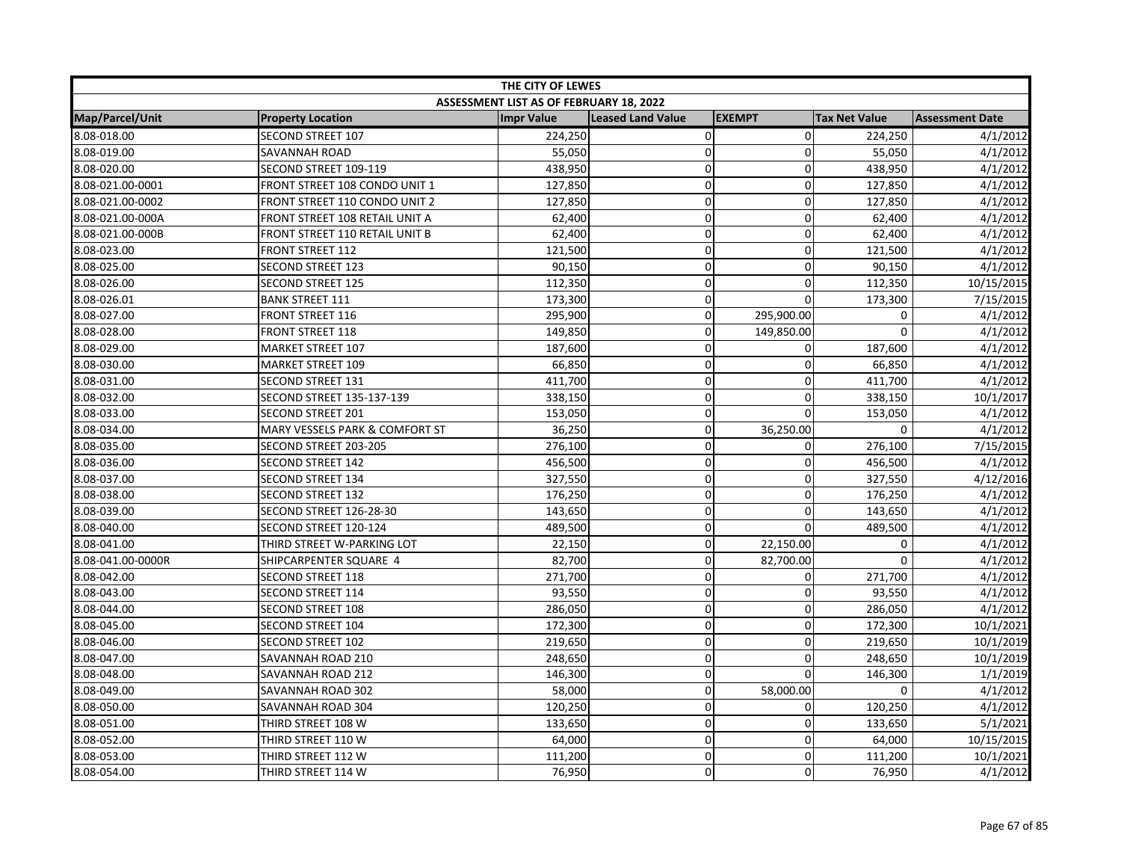| THE CITY OF LEWES |                                  |                                         |                          |                |                      |                        |  |
|-------------------|----------------------------------|-----------------------------------------|--------------------------|----------------|----------------------|------------------------|--|
|                   |                                  | ASSESSMENT LIST AS OF FEBRUARY 18, 2022 |                          |                |                      |                        |  |
| Map/Parcel/Unit   | <b>Property Location</b>         | <b>Impr Value</b>                       | <b>Leased Land Value</b> | <b>EXEMPT</b>  | <b>Tax Net Value</b> | <b>Assessment Date</b> |  |
| 8.08-018.00       | <b>SECOND STREET 107</b>         | 224,250                                 | $\pmb{0}$                | $\overline{0}$ | 224,250              | 4/1/2012               |  |
| 8.08-019.00       | SAVANNAH ROAD                    | 55,050                                  | 0                        | 0              | 55,050               | 4/1/2012               |  |
| 8.08-020.00       | SECOND STREET 109-119            | 438,950                                 | 0                        | $\Omega$       | 438,950              | 4/1/2012               |  |
| 8.08-021.00-0001  | FRONT STREET 108 CONDO UNIT 1    | 127,850                                 | 0                        | $\mathbf 0$    | 127,850              | 4/1/2012               |  |
| 8.08-021.00-0002  | FRONT STREET 110 CONDO UNIT 2    | 127,850                                 | 0                        | $\mathbf{0}$   | 127,850              | 4/1/2012               |  |
| 8.08-021.00-000A  | FRONT STREET 108 RETAIL UNIT A   | 62,400                                  | 0                        | $\mathbf{0}$   | 62,400               | 4/1/2012               |  |
| 8.08-021.00-000B  | FRONT STREET 110 RETAIL UNIT B   | 62,400                                  | 0                        | $\mathbf 0$    | 62,400               | 4/1/2012               |  |
| 8.08-023.00       | <b>FRONT STREET 112</b>          | 121,500                                 | $\overline{0}$           | 0              | 121,500              | 4/1/2012               |  |
| 8.08-025.00       | <b>SECOND STREET 123</b>         | 90,150                                  | 0                        | $\mathbf 0$    | 90,150               | 4/1/2012               |  |
| 8.08-026.00       | <b>SECOND STREET 125</b>         | 112,350                                 | 0                        | $\mathbf 0$    | 112,350              | 10/15/2015             |  |
| 8.08-026.01       | <b>BANK STREET 111</b>           | 173,300                                 | $\mathbf 0$              | $\Omega$       | 173,300              | 7/15/2015              |  |
| 8.08-027.00       | <b>FRONT STREET 116</b>          | 295,900                                 | $\mathbf 0$              | 295,900.00     | 0                    | 4/1/2012               |  |
| 8.08-028.00       | <b>FRONT STREET 118</b>          | 149,850                                 | 0                        | 149,850.00     | $\Omega$             | 4/1/2012               |  |
| 8.08-029.00       | <b>MARKET STREET 107</b>         | 187,600                                 | 0                        | 0              | 187,600              | 4/1/2012               |  |
| 8.08-030.00       | <b>MARKET STREET 109</b>         | 66,850                                  | 0                        | 0              | 66,850               | 4/1/2012               |  |
| 8.08-031.00       | <b>SECOND STREET 131</b>         | 411,700                                 | 0                        | $\mathbf 0$    | 411,700              | 4/1/2012               |  |
| 8.08-032.00       | <b>SECOND STREET 135-137-139</b> | 338,150                                 | 0                        | $\mathbf 0$    | 338,150              | 10/1/2017              |  |
| 8.08-033.00       | <b>SECOND STREET 201</b>         | 153,050                                 | 0                        | $\Omega$       | 153,050              | 4/1/2012               |  |
| 8.08-034.00       | MARY VESSELS PARK & COMFORT ST   | 36,250                                  | 0                        | 36,250.00      | $\Omega$             | 4/1/2012               |  |
| 8.08-035.00       | SECOND STREET 203-205            | 276,100                                 | 0                        | 0              | 276,100              | 7/15/2015              |  |
| 8.08-036.00       | <b>SECOND STREET 142</b>         | 456,500                                 | 0                        | $\mathbf 0$    | 456,500              | 4/1/2012               |  |
| 8.08-037.00       | <b>SECOND STREET 134</b>         | 327,550                                 | $\mathbf 0$              | 0              | 327,550              | 4/12/2016              |  |
| 8.08-038.00       | <b>SECOND STREET 132</b>         | 176,250                                 | 0                        | 0              | 176,250              | 4/1/2012               |  |
| 8.08-039.00       | SECOND STREET 126-28-30          | 143,650                                 | 0                        | $\mathbf 0$    | 143,650              | 4/1/2012               |  |
| 8.08-040.00       | SECOND STREET 120-124            | 489,500                                 | 0                        | $\Omega$       | 489,500              | 4/1/2012               |  |
| 8.08-041.00       | THIRD STREET W-PARKING LOT       | 22,150                                  | 0                        | 22,150.00      | 0                    | 4/1/2012               |  |
| 8.08-041.00-0000R | SHIPCARPENTER SQUARE 4           | 82,700                                  | $\mathbf 0$              | 82,700.00      | $\Omega$             | 4/1/2012               |  |
| 8.08-042.00       | <b>SECOND STREET 118</b>         | 271,700                                 | 0                        | 0              | 271,700              | 4/1/2012               |  |
| 8.08-043.00       | <b>SECOND STREET 114</b>         | 93,550                                  | $\mathbf 0$              | 0              | 93,550               | 4/1/2012               |  |
| 8.08-044.00       | <b>SECOND STREET 108</b>         | 286,050                                 | 0                        | $\mathbf{0}$   | 286,050              | 4/1/2012               |  |
| 8.08-045.00       | <b>SECOND STREET 104</b>         | 172,300                                 | 0                        | $\mathbf 0$    | 172,300              | 10/1/2021              |  |
| 8.08-046.00       | <b>SECOND STREET 102</b>         | 219,650                                 | 0                        | $\mathbf 0$    | 219,650              | 10/1/2019              |  |
| 8.08-047.00       | SAVANNAH ROAD 210                | 248,650                                 | 0                        | $\mathbf 0$    | 248,650              | 10/1/2019              |  |
| 8.08-048.00       | SAVANNAH ROAD 212                | 146,300                                 | 0                        | 0              | 146,300              | 1/1/2019               |  |
| 8.08-049.00       | SAVANNAH ROAD 302                | 58,000                                  | 0                        | 58,000.00      | $\Omega$             | 4/1/2012               |  |
| 8.08-050.00       | SAVANNAH ROAD 304                | 120,250                                 | $\mathbf 0$              | 0              | 120,250              | 4/1/2012               |  |
| 8.08-051.00       | THIRD STREET 108 W               | 133,650                                 | 0                        | $\mathbf{0}$   | 133,650              | 5/1/2021               |  |
| 8.08-052.00       | THIRD STREET 110 W               | 64,000                                  | 0                        | $\mathbf{0}$   | 64,000               | 10/15/2015             |  |
| 8.08-053.00       | THIRD STREET 112 W               | 111,200                                 | 0                        | $\mathbf{0}$   | 111,200              | 10/1/2021              |  |
| 8.08-054.00       | THIRD STREET 114 W               | 76,950                                  | 0                        | 0              | 76,950               | 4/1/2012               |  |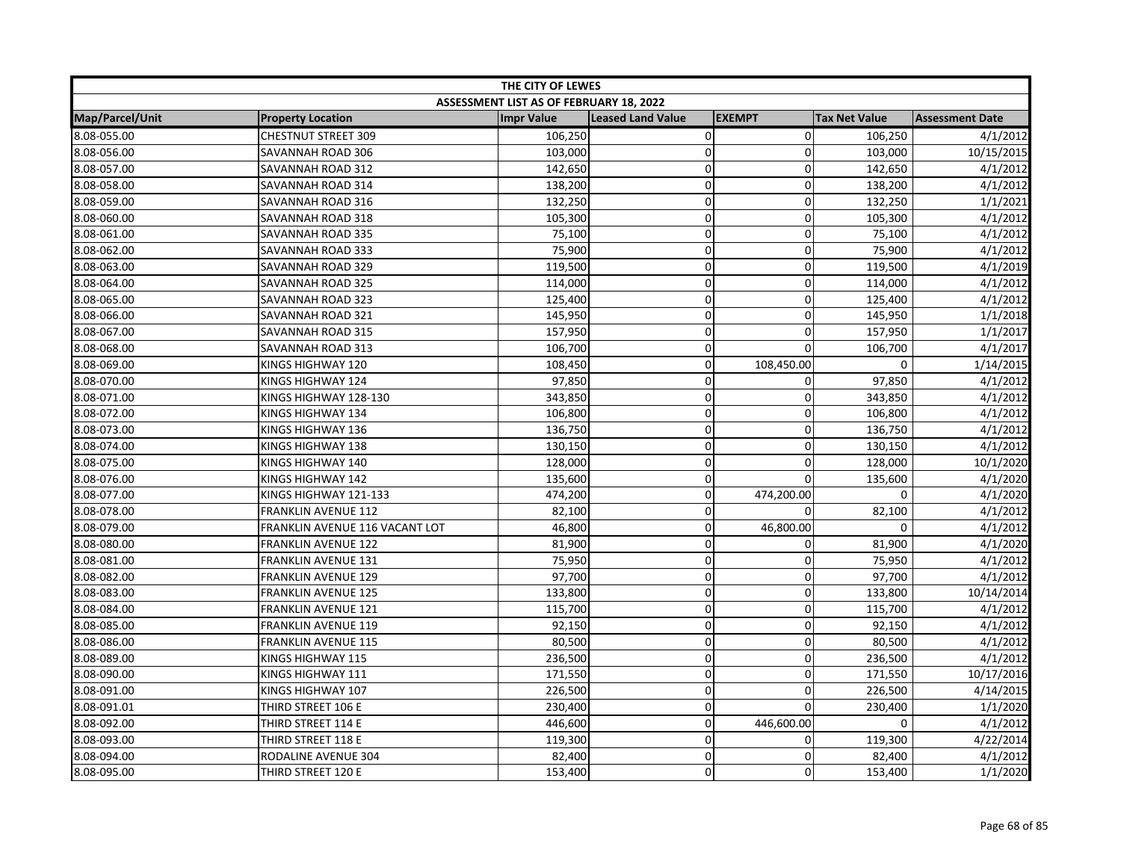| THE CITY OF LEWES |                                |                                         |                          |                |                      |                        |  |
|-------------------|--------------------------------|-----------------------------------------|--------------------------|----------------|----------------------|------------------------|--|
|                   |                                | ASSESSMENT LIST AS OF FEBRUARY 18, 2022 |                          |                |                      |                        |  |
| Map/Parcel/Unit   | <b>Property Location</b>       | <b>Impr Value</b>                       | <b>Leased Land Value</b> | <b>EXEMPT</b>  | <b>Tax Net Value</b> | <b>Assessment Date</b> |  |
| 8.08-055.00       | CHESTNUT STREET 309            | 106,250                                 | $\pmb{0}$                | $\overline{0}$ | 106,250              | 4/1/2012               |  |
| 8.08-056.00       | SAVANNAH ROAD 306              | 103,000                                 | $\mathbf 0$              | 0              | 103,000              | 10/15/2015             |  |
| 8.08-057.00       | SAVANNAH ROAD 312              | 142,650                                 | 0                        | $\Omega$       | 142,650              | 4/1/2012               |  |
| 8.08-058.00       | SAVANNAH ROAD 314              | 138,200                                 | 0                        | 0              | 138,200              | 4/1/2012               |  |
| 8.08-059.00       | SAVANNAH ROAD 316              | 132,250                                 | 0                        | $\mathbf{0}$   | 132,250              | 1/1/2021               |  |
| 8.08-060.00       | SAVANNAH ROAD 318              | 105,300                                 | 0                        | $\mathbf 0$    | 105,300              | 4/1/2012               |  |
| 8.08-061.00       | SAVANNAH ROAD 335              | 75,100                                  | 0                        | $\mathbf 0$    | 75,100               | 4/1/2012               |  |
| 8.08-062.00       | SAVANNAH ROAD 333              | 75,900                                  | $\mathbf 0$              | 0              | 75,900               | 4/1/2012               |  |
| 8.08-063.00       | SAVANNAH ROAD 329              | 119,500                                 | 0                        | $\mathbf 0$    | 119,500              | 4/1/2019               |  |
| 8.08-064.00       | SAVANNAH ROAD 325              | 114,000                                 | 0                        | $\mathbf 0$    | 114,000              | 4/1/2012               |  |
| 8.08-065.00       | SAVANNAH ROAD 323              | 125,400                                 | $\mathbf 0$              | 0              | 125,400              | 4/1/2012               |  |
| 8.08-066.00       | SAVANNAH ROAD 321              | 145,950                                 | $\mathbf 0$              | $\Omega$       | 145,950              | 1/1/2018               |  |
| 8.08-067.00       | SAVANNAH ROAD 315              | 157,950                                 | 0                        | $\mathbf 0$    | 157,950              | 1/1/2017               |  |
| 8.08-068.00       | SAVANNAH ROAD 313              | 106,700                                 | 0                        | $\mathbf 0$    | 106,700              | 4/1/2017               |  |
| 8.08-069.00       | KINGS HIGHWAY 120              | 108,450                                 | 0                        | 108,450.00     | 0                    | 1/14/2015              |  |
| 8.08-070.00       | KINGS HIGHWAY 124              | 97,850                                  | 0                        | $\mathbf 0$    | 97,850               | 4/1/2012               |  |
| 8.08-071.00       | KINGS HIGHWAY 128-130          | 343,850                                 | 0                        | $\mathbf 0$    | 343,850              | 4/1/2012               |  |
| 8.08-072.00       | KINGS HIGHWAY 134              | 106,800                                 | 0                        | 0              | 106,800              | 4/1/2012               |  |
| 8.08-073.00       | KINGS HIGHWAY 136              | 136,750                                 | 0                        | $\Omega$       | 136,750              | 4/1/2012               |  |
| 8.08-074.00       | KINGS HIGHWAY 138              | 130,150                                 | $\mathbf 0$              | 0              | 130,150              | 4/1/2012               |  |
| 8.08-075.00       | KINGS HIGHWAY 140              | 128,000                                 | 0                        | $\mathbf 0$    | 128,000              | 10/1/2020              |  |
| 8.08-076.00       | KINGS HIGHWAY 142              | 135,600                                 | 0                        | $\Omega$       | 135,600              | 4/1/2020               |  |
| 8.08-077.00       | KINGS HIGHWAY 121-133          | 474,200                                 | 0                        | 474,200.00     | $\mathbf 0$          | 4/1/2020               |  |
| 8.08-078.00       | FRANKLIN AVENUE 112            | 82,100                                  | 0                        | $\mathbf 0$    | 82,100               | 4/1/2012               |  |
| 8.08-079.00       | FRANKLIN AVENUE 116 VACANT LOT | 46,800                                  | 0                        | 46,800.00      | 0                    | 4/1/2012               |  |
| 8.08-080.00       | <b>FRANKLIN AVENUE 122</b>     | 81,900                                  | $\mathbf 0$              | $\mathbf 0$    | 81,900               | 4/1/2020               |  |
| 8.08-081.00       | FRANKLIN AVENUE 131            | 75,950                                  | $\mathbf 0$              | $\mathbf 0$    | 75,950               | 4/1/2012               |  |
| 8.08-082.00       | <b>FRANKLIN AVENUE 129</b>     | 97,700                                  | 0                        | $\mathbf 0$    | 97,700               | 4/1/2012               |  |
| 8.08-083.00       | <b>FRANKLIN AVENUE 125</b>     | 133,800                                 | $\mathbf 0$              | 0              | 133,800              | 10/14/2014             |  |
| 8.08-084.00       | <b>FRANKLIN AVENUE 121</b>     | 115,700                                 | 0                        | $\mathbf 0$    | 115,700              | 4/1/2012               |  |
| 8.08-085.00       | <b>FRANKLIN AVENUE 119</b>     | 92,150                                  | 0                        | $\mathbf 0$    | 92,150               | 4/1/2012               |  |
| 8.08-086.00       | <b>FRANKLIN AVENUE 115</b>     | 80,500                                  | 0                        | $\mathbf 0$    | 80,500               | 4/1/2012               |  |
| 8.08-089.00       | KINGS HIGHWAY 115              | 236,500                                 | 0                        | $\mathbf 0$    | 236,500              | 4/1/2012               |  |
| 8.08-090.00       | KINGS HIGHWAY 111              | 171,550                                 | 0                        | 0              | 171,550              | 10/17/2016             |  |
| 8.08-091.00       | KINGS HIGHWAY 107              | 226,500                                 | 0                        | $\mathbf 0$    | 226,500              | 4/14/2015              |  |
| 8.08-091.01       | THIRD STREET 106 E             | 230,400                                 | $\mathbf 0$              | $\overline{0}$ | 230,400              | 1/1/2020               |  |
| 8.08-092.00       | THIRD STREET 114 E             | 446,600                                 | 0                        | 446,600.00     | 0                    | 4/1/2012               |  |
| 8.08-093.00       | THIRD STREET 118 E             | 119,300                                 | 0                        | 0              | 119,300              | 4/22/2014              |  |
| 8.08-094.00       | RODALINE AVENUE 304            | 82,400                                  | 0                        | $\mathbf 0$    | 82,400               | 4/1/2012               |  |
| 8.08-095.00       | THIRD STREET 120 E             | 153,400                                 | 0                        | $\mathbf 0$    | 153,400              | 1/1/2020               |  |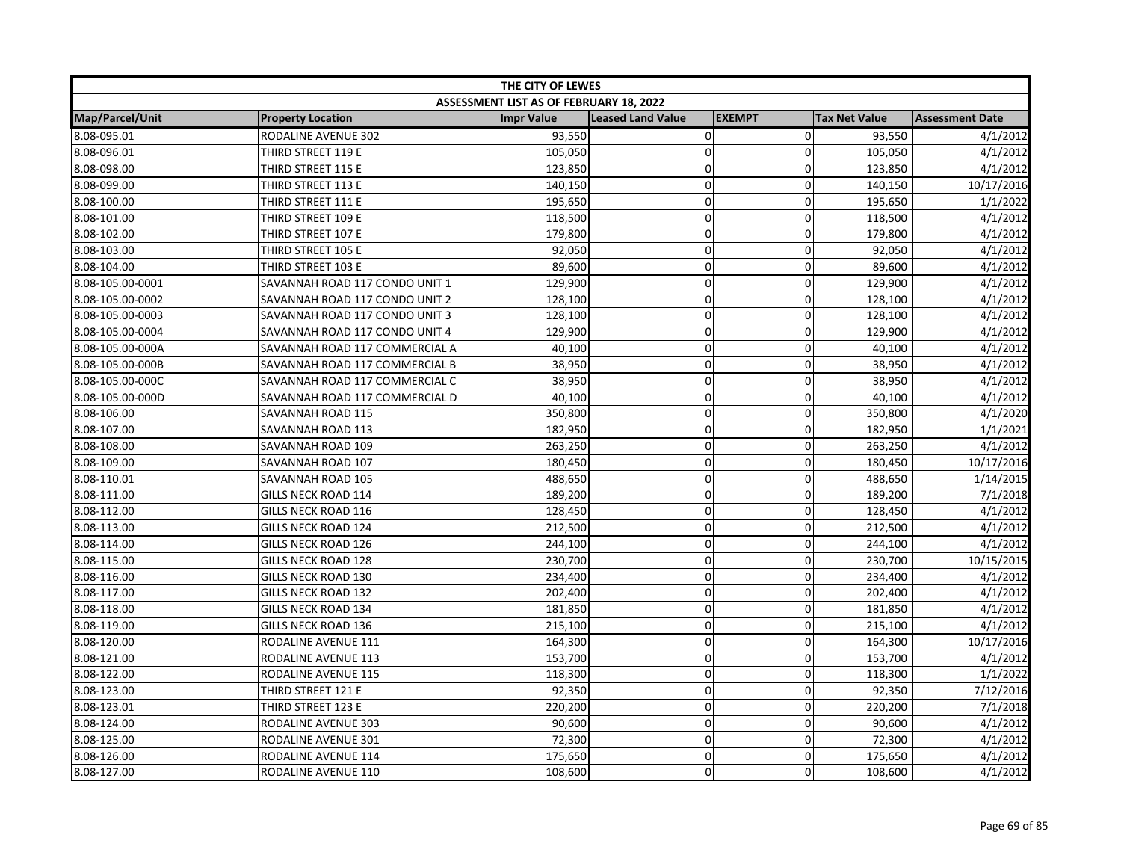| THE CITY OF LEWES |                                |                                         |                          |               |                      |                        |  |
|-------------------|--------------------------------|-----------------------------------------|--------------------------|---------------|----------------------|------------------------|--|
|                   |                                | ASSESSMENT LIST AS OF FEBRUARY 18, 2022 |                          |               |                      |                        |  |
| Map/Parcel/Unit   | <b>Property Location</b>       | <b>Impr Value</b>                       | <b>Leased Land Value</b> | <b>EXEMPT</b> | <b>Tax Net Value</b> | <b>Assessment Date</b> |  |
| 8.08-095.01       | <b>RODALINE AVENUE 302</b>     | 93,550                                  | $\pmb{0}$                | $\mathbf 0$   | 93,550               | 4/1/2012               |  |
| 8.08-096.01       | THIRD STREET 119 E             | 105,050                                 | 0                        | 0             | 105,050              | 4/1/2012               |  |
| 8.08-098.00       | THIRD STREET 115 E             | 123,850                                 | 0                        | $\Omega$      | 123,850              | 4/1/2012               |  |
| 8.08-099.00       | THIRD STREET 113 E             | 140,150                                 | 0                        | 0             | 140,150              | 10/17/2016             |  |
| 8.08-100.00       | THIRD STREET 111 E             | 195,650                                 | 0                        | $\mathbf{0}$  | 195,650              | 1/1/2022               |  |
| 8.08-101.00       | THIRD STREET 109 E             | 118,500                                 | 0                        | $\mathbf 0$   | 118,500              | 4/1/2012               |  |
| 8.08-102.00       | THIRD STREET 107 E             | 179,800                                 | $\mathbf 0$              | $\mathbf 0$   | 179,800              | 4/1/2012               |  |
| 8.08-103.00       | THIRD STREET 105 E             | 92,050                                  | $\mathbf 0$              | 0             | 92,050               | 4/1/2012               |  |
| 8.08-104.00       | THIRD STREET 103 E             | 89,600                                  | 0                        | $\mathbf 0$   | 89,600               | 4/1/2012               |  |
| 8.08-105.00-0001  | SAVANNAH ROAD 117 CONDO UNIT 1 | 129,900                                 | 0                        | $\mathbf 0$   | 129,900              | 4/1/2012               |  |
| 8.08-105.00-0002  | SAVANNAH ROAD 117 CONDO UNIT 2 | 128,100                                 | $\mathbf 0$              | 0             | 128,100              | 4/1/2012               |  |
| 8.08-105.00-0003  | SAVANNAH ROAD 117 CONDO UNIT 3 | 128,100                                 | $\mathbf 0$              | $\Omega$      | 128,100              | 4/1/2012               |  |
| 8.08-105.00-0004  | SAVANNAH ROAD 117 CONDO UNIT 4 | 129,900                                 | 0                        | $\mathbf 0$   | 129,900              | 4/1/2012               |  |
| 8.08-105.00-000A  | SAVANNAH ROAD 117 COMMERCIAL A | 40,100                                  | $\mathbf 0$              | $\mathbf 0$   | 40,100               | 4/1/2012               |  |
| 8.08-105.00-000B  | SAVANNAH ROAD 117 COMMERCIAL B | 38,950                                  | 0                        | 0             | 38,950               | 4/1/2012               |  |
| 8.08-105.00-000C  | SAVANNAH ROAD 117 COMMERCIAL C | 38,950                                  | 0                        | $\mathbf 0$   | 38,950               | 4/1/2012               |  |
| 8.08-105.00-000D  | SAVANNAH ROAD 117 COMMERCIAL D | 40,100                                  | 0                        | $\mathbf 0$   | 40,100               | 4/1/2012               |  |
| 8.08-106.00       | SAVANNAH ROAD 115              | 350,800                                 | 0                        | $\mathbf 0$   | 350,800              | 4/1/2020               |  |
| 8.08-107.00       | SAVANNAH ROAD 113              | 182,950                                 | 0                        | $\mathbf 0$   | 182,950              | 1/1/2021               |  |
| 8.08-108.00       | SAVANNAH ROAD 109              | 263,250                                 | $\mathbf 0$              | 0             | 263,250              | 4/1/2012               |  |
| 8.08-109.00       | SAVANNAH ROAD 107              | 180,450                                 | 0                        | $\mathbf 0$   | 180,450              | 10/17/2016             |  |
| 8.08-110.01       | SAVANNAH ROAD 105              | 488,650                                 | $\mathbf 0$              | $\mathbf{0}$  | 488,650              | 1/14/2015              |  |
| 8.08-111.00       | <b>GILLS NECK ROAD 114</b>     | 189,200                                 | 0                        | 0             | 189,200              | 7/1/2018               |  |
| 8.08-112.00       | GILLS NECK ROAD 116            | 128,450                                 | 0                        | $\mathbf 0$   | 128,450              | 4/1/2012               |  |
| 8.08-113.00       | <b>GILLS NECK ROAD 124</b>     | 212,500                                 | 0                        | $\mathbf 0$   | 212,500              | 4/1/2012               |  |
| 8.08-114.00       | <b>GILLS NECK ROAD 126</b>     | 244,100                                 | 0                        | $\mathbf 0$   | 244,100              | 4/1/2012               |  |
| 8.08-115.00       | <b>GILLS NECK ROAD 128</b>     | 230,700                                 | $\mathbf 0$              | 0             | 230,700              | 10/15/2015             |  |
| 8.08-116.00       | <b>GILLS NECK ROAD 130</b>     | 234,400                                 | 0                        | $\mathbf 0$   | 234,400              | 4/1/2012               |  |
| 8.08-117.00       | <b>GILLS NECK ROAD 132</b>     | 202,400                                 | $\mathbf 0$              | 0             | 202,400              | 4/1/2012               |  |
| 8.08-118.00       | <b>GILLS NECK ROAD 134</b>     | 181,850                                 | 0                        | $\mathbf 0$   | 181,850              | 4/1/2012               |  |
| 8.08-119.00       | <b>GILLS NECK ROAD 136</b>     | 215,100                                 | 0                        | $\mathbf 0$   | 215,100              | 4/1/2012               |  |
| 8.08-120.00       | RODALINE AVENUE 111            | 164,300                                 | 0                        | 0             | 164,300              | 10/17/2016             |  |
| 8.08-121.00       | RODALINE AVENUE 113            | 153,700                                 | 0                        | 0             | 153,700              | 4/1/2012               |  |
| 8.08-122.00       | RODALINE AVENUE 115            | 118,300                                 | 0                        | 0             | 118,300              | 1/1/2022               |  |
| 8.08-123.00       | THIRD STREET 121 E             | 92,350                                  | 0                        | $\mathbf 0$   | 92,350               | 7/12/2016              |  |
| 8.08-123.01       | THIRD STREET 123 E             | 220,200                                 | $\mathbf 0$              | 0             | 220,200              | 7/1/2018               |  |
| 8.08-124.00       | RODALINE AVENUE 303            | 90,600                                  | 0                        | $\mathbf 0$   | 90,600               | 4/1/2012               |  |
| 8.08-125.00       | RODALINE AVENUE 301            | 72,300                                  | 0                        | $\mathbf{0}$  | 72,300               | 4/1/2012               |  |
| 8.08-126.00       | RODALINE AVENUE 114            | 175,650                                 | 0                        | $\mathbf 0$   | 175,650              | 4/1/2012               |  |
| 8.08-127.00       | RODALINE AVENUE 110            | 108,600                                 | 0                        | $\mathbf 0$   | 108,600              | 4/1/2012               |  |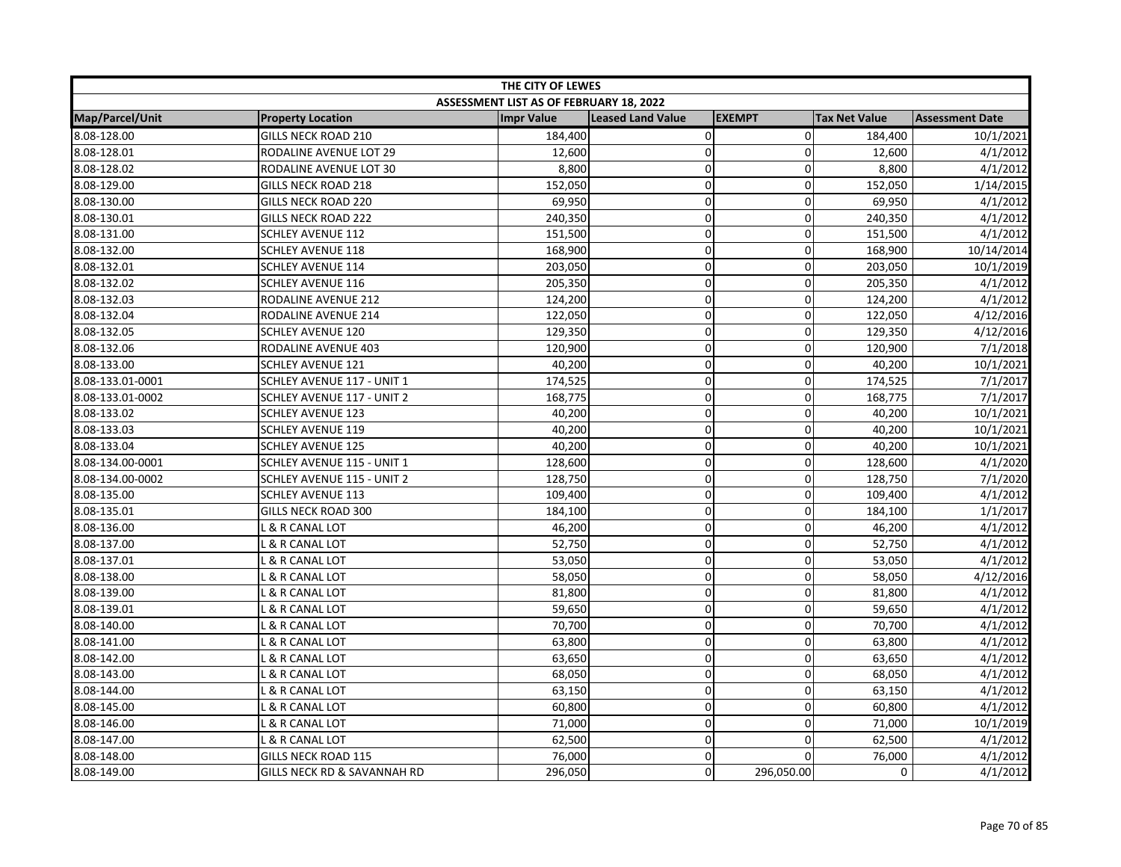| THE CITY OF LEWES |                                   |                                         |                          |               |                      |                        |  |
|-------------------|-----------------------------------|-----------------------------------------|--------------------------|---------------|----------------------|------------------------|--|
|                   |                                   | ASSESSMENT LIST AS OF FEBRUARY 18, 2022 |                          |               |                      |                        |  |
| Map/Parcel/Unit   | <b>Property Location</b>          | <b>Impr Value</b>                       | <b>Leased Land Value</b> | <b>EXEMPT</b> | <b>Tax Net Value</b> | <b>Assessment Date</b> |  |
| 8.08-128.00       | <b>GILLS NECK ROAD 210</b>        | 184,400                                 | $\pmb{0}$                | $\mathbf 0$   | 184,400              | 10/1/2021              |  |
| 8.08-128.01       | RODALINE AVENUE LOT 29            | 12,600                                  | $\mathbf 0$              | $\Omega$      | 12,600               | 4/1/2012               |  |
| 8.08-128.02       | RODALINE AVENUE LOT 30            | 8,800                                   | $\pmb{0}$                | $\mathbf 0$   | 8,800                | 4/1/2012               |  |
| 8.08-129.00       | <b>GILLS NECK ROAD 218</b>        | 152,050                                 | $\mathbf 0$              | $\mathbf 0$   | 152,050              | 1/14/2015              |  |
| 8.08-130.00       | <b>GILLS NECK ROAD 220</b>        | 69,950                                  | $\pmb{0}$                | $\Omega$      | 69,950               | 4/1/2012               |  |
| 8.08-130.01       | <b>GILLS NECK ROAD 222</b>        | 240,350                                 | $\mathbf 0$              | $\Omega$      | 240,350              | 4/1/2012               |  |
| 8.08-131.00       | SCHLEY AVENUE 112                 | 151,500                                 | $\pmb{0}$                | 0             | 151,500              | 4/1/2012               |  |
| 8.08-132.00       | <b>SCHLEY AVENUE 118</b>          | 168,900                                 | $\overline{0}$           | 0             | 168,900              | 10/14/2014             |  |
| 8.08-132.01       | <b>SCHLEY AVENUE 114</b>          | 203,050                                 | $\pmb{0}$                | 0             | 203,050              | 10/1/2019              |  |
| 8.08-132.02       | <b>SCHLEY AVENUE 116</b>          | 205,350                                 | $\mathbf 0$              | $\mathbf 0$   | 205,350              | 4/1/2012               |  |
| 8.08-132.03       | RODALINE AVENUE 212               | 124,200                                 | $\mathbf 0$              | 0             | 124,200              | 4/1/2012               |  |
| 8.08-132.04       | RODALINE AVENUE 214               | 122,050                                 | $\pmb{0}$                | $\Omega$      | 122,050              | 4/12/2016              |  |
| 8.08-132.05       | <b>SCHLEY AVENUE 120</b>          | 129,350                                 | $\mathbf 0$              | 0             | 129,350              | 4/12/2016              |  |
| 8.08-132.06       | RODALINE AVENUE 403               | 120,900                                 | $\mathbf 0$              | $\mathbf 0$   | 120,900              | 7/1/2018               |  |
| 8.08-133.00       | <b>SCHLEY AVENUE 121</b>          | 40,200                                  | $\Omega$                 | $\Omega$      | 40,200               | 10/1/2021              |  |
| 8.08-133.01-0001  | SCHLEY AVENUE 117 - UNIT 1        | 174,525                                 | $\mathbf 0$              | 0             | 174,525              | 7/1/2017               |  |
| 8.08-133.01-0002  | SCHLEY AVENUE 117 - UNIT 2        | 168,775                                 | $\mathbf 0$              | $\mathbf 0$   | 168,775              | 7/1/2017               |  |
| 8.08-133.02       | <b>SCHLEY AVENUE 123</b>          | 40,200                                  | $\pmb{0}$                | 0             | 40,200               | 10/1/2021              |  |
| 8.08-133.03       | <b>SCHLEY AVENUE 119</b>          | 40,200                                  | $\mathbf 0$              | 0             | 40,200               | 10/1/2021              |  |
| 8.08-133.04       | <b>SCHLEY AVENUE 125</b>          | 40,200                                  | $\mathbf 0$              | $\mathbf 0$   | 40,200               | 10/1/2021              |  |
| 8.08-134.00-0001  | SCHLEY AVENUE 115 - UNIT 1        | 128,600                                 | $\mathbf 0$              | $\mathbf 0$   | 128,600              | 4/1/2020               |  |
| 8.08-134.00-0002  | <b>SCHLEY AVENUE 115 - UNIT 2</b> | 128,750                                 | $\overline{0}$           | $\Omega$      | 128,750              | 7/1/2020               |  |
| 8.08-135.00       | <b>SCHLEY AVENUE 113</b>          | 109,400                                 | $\pmb{0}$                | 0             | 109,400              | 4/1/2012               |  |
| 8.08-135.01       | <b>GILLS NECK ROAD 300</b>        | 184,100                                 | $\mathbf 0$              | 0             | 184,100              | 1/1/2017               |  |
| 8.08-136.00       | . & R CANAL LOT                   | 46,200                                  | $\overline{0}$           | 0             | 46,200               | 4/1/2012               |  |
| 8.08-137.00       | L & R CANAL LOT                   | 52,750                                  | $\mathbf 0$              | $\mathbf 0$   | 52,750               | 4/1/2012               |  |
| 8.08-137.01       | L & R CANAL LOT                   | 53,050                                  | $\mathbf 0$              | 0             | 53,050               | 4/1/2012               |  |
| 8.08-138.00       | . & R CANAL LOT                   | 58,050                                  | $\mathbf 0$              | $\mathbf 0$   | 58,050               | 4/12/2016              |  |
| 8.08-139.00       | & R CANAL LOT                     | 81,800                                  | $\mathbf 0$              | $\Omega$      | 81,800               | 4/1/2012               |  |
| 8.08-139.01       | . & R CANAL LOT                   | 59,650                                  | $\mathbf 0$              | $\Omega$      | 59,650               | 4/1/2012               |  |
| 8.08-140.00       | . & R CANAL LOT                   | 70,700                                  | $\pmb{0}$                | $\Omega$      | 70,700               | 4/1/2012               |  |
| 8.08-141.00       | & R CANAL LOT                     | 63,800                                  | $\pmb{0}$                | 0             | 63,800               | 4/1/2012               |  |
| 8.08-142.00       | <b>&amp; R CANAL LOT</b>          | 63,650                                  | $\mathbf 0$              | 0             | 63,650               | 4/1/2012               |  |
| 8.08-143.00       | L & R CANAL LOT                   | 68,050                                  | $\pmb{0}$                | $\mathbf 0$   | 68,050               | 4/1/2012               |  |
| 8.08-144.00       | & R CANAL LOT                     | 63,150                                  | $\mathbf 0$              | $\mathbf 0$   | 63,150               | 4/1/2012               |  |
| 8.08-145.00       | L & R CANAL LOT                   | 60,800                                  | $\mathbf 0$              | 0             | 60,800               | 4/1/2012               |  |
| 8.08-146.00       | <b>&amp; R CANAL LOT</b>          | 71,000                                  | $\pmb{0}$                | $\mathbf 0$   | 71,000               | 10/1/2019              |  |
| 8.08-147.00       | L & R CANAL LOT                   | 62,500                                  | $\pmb{0}$                | 0             | 62,500               | 4/1/2012               |  |
| 8.08-148.00       | GILLS NECK ROAD 115               | 76,000                                  | $\mathbf 0$              | $\Omega$      | 76,000               | 4/1/2012               |  |
| 8.08-149.00       | GILLS NECK RD & SAVANNAH RD       | 296,050                                 | $\Omega$                 | 296,050.00    | 0                    | 4/1/2012               |  |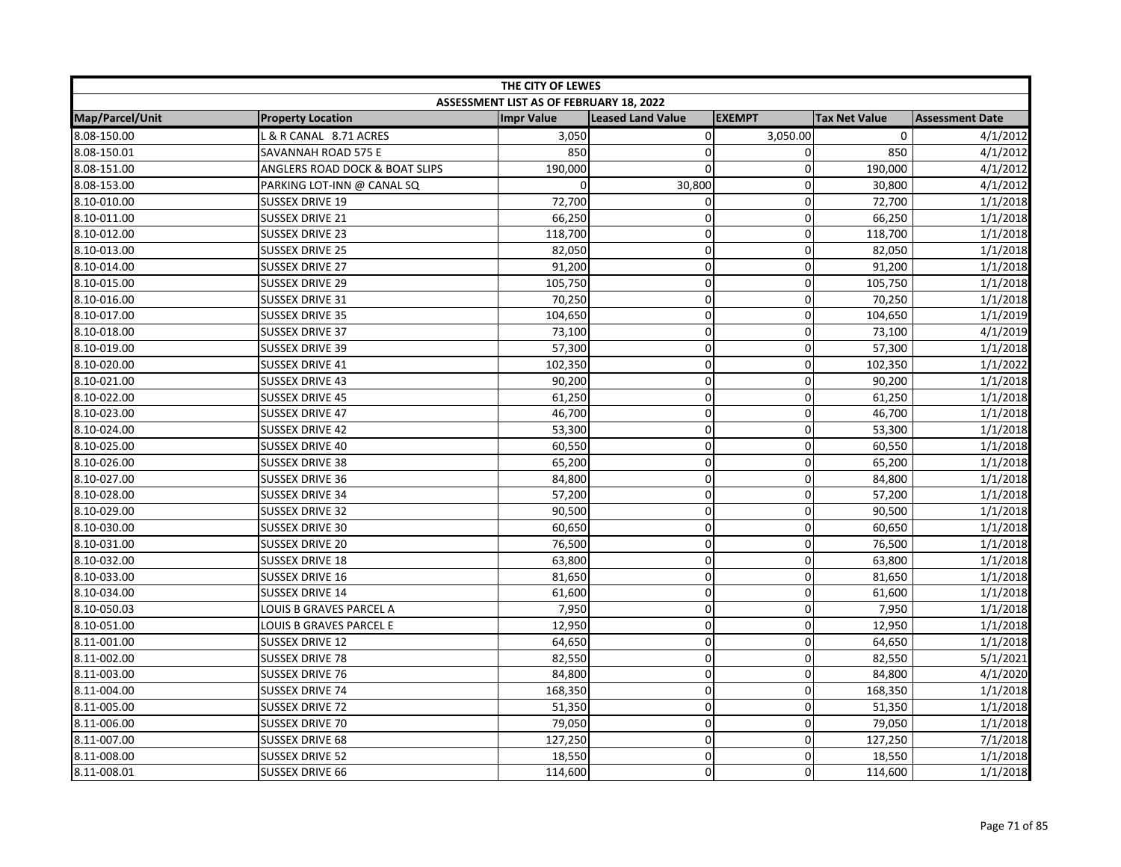| THE CITY OF LEWES |                                |                                         |                          |               |                      |                        |  |
|-------------------|--------------------------------|-----------------------------------------|--------------------------|---------------|----------------------|------------------------|--|
|                   |                                | ASSESSMENT LIST AS OF FEBRUARY 18, 2022 |                          |               |                      |                        |  |
| Map/Parcel/Unit   | <b>Property Location</b>       | <b>Impr Value</b>                       | <b>Leased Land Value</b> | <b>EXEMPT</b> | <b>Tax Net Value</b> | <b>Assessment Date</b> |  |
| 8.08-150.00       | L & R CANAL 8.71 ACRES         | 3,050                                   | $\mathbf 0$              | 3,050.00      | $\mathbf 0$          | 4/1/2012               |  |
| 8.08-150.01       | SAVANNAH ROAD 575 E            | 850                                     | 0                        | 0             | 850                  | 4/1/2012               |  |
| 8.08-151.00       | ANGLERS ROAD DOCK & BOAT SLIPS | 190,000                                 | $\overline{0}$           | $\Omega$      | 190,000              | 4/1/2012               |  |
| 8.08-153.00       | PARKING LOT-INN @ CANAL SQ     |                                         | 30,800                   | 0             | 30,800               | 4/1/2012               |  |
| 8.10-010.00       | <b>SUSSEX DRIVE 19</b>         | 72,700                                  | 0                        | $\mathbf{0}$  | 72,700               | 1/1/2018               |  |
| 8.10-011.00       | <b>SUSSEX DRIVE 21</b>         | 66,250                                  | 0                        | $\mathbf 0$   | 66,250               | 1/1/2018               |  |
| 8.10-012.00       | <b>SUSSEX DRIVE 23</b>         | 118,700                                 | $\mathbf 0$              | $\mathbf 0$   | 118,700              | 1/1/2018               |  |
| 8.10-013.00       | <b>SUSSEX DRIVE 25</b>         | 82,050                                  | $\mathbf 0$              | 0             | 82,050               | 1/1/2018               |  |
| 8.10-014.00       | SUSSEX DRIVE 27                | 91,200                                  | 0                        | $\mathbf 0$   | 91,200               | 1/1/2018               |  |
| 8.10-015.00       | <b>SUSSEX DRIVE 29</b>         | 105,750                                 | 0                        | $\mathbf 0$   | 105,750              | 1/1/2018               |  |
| 8.10-016.00       | <b>SUSSEX DRIVE 31</b>         | 70,250                                  | $\mathbf 0$              | 0             | 70,250               | 1/1/2018               |  |
| 8.10-017.00       | <b>SUSSEX DRIVE 35</b>         | 104,650                                 | 0                        | $\Omega$      | 104,650              | 1/1/2019               |  |
| 8.10-018.00       | <b>SUSSEX DRIVE 37</b>         | 73,100                                  | 0                        | $\mathbf 0$   | 73,100               | 4/1/2019               |  |
| 8.10-019.00       | <b>SUSSEX DRIVE 39</b>         | 57,300                                  | 0                        | $\pmb{0}$     | 57,300               | 1/1/2018               |  |
| 8.10-020.00       | <b>SUSSEX DRIVE 41</b>         | 102,350                                 | 0                        | $\mathbf 0$   | 102,350              | 1/1/2022               |  |
| 8.10-021.00       | <b>SUSSEX DRIVE 43</b>         | 90,200                                  | 0                        | $\mathbf 0$   | 90,200               | 1/1/2018               |  |
| 8.10-022.00       | <b>SUSSEX DRIVE 45</b>         | 61,250                                  | 0                        | $\mathbf 0$   | 61,250               | 1/1/2018               |  |
| 8.10-023.00       | <b>SUSSEX DRIVE 47</b>         | 46,700                                  | 0                        | $\mathbf 0$   | 46,700               | 1/1/2018               |  |
| 8.10-024.00       | <b>SUSSEX DRIVE 42</b>         | 53,300                                  | 0                        | $\mathbf 0$   | 53,300               | 1/1/2018               |  |
| 8.10-025.00       | <b>SUSSEX DRIVE 40</b>         | 60,550                                  | 0                        | $\mathbf{0}$  | 60,550               | 1/1/2018               |  |
| 8.10-026.00       | <b>SUSSEX DRIVE 38</b>         | 65,200                                  | 0                        | $\mathbf 0$   | 65,200               | 1/1/2018               |  |
| 8.10-027.00       | <b>SUSSEX DRIVE 36</b>         | 84,800                                  | $\mathbf 0$              | $\mathbf{0}$  | 84,800               | 1/1/2018               |  |
| 8.10-028.00       | <b>SUSSEX DRIVE 34</b>         | 57,200                                  | 0                        | $\mathbf 0$   | 57,200               | 1/1/2018               |  |
| 8.10-029.00       | <b>SUSSEX DRIVE 32</b>         | 90,500                                  | 0                        | $\pmb{0}$     | 90,500               | 1/1/2018               |  |
| 8.10-030.00       | <b>SUSSEX DRIVE 30</b>         | 60,650                                  | 0                        | $\mathbf 0$   | 60,650               | 1/1/2018               |  |
| 8.10-031.00       | <b>SUSSEX DRIVE 20</b>         | 76,500                                  | 0                        | $\mathbf 0$   | 76,500               | 1/1/2018               |  |
| 8.10-032.00       | <b>SUSSEX DRIVE 18</b>         | 63,800                                  | $\mathbf 0$              | $\mathbf 0$   | 63,800               | 1/1/2018               |  |
| 8.10-033.00       | SUSSEX DRIVE 16                | 81,650                                  | 0                        | $\mathbf 0$   | 81,650               | 1/1/2018               |  |
| 8.10-034.00       | <b>SUSSEX DRIVE 14</b>         | 61,600                                  | $\mathbf 0$              | 0             | 61,600               | 1/1/2018               |  |
| 8.10-050.03       | LOUIS B GRAVES PARCEL A        | 7,950                                   | 0                        | $\mathbf 0$   | 7,950                | 1/1/2018               |  |
| 8.10-051.00       | LOUIS B GRAVES PARCEL E        | 12,950                                  | 0                        | $\mathbf 0$   | 12,950               | 1/1/2018               |  |
| 8.11-001.00       | SUSSEX DRIVE 12                | 64,650                                  | 0                        | $\mathbf 0$   | 64,650               | 1/1/2018               |  |
| 8.11-002.00       | <b>SUSSEX DRIVE 78</b>         | 82,550                                  | 0                        | $\mathbf 0$   | 82,550               | 5/1/2021               |  |
| 8.11-003.00       | <b>SUSSEX DRIVE 76</b>         | 84,800                                  | 0                        | 0             | 84,800               | 4/1/2020               |  |
| 8.11-004.00       | <b>SUSSEX DRIVE 74</b>         | 168,350                                 | 0                        | $\mathbf 0$   | 168,350              | 1/1/2018               |  |
| 8.11-005.00       | <b>SUSSEX DRIVE 72</b>         | 51,350                                  | $\mathbf 0$              | 0             | 51,350               | 1/1/2018               |  |
| 8.11-006.00       | SUSSEX DRIVE 70                | 79,050                                  | 0                        | $\mathbf 0$   | 79,050               | 1/1/2018               |  |
| 8.11-007.00       | <b>SUSSEX DRIVE 68</b>         | 127,250                                 | 0                        | $\mathbf 0$   | 127,250              | 7/1/2018               |  |
| 8.11-008.00       | <b>SUSSEX DRIVE 52</b>         | 18,550                                  | 0                        | $\mathbf 0$   | 18,550               | 1/1/2018               |  |
| 8.11-008.01       | <b>SUSSEX DRIVE 66</b>         | 114,600                                 | 0                        | $\mathbf 0$   | 114,600              | 1/1/2018               |  |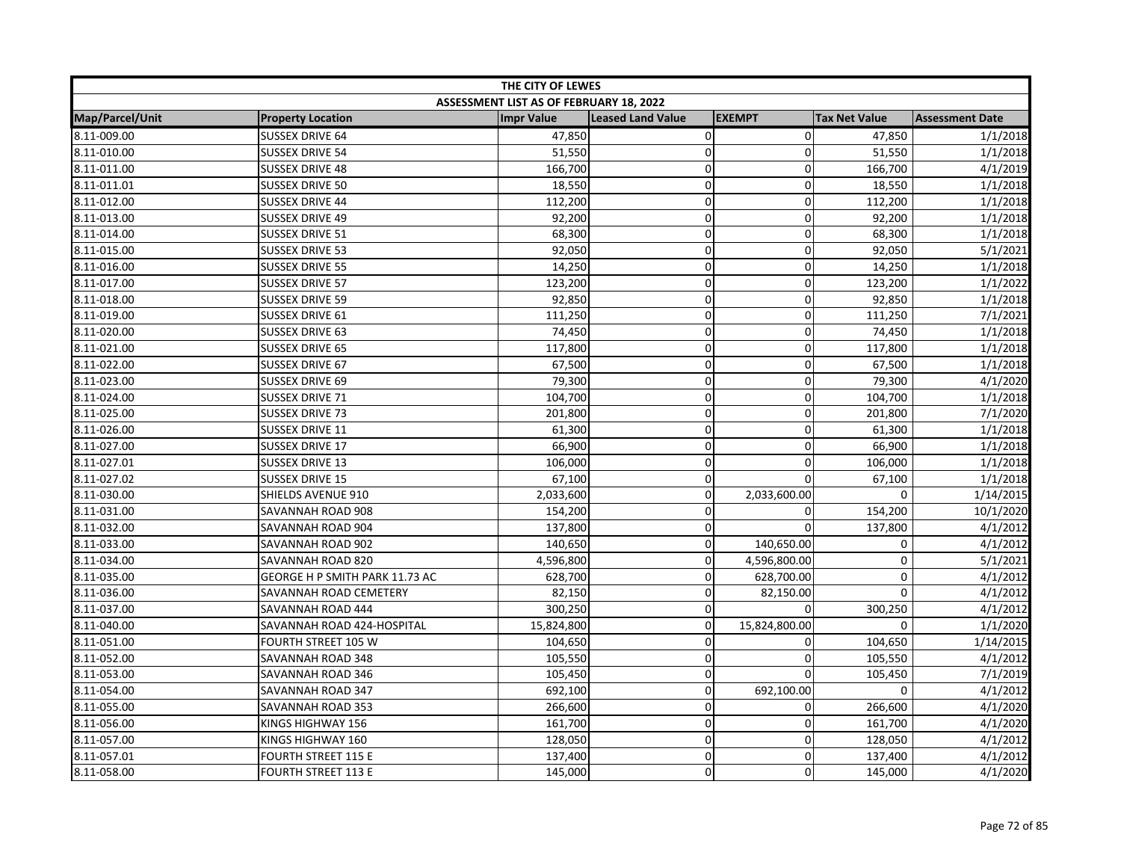| THE CITY OF LEWES |                                |                                         |                          |               |                      |                        |  |
|-------------------|--------------------------------|-----------------------------------------|--------------------------|---------------|----------------------|------------------------|--|
|                   |                                | ASSESSMENT LIST AS OF FEBRUARY 18, 2022 |                          |               |                      |                        |  |
| Map/Parcel/Unit   | <b>Property Location</b>       | <b>Impr Value</b>                       | <b>Leased Land Value</b> | <b>EXEMPT</b> | <b>Tax Net Value</b> | <b>Assessment Date</b> |  |
| 8.11-009.00       | <b>SUSSEX DRIVE 64</b>         | 47,850                                  | 0                        | $\mathbf 0$   | 47,850               | 1/1/2018               |  |
| 8.11-010.00       | <b>SUSSEX DRIVE 54</b>         | 51,550                                  | 0                        | 0             | 51,550               | 1/1/2018               |  |
| 8.11-011.00       | <b>SUSSEX DRIVE 48</b>         | 166,700                                 | 0                        | $\mathbf 0$   | 166,700              | 4/1/2019               |  |
| 8.11-011.01       | <b>SUSSEX DRIVE 50</b>         | 18,550                                  | 0                        | 0             | 18,550               | 1/1/2018               |  |
| 8.11-012.00       | <b>SUSSEX DRIVE 44</b>         | 112,200                                 | 0                        | $\mathbf 0$   | 112,200              | 1/1/2018               |  |
| 8.11-013.00       | <b>SUSSEX DRIVE 49</b>         | 92,200                                  | 0                        | 0             | 92,200               | 1/1/2018               |  |
| 8.11-014.00       | <b>SUSSEX DRIVE 51</b>         | 68,300                                  | 0                        | $\mathbf 0$   | 68,300               | 1/1/2018               |  |
| 8.11-015.00       | <b>SUSSEX DRIVE 53</b>         | 92,050                                  | 0                        | $\mathbf 0$   | 92,050               | 5/1/2021               |  |
| 8.11-016.00       | <b>SUSSEX DRIVE 55</b>         | 14,250                                  | 0                        | $\mathbf 0$   | 14,250               | 1/1/2018               |  |
| 8.11-017.00       | <b>SUSSEX DRIVE 57</b>         | 123,200                                 | 0                        | $\mathbf 0$   | 123,200              | 1/1/2022               |  |
| 8.11-018.00       | <b>SUSSEX DRIVE 59</b>         | 92,850                                  | 0                        | $\mathbf 0$   | 92,850               | 1/1/2018               |  |
| 8.11-019.00       | <b>SUSSEX DRIVE 61</b>         | 111,250                                 | 0                        | $\Omega$      | 111,250              | 7/1/2021               |  |
| 8.11-020.00       | <b>SUSSEX DRIVE 63</b>         | 74,450                                  | 0                        | 0             | 74,450               | 1/1/2018               |  |
| 8.11-021.00       | <b>SUSSEX DRIVE 65</b>         | 117,800                                 | 0                        | $\mathbf 0$   | 117,800              | 1/1/2018               |  |
| 8.11-022.00       | <b>SUSSEX DRIVE 67</b>         | 67,500                                  | 0                        | 0             | 67,500               | 1/1/2018               |  |
| 8.11-023.00       | <b>SUSSEX DRIVE 69</b>         | 79,300                                  | 0                        | $\mathbf 0$   | 79,300               | 4/1/2020               |  |
| 8.11-024.00       | <b>SUSSEX DRIVE 71</b>         | 104,700                                 | 0                        | 0             | 104,700              | 1/1/2018               |  |
| 8.11-025.00       | <b>SUSSEX DRIVE 73</b>         | 201,800                                 | 0                        | 0             | 201,800              | 7/1/2020               |  |
| 8.11-026.00       | <b>SUSSEX DRIVE 11</b>         | 61,300                                  | 0                        | $\mathbf 0$   | 61,300               | 1/1/2018               |  |
| 8.11-027.00       | <b>SUSSEX DRIVE 17</b>         | 66,900                                  | 0                        | 0             | 66,900               | 1/1/2018               |  |
| 8.11-027.01       | <b>SUSSEX DRIVE 13</b>         | 106,000                                 | 0                        | $\Omega$      | 106,000              | 1/1/2018               |  |
| 8.11-027.02       | <b>SUSSEX DRIVE 15</b>         | 67,100                                  | 0                        | $\Omega$      | 67,100               | 1/1/2018               |  |
| 8.11-030.00       | SHIELDS AVENUE 910             | 2,033,600                               | 0                        | 2,033,600.00  | 0                    | 1/14/2015              |  |
| 8.11-031.00       | SAVANNAH ROAD 908              | 154,200                                 | 0                        | 0             | 154,200              | 10/1/2020              |  |
| 8.11-032.00       | SAVANNAH ROAD 904              | 137,800                                 | 0                        | $\Omega$      | 137,800              | 4/1/2012               |  |
| 8.11-033.00       | SAVANNAH ROAD 902              | 140,650                                 | 0                        | 140,650.00    | 0                    | 4/1/2012               |  |
| 8.11-034.00       | SAVANNAH ROAD 820              | 4,596,800                               | 0                        | 4,596,800.00  | $\mathbf 0$          | 5/1/2021               |  |
| 8.11-035.00       | GEORGE H P SMITH PARK 11.73 AC | 628,700                                 | 0                        | 628,700.00    | $\pmb{0}$            | 4/1/2012               |  |
| 8.11-036.00       | SAVANNAH ROAD CEMETERY         | 82,150                                  | 0                        | 82,150.00     | $\mathbf 0$          | 4/1/2012               |  |
| 8.11-037.00       | SAVANNAH ROAD 444              | 300,250                                 | 0                        | $\Omega$      | 300,250              | 4/1/2012               |  |
| 8.11-040.00       | SAVANNAH ROAD 424-HOSPITAL     | 15,824,800                              | $\mathbf 0$              | 15,824,800.00 | $\Omega$             | 1/1/2020               |  |
| 8.11-051.00       | FOURTH STREET 105 W            | 104,650                                 | 0                        | 0             | 104,650              | 1/14/2015              |  |
| 8.11-052.00       | SAVANNAH ROAD 348              | 105,550                                 | 0                        | 0             | 105,550              | 4/1/2012               |  |
| 8.11-053.00       | SAVANNAH ROAD 346              | 105,450                                 | 0                        | 0             | 105,450              | 7/1/2019               |  |
| 8.11-054.00       | SAVANNAH ROAD 347              | 692,100                                 | $\pmb{0}$                | 692,100.00    | $\mathbf 0$          | 4/1/2012               |  |
| 8.11-055.00       | SAVANNAH ROAD 353              | 266,600                                 | $\mathbf 0$              | 0             | 266,600              | 4/1/2020               |  |
| 8.11-056.00       | KINGS HIGHWAY 156              | 161,700                                 | 0                        | 0             | 161,700              | 4/1/2020               |  |
| 8.11-057.00       | KINGS HIGHWAY 160              | 128,050                                 | 0                        | 0             | 128,050              | 4/1/2012               |  |
| 8.11-057.01       | FOURTH STREET 115 E            | 137,400                                 | 0                        | 0             | 137,400              | 4/1/2012               |  |
| 8.11-058.00       | <b>FOURTH STREET 113 E</b>     | 145,000                                 | 0                        | $\Omega$      | 145,000              | 4/1/2020               |  |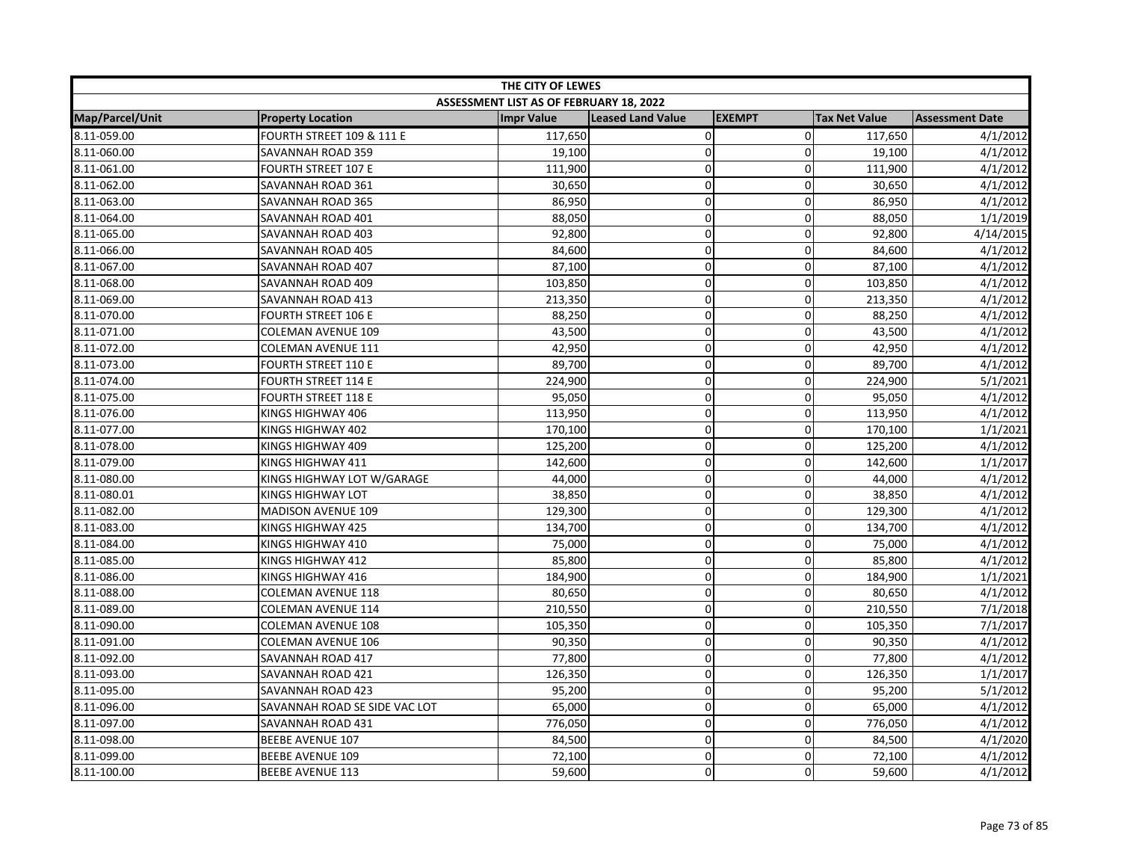| THE CITY OF LEWES |                               |                                         |                          |                |                      |                        |
|-------------------|-------------------------------|-----------------------------------------|--------------------------|----------------|----------------------|------------------------|
|                   |                               | ASSESSMENT LIST AS OF FEBRUARY 18, 2022 |                          |                |                      |                        |
| Map/Parcel/Unit   | <b>Property Location</b>      | <b>Impr Value</b>                       | <b>Leased Land Value</b> | <b>EXEMPT</b>  | <b>Tax Net Value</b> | <b>Assessment Date</b> |
| 8.11-059.00       | FOURTH STREET 109 & 111 E     | 117,650                                 | $\pmb{0}$                | $\overline{0}$ | 117,650              | 4/1/2012               |
| 8.11-060.00       | SAVANNAH ROAD 359             | 19,100                                  | $\mathbf 0$              | $\Omega$       | 19,100               | 4/1/2012               |
| 8.11-061.00       | <b>FOURTH STREET 107 E</b>    | 111,900                                 | $\mathbf 0$              | $\Omega$       | 111,900              | 4/1/2012               |
| 8.11-062.00       | SAVANNAH ROAD 361             | 30,650                                  | $\mathbf 0$              | 0              | 30,650               | 4/1/2012               |
| 8.11-063.00       | SAVANNAH ROAD 365             | 86,950                                  | 0                        | 0              | 86,950               | 4/1/2012               |
| 8.11-064.00       | SAVANNAH ROAD 401             | 88,050                                  | $\pmb{0}$                | 0              | 88,050               | 1/1/2019               |
| 8.11-065.00       | SAVANNAH ROAD 403             | 92,800                                  | $\mathbf 0$              | 0              | 92,800               | 4/14/2015              |
| 8.11-066.00       | SAVANNAH ROAD 405             | 84,600                                  | $\mathbf 0$              | $\Omega$       | 84,600               | 4/1/2012               |
| 8.11-067.00       | SAVANNAH ROAD 407             | 87,100                                  | $\pmb{0}$                | 0              | 87,100               | 4/1/2012               |
| 8.11-068.00       | SAVANNAH ROAD 409             | 103,850                                 | $\pmb{0}$                | $\overline{0}$ | 103,850              | 4/1/2012               |
| 8.11-069.00       | SAVANNAH ROAD 413             | 213,350                                 | $\mathbf 0$              | $\mathbf 0$    | 213,350              | 4/1/2012               |
| 8.11-070.00       | <b>FOURTH STREET 106 E</b>    | 88,250                                  | $\mathbf 0$              | $\Omega$       | 88,250               | 4/1/2012               |
| 8.11-071.00       | <b>COLEMAN AVENUE 109</b>     | 43,500                                  | 0                        | $\Omega$       | 43,500               | 4/1/2012               |
| 8.11-072.00       | <b>COLEMAN AVENUE 111</b>     | 42,950                                  | $\pmb{0}$                | 0              | 42,950               | 4/1/2012               |
| 8.11-073.00       | <b>FOURTH STREET 110 E</b>    | 89,700                                  | $\mathbf 0$              | 0              | 89,700               | 4/1/2012               |
| 8.11-074.00       | <b>FOURTH STREET 114 E</b>    | 224,900                                 | $\mathbf 0$              | 0              | 224,900              | 5/1/2021               |
| 8.11-075.00       | <b>FOURTH STREET 118 E</b>    | 95,050                                  | $\mathbf 0$              | $\overline{0}$ | 95,050               | 4/1/2012               |
| 8.11-076.00       | KINGS HIGHWAY 406             | 113,950                                 | $\pmb{0}$                | 0              | 113,950              | 4/1/2012               |
| 8.11-077.00       | KINGS HIGHWAY 402             | 170,100                                 | $\pmb{0}$                | 0              | 170,100              | 1/1/2021               |
| 8.11-078.00       | KINGS HIGHWAY 409             | 125,200                                 | $\pmb{0}$                | $\Omega$       | 125,200              | 4/1/2012               |
| 8.11-079.00       | KINGS HIGHWAY 411             | 142,600                                 | $\pmb{0}$                | $\overline{0}$ | 142,600              | 1/1/2017               |
| 8.11-080.00       | KINGS HIGHWAY LOT W/GARAGE    | 44,000                                  | $\mathbf 0$              | $\Omega$       | 44,000               | 4/1/2012               |
| 8.11-080.01       | KINGS HIGHWAY LOT             | 38,850                                  | $\pmb{0}$                | 0              | 38,850               | 4/1/2012               |
| 8.11-082.00       | <b>MADISON AVENUE 109</b>     | 129,300                                 | $\mathbf 0$              | $\overline{0}$ | 129,300              | 4/1/2012               |
| 8.11-083.00       | KINGS HIGHWAY 425             | 134,700                                 | $\pmb{0}$                | 0              | 134,700              | 4/1/2012               |
| 8.11-084.00       | KINGS HIGHWAY 410             | 75,000                                  | $\mathbf 0$              | 0              | 75,000               | 4/1/2012               |
| 8.11-085.00       | KINGS HIGHWAY 412             | 85,800                                  | $\mathbf 0$              | $\Omega$       | 85,800               | 4/1/2012               |
| 8.11-086.00       | KINGS HIGHWAY 416             | 184,900                                 | $\pmb{0}$                | $\mathbf 0$    | 184,900              | 1/1/2021               |
| 8.11-088.00       | <b>COLEMAN AVENUE 118</b>     | 80,650                                  | $\mathbf 0$              | $\Omega$       | 80,650               | 4/1/2012               |
| 8.11-089.00       | <b>COLEMAN AVENUE 114</b>     | 210,550                                 | $\mathbf 0$              | $\Omega$       | 210,550              | 7/1/2018               |
| 8.11-090.00       | <b>COLEMAN AVENUE 108</b>     | 105,350                                 | $\mathbf 0$              | 0              | 105,350              | 7/1/2017               |
| 8.11-091.00       | <b>COLEMAN AVENUE 106</b>     | 90,350                                  | $\mathbf 0$              | 0              | 90,350               | 4/1/2012               |
| 8.11-092.00       | SAVANNAH ROAD 417             | 77,800                                  | $\pmb{0}$                | 0              | 77,800               | 4/1/2012               |
| 8.11-093.00       | SAVANNAH ROAD 421             | 126,350                                 | $\mathbf 0$              | 0              | 126,350              | 1/1/2017               |
| 8.11-095.00       | SAVANNAH ROAD 423             | 95,200                                  | $\pmb{0}$                | $\overline{0}$ | 95,200               | 5/1/2012               |
| 8.11-096.00       | SAVANNAH ROAD SE SIDE VAC LOT | 65,000                                  | $\mathbf 0$              | $\Omega$       | 65,000               | 4/1/2012               |
| 8.11-097.00       | SAVANNAH ROAD 431             | 776,050                                 | 0                        | 0              | 776,050              | 4/1/2012               |
| 8.11-098.00       | <b>BEEBE AVENUE 107</b>       | 84,500                                  | 0                        | 0              | 84,500               | 4/1/2020               |
| 8.11-099.00       | <b>BEEBE AVENUE 109</b>       | 72,100                                  | $\pmb{0}$                | $\overline{0}$ | 72,100               | 4/1/2012               |
| 8.11-100.00       | <b>BEEBE AVENUE 113</b>       | 59,600                                  | $\mathbf 0$              | $\Omega$       | 59,600               | 4/1/2012               |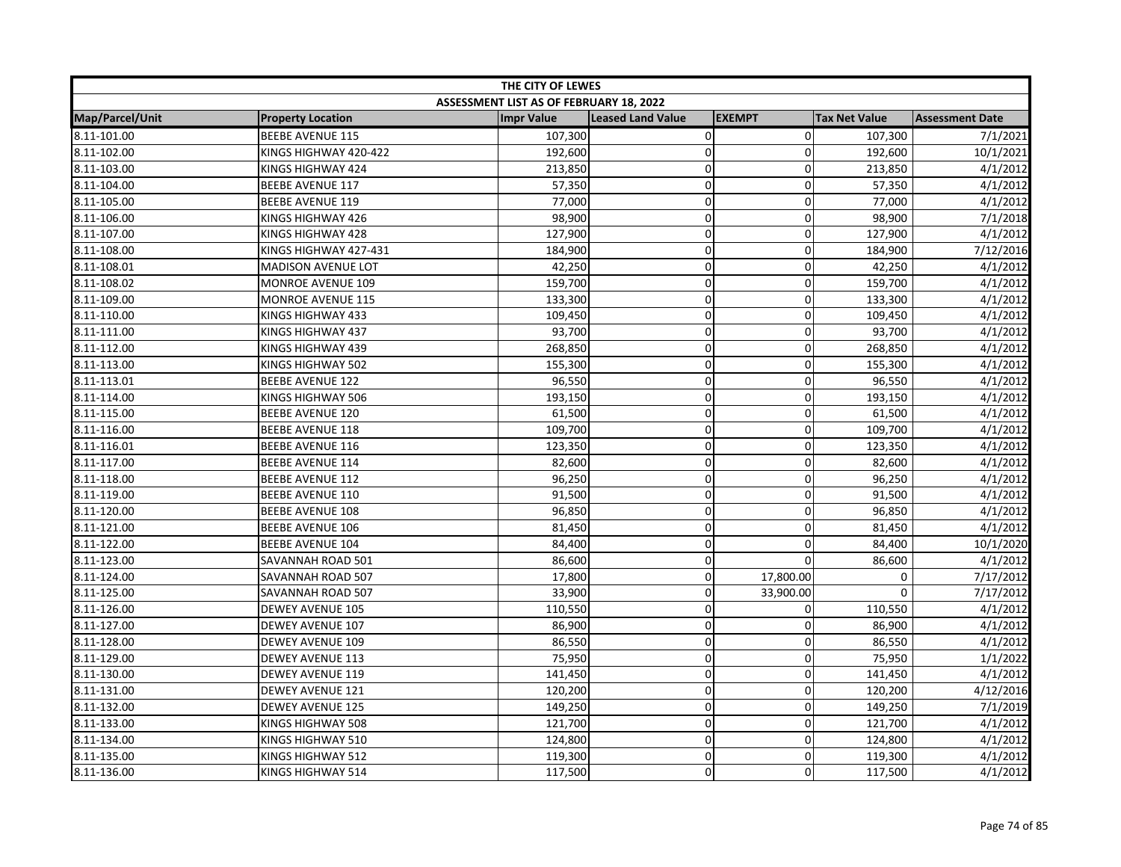| THE CITY OF LEWES |                           |                                         |                          |               |                      |                        |  |
|-------------------|---------------------------|-----------------------------------------|--------------------------|---------------|----------------------|------------------------|--|
|                   |                           | ASSESSMENT LIST AS OF FEBRUARY 18, 2022 |                          |               |                      |                        |  |
| Map/Parcel/Unit   | <b>Property Location</b>  | <b>Impr Value</b>                       | <b>Leased Land Value</b> | <b>EXEMPT</b> | <b>Tax Net Value</b> | <b>Assessment Date</b> |  |
| 8.11-101.00       | <b>BEEBE AVENUE 115</b>   | 107,300                                 | $\pmb{0}$                | $\mathbf 0$   | 107,300              | 7/1/2021               |  |
| 8.11-102.00       | KINGS HIGHWAY 420-422     | 192,600                                 | $\pmb{0}$                | 0             | 192,600              | 10/1/2021              |  |
| 8.11-103.00       | KINGS HIGHWAY 424         | 213,850                                 | $\pmb{0}$                | $\mathbf 0$   | 213,850              | 4/1/2012               |  |
| 8.11-104.00       | <b>BEEBE AVENUE 117</b>   | 57,350                                  | $\mathbf 0$              | $\mathbf 0$   | 57,350               | 4/1/2012               |  |
| 8.11-105.00       | <b>BEEBE AVENUE 119</b>   | 77,000                                  | $\pmb{0}$                | $\mathbf 0$   | 77,000               | 4/1/2012               |  |
| 8.11-106.00       | KINGS HIGHWAY 426         | 98,900                                  | $\mathbf 0$              | 0             | 98,900               | 7/1/2018               |  |
| 8.11-107.00       | KINGS HIGHWAY 428         | 127,900                                 | $\pmb{0}$                | 0             | 127,900              | 4/1/2012               |  |
| 8.11-108.00       | KINGS HIGHWAY 427-431     | 184,900                                 | $\overline{0}$           | 0             | 184,900              | 7/12/2016              |  |
| 8.11-108.01       | <b>MADISON AVENUE LOT</b> | 42,250                                  | $\pmb{0}$                | 0             | 42,250               | 4/1/2012               |  |
| 8.11-108.02       | MONROE AVENUE 109         | 159,700                                 | $\mathbf 0$              | $\pmb{0}$     | 159,700              | 4/1/2012               |  |
| 8.11-109.00       | <b>MONROE AVENUE 115</b>  | 133,300                                 | $\mathbf 0$              | 0             | 133,300              | 4/1/2012               |  |
| 8.11-110.00       | KINGS HIGHWAY 433         | 109,450                                 | $\pmb{0}$                | 0             | 109,450              | 4/1/2012               |  |
| 8.11-111.00       | KINGS HIGHWAY 437         | 93,700                                  | $\mathbf 0$              | 0             | 93,700               | 4/1/2012               |  |
| 8.11-112.00       | KINGS HIGHWAY 439         | 268,850                                 | $\mathbf 0$              | $\mathbf 0$   | 268,850              | 4/1/2012               |  |
| 8.11-113.00       | KINGS HIGHWAY 502         | 155,300                                 | $\overline{0}$           | $\Omega$      | 155,300              | 4/1/2012               |  |
| 8.11-113.01       | <b>BEEBE AVENUE 122</b>   | 96,550                                  | $\mathbf 0$              | 0             | 96,550               | 4/1/2012               |  |
| 8.11-114.00       | KINGS HIGHWAY 506         | 193,150                                 | $\pmb{0}$                | $\mathbf 0$   | 193,150              | 4/1/2012               |  |
| 8.11-115.00       | <b>BEEBE AVENUE 120</b>   | 61,500                                  | $\pmb{0}$                | 0             | 61,500               | 4/1/2012               |  |
| 8.11-116.00       | BEEBE AVENUE 118          | 109,700                                 | $\mathbf 0$              | 0             | 109,700              | 4/1/2012               |  |
| 8.11-116.01       | <b>BEEBE AVENUE 116</b>   | 123,350                                 | $\mathbf 0$              | $\mathbf 0$   | 123,350              | 4/1/2012               |  |
| 8.11-117.00       | <b>BEEBE AVENUE 114</b>   | 82,600                                  | $\mathbf 0$              | $\mathbf 0$   | 82,600               | 4/1/2012               |  |
| 8.11-118.00       | <b>BEEBE AVENUE 112</b>   | 96,250                                  | $\mathbf 0$              | $\Omega$      | 96,250               | 4/1/2012               |  |
| 8.11-119.00       | <b>BEEBE AVENUE 110</b>   | 91,500                                  | $\pmb{0}$                | 0             | 91,500               | 4/1/2012               |  |
| 8.11-120.00       | <b>BEEBE AVENUE 108</b>   | 96,850                                  | $\mathbf 0$              | 0             | 96,850               | 4/1/2012               |  |
| 8.11-121.00       | <b>BEEBE AVENUE 106</b>   | 81,450                                  | $\mathbf 0$              | $\mathbf 0$   | 81,450               | 4/1/2012               |  |
| 8.11-122.00       | <b>BEEBE AVENUE 104</b>   | 84,400                                  | $\mathbf 0$              | $\Omega$      | 84,400               | 10/1/2020              |  |
| 8.11-123.00       | SAVANNAH ROAD 501         | 86,600                                  | $\pmb{0}$                | $\Omega$      | 86,600               | 4/1/2012               |  |
| 8.11-124.00       | SAVANNAH ROAD 507         | 17,800                                  | $\mathbf 0$              | 17,800.00     | 0                    | 7/17/2012              |  |
| 8.11-125.00       | SAVANNAH ROAD 507         | 33,900                                  | $\mathbf 0$              | 33,900.00     | $\mathbf 0$          | 7/17/2012              |  |
| 8.11-126.00       | <b>DEWEY AVENUE 105</b>   | 110,550                                 | $\mathbf 0$              | 0             | 110,550              | 4/1/2012               |  |
| 8.11-127.00       | <b>DEWEY AVENUE 107</b>   | 86,900                                  | $\pmb{0}$                | $\Omega$      | 86,900               | 4/1/2012               |  |
| 8.11-128.00       | <b>DEWEY AVENUE 109</b>   | 86,550                                  | $\pmb{0}$                | $\mathbf 0$   | 86,550               | 4/1/2012               |  |
| 8.11-129.00       | <b>DEWEY AVENUE 113</b>   | 75,950                                  | $\mathbf 0$              | 0             | 75,950               | 1/1/2022               |  |
| 8.11-130.00       | <b>DEWEY AVENUE 119</b>   | 141,450                                 | $\pmb{0}$                | 0             | 141,450              | 4/1/2012               |  |
| 8.11-131.00       | <b>DEWEY AVENUE 121</b>   | 120,200                                 | $\mathbf 0$              | $\mathbf 0$   | 120,200              | 4/12/2016              |  |
| 8.11-132.00       | <b>DEWEY AVENUE 125</b>   | 149,250                                 | $\mathbf 0$              | 0             | 149,250              | 7/1/2019               |  |
| 8.11-133.00       | KINGS HIGHWAY 508         | 121,700                                 | $\pmb{0}$                | $\mathbf 0$   | 121,700              | 4/1/2012               |  |
| 8.11-134.00       | KINGS HIGHWAY 510         | 124,800                                 | $\pmb{0}$                | 0             | 124,800              | 4/1/2012               |  |
| 8.11-135.00       | KINGS HIGHWAY 512         | 119,300                                 | $\mathbf 0$              | 0             | 119,300              | 4/1/2012               |  |
| 8.11-136.00       | KINGS HIGHWAY 514         | 117,500                                 | 0                        | 0             | 117,500              | 4/1/2012               |  |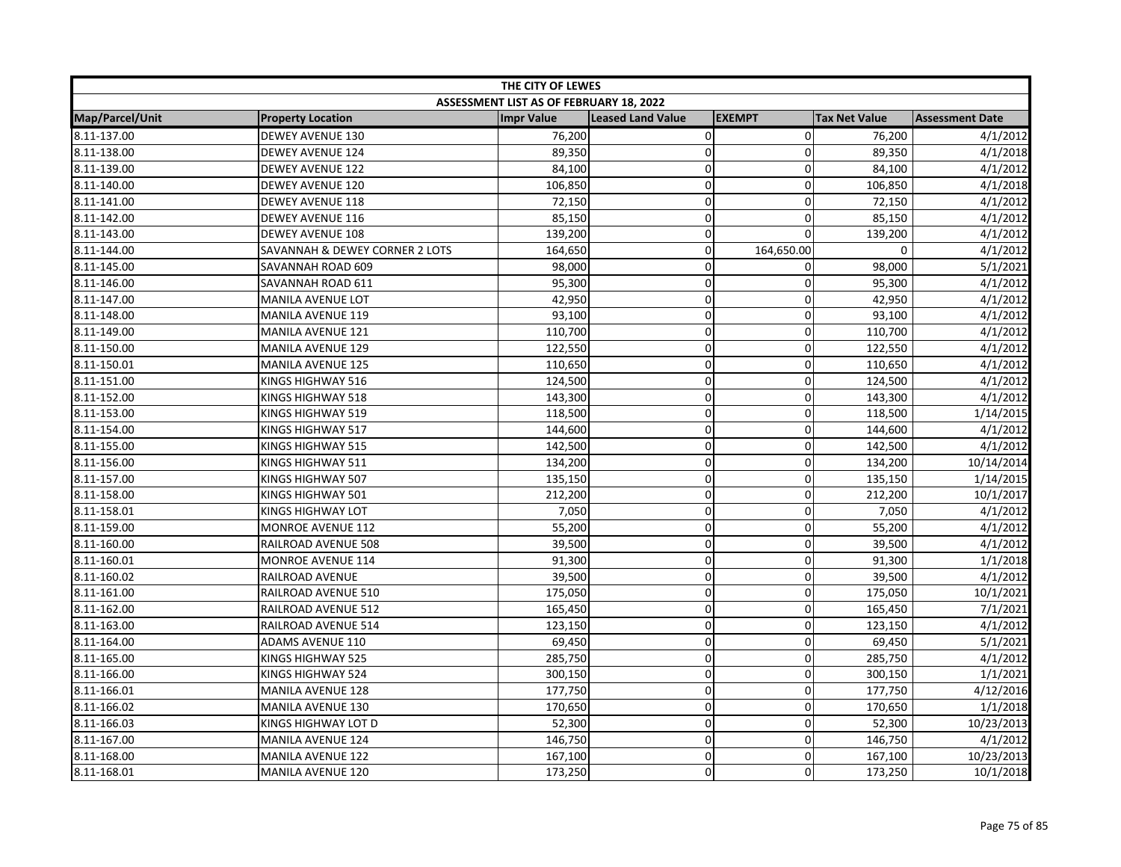| THE CITY OF LEWES |                                |                                         |                          |               |                      |                        |  |
|-------------------|--------------------------------|-----------------------------------------|--------------------------|---------------|----------------------|------------------------|--|
|                   |                                | ASSESSMENT LIST AS OF FEBRUARY 18, 2022 |                          |               |                      |                        |  |
| Map/Parcel/Unit   | <b>Property Location</b>       | <b>Impr Value</b>                       | <b>Leased Land Value</b> | <b>EXEMPT</b> | <b>Tax Net Value</b> | <b>Assessment Date</b> |  |
| 8.11-137.00       | <b>DEWEY AVENUE 130</b>        | 76,200                                  | 0                        | $\mathbf 0$   | 76,200               | 4/1/2012               |  |
| 8.11-138.00       | <b>DEWEY AVENUE 124</b>        | 89,350                                  | 0                        | $\mathbf 0$   | 89,350               | 4/1/2018               |  |
| 8.11-139.00       | <b>DEWEY AVENUE 122</b>        | 84,100                                  | 0                        | $\mathbf 0$   | 84,100               | 4/1/2012               |  |
| 8.11-140.00       | <b>DEWEY AVENUE 120</b>        | 106,850                                 | 0                        | 0             | 106,850              | 4/1/2018               |  |
| 8.11-141.00       | <b>DEWEY AVENUE 118</b>        | 72,150                                  | 0                        | $\mathbf 0$   | 72,150               | 4/1/2012               |  |
| 8.11-142.00       | <b>DEWEY AVENUE 116</b>        | 85,150                                  | $\mathbf 0$              | $\mathbf{0}$  | 85,150               | 4/1/2012               |  |
| 8.11-143.00       | <b>DEWEY AVENUE 108</b>        | 139,200                                 | 0                        | $\Omega$      | 139,200              | 4/1/2012               |  |
| 8.11-144.00       | SAVANNAH & DEWEY CORNER 2 LOTS | 164,650                                 | 0                        | 164,650.00    | 0                    | 4/1/2012               |  |
| 8.11-145.00       | SAVANNAH ROAD 609              | 98,000                                  | 0                        | $\mathbf 0$   | 98,000               | 5/1/2021               |  |
| 8.11-146.00       | SAVANNAH ROAD 611              | 95,300                                  | 0                        | $\pmb{0}$     | 95,300               | 4/1/2012               |  |
| 8.11-147.00       | MANILA AVENUE LOT              | 42,950                                  | $\mathbf 0$              | $\mathbf 0$   | 42,950               | 4/1/2012               |  |
| 8.11-148.00       | <b>MANILA AVENUE 119</b>       | 93,100                                  | 0                        | $\mathbf 0$   | 93,100               | 4/1/2012               |  |
| 8.11-149.00       | <b>MANILA AVENUE 121</b>       | 110,700                                 | 0                        | 0             | 110,700              | 4/1/2012               |  |
| 8.11-150.00       | MANILA AVENUE 129              | 122,550                                 | 0                        | $\mathbf 0$   | 122,550              | 4/1/2012               |  |
| 8.11-150.01       | <b>MANILA AVENUE 125</b>       | 110,650                                 | $\mathbf 0$              | 0             | 110,650              | 4/1/2012               |  |
| 8.11-151.00       | KINGS HIGHWAY 516              | 124,500                                 | 0                        | 0             | 124,500              | 4/1/2012               |  |
| 8.11-152.00       | KINGS HIGHWAY 518              | 143,300                                 | 0                        | $\mathbf 0$   | 143,300              | 4/1/2012               |  |
| 8.11-153.00       | KINGS HIGHWAY 519              | 118,500                                 | 0                        | $\mathbf 0$   | 118,500              | 1/14/2015              |  |
| 8.11-154.00       | KINGS HIGHWAY 517              | 144,600                                 | 0                        | $\mathbf 0$   | 144,600              | 4/1/2012               |  |
| 8.11-155.00       | KINGS HIGHWAY 515              | 142,500                                 | 0                        | 0             | 142,500              | 4/1/2012               |  |
| 8.11-156.00       | KINGS HIGHWAY 511              | 134,200                                 | 0                        | $\mathbf 0$   | 134,200              | 10/14/2014             |  |
| 8.11-157.00       | KINGS HIGHWAY 507              | 135,150                                 | $\mathbf 0$              | 0             | 135,150              | 1/14/2015              |  |
| 8.11-158.00       | KINGS HIGHWAY 501              | 212,200                                 | 0                        | 0             | 212,200              | 10/1/2017              |  |
| 8.11-158.01       | KINGS HIGHWAY LOT              | 7,050                                   | 0                        | $\mathbf 0$   | 7,050                | 4/1/2012               |  |
| 8.11-159.00       | <b>MONROE AVENUE 112</b>       | 55,200                                  | 0                        | $\mathbf 0$   | 55,200               | 4/1/2012               |  |
| 8.11-160.00       | RAILROAD AVENUE 508            | 39,500                                  | 0                        | 0             | 39,500               | 4/1/2012               |  |
| 8.11-160.01       | <b>MONROE AVENUE 114</b>       | 91,300                                  | 0                        | $\mathbf 0$   | 91,300               | 1/1/2018               |  |
| 8.11-160.02       | RAILROAD AVENUE                | 39,500                                  | 0                        | $\pmb{0}$     | 39,500               | 4/1/2012               |  |
| 8.11-161.00       | RAILROAD AVENUE 510            | 175,050                                 | $\mathbf 0$              | 0             | 175,050              | 10/1/2021              |  |
| 8.11-162.00       | RAILROAD AVENUE 512            | 165,450                                 | 0                        | $\mathbf 0$   | 165,450              | 7/1/2021               |  |
| 8.11-163.00       | RAILROAD AVENUE 514            | 123,150                                 | $\mathbf 0$              | $\mathbf 0$   | 123,150              | 4/1/2012               |  |
| 8.11-164.00       | <b>ADAMS AVENUE 110</b>        | 69,450                                  | 0                        | $\mathbf 0$   | 69,450               | 5/1/2021               |  |
| 8.11-165.00       | KINGS HIGHWAY 525              | 285,750                                 | 0                        | $\mathbf 0$   | 285,750              | 4/1/2012               |  |
| 8.11-166.00       | KINGS HIGHWAY 524              | 300,150                                 | 0                        | $\mathbf 0$   | 300,150              | 1/1/2021               |  |
| 8.11-166.01       | <b>MANILA AVENUE 128</b>       | 177,750                                 | 0                        | $\pmb{0}$     | 177,750              | 4/12/2016              |  |
| 8.11-166.02       | <b>MANILA AVENUE 130</b>       | 170,650                                 | $\mathbf 0$              | $\mathbf 0$   | 170,650              | 1/1/2018               |  |
| 8.11-166.03       | KINGS HIGHWAY LOT D            | 52,300                                  | 0                        | $\mathbf 0$   | 52,300               | 10/23/2013             |  |
| 8.11-167.00       | <b>MANILA AVENUE 124</b>       | 146,750                                 | 0                        | $\mathbf 0$   | 146,750              | 4/1/2012               |  |
| 8.11-168.00       | <b>MANILA AVENUE 122</b>       | 167,100                                 | 0                        | $\mathbf 0$   | 167,100              | 10/23/2013             |  |
| 8.11-168.01       | <b>MANILA AVENUE 120</b>       | 173,250                                 | 0                        | $\Omega$      | 173,250              | 10/1/2018              |  |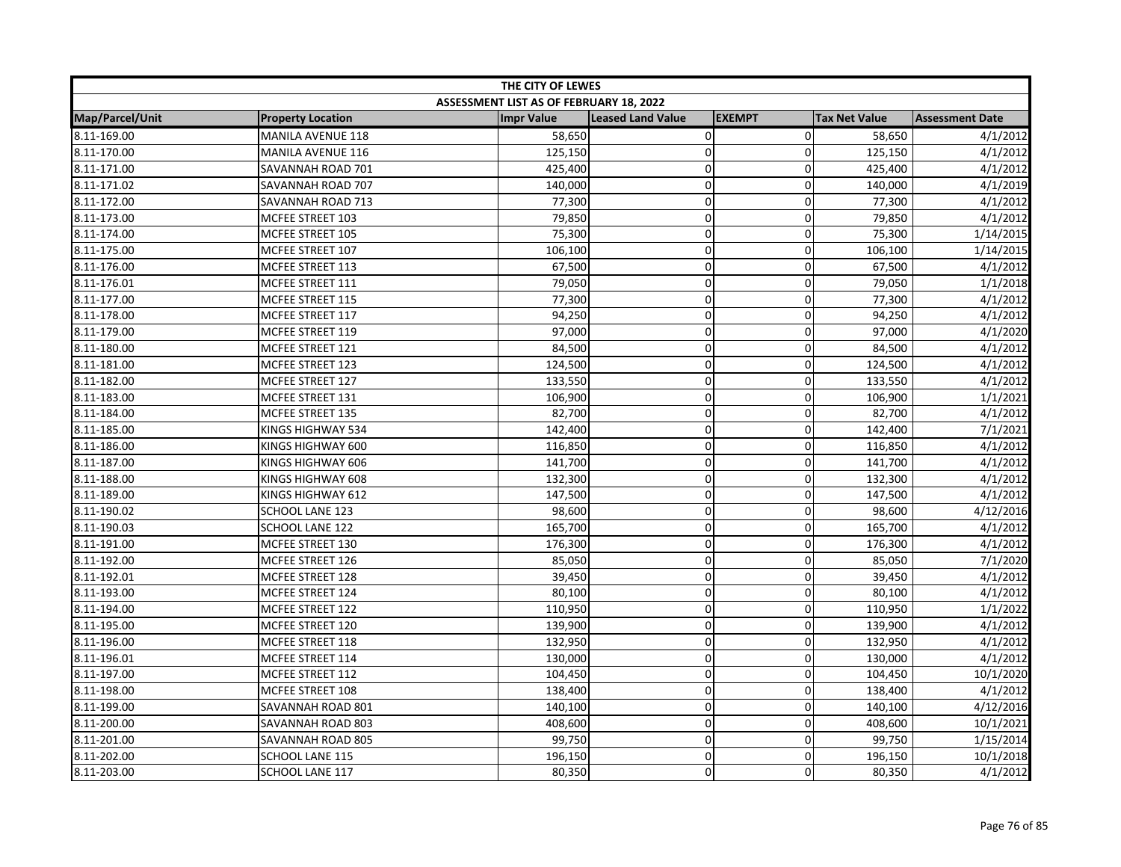| THE CITY OF LEWES      |                          |                                         |                          |               |                      |                        |  |
|------------------------|--------------------------|-----------------------------------------|--------------------------|---------------|----------------------|------------------------|--|
|                        |                          | ASSESSMENT LIST AS OF FEBRUARY 18, 2022 |                          |               |                      |                        |  |
| <b>Map/Parcel/Unit</b> | <b>Property Location</b> | <b>Impr Value</b>                       | <b>Leased Land Value</b> | <b>EXEMPT</b> | <b>Tax Net Value</b> | <b>Assessment Date</b> |  |
| 8.11-169.00            | <b>MANILA AVENUE 118</b> | 58,650                                  | 0                        | $\mathbf 0$   | 58,650               | 4/1/2012               |  |
| 8.11-170.00            | MANILA AVENUE 116        | 125,150                                 | $\mathbf 0$              | $\mathbf 0$   | 125,150              | 4/1/2012               |  |
| 8.11-171.00            | SAVANNAH ROAD 701        | 425,400                                 | 0                        | $\pmb{0}$     | 425,400              | 4/1/2012               |  |
| 8.11-171.02            | SAVANNAH ROAD 707        | 140,000                                 | 0                        | 0             | 140,000              | 4/1/2019               |  |
| 8.11-172.00            | SAVANNAH ROAD 713        | 77,300                                  | 0                        | $\Omega$      | 77,300               | 4/1/2012               |  |
| 8.11-173.00            | MCFEE STREET 103         | 79,850                                  | $\mathbf 0$              | $\mathbf 0$   | 79,850               | 4/1/2012               |  |
| 8.11-174.00            | MCFEE STREET 105         | 75,300                                  | 0                        | $\mathbf 0$   | 75,300               | 1/14/2015              |  |
| 8.11-175.00            | MCFEE STREET 107         | 106,100                                 | 0                        | 0             | 106,100              | 1/14/2015              |  |
| 8.11-176.00            | MCFEE STREET 113         | 67,500                                  | 0                        | $\mathbf 0$   | 67,500               | 4/1/2012               |  |
| 8.11-176.01            | MCFEE STREET 111         | 79,050                                  | 0                        | $\mathbf 0$   | 79,050               | 1/1/2018               |  |
| 8.11-177.00            | MCFEE STREET 115         | 77,300                                  | $\mathbf 0$              | $\mathbf 0$   | 77,300               | 4/1/2012               |  |
| 8.11-178.00            | MCFEE STREET 117         | 94,250                                  | 0                        | $\mathbf 0$   | 94,250               | 4/1/2012               |  |
| 8.11-179.00            | MCFEE STREET 119         | 97,000                                  | 0                        | $\mathbf 0$   | 97,000               | 4/1/2020               |  |
| 8.11-180.00            | MCFEE STREET 121         | 84,500                                  | 0                        | $\mathbf 0$   | 84,500               | 4/1/2012               |  |
| 8.11-181.00            | MCFEE STREET 123         | 124,500                                 | $\mathbf 0$              | $\mathbf 0$   | 124,500              | 4/1/2012               |  |
| 8.11-182.00            | MCFEE STREET 127         | 133,550                                 | 0                        | $\mathbf 0$   | 133,550              | 4/1/2012               |  |
| 8.11-183.00            | MCFEE STREET 131         | 106,900                                 | 0                        | $\pmb{0}$     | 106,900              | 1/1/2021               |  |
| 8.11-184.00            | MCFEE STREET 135         | 82,700                                  | 0                        | $\mathbf 0$   | 82,700               | 4/1/2012               |  |
| 8.11-185.00            | KINGS HIGHWAY 534        | 142,400                                 | 0                        | $\mathbf 0$   | 142,400              | 7/1/2021               |  |
| 8.11-186.00            | KINGS HIGHWAY 600        | 116,850                                 | 0                        | 0             | 116,850              | 4/1/2012               |  |
| 8.11-187.00            | KINGS HIGHWAY 606        | 141,700                                 | 0                        | $\mathbf 0$   | 141,700              | 4/1/2012               |  |
| 8.11-188.00            | KINGS HIGHWAY 608        | 132,300                                 | $\mathbf 0$              | 0             | 132,300              | 4/1/2012               |  |
| 8.11-189.00            | KINGS HIGHWAY 612        | 147,500                                 | $\mathbf 0$              | $\mathbf 0$   | 147,500              | 4/1/2012               |  |
| 8.11-190.02            | <b>SCHOOL LANE 123</b>   | 98,600                                  | 0                        | $\mathbf 0$   | 98,600               | 4/12/2016              |  |
| 8.11-190.03            | SCHOOL LANE 122          | 165,700                                 | 0                        | $\mathbf 0$   | 165,700              | 4/1/2012               |  |
| 8.11-191.00            | MCFEE STREET 130         | 176,300                                 | 0                        | $\mathbf 0$   | 176,300              | 4/1/2012               |  |
| 8.11-192.00            | MCFEE STREET 126         | 85,050                                  | 0                        | 0             | 85,050               | 7/1/2020               |  |
| 8.11-192.01            | MCFEE STREET 128         | 39,450                                  | 0                        | $\mathbf 0$   | 39,450               | 4/1/2012               |  |
| 8.11-193.00            | MCFEE STREET 124         | 80,100                                  | 0                        | 0             | 80,100               | 4/1/2012               |  |
| 8.11-194.00            | MCFEE STREET 122         | 110,950                                 | 0                        | $\mathbf 0$   | 110,950              | 1/1/2022               |  |
| 8.11-195.00            | MCFEE STREET 120         | 139,900                                 | 0                        | $\mathbf 0$   | 139,900              | 4/1/2012               |  |
| 8.11-196.00            | MCFEE STREET 118         | 132,950                                 | 0                        | $\mathbf 0$   | 132,950              | 4/1/2012               |  |
| 8.11-196.01            | MCFEE STREET 114         | 130,000                                 | 0                        | 0             | 130,000              | 4/1/2012               |  |
| 8.11-197.00            | MCFEE STREET 112         | 104,450                                 | 0                        | 0             | 104,450              | 10/1/2020              |  |
| 8.11-198.00            | MCFEE STREET 108         | 138,400                                 | 0                        | $\mathbf 0$   | 138,400              | 4/1/2012               |  |
| 8.11-199.00            | SAVANNAH ROAD 801        | 140,100                                 | $\mathbf 0$              | 0             | 140,100              | 4/12/2016              |  |
| 8.11-200.00            | SAVANNAH ROAD 803        | 408,600                                 | $\mathbf 0$              | $\Omega$      | 408,600              | 10/1/2021              |  |
| 8.11-201.00            | SAVANNAH ROAD 805        | 99,750                                  | 0                        | $\mathbf{0}$  | 99,750               | 1/15/2014              |  |
| 8.11-202.00            | <b>SCHOOL LANE 115</b>   | 196,150                                 | 0                        | $\mathbf 0$   | 196,150              | 10/1/2018              |  |
| 8.11-203.00            | <b>SCHOOL LANE 117</b>   | 80,350                                  | 0                        | 0             | 80,350               | 4/1/2012               |  |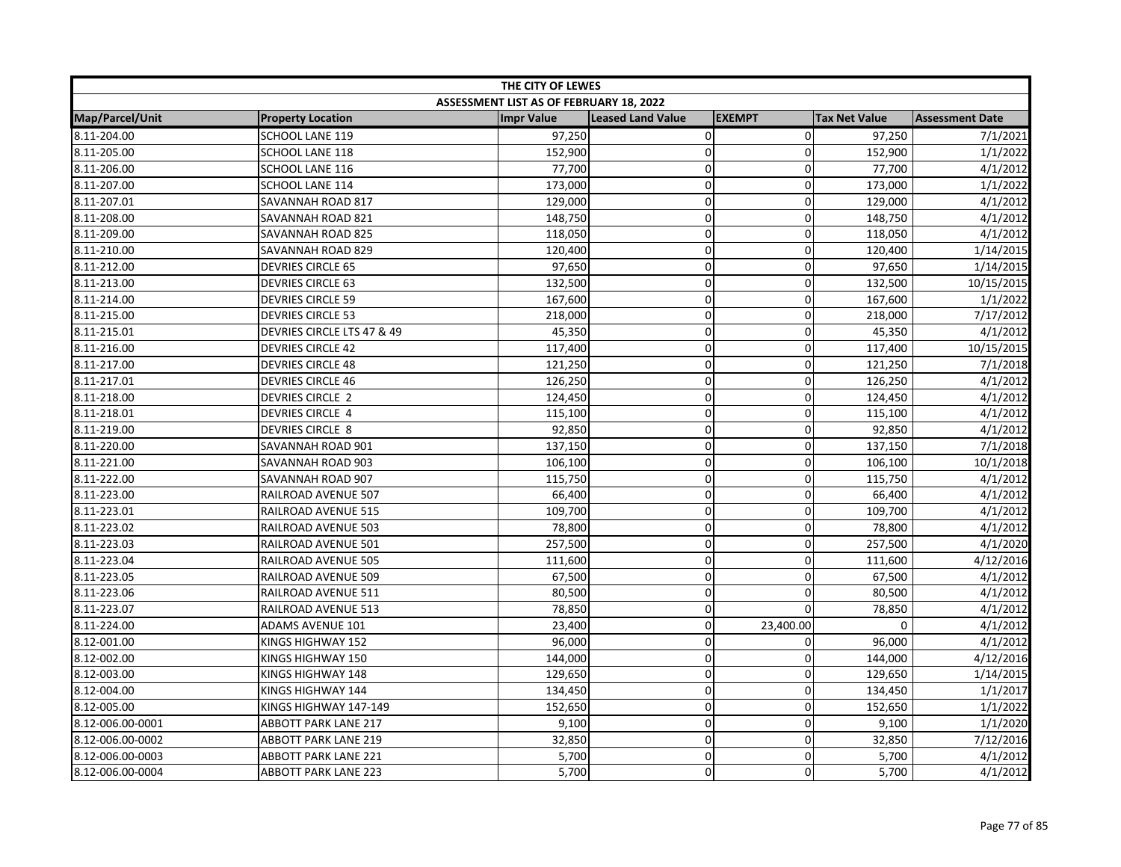| THE CITY OF LEWES      |                             |                                         |                          |               |                      |                        |
|------------------------|-----------------------------|-----------------------------------------|--------------------------|---------------|----------------------|------------------------|
|                        |                             | ASSESSMENT LIST AS OF FEBRUARY 18, 2022 |                          |               |                      |                        |
| <b>Map/Parcel/Unit</b> | <b>Property Location</b>    | <b>Impr Value</b>                       | <b>Leased Land Value</b> | <b>EXEMPT</b> | <b>Tax Net Value</b> | <b>Assessment Date</b> |
| 8.11-204.00            | SCHOOL LANE 119             | 97,250                                  | 0                        | $\mathbf 0$   | 97,250               | 7/1/2021               |
| 8.11-205.00            | SCHOOL LANE 118             | 152,900                                 | $\mathbf 0$              | $\mathbf 0$   | 152,900              | 1/1/2022               |
| 8.11-206.00            | SCHOOL LANE 116             | 77,700                                  | 0                        | $\mathbf 0$   | 77,700               | 4/1/2012               |
| 8.11-207.00            | SCHOOL LANE 114             | 173,000                                 | 0                        | 0             | 173,000              | 1/1/2022               |
| 8.11-207.01            | SAVANNAH ROAD 817           | 129,000                                 | 0                        | $\Omega$      | 129,000              | 4/1/2012               |
| 8.11-208.00            | SAVANNAH ROAD 821           | 148,750                                 | 0                        | $\mathbf 0$   | 148,750              | 4/1/2012               |
| 8.11-209.00            | SAVANNAH ROAD 825           | 118,050                                 | 0                        | $\mathbf 0$   | 118,050              | 4/1/2012               |
| 8.11-210.00            | SAVANNAH ROAD 829           | 120,400                                 | 0                        | 0             | 120,400              | 1/14/2015              |
| 8.11-212.00            | <b>DEVRIES CIRCLE 65</b>    | 97,650                                  | 0                        | $\mathbf 0$   | 97,650               | 1/14/2015              |
| 8.11-213.00            | <b>DEVRIES CIRCLE 63</b>    | 132,500                                 | 0                        | $\pmb{0}$     | 132,500              | 10/15/2015             |
| 8.11-214.00            | <b>DEVRIES CIRCLE 59</b>    | 167,600                                 | $\overline{0}$           | $\mathbf 0$   | 167,600              | 1/1/2022               |
| 8.11-215.00            | <b>DEVRIES CIRCLE 53</b>    | 218,000                                 | 0                        | $\mathbf 0$   | 218,000              | 7/17/2012              |
| 8.11-215.01            | DEVRIES CIRCLE LTS 47 & 49  | 45,350                                  | 0                        | 0             | 45,350               | 4/1/2012               |
| 8.11-216.00            | <b>DEVRIES CIRCLE 42</b>    | 117,400                                 | 0                        | $\mathbf 0$   | 117,400              | 10/15/2015             |
| 8.11-217.00            | <b>DEVRIES CIRCLE 48</b>    | 121,250                                 | $\mathbf 0$              | 0             | 121,250              | 7/1/2018               |
| 8.11-217.01            | <b>DEVRIES CIRCLE 46</b>    | 126,250                                 | 0                        | $\mathbf 0$   | 126,250              | 4/1/2012               |
| 8.11-218.00            | DEVRIES CIRCLE 2            | 124,450                                 | 0                        | $\mathbf 0$   | 124,450              | 4/1/2012               |
| 8.11-218.01            | DEVRIES CIRCLE 4            | 115,100                                 | 0                        | $\mathbf 0$   | 115,100              | 4/1/2012               |
| 8.11-219.00            | DEVRIES CIRCLE 8            | 92,850                                  | 0                        | $\mathbf 0$   | 92,850               | 4/1/2012               |
| 8.11-220.00            | SAVANNAH ROAD 901           | 137,150                                 | 0                        | 0             | 137,150              | 7/1/2018               |
| 8.11-221.00            | SAVANNAH ROAD 903           | 106,100                                 | 0                        | $\mathbf 0$   | 106,100              | 10/1/2018              |
| 8.11-222.00            | SAVANNAH ROAD 907           | 115,750                                 | $\overline{0}$           | $\Omega$      | 115,750              | 4/1/2012               |
| 8.11-223.00            | RAILROAD AVENUE 507         | 66,400                                  | 0                        | 0             | 66,400               | 4/1/2012               |
| 8.11-223.01            | RAILROAD AVENUE 515         | 109,700                                 | 0                        | $\mathbf{0}$  | 109,700              | 4/1/2012               |
| 8.11-223.02            | RAILROAD AVENUE 503         | 78,800                                  | 0                        | $\mathbf 0$   | 78,800               | 4/1/2012               |
| 8.11-223.03            | RAILROAD AVENUE 501         | 257,500                                 | $\mathbf 0$              | 0             | 257,500              | 4/1/2020               |
| 8.11-223.04            | RAILROAD AVENUE 505         | 111,600                                 | 0                        | $\mathbf 0$   | 111,600              | 4/12/2016              |
| 8.11-223.05            | RAILROAD AVENUE 509         | 67,500                                  | 0                        | $\mathbf 0$   | 67,500               | 4/1/2012               |
| 8.11-223.06            | RAILROAD AVENUE 511         | 80,500                                  | $\mathbf 0$              | 0             | 80,500               | 4/1/2012               |
| 8.11-223.07            | RAILROAD AVENUE 513         | 78,850                                  | 0                        | $\Omega$      | 78,850               | 4/1/2012               |
| 8.11-224.00            | <b>ADAMS AVENUE 101</b>     | 23,400                                  | $\mathbf 0$              | 23,400.00     | 0                    | 4/1/2012               |
| 8.12-001.00            | KINGS HIGHWAY 152           | 96,000                                  | 0                        | 0             | 96,000               | 4/1/2012               |
| 8.12-002.00            | KINGS HIGHWAY 150           | 144,000                                 | 0                        | $\mathbf 0$   | 144,000              | 4/12/2016              |
| 8.12-003.00            | KINGS HIGHWAY 148           | 129,650                                 | 0                        | $\mathbf 0$   | 129,650              | 1/14/2015              |
| 8.12-004.00            | KINGS HIGHWAY 144           | 134,450                                 | 0                        | $\mathbf 0$   | 134,450              | 1/1/2017               |
| 8.12-005.00            | KINGS HIGHWAY 147-149       | 152,650                                 | $\mathbf 0$              | $\mathbf 0$   | 152,650              | 1/1/2022               |
| 8.12-006.00-0001       | <b>ABBOTT PARK LANE 217</b> | 9,100                                   | 0                        | $\mathbf 0$   | 9,100                | 1/1/2020               |
| 8.12-006.00-0002       | <b>ABBOTT PARK LANE 219</b> | 32,850                                  | 0                        | $\mathbf 0$   | 32,850               | 7/12/2016              |
| 8.12-006.00-0003       | <b>ABBOTT PARK LANE 221</b> | 5,700                                   | 0                        | $\mathbf 0$   | 5,700                | 4/1/2012               |
| 8.12-006.00-0004       | <b>ABBOTT PARK LANE 223</b> | 5,700                                   | 0                        | $\Omega$      | 5,700                | 4/1/2012               |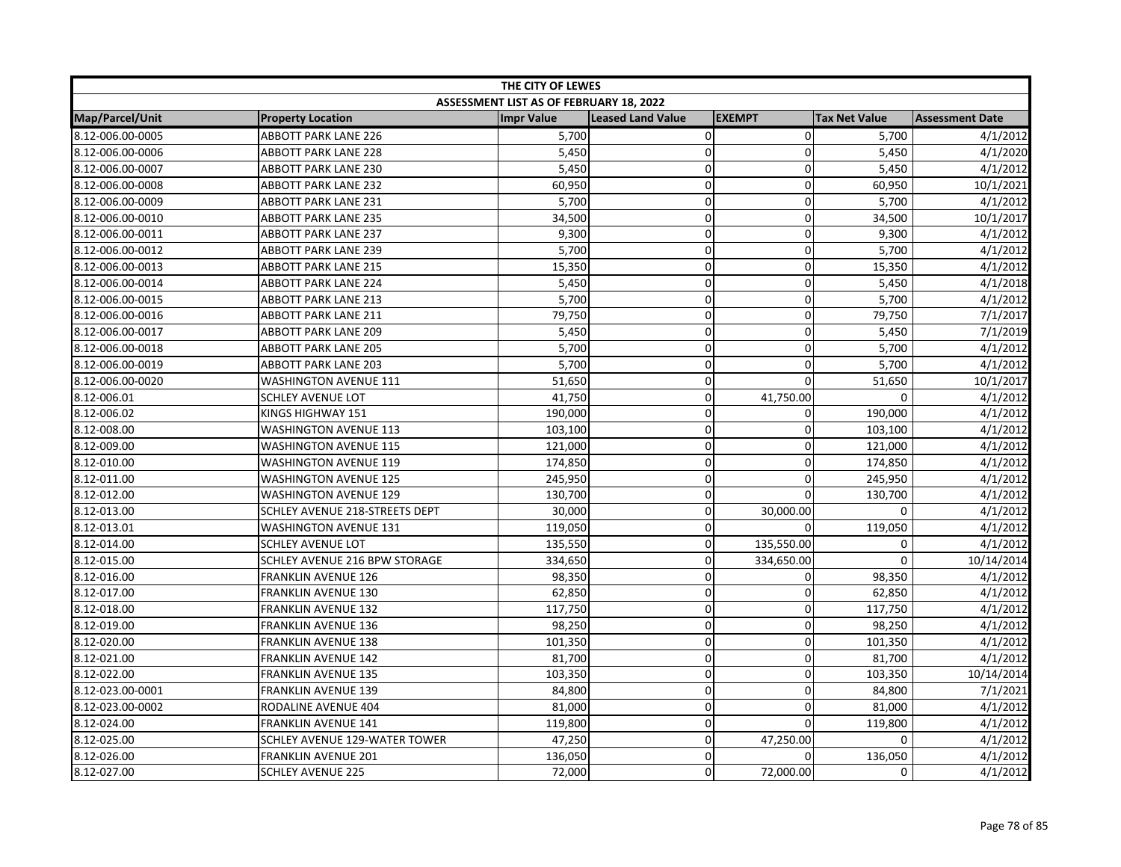| THE CITY OF LEWES      |                                      |                                         |                          |               |                      |                        |  |
|------------------------|--------------------------------------|-----------------------------------------|--------------------------|---------------|----------------------|------------------------|--|
|                        |                                      | ASSESSMENT LIST AS OF FEBRUARY 18, 2022 |                          |               |                      |                        |  |
| <b>Map/Parcel/Unit</b> | <b>Property Location</b>             | <b>Impr Value</b>                       | <b>Leased Land Value</b> | <b>EXEMPT</b> | <b>Tax Net Value</b> | <b>Assessment Date</b> |  |
| 8.12-006.00-0005       | <b>ABBOTT PARK LANE 226</b>          | 5,700                                   | $\pmb{0}$                | $\mathbf 0$   | 5,700                | 4/1/2012               |  |
| 8.12-006.00-0006       | <b>ABBOTT PARK LANE 228</b>          | 5,450                                   | $\mathbf 0$              | 0             | 5,450                | 4/1/2020               |  |
| 8.12-006.00-0007       | ABBOTT PARK LANE 230                 | 5,450                                   | 0                        | $\Omega$      | 5,450                | 4/1/2012               |  |
| 8.12-006.00-0008       | <b>ABBOTT PARK LANE 232</b>          | 60,950                                  | 0                        | 0             | 60,950               | 10/1/2021              |  |
| 8.12-006.00-0009       | <b>ABBOTT PARK LANE 231</b>          | 5,700                                   | 0                        | $\mathbf{0}$  | 5,700                | 4/1/2012               |  |
| 8.12-006.00-0010       | <b>ABBOTT PARK LANE 235</b>          | 34,500                                  | 0                        | $\mathbf 0$   | 34,500               | 10/1/2017              |  |
| 8.12-006.00-0011       | <b>ABBOTT PARK LANE 237</b>          | 9,300                                   | 0                        | $\mathbf 0$   | 9,300                | 4/1/2012               |  |
| 8.12-006.00-0012       | <b>ABBOTT PARK LANE 239</b>          | 5,700                                   | $\mathbf 0$              | 0             | 5,700                | 4/1/2012               |  |
| 8.12-006.00-0013       | <b>ABBOTT PARK LANE 215</b>          | 15,350                                  | 0                        | $\mathbf 0$   | 15,350               | 4/1/2012               |  |
| 8.12-006.00-0014       | <b>ABBOTT PARK LANE 224</b>          | 5,450                                   | 0                        | $\mathbf 0$   | 5,450                | 4/1/2018               |  |
| 8.12-006.00-0015       | <b>ABBOTT PARK LANE 213</b>          | 5,700                                   | $\mathbf 0$              | 0             | 5,700                | 4/1/2012               |  |
| 8.12-006.00-0016       | <b>ABBOTT PARK LANE 211</b>          | 79,750                                  | $\mathbf 0$              | $\Omega$      | 79,750               | 7/1/2017               |  |
| 8.12-006.00-0017       | <b>ABBOTT PARK LANE 209</b>          | 5,450                                   | 0                        | $\mathbf 0$   | 5,450                | 7/1/2019               |  |
| 8.12-006.00-0018       | <b>ABBOTT PARK LANE 205</b>          | 5,700                                   | $\mathbf 0$              | $\mathbf 0$   | 5,700                | 4/1/2012               |  |
| 8.12-006.00-0019       | <b>ABBOTT PARK LANE 203</b>          | 5,700                                   | 0                        | 0             | 5,700                | 4/1/2012               |  |
| 8.12-006.00-0020       | <b>WASHINGTON AVENUE 111</b>         | 51,650                                  | 0                        | $\mathbf 0$   | 51,650               | 10/1/2017              |  |
| 8.12-006.01            | <b>SCHLEY AVENUE LOT</b>             | 41,750                                  | 0                        | 41,750.00     | 0                    | 4/1/2012               |  |
| 8.12-006.02            | KINGS HIGHWAY 151                    | 190,000                                 | 0                        | 0             | 190,000              | 4/1/2012               |  |
| 8.12-008.00            | <b>WASHINGTON AVENUE 113</b>         | 103,100                                 | 0                        | $\Omega$      | 103,100              | 4/1/2012               |  |
| 8.12-009.00            | <b>WASHINGTON AVENUE 115</b>         | 121,000                                 | $\mathbf 0$              | 0             | 121,000              | 4/1/2012               |  |
| 8.12-010.00            | <b>WASHINGTON AVENUE 119</b>         | 174,850                                 | 0                        | $\mathbf 0$   | 174,850              | 4/1/2012               |  |
| 8.12-011.00            | <b>WASHINGTON AVENUE 125</b>         | 245,950                                 | $\mathbf 0$              | $\mathbf 0$   | 245,950              | 4/1/2012               |  |
| 8.12-012.00            | <b>WASHINGTON AVENUE 129</b>         | 130,700                                 | 0                        | 0             | 130,700              | 4/1/2012               |  |
| 8.12-013.00            | SCHLEY AVENUE 218-STREETS DEPT       | 30,000                                  | 0                        | 30,000.00     | 0                    | 4/1/2012               |  |
| 8.12-013.01            | <b>WASHINGTON AVENUE 131</b>         | 119,050                                 | 0                        | $\mathbf{0}$  | 119,050              | 4/1/2012               |  |
| 8.12-014.00            | <b>SCHLEY AVENUE LOT</b>             | 135,550                                 | 0                        | 135,550.00    | 0                    | 4/1/2012               |  |
| 8.12-015.00            | <b>SCHLEY AVENUE 216 BPW STORAGE</b> | 334,650                                 | $\mathbf 0$              | 334,650.00    | $\Omega$             | 10/14/2014             |  |
| 8.12-016.00            | <b>FRANKLIN AVENUE 126</b>           | 98,350                                  | 0                        | 0             | 98,350               | 4/1/2012               |  |
| 8.12-017.00            | <b>FRANKLIN AVENUE 130</b>           | 62,850                                  | $\mathbf 0$              | 0             | 62,850               | 4/1/2012               |  |
| 8.12-018.00            | <b>FRANKLIN AVENUE 132</b>           | 117,750                                 | 0                        | $\mathbf{0}$  | 117,750              | 4/1/2012               |  |
| 8.12-019.00            | <b>FRANKLIN AVENUE 136</b>           | 98,250                                  | 0                        | $\mathbf 0$   | 98,250               | 4/1/2012               |  |
| 8.12-020.00            | <b>FRANKLIN AVENUE 138</b>           | 101,350                                 | 0                        | 0             | 101,350              | 4/1/2012               |  |
| 8.12-021.00            | <b>FRANKLIN AVENUE 142</b>           | 81,700                                  | 0                        | 0             | 81,700               | 4/1/2012               |  |
| 8.12-022.00            | <b>FRANKLIN AVENUE 135</b>           | 103,350                                 | 0                        | 0             | 103,350              | 10/14/2014             |  |
| 8.12-023.00-0001       | <b>FRANKLIN AVENUE 139</b>           | 84,800                                  | 0                        | $\mathbf 0$   | 84,800               | 7/1/2021               |  |
| 8.12-023.00-0002       | RODALINE AVENUE 404                  | 81,000                                  | $\mathbf 0$              | 0             | 81,000               | 4/1/2012               |  |
| 8.12-024.00            | <b>FRANKLIN AVENUE 141</b>           | 119,800                                 | 0                        | $\Omega$      | 119,800              | 4/1/2012               |  |
| 8.12-025.00            | SCHLEY AVENUE 129-WATER TOWER        | 47,250                                  | 0                        | 47,250.00     | 0                    | 4/1/2012               |  |
| 8.12-026.00            | <b>FRANKLIN AVENUE 201</b>           | 136,050                                 | 0                        | $\mathbf 0$   | 136,050              | 4/1/2012               |  |
| 8.12-027.00            | <b>SCHLEY AVENUE 225</b>             | 72,000                                  | 0                        | 72,000.00     | 0                    | 4/1/2012               |  |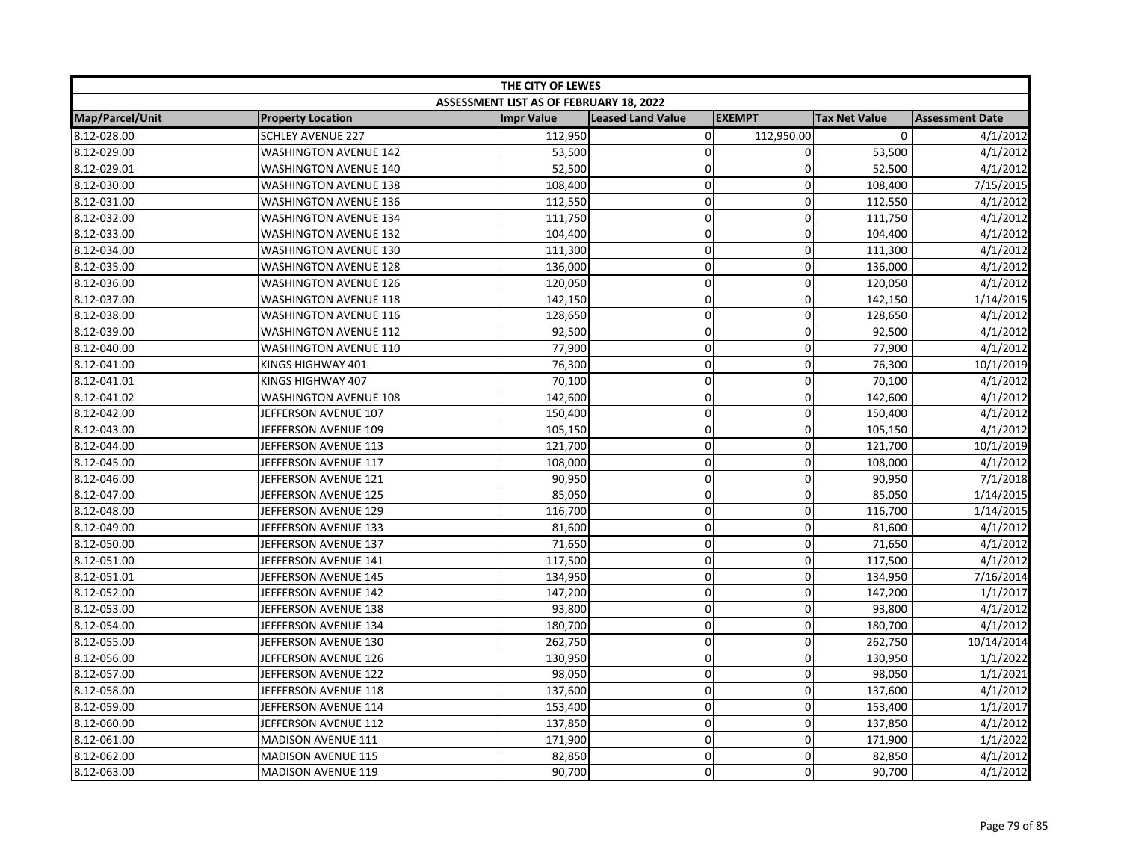| THE CITY OF LEWES |                              |                                         |                          |               |                      |                        |  |
|-------------------|------------------------------|-----------------------------------------|--------------------------|---------------|----------------------|------------------------|--|
|                   |                              | ASSESSMENT LIST AS OF FEBRUARY 18, 2022 |                          |               |                      |                        |  |
| Map/Parcel/Unit   | <b>Property Location</b>     | <b>Impr Value</b>                       | <b>Leased Land Value</b> | <b>EXEMPT</b> | <b>Tax Net Value</b> | <b>Assessment Date</b> |  |
| 8.12-028.00       | <b>SCHLEY AVENUE 227</b>     | 112,950                                 | $\mathsf 0$              | 112,950.00    | $\mathbf{0}$         | 4/1/2012               |  |
| 8.12-029.00       | <b>WASHINGTON AVENUE 142</b> | 53,500                                  | $\mathbf 0$              | $\mathbf 0$   | 53,500               | 4/1/2012               |  |
| 8.12-029.01       | <b>WASHINGTON AVENUE 140</b> | 52,500                                  | 0                        | $\mathbf 0$   | 52,500               | 4/1/2012               |  |
| 8.12-030.00       | <b>WASHINGTON AVENUE 138</b> | 108,400                                 | 0                        | 0             | 108,400              | 7/15/2015              |  |
| 8.12-031.00       | <b>WASHINGTON AVENUE 136</b> | 112,550                                 | 0                        | $\Omega$      | 112,550              | 4/1/2012               |  |
| 8.12-032.00       | <b>WASHINGTON AVENUE 134</b> | 111,750                                 | $\mathbf 0$              | 0             | 111,750              | 4/1/2012               |  |
| 8.12-033.00       | <b>WASHINGTON AVENUE 132</b> | 104,400                                 | 0                        | $\mathbf 0$   | 104,400              | 4/1/2012               |  |
| 8.12-034.00       | <b>WASHINGTON AVENUE 130</b> | 111,300                                 | 0                        | 0             | 111,300              | 4/1/2012               |  |
| 8.12-035.00       | <b>WASHINGTON AVENUE 128</b> | 136,000                                 | 0                        | $\mathbf 0$   | 136,000              | 4/1/2012               |  |
| 8.12-036.00       | <b>WASHINGTON AVENUE 126</b> | 120,050                                 | 0                        | $\mathbf 0$   | 120,050              | 4/1/2012               |  |
| 8.12-037.00       | <b>WASHINGTON AVENUE 118</b> | 142,150                                 | $\mathbf 0$              | $\mathbf 0$   | 142,150              | 1/14/2015              |  |
| 8.12-038.00       | <b>WASHINGTON AVENUE 116</b> | 128,650                                 | 0                        | $\mathbf 0$   | 128,650              | 4/1/2012               |  |
| 8.12-039.00       | <b>WASHINGTON AVENUE 112</b> | 92,500                                  | $\mathbf 0$              | $\mathbf 0$   | 92,500               | 4/1/2012               |  |
| 8.12-040.00       | <b>WASHINGTON AVENUE 110</b> | 77,900                                  | 0                        | $\mathbf 0$   | 77,900               | 4/1/2012               |  |
| 8.12-041.00       | KINGS HIGHWAY 401            | 76,300                                  | $\mathbf 0$              | $\mathbf 0$   | 76,300               | 10/1/2019              |  |
| 8.12-041.01       | KINGS HIGHWAY 407            | 70,100                                  | 0                        | $\mathbf 0$   | 70,100               | 4/1/2012               |  |
| 8.12-041.02       | <b>WASHINGTON AVENUE 108</b> | 142,600                                 | 0                        | $\pmb{0}$     | 142,600              | 4/1/2012               |  |
| 8.12-042.00       | JEFFERSON AVENUE 107         | 150,400                                 | 0                        | $\mathbf 0$   | 150,400              | 4/1/2012               |  |
| 8.12-043.00       | JEFFERSON AVENUE 109         | 105,150                                 | 0                        | $\mathbf 0$   | 105,150              | 4/1/2012               |  |
| 8.12-044.00       | JEFFERSON AVENUE 113         | 121,700                                 | 0                        | 0             | 121,700              | 10/1/2019              |  |
| 8.12-045.00       | JEFFERSON AVENUE 117         | 108,000                                 | 0                        | $\mathbf 0$   | 108,000              | 4/1/2012               |  |
| 8.12-046.00       | JEFFERSON AVENUE 121         | 90,950                                  | $\mathbf 0$              | 0             | 90,950               | 7/1/2018               |  |
| 8.12-047.00       | JEFFERSON AVENUE 125         | 85,050                                  | $\mathbf 0$              | $\mathbf 0$   | 85,050               | 1/14/2015              |  |
| 8.12-048.00       | JEFFERSON AVENUE 129         | 116,700                                 | 0                        | $\mathbf 0$   | 116,700              | 1/14/2015              |  |
| 8.12-049.00       | JEFFERSON AVENUE 133         | 81,600                                  | 0                        | $\pmb{0}$     | 81,600               | 4/1/2012               |  |
| 8.12-050.00       | JEFFERSON AVENUE 137         | 71,650                                  | 0                        | $\mathbf 0$   | 71,650               | 4/1/2012               |  |
| 8.12-051.00       | JEFFERSON AVENUE 141         | 117,500                                 | 0                        | 0             | 117,500              | 4/1/2012               |  |
| 8.12-051.01       | JEFFERSON AVENUE 145         | 134,950                                 | $\overline{0}$           | $\mathbf 0$   | 134,950              | 7/16/2014              |  |
| 8.12-052.00       | JEFFERSON AVENUE 142         | 147,200                                 | 0                        | 0             | 147,200              | 1/1/2017               |  |
| 8.12-053.00       | JEFFERSON AVENUE 138         | 93,800                                  | $\mathbf 0$              | $\mathbf 0$   | 93,800               | 4/1/2012               |  |
| 8.12-054.00       | JEFFERSON AVENUE 134         | 180,700                                 | 0                        | $\mathbf 0$   | 180,700              | 4/1/2012               |  |
| 8.12-055.00       | JEFFERSON AVENUE 130         | 262,750                                 | 0                        | $\mathbf 0$   | 262,750              | 10/14/2014             |  |
| 8.12-056.00       | JEFFERSON AVENUE 126         | 130,950                                 | 0                        | 0             | 130,950              | 1/1/2022               |  |
| 8.12-057.00       | JEFFERSON AVENUE 122         | 98,050                                  | 0                        | 0             | 98,050               | 1/1/2021               |  |
| 8.12-058.00       | JEFFERSON AVENUE 118         | 137,600                                 | 0                        | $\mathbf 0$   | 137,600              | 4/1/2012               |  |
| 8.12-059.00       | JEFFERSON AVENUE 114         | 153,400                                 | $\mathbf 0$              | 0             | 153,400              | 1/1/2017               |  |
| 8.12-060.00       | JEFFERSON AVENUE 112         | 137,850                                 | $\mathbf 0$              | $\Omega$      | 137,850              | 4/1/2012               |  |
| 8.12-061.00       | <b>MADISON AVENUE 111</b>    | 171,900                                 | 0                        | $\mathbf 0$   | 171,900              | 1/1/2022               |  |
| 8.12-062.00       | <b>MADISON AVENUE 115</b>    | 82,850                                  | 0                        | $\mathbf 0$   | 82,850               | 4/1/2012               |  |
| 8.12-063.00       | <b>MADISON AVENUE 119</b>    | 90,700                                  | 0                        | $\mathbf 0$   | 90,700               | 4/1/2012               |  |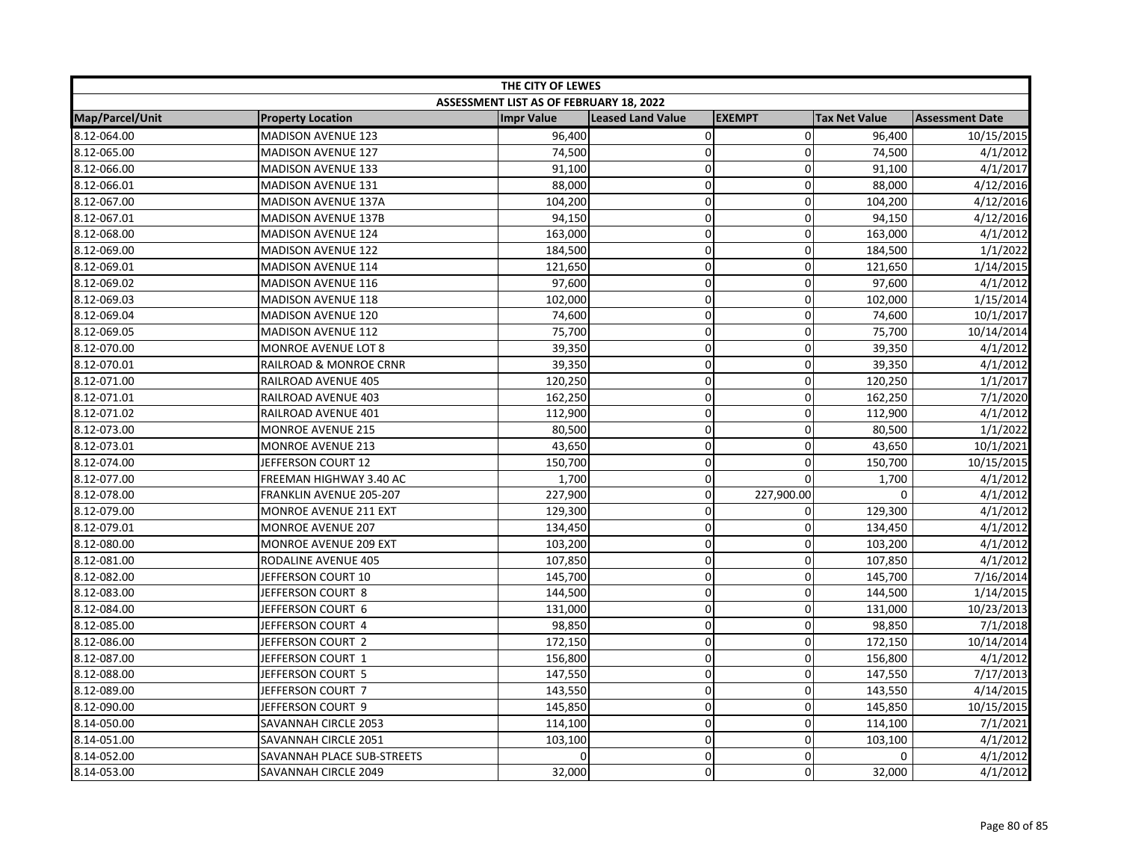| THE CITY OF LEWES |                            |                                         |                          |               |                      |                        |
|-------------------|----------------------------|-----------------------------------------|--------------------------|---------------|----------------------|------------------------|
|                   |                            | ASSESSMENT LIST AS OF FEBRUARY 18, 2022 |                          |               |                      |                        |
| Map/Parcel/Unit   | <b>Property Location</b>   | <b>Impr Value</b>                       | <b>Leased Land Value</b> | <b>EXEMPT</b> | <b>Tax Net Value</b> | <b>Assessment Date</b> |
| 8.12-064.00       | <b>MADISON AVENUE 123</b>  | 96,400                                  | 0                        | $\mathbf 0$   | 96,400               | 10/15/2015             |
| 8.12-065.00       | <b>MADISON AVENUE 127</b>  | 74,500                                  | $\mathbf 0$              | $\mathbf 0$   | 74,500               | 4/1/2012               |
| 8.12-066.00       | <b>MADISON AVENUE 133</b>  | 91,100                                  | 0                        | $\pmb{0}$     | 91,100               | 4/1/2017               |
| 8.12-066.01       | MADISON AVENUE 131         | 88,000                                  | 0                        | $\mathbf 0$   | 88,000               | 4/12/2016              |
| 8.12-067.00       | <b>MADISON AVENUE 137A</b> | 104,200                                 | 0                        | $\Omega$      | 104,200              | 4/12/2016              |
| 8.12-067.01       | <b>MADISON AVENUE 137B</b> | 94,150                                  | $\mathbf 0$              | $\mathbf 0$   | 94,150               | 4/12/2016              |
| 8.12-068.00       | <b>MADISON AVENUE 124</b>  | 163,000                                 | 0                        | $\mathbf 0$   | 163,000              | 4/1/2012               |
| 8.12-069.00       | <b>MADISON AVENUE 122</b>  | 184,500                                 | 0                        | $\mathbf 0$   | 184,500              | 1/1/2022               |
| 8.12-069.01       | <b>MADISON AVENUE 114</b>  | 121,650                                 | 0                        | $\mathbf 0$   | 121,650              | 1/14/2015              |
| 8.12-069.02       | <b>MADISON AVENUE 116</b>  | 97,600                                  | 0                        | $\mathbf 0$   | 97,600               | 4/1/2012               |
| 8.12-069.03       | <b>MADISON AVENUE 118</b>  | 102,000                                 | $\mathbf 0$              | $\mathbf 0$   | 102,000              | 1/15/2014              |
| 8.12-069.04       | <b>MADISON AVENUE 120</b>  | 74,600                                  | 0                        | $\Omega$      | 74,600               | 10/1/2017              |
| 8.12-069.05       | <b>MADISON AVENUE 112</b>  | 75,700                                  | 0                        | $\mathbf 0$   | 75,700               | 10/14/2014             |
| 8.12-070.00       | <b>MONROE AVENUE LOT 8</b> | 39,350                                  | 0                        | $\mathbf 0$   | 39,350               | 4/1/2012               |
| 8.12-070.01       | RAILROAD & MONROE CRNR     | 39,350                                  | $\mathbf 0$              | 0             | 39,350               | 4/1/2012               |
| 8.12-071.00       | RAILROAD AVENUE 405        | 120,250                                 | $\mathbf 0$              | $\mathbf 0$   | 120,250              | 1/1/2017               |
| 8.12-071.01       | RAILROAD AVENUE 403        | 162,250                                 | 0                        | $\mathbf 0$   | 162,250              | 7/1/2020               |
| 8.12-071.02       | RAILROAD AVENUE 401        | 112,900                                 | 0                        | $\mathbf 0$   | 112,900              | 4/1/2012               |
| 8.12-073.00       | <b>MONROE AVENUE 215</b>   | 80,500                                  | 0                        | $\mathbf 0$   | 80,500               | 1/1/2022               |
| 8.12-073.01       | <b>MONROE AVENUE 213</b>   | 43,650                                  | 0                        | 0             | 43,650               | 10/1/2021              |
| 8.12-074.00       | JEFFERSON COURT 12         | 150,700                                 | 0                        | $\mathbf 0$   | 150,700              | 10/15/2015             |
| 8.12-077.00       | FREEMAN HIGHWAY 3.40 AC    | 1,700                                   | $\mathbf 0$              | $\Omega$      | 1,700                | 4/1/2012               |
| 8.12-078.00       | FRANKLIN AVENUE 205-207    | 227,900                                 | 0                        | 227,900.00    | 0                    | 4/1/2012               |
| 8.12-079.00       | MONROE AVENUE 211 EXT      | 129,300                                 | 0                        | 0             | 129,300              | 4/1/2012               |
| 8.12-079.01       | <b>MONROE AVENUE 207</b>   | 134,450                                 | $\mathbf 0$              | 0             | 134,450              | 4/1/2012               |
| 8.12-080.00       | MONROE AVENUE 209 EXT      | 103,200                                 | $\mathbf 0$              | 0             | 103,200              | 4/1/2012               |
| 8.12-081.00       | RODALINE AVENUE 405        | 107,850                                 | 0                        | $\mathbf 0$   | 107,850              | 4/1/2012               |
| 8.12-082.00       | JEFFERSON COURT 10         | 145,700                                 | 0                        | $\mathbf 0$   | 145,700              | 7/16/2014              |
| 8.12-083.00       | JEFFERSON COURT 8          | 144,500                                 | $\mathbf 0$              | 0             | 144,500              | 1/14/2015              |
| 8.12-084.00       | JEFFERSON COURT 6          | 131,000                                 | $\mathbf 0$              | $\Omega$      | 131,000              | 10/23/2013             |
| 8.12-085.00       | JEFFERSON COURT 4          | 98,850                                  | $\mathbf 0$              | $\mathbf 0$   | 98,850               | 7/1/2018               |
| 8.12-086.00       | JEFFERSON COURT 2          | 172,150                                 | 0                        | $\mathbf 0$   | 172,150              | 10/14/2014             |
| 8.12-087.00       | JEFFERSON COURT 1          | 156,800                                 | 0                        | $\mathbf 0$   | 156,800              | 4/1/2012               |
| 8.12-088.00       | JEFFERSON COURT 5          | 147,550                                 | 0                        | $\mathbf 0$   | 147,550              | 7/17/2013              |
| 8.12-089.00       | JEFFERSON COURT 7          | 143,550                                 | 0                        | $\mathbf 0$   | 143,550              | 4/14/2015              |
| 8.12-090.00       | JEFFERSON COURT 9          | 145,850                                 | $\mathbf 0$              | $\mathbf 0$   | 145,850              | 10/15/2015             |
| 8.14-050.00       | SAVANNAH CIRCLE 2053       | 114,100                                 | 0                        | $\mathbf 0$   | 114,100              | 7/1/2021               |
| 8.14-051.00       | SAVANNAH CIRCLE 2051       | 103,100                                 | 0                        | $\mathbf 0$   | 103,100              | 4/1/2012               |
| 8.14-052.00       | SAVANNAH PLACE SUB-STREETS | <sup>0</sup>                            | 0                        | $\mathbf 0$   | 0                    | 4/1/2012               |
| 8.14-053.00       | SAVANNAH CIRCLE 2049       | 32,000                                  | 0                        | $\Omega$      | 32,000               | 4/1/2012               |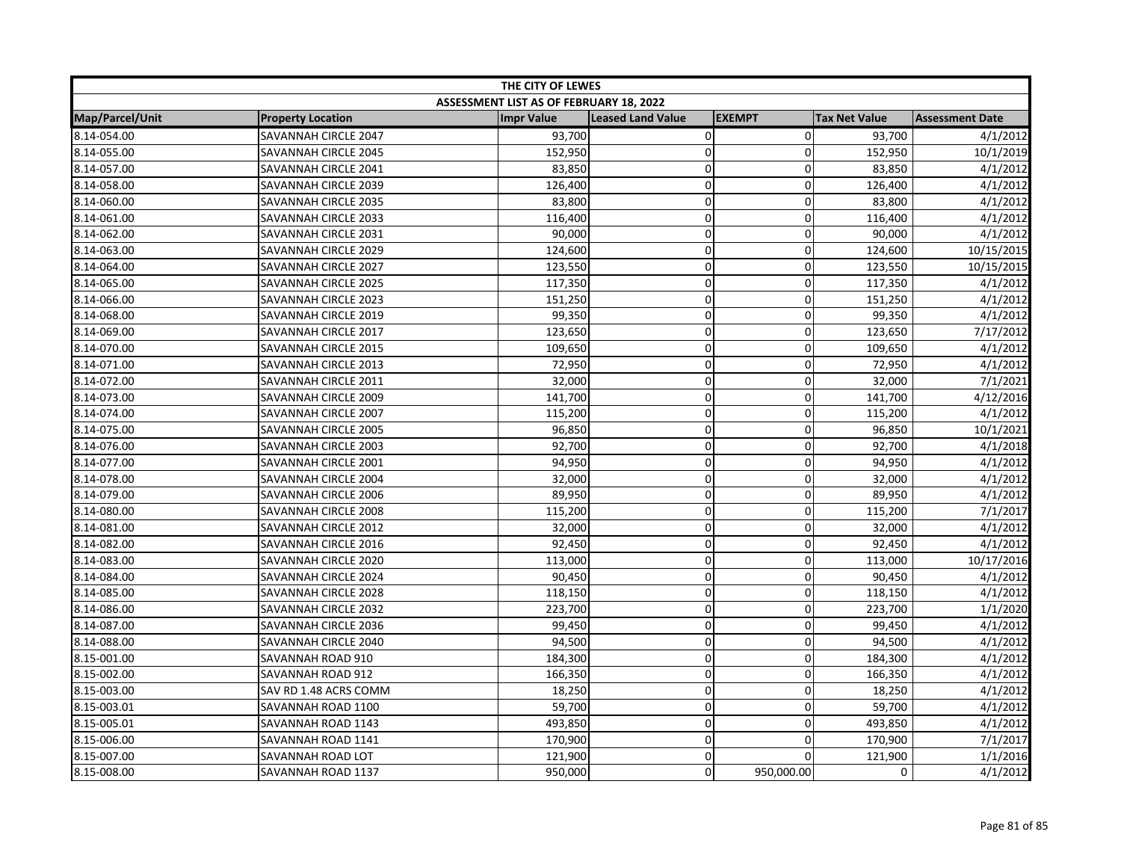| THE CITY OF LEWES |                          |                                         |                          |                |                      |                        |  |
|-------------------|--------------------------|-----------------------------------------|--------------------------|----------------|----------------------|------------------------|--|
|                   |                          | ASSESSMENT LIST AS OF FEBRUARY 18, 2022 |                          |                |                      |                        |  |
| Map/Parcel/Unit   | <b>Property Location</b> | <b>Impr Value</b>                       | <b>Leased Land Value</b> | <b>EXEMPT</b>  | <b>Tax Net Value</b> | <b>Assessment Date</b> |  |
| 8.14-054.00       | SAVANNAH CIRCLE 2047     | 93,700                                  | $\pmb{0}$                | $\overline{0}$ | 93,700               | 4/1/2012               |  |
| 8.14-055.00       | SAVANNAH CIRCLE 2045     | 152,950                                 | $\mathbf 0$              | $\Omega$       | 152,950              | 10/1/2019              |  |
| 8.14-057.00       | SAVANNAH CIRCLE 2041     | 83,850                                  | $\mathbf 0$              | $\Omega$       | 83,850               | 4/1/2012               |  |
| 8.14-058.00       | SAVANNAH CIRCLE 2039     | 126,400                                 | $\mathbf 0$              | 0              | 126,400              | 4/1/2012               |  |
| 8.14-060.00       | SAVANNAH CIRCLE 2035     | 83,800                                  | 0                        | 0              | 83,800               | 4/1/2012               |  |
| 8.14-061.00       | SAVANNAH CIRCLE 2033     | 116,400                                 | $\pmb{0}$                | 0              | 116,400              | 4/1/2012               |  |
| 8.14-062.00       | SAVANNAH CIRCLE 2031     | 90,000                                  | $\mathbf 0$              | 0              | 90,000               | 4/1/2012               |  |
| 8.14-063.00       | SAVANNAH CIRCLE 2029     | 124,600                                 | $\mathbf 0$              | 0              | 124,600              | 10/15/2015             |  |
| 8.14-064.00       | SAVANNAH CIRCLE 2027     | 123,550                                 | $\pmb{0}$                | 0              | 123,550              | 10/15/2015             |  |
| 8.14-065.00       | SAVANNAH CIRCLE 2025     | 117,350                                 | $\pmb{0}$                | 0              | 117,350              | 4/1/2012               |  |
| 8.14-066.00       | SAVANNAH CIRCLE 2023     | 151,250                                 | $\mathbf 0$              | 0              | 151,250              | 4/1/2012               |  |
| 8.14-068.00       | SAVANNAH CIRCLE 2019     | 99,350                                  | $\mathbf 0$              | $\Omega$       | 99,350               | 4/1/2012               |  |
| 8.14-069.00       | SAVANNAH CIRCLE 2017     | 123,650                                 | 0                        | $\Omega$       | 123,650              | 7/17/2012              |  |
| 8.14-070.00       | SAVANNAH CIRCLE 2015     | 109,650                                 | $\pmb{0}$                | 0              | 109,650              | 4/1/2012               |  |
| 8.14-071.00       | SAVANNAH CIRCLE 2013     | 72,950                                  | $\mathbf 0$              | 0              | 72,950               | 4/1/2012               |  |
| 8.14-072.00       | SAVANNAH CIRCLE 2011     | 32,000                                  | $\mathbf 0$              | 0              | 32,000               | 7/1/2021               |  |
| 8.14-073.00       | SAVANNAH CIRCLE 2009     | 141,700                                 | $\mathbf 0$              | $\overline{0}$ | 141,700              | 4/12/2016              |  |
| 8.14-074.00       | SAVANNAH CIRCLE 2007     | 115,200                                 | $\pmb{0}$                | 0              | 115,200              | 4/1/2012               |  |
| 8.14-075.00       | SAVANNAH CIRCLE 2005     | 96,850                                  | $\pmb{0}$                | 0              | 96,850               | 10/1/2021              |  |
| 8.14-076.00       | SAVANNAH CIRCLE 2003     | 92,700                                  | $\pmb{0}$                | 0              | 92,700               | 4/1/2018               |  |
| 8.14-077.00       | SAVANNAH CIRCLE 2001     | 94,950                                  | $\pmb{0}$                | $\overline{0}$ | 94,950               | 4/1/2012               |  |
| 8.14-078.00       | SAVANNAH CIRCLE 2004     | 32,000                                  | $\mathbf 0$              | $\Omega$       | 32,000               | 4/1/2012               |  |
| 8.14-079.00       | SAVANNAH CIRCLE 2006     | 89,950                                  | $\pmb{0}$                | 0              | 89,950               | 4/1/2012               |  |
| 8.14-080.00       | SAVANNAH CIRCLE 2008     | 115,200                                 | $\mathbf 0$              | $\overline{0}$ | 115,200              | 7/1/2017               |  |
| 8.14-081.00       | SAVANNAH CIRCLE 2012     | 32,000                                  | $\pmb{0}$                | 0              | 32,000               | 4/1/2012               |  |
| 8.14-082.00       | SAVANNAH CIRCLE 2016     | 92,450                                  | $\mathbf 0$              | 0              | 92,450               | 4/1/2012               |  |
| 8.14-083.00       | SAVANNAH CIRCLE 2020     | 113,000                                 | $\mathbf 0$              | $\Omega$       | 113,000              | 10/17/2016             |  |
| 8.14-084.00       | SAVANNAH CIRCLE 2024     | 90,450                                  | $\pmb{0}$                | $\overline{0}$ | 90,450               | 4/1/2012               |  |
| 8.14-085.00       | SAVANNAH CIRCLE 2028     | 118,150                                 | $\mathbf 0$              | 0              | 118,150              | 4/1/2012               |  |
| 8.14-086.00       | SAVANNAH CIRCLE 2032     | 223,700                                 | $\mathbf 0$              | $\Omega$       | 223,700              | 1/1/2020               |  |
| 8.14-087.00       | SAVANNAH CIRCLE 2036     | 99,450                                  | $\mathbf 0$              | 0              | 99,450               | 4/1/2012               |  |
| 8.14-088.00       | SAVANNAH CIRCLE 2040     | 94,500                                  | $\mathbf 0$              | 0              | 94,500               | 4/1/2012               |  |
| 8.15-001.00       | SAVANNAH ROAD 910        | 184,300                                 | $\pmb{0}$                | 0              | 184,300              | 4/1/2012               |  |
| 8.15-002.00       | SAVANNAH ROAD 912        | 166,350                                 | $\mathbf 0$              | 0              | 166,350              | 4/1/2012               |  |
| 8.15-003.00       | SAV RD 1.48 ACRS COMM    | 18,250                                  | $\pmb{0}$                | 0              | 18,250               | 4/1/2012               |  |
| 8.15-003.01       | SAVANNAH ROAD 1100       | 59,700                                  | $\pmb{0}$                | $\Omega$       | 59,700               | 4/1/2012               |  |
| 8.15-005.01       | SAVANNAH ROAD 1143       | 493,850                                 | $\pmb{0}$                | 0              | 493,850              | 4/1/2012               |  |
| 8.15-006.00       | SAVANNAH ROAD 1141       | 170,900                                 | 0                        | 0              | 170,900              | 7/1/2017               |  |
| 8.15-007.00       | SAVANNAH ROAD LOT        | 121,900                                 | $\pmb{0}$                | $\Omega$       | 121,900              | 1/1/2016               |  |
| 8.15-008.00       | SAVANNAH ROAD 1137       | 950,000                                 | $\mathbf 0$              | 950,000.00     | 0                    | 4/1/2012               |  |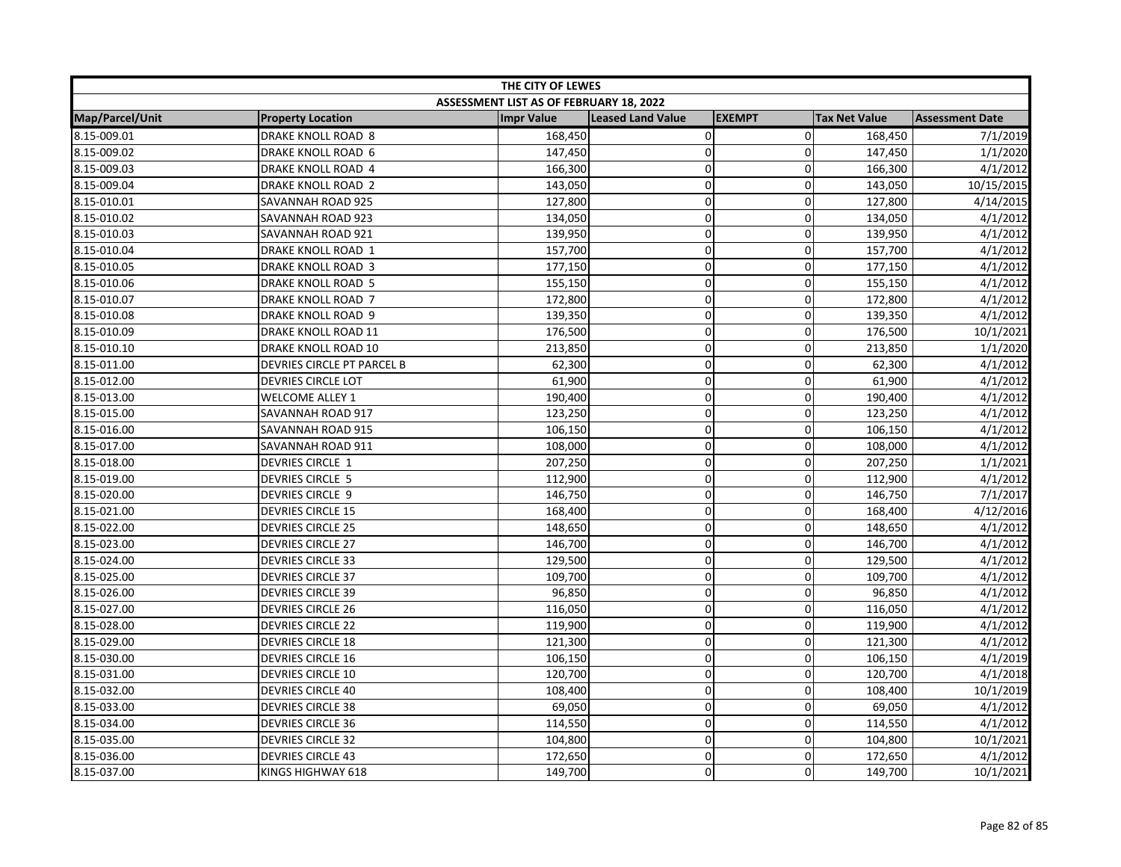| THE CITY OF LEWES |                            |                                         |                          |                |                      |                        |
|-------------------|----------------------------|-----------------------------------------|--------------------------|----------------|----------------------|------------------------|
|                   |                            | ASSESSMENT LIST AS OF FEBRUARY 18, 2022 |                          |                |                      |                        |
| Map/Parcel/Unit   | <b>Property Location</b>   | <b>Impr Value</b>                       | <b>Leased Land Value</b> | <b>EXEMPT</b>  | <b>Tax Net Value</b> | <b>Assessment Date</b> |
| 8.15-009.01       | <b>DRAKE KNOLL ROAD 8</b>  | 168,450                                 | 0                        | $\overline{0}$ | 168,450              | 7/1/2019               |
| 8.15-009.02       | DRAKE KNOLL ROAD 6         | 147,450                                 | $\mathbf 0$              | $\Omega$       | 147,450              | 1/1/2020               |
| 8.15-009.03       | DRAKE KNOLL ROAD 4         | 166,300                                 | $\pmb{0}$                | $\mathbf 0$    | 166,300              | 4/1/2012               |
| 8.15-009.04       | <b>DRAKE KNOLL ROAD 2</b>  | 143,050                                 | $\pmb{0}$                | 0              | 143,050              | 10/15/2015             |
| 8.15-010.01       | SAVANNAH ROAD 925          | 127,800                                 | $\mathbf 0$              | $\Omega$       | 127,800              | 4/14/2015              |
| 8.15-010.02       | SAVANNAH ROAD 923          | 134,050                                 | $\mathbf 0$              | $\Omega$       | 134,050              | 4/1/2012               |
| 8.15-010.03       | SAVANNAH ROAD 921          | 139,950                                 | $\pmb{0}$                | 0              | 139,950              | 4/1/2012               |
| 8.15-010.04       | DRAKE KNOLL ROAD 1         | 157,700                                 | $\mathbf 0$              | 0              | 157,700              | 4/1/2012               |
| 8.15-010.05       | <b>DRAKE KNOLL ROAD 3</b>  | 177,150                                 | $\pmb{0}$                | 0              | 177,150              | 4/1/2012               |
| 8.15-010.06       | DRAKE KNOLL ROAD 5         | 155,150                                 | $\mathbf 0$              | $\overline{0}$ | 155,150              | 4/1/2012               |
| 8.15-010.07       | DRAKE KNOLL ROAD 7         | 172,800                                 | $\mathbf 0$              | 0              | 172,800              | 4/1/2012               |
| 8.15-010.08       | DRAKE KNOLL ROAD 9         | 139,350                                 | $\pmb{0}$                | $\Omega$       | 139,350              | 4/1/2012               |
| 8.15-010.09       | DRAKE KNOLL ROAD 11        | 176,500                                 | $\pmb{0}$                | 0              | 176,500              | 10/1/2021              |
| 8.15-010.10       | DRAKE KNOLL ROAD 10        | 213,850                                 | $\pmb{0}$                | $\overline{0}$ | 213,850              | 1/1/2020               |
| 8.15-011.00       | DEVRIES CIRCLE PT PARCEL B | 62,300                                  | $\mathbf 0$              | $\Omega$       | 62,300               | 4/1/2012               |
| 8.15-012.00       | DEVRIES CIRCLE LOT         | 61,900                                  | $\mathbf 0$              | 0              | 61,900               | 4/1/2012               |
| 8.15-013.00       | <b>WELCOME ALLEY 1</b>     | 190,400                                 | $\pmb{0}$                | $\overline{0}$ | 190,400              | 4/1/2012               |
| 8.15-015.00       | SAVANNAH ROAD 917          | 123,250                                 | $\pmb{0}$                | $\overline{0}$ | 123,250              | 4/1/2012               |
| 8.15-016.00       | SAVANNAH ROAD 915          | 106,150                                 | $\mathbf 0$              | 0              | 106,150              | 4/1/2012               |
| 8.15-017.00       | SAVANNAH ROAD 911          | 108,000                                 | $\pmb{0}$                | 0              | 108,000              | 4/1/2012               |
| 8.15-018.00       | DEVRIES CIRCLE 1           | 207,250                                 | $\mathbf 0$              | $\overline{0}$ | 207,250              | 1/1/2021               |
| 8.15-019.00       | <b>DEVRIES CIRCLE 5</b>    | 112,900                                 | $\mathbf 0$              | $\Omega$       | 112,900              | 4/1/2012               |
| 8.15-020.00       | <b>DEVRIES CIRCLE 9</b>    | 146,750                                 | 0                        | 0              | 146,750              | 7/1/2017               |
| 8.15-021.00       | <b>DEVRIES CIRCLE 15</b>   | 168,400                                 | $\pmb{0}$                | 0              | 168,400              | 4/12/2016              |
| 8.15-022.00       | <b>DEVRIES CIRCLE 25</b>   | 148,650                                 | $\mathbf 0$              | 0              | 148,650              | 4/1/2012               |
| 8.15-023.00       | <b>DEVRIES CIRCLE 27</b>   | 146,700                                 | $\mathbf 0$              | $\mathbf 0$    | 146,700              | 4/1/2012               |
| 8.15-024.00       | <b>DEVRIES CIRCLE 33</b>   | 129,500                                 | $\pmb{0}$                | 0              | 129,500              | 4/1/2012               |
| 8.15-025.00       | <b>DEVRIES CIRCLE 37</b>   | 109,700                                 | $\mathbf 0$              | $\overline{0}$ | 109,700              | 4/1/2012               |
| 8.15-026.00       | <b>DEVRIES CIRCLE 39</b>   | 96,850                                  | $\mathbf 0$              | $\Omega$       | 96,850               | 4/1/2012               |
| 8.15-027.00       | <b>DEVRIES CIRCLE 26</b>   | 116,050                                 | $\mathbf 0$              | $\Omega$       | 116,050              | 4/1/2012               |
| 8.15-028.00       | <b>DEVRIES CIRCLE 22</b>   | 119,900                                 | $\pmb{0}$                | $\Omega$       | 119,900              | 4/1/2012               |
| 8.15-029.00       | <b>DEVRIES CIRCLE 18</b>   | 121,300                                 | $\pmb{0}$                | 0              | 121,300              | 4/1/2012               |
| 8.15-030.00       | <b>DEVRIES CIRCLE 16</b>   | 106,150                                 | $\mathbf 0$              | 0              | 106,150              | 4/1/2019               |
| 8.15-031.00       | <b>DEVRIES CIRCLE 10</b>   | 120,700                                 | $\pmb{0}$                | 0              | 120,700              | 4/1/2018               |
| 8.15-032.00       | <b>DEVRIES CIRCLE 40</b>   | 108,400                                 | $\mathbf 0$              | $\overline{0}$ | 108,400              | 10/1/2019              |
| 8.15-033.00       | <b>DEVRIES CIRCLE 38</b>   | 69,050                                  | $\mathbf 0$              | 0              | 69,050               | 4/1/2012               |
| 8.15-034.00       | <b>DEVRIES CIRCLE 36</b>   | 114,550                                 | $\pmb{0}$                | $\overline{0}$ | 114,550              | 4/1/2012               |
| 8.15-035.00       | <b>DEVRIES CIRCLE 32</b>   | 104,800                                 | $\pmb{0}$                | 0              | 104,800              | 10/1/2021              |
| 8.15-036.00       | <b>DEVRIES CIRCLE 43</b>   | 172,650                                 | $\mathbf 0$              | $\overline{0}$ | 172,650              | 4/1/2012               |
| 8.15-037.00       | KINGS HIGHWAY 618          | 149,700                                 | $\mathbf 0$              | $\Omega$       | 149,700              | 10/1/2021              |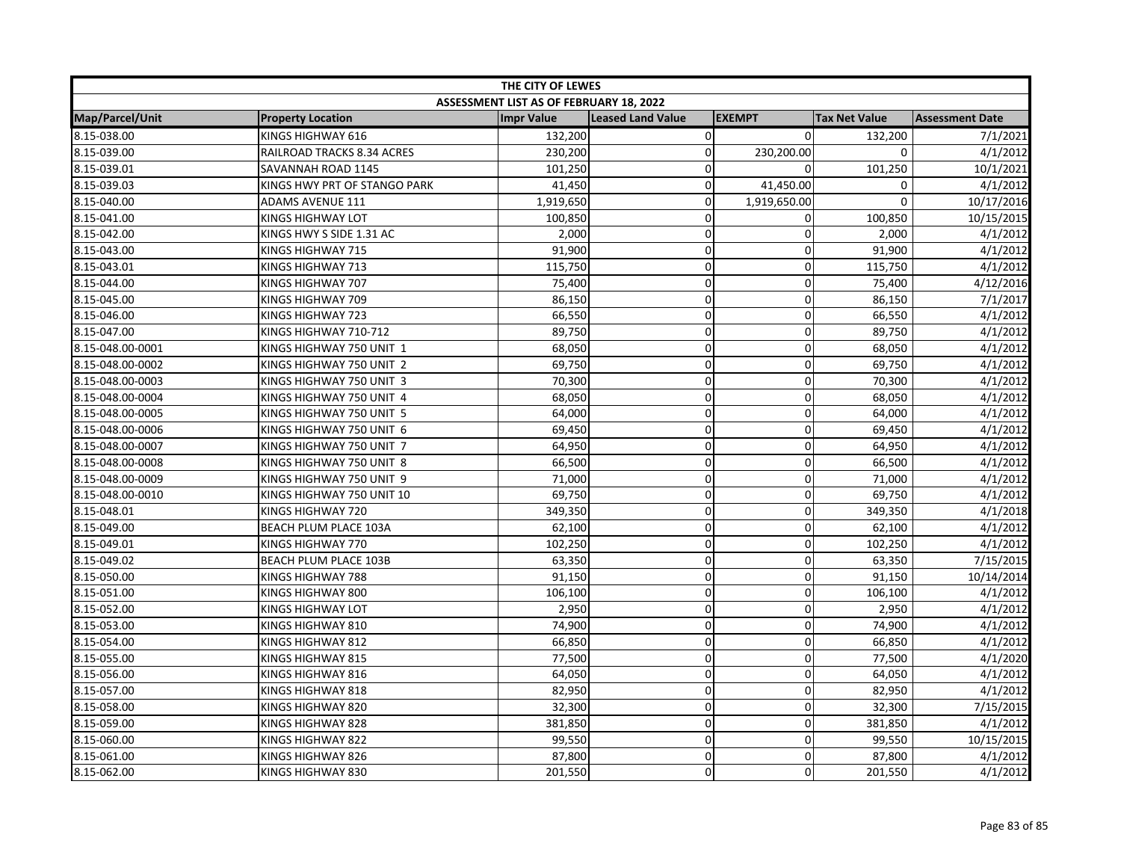| THE CITY OF LEWES |                              |                                         |                   |                |                      |                        |  |
|-------------------|------------------------------|-----------------------------------------|-------------------|----------------|----------------------|------------------------|--|
|                   |                              | ASSESSMENT LIST AS OF FEBRUARY 18, 2022 |                   |                |                      |                        |  |
| Map/Parcel/Unit   | <b>Property Location</b>     | <b>Impr Value</b>                       | Leased Land Value | <b>EXEMPT</b>  | <b>Tax Net Value</b> | <b>Assessment Date</b> |  |
| 8.15-038.00       | KINGS HIGHWAY 616            | 132,200                                 | $\pmb{0}$         | $\Omega$       | 132,200              | 7/1/2021               |  |
| 8.15-039.00       | RAILROAD TRACKS 8.34 ACRES   | 230,200                                 | $\mathbf 0$       | 230,200.00     | 0                    | 4/1/2012               |  |
| 8.15-039.01       | SAVANNAH ROAD 1145           | 101,250                                 | $\mathbf 0$       | $\Omega$       | 101,250              | 10/1/2021              |  |
| 8.15-039.03       | KINGS HWY PRT OF STANGO PARK | 41,450                                  | $\mathbf 0$       | 41,450.00      | 0                    | 4/1/2012               |  |
| 8.15-040.00       | <b>ADAMS AVENUE 111</b>      | 1,919,650                               | $\mathbf 0$       | 1,919,650.00   | $\mathbf 0$          | 10/17/2016             |  |
| 8.15-041.00       | KINGS HIGHWAY LOT            | 100,850                                 | $\mathbf 0$       | 0              | 100,850              | 10/15/2015             |  |
| 8.15-042.00       | KINGS HWY S SIDE 1.31 AC     | 2,000                                   | $\pmb{0}$         | 0              | 2,000                | 4/1/2012               |  |
| 8.15-043.00       | KINGS HIGHWAY 715            | 91,900                                  | $\mathbf 0$       | $\Omega$       | 91,900               | 4/1/2012               |  |
| 8.15-043.01       | KINGS HIGHWAY 713            | 115,750                                 | $\mathbf 0$       | 0              | 115,750              | 4/1/2012               |  |
| 8.15-044.00       | KINGS HIGHWAY 707            | 75,400                                  | $\mathbf 0$       | $\mathbf 0$    | 75,400               | 4/12/2016              |  |
| 8.15-045.00       | KINGS HIGHWAY 709            | 86,150                                  | $\mathbf 0$       | 0              | 86,150               | 7/1/2017               |  |
| 8.15-046.00       | KINGS HIGHWAY 723            | 66,550                                  | $\mathbf 0$       | $\Omega$       | 66,550               | 4/1/2012               |  |
| 8.15-047.00       | KINGS HIGHWAY 710-712        | 89,750                                  | $\mathbf 0$       | 0              | 89,750               | 4/1/2012               |  |
| 8.15-048.00-0001  | KINGS HIGHWAY 750 UNIT 1     | 68,050                                  | $\pmb{0}$         | 0              | 68,050               | 4/1/2012               |  |
| 8.15-048.00-0002  | KINGS HIGHWAY 750 UNIT 2     | 69,750                                  | $\mathbf 0$       | 0              | 69,750               | 4/1/2012               |  |
| 8.15-048.00-0003  | KINGS HIGHWAY 750 UNIT 3     | 70,300                                  | $\pmb{0}$         | 0              | 70,300               | 4/1/2012               |  |
| 8.15-048.00-0004  | KINGS HIGHWAY 750 UNIT 4     | 68,050                                  | $\mathbf 0$       | $\overline{0}$ | 68,050               | 4/1/2012               |  |
| 8.15-048.00-0005  | KINGS HIGHWAY 750 UNIT 5     | 64,000                                  | $\mathbf 0$       | 0              | 64,000               | 4/1/2012               |  |
| 8.15-048.00-0006  | KINGS HIGHWAY 750 UNIT 6     | 69,450                                  | $\pmb{0}$         | $\mathbf 0$    | 69,450               | 4/1/2012               |  |
| 8.15-048.00-0007  | KINGS HIGHWAY 750 UNIT 7     | 64,950                                  | 0                 | $\Omega$       | 64,950               | 4/1/2012               |  |
| 8.15-048.00-0008  | KINGS HIGHWAY 750 UNIT 8     | 66,500                                  | $\pmb{0}$         | $\overline{0}$ | 66,500               | 4/1/2012               |  |
| 8.15-048.00-0009  | KINGS HIGHWAY 750 UNIT 9     | 71,000                                  | $\mathbf 0$       | $\Omega$       | 71,000               | 4/1/2012               |  |
| 8.15-048.00-0010  | KINGS HIGHWAY 750 UNIT 10    | 69,750                                  | $\mathbf 0$       | 0              | 69,750               | 4/1/2012               |  |
| 8.15-048.01       | KINGS HIGHWAY 720            | 349,350                                 | $\mathbf 0$       | 0              | 349,350              | 4/1/2018               |  |
| 8.15-049.00       | BEACH PLUM PLACE 103A        | 62,100                                  | $\mathbf 0$       | 0              | 62,100               | 4/1/2012               |  |
| 8.15-049.01       | KINGS HIGHWAY 770            | 102,250                                 | $\pmb{0}$         | 0              | 102,250              | 4/1/2012               |  |
| 8.15-049.02       | <b>BEACH PLUM PLACE 103B</b> | 63,350                                  | 0                 | 0              | 63,350               | 7/15/2015              |  |
| 8.15-050.00       | KINGS HIGHWAY 788            | 91,150                                  | $\pmb{0}$         | $\overline{0}$ | 91,150               | 10/14/2014             |  |
| 8.15-051.00       | KINGS HIGHWAY 800            | 106,100                                 | $\mathbf 0$       | $\Omega$       | 106,100              | 4/1/2012               |  |
| 8.15-052.00       | KINGS HIGHWAY LOT            | 2,950                                   | 0                 | $\Omega$       | 2,950                | 4/1/2012               |  |
| 8.15-053.00       | KINGS HIGHWAY 810            | 74,900                                  | $\pmb{0}$         | $\Omega$       | 74,900               | 4/1/2012               |  |
| 8.15-054.00       | KINGS HIGHWAY 812            | 66,850                                  | $\pmb{0}$         | $\overline{0}$ | 66,850               | 4/1/2012               |  |
| 8.15-055.00       | KINGS HIGHWAY 815            | 77,500                                  | $\mathbf 0$       | 0              | 77,500               | 4/1/2020               |  |
| 8.15-056.00       | KINGS HIGHWAY 816            | 64,050                                  | $\pmb{0}$         | 0              | 64,050               | 4/1/2012               |  |
| 8.15-057.00       | KINGS HIGHWAY 818            | 82,950                                  | $\mathbf 0$       | $\overline{0}$ | 82,950               | 4/1/2012               |  |
| 8.15-058.00       | KINGS HIGHWAY 820            | 32,300                                  | $\pmb{0}$         | 0              | 32,300               | 7/15/2015              |  |
| 8.15-059.00       | KINGS HIGHWAY 828            | 381,850                                 | $\pmb{0}$         | $\overline{0}$ | 381,850              | 4/1/2012               |  |
| 8.15-060.00       | KINGS HIGHWAY 822            | 99,550                                  | $\pmb{0}$         | 0              | 99,550               | 10/15/2015             |  |
| 8.15-061.00       | KINGS HIGHWAY 826            | 87,800                                  | $\mathbf 0$       | $\overline{0}$ | 87,800               | 4/1/2012               |  |
| 8.15-062.00       | KINGS HIGHWAY 830            | 201,550                                 | $\mathbf 0$       | $\Omega$       | 201,550              | 4/1/2012               |  |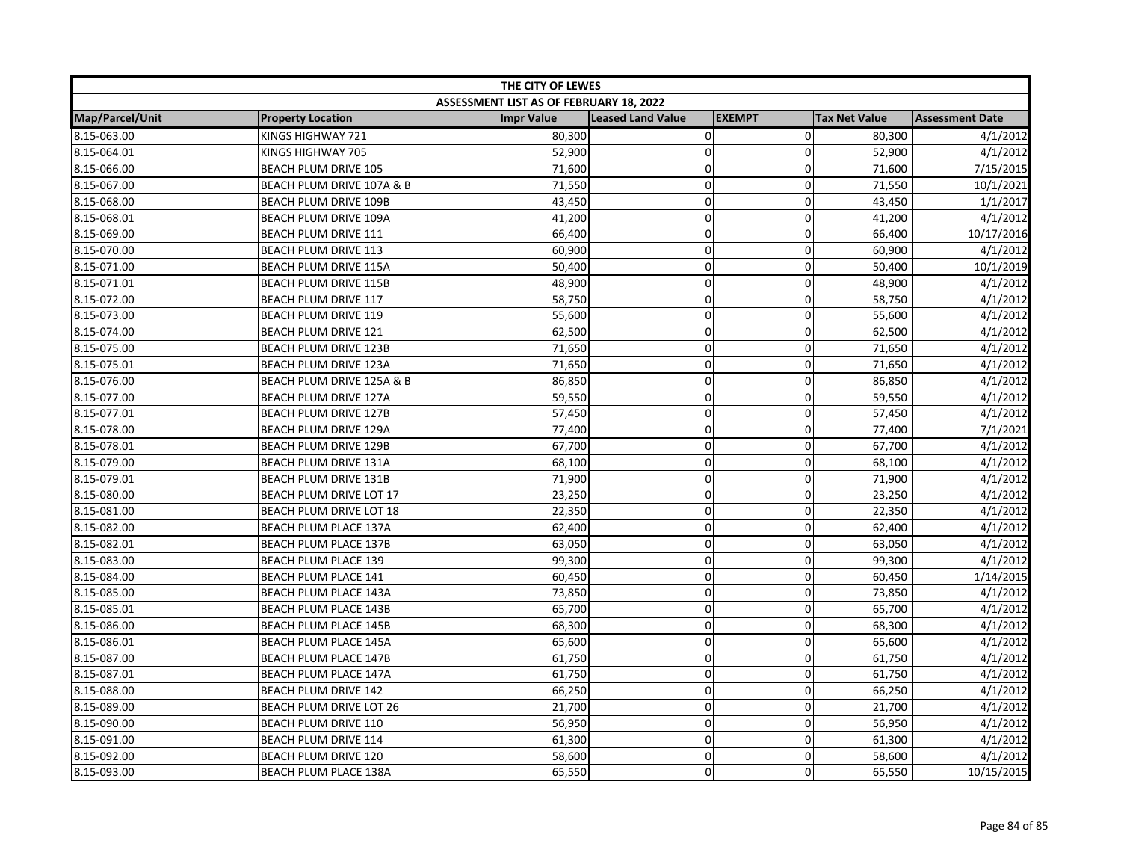| THE CITY OF LEWES |                              |                                         |                          |                |                      |                        |
|-------------------|------------------------------|-----------------------------------------|--------------------------|----------------|----------------------|------------------------|
|                   |                              | ASSESSMENT LIST AS OF FEBRUARY 18, 2022 |                          |                |                      |                        |
| Map/Parcel/Unit   | <b>Property Location</b>     | <b>Impr Value</b>                       | <b>Leased Land Value</b> | <b>EXEMPT</b>  | <b>Tax Net Value</b> | <b>Assessment Date</b> |
| 8.15-063.00       | KINGS HIGHWAY 721            | 80,300                                  | $\pmb{0}$                | $\overline{0}$ | 80,300               | 4/1/2012               |
| 8.15-064.01       | KINGS HIGHWAY 705            | 52,900                                  | $\mathbf 0$              | 0              | 52,900               | 4/1/2012               |
| 8.15-066.00       | BEACH PLUM DRIVE 105         | 71,600                                  | $\mathbf 0$              | $\Omega$       | 71,600               | 7/15/2015              |
| 8.15-067.00       | BEACH PLUM DRIVE 107A & B    | 71,550                                  | $\mathbf 0$              | 0              | 71,550               | 10/1/2021              |
| 8.15-068.00       | BEACH PLUM DRIVE 109B        | 43,450                                  | 0                        | 0              | 43,450               | 1/1/2017               |
| 8.15-068.01       | <b>BEACH PLUM DRIVE 109A</b> | 41,200                                  | $\pmb{0}$                | 0              | 41,200               | 4/1/2012               |
| 8.15-069.00       | <b>BEACH PLUM DRIVE 111</b>  | 66,400                                  | $\mathbf 0$              | 0              | 66,400               | 10/17/2016             |
| 8.15-070.00       | BEACH PLUM DRIVE 113         | 60,900                                  | $\mathbf 0$              | $\Omega$       | 60,900               | 4/1/2012               |
| 8.15-071.00       | BEACH PLUM DRIVE 115A        | 50,400                                  | $\pmb{0}$                | 0              | 50,400               | 10/1/2019              |
| 8.15-071.01       | <b>BEACH PLUM DRIVE 115B</b> | 48,900                                  | $\pmb{0}$                | $\overline{0}$ | 48,900               | 4/1/2012               |
| 8.15-072.00       | <b>BEACH PLUM DRIVE 117</b>  | 58,750                                  | $\mathbf 0$              | 0              | 58,750               | 4/1/2012               |
| 8.15-073.00       | BEACH PLUM DRIVE 119         | 55,600                                  | $\mathbf 0$              | $\mathbf 0$    | 55,600               | 4/1/2012               |
| 8.15-074.00       | <b>BEACH PLUM DRIVE 121</b>  | 62,500                                  | 0                        | $\Omega$       | 62,500               | 4/1/2012               |
| 8.15-075.00       | <b>BEACH PLUM DRIVE 123B</b> | 71,650                                  | $\pmb{0}$                | 0              | 71,650               | 4/1/2012               |
| 8.15-075.01       | BEACH PLUM DRIVE 123A        | 71,650                                  | $\mathbf 0$              | 0              | 71,650               | 4/1/2012               |
| 8.15-076.00       | BEACH PLUM DRIVE 125A & B    | 86,850                                  | $\mathbf 0$              | 0              | 86,850               | 4/1/2012               |
| 8.15-077.00       | <b>BEACH PLUM DRIVE 127A</b> | 59,550                                  | $\mathbf 0$              | $\overline{0}$ | 59,550               | 4/1/2012               |
| 8.15-077.01       | <b>BEACH PLUM DRIVE 127B</b> | 57,450                                  | $\pmb{0}$                | 0              | 57,450               | 4/1/2012               |
| 8.15-078.00       | <b>BEACH PLUM DRIVE 129A</b> | 77,400                                  | $\pmb{0}$                | $\overline{0}$ | 77,400               | 7/1/2021               |
| 8.15-078.01       | <b>BEACH PLUM DRIVE 129B</b> | 67,700                                  | $\pmb{0}$                | 0              | 67,700               | 4/1/2012               |
| 8.15-079.00       | BEACH PLUM DRIVE 131A        | 68,100                                  | $\pmb{0}$                | $\overline{0}$ | 68,100               | 4/1/2012               |
| 8.15-079.01       | BEACH PLUM DRIVE 131B        | 71,900                                  | $\mathbf 0$              | $\Omega$       | 71,900               | 4/1/2012               |
| 8.15-080.00       | BEACH PLUM DRIVE LOT 17      | 23,250                                  | $\pmb{0}$                | $\overline{0}$ | 23,250               | 4/1/2012               |
| 8.15-081.00       | BEACH PLUM DRIVE LOT 18      | 22,350                                  | $\mathbf 0$              | $\overline{0}$ | 22,350               | 4/1/2012               |
| 8.15-082.00       | <b>BEACH PLUM PLACE 137A</b> | 62,400                                  | $\pmb{0}$                | 0              | 62,400               | 4/1/2012               |
| 8.15-082.01       | <b>BEACH PLUM PLACE 137B</b> | 63,050                                  | $\mathbf 0$              | 0              | 63,050               | 4/1/2012               |
| 8.15-083.00       | <b>BEACH PLUM PLACE 139</b>  | 99,300                                  | $\mathbf 0$              | $\Omega$       | 99,300               | 4/1/2012               |
| 8.15-084.00       | BEACH PLUM PLACE 141         | 60,450                                  | $\pmb{0}$                | $\mathbf 0$    | 60,450               | 1/14/2015              |
| 8.15-085.00       | <b>BEACH PLUM PLACE 143A</b> | 73,850                                  | $\mathbf 0$              | 0              | 73,850               | 4/1/2012               |
| 8.15-085.01       | <b>BEACH PLUM PLACE 143B</b> | 65,700                                  | $\mathbf 0$              | 0              | 65,700               | 4/1/2012               |
| 8.15-086.00       | <b>BEACH PLUM PLACE 145B</b> | 68,300                                  | $\mathbf 0$              | 0              | 68,300               | 4/1/2012               |
| 8.15-086.01       | <b>BEACH PLUM PLACE 145A</b> | 65,600                                  | $\mathbf 0$              | $\overline{0}$ | 65,600               | 4/1/2012               |
| 8.15-087.00       | <b>BEACH PLUM PLACE 147B</b> | 61,750                                  | $\pmb{0}$                | 0              | 61,750               | 4/1/2012               |
| 8.15-087.01       | <b>BEACH PLUM PLACE 147A</b> | 61,750                                  | $\mathbf 0$              | 0              | 61,750               | 4/1/2012               |
| 8.15-088.00       | <b>BEACH PLUM DRIVE 142</b>  | 66,250                                  | $\pmb{0}$                | $\overline{0}$ | 66,250               | 4/1/2012               |
| 8.15-089.00       | BEACH PLUM DRIVE LOT 26      | 21,700                                  | $\mathbf 0$              | $\mathbf 0$    | 21,700               | 4/1/2012               |
| 8.15-090.00       | BEACH PLUM DRIVE 110         | 56,950                                  | 0                        | 0              | 56,950               | 4/1/2012               |
| 8.15-091.00       | <b>BEACH PLUM DRIVE 114</b>  | 61,300                                  | $\mathbf 0$              | 0              | 61,300               | 4/1/2012               |
| 8.15-092.00       | <b>BEACH PLUM DRIVE 120</b>  | 58,600                                  | $\pmb{0}$                | $\overline{0}$ | 58,600               | 4/1/2012               |
| 8.15-093.00       | <b>BEACH PLUM PLACE 138A</b> | 65,550                                  | $\mathbf 0$              | $\Omega$       | 65,550               | 10/15/2015             |